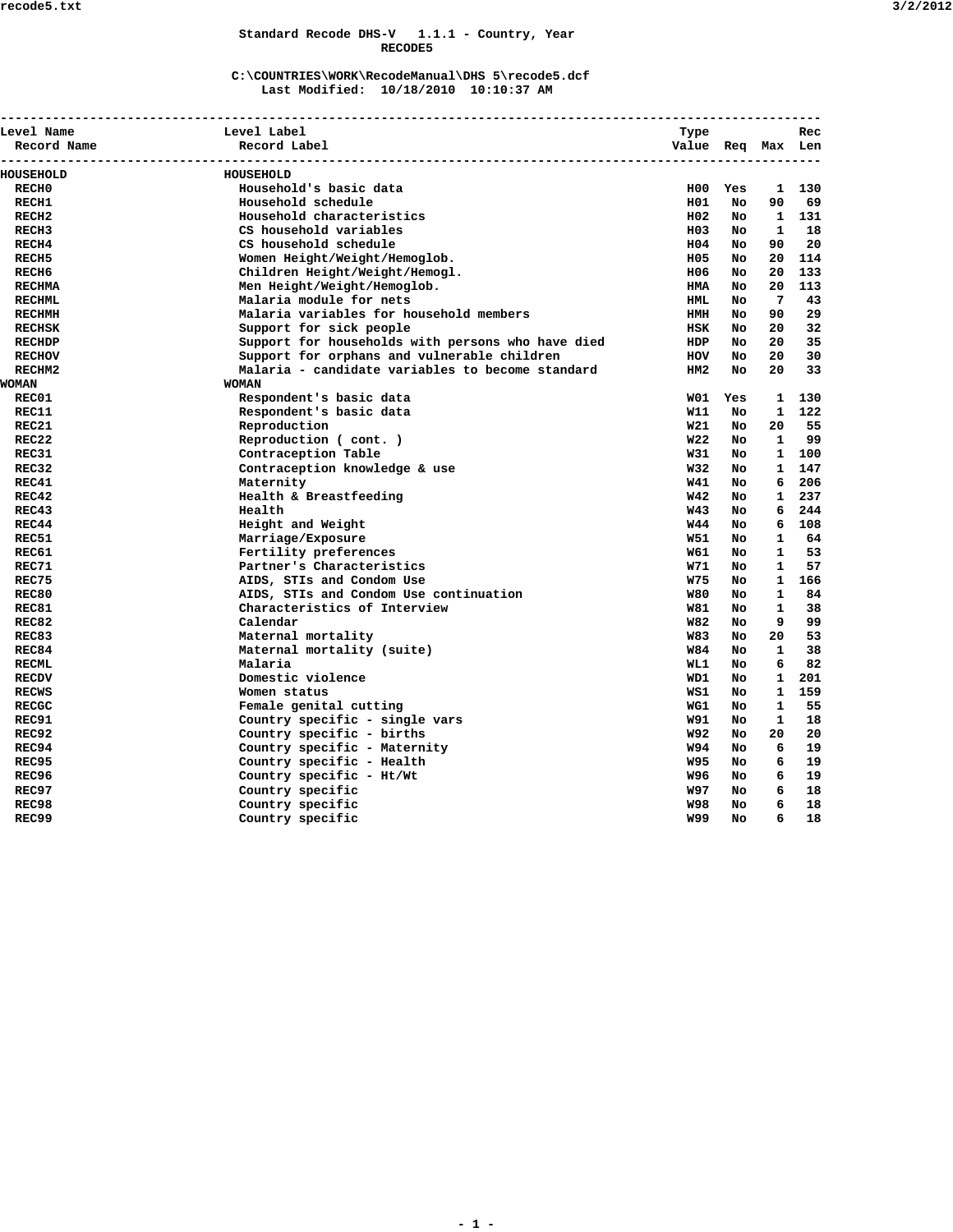### **Standard Recode DHS-V 1.1.1 - Country, Year RECODE5**

### **C:\COUNTRIES\WORK\RecodeManual\DHS 5\recode5.dcf Last Modified: 10/18/2010 10:10:37 AM**

| Level Name        | Level Label                                       | Type                           |           |              | Rec |
|-------------------|---------------------------------------------------|--------------------------------|-----------|--------------|-----|
| Record Name       | Record Label<br>-----------------------------     | Value Req Max Len<br>--------- |           |              |     |
| HOUSEHOLD         | HOUSEHOLD                                         |                                |           |              |     |
| RECH <sub>0</sub> | Household's basic data                            |                                | H00 Yes   | 1            | 130 |
| RECH1             | Household schedule                                | H01                            | No.       | 90           | 69  |
| RECH <sub>2</sub> | Household characteristics                         | H02                            | No.       | 1            | 131 |
| RECH <sub>3</sub> | CS household variables                            | H03                            | No.       | $\mathbf{1}$ | 18  |
| RECH4             | CS household schedule                             | H04                            | No.       | 90           | 20  |
| RECH <sub>5</sub> | Women Height/Weight/Hemoglob.                     | H05                            | No.       | 20           | 114 |
| RECH <sub>6</sub> | Children Height/Weight/Hemogl.                    | H06                            | No.       | 20           | 133 |
| <b>RECHMA</b>     | Men Height/Weight/Hemoglob.                       | <b>HMA</b>                     | No.       | 20           | 113 |
| <b>RECHML</b>     | Malaria module for nets                           | HML.                           | No.       | 7            | 43  |
| <b>RECHMH</b>     | Malaria variables for household members           | HMH                            | No        | 90           | 29  |
| <b>RECHSK</b>     | Support for sick people                           | HSK                            | No.       | 20           | 32  |
| <b>RECHDP</b>     | Support for households with persons who have died | HDP                            | No        | 20           | 35  |
| <b>RECHOV</b>     | Support for orphans and vulnerable children       | HOV                            | No        | 20           | 30  |
| RECHM2            | Malaria - candidate variables to become standard  | HM <sub>2</sub>                | No        | 20           | 33  |
| WOMAN             | <b>WOMAN</b>                                      |                                |           |              |     |
| REC01             | Respondent's basic data                           | W01                            | Yes       | 1            | 130 |
| REC11             | Respondent's basic data                           | W11                            | No        | 1            | 122 |
| REC21             | Reproduction                                      | <b>W21</b>                     | No.       | 20           | 55  |
| REC22             | Reproduction ( cont. )                            | <b>W22</b>                     | No        | 1            | 99  |
| REC31             | Contraception Table                               | W31                            | No.       | 1            | 100 |
| REC32             | Contraception knowledge & use                     | <b>W32</b>                     | No.       | $\mathbf{1}$ | 147 |
| REC41             | Maternity                                         | <b>W41</b>                     | No.       | 6            | 206 |
| REC42             | Health & Breastfeeding                            | <b>W42</b>                     | No.       | $\mathbf{1}$ | 237 |
| REC43             | Health                                            | <b>W43</b>                     | No.       | 6            | 244 |
| REC44             | Height and Weight                                 | <b>W44</b>                     | No        | 6            | 108 |
| REC51             | Marriage/Exposure                                 | W51                            | No.       | 1            | 64  |
| REC61             | Fertility preferences                             | W61                            | No        | $\mathbf{1}$ | 53  |
| REC71             | Partner's Characteristics                         | w71                            | <b>No</b> | 1            | 57  |
| REC75             | AIDS, STIs and Condom Use                         | W75                            | No.       | $\mathbf{1}$ | 166 |
| REC80             | AIDS, STIs and Condom Use continuation            | <b>W80</b>                     | No.       | $\mathbf{1}$ | 84  |
| REC81             | Characteristics of Interview                      | W81                            | No.       | 1            | 38  |
| REC82             | Calendar                                          | <b>W82</b>                     | No        | 9            | 99  |
| REC83             | Maternal mortality                                | W83                            | No.       | 20           | 53  |
| REC84             | Maternal mortality (suite)                        | <b>W84</b>                     | No.       | $\mathbf{1}$ | 38  |
| <b>RECML</b>      | Malaria                                           | WL 1                           | No.       | 6            | 82  |
| <b>RECDV</b>      | Domestic violence                                 | WD1                            | No.       | $\mathbf{1}$ | 201 |
| <b>RECWS</b>      | Women status                                      | WS1                            | No.       | $\mathbf{1}$ | 159 |
| <b>RECGC</b>      | Female genital cutting                            | WG1                            | No.       | 1            | 55  |
| REC91             | Country specific - single vars                    | W91                            | No        | 1            | 18  |
| REC92             | Country specific - births                         | W92                            | No.       | 20           | 20  |
| REC94             | Country specific - Maternity                      | W94                            | No        | 6            | 19  |
| REC95             | Country specific - Health                         | W95                            | No.       | 6            | 19  |
| <b>REC96</b>      | Country specific - Ht/Wt                          | W96                            | No        | 6            | 19  |
| REC97             | Country specific                                  | W97                            | No.       | 6            | 18  |
| REC98             | Country specific                                  | <b>W98</b>                     | No.       | 6            | 18  |
| REC99             | Country specific                                  | <b>W99</b>                     | <b>No</b> | 6            | 18  |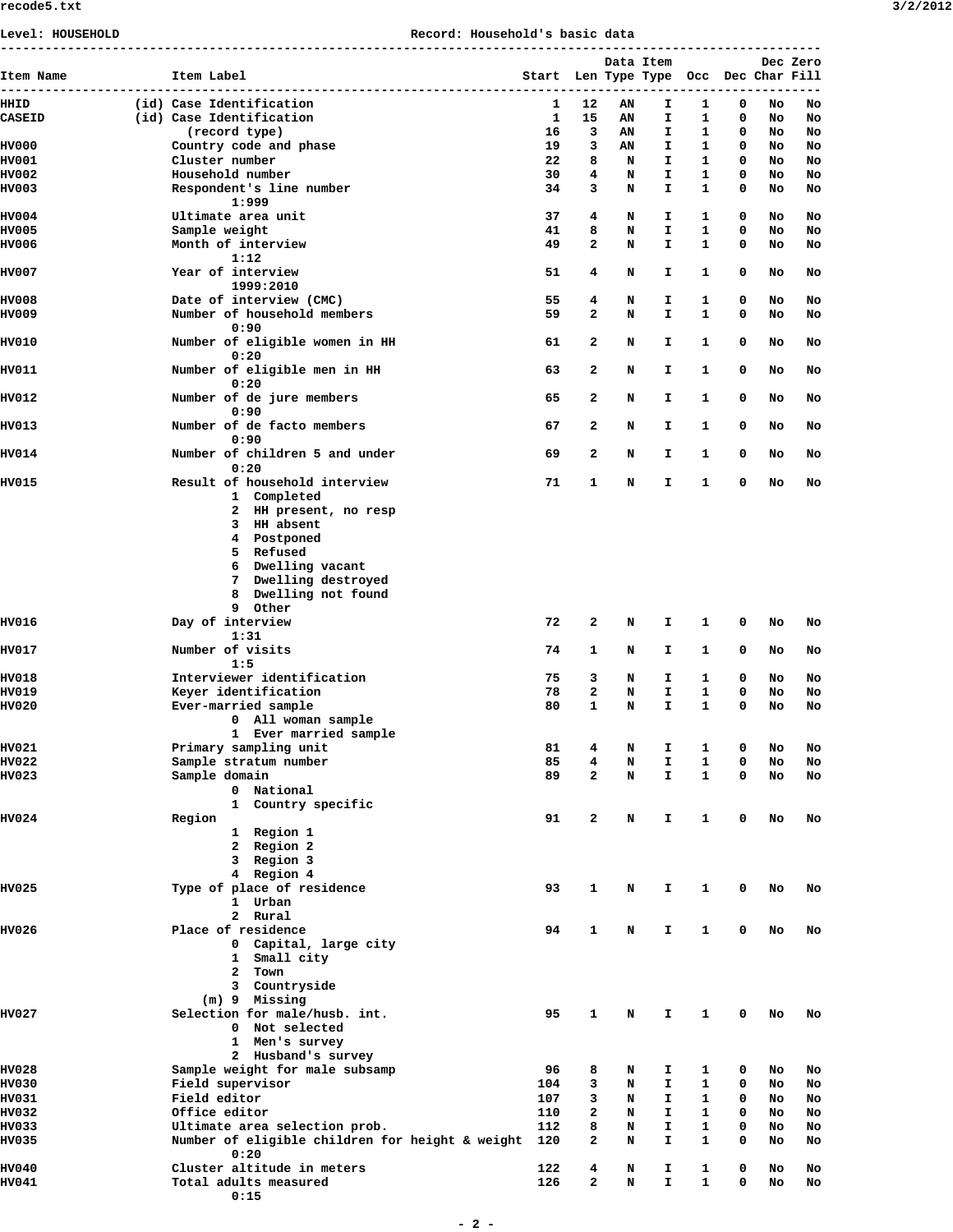| Level: HOUSEHOLD              |                                                                                                                                                                                       | Record: Household's basic data |                                       |        |        |            |              |            |          |          |
|-------------------------------|---------------------------------------------------------------------------------------------------------------------------------------------------------------------------------------|--------------------------------|---------------------------------------|--------|--------|------------|--------------|------------|----------|----------|
|                               |                                                                                                                                                                                       |                                |                                       |        |        | Data Item  |              |            |          | Dec Zero |
| Item Name                     | Item Label                                                                                                                                                                            |                                | Start Len Type Type Occ Dec Char Fill |        |        |            |              |            |          |          |
| ----<br>-------------<br>HHID | (id) Case Identification                                                                                                                                                              |                                | ---------<br>1                        | 12     | AN     | ----<br>I. | ----<br>1    | -----<br>0 | No       | No       |
| <b>CASEID</b>                 | (id) Case Identification                                                                                                                                                              |                                | 1                                     | 15     | AN     | I.         | 1            | 0          | No       | No       |
|                               | (record type)                                                                                                                                                                         |                                | 16                                    | 3      | AN     | Ι.         | 1            | 0          | No       | No       |
| HV000                         | Country code and phase                                                                                                                                                                |                                | 19                                    | 3      | AN     | I.         | 1            | 0          | No       | No       |
| <b>HV001</b><br><b>HV002</b>  | Cluster number<br>Household number                                                                                                                                                    |                                | 22<br>30                              | 8<br>4 | N<br>N | I.<br>I.   | 1<br>1       | 0<br>0     | No<br>No | No<br>No |
| <b>HV003</b>                  | Respondent's line number<br>1:999                                                                                                                                                     |                                | 34                                    | 3      | N      | I.         | 1            | 0          | No       | No       |
| <b>HV004</b>                  | Ultimate area unit                                                                                                                                                                    |                                | 37                                    | 4      | N      | Ι.         | 1            | 0          | No       | No       |
| HV005<br>HV006                | Sample weight<br>Month of interview                                                                                                                                                   |                                | 41<br>49                              | 8<br>2 | N<br>N | I.<br>I.   | 1<br>1       | 0<br>0     | No<br>No | No<br>No |
| <b>HV007</b>                  | 1:12<br>Year of interview<br>1999:2010                                                                                                                                                |                                | 51                                    | 4      | N      | Ι.         | 1            | 0          | No       | No       |
| <b>HV008</b>                  | Date of interview (CMC)                                                                                                                                                               |                                | 55                                    | 4      | N      | I.         | 1            | 0          | No       | No       |
| <b>HV009</b>                  | Number of household members<br>0:90                                                                                                                                                   |                                | 59                                    | 2      | N      | I.         | 1            | 0          | No       | No       |
| HV010                         | Number of eligible women in HH<br>0:20                                                                                                                                                |                                | 61                                    | 2      | N      | I.         | 1            | 0          | No       | No       |
| <b>HV011</b>                  | Number of eligible men in HH<br>0:20                                                                                                                                                  |                                | 63                                    | 2      | N      | I.         | 1            | 0          | No       | No       |
| HV012                         | Number of de jure members<br>0:90                                                                                                                                                     |                                | 65                                    | 2      | N      | I.         | 1            | 0          | No       | No       |
| HV013                         | Number of de facto members<br>0:90                                                                                                                                                    |                                | 67                                    | 2      | N      | I.         | 1            | 0          | No       | No       |
| <b>HV014</b>                  | Number of children 5 and under<br>0:20                                                                                                                                                |                                | 69                                    | 2      | N      | I          | 1            | 0          | No       | No       |
| <b>HV015</b>                  | Result of household interview<br>1 Completed<br>2 HH present, no resp<br>3 HH absent<br>4 Postponed<br>5 Refused<br>6 Dwelling vacant<br>7 Dwelling destroyed<br>8 Dwelling not found |                                | 71                                    | 1      | N      | I.         | 1            | 0          | No       | No       |
| <b>HV016</b>                  | 9 Other<br>Day of interview                                                                                                                                                           |                                | 72                                    | 2      | N      | Ι.         | 1            | 0          | No       | No       |
| <b>HV017</b>                  | 1:31<br>Number of visits<br>1:5                                                                                                                                                       |                                | 74                                    | 1      | N      | Ι.         | 1            | 0          | No       | No       |
| <b>HV018</b>                  | Interviewer identification                                                                                                                                                            |                                | 75                                    | 3      | N      | Ι.         | 1            | 0          | No       | No       |
| <b>HV019</b>                  | Keyer identification                                                                                                                                                                  |                                | 78                                    | 2      | N      | I.         | 1            | 0          | No       | No       |
| <b>HV020</b>                  | Ever-married sample<br>0 All woman sample<br>1 Ever married sample                                                                                                                    |                                | 80                                    | 1      | N      | I          | 1            | 0          | No       | No       |
| <b>HV021</b>                  | Primary sampling unit                                                                                                                                                                 |                                | 81                                    | 4      | N      | I          | 1            | 0          | No       | No       |
| <b>HV022</b>                  | Sample stratum number                                                                                                                                                                 |                                | 85                                    | 4      | N      | I.         | 1            | 0          | No       | No       |
| <b>HV023</b>                  | Sample domain<br>0 National<br>1 Country specific                                                                                                                                     |                                | 89                                    | 2      | N      | I.         | 1            | 0          | No       | No       |
| <b>HV024</b>                  | Region                                                                                                                                                                                |                                | 91                                    | 2      | N      | I.         | 1            | 0          | No       | No       |
|                               | 1 Region 1<br>2 Region 2<br>3 Region 3<br>4 Region 4                                                                                                                                  |                                |                                       |        |        |            |              |            |          |          |
| <b>HV025</b>                  | Type of place of residence<br>1 Urban<br>2 Rural                                                                                                                                      |                                | 93                                    | 1      | N      | I.         | 1            | 0          | No       | No       |
| HV026                         | Place of residence<br>0 Capital, large city<br>1 Small city<br>2 Town<br>3 Countryside<br>(m) 9 Missing                                                                               |                                | 94                                    | 1      | N      | I.         | $\mathbf{1}$ | 0          | No       | No       |
| <b>HV027</b>                  | Selection for male/husb. int.<br>0 Not selected<br>1 Men's survey<br>2 Husband's survey                                                                                               |                                | 95                                    | 1      | N      | I.         | 1            | 0          | No       | No       |
| <b>HV028</b>                  | Sample weight for male subsamp                                                                                                                                                        |                                | 96                                    | 8      | N      | I.         | 1            | 0          | No       | No       |
| <b>HV030</b>                  | Field supervisor                                                                                                                                                                      |                                | 104                                   | 3      | N      | I          | 1            | 0          | No       | No       |
| <b>HV031</b>                  | Field editor                                                                                                                                                                          |                                | 107                                   | 3      | N      | I.         | 1            | 0          | No       | No       |
| HV032                         | Office editor                                                                                                                                                                         |                                | 110                                   | 2      | N      | I          | 1            | 0          | No       | No       |
| HV033<br>HV035                | Ultimate area selection prob.<br>Number of eligible children for height & weight<br>0:20                                                                                              |                                | 112<br>120                            | 8<br>2 | N<br>N | I<br>I.    | 1<br>1       | 0<br>0     | No<br>No | No<br>No |
| <b>HV040</b>                  | Cluster altitude in meters                                                                                                                                                            |                                | 122                                   | 4      | N      | Ι.         | 1            | 0          | No       | No       |
| <b>HV041</b>                  | Total adults measured<br>0:15                                                                                                                                                         |                                | 126                                   | 2      | N      | I.         | 1            | 0          | No       | No       |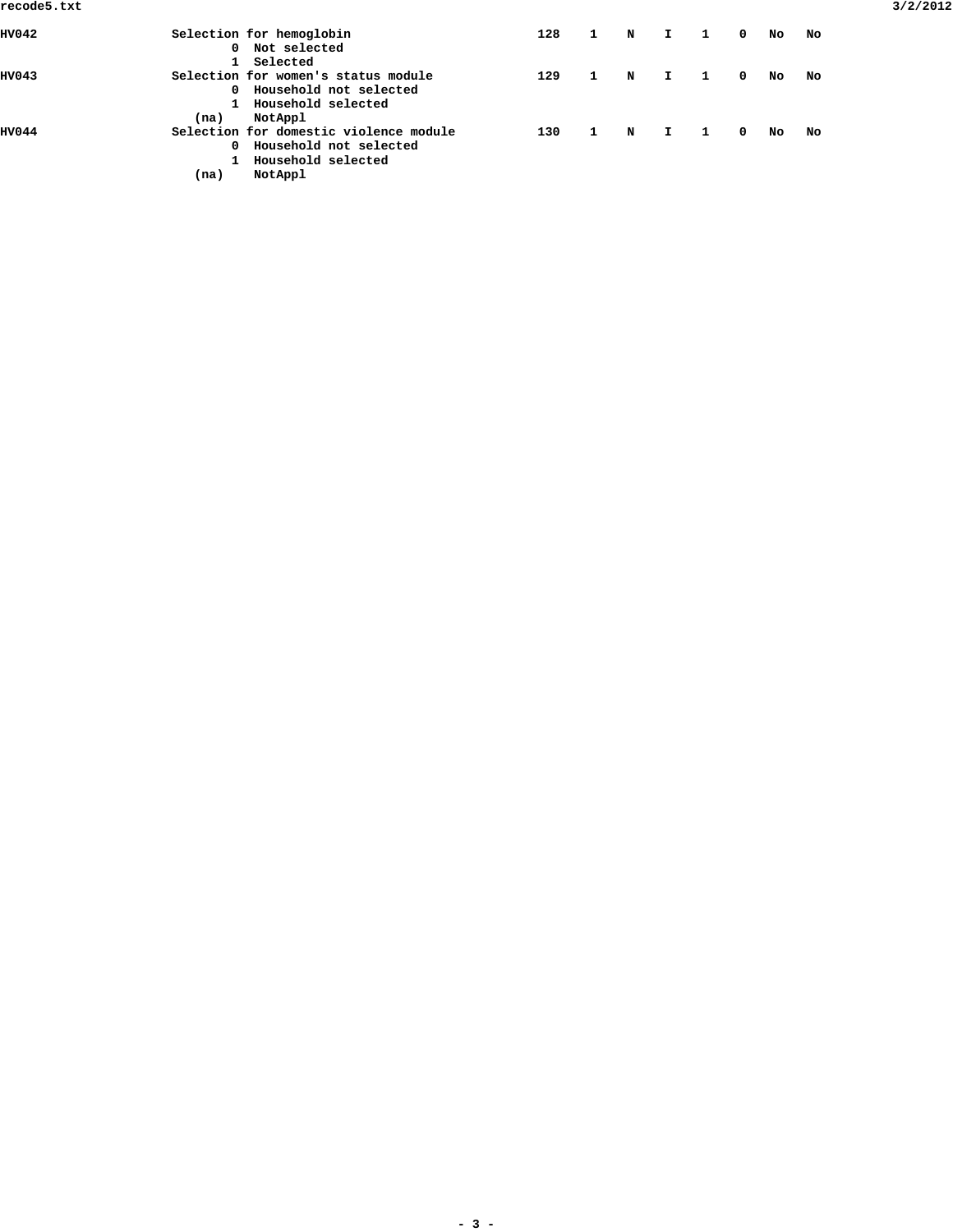| HV042 |      | Selection for hemoglobin               | 128 | $\mathbf{1}$ | N | I. | $\mathbf{1}$ | $\Omega$   | No  | No |
|-------|------|----------------------------------------|-----|--------------|---|----|--------------|------------|-----|----|
|       |      | 0 Not selected                         |     |              |   |    |              |            |     |    |
|       |      | 1 Selected                             |     |              |   |    |              |            |     |    |
| HV043 |      | Selection for women's status module    | 129 |              | N | I. | -1           | $^{\circ}$ | No  | No |
|       |      | 0 Household not selected               |     |              |   |    |              |            |     |    |
|       |      | 1 Household selected                   |     |              |   |    |              |            |     |    |
|       | (na) | NotAppl                                |     |              |   |    |              |            |     |    |
| HV044 |      | Selection for domestic violence module | 130 |              | N |    |              | 0          | No. | No |
|       | 0    | Household not selected                 |     |              |   |    |              |            |     |    |
|       |      | Household selected                     |     |              |   |    |              |            |     |    |
|       | (na) | NotAppl                                |     |              |   |    |              |            |     |    |
|       |      |                                        |     |              |   |    |              |            |     |    |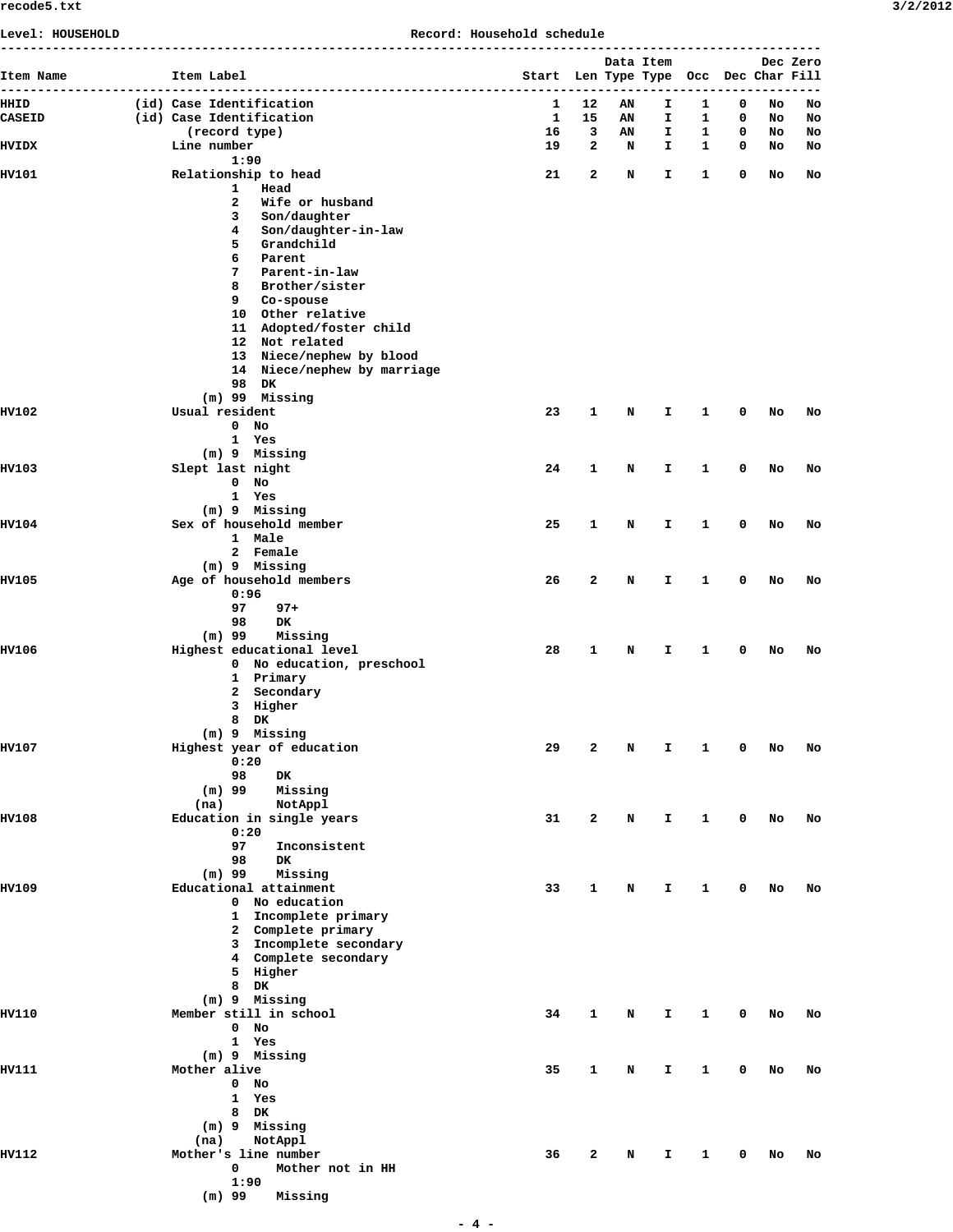|  | 3/2/201 |  |  |  |
|--|---------|--|--|--|
|--|---------|--|--|--|

| Level: HOUSEHOLD      | Record: Household schedule<br>----------------------- |                                                            |                                                                                                                                                                       |  |  |                   |                   |           |                                       |        |        |          |          |
|-----------------------|-------------------------------------------------------|------------------------------------------------------------|-----------------------------------------------------------------------------------------------------------------------------------------------------------------------|--|--|-------------------|-------------------|-----------|---------------------------------------|--------|--------|----------|----------|
| Item Name             |                                                       | Item Label                                                 | -------------------------------                                                                                                                                       |  |  |                   |                   | Data Item | Start Len Type Type Occ Dec Char Fill |        |        |          | Dec Zero |
| HHID<br><b>CASEID</b> |                                                       |                                                            | (id) Case Identification<br>(id) Case Identification                                                                                                                  |  |  | 1<br>$\mathbf{1}$ | 12<br>15          | AN<br>AN  | I.<br>I.                              | 1<br>1 | 0<br>0 | No<br>No | No<br>No |
| <b>HVIDX</b>          |                                                       | (record type)<br>Line number                               |                                                                                                                                                                       |  |  | 16<br>19          | 3<br>$\mathbf{z}$ | AN<br>N   | I<br>I.                               | 1<br>1 | 0<br>0 | No<br>No | No<br>No |
|                       |                                                       | 1:90                                                       |                                                                                                                                                                       |  |  |                   |                   |           |                                       |        |        |          |          |
| HV101                 |                                                       | 1<br>2<br>3<br>4<br>5<br>6                                 | Relationship to head<br>Head<br>Wife or husband<br>Son/daughter<br>Son/daughter-in-law<br>Grandchild<br>Parent                                                        |  |  | 21                | 2                 | N         | I.                                    | 1      | 0      | No       | No       |
|                       |                                                       | 7<br>8<br>9                                                | Parent-in-law<br>Brother/sister<br>Co-spouse<br>10 Other relative<br>11 Adopted/foster child<br>12 Not related<br>13 Niece/nephew by blood                            |  |  |                   |                   |           |                                       |        |        |          |          |
|                       |                                                       | 98 DK                                                      | 14 Niece/nephew by marriage                                                                                                                                           |  |  |                   |                   |           |                                       |        |        |          |          |
| <b>HV102</b>          |                                                       | $(m)$ 99 Missing<br>Usual resident<br>$\mathbf 0$<br>1 Yes | No                                                                                                                                                                    |  |  | 23                | 1                 | N         | I.                                    | 1      | 0      | No       | No       |
| <b>HV103</b>          |                                                       | (m) 9 Missing<br>Slept last night<br>$0$ No<br>1 Yes       |                                                                                                                                                                       |  |  | 24                | 1                 | N         | I.                                    | 1      | 0      | No       | No       |
| <b>HV104</b>          |                                                       | (m) 9 Missing                                              | Sex of household member                                                                                                                                               |  |  | 25                | 1                 | N         | I                                     | 1      | 0      | No       | No       |
|                       |                                                       | 1 Male                                                     | 2 Female                                                                                                                                                              |  |  |                   |                   |           |                                       |        |        |          |          |
| <b>HV105</b>          |                                                       | (m) 9 Missing<br>0:96<br>97<br>98                          | Age of household members<br>$97 +$<br>DK                                                                                                                              |  |  | 26                | 2                 | N         | I                                     | 1      | 0      | No       | No       |
| <b>HV106</b>          |                                                       | $(m)$ 99                                                   | Missing<br>Highest educational level<br>0 No education, preschool<br>1 Primary<br>2 Secondary<br>3 Higher                                                             |  |  | 28                | 1                 | N         | I                                     | 1      | 0      | No       | No       |
| <b>HV107</b>          |                                                       | 8 DK<br>(m) 9 Missing                                      | Highest year of education                                                                                                                                             |  |  | 29                | 2                 | N         | I                                     | 1      | 0      | No       | No       |
|                       |                                                       | 0:20<br>98<br>$(m)$ 99<br>(na)                             | DK<br>Missing                                                                                                                                                         |  |  |                   |                   |           |                                       |        |        |          |          |
| HV108                 |                                                       | 0:20<br>97<br>98                                           | NotAppl<br>Education in single years<br>Inconsistent<br>DK.                                                                                                           |  |  | 31                | $\mathbf{z}$      | N         | I.                                    | 1      | 0      | No       | No       |
| HV109                 |                                                       | $(m)$ 99<br>8                                              | Missing<br>Educational attainment<br>0 No education<br>1 Incomplete primary<br>2 Complete primary<br>3 Incomplete secondary<br>4 Complete secondary<br>5 Higher<br>DK |  |  | 33                | 1                 | N         | I                                     | 1      | 0      | No       | No       |
| <b>HV110</b>          |                                                       | (m) 9 Missing<br>$0$ No<br>1 Yes                           | Member still in school                                                                                                                                                |  |  | 34                | 1                 | N         | I.                                    | 1      | 0      | No       | No       |
| HV111                 |                                                       | (m) 9 Missing<br>Mother alive<br>$0$ No<br>1 Yes<br>8 DK   |                                                                                                                                                                       |  |  | 35                | 1                 | N         | I                                     | 1      | 0      | No       | No       |
| HV112                 |                                                       | (m) 9 Missing<br>(na)<br>0<br>1:90<br>$(m)$ 99             | NotAppl<br>Mother's line number<br>Mother not in HH<br>Missing                                                                                                        |  |  | 36                | 2                 | N         | I                                     | 1      | 0      | No       | No       |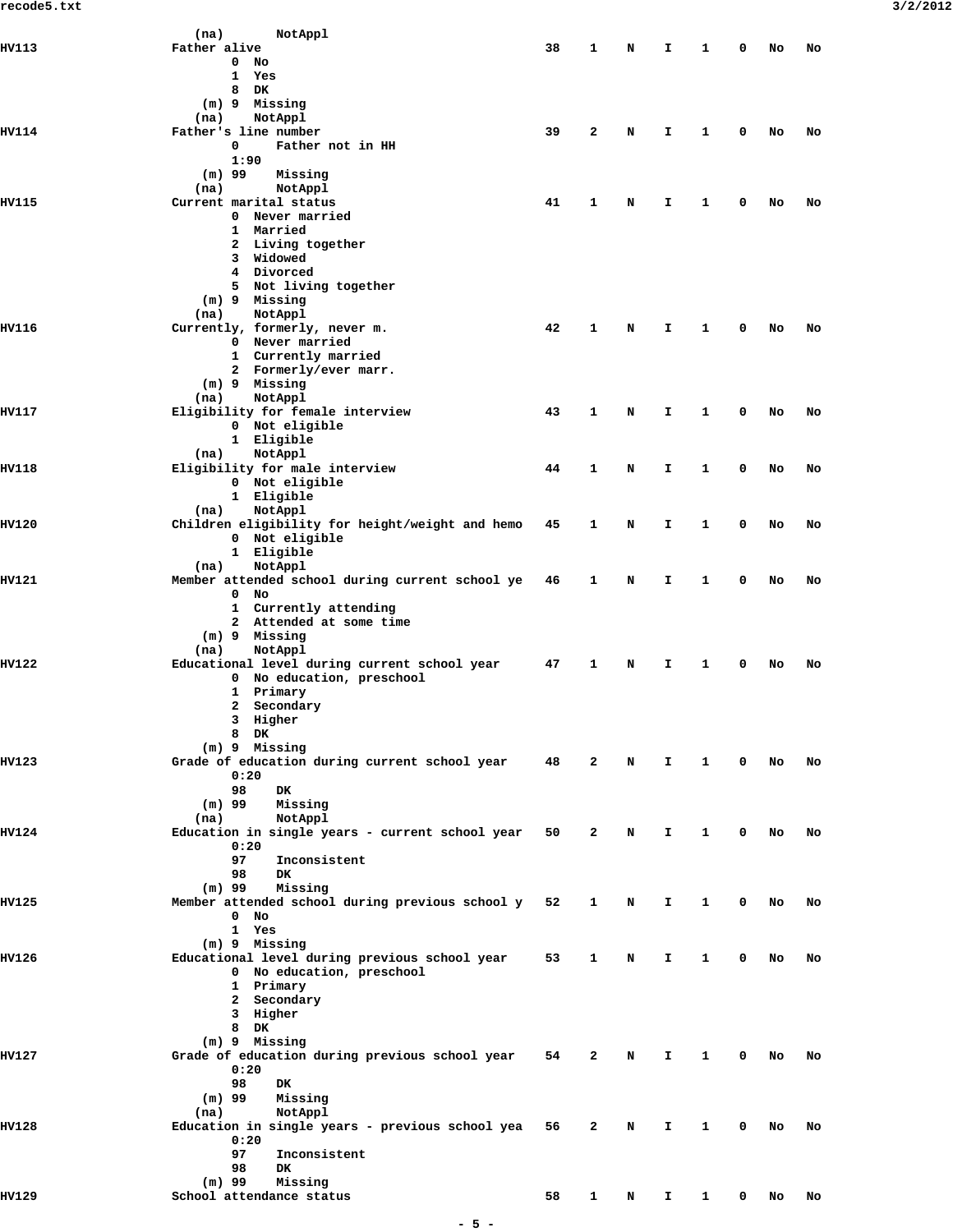|              | NotAppl<br>(na)                                 |    |              |   |    |   |   |    |    |
|--------------|-------------------------------------------------|----|--------------|---|----|---|---|----|----|
|              |                                                 |    |              |   |    |   |   |    |    |
| HV113        | Father alive                                    | 38 | 1            | N | I. | 1 | 0 | No | No |
|              | 0<br>No                                         |    |              |   |    |   |   |    |    |
|              | 1<br>Yes                                        |    |              |   |    |   |   |    |    |
|              | 8<br>DK                                         |    |              |   |    |   |   |    |    |
|              | (m) 9 Missing                                   |    |              |   |    |   |   |    |    |
|              | NotAppl<br>(na)                                 |    |              |   |    |   |   |    |    |
| HV114        | Father's line number                            | 39 | $\mathbf{2}$ | N | I. | 1 | 0 | No | No |
|              |                                                 |    |              |   |    |   |   |    |    |
|              | 0<br>Father not in HH                           |    |              |   |    |   |   |    |    |
|              | 1:90                                            |    |              |   |    |   |   |    |    |
|              | $(m)$ 99<br>Missing                             |    |              |   |    |   |   |    |    |
|              | (na)<br>NotAppl                                 |    |              |   |    |   |   |    |    |
| <b>HV115</b> | Current marital status                          | 41 | 1            | N | I  | 1 | 0 | No | No |
|              |                                                 |    |              |   |    |   |   |    |    |
|              | 0 Never married                                 |    |              |   |    |   |   |    |    |
|              | 1 Married                                       |    |              |   |    |   |   |    |    |
|              | 2 Living together                               |    |              |   |    |   |   |    |    |
|              | 3 Widowed                                       |    |              |   |    |   |   |    |    |
|              | 4 Divorced                                      |    |              |   |    |   |   |    |    |
|              | 5 Not living together                           |    |              |   |    |   |   |    |    |
|              | (m) 9 Missing                                   |    |              |   |    |   |   |    |    |
|              |                                                 |    |              |   |    |   |   |    |    |
|              | NotAppl<br>(na)                                 |    |              |   |    |   |   |    |    |
| HV116        | Currently, formerly, never m.                   | 42 | 1            | N | I. | 1 | 0 | No | No |
|              | 0 Never married                                 |    |              |   |    |   |   |    |    |
|              | 1 Currently married                             |    |              |   |    |   |   |    |    |
|              | 2 Formerly/ever marr.                           |    |              |   |    |   |   |    |    |
|              | (m) 9 Missing                                   |    |              |   |    |   |   |    |    |
|              |                                                 |    |              |   |    |   |   |    |    |
|              | NotAppl<br>(na)                                 |    |              |   |    |   |   |    |    |
| HV117        | Eligibility for female interview                | 43 | 1            | N | Ι. | 1 | 0 | No | No |
|              | 0 Not eligible                                  |    |              |   |    |   |   |    |    |
|              | 1 Eligible                                      |    |              |   |    |   |   |    |    |
|              | NotAppl<br>(na)                                 |    |              |   |    |   |   |    |    |
| HV118        | Eligibility for male interview                  | 44 | 1            | N | I. | 1 | 0 | No | No |
|              | 0 Not eligible                                  |    |              |   |    |   |   |    |    |
|              |                                                 |    |              |   |    |   |   |    |    |
|              | 1 Eligible                                      |    |              |   |    |   |   |    |    |
|              | NotAppl<br>(na)                                 |    |              |   |    |   |   |    |    |
| <b>HV120</b> | Children eligibility for height/weight and hemo | 45 | 1            | N | I. | 1 | 0 | No | No |
|              | 0 Not eligible                                  |    |              |   |    |   |   |    |    |
|              | 1 Eligible                                      |    |              |   |    |   |   |    |    |
|              | NotAppl<br>(na)                                 |    |              |   |    |   |   |    |    |
| HV121        | Member attended school during current school ye | 46 | 1            | N | Ι. | 1 | 0 | No | No |
|              |                                                 |    |              |   |    |   |   |    |    |
|              | $\mathbf 0$<br>No                               |    |              |   |    |   |   |    |    |
|              | 1 Currently attending                           |    |              |   |    |   |   |    |    |
|              | 2 Attended at some time                         |    |              |   |    |   |   |    |    |
|              | (m) 9 Missing                                   |    |              |   |    |   |   |    |    |
|              | NotAppl<br>(na)                                 |    |              |   |    |   |   |    |    |
| <b>HV122</b> | Educational level during current school year    | 47 | 1            | N | Ι. | 1 | 0 | No | No |
|              |                                                 |    |              |   |    |   |   |    |    |
|              | 0 No education, preschool                       |    |              |   |    |   |   |    |    |
|              | 1 Primary                                       |    |              |   |    |   |   |    |    |
|              | Secondary<br>2                                  |    |              |   |    |   |   |    |    |
|              | Higher<br>3                                     |    |              |   |    |   |   |    |    |
|              | 8 DK                                            |    |              |   |    |   |   |    |    |
|              | (m) 9 Missing                                   |    |              |   |    |   |   |    |    |
| HV123        | Grade of education during current school year   | 48 | 2            | N | I. | 1 | 0 | No | No |
|              |                                                 |    |              |   |    |   |   |    |    |
|              | 0:20                                            |    |              |   |    |   |   |    |    |
|              | 98<br>DK.                                       |    |              |   |    |   |   |    |    |
|              | $(m)$ 99<br>Missing                             |    |              |   |    |   |   |    |    |
|              | NotAppl<br>(na)                                 |    |              |   |    |   |   |    |    |
| <b>HV124</b> | Education in single years - current school year | 50 | 2            | N | I. | 1 | 0 | No | No |
|              | 0:20                                            |    |              |   |    |   |   |    |    |
|              | 97<br>Inconsistent                              |    |              |   |    |   |   |    |    |
|              |                                                 |    |              |   |    |   |   |    |    |
|              | 98<br><b>DK</b>                                 |    |              |   |    |   |   |    |    |
|              | $(m)$ 99<br>Missing                             |    |              |   |    |   |   |    |    |
| HV125        | Member attended school during previous school y | 52 | 1            | N | Ι. | 1 | 0 | No | No |
|              | $0$ No                                          |    |              |   |    |   |   |    |    |
|              | 1 Yes                                           |    |              |   |    |   |   |    |    |
|              | (m) 9 Missing                                   |    |              |   |    |   |   |    |    |
| HV126        |                                                 | 53 | 1            |   |    | 1 | 0 |    |    |
|              | Educational level during previous school year   |    |              | N | Ι. |   |   | No | No |
|              | 0 No education, preschool                       |    |              |   |    |   |   |    |    |
|              | 1 Primary                                       |    |              |   |    |   |   |    |    |
|              | 2 Secondary                                     |    |              |   |    |   |   |    |    |
|              | 3 Higher                                        |    |              |   |    |   |   |    |    |
|              | 8 DK                                            |    |              |   |    |   |   |    |    |
|              | (m) 9 Missing                                   |    |              |   |    |   |   |    |    |
| HV127        | Grade of education during previous school year  | 54 | 2            | N | I. | 1 | 0 | No | No |
|              |                                                 |    |              |   |    |   |   |    |    |
|              | 0:20                                            |    |              |   |    |   |   |    |    |
|              | 98<br>DK.                                       |    |              |   |    |   |   |    |    |
|              | $(m)$ 99<br>Missing                             |    |              |   |    |   |   |    |    |
|              | NotAppl<br>(na)                                 |    |              |   |    |   |   |    |    |
| HV128        | Education in single years - previous school yea | 56 | 2            | N | Ι. | 1 | 0 | No | No |
|              | 0:20                                            |    |              |   |    |   |   |    |    |
|              | 97<br>Inconsistent                              |    |              |   |    |   |   |    |    |
|              |                                                 |    |              |   |    |   |   |    |    |
|              | 98<br>DK.                                       |    |              |   |    |   |   |    |    |
|              | $(m)$ 99<br>Missing                             |    |              |   |    |   |   |    |    |
| IIV129       | School attendance status                        | 58 | 1            | N | Ι. | 1 | 0 | No | No |
|              |                                                 |    |              |   |    |   |   |    |    |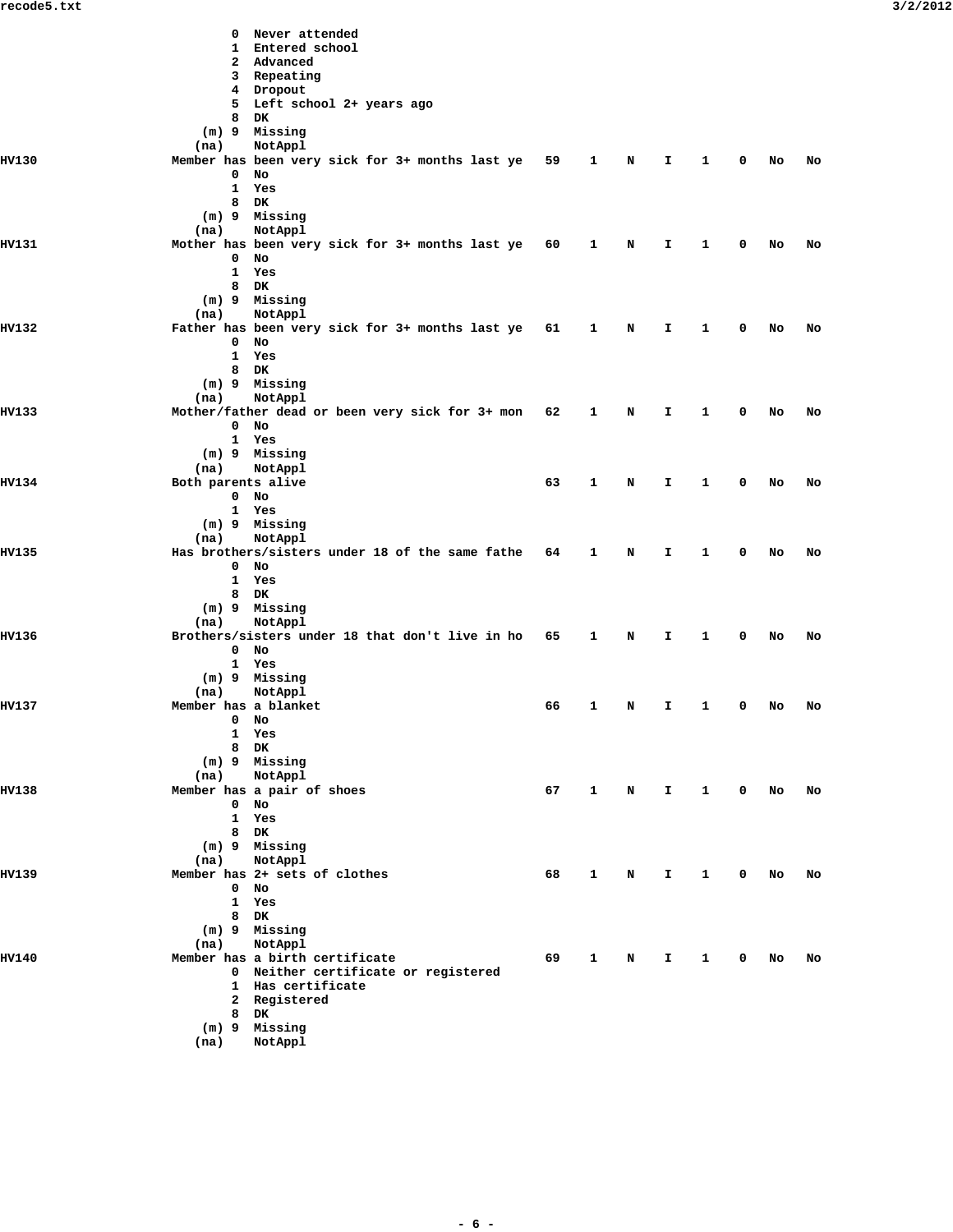|              | Never attended<br>0<br>1 Entered school                            |    |              |             |              |                 |             |        |    |
|--------------|--------------------------------------------------------------------|----|--------------|-------------|--------------|-----------------|-------------|--------|----|
|              | 2 Advanced                                                         |    |              |             |              |                 |             |        |    |
|              | 3 Repeating                                                        |    |              |             |              |                 |             |        |    |
|              | 4 Dropout                                                          |    |              |             |              |                 |             |        |    |
|              | 5 Left school 2+ years ago<br>8 DK                                 |    |              |             |              |                 |             |        |    |
|              | (m) 9 Missing                                                      |    |              |             |              |                 |             |        |    |
|              | (na)<br>NotAppl                                                    |    |              |             |              |                 |             |        |    |
| <b>HV130</b> | Member has been very sick for 3+ months last ye 59<br>0<br>No      |    | $\mathbf{1}$ | N           | I.           | 1               | 0           | No     | No |
|              | 1<br>Yes                                                           |    |              |             |              |                 |             |        |    |
|              | 8<br>DK                                                            |    |              |             |              |                 |             |        |    |
|              | (m) 9 Missing                                                      |    |              |             |              |                 |             |        |    |
| HV131        | (na)<br>NotAppl<br>Mother has been very sick for 3+ months last ye | 60 | $\mathbf{1}$ | N           | I            | 1               | 0           | No     | No |
|              | 0<br>No                                                            |    |              |             |              |                 |             |        |    |
|              | Yes<br>$\mathbf{1}$                                                |    |              |             |              |                 |             |        |    |
|              | 8 DK<br>(m) 9 Missing                                              |    |              |             |              |                 |             |        |    |
|              | (na)<br>NotAppl                                                    |    |              |             |              |                 |             |        |    |
| HV132        | Father has been very sick for 3+ months last ye 61                 |    | $\mathbf{1}$ | N           | I.           | 1               | 0           | No     | No |
|              | $0$ No                                                             |    |              |             |              |                 |             |        |    |
|              | $\mathbf{1}$<br>Yes<br>8 DK                                        |    |              |             |              |                 |             |        |    |
|              | (m) 9 Missing                                                      |    |              |             |              |                 |             |        |    |
|              | NotAppl<br>(na)                                                    |    |              |             |              |                 |             |        |    |
| HV133        | Mother/father dead or been very sick for 3+ mon<br>$0$ No          | 62 | 1            | N           | I            | 1               | 0           | No     | No |
|              | 1 Yes                                                              |    |              |             |              |                 |             |        |    |
|              | (m) 9 Missing                                                      |    |              |             |              |                 |             |        |    |
|              | NotAppl<br>(na)                                                    |    |              |             |              |                 |             |        |    |
| HV134        | Both parents alive<br>$0$ No                                       | 63 | $\mathbf{1}$ | N           | I.           | 1               | 0           | No     | No |
|              | 1 Yes                                                              |    |              |             |              |                 |             |        |    |
|              | (m) 9 Missing                                                      |    |              |             |              |                 |             |        |    |
|              | (na)<br>NotAppl                                                    |    |              |             |              |                 |             |        |    |
| HV135        | Has brothers/sisters under 18 of the same fathe<br>$0$ No          | 64 | $\mathbf{1}$ | N           | I.           | 1               | 0           | No     | No |
|              | $\mathbf{1}$<br>Yes                                                |    |              |             |              |                 |             |        |    |
|              | 8 DK                                                               |    |              |             |              |                 |             |        |    |
|              | (m) 9 Missing                                                      |    |              |             |              |                 |             |        |    |
| HV136        | NotAppl<br>(na)<br>Brothers/sisters under 18 that don't live in ho | 65 | $\mathbf{1}$ | N           | I.           | 1               | 0           | No     | No |
|              | $0$ No                                                             |    |              |             |              |                 |             |        |    |
|              | 1 Yes                                                              |    |              |             |              |                 |             |        |    |
|              | (m) 9 Missing                                                      |    |              |             |              |                 |             |        |    |
| <b>HV137</b> | NotAppl<br>(na)<br>Member has a blanket                            | 66 | 1            | N           | I.           | 1               | 0           | No     | No |
|              | $0$ No                                                             |    |              |             |              |                 |             |        |    |
|              | 1 Yes                                                              |    |              |             |              |                 |             |        |    |
|              | 8 DK                                                               |    |              |             |              |                 |             |        |    |
|              | $(m)$ 9 Missing<br>NotAppl<br>(na)                                 |    |              |             |              |                 |             |        |    |
| HV138        | Member has a pair of shoes                                         |    |              |             |              | 67 1 N I 1 0 No |             |        | No |
|              | $0$ No                                                             |    |              |             |              |                 |             |        |    |
|              | 1 Yes                                                              |    |              |             |              |                 |             |        |    |
|              | 8 DK<br>$(m)$ 9 Missing                                            |    |              |             |              |                 |             |        |    |
|              | NotAppl<br>(na)                                                    |    |              |             |              |                 |             |        |    |
| HV139        | Member has 2+ sets of clothes                                      | 68 | $\mathbf{1}$ | N           | $\mathbf{T}$ | $\mathbf{1}$    | $\mathbf 0$ | No     | No |
|              | $0$ No                                                             |    |              |             |              |                 |             |        |    |
|              | 1 Yes<br>8 DK                                                      |    |              |             |              |                 |             |        |    |
|              | (m) 9 Missing                                                      |    |              |             |              |                 |             |        |    |
|              | NotAppl<br>(na)                                                    |    |              |             |              |                 |             |        |    |
| <b>HV140</b> | Member has a birth certificate                                     | 69 | $\mathbf{1}$ | $\mathbf N$ | $\mathbf{T}$ | $\overline{1}$  |             | $0$ No | No |
|              | 0 Neither certificate or registered<br>1 Has certificate           |    |              |             |              |                 |             |        |    |
|              | 2 Registered                                                       |    |              |             |              |                 |             |        |    |
|              | 8 DK                                                               |    |              |             |              |                 |             |        |    |
|              | $(m)$ 9 Missing                                                    |    |              |             |              |                 |             |        |    |
|              | (na)<br>NotAppl                                                    |    |              |             |              |                 |             |        |    |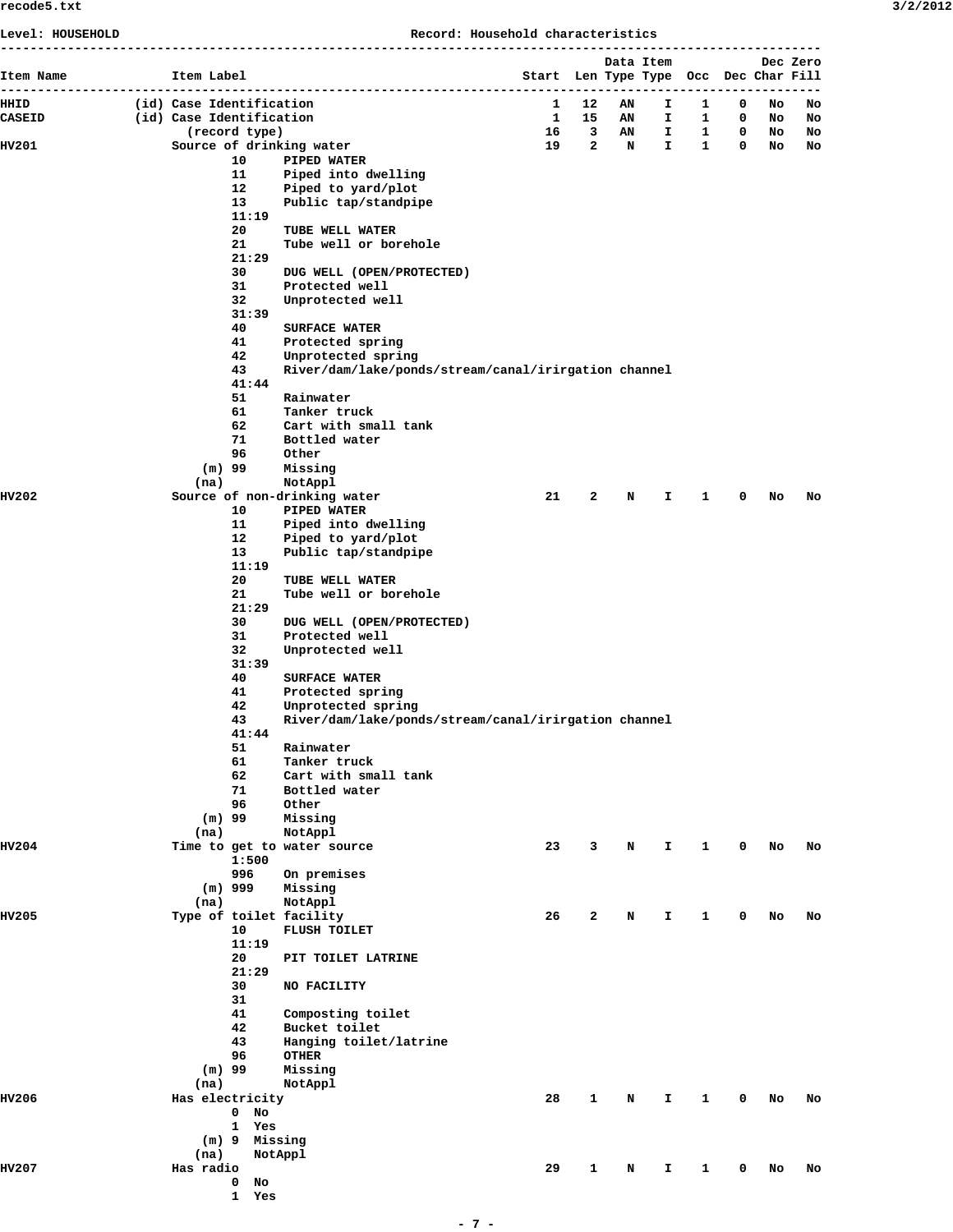| 3/2/201 |  |  |  |  |
|---------|--|--|--|--|
|---------|--|--|--|--|

| Level: HOUSEHOLD |                          |                     | Record: Household characteristics                    |                                       |   |             |                       |                   |              |    |          |
|------------------|--------------------------|---------------------|------------------------------------------------------|---------------------------------------|---|-------------|-----------------------|-------------------|--------------|----|----------|
| Item Name        | Item Label               |                     |                                                      | Start Len Type Type Occ Dec Char Fill |   |             | Data Item             |                   |              |    | Dec Zero |
| HHID             | (id) Case Identification |                     |                                                      | $\mathbf{1}$                          |   | 12 AN       |                       | $1 \quad 1 \quad$ | $\mathbf{0}$ | No |          |
| <b>CASEID</b>    | (id) Case Identification |                     |                                                      |                                       |   |             | 1 15 AN I 1 0 No      |                   |              |    | No<br>No |
|                  |                          | (record type)       |                                                      |                                       |   |             | 16 3 AN I 1 0 No      |                   |              |    | No       |
| HV201            |                          |                     | Source of drinking water                             |                                       |   |             | 19  2  N  I  1  0  No |                   |              |    | No       |
|                  |                          | 10                  | PIPED WATER                                          |                                       |   |             |                       |                   |              |    |          |
|                  |                          | 11                  | Piped into dwelling                                  |                                       |   |             |                       |                   |              |    |          |
|                  |                          | 12<br>13            | Piped to yard/plot<br>Public tap/standpipe           |                                       |   |             |                       |                   |              |    |          |
|                  |                          | 11:19               |                                                      |                                       |   |             |                       |                   |              |    |          |
|                  |                          | 20                  | TUBE WELL WATER                                      |                                       |   |             |                       |                   |              |    |          |
|                  |                          | 21                  | Tube well or borehole                                |                                       |   |             |                       |                   |              |    |          |
|                  |                          | 21:29               |                                                      |                                       |   |             |                       |                   |              |    |          |
|                  |                          | 30                  | DUG WELL (OPEN/PROTECTED)                            |                                       |   |             |                       |                   |              |    |          |
|                  |                          | 31<br>32            | Protected well<br>Unprotected well                   |                                       |   |             |                       |                   |              |    |          |
|                  |                          | 31:39               |                                                      |                                       |   |             |                       |                   |              |    |          |
|                  |                          | 40                  | <b>SURFACE WATER</b>                                 |                                       |   |             |                       |                   |              |    |          |
|                  |                          | 41                  | Protected spring                                     |                                       |   |             |                       |                   |              |    |          |
|                  |                          | 42                  | Unprotected spring                                   |                                       |   |             |                       |                   |              |    |          |
|                  |                          | 43                  | River/dam/lake/ponds/stream/canal/irirgation channel |                                       |   |             |                       |                   |              |    |          |
|                  |                          | 41:44<br>51         | Rainwater                                            |                                       |   |             |                       |                   |              |    |          |
|                  |                          | 61                  | Tanker truck                                         |                                       |   |             |                       |                   |              |    |          |
|                  |                          | 62                  | Cart with small tank                                 |                                       |   |             |                       |                   |              |    |          |
|                  |                          | 71                  | Bottled water                                        |                                       |   |             |                       |                   |              |    |          |
|                  |                          | 96                  | Other                                                |                                       |   |             |                       |                   |              |    |          |
|                  | $(m)$ 99                 |                     | Missing                                              |                                       |   |             |                       |                   |              |    |          |
|                  | (na)                     |                     | NotAppl                                              |                                       |   |             |                       |                   |              |    |          |
| HV202            |                          | 10                  | Source of non-drinking water<br>PIPED WATER          | 21                                    | 2 | $\mathbf N$ | I.                    | 1                 | 0            | No | No       |
|                  |                          | 11                  | Piped into dwelling                                  |                                       |   |             |                       |                   |              |    |          |
|                  |                          | 12                  | Piped to yard/plot                                   |                                       |   |             |                       |                   |              |    |          |
|                  |                          | 13                  | Public tap/standpipe                                 |                                       |   |             |                       |                   |              |    |          |
|                  |                          | 11:19               |                                                      |                                       |   |             |                       |                   |              |    |          |
|                  |                          | 20                  | TUBE WELL WATER                                      |                                       |   |             |                       |                   |              |    |          |
|                  |                          | 21<br>21:29         | Tube well or borehole                                |                                       |   |             |                       |                   |              |    |          |
|                  |                          | 30                  | DUG WELL (OPEN/PROTECTED)                            |                                       |   |             |                       |                   |              |    |          |
|                  |                          | 31                  | Protected well                                       |                                       |   |             |                       |                   |              |    |          |
|                  |                          | 32                  | Unprotected well                                     |                                       |   |             |                       |                   |              |    |          |
|                  |                          | 31:39               |                                                      |                                       |   |             |                       |                   |              |    |          |
|                  |                          | 40                  | <b>SURFACE WATER</b>                                 |                                       |   |             |                       |                   |              |    |          |
|                  |                          | 41<br>42            | Protected spring<br>Unprotected spring               |                                       |   |             |                       |                   |              |    |          |
|                  |                          | 43                  | River/dam/lake/ponds/stream/canal/irirgation channel |                                       |   |             |                       |                   |              |    |          |
|                  |                          | 41:44               |                                                      |                                       |   |             |                       |                   |              |    |          |
|                  |                          | 51                  | Rainwater                                            |                                       |   |             |                       |                   |              |    |          |
|                  |                          | 61                  | Tanker truck                                         |                                       |   |             |                       |                   |              |    |          |
|                  |                          | 62                  | Cart with small tank                                 |                                       |   |             |                       |                   |              |    |          |
|                  |                          | 71<br>96            | Bottled water<br>Other                               |                                       |   |             |                       |                   |              |    |          |
|                  | $(m)$ 99                 |                     | Missing                                              |                                       |   |             |                       |                   |              |    |          |
|                  | (na)                     |                     | NotAppl                                              |                                       |   |             |                       |                   |              |    |          |
| <b>HV204</b>     |                          |                     | Time to get to water source                          | 23                                    | 3 | N           | I.                    | 1                 | 0            | No | No       |
|                  |                          | 1:500               |                                                      |                                       |   |             |                       |                   |              |    |          |
|                  |                          | 996                 | On premises                                          |                                       |   |             |                       |                   |              |    |          |
|                  | (na)                     | $(m)$ 999           | Missing<br>NotAppl                                   |                                       |   |             |                       |                   |              |    |          |
| <b>HV205</b>     |                          |                     | Type of toilet facility                              | 26                                    | 2 | N           | I.                    | 1                 | 0            | No | No       |
|                  |                          | 10                  | FLUSH TOILET                                         |                                       |   |             |                       |                   |              |    |          |
|                  |                          | 11:19               |                                                      |                                       |   |             |                       |                   |              |    |          |
|                  |                          | 20                  | PIT TOILET LATRINE                                   |                                       |   |             |                       |                   |              |    |          |
|                  |                          | 21:29               |                                                      |                                       |   |             |                       |                   |              |    |          |
|                  |                          | 30<br>31            | NO FACILITY                                          |                                       |   |             |                       |                   |              |    |          |
|                  |                          | 41                  | Composting toilet                                    |                                       |   |             |                       |                   |              |    |          |
|                  |                          | 42                  | Bucket toilet                                        |                                       |   |             |                       |                   |              |    |          |
|                  |                          | 43                  | Hanging toilet/latrine                               |                                       |   |             |                       |                   |              |    |          |
|                  |                          | 96                  | <b>OTHER</b>                                         |                                       |   |             |                       |                   |              |    |          |
|                  | $(m)$ 99                 |                     | Missing                                              |                                       |   |             |                       |                   |              |    |          |
|                  | (na)                     |                     | NotAppl                                              |                                       |   |             |                       |                   |              |    |          |
| HV206            | Has electricity          |                     |                                                      | 28                                    | 1 | N           | I.                    | 1                 | 0            | No | No       |
|                  |                          | $0$ No<br>1 Yes     |                                                      |                                       |   |             |                       |                   |              |    |          |
|                  |                          | (m) 9 Missing       |                                                      |                                       |   |             |                       |                   |              |    |          |
|                  | (na)                     |                     | NotAppl                                              |                                       |   |             |                       |                   |              |    |          |
| <b>HV207</b>     | Has radio                |                     |                                                      | 29                                    | 1 | N           | I.                    | 1                 | 0            | No | No       |
|                  |                          | 0<br>No             |                                                      |                                       |   |             |                       |                   |              |    |          |
|                  |                          | $\mathbf{1}$<br>Yes |                                                      |                                       |   |             |                       |                   |              |    |          |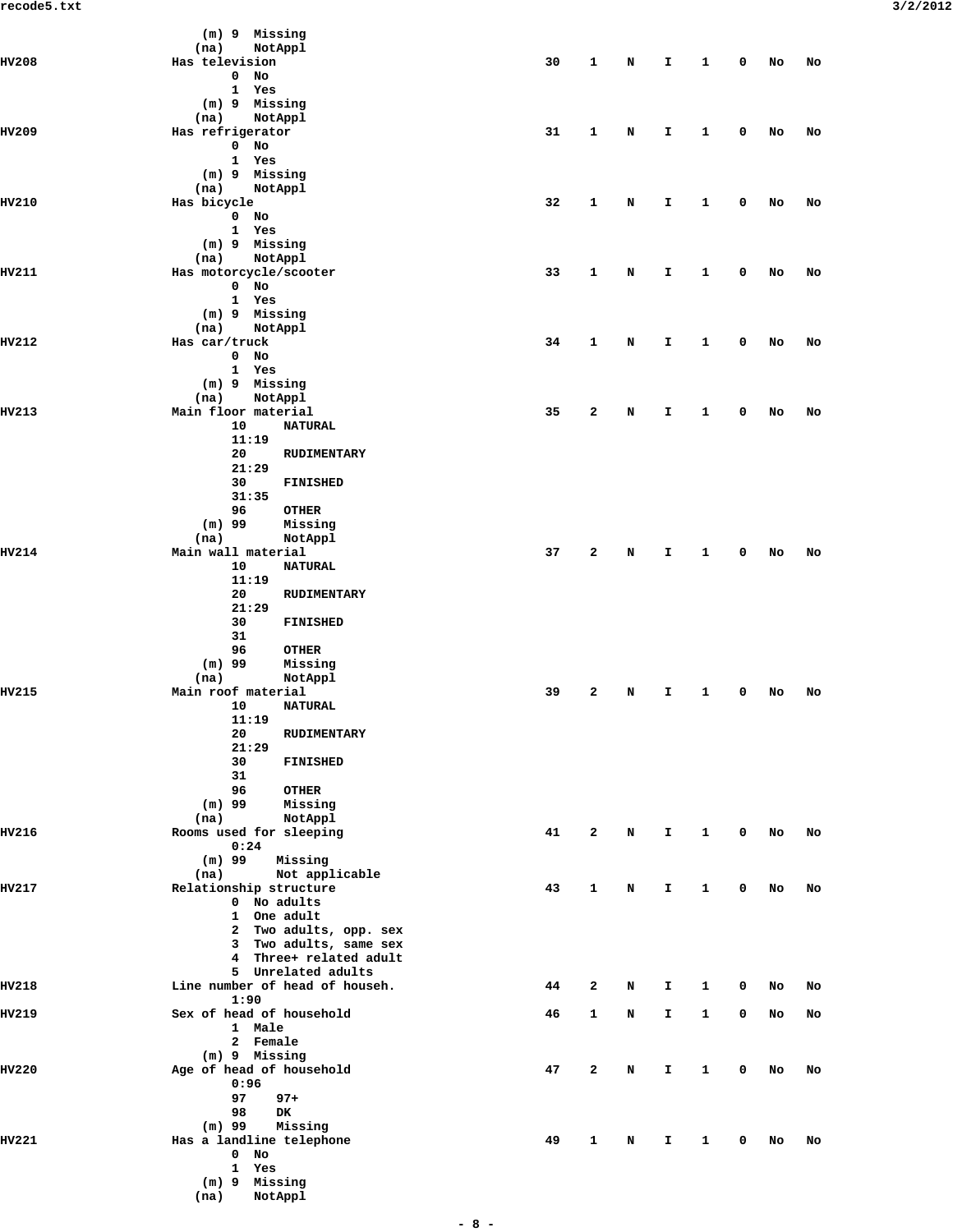|              | (m) 9 Missing                              |    |              |   |              |              |              |    |    |
|--------------|--------------------------------------------|----|--------------|---|--------------|--------------|--------------|----|----|
|              | (na)<br>NotAppl                            |    |              |   |              |              |              |    |    |
| <b>HV208</b> | Has television                             | 30 | 1            | N | I            | 1            | 0            | No | No |
|              | $0$ No                                     |    |              |   |              |              |              |    |    |
|              | 1 Yes<br>(m) 9 Missing                     |    |              |   |              |              |              |    |    |
|              | (na)<br>NotAppl                            |    |              |   |              |              |              |    |    |
| <b>HV209</b> | Has refrigerator                           | 31 | 1            | N | I            | 1            | 0            | No | No |
|              | $0$ No                                     |    |              |   |              |              |              |    |    |
|              | 1 Yes                                      |    |              |   |              |              |              |    |    |
|              | (m) 9 Missing<br>(na)<br>NotAppl           |    |              |   |              |              |              |    |    |
| HV210        | Has bicycle                                | 32 | 1            | N | I            | 1            | 0            | No | No |
|              | $0$ No                                     |    |              |   |              |              |              |    |    |
|              | 1 Yes                                      |    |              |   |              |              |              |    |    |
|              | (m) 9 Missing<br>NotAppl<br>(na)           |    |              |   |              |              |              |    |    |
| HV211        | Has motorcycle/scooter                     | 33 | 1            | N | I.           | 1            | 0            | No | No |
|              | $0$ No                                     |    |              |   |              |              |              |    |    |
|              | 1 Yes                                      |    |              |   |              |              |              |    |    |
|              | (m) 9 Missing                              |    |              |   |              |              |              |    |    |
| HV212        | (na)<br>NotAppl<br>Has car/truck           | 34 | 1            | N | I            | 1            | 0            | No | No |
|              | $0$ No                                     |    |              |   |              |              |              |    |    |
|              | 1 Yes                                      |    |              |   |              |              |              |    |    |
|              | (m) 9 Missing                              |    |              |   |              |              |              |    |    |
| HV213        | NotAppl<br>(na)<br>Main floor material     | 35 | 2            | N | I.           | 1            | 0            |    |    |
|              | 10<br><b>NATURAL</b>                       |    |              |   |              |              |              | No | No |
|              | 11:19                                      |    |              |   |              |              |              |    |    |
|              | 20<br>RUDIMENTARY                          |    |              |   |              |              |              |    |    |
|              | 21:29                                      |    |              |   |              |              |              |    |    |
|              | 30<br>FINISHED<br>31:35                    |    |              |   |              |              |              |    |    |
|              | 96<br><b>OTHER</b>                         |    |              |   |              |              |              |    |    |
|              | $(m)$ 99<br>Missing                        |    |              |   |              |              |              |    |    |
|              | (na)<br>NotAppl                            |    |              |   |              |              |              |    |    |
| HV214        | Main wall material<br>10<br><b>NATURAL</b> | 37 | 2            | N | I.           | 1            | 0            | No | No |
|              | 11:19                                      |    |              |   |              |              |              |    |    |
|              | 20<br>RUDIMENTARY                          |    |              |   |              |              |              |    |    |
|              | 21:29                                      |    |              |   |              |              |              |    |    |
|              | 30<br>FINISHED<br>31                       |    |              |   |              |              |              |    |    |
|              | 96<br><b>OTHER</b>                         |    |              |   |              |              |              |    |    |
|              | $(m)$ 99<br>Missing                        |    |              |   |              |              |              |    |    |
|              | (na)<br>NotAppl                            |    |              |   |              |              |              |    |    |
| HV215        | Main roof material<br>10<br><b>NATURAL</b> | 39 | 2            | N | I            | 1            | 0            | No | No |
|              | 11:19                                      |    |              |   |              |              |              |    |    |
|              | 20<br>RUDIMENTARY                          |    |              |   |              |              |              |    |    |
|              | 21:29                                      |    |              |   |              |              |              |    |    |
|              | 30<br>FINISHED                             |    |              |   |              |              |              |    |    |
|              | 31<br>96<br><b>OTHER</b>                   |    |              |   |              |              |              |    |    |
|              | $(m)$ 99<br>Missing                        |    |              |   |              |              |              |    |    |
|              | NotAppl<br>(na)                            |    |              |   |              |              |              |    |    |
| HV216        | Rooms used for sleeping                    | 41 | 2            | N | $\mathbf{T}$ | $\mathbf{1}$ | $\mathbf 0$  | No | No |
|              | 0:24<br>$(m)$ 99<br>Missing                |    |              |   |              |              |              |    |    |
|              | Not applicable<br>(na)                     |    |              |   |              |              |              |    |    |
| HV217        | Relationship structure                     | 43 | 1            | N | I.           | 1            | 0            | No | No |
|              | 0 No adults                                |    |              |   |              |              |              |    |    |
|              | 1 One adult<br>2 Two adults, opp. sex      |    |              |   |              |              |              |    |    |
|              | 3 Two adults, same sex                     |    |              |   |              |              |              |    |    |
|              | 4 Three+ related adult                     |    |              |   |              |              |              |    |    |
|              | 5 Unrelated adults                         |    |              |   |              |              |              |    |    |
| HV218        | Line number of head of househ.<br>1:90     | 44 | 2            | N | I            | 1            | $\mathbf{0}$ | No | No |
| HV219        | Sex of head of household                   | 46 | 1            | N | I.           | $\mathbf{1}$ | 0            | No | No |
|              | 1 Male                                     |    |              |   |              |              |              |    |    |
|              | 2 Female                                   |    |              |   |              |              |              |    |    |
|              | $(m)$ 9 Missing                            |    |              |   |              |              |              |    |    |
| <b>HV220</b> | Age of head of household<br>0:96           | 47 | 2            | N | I            | $\mathbf{1}$ | 0            | No | No |
|              | 97<br>$97+$                                |    |              |   |              |              |              |    |    |
|              | 98<br>DK                                   |    |              |   |              |              |              |    |    |
|              | $(m)$ 99<br>Missing                        |    |              |   |              |              |              |    |    |
| HV221        | Has a landline telephone                   | 49 | $\mathbf{1}$ | N | Ι.           | $\mathbf{1}$ | 0            | No | No |
|              | $0$ No<br>1 Yes                            |    |              |   |              |              |              |    |    |
|              | $(m)$ 9 Missing                            |    |              |   |              |              |              |    |    |

 **(na) NotAppl**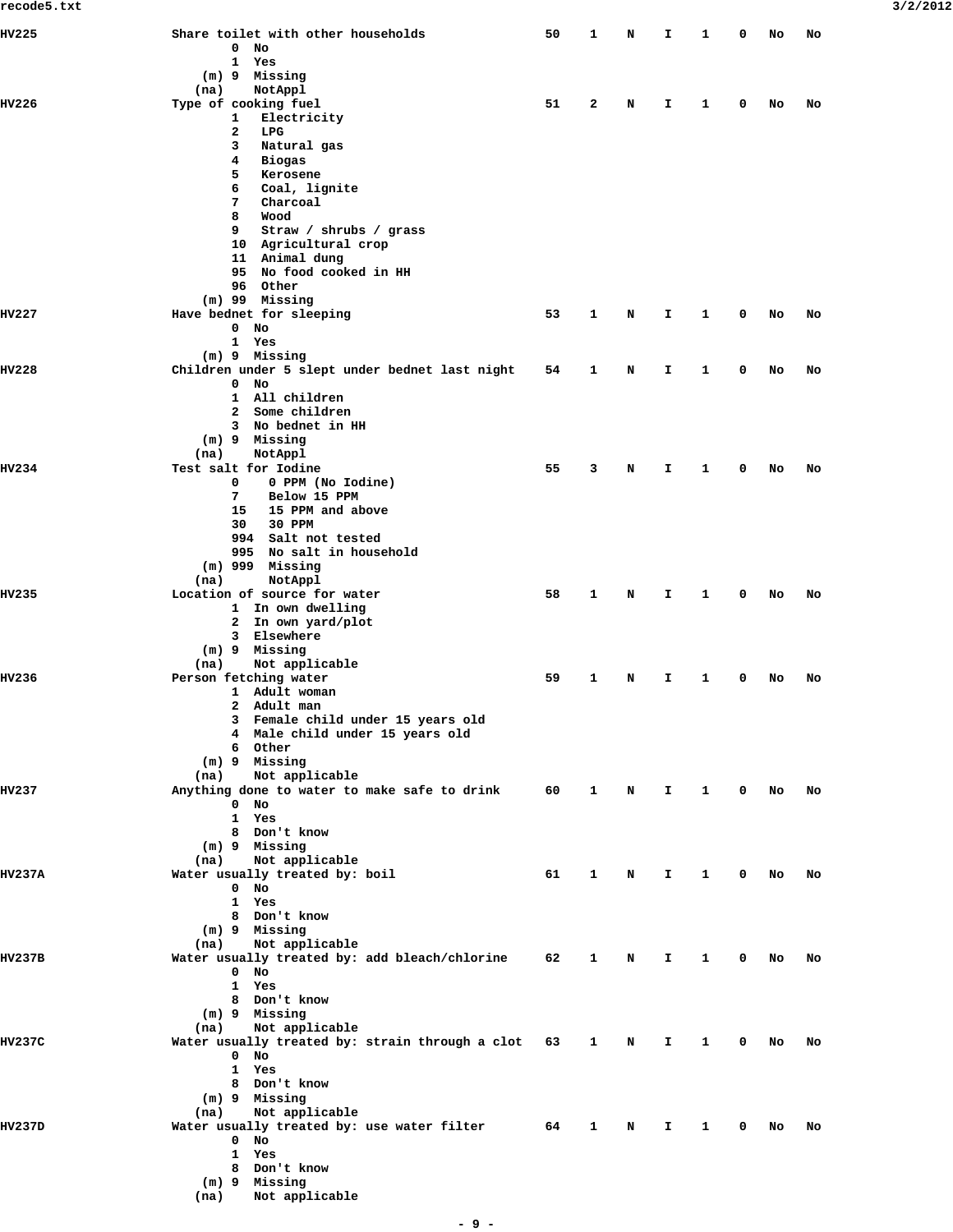| HV225         | Share toilet with other households                  | 50 | 1            | Ν | I  | 1            | 0           | No | No |
|---------------|-----------------------------------------------------|----|--------------|---|----|--------------|-------------|----|----|
|               | 0<br>No                                             |    |              |   |    |              |             |    |    |
|               | $\mathbf{1}$<br>Yes                                 |    |              |   |    |              |             |    |    |
|               | $(m)$ 9<br>Missing<br>NotAppl<br>(na)               |    |              |   |    |              |             |    |    |
| HV226         | Type of cooking fuel                                | 51 | $\mathbf{2}$ | N | I. | 1            | 0           | No | No |
|               | 1<br>Electricity                                    |    |              |   |    |              |             |    |    |
|               | $\mathbf{2}$<br>LPG                                 |    |              |   |    |              |             |    |    |
|               | 3<br>Natural gas<br>4                               |    |              |   |    |              |             |    |    |
|               | Biogas<br>5<br>Kerosene                             |    |              |   |    |              |             |    |    |
|               | Coal, lignite<br>6                                  |    |              |   |    |              |             |    |    |
|               | Charcoal<br>7                                       |    |              |   |    |              |             |    |    |
|               | 8<br>Wood                                           |    |              |   |    |              |             |    |    |
|               | 9<br>Straw / shrubs / grass<br>10 Agricultural crop |    |              |   |    |              |             |    |    |
|               | 11 Animal dung                                      |    |              |   |    |              |             |    |    |
|               | 95 No food cooked in HH                             |    |              |   |    |              |             |    |    |
|               | 96 Other                                            |    |              |   |    |              |             |    |    |
| <b>HV227</b>  | $(m)$ 99 Missing                                    | 53 | 1            | N |    | 1            | 0           |    | No |
|               | Have bednet for sleeping<br>$0$ No                  |    |              |   | Ι. |              |             | No |    |
|               | 1 Yes                                               |    |              |   |    |              |             |    |    |
|               | $(m)$ 9 Missing                                     |    |              |   |    |              |             |    |    |
| HV228         | Children under 5 slept under bednet last night      | 54 | 1            | N | I. | 1            | 0           | No | No |
|               | 0<br>No<br>1 All children                           |    |              |   |    |              |             |    |    |
|               | Some children<br>$\mathbf{2}$                       |    |              |   |    |              |             |    |    |
|               | 3 No bednet in HH                                   |    |              |   |    |              |             |    |    |
|               | (m) 9 Missing                                       |    |              |   |    |              |             |    |    |
|               | (na)<br>NotAppl<br>Test salt for Iodine             |    |              |   |    |              |             |    |    |
| HV234         | 0 PPM (No Iodine)<br>0                              | 55 | 3            | N | I  | 1            | 0           | No | No |
|               | Below 15 PPM<br>7                                   |    |              |   |    |              |             |    |    |
|               | 15<br>15 PPM and above                              |    |              |   |    |              |             |    |    |
|               | 30 PPM<br>30                                        |    |              |   |    |              |             |    |    |
|               | 994 Salt not tested<br>995 No salt in household     |    |              |   |    |              |             |    |    |
|               | $(m)$ 999 Missing                                   |    |              |   |    |              |             |    |    |
|               | NotAppl<br>(na)                                     |    |              |   |    |              |             |    |    |
| HV235         | Location of source for water                        | 58 | 1            | N | Ι. | 1            | 0           | No | No |
|               | 1 In own dwelling<br>2 In own yard/plot             |    |              |   |    |              |             |    |    |
|               | 3 Elsewhere                                         |    |              |   |    |              |             |    |    |
|               | $(m)$ 9 Missing                                     |    |              |   |    |              |             |    |    |
|               | Not applicable<br>(na)                              |    |              |   |    |              |             |    |    |
| HV236         | Person fetching water<br>1 Adult woman              | 59 | 1            | N | I. | 1            | 0           | No | No |
|               | Adult man<br>2                                      |    |              |   |    |              |             |    |    |
|               | 3 Female child under 15 years old                   |    |              |   |    |              |             |    |    |
|               | 4 Male child under 15 years old                     |    |              |   |    |              |             |    |    |
|               | 6 Other                                             |    |              |   |    |              |             |    |    |
|               | (m) 9 Missing<br>Not applicable<br>(na)             |    |              |   |    |              |             |    |    |
| HV237         | Anything done to water to make safe to drink        | 60 | 1            | N | Ι. | $\mathbf{1}$ | $\mathbf 0$ | No | No |
|               | $0$ No                                              |    |              |   |    |              |             |    |    |
|               | 1 Yes                                               |    |              |   |    |              |             |    |    |
|               | 8 Don't know<br>(m) 9 Missing                       |    |              |   |    |              |             |    |    |
|               | Not applicable<br>(na)                              |    |              |   |    |              |             |    |    |
| <b>HV237A</b> | Water usually treated by: boil                      | 61 | 1            | N | Ι. | 1            | 0           | No | No |
|               | $0$ No                                              |    |              |   |    |              |             |    |    |
|               | 1 Yes                                               |    |              |   |    |              |             |    |    |
|               | 8 Don't know<br>(m) 9 Missing                       |    |              |   |    |              |             |    |    |
|               | (na) Not applicable                                 |    |              |   |    |              |             |    |    |
| HV237B        | Water usually treated by: add bleach/chlorine       | 62 | 1            | N | I. | $\mathbf{1}$ | 0           | No | No |
|               | $0$ No                                              |    |              |   |    |              |             |    |    |
|               | 1 Yes<br>8 Don't know                               |    |              |   |    |              |             |    |    |
|               | (m) 9 Missing                                       |    |              |   |    |              |             |    |    |
|               | Not applicable<br>(na)                              |    |              |   |    |              |             |    |    |
| <b>HV237C</b> | Water usually treated by: strain through a clot 63  |    | $\mathbf{1}$ | N | Ι. | 1            | 0           | No | No |
|               | $0$ No                                              |    |              |   |    |              |             |    |    |
|               | 1 Yes<br>8 Don't know                               |    |              |   |    |              |             |    |    |
|               | (m) 9 Missing                                       |    |              |   |    |              |             |    |    |
|               | Not applicable<br>(na)                              |    |              |   |    |              |             |    |    |
| HV237D        | Water usually treated by: use water filter          | 64 | 1            | N | Ι. | 1            | 0           | No | No |
|               | $0$ No                                              |    |              |   |    |              |             |    |    |
|               | 1 Yes<br>8 Don't know                               |    |              |   |    |              |             |    |    |
|               | (m) 9 Missing                                       |    |              |   |    |              |             |    |    |

 **(na) Not applicable**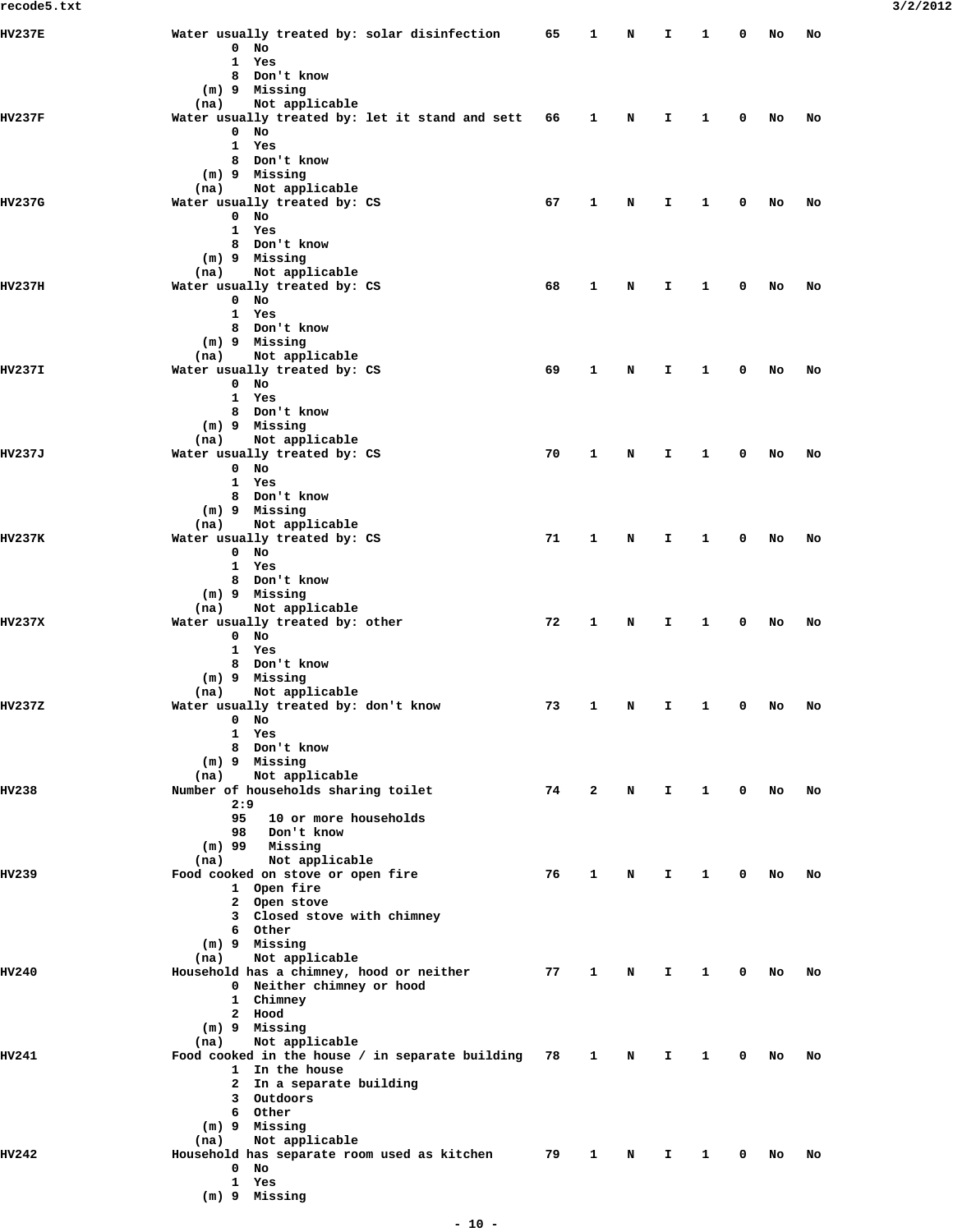| <b>HV237E</b> | Water usually treated by: solar disinfection                         | 65 | 1 | N | I.           | 1            | 0 | No | No |
|---------------|----------------------------------------------------------------------|----|---|---|--------------|--------------|---|----|----|
|               | $0$ No<br>1 Yes                                                      |    |   |   |              |              |   |    |    |
|               | 8 Don't know                                                         |    |   |   |              |              |   |    |    |
|               | (m) 9 Missing                                                        |    |   |   |              |              |   |    |    |
|               | Not applicable<br>(na)                                               |    |   |   |              |              |   |    |    |
| HV237F        | Water usually treated by: let it stand and sett<br>$0$ No            | 66 | 1 | Ν | I.           | 1            | 0 | No | No |
|               | 1 Yes                                                                |    |   |   |              |              |   |    |    |
|               | 8 Don't know                                                         |    |   |   |              |              |   |    |    |
|               | (m) 9 Missing                                                        |    |   |   |              |              |   |    |    |
|               | (na)<br>Not applicable                                               |    |   |   |              |              |   |    |    |
| <b>HV237G</b> | Water usually treated by: CS                                         | 67 | 1 | Ν | I.           | 1            | 0 | No | No |
|               | $0$ No<br>1 Yes                                                      |    |   |   |              |              |   |    |    |
|               | 8 Don't know                                                         |    |   |   |              |              |   |    |    |
|               | (m) 9 Missing                                                        |    |   |   |              |              |   |    |    |
|               | Not applicable<br>(na)                                               |    |   |   |              |              |   |    |    |
| HV237H        | Water usually treated by: CS                                         | 68 | 1 | N | I.           | 1            | 0 | No | No |
|               | $0$ No<br>1 Yes                                                      |    |   |   |              |              |   |    |    |
|               | 8 Don't know                                                         |    |   |   |              |              |   |    |    |
|               | (m) 9 Missing                                                        |    |   |   |              |              |   |    |    |
|               | (na)<br>Not applicable                                               |    |   |   |              |              |   |    |    |
| HV237I        | Water usually treated by: CS                                         | 69 | 1 | N | I.           | 1            | 0 | No | No |
|               | $0$ No<br>1 Yes                                                      |    |   |   |              |              |   |    |    |
|               | 8 Don't know                                                         |    |   |   |              |              |   |    |    |
|               | (m) 9 Missing                                                        |    |   |   |              |              |   |    |    |
|               | Not applicable<br>(na)                                               |    |   |   |              |              |   |    |    |
| <b>HV237J</b> | Water usually treated by: CS                                         | 70 | 1 | N | I.           | 1            | 0 | No | No |
|               | $0$ No<br>1 Yes                                                      |    |   |   |              |              |   |    |    |
|               | 8 Don't know                                                         |    |   |   |              |              |   |    |    |
|               | (m) 9 Missing                                                        |    |   |   |              |              |   |    |    |
|               | Not applicable<br>(na)                                               |    |   |   |              |              |   |    |    |
| HV237K        | Water usually treated by: CS                                         | 71 | 1 | N | I.           | 1            | 0 | No | No |
|               | $0$ No<br>1 Yes                                                      |    |   |   |              |              |   |    |    |
|               | 8 Don't know                                                         |    |   |   |              |              |   |    |    |
|               | $(m)$ 9 Missing                                                      |    |   |   |              |              |   |    |    |
|               | Not applicable<br>(na)                                               |    |   |   |              |              |   |    |    |
| HV237X        | Water usually treated by: other<br>$0$ No                            | 72 | 1 | N | I.           | 1            | 0 | No | No |
|               | 1 Yes                                                                |    |   |   |              |              |   |    |    |
|               | 8 Don't know                                                         |    |   |   |              |              |   |    |    |
|               | (m) 9 Missing                                                        |    |   |   |              |              |   |    |    |
|               | Not applicable<br>(na)                                               |    |   |   |              |              |   |    |    |
| <b>HV237Z</b> | Water usually treated by: don't know                                 | 73 | 1 | Ν | I.           | 1            | 0 | No | No |
|               | $0$ No<br>1 Yes                                                      |    |   |   |              |              |   |    |    |
|               | 8 Don't know                                                         |    |   |   |              |              |   |    |    |
|               | (m) 9 Missing                                                        |    |   |   |              |              |   |    |    |
|               | Not applicable<br>(na)                                               |    |   |   |              |              |   |    |    |
| <b>HV238</b>  | Number of households sharing toilet<br>2:9                           | 74 | 2 | N | $\mathbf{T}$ | $\mathbf{1}$ | 0 | No | No |
|               | 95<br>10 or more households                                          |    |   |   |              |              |   |    |    |
|               | 98<br>Don't know                                                     |    |   |   |              |              |   |    |    |
|               | $(m)$ 99<br>Missing                                                  |    |   |   |              |              |   |    |    |
|               | (na)<br>Not applicable                                               |    |   |   |              |              |   |    |    |
| <b>HV239</b>  | Food cooked on stove or open fire<br>1 Open fire                     | 76 | 1 | N | I.           | 1            | 0 | No | No |
|               | 2 Open stove                                                         |    |   |   |              |              |   |    |    |
|               | 3 Closed stove with chimney                                          |    |   |   |              |              |   |    |    |
|               | 6 Other                                                              |    |   |   |              |              |   |    |    |
|               | $(m)$ 9 Missing                                                      |    |   |   |              |              |   |    |    |
| <b>HV240</b>  | Not applicable<br>(na)<br>Household has a chimney, hood or neither   | 77 | 1 | N | I.           | 1            | 0 | No | No |
|               | 0 Neither chimney or hood                                            |    |   |   |              |              |   |    |    |
|               | 1 Chimney                                                            |    |   |   |              |              |   |    |    |
|               | 2 Hood                                                               |    |   |   |              |              |   |    |    |
|               | $(m)$ 9 Missing                                                      |    |   |   |              |              |   |    |    |
|               | Not applicable<br>(na)                                               |    |   |   |              |              |   |    |    |
| HV241         | Food cooked in the house / in separate building 78<br>1 In the house |    | 1 | N | I.           | 1            | 0 | No | No |
|               | 2 In a separate building                                             |    |   |   |              |              |   |    |    |
|               | 3 Outdoors                                                           |    |   |   |              |              |   |    |    |
|               | 6 Other                                                              |    |   |   |              |              |   |    |    |
|               | (m) 9 Missing<br>Not applicable<br>(na)                              |    |   |   |              |              |   |    |    |
| HV242         | Household has separate room used as kitchen                          | 79 | 1 | N | I.           | 1            | 0 | No | No |
|               | $0$ No                                                               |    |   |   |              |              |   |    |    |
|               | 1 Yes                                                                |    |   |   |              |              |   |    |    |
|               | (m) 9 Missing                                                        |    |   |   |              |              |   |    |    |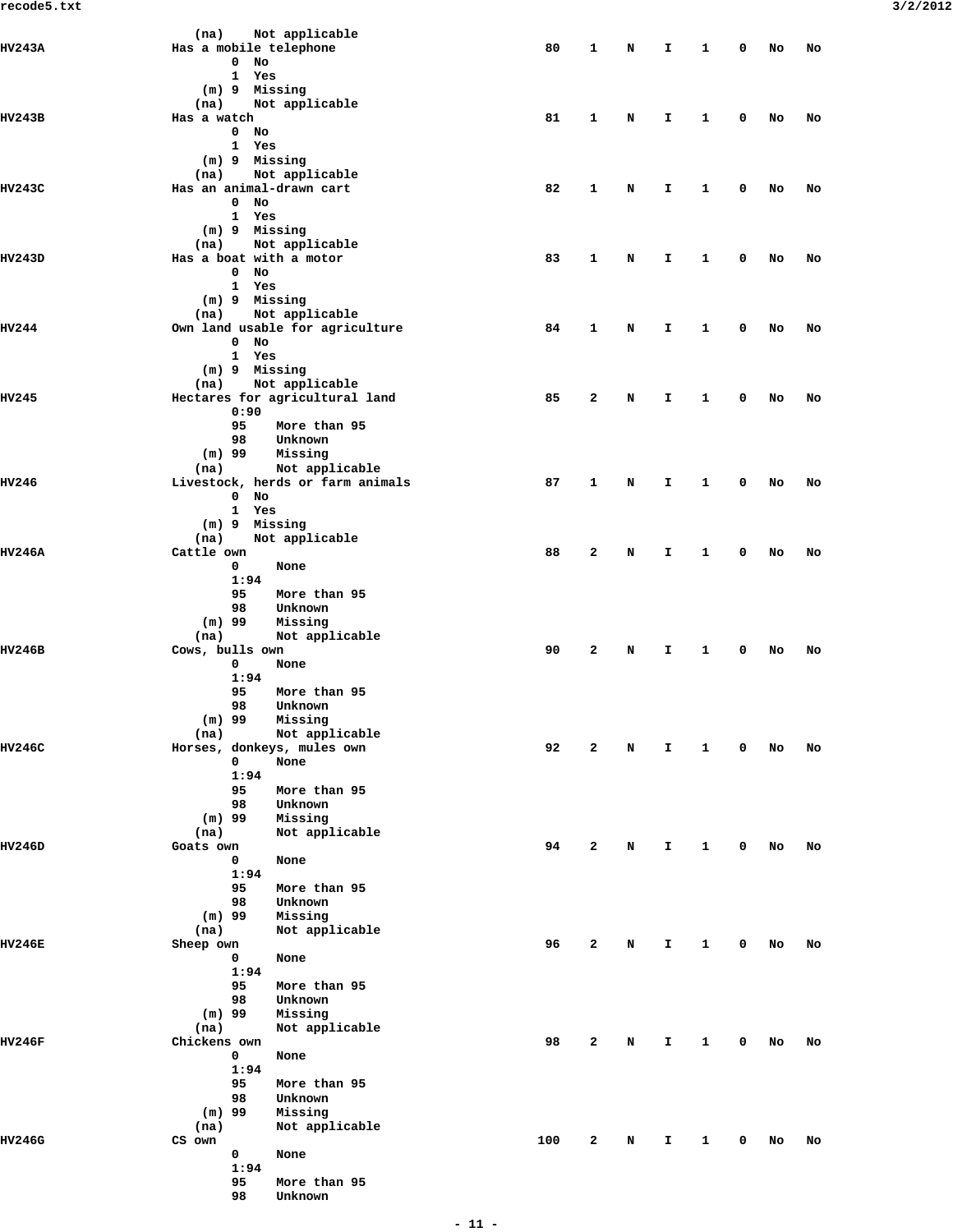| HV243A        | Not applicable<br>(na)<br>Has a mobile telephone       | 80  | 1 | N | I  | 1 | 0 | No | No |
|---------------|--------------------------------------------------------|-----|---|---|----|---|---|----|----|
|               | $\mathbf{0}$<br>No                                     |     |   |   |    |   |   |    |    |
|               | 1 Yes                                                  |     |   |   |    |   |   |    |    |
|               | $(m)$ 9<br>Missing                                     |     |   |   |    |   |   |    |    |
|               | Not applicable<br>(na)                                 |     |   |   |    |   |   |    |    |
| HV243B        | Has a watch                                            | 81  | 1 | N | I  | 1 | 0 | No | No |
|               | $\mathbf{0}$<br>No<br>Yes<br>1                         |     |   |   |    |   |   |    |    |
|               | (m) 9 Missing                                          |     |   |   |    |   |   |    |    |
|               | Not applicable<br>(na)                                 |     |   |   |    |   |   |    |    |
| HV243C        | Has an animal-drawn cart                               | 82  | 1 | N | I. | 1 | 0 | No | No |
|               | $\mathbf 0$<br>No                                      |     |   |   |    |   |   |    |    |
|               | 1 Yes                                                  |     |   |   |    |   |   |    |    |
|               | (m) 9 Missing<br>Not applicable<br>(na)                |     |   |   |    |   |   |    |    |
| HV243D        | Has a boat with a motor                                | 83  | 1 | N | I  | 1 | 0 | No | No |
|               | $0$ No                                                 |     |   |   |    |   |   |    |    |
|               | 1<br>Yes                                               |     |   |   |    |   |   |    |    |
|               | (m) 9 Missing                                          |     |   |   |    |   |   |    |    |
|               | Not applicable<br>(na)                                 |     |   |   |    |   |   |    |    |
| HV244         | Own land usable for agriculture                        | 84  | 1 | N | I. | 1 | 0 | No | No |
|               | $0$ No<br>1 Yes                                        |     |   |   |    |   |   |    |    |
|               | $(m)$ 9 Missing                                        |     |   |   |    |   |   |    |    |
|               | Not applicable<br>(na)                                 |     |   |   |    |   |   |    |    |
| HV245         | Hectares for agricultural land                         | 85  | 2 | N | I  | 1 | 0 | No | No |
|               | 0:90                                                   |     |   |   |    |   |   |    |    |
|               | 95<br>More than 95                                     |     |   |   |    |   |   |    |    |
|               | 98<br>Unknown                                          |     |   |   |    |   |   |    |    |
|               | $(m)$ 99<br>Missing                                    |     |   |   |    |   |   |    |    |
| HV246         | Not applicable<br>(na)                                 | 87  | 1 |   |    | 1 | 0 |    |    |
|               | Livestock, herds or farm animals<br>$\mathbf{0}$<br>No |     |   | N | I  |   |   | No | No |
|               | 1<br>Yes                                               |     |   |   |    |   |   |    |    |
|               | (m) 9 Missing                                          |     |   |   |    |   |   |    |    |
|               | Not applicable<br>(na)                                 |     |   |   |    |   |   |    |    |
| HV246A        | Cattle own                                             | 88  | 2 | N | I  | 1 | 0 | No | No |
|               | 0<br>None                                              |     |   |   |    |   |   |    |    |
|               | 1:94<br>95<br>More than 95                             |     |   |   |    |   |   |    |    |
|               | 98<br>Unknown                                          |     |   |   |    |   |   |    |    |
|               | $(m)$ 99<br>Missing                                    |     |   |   |    |   |   |    |    |
|               | (na)<br>Not applicable                                 |     |   |   |    |   |   |    |    |
| HV246B        | Cows, bulls own                                        | 90  | 2 | N | I  | 1 | 0 | No | No |
|               | 0<br>None                                              |     |   |   |    |   |   |    |    |
|               | 1:94                                                   |     |   |   |    |   |   |    |    |
|               | 95<br>More than 95<br>98<br>Unknown                    |     |   |   |    |   |   |    |    |
|               | (m) 99<br>Missing                                      |     |   |   |    |   |   |    |    |
|               | Not applicable<br>(na)                                 |     |   |   |    |   |   |    |    |
| HV246C        | Horses, donkeys, mules own                             | 92  | 2 | N | I. | 1 | 0 | No | No |
|               | 0<br>None                                              |     |   |   |    |   |   |    |    |
|               | 1:94                                                   |     |   |   |    |   |   |    |    |
|               | 95<br>More than 95<br>98                               |     |   |   |    |   |   |    |    |
|               | Unknown<br>$(m)$ 99<br>Missing                         |     |   |   |    |   |   |    |    |
|               | (na)<br>Not applicable                                 |     |   |   |    |   |   |    |    |
| HV246D        | Goats own                                              | 94  | 2 | N | I  | 1 | 0 | No | No |
|               | 0<br>None                                              |     |   |   |    |   |   |    |    |
|               | 1:94                                                   |     |   |   |    |   |   |    |    |
|               | 95<br>More than 95                                     |     |   |   |    |   |   |    |    |
|               | 98<br>Unknown                                          |     |   |   |    |   |   |    |    |
|               | $(m)$ 99<br>Missing<br>Not applicable<br>(na)          |     |   |   |    |   |   |    |    |
| HV246E        | Sheep own                                              | 96  | 2 | N | I  | 1 | 0 | No | No |
|               | 0<br>None                                              |     |   |   |    |   |   |    |    |
|               | 1:94                                                   |     |   |   |    |   |   |    |    |
|               | 95<br>More than 95                                     |     |   |   |    |   |   |    |    |
|               | 98<br>Unknown                                          |     |   |   |    |   |   |    |    |
|               | $(m)$ 99<br>Missing                                    |     |   |   |    |   |   |    |    |
| HV246F        | (na)<br>Not applicable<br>Chickens own                 | 98  | 2 | N | I  | 1 | 0 | No | No |
|               | 0<br>None                                              |     |   |   |    |   |   |    |    |
|               | 1:94                                                   |     |   |   |    |   |   |    |    |
|               | 95<br>More than 95                                     |     |   |   |    |   |   |    |    |
|               | 98<br>Unknown                                          |     |   |   |    |   |   |    |    |
|               | $(m)$ 99<br>Missing                                    |     |   |   |    |   |   |    |    |
|               | Not applicable<br>(na)                                 |     |   |   |    |   |   |    |    |
| <b>HV246G</b> | CS own<br>0<br>None                                    | 100 | 2 | N | I  | 1 | 0 | No | No |
|               | 1:94                                                   |     |   |   |    |   |   |    |    |
|               | 95<br>More than 95                                     |     |   |   |    |   |   |    |    |
|               | 98<br>Unknown                                          |     |   |   |    |   |   |    |    |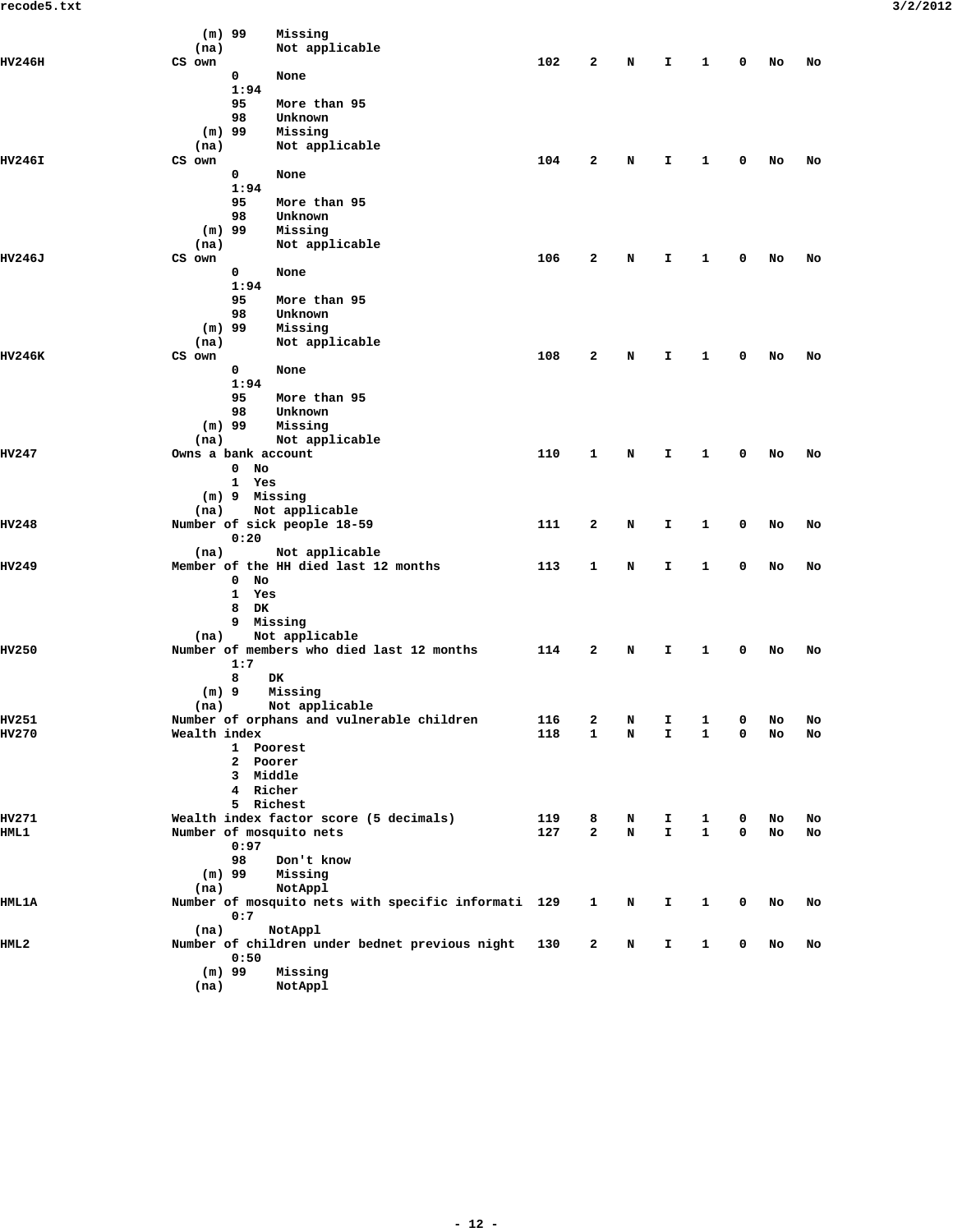|              | $(m)$ 99<br>Missing                                 |     |        |        |                    |                   |   |    |    |  |
|--------------|-----------------------------------------------------|-----|--------|--------|--------------------|-------------------|---|----|----|--|
|              | Not applicable<br>(na)                              |     |        |        |                    |                   |   |    |    |  |
| HV246H       | CS own                                              | 102 | 2      | Ν      | I.                 | 1                 | 0 | No | No |  |
|              | 0<br>None                                           |     |        |        |                    |                   |   |    |    |  |
|              | 1:94                                                |     |        |        |                    |                   |   |    |    |  |
|              | 95<br>More than 95                                  |     |        |        |                    |                   |   |    |    |  |
|              | 98<br>Unknown                                       |     |        |        |                    |                   |   |    |    |  |
|              | $(m)$ 99<br>Missing                                 |     |        |        |                    |                   |   |    |    |  |
|              | (na)<br>Not applicable                              |     |        |        |                    |                   |   |    |    |  |
| HV246I       | CS own                                              | 104 | 2      | N      | I                  | 1                 | 0 | No | No |  |
|              | 0<br>None<br>1:94                                   |     |        |        |                    |                   |   |    |    |  |
|              | 95<br>More than 95                                  |     |        |        |                    |                   |   |    |    |  |
|              | 98<br>Unknown                                       |     |        |        |                    |                   |   |    |    |  |
|              | $(m)$ 99<br>Missing                                 |     |        |        |                    |                   |   |    |    |  |
|              | Not applicable<br>(na)                              |     |        |        |                    |                   |   |    |    |  |
| HV246J       | CS own                                              | 106 | 2      | Ν      | I.                 | 1                 | 0 | No | No |  |
|              | 0<br>None                                           |     |        |        |                    |                   |   |    |    |  |
|              | 1:94                                                |     |        |        |                    |                   |   |    |    |  |
|              | 95<br>More than 95                                  |     |        |        |                    |                   |   |    |    |  |
|              | 98<br>Unknown                                       |     |        |        |                    |                   |   |    |    |  |
|              | $(m)$ 99<br>Missing                                 |     |        |        |                    |                   |   |    |    |  |
|              | Not applicable<br>(na)                              |     |        |        |                    |                   |   |    |    |  |
| HV246K       | CS own                                              | 108 | 2      | N      | I                  | 1                 | 0 | No | No |  |
|              | 0<br>None                                           |     |        |        |                    |                   |   |    |    |  |
|              | 1:94                                                |     |        |        |                    |                   |   |    |    |  |
|              | 95<br>More than 95                                  |     |        |        |                    |                   |   |    |    |  |
|              | 98<br>Unknown                                       |     |        |        |                    |                   |   |    |    |  |
|              | $(m)$ 99<br>Missing                                 |     |        |        |                    |                   |   |    |    |  |
|              | Not applicable<br>(na)                              |     |        |        |                    |                   |   |    |    |  |
| HV247        | Owns a bank account                                 | 110 | 1      | N      | I                  | 1                 | 0 | No | No |  |
|              | No<br>0                                             |     |        |        |                    |                   |   |    |    |  |
|              | 1 Yes                                               |     |        |        |                    |                   |   |    |    |  |
|              | (m) 9 Missing                                       |     |        |        |                    |                   |   |    |    |  |
|              | Not applicable<br>(na)                              |     |        |        |                    |                   |   |    |    |  |
| HV248        | Number of sick people 18-59                         | 111 | 2      | N      | I                  | 1                 | 0 | No | No |  |
|              | 0:20                                                |     |        |        |                    |                   |   |    |    |  |
|              | Not applicable<br>(na)                              |     |        |        |                    |                   |   |    |    |  |
| <b>HV249</b> | Member of the HH died last 12 months                | 113 | 1      | N      | I.                 | 1                 | 0 | No | No |  |
|              | No<br>0                                             |     |        |        |                    |                   |   |    |    |  |
|              | $\mathbf{1}$<br>Yes                                 |     |        |        |                    |                   |   |    |    |  |
|              | 8<br>DK                                             |     |        |        |                    |                   |   |    |    |  |
|              | 9 Missing                                           |     |        |        |                    |                   |   |    |    |  |
|              | Not applicable<br>(na)                              |     |        |        |                    |                   |   |    |    |  |
| <b>HV250</b> | Number of members who died last 12 months           | 114 | 2      | N      | I.                 | 1                 | 0 | No | No |  |
|              | 1:7                                                 |     |        |        |                    |                   |   |    |    |  |
|              | 8<br>DK                                             |     |        |        |                    |                   |   |    |    |  |
|              | $(m)$ 9<br>Missing                                  |     |        |        |                    |                   |   |    |    |  |
|              | Not applicable<br>(na)                              |     |        |        |                    |                   |   |    |    |  |
| <b>HV251</b> | Number of orphans and vulnerable children           | 116 | 2      | Ν      | I                  | 1                 | 0 | No | No |  |
| HV270        | Wealth index                                        | 118 | 1      | Ν      | I                  | 1                 | 0 | No | No |  |
|              | 1 Poorest                                           |     |        |        |                    |                   |   |    |    |  |
|              | 2 Poorer                                            |     |        |        |                    |                   |   |    |    |  |
|              | 3 Middle<br>4 Richer                                |     |        |        |                    |                   |   |    |    |  |
|              | 5 Richest                                           |     |        |        |                    |                   |   |    |    |  |
| HV271        | Wealth index factor score (5 decimals)              | 119 |        |        |                    |                   | 0 |    |    |  |
| HML 1        | Number of mosquito nets                             | 127 | 8<br>2 | N<br>N | I.<br>$\mathbf{I}$ | 1<br>$\mathbf{1}$ | 0 | No | No |  |
|              | 0:97                                                |     |        |        |                    |                   |   | No | No |  |
|              | 98<br>Don't know                                    |     |        |        |                    |                   |   |    |    |  |
|              | $(m)$ 99<br>Missing                                 |     |        |        |                    |                   |   |    |    |  |
|              | NotAppl<br>(na)                                     |     |        |        |                    |                   |   |    |    |  |
| <b>HML1A</b> | Number of mosquito nets with specific informati 129 |     | 1      | N      | I.                 | 1                 | 0 | No | No |  |
|              | 0:7                                                 |     |        |        |                    |                   |   |    |    |  |
|              | (na)<br>NotAppl                                     |     |        |        |                    |                   |   |    |    |  |
| IIML2        | Number of children under bednet previous night      | 130 | 2      | N      | I.                 | 1                 | 0 | No | No |  |
|              | 0:50                                                |     |        |        |                    |                   |   |    |    |  |
|              | $(m)$ 99<br>Missing                                 |     |        |        |                    |                   |   |    |    |  |
|              | NotAppl                                             |     |        |        |                    |                   |   |    |    |  |
|              | (na)                                                |     |        |        |                    |                   |   |    |    |  |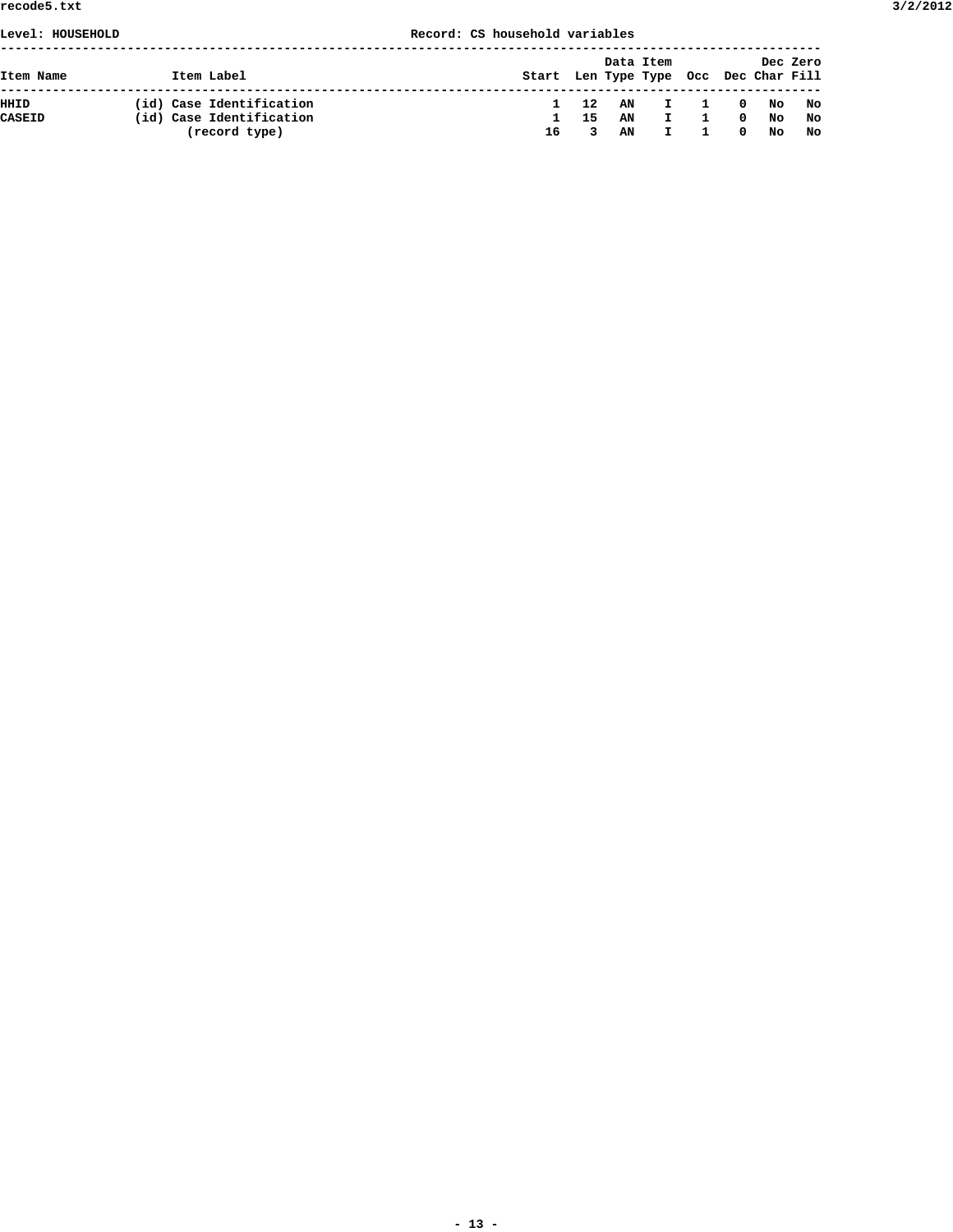# **Level: HOUSEHOLD Record: CS household variables**

| Item Name     | Item Label               | Start Len Type Type Occ Dec Char Fill |     | Data Item |                                                |                |                                                     |    | Dec Zero |
|---------------|--------------------------|---------------------------------------|-----|-----------|------------------------------------------------|----------------|-----------------------------------------------------|----|----------|
| HHID          | (id) Case Identification | $\mathbf{1}$                          | 12  | AN        | $\mathbf{I}$ and $\mathbf{I}$ and $\mathbf{I}$ | $\overline{1}$ | $\overline{\phantom{a}}$ 0 $\overline{\phantom{a}}$ |    | No No    |
| <b>CASEID</b> | (id) Case Identification | п.                                    | -15 | AN        |                                                |                | $^{\circ}$                                          | No | No       |
|               | (record type)            | 16                                    |     | AN        |                                                |                | $^{\circ}$                                          | No | No       |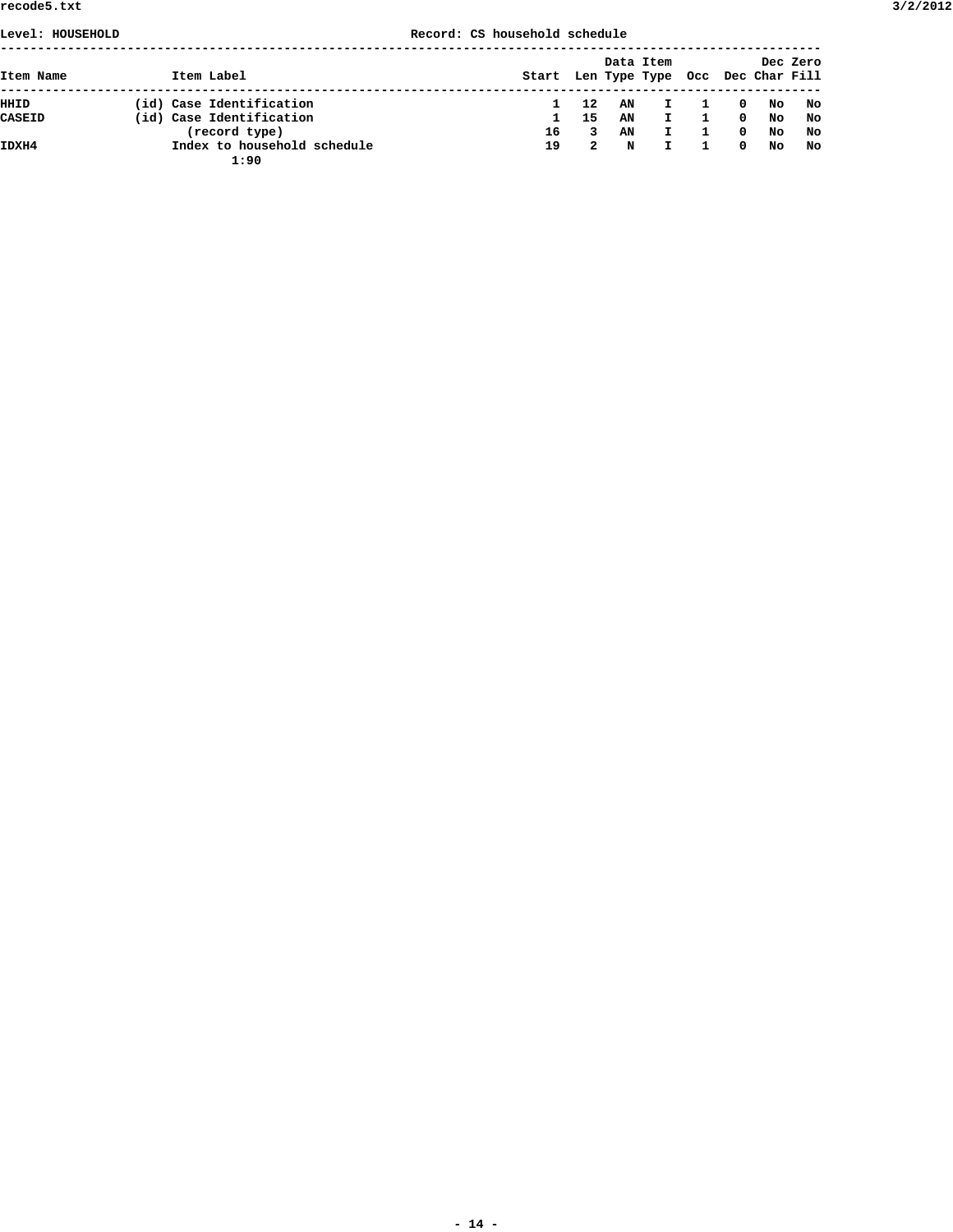# **Level: HOUSEHOLD Record: CS household schedule**

| Item Name     |  | Item Label                          | Start Len Type Type Occ Dec Char Fill |    |    | Data Item    |             |    | Dec Zero |
|---------------|--|-------------------------------------|---------------------------------------|----|----|--------------|-------------|----|----------|
| HHID          |  | (id) Case Identification            |                                       | 12 | AN | $\mathbf{I}$ | $\Omega$    | No | No       |
| <b>CASEID</b> |  | (id) Case Identification            |                                       | 15 | AN | $\mathbf{I}$ | $\mathbf 0$ | No | No       |
|               |  | (record type)                       | 16                                    | 3. | AN | $\mathbf{I}$ | $^{\circ}$  | No | No       |
| IDXH4         |  | Index to household schedule<br>1:90 | 19                                    | 2  | N  | I.           | $^{\circ}$  | No | No       |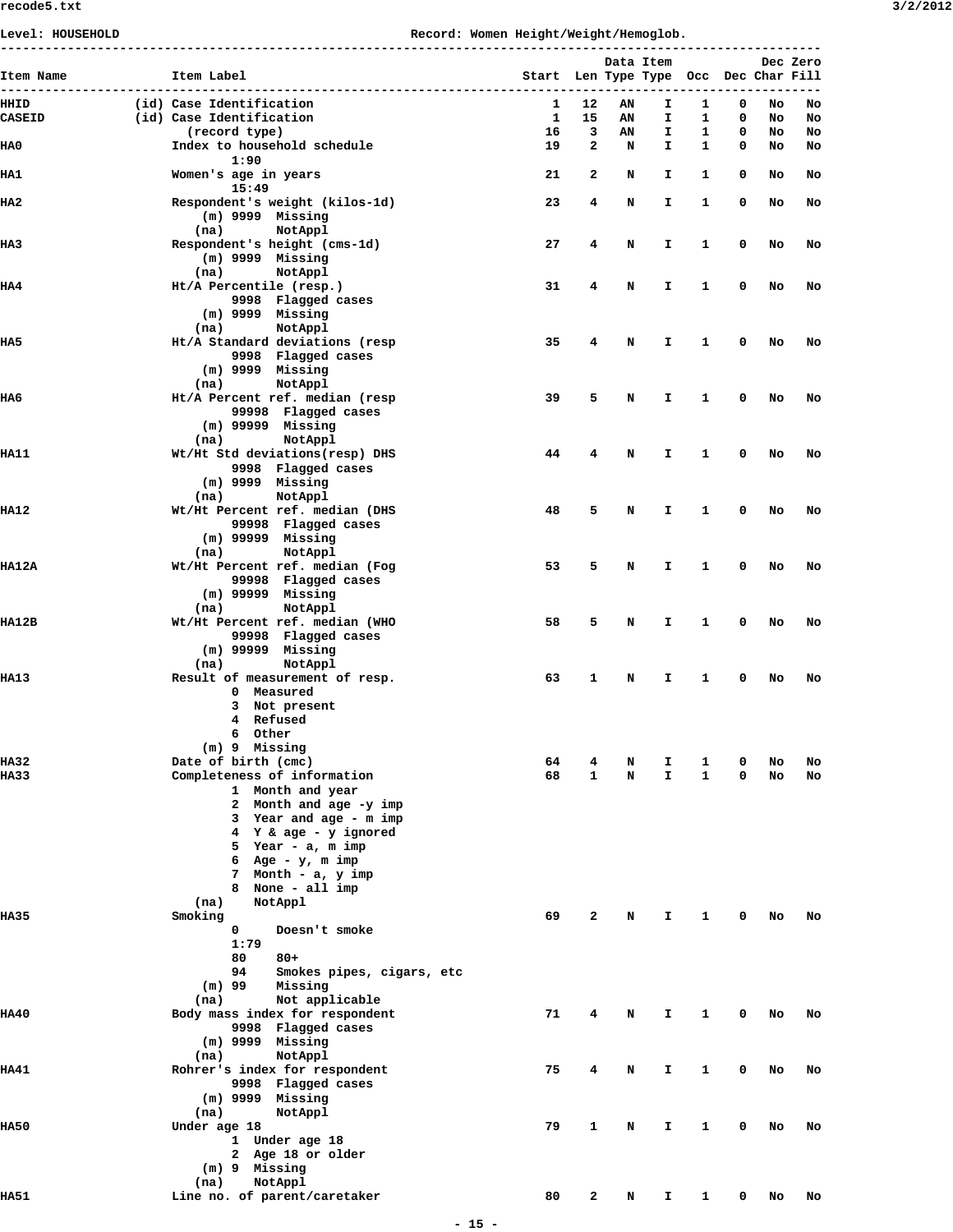|               | ------------------------------------                  |                                       |              |    | Data Item |              |   |    | Dec Zero |
|---------------|-------------------------------------------------------|---------------------------------------|--------------|----|-----------|--------------|---|----|----------|
| Item Name     | Item Label                                            | Start Len Type Type Occ Dec Char Fill |              |    |           |              |   |    |          |
| HHID          | (id) Case Identification                              | 1                                     | 12           | AN | I.        | 1            | 0 | No | No       |
| <b>CASEID</b> | (id) Case Identification                              | 1                                     | 15           | ΑN | I.        | 1            | 0 | No | No       |
|               | (record type)                                         | 16                                    | 3            | AN | I.        | 1            | 0 | No | No       |
| HA0           | Index to household schedule<br>1:90                   | 19                                    | 2            | N  | I.        | $\mathbf{1}$ | 0 | No | No       |
| IIA1          | Women's age in years<br>15:49                         | 21                                    | 2            | N  | I.        | $\mathbf{1}$ | 0 | No | No       |
| IIA2          | Respondent's weight (kilos-1d)                        | 23                                    | 4            | N  | I.        | 1            | 0 | No | No       |
|               | $(m)$ 9999 Missing<br>(na)<br>NotAppl                 |                                       |              |    |           |              |   |    |          |
| IIA3          | Respondent's height (cms-1d)<br>$(m)$ 9999 Missing    | 27                                    | 4            | N  | I.        | 1            | 0 | No | No       |
|               | (na)<br>NotAppl                                       |                                       |              |    |           |              |   |    |          |
| HA4           | Ht/A Percentile (resp.)                               | 31                                    | 4            | N  | I.        | 1            | 0 | No | No       |
|               | 9998 Flagged cases<br>$(m)$ 9999 Missing              |                                       |              |    |           |              |   |    |          |
|               | NotAppl<br>(na)                                       |                                       |              |    |           |              |   |    |          |
| IIA5          | Ht/A Standard deviations (resp                        | 35                                    | 4            | N  | I.        | 1            | 0 | No | No       |
|               | 9998 Flagged cases                                    |                                       |              |    |           |              |   |    |          |
|               | $(m)$ 9999 Missing                                    |                                       |              |    |           |              |   |    |          |
| IIA6          | NotAppl<br>(na)<br>Ht/A Percent ref. median (resp     | 39                                    | 5            | N  | I.        | 1            | 0 | No | No       |
|               | 99998 Flagged cases                                   |                                       |              |    |           |              |   |    |          |
|               | $(m)$ 99999 Missing                                   |                                       |              |    |           |              |   |    |          |
|               | NotAppl<br>(na)                                       |                                       |              |    |           |              |   |    |          |
| IIA11         | Wt/Ht Std deviations(resp) DHS                        | 44                                    | 4            | N  | I.        | 1            | 0 | No | No       |
|               | 9998 Flagged cases                                    |                                       |              |    |           |              |   |    |          |
|               | $(m)$ 9999 Missing<br>NotAppl<br>(na)                 |                                       |              |    |           |              |   |    |          |
| HA12          | Wt/Ht Percent ref. median (DHS                        | 48                                    | 5            | N  | I.        | 1            | 0 | No | No       |
|               | 99998 Flagged cases                                   |                                       |              |    |           |              |   |    |          |
|               | $(m)$ 99999 Missing                                   |                                       |              |    |           |              |   |    |          |
|               | NotAppl<br>(na)                                       |                                       |              |    |           |              |   |    |          |
| HA12A         | Wt/Ht Percent ref. median (Fog<br>99998 Flagged cases | 53                                    | 5            | N  | I.        | 1            | 0 | No | No       |
|               | $(m)$ 99999 Missing                                   |                                       |              |    |           |              |   |    |          |
|               | NotAppl<br>(na)                                       |                                       |              |    |           |              |   |    |          |
| <b>HA12B</b>  | Wt/Ht Percent ref. median (WHO                        | 58                                    | 5            | N  | I.        | 1            | 0 | No | No       |
|               | 99998 Flagged cases                                   |                                       |              |    |           |              |   |    |          |
|               | $(m)$ 99999 Missing<br>NotAppl<br>(na)                |                                       |              |    |           |              |   |    |          |
| IIA13         | Result of measurement of resp.                        | 63                                    | 1            | N  | I.        | 1            | 0 | No | No       |
|               | 0 Measured                                            |                                       |              |    |           |              |   |    |          |
|               | 3 Not present                                         |                                       |              |    |           |              |   |    |          |
|               | 4 Refused                                             |                                       |              |    |           |              |   |    |          |
|               | 6 Other                                               |                                       |              |    |           |              |   |    |          |
| IIA 32        | (m) 9 Missing<br>Date of birth (cmc)                  | 64                                    | 4            | N  | I.        | 1            | 0 | No | No       |
| IIA 33        | Completeness of information                           | 68                                    | $\mathbf{1}$ | N  | I.        | $\mathbf{1}$ | 0 | No | No       |
|               | 1 Month and year                                      |                                       |              |    |           |              |   |    |          |
|               | 2 Month and age -y imp                                |                                       |              |    |           |              |   |    |          |
|               | 3 Year and age - m imp                                |                                       |              |    |           |              |   |    |          |
|               | 4 Y & age - y ignored<br>5 Year - a, m imp            |                                       |              |    |           |              |   |    |          |
|               | 6 Age - $y$ , m imp                                   |                                       |              |    |           |              |   |    |          |
|               | 7 Month - a, y imp                                    |                                       |              |    |           |              |   |    |          |
|               | 8 None - all imp                                      |                                       |              |    |           |              |   |    |          |
|               | (na)<br>NotAppl                                       |                                       |              |    |           |              |   |    |          |
| IIA35         | Smoking                                               | 69                                    | 2            | N  | I         | 1            | 0 | No | No       |
|               | 0<br>Doesn't smoke<br>1:79                            |                                       |              |    |           |              |   |    |          |
|               | 80<br>$80 +$                                          |                                       |              |    |           |              |   |    |          |
|               | 94<br>Smokes pipes, cigars, etc                       |                                       |              |    |           |              |   |    |          |
|               | $(m)$ 99<br>Missing                                   |                                       |              |    |           |              |   |    |          |
|               | Not applicable<br>(na)                                |                                       |              |    |           |              |   |    |          |
| HA40          | Body mass index for respondent                        | 71                                    | 4            | N  | I.        | 1            | 0 | No | No       |
|               | 9998 Flagged cases<br>$(m)$ 9999 Missing              |                                       |              |    |           |              |   |    |          |
|               | NotAppl<br>(na)                                       |                                       |              |    |           |              |   |    |          |
| IIA41         | Rohrer's index for respondent                         | 75                                    | 4            | N  | I.        | 1            | 0 | No | No       |
|               | 9998 Flagged cases                                    |                                       |              |    |           |              |   |    |          |
|               | $(m)$ 9999 Missing                                    |                                       |              |    |           |              |   |    |          |
|               | NotAppl<br>(na)                                       |                                       |              |    |           |              |   |    |          |
| IIA50         | Under age 18<br>1 Under age 18                        | 79                                    | 1            | N  | I.        | 1            | 0 | No | No       |
|               | 2 Age 18 or older                                     |                                       |              |    |           |              |   |    |          |
|               | $(m)$ 9 Missing                                       |                                       |              |    |           |              |   |    |          |
|               | NotAppl<br>(na)                                       |                                       |              |    |           |              |   |    |          |
| IIA51         | Line no. of parent/caretaker                          | 80                                    | 2            | N  | I.        | $\mathbf{1}$ | 0 | No | No       |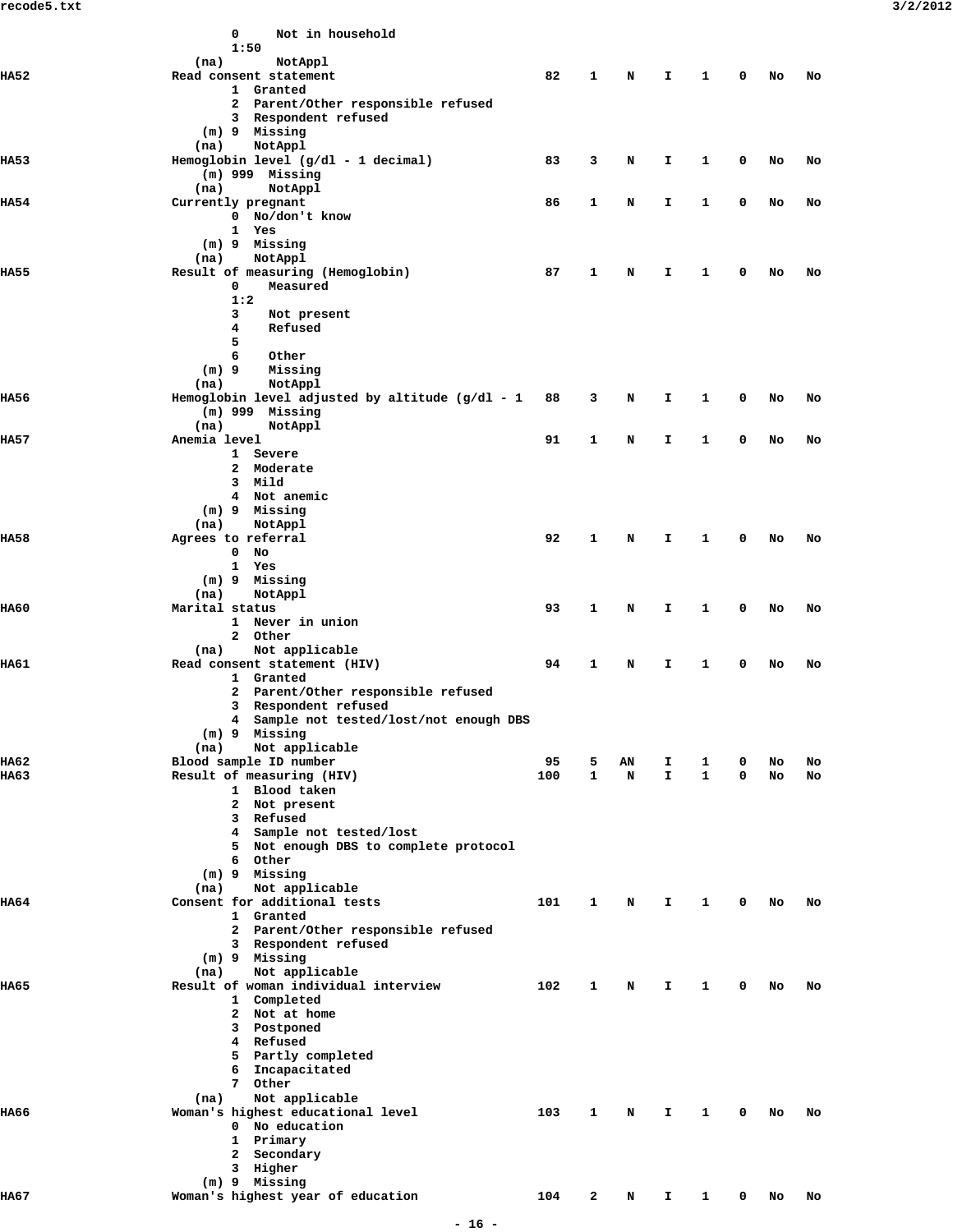|             | 0<br>Not in household<br>1:50                                                                     |     |   |    |    |              |   |    |    |
|-------------|---------------------------------------------------------------------------------------------------|-----|---|----|----|--------------|---|----|----|
| IIA52       | (na)<br>NotAppl<br>Read consent statement<br>1 Granted                                            | 82  | 1 | N  | I. | 1            | 0 | No | No |
|             | 2 Parent/Other responsible refused<br>3 Respondent refused<br>(m) 9 Missing                       |     |   |    |    |              |   |    |    |
| IIA53       | NotAppl<br>(na)<br>Hemoglobin level (g/dl - 1 decimal)<br>$(m)$ 999 Missing                       | 83  | 3 | N  | I. | 1            | 0 | No | No |
|             | (na)<br>NotAppl                                                                                   |     |   |    |    |              |   |    |    |
| IIA54       | Currently pregnant<br>0 No/don't know<br>1 Yes<br>$(m)$ 9<br>Missing                              | 86  | 1 | N  | I  | 1            | 0 | No | No |
|             | NotAppl<br>(na)                                                                                   |     |   |    |    |              |   |    |    |
| <b>HA55</b> | Result of measuring (Hemoglobin)<br>0<br>Measured<br>1:2<br>3<br>Not present                      | 87  | 1 | N  | I  | 1            | 0 | No | No |
|             | 4<br>Refused<br>5<br>6<br>Other                                                                   |     |   |    |    |              |   |    |    |
|             | $(m)$ 9<br>Missing<br>NotAppl<br>(na)                                                             |     |   |    |    |              |   |    |    |
| IIA56       | Hemoglobin level adjusted by altitude $(g/dl - 1)$<br>$(m)$ 999 Missing<br>(na)<br>NotAppl        | 88  | 3 | N  | I. | 1            | 0 | No | No |
| IIA57       | Anemia level                                                                                      | 91  | 1 | N  | I  | 1            | 0 | No | No |
|             | 1 Severe<br>2 Moderate<br>Mild<br>3<br>4 Not anemic<br>(m) 9 Missing                              |     |   |    |    |              |   |    |    |
|             | NotAppl<br>(na)                                                                                   |     |   |    |    |              |   |    |    |
| IIA58       | Agrees to referral<br>0<br>No<br>$\mathbf{1}$<br>Yes                                              | 92  | 1 | N  | I. | 1            | 0 | No | No |
|             | $(m)$ 9<br>Missing<br>NotAppl<br>(na)                                                             |     |   |    |    |              |   |    |    |
| IIA60       | Marital status<br>1 Never in union<br>2 Other                                                     | 93  | 1 | N  | I  | 1            | 0 | No | No |
| HA61        | Not applicable<br>(na)<br>Read consent statement (HIV)                                            | 94  | 1 | N  | I. | 1            | 0 | No | No |
|             | 1 Granted<br>2 Parent/Other responsible refused<br>Respondent refused<br>3                        |     |   |    |    |              |   |    |    |
|             | 4 Sample not tested/lost/not enough DBS                                                           |     |   |    |    |              |   |    |    |
|             | $(m)$ 9 Missing<br>Not applicable<br>(na)                                                         |     |   |    |    |              |   |    |    |
| IIA62       | Blood sample ID number                                                                            | 95  | 5 | AN | I. | 1            | 0 | No | No |
| IIA63       | Result of measuring (HIV)<br>1 Blood taken<br>2 Not present<br>3 Refused                          | 100 | 1 | N  | I. | $\mathbf{1}$ | 0 | No | No |
|             | 4 Sample not tested/lost<br>5 Not enough DBS to complete protocol<br>6 Other                      |     |   |    |    |              |   |    |    |
|             | (m) 9 Missing<br>Not applicable<br>(na)                                                           |     |   |    |    |              |   |    |    |
| IIA64       | Consent for additional tests<br>1 Granted<br>2 Parent/Other responsible refused                   | 101 | 1 | N  | Ι. | 1            | 0 | No | No |
|             | 3 Respondent refused<br>(m) 9 Missing                                                             |     |   |    |    |              |   |    |    |
| IIA65       | Not applicable<br>(na)<br>Result of woman individual interview                                    | 102 | 1 | N  | I. | $\mathbf{1}$ | 0 | No | No |
|             | 1 Completed<br>2 Not at home<br>3 Postponed<br>4 Refused<br>5 Partly completed<br>6 Incapacitated |     |   |    |    |              |   |    |    |
|             | 7 Other<br>Not applicable<br>(na)                                                                 |     |   |    |    |              |   |    |    |
| IIA66       | Woman's highest educational level<br>0 No education<br>1 Primary<br>2 Secondary                   | 103 | 1 | N  | Ι. | 1            | 0 | No | No |
|             | 3 Higher                                                                                          |     |   |    |    |              |   |    |    |
| HA67        | (m) 9 Missing<br>Woman's highest year of education                                                | 104 | 2 | N  | I. | $\mathbf{1}$ | 0 | No | No |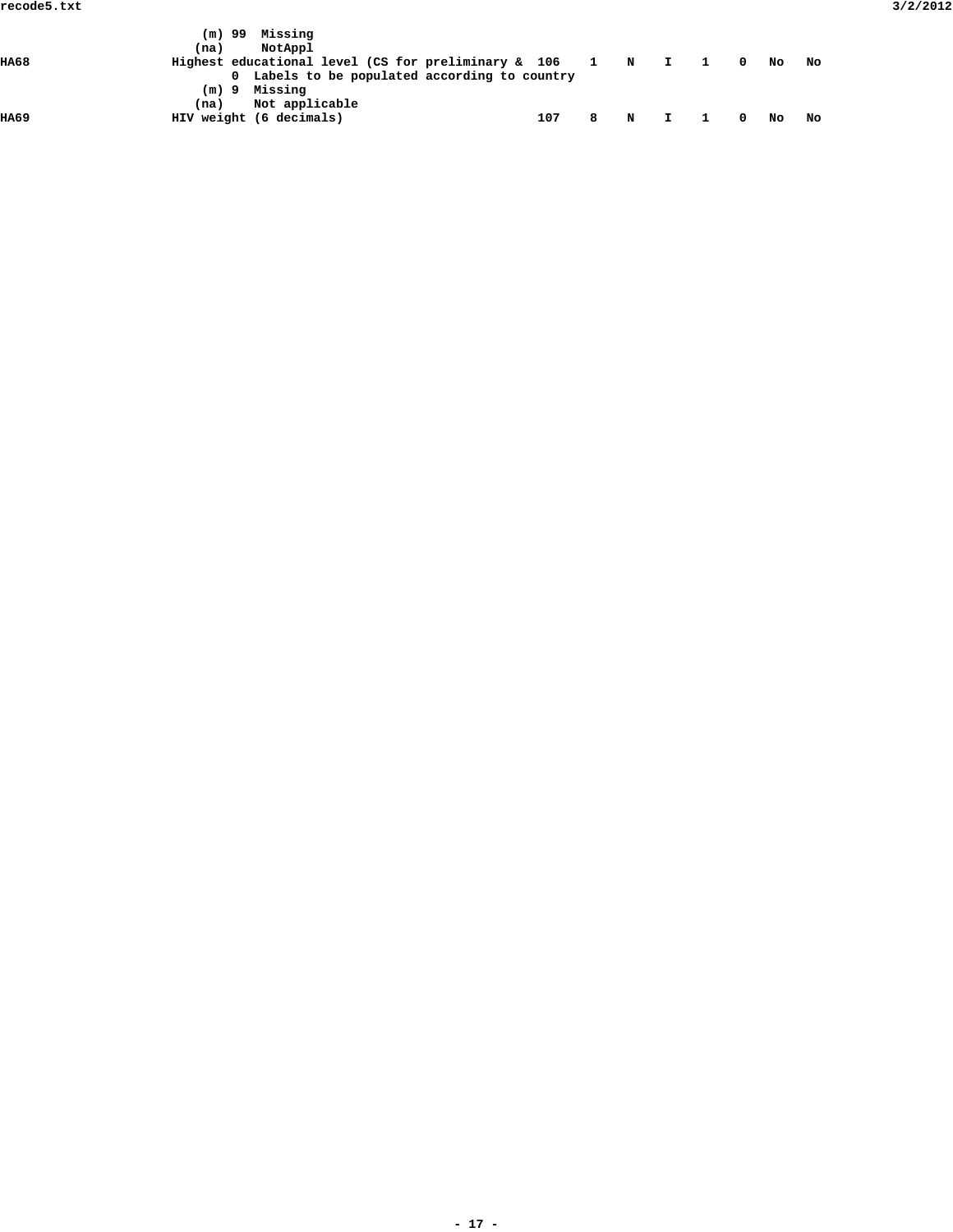|       | (m) 99 | Missing                                                       |     |   |           |  |        |    |  |
|-------|--------|---------------------------------------------------------------|-----|---|-----------|--|--------|----|--|
|       | (na)   | NotAppl                                                       |     |   |           |  |        |    |  |
| HA68  |        | Highest educational level (CS for preliminary & $106$ 1 N I 1 |     |   |           |  | $0$ No | No |  |
|       |        | 0 Labels to be populated according to country                 |     |   |           |  |        |    |  |
|       |        | $(m)$ 9 Missing                                               |     |   |           |  |        |    |  |
|       | (na)   | Not applicable                                                |     |   |           |  |        |    |  |
| 11A69 |        | HIV weight (6 decimals)                                       | 107 | 8 | N I 10 NO |  |        | No |  |
|       |        |                                                               |     |   |           |  |        |    |  |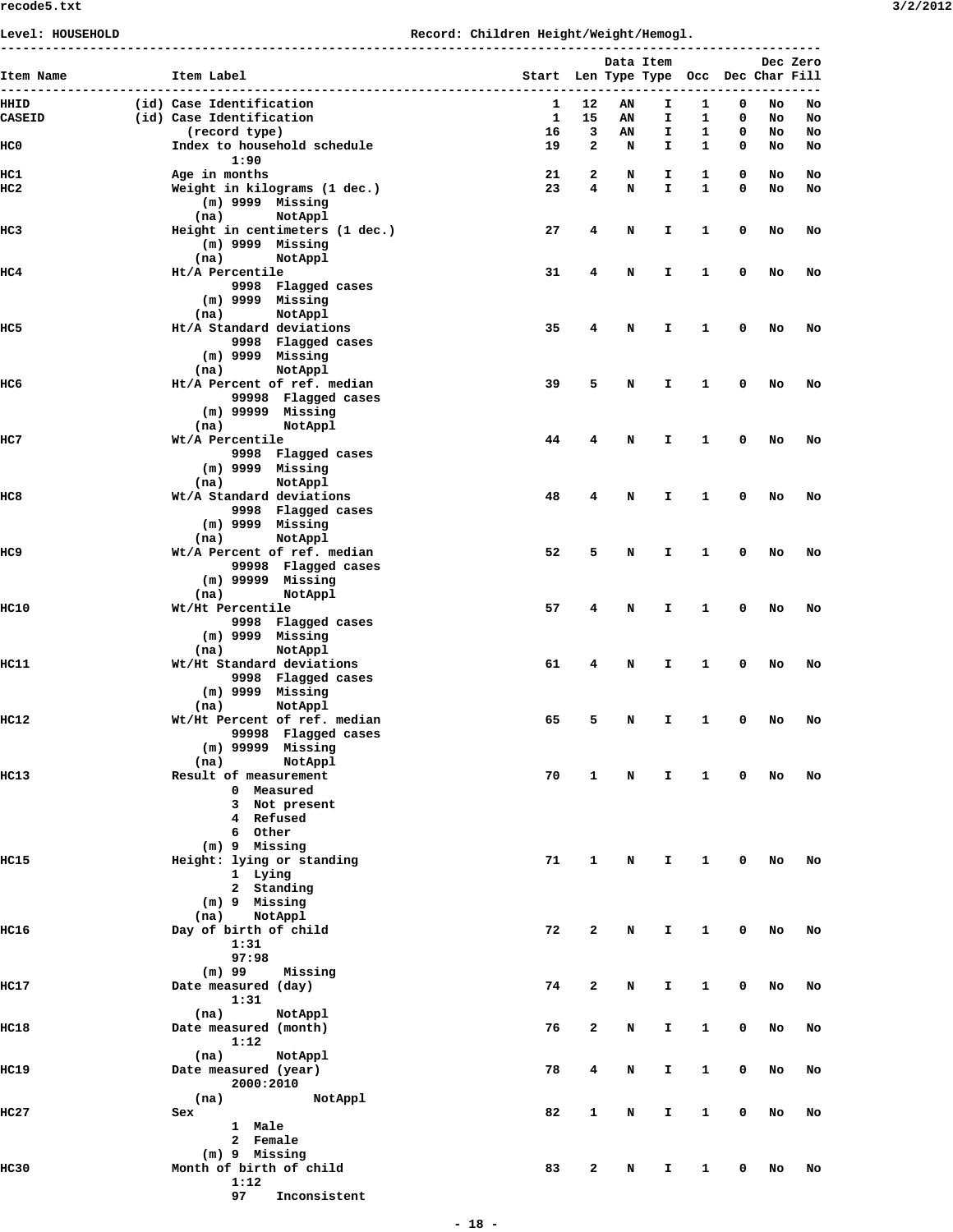**Level: HOUSEHOLD Record: Children Height/Weight/Hemogl.**

| Item Name       | Item Label                                                           | Start Len Type Type Occ Dec Char Fill |              | Data Item |         |              |             |          | Dec Zero |
|-----------------|----------------------------------------------------------------------|---------------------------------------|--------------|-----------|---------|--------------|-------------|----------|----------|
| HIIID           | (id) Case Identification                                             | 1                                     | 12           | ΑN        | I       | 1            | 0           | No       | No       |
| <b>CASEID</b>   | (id) Case Identification<br>(record type)                            | $\mathbf{1}$<br>16                    | 15<br>3      | AN<br>ΑN  | I.<br>I | 1<br>1       | 0<br>0      | No<br>No | No<br>No |
| HC0             | Index to household schedule<br>1:90                                  | 19                                    | $\mathbf{2}$ | N         | I.      | $\mathbf{1}$ | 0           | No       | No       |
| HC1             | Age in months                                                        | 21                                    | 2            | N         | I.      | 1            | 0           | No       | No       |
| HC <sub>2</sub> | Weight in kilograms (1 dec.)<br>$(m)$ 9999 Missing                   | 23                                    | 4            | N         | I.      | 1            | 0           | No       | No       |
| HC3             | (na)<br>NotAppl<br>Height in centimeters (1 dec.)                    | 27                                    | 4            | N         | I       | 1            | 0           | No       | No       |
|                 | $(m)$ 9999 Missing<br>(na)<br>NotAppl                                |                                       |              |           |         |              |             |          |          |
| HC4             | Ht/A Percentile<br>9998 Flagged cases<br>$(m)$ 9999 Missing          | 31                                    | 4            | N         | I       | 1            | 0           | No       | No       |
|                 | NotAppl<br>(na)                                                      |                                       |              |           |         |              |             |          |          |
| HC5             | Ht/A Standard deviations<br>9998 Flagged cases                       | 35                                    | 4            | N         | I.      | 1            | 0           | No       | No       |
|                 | $(m)$ 9999 Missing<br>NotAppl<br>(na)                                |                                       |              |           |         |              |             |          |          |
| HC6             | Ht/A Percent of ref. median                                          | 39                                    | 5            | N         | I       | 1            | 0           | No       | No       |
|                 | 99998 Flagged cases<br>$(m)$ 99999 Missing                           |                                       |              |           |         |              |             |          |          |
| HC7             | NotAppl<br>(na)<br>Wt/A Percentile                                   | 44                                    | 4            | N         | I       | 1            | 0           | No       | No       |
|                 | 9998 Flagged cases<br>$(m)$ 9999 Missing                             |                                       |              |           |         |              |             |          |          |
|                 | (na)<br>NotAppl                                                      |                                       |              |           |         |              |             |          |          |
| HC8             | Wt/A Standard deviations<br>9998 Flagged cases<br>$(m)$ 9999 Missing | 48                                    | 4            | N         | I       | 1            | 0           | No       | No       |
|                 | (na)<br>NotAppl                                                      |                                       |              |           |         |              |             |          |          |
| HC9             | Wt/A Percent of ref. median                                          | 52                                    | 5            | N         | I.      | 1            | 0           | No       | No       |
|                 | 99998 Flagged cases<br>$(m)$ 99999 Missing                           |                                       |              |           |         |              |             |          |          |
|                 | NotAppl<br>(na)                                                      |                                       |              |           |         |              |             |          |          |
| HC10            | Wt/Ht Percentile<br>9998 Flagged cases                               | 57                                    | 4            | N         | I       | 1            | 0           | No       | No       |
|                 | $(m)$ 9999 Missing<br>(na)<br>NotAppl                                |                                       |              |           |         |              |             |          |          |
| HC11            | Wt/Ht Standard deviations                                            | 61                                    | 4            | N         | I       | 1            | 0           | No       | No       |
|                 | 9998 Flagged cases<br>$(m)$ 9999 Missing                             |                                       |              |           |         |              |             |          |          |
|                 | NotAppl<br>(na)                                                      |                                       |              |           |         |              |             |          |          |
| <b>HC12</b>     | Wt/Ht Percent of ref. median<br>99998 Flagged cases                  | 65                                    | 5            | N         | I.      | 1            | 0           | No       | No       |
|                 | $(m)$ 99999 Missing<br>(na)<br>NotAppl                               |                                       |              |           |         |              |             |          |          |
| <b>HC13</b>     | Result of measurement                                                | 70                                    | 1            | <b>N</b>  | Ι.      | $\mathbf{1}$ | $\mathbf 0$ | No       | No       |
|                 | 0 Measured                                                           |                                       |              |           |         |              |             |          |          |
|                 | 3 Not present<br>4 Refused                                           |                                       |              |           |         |              |             |          |          |
|                 | 6 Other                                                              |                                       |              |           |         |              |             |          |          |
| HC15            | $(m)$ 9 Missing<br>Height: lying or standing                         | 71                                    | 1            | N         | Ι.      | $\mathbf{1}$ | 0           | No       | No       |
|                 | 1 Lying                                                              |                                       |              |           |         |              |             |          |          |
|                 | 2 Standing<br>(m) 9 Missing                                          |                                       |              |           |         |              |             |          |          |
|                 | (na) NotAppl                                                         |                                       |              |           |         |              |             |          |          |
| HC16            | Day of birth of child                                                | 72                                    | 2            | N         | I.      | 1            | 0           | No       | No       |
|                 | 1:31<br>97:98                                                        |                                       |              |           |         |              |             |          |          |
|                 | (m) 99<br>Missing                                                    |                                       |              |           |         |              |             |          |          |
| HC17            | Date measured (day)<br>1:31                                          | 74                                    | 2            | N         | Ι.      | $\mathbf{1}$ | 0           | No       | No       |
|                 | (na) NotAppl                                                         |                                       |              |           |         |              |             |          |          |
| HC18            | Date measured (month)<br>1:12                                        | 76                                    | 2            | N         | I.      | 1            | 0           | No       | No       |
| <b>HC19</b>     | (na)<br>NotAppl<br>Date measured (year)                              | 78                                    | 4            |           | I.      | 1            | 0           | No       | No       |
|                 | 2000:2010                                                            |                                       |              | N         |         |              |             |          |          |
| HC27            | NotAppl<br>(na)<br>Sex                                               | 82                                    | 1            | N         | Ι.      | 1            | 0           | No       | No       |
|                 | 1 Male                                                               |                                       |              |           |         |              |             |          |          |
|                 | 2 Female<br>(m) 9 Missing                                            |                                       |              |           |         |              |             |          |          |
| HC30            | Month of birth of child                                              | 83                                    | 2            | N         | I       | 1            | 0           | No       | No       |
|                 | 1:12                                                                 |                                       |              |           |         |              |             |          |          |
|                 | 97<br>Inconsistent                                                   |                                       |              |           |         |              |             |          |          |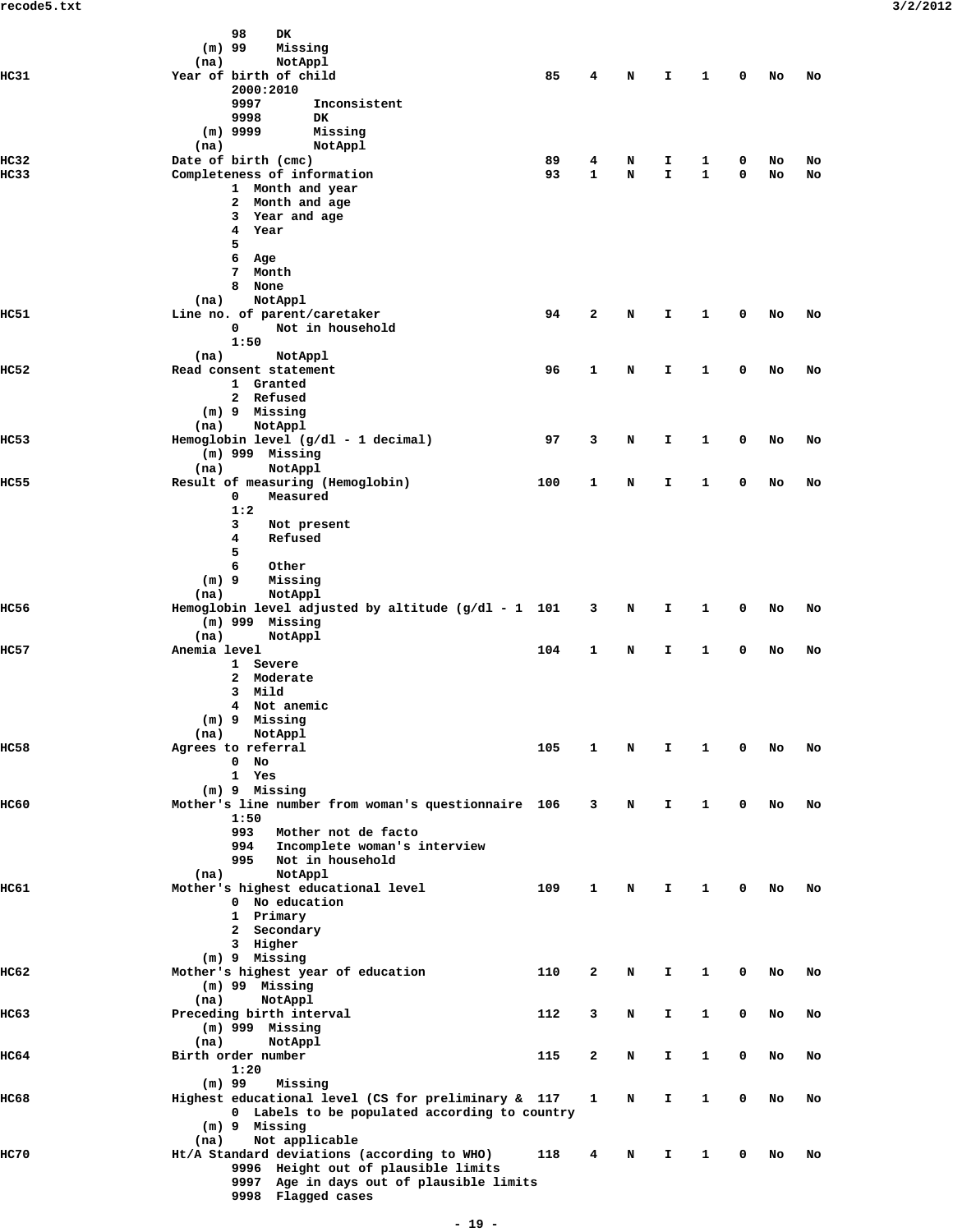|                     | 98<br>DK                                                                   |     |        |        |         |        |   |          |          |
|---------------------|----------------------------------------------------------------------------|-----|--------|--------|---------|--------|---|----------|----------|
|                     | $(m)$ 99<br>Missing<br>(na)<br>NotAppl                                     |     |        |        |         |        |   |          |          |
| <b>HC31</b>         | Year of birth of child                                                     | 85  | 4      | N      | I.      | 1      | 0 | No       | No       |
|                     | 2000:2010                                                                  |     |        |        |         |        |   |          |          |
|                     | 9997<br>Inconsistent                                                       |     |        |        |         |        |   |          |          |
|                     | 9998<br><b>DK</b>                                                          |     |        |        |         |        |   |          |          |
|                     | $(m)$ 9999<br>Missing                                                      |     |        |        |         |        |   |          |          |
|                     | NotAppl<br>(na)                                                            | 89  |        |        |         |        | 0 |          |          |
| HC32<br><b>HC33</b> | Date of birth (cmc)<br>Completeness of information                         | 93  | 4<br>1 | N<br>N | I<br>I. | 1<br>1 | 0 | No<br>No | No<br>No |
|                     | 1 Month and year                                                           |     |        |        |         |        |   |          |          |
|                     | Month and age<br>$\mathbf{2}$                                              |     |        |        |         |        |   |          |          |
|                     | Year and age<br>3                                                          |     |        |        |         |        |   |          |          |
|                     | 4<br>Year                                                                  |     |        |        |         |        |   |          |          |
|                     | 5                                                                          |     |        |        |         |        |   |          |          |
|                     | 6<br>Age<br>Month<br>7                                                     |     |        |        |         |        |   |          |          |
|                     | 8<br>None                                                                  |     |        |        |         |        |   |          |          |
|                     | NotAppl<br>(na)                                                            |     |        |        |         |        |   |          |          |
| <b>HC51</b>         | Line no. of parent/caretaker                                               | 94  | 2      | N      | I       | 1      | 0 | No       | No       |
|                     | 0<br>Not in household                                                      |     |        |        |         |        |   |          |          |
|                     | 1:50                                                                       |     |        |        |         |        |   |          |          |
| HC52                | (na)<br>NotAppl<br>Read consent statement                                  | 96  | 1      | N      | I       | 1      | 0 | No       | No       |
|                     | 1 Granted                                                                  |     |        |        |         |        |   |          |          |
|                     | 2 Refused                                                                  |     |        |        |         |        |   |          |          |
|                     | (m) 9 Missing                                                              |     |        |        |         |        |   |          |          |
|                     | NotAppl<br>(na)                                                            |     |        |        |         |        |   |          |          |
| HC53                | Hemoglobin level (g/dl - 1 decimal)                                        | 97  | 3      | N      | I       | 1      | 0 | No       | No       |
|                     | $(m)$ 999 Missing                                                          |     |        |        |         |        |   |          |          |
| <b>HC55</b>         | (na)<br>NotAppl<br>Result of measuring (Hemoglobin)                        | 100 | 1      | N      | I       | 1      | 0 | No       | No       |
|                     | 0<br>Measured                                                              |     |        |        |         |        |   |          |          |
|                     | 1:2                                                                        |     |        |        |         |        |   |          |          |
|                     | 3<br>Not present                                                           |     |        |        |         |        |   |          |          |
|                     | 4<br>Refused                                                               |     |        |        |         |        |   |          |          |
|                     | 5                                                                          |     |        |        |         |        |   |          |          |
|                     | 6<br>Other<br>$(m)$ 9<br>Missing                                           |     |        |        |         |        |   |          |          |
|                     | NotAppl<br>(na)                                                            |     |        |        |         |        |   |          |          |
| <b>HC56</b>         | Hemoglobin level adjusted by altitude $(g/dl - 1 101$                      |     | 3      | N      | I       | 1      | 0 | No       | No       |
|                     | $(m)$ 999 Missing                                                          |     |        |        |         |        |   |          |          |
|                     | (na)<br>NotAppl                                                            |     |        |        |         |        |   |          |          |
| <b>HC57</b>         | Anemia level                                                               | 104 | 1      | N      | I       | 1      | 0 | No       | No       |
|                     | 1 Severe<br>Moderate<br>2                                                  |     |        |        |         |        |   |          |          |
|                     | Mild<br>3                                                                  |     |        |        |         |        |   |          |          |
|                     | Not anemic<br>4                                                            |     |        |        |         |        |   |          |          |
|                     | $(m)$ 9<br>Missing                                                         |     |        |        |         |        |   |          |          |
|                     | (na)<br>NotAppl                                                            |     |        |        |         |        |   |          |          |
| HC58                | Agrees to referral<br>No<br>0                                              | 105 | 1      | N      | I       | 1      | 0 | No       | No       |
|                     | 1 Yes                                                                      |     |        |        |         |        |   |          |          |
|                     | (m) 9 Missing                                                              |     |        |        |         |        |   |          |          |
| <b>IIC60</b>        | Mother's line number from woman's questionnaire 106                        |     | 3      | N      | I.      | 1      | 0 | No       | No       |
|                     | 1:50                                                                       |     |        |        |         |        |   |          |          |
|                     | 993<br>Mother not de facto                                                 |     |        |        |         |        |   |          |          |
|                     | Incomplete woman's interview<br>994                                        |     |        |        |         |        |   |          |          |
|                     | Not in household<br>995<br>NotAppl                                         |     |        |        |         |        |   |          |          |
| IIC61               | (na)<br>Mother's highest educational level                                 | 109 | 1      | N      | I.      | 1      | 0 | No       | No       |
|                     | 0 No education                                                             |     |        |        |         |        |   |          |          |
|                     | 1 Primary                                                                  |     |        |        |         |        |   |          |          |
|                     | 2 Secondary                                                                |     |        |        |         |        |   |          |          |
|                     | 3 Higher                                                                   |     |        |        |         |        |   |          |          |
|                     | $(m)$ 9 Missing                                                            |     |        |        |         |        |   |          |          |
| IIC62               | Mother's highest year of education<br>$(m)$ 99 Missing                     | 110 | 2      | N      | I       | 1      | 0 | No       | No       |
|                     | (na)<br>NotAppl                                                            |     |        |        |         |        |   |          |          |
| HC63                | Preceding birth interval                                                   | 112 | 3      | N      | I.      | 1      | 0 | No       | No       |
|                     | $(m)$ 999 Missing                                                          |     |        |        |         |        |   |          |          |
|                     | (na)<br>NotAppl                                                            |     |        |        |         |        |   |          |          |
| IIC64               | Birth order number                                                         | 115 | 2      | N      | I.      | 1      | 0 | No       | No       |
|                     | 1:20                                                                       |     |        |        |         |        |   |          |          |
| <b>IIC68</b>        | $(m)$ 99<br>Missing<br>Highest educational level (CS for preliminary & 117 |     | 1      | N      | I.      | 1      | 0 | No       | No       |
|                     | 0 Labels to be populated according to country                              |     |        |        |         |        |   |          |          |
|                     | $(m)$ 9 Missing                                                            |     |        |        |         |        |   |          |          |
|                     | Not applicable<br>(na)                                                     |     |        |        |         |        |   |          |          |
| <b>HC70</b>         | Ht/A Standard deviations (according to WHO)                                | 118 | 4      | N      | I       | 1      | 0 | No       | No       |
|                     | 9996 Height out of plausible limits                                        |     |        |        |         |        |   |          |          |
|                     | 9997 Age in days out of plausible limits<br>9998 Flagged cases             |     |        |        |         |        |   |          |          |
|                     |                                                                            |     |        |        |         |        |   |          |          |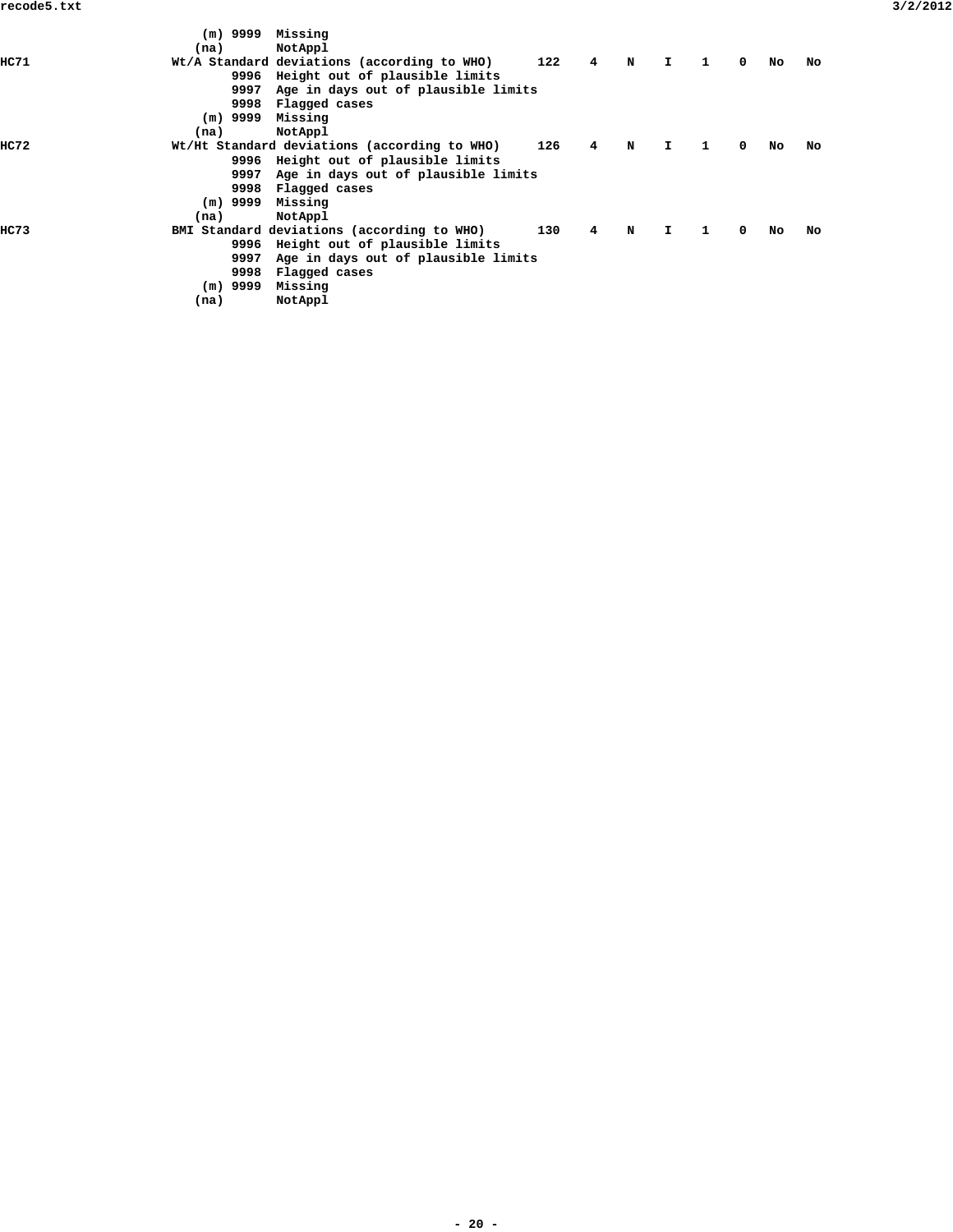|       | $(m)$ 9999 Missing<br>(na) | NotAppl                                      |     |                |   |              |              |            |     |    |
|-------|----------------------------|----------------------------------------------|-----|----------------|---|--------------|--------------|------------|-----|----|
| HC 71 |                            | Wt/A Standard deviations (according to WHO)  | 122 | $\overline{4}$ | N | $\mathbf{I}$ | $\mathbf{1}$ | $^{\circ}$ | No  | No |
|       | 9996                       | Height out of plausible limits               |     |                |   |              |              |            |     |    |
|       | 9997                       | Age in days out of plausible limits          |     |                |   |              |              |            |     |    |
|       | 9998                       | Flagged cases                                |     |                |   |              |              |            |     |    |
|       | $(m)$ 9999 Missing         |                                              |     |                |   |              |              |            |     |    |
|       | (na)                       | NotAppl                                      |     |                |   |              |              |            |     |    |
| HC72  |                            | Wt/Ht Standard deviations (according to WHO) | 126 | 4              | N | I.           | 1            | 0          | No. | No |
|       |                            | 9996 Height out of plausible limits          |     |                |   |              |              |            |     |    |
|       | 9997                       | Age in days out of plausible limits          |     |                |   |              |              |            |     |    |
|       | 9998                       | Flagged cases                                |     |                |   |              |              |            |     |    |
|       | $(m)$ 9999 Missing         |                                              |     |                |   |              |              |            |     |    |
|       | (na)                       | NotAppl                                      |     |                |   |              |              |            |     |    |
| HC 73 |                            | BMI Standard deviations (according to WHO)   | 130 | 4              | N | $\mathbf{T}$ | $\mathbf{1}$ | 0          | No. | No |
|       |                            | 9996 Height out of plausible limits          |     |                |   |              |              |            |     |    |
|       | 9997                       | Age in days out of plausible limits          |     |                |   |              |              |            |     |    |
|       | 9998                       | Flagged cases                                |     |                |   |              |              |            |     |    |
|       | (m) 9999                   | Missing                                      |     |                |   |              |              |            |     |    |
|       | (na)                       | NotAppl                                      |     |                |   |              |              |            |     |    |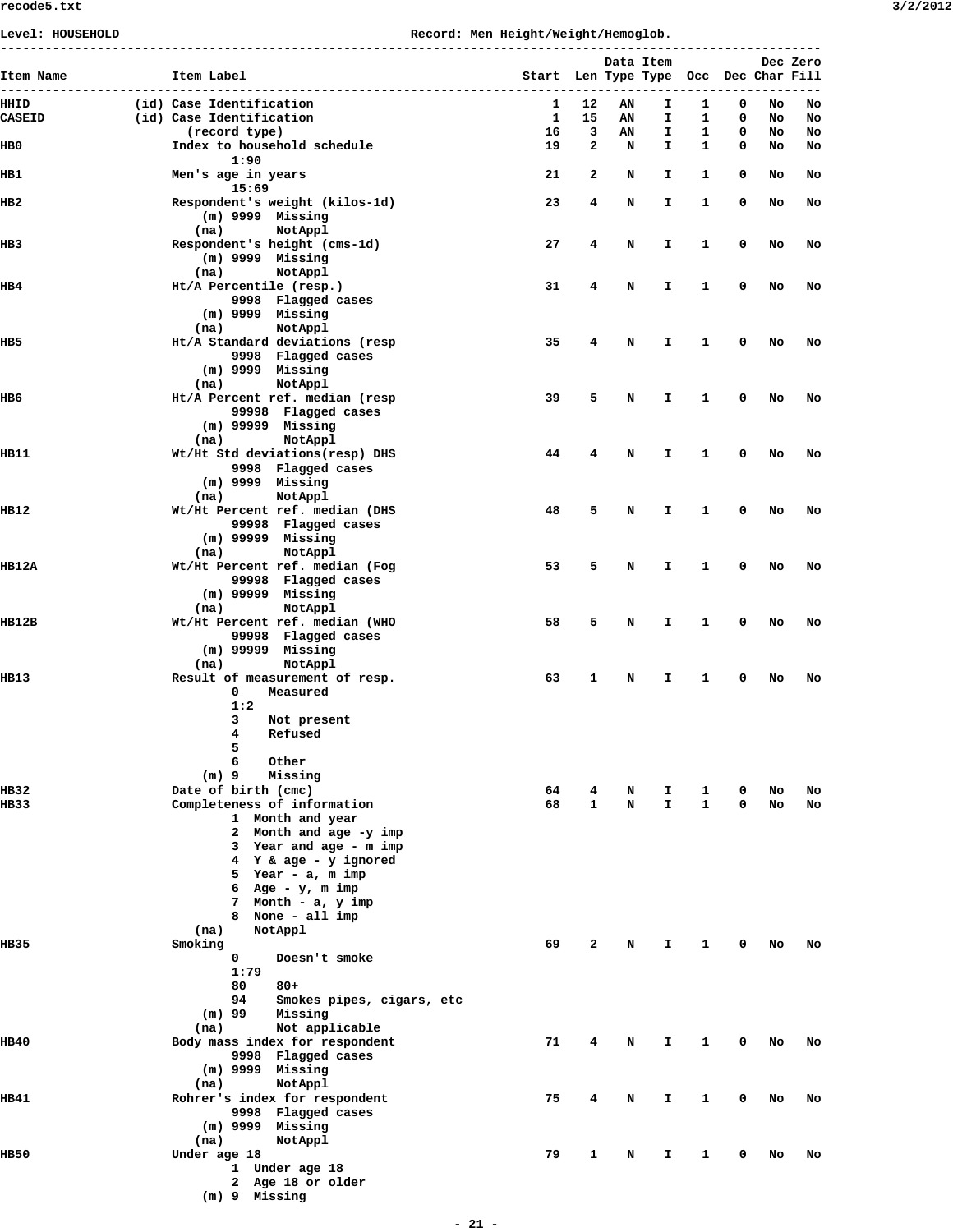## **Level: HOUSEHOLD Record: Men Height/Weight/Hemoglob.**

| Item Name        | Item Label                                                                                                                                                                                                                                                   | Start Len Type Type |        | Data Item |          |        |        | Occ Dec Char Fill | Dec Zero |
|------------------|--------------------------------------------------------------------------------------------------------------------------------------------------------------------------------------------------------------------------------------------------------------|---------------------|--------|-----------|----------|--------|--------|-------------------|----------|
| HHID             | (id) Case Identification                                                                                                                                                                                                                                     | 1                   | 12     | AN        | I.       | 1      | 0      | No                | No       |
| <b>CASEID</b>    | (id) Case Identification                                                                                                                                                                                                                                     | 1                   | 15     | AN        | I        | 1      | 0      | No                | No       |
| HB0              | (record type)<br>Index to household schedule<br>1:90                                                                                                                                                                                                         | 16<br>19            | 3<br>2 | AN<br>N   | I<br>I   | 1<br>1 | 0<br>0 | No<br>No          | No<br>No |
| HB1              | Men's age in years<br>15:69                                                                                                                                                                                                                                  | 21                  | 2      | N         | Ι.       | 1      | 0      | No                | No       |
| HB2              | Respondent's weight (kilos-1d)<br>$(m)$ 9999 Missing<br>NotAppl<br>(na)                                                                                                                                                                                      | 23                  | 4      | Ν         | I        | 1      | 0      | No                | No       |
| IIB <sub>3</sub> | Respondent's height (cms-1d)<br>$(m)$ 9999 Missing                                                                                                                                                                                                           | 27                  | 4      | N         | I        | 1      | 0      | No                | No       |
| IIB4             | NotAppl<br>(na)<br>Ht/A Percentile (resp.)<br>9998 Flagged cases<br>$(m)$ 9999 Missing<br>NotAppl<br>(na)                                                                                                                                                    | 31                  | 4      | Ν         | I        | 1      | 0      | No                | No       |
| HB5              | Ht/A Standard deviations (resp<br>9998 Flagged cases<br>$(m)$ 9999 Missing<br>NotAppl<br>(na)                                                                                                                                                                | 35                  | 4      | Ν         | I        | 1      | 0      | No                | No       |
| IIB6             | Ht/A Percent ref. median (resp<br>99998 Flagged cases<br>$(m)$ 99999 Missing<br>NotAppl<br>(na)                                                                                                                                                              | 39                  | 5      | Ν         | I        | 1      | 0      | No                | No       |
| IIB11            | Wt/Ht Std deviations(resp) DHS<br>9998 Flagged cases<br>$(m)$ 9999 Missing<br>NotAppl<br>(na)                                                                                                                                                                | 44                  | 4      | N         | I        | 1      | 0      | No                | No       |
| IIB12            | Wt/Ht Percent ref. median (DHS<br>99998 Flagged cases<br>$(m)$ 99999 Missing<br>NotAppl<br>(na)                                                                                                                                                              | 48                  | 5      | Ν         | I        | 1      | 0      | No                | No       |
| HB12A            | Wt/Ht Percent ref. median (Fog<br>99998 Flagged cases<br>$(m)$ 99999 Missing<br>NotAppl<br>(na)                                                                                                                                                              | 53                  | 5      | Ν         | I        | 1      | 0      | No                | No       |
| HB12B            | Wt/Ht Percent ref. median (WHO<br>99998 Flagged cases<br>$(m)$ 99999 Missing<br>NotAppl<br>(na)                                                                                                                                                              | 58                  | 5      | Ν         | I        | 1      | 0      | No                | No       |
| IIB13            | Result of measurement of resp.<br>Measured<br>0<br>1:2<br>3<br>Not present<br>$\overline{4}$<br>Refused<br>5<br>6<br>Other<br>Missing<br>$(m)$ 9                                                                                                             | 63                  | 1      | N         | I        | 1      | 0      | No                | No       |
| IIB 32<br>IIB 33 | Date of birth (cmc)<br>Completeness of information<br>1 Month and year<br>2 Month and age -y imp<br>3 Year and age - m imp<br>4 Y & age - y ignored<br>5 Year - a, m imp<br>6 Age - $y$ , m imp<br>7 Month - a, y imp<br>8 None - all imp<br>NotAppl<br>(na) | 64<br>68            | 4<br>1 | N<br>N    | I.<br>I. | 1<br>1 | 0<br>0 | No<br>No          | No<br>No |
| IIB 35           | Smoking<br>$\mathbf 0$<br>Doesn't smoke<br>1:79<br>80<br>$80+$<br>94<br>Smokes pipes, cigars, etc<br>$(m)$ 99<br>Missing<br>(na)<br>Not applicable                                                                                                           | 69                  | 2      | N         | I.       | 1      | 0      | No                | No       |
| IIB40            | Body mass index for respondent<br>9998 Flagged cases<br>$(m)$ 9999 Missing<br>NotAppl<br>(na)                                                                                                                                                                | 71                  | 4      | N         | I.       | 1      | 0      | No                | No       |
| IIB41            | Rohrer's index for respondent<br>9998 Flagged cases<br>$(m)$ 9999 Missing<br>NotAppl<br>(na)                                                                                                                                                                 | 75                  | 4      | N         | I.       | 1      | 0      | No                | No       |
| HB50             | Under age 18<br>1 Under age 18<br>2 Age 18 or older<br>$(m)$ 9 Missing                                                                                                                                                                                       | 79                  | 1      | N         | I.       | 1      | 0      | No                | No       |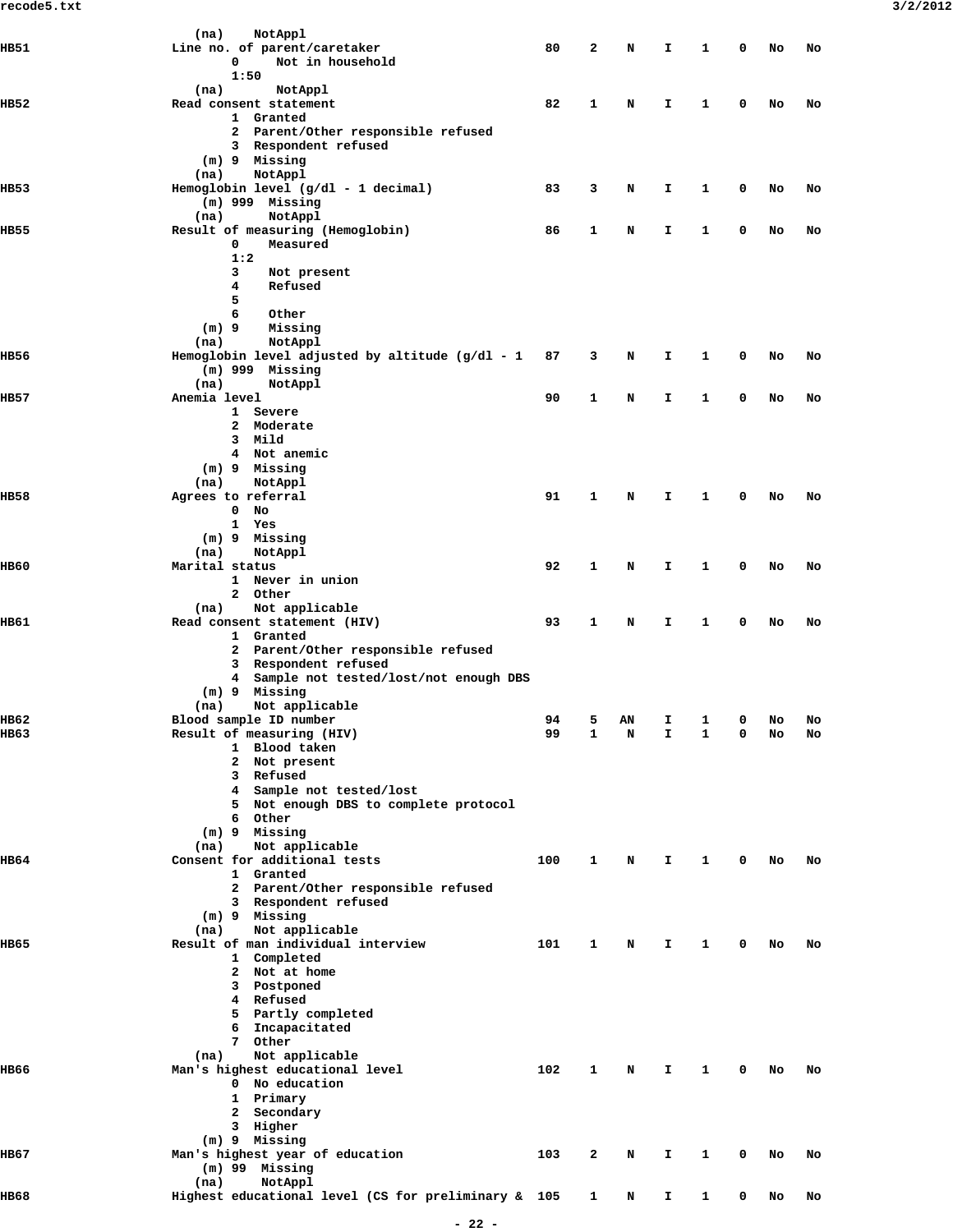|             | NotAppl<br>(na)                                     |     |              |    |    |              |   |    |    |
|-------------|-----------------------------------------------------|-----|--------------|----|----|--------------|---|----|----|
| HB51        | Line no. of parent/caretaker                        | 80  | 2            | N  | I  | 1            | 0 | No | No |
|             | 0                                                   |     |              |    |    |              |   |    |    |
|             | Not in household                                    |     |              |    |    |              |   |    |    |
|             | 1:50                                                |     |              |    |    |              |   |    |    |
|             | (na)<br>NotAppl                                     |     |              |    |    |              |   |    |    |
| IIB52       | Read consent statement                              | 82  | 1            | N  | I. | 1            | 0 | No | No |
|             | 1 Granted                                           |     |              |    |    |              |   |    |    |
|             | 2 Parent/Other responsible refused                  |     |              |    |    |              |   |    |    |
|             |                                                     |     |              |    |    |              |   |    |    |
|             | 3 Respondent refused                                |     |              |    |    |              |   |    |    |
|             | (m) 9 Missing                                       |     |              |    |    |              |   |    |    |
|             | NotAppl<br>(na)                                     |     |              |    |    |              |   |    |    |
| HB53        | Hemoglobin level (g/dl - 1 decimal)                 | 83  | 3            | N  | I. | 1            | 0 | No | No |
|             | $(m)$ 999 Missing                                   |     |              |    |    |              |   |    |    |
|             |                                                     |     |              |    |    |              |   |    |    |
|             | NotAppl<br>(na)                                     |     |              |    |    |              |   |    |    |
| IIB55       | Result of measuring (Hemoglobin)                    | 86  | 1            | N  | I  | 1            | 0 | No | No |
|             | Measured<br>0                                       |     |              |    |    |              |   |    |    |
|             | 1:2                                                 |     |              |    |    |              |   |    |    |
|             | 3<br>Not present                                    |     |              |    |    |              |   |    |    |
|             | 4<br>Refused                                        |     |              |    |    |              |   |    |    |
|             |                                                     |     |              |    |    |              |   |    |    |
|             | 5                                                   |     |              |    |    |              |   |    |    |
|             | 6<br>Other                                          |     |              |    |    |              |   |    |    |
|             | $(m)$ 9<br>Missing                                  |     |              |    |    |              |   |    |    |
|             | NotAppl<br>(na)                                     |     |              |    |    |              |   |    |    |
|             | Hemoglobin level adjusted by altitude $(g/dl - 1)$  |     | 3            |    |    |              |   |    |    |
| HB56        |                                                     | 87  |              | N  | I  | 1            | 0 | No | No |
|             | (m) 999 Missing                                     |     |              |    |    |              |   |    |    |
|             | (na)<br>NotAppl                                     |     |              |    |    |              |   |    |    |
| IIB57       | Anemia level                                        | 90  | 1            | N  | I  | 1            | 0 | No | No |
|             | 1 Severe                                            |     |              |    |    |              |   |    |    |
|             |                                                     |     |              |    |    |              |   |    |    |
|             | 2 Moderate                                          |     |              |    |    |              |   |    |    |
|             | 3 Mild                                              |     |              |    |    |              |   |    |    |
|             | 4 Not anemic                                        |     |              |    |    |              |   |    |    |
|             | (m) 9 Missing                                       |     |              |    |    |              |   |    |    |
|             | (na)<br>NotAppl                                     |     |              |    |    |              |   |    |    |
|             |                                                     |     |              |    |    |              |   |    |    |
| IIB58       | Agrees to referral                                  | 91  | 1            | N  | I. | 1            | 0 | No | No |
|             | No<br>0                                             |     |              |    |    |              |   |    |    |
|             | 1 Yes                                               |     |              |    |    |              |   |    |    |
|             | (m) 9 Missing                                       |     |              |    |    |              |   |    |    |
|             | (na)<br>NotAppl                                     |     |              |    |    |              |   |    |    |
|             |                                                     |     |              |    |    |              |   |    |    |
| <b>HB60</b> | Marital status                                      | 92  | 1            | N  | I  | 1            | 0 | No | No |
|             | 1 Never in union                                    |     |              |    |    |              |   |    |    |
|             | 2 Other                                             |     |              |    |    |              |   |    |    |
|             | Not applicable<br>(na)                              |     |              |    |    |              |   |    |    |
| IIB61       | Read consent statement (HIV)                        | 93  | 1            | N  | I. | 1            | 0 | No | No |
|             | 1 Granted                                           |     |              |    |    |              |   |    |    |
|             |                                                     |     |              |    |    |              |   |    |    |
|             | 2 Parent/Other responsible refused                  |     |              |    |    |              |   |    |    |
|             | 3 Respondent refused                                |     |              |    |    |              |   |    |    |
|             | 4 Sample not tested/lost/not enough DBS             |     |              |    |    |              |   |    |    |
|             | $(m)$ 9 Missing                                     |     |              |    |    |              |   |    |    |
|             |                                                     |     |              |    |    |              |   |    |    |
|             | Not applicable<br>(na)                              |     |              |    |    |              |   |    |    |
| IIB62       | Blood sample ID number                              | 94  | 5            | AN | I  | 1            | 0 | No | No |
| HB63        | Result of measuring (HIV)                           | 99  | 1            | N  | I. | 1            | 0 | No | No |
|             | 1 Blood taken                                       |     |              |    |    |              |   |    |    |
|             | 2 Not present                                       |     |              |    |    |              |   |    |    |
|             |                                                     |     |              |    |    |              |   |    |    |
|             | 3 Refused                                           |     |              |    |    |              |   |    |    |
|             | 4 Sample not tested/lost                            |     |              |    |    |              |   |    |    |
|             | 5 Not enough DBS to complete protocol               |     |              |    |    |              |   |    |    |
|             | 6 Other                                             |     |              |    |    |              |   |    |    |
|             | $(m)$ 9 Missing                                     |     |              |    |    |              |   |    |    |
|             |                                                     |     |              |    |    |              |   |    |    |
|             | Not applicable<br>(na)                              |     |              |    |    |              |   |    |    |
| HB64        | Consent for additional tests                        | 100 | 1            | N  | I. | 1            | 0 | No | No |
|             | 1 Granted                                           |     |              |    |    |              |   |    |    |
|             | 2 Parent/Other responsible refused                  |     |              |    |    |              |   |    |    |
|             | 3 Respondent refused                                |     |              |    |    |              |   |    |    |
|             |                                                     |     |              |    |    |              |   |    |    |
|             | (m) 9 Missing                                       |     |              |    |    |              |   |    |    |
|             | Not applicable<br>(na)                              |     |              |    |    |              |   |    |    |
| HB65        | Result of man individual interview                  | 101 | $\mathbf{1}$ | N  | Т. | $\mathbf{1}$ | 0 | No | No |
|             | 1 Completed                                         |     |              |    |    |              |   |    |    |
|             | 2 Not at home                                       |     |              |    |    |              |   |    |    |
|             |                                                     |     |              |    |    |              |   |    |    |
|             | 3 Postponed                                         |     |              |    |    |              |   |    |    |
|             | 4 Refused                                           |     |              |    |    |              |   |    |    |
|             | 5 Partly completed                                  |     |              |    |    |              |   |    |    |
|             | 6 Incapacitated                                     |     |              |    |    |              |   |    |    |
|             | 7 Other                                             |     |              |    |    |              |   |    |    |
|             |                                                     |     |              |    |    |              |   |    |    |
|             | Not applicable<br>(na)                              |     |              |    |    |              |   |    |    |
| IIB66       | Man's highest educational level                     | 102 | 1            | N  | Ι. | 1            | 0 | No | No |
|             | 0 No education                                      |     |              |    |    |              |   |    |    |
|             | 1 Primary                                           |     |              |    |    |              |   |    |    |
|             |                                                     |     |              |    |    |              |   |    |    |
|             | 2 Secondary                                         |     |              |    |    |              |   |    |    |
|             | 3 Higher                                            |     |              |    |    |              |   |    |    |
|             | $(m)$ 9 Missing                                     |     |              |    |    |              |   |    |    |
| IIB67       | Man's highest year of education                     | 103 | 2            | N  | I. | 1            | 0 | No | No |
|             | $(m)$ 99 Missing                                    |     |              |    |    |              |   |    |    |
|             |                                                     |     |              |    |    |              |   |    |    |
|             | (na)<br>NotAppl                                     |     |              |    |    |              |   |    |    |
| HB68        | Highest educational level (CS for preliminary & 105 |     | 1            | N  | I. | 1            | 0 | No | No |
|             |                                                     |     |              |    |    |              |   |    |    |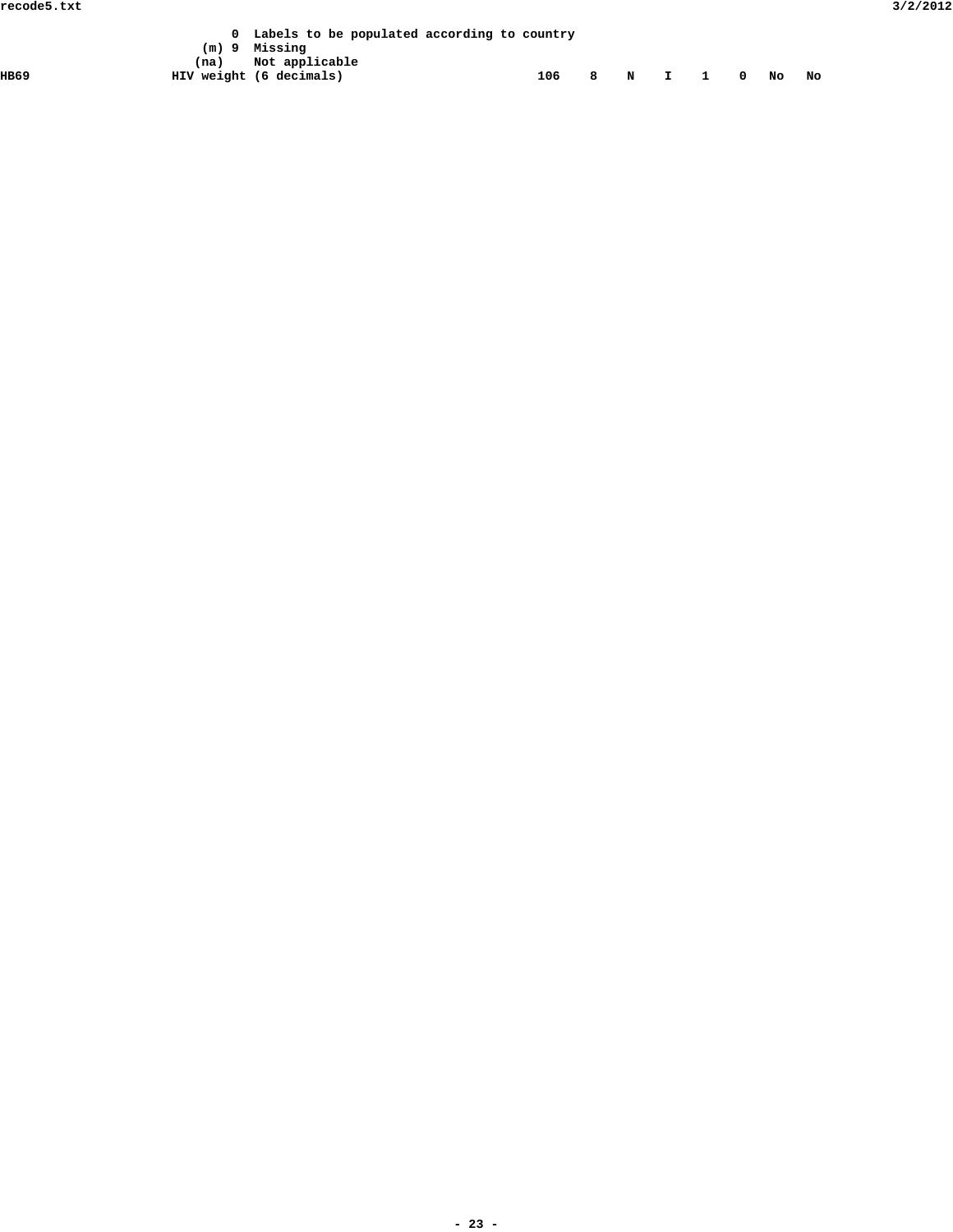|      |      | Labels to be populated according to country |                     |  |  |  |  |
|------|------|---------------------------------------------|---------------------|--|--|--|--|
|      |      | (m) 9 Missing                               |                     |  |  |  |  |
|      | (na) | Not applicable                              |                     |  |  |  |  |
| HB69 |      | HIV weight (6 decimals)                     | 106 8 N I 1 0 No No |  |  |  |  |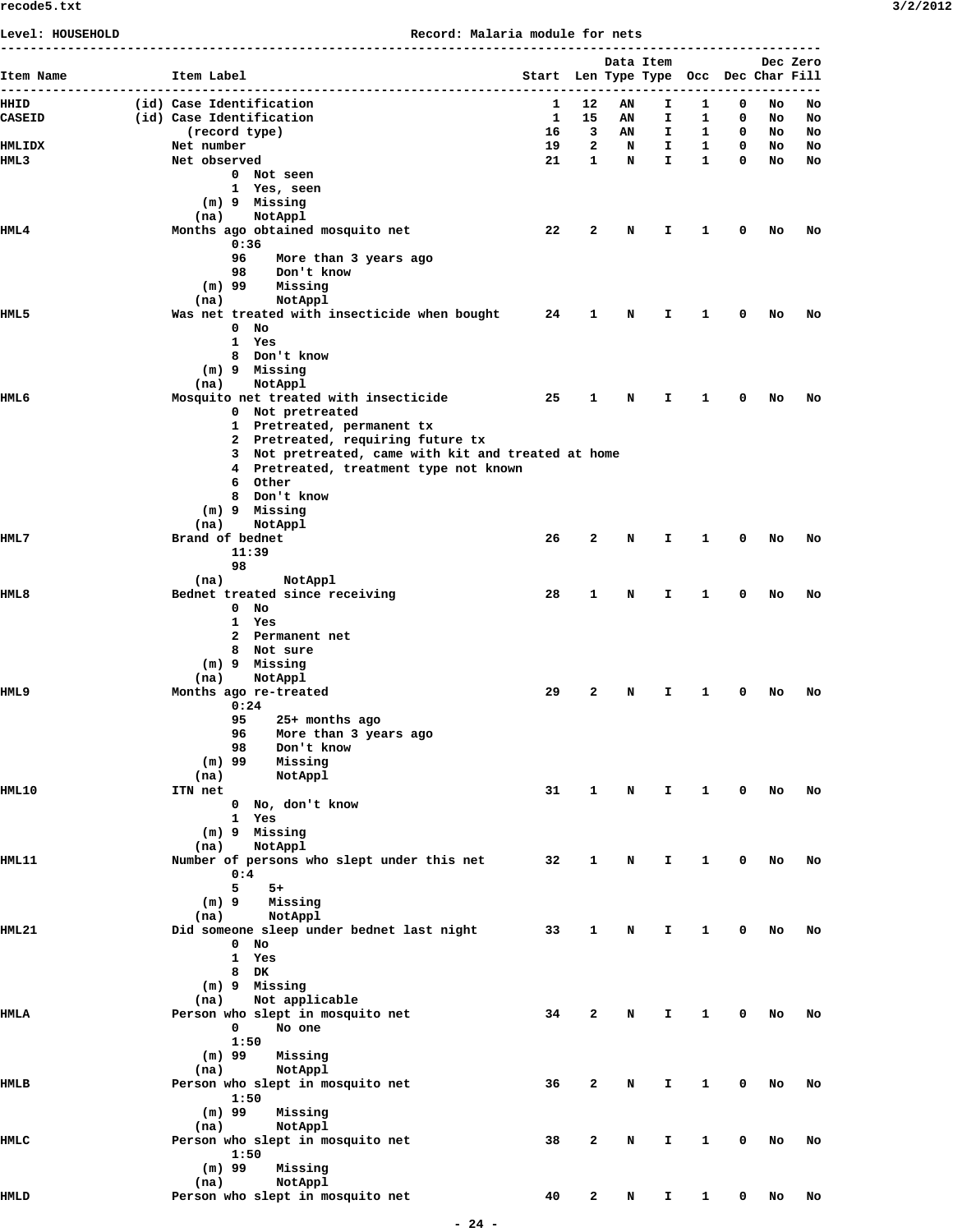**Level: HOUSEHOLD Record: Malaria module for nets**

|                  |                                                                 |                                       |        |         | ------------------------------------- |                   |        |          |          |
|------------------|-----------------------------------------------------------------|---------------------------------------|--------|---------|---------------------------------------|-------------------|--------|----------|----------|
| Item Name        | Item Label                                                      | Start Len Type Type Occ Dec Char Fill |        |         | Data Item                             |                   |        |          | Dec Zero |
| HHID             | (id) Case Identification                                        | 1                                     | 12     | ΑN      | Ι.                                    | 1                 | 0      | No       | No       |
| <b>CASEID</b>    | (id) Case Identification                                        | $\mathbf{1}$                          | 15     | AN      | I.                                    | 1                 | 0      | No       | No       |
| HMLIDX           | (record type)<br>Net number                                     | 16<br>19                              | 3<br>2 | AN<br>N | I.<br>I.                              | 1<br>$\mathbf{1}$ | 0<br>0 | NO<br>No | No<br>No |
| HML3             | Net observed                                                    | 21                                    | 1      | N       | $\mathbf{I}$                          | $\mathbf{1}$      | 0      | No       | No       |
|                  | 0 Not seen                                                      |                                       |        |         |                                       |                   |        |          |          |
|                  | 1 Yes, seen                                                     |                                       |        |         |                                       |                   |        |          |          |
|                  | (m) 9 Missing<br>NotAppl<br>(na)                                |                                       |        |         |                                       |                   |        |          |          |
| HML <sub>4</sub> | Months ago obtained mosquito net                                | 22                                    | 2      | N       | Ι.                                    | 1                 | 0      | No       | No       |
|                  | 0:36                                                            |                                       |        |         |                                       |                   |        |          |          |
|                  | 96<br>More than 3 years ago                                     |                                       |        |         |                                       |                   |        |          |          |
|                  | 98<br>Don't know<br>Missing<br>(m) 99                           |                                       |        |         |                                       |                   |        |          |          |
|                  | (na)<br>NotAppl                                                 |                                       |        |         |                                       |                   |        |          |          |
| HML 5            | Was net treated with insecticide when bought 24                 |                                       | 1      | N       | Ι.                                    | 1                 | 0      | No       | No       |
|                  | $0$ No                                                          |                                       |        |         |                                       |                   |        |          |          |
|                  | 1 Yes<br>8 Don't know                                           |                                       |        |         |                                       |                   |        |          |          |
|                  | (m) 9 Missing                                                   |                                       |        |         |                                       |                   |        |          |          |
|                  | NotAppl<br>(na)                                                 |                                       |        |         |                                       |                   |        |          |          |
| HML 6            | Mosquito net treated with insecticide                           | 25                                    | 1      | N       | I.                                    | 1                 | 0      | No       | No       |
|                  | 0 Not pretreated                                                |                                       |        |         |                                       |                   |        |          |          |
|                  | 1 Pretreated, permanent tx<br>2 Pretreated, requiring future tx |                                       |        |         |                                       |                   |        |          |          |
|                  | 3 Not pretreated, came with kit and treated at home             |                                       |        |         |                                       |                   |        |          |          |
|                  | 4 Pretreated, treatment type not known                          |                                       |        |         |                                       |                   |        |          |          |
|                  | 6 Other                                                         |                                       |        |         |                                       |                   |        |          |          |
|                  | 8 Don't know<br>(m) 9 Missing                                   |                                       |        |         |                                       |                   |        |          |          |
|                  | (na)<br>NotAppl                                                 |                                       |        |         |                                       |                   |        |          |          |
| HML 7            | Brand of bednet                                                 | 26                                    | 2      | N       | Ι.                                    | 1                 | 0      | No       | No       |
|                  | 11:39                                                           |                                       |        |         |                                       |                   |        |          |          |
|                  | 98                                                              |                                       |        |         |                                       |                   |        |          |          |
| <b>HML8</b>      | NotAppl<br>(na)<br>Bednet treated since receiving               | 28                                    | 1      | N       | Ι.                                    | 1                 | 0      | No       | No       |
|                  | $0$ No                                                          |                                       |        |         |                                       |                   |        |          |          |
|                  | 1 Yes                                                           |                                       |        |         |                                       |                   |        |          |          |
|                  | 2 Permanent net                                                 |                                       |        |         |                                       |                   |        |          |          |
|                  | 8 Not sure<br>(m) 9 Missing                                     |                                       |        |         |                                       |                   |        |          |          |
|                  | NotAppl<br>(na)                                                 |                                       |        |         |                                       |                   |        |          |          |
| HML 9            | Months ago re-treated                                           | 29                                    | 2      | N       | Ι.                                    | 1                 | 0      | No       | No       |
|                  | 0:24                                                            |                                       |        |         |                                       |                   |        |          |          |
|                  | 95<br>25+ months ago<br>96<br>More than 3 years ago             |                                       |        |         |                                       |                   |        |          |          |
|                  | 98<br>Don't know                                                |                                       |        |         |                                       |                   |        |          |          |
|                  | $(m)$ 99<br>Missing                                             |                                       |        |         |                                       |                   |        |          |          |
|                  | NotAppl<br>(na)                                                 |                                       |        |         |                                       |                   |        |          |          |
| <b>HML10</b>     | ITN net<br>0 No, don't know                                     | 31                                    | 1      | N       | Ι.                                    | 1                 | 0      | No       | No       |
|                  | 1 Yes                                                           |                                       |        |         |                                       |                   |        |          |          |
|                  | (m) 9 Missing                                                   |                                       |        |         |                                       |                   |        |          |          |
|                  | NotAppl<br>(na)                                                 |                                       |        |         |                                       |                   |        |          |          |
| <b>HML11</b>     | Number of persons who slept under this net<br>0:4               | 32                                    | 1      | N       | I.                                    | 1                 | 0      | No       | No       |
|                  | 5<br>$5+$                                                       |                                       |        |         |                                       |                   |        |          |          |
|                  | $(m)$ 9<br>Missing                                              |                                       |        |         |                                       |                   |        |          |          |
|                  | NotAppl<br>(na)                                                 |                                       |        |         |                                       |                   |        |          |          |
| HML21            | Did someone sleep under bednet last night                       | 33                                    | 1      | N       | Ι.                                    | 1                 | 0      | No       | No       |
|                  | $0$ No<br>1 Yes                                                 |                                       |        |         |                                       |                   |        |          |          |
|                  | 8 DK                                                            |                                       |        |         |                                       |                   |        |          |          |
|                  | (m) 9 Missing                                                   |                                       |        |         |                                       |                   |        |          |          |
|                  | Not applicable<br>(na)                                          |                                       |        |         |                                       |                   |        |          |          |
| HMLA             | Person who slept in mosquito net<br>$\mathbf 0$<br>No one       | 34                                    | 2      | N       | Ι.                                    | 1                 | 0      | No       | No       |
|                  | 1:50                                                            |                                       |        |         |                                       |                   |        |          |          |
|                  | $(m)$ 99<br>Missing                                             |                                       |        |         |                                       |                   |        |          |          |
|                  | NotAppl<br>(na)                                                 |                                       |        |         |                                       |                   |        |          |          |
| HMLB             | Person who slept in mosquito net                                | 36                                    | 2      | N       | I.                                    | 1                 | 0      | No       | No       |
|                  | 1:50<br>$(m)$ 99<br>Missing                                     |                                       |        |         |                                       |                   |        |          |          |
|                  | NotAppl<br>(na)                                                 |                                       |        |         |                                       |                   |        |          |          |
| HMLC             | Person who slept in mosquito net                                | 38                                    | 2      | N       | I.                                    | 1                 | 0      | No       | No       |
|                  | 1:50                                                            |                                       |        |         |                                       |                   |        |          |          |
|                  | $(m)$ 99<br>Missing<br>NotAppl<br>(na)                          |                                       |        |         |                                       |                   |        |          |          |
| <b>HMLD</b>      | Person who slept in mosquito net                                | 40                                    | 2      | N       | I.                                    | 1                 | 0      | No       | No       |
|                  |                                                                 |                                       |        |         |                                       |                   |        |          |          |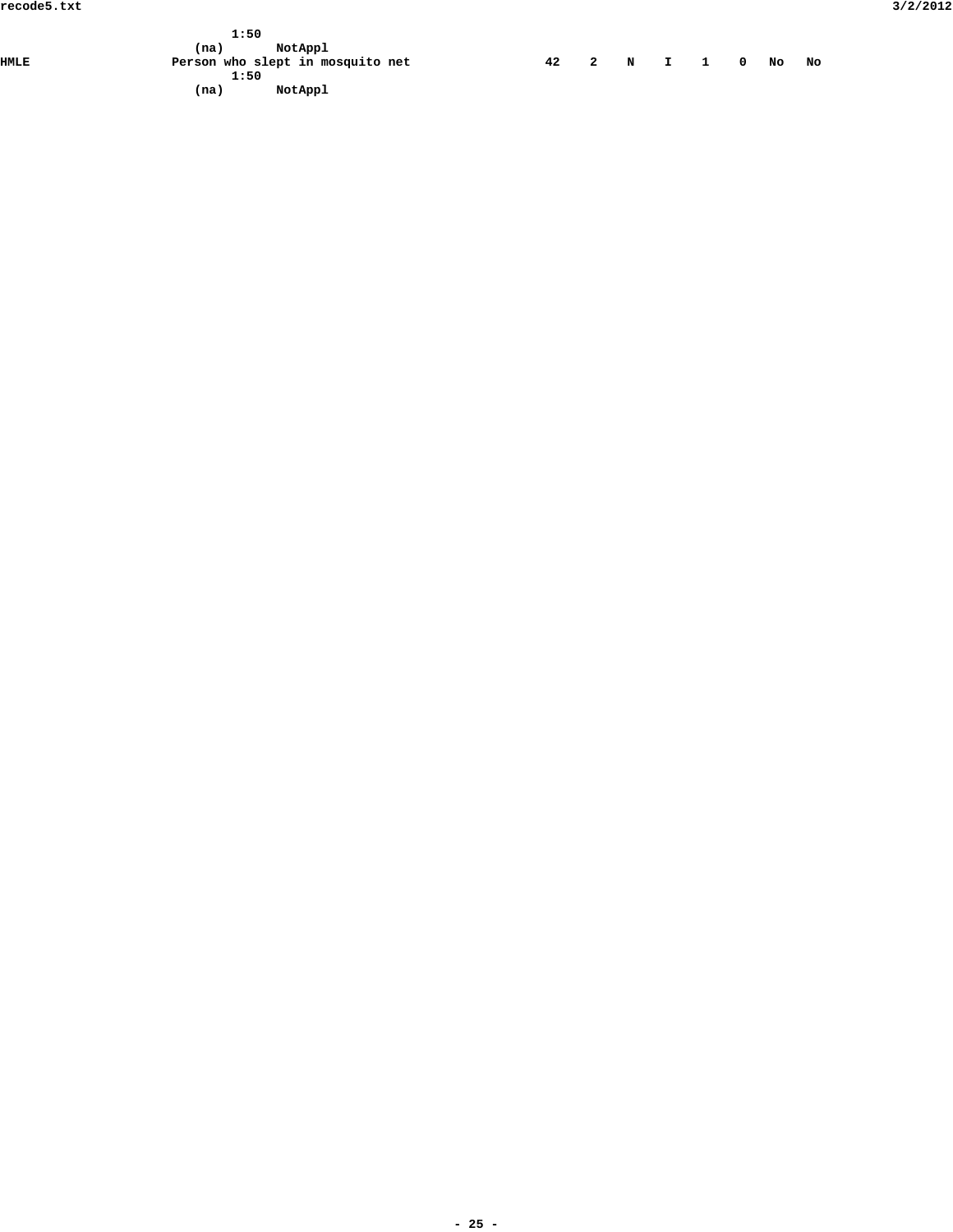|      | 1:50                             |  |  |                       |  |    |  |
|------|----------------------------------|--|--|-----------------------|--|----|--|
|      | NotAppl<br>(na)                  |  |  |                       |  |    |  |
| HMLE | Person who slept in mosquito net |  |  | 42  2  N  I  1  0  No |  | No |  |
|      | 1:50                             |  |  |                       |  |    |  |
|      | NotAppl<br>(na)                  |  |  |                       |  |    |  |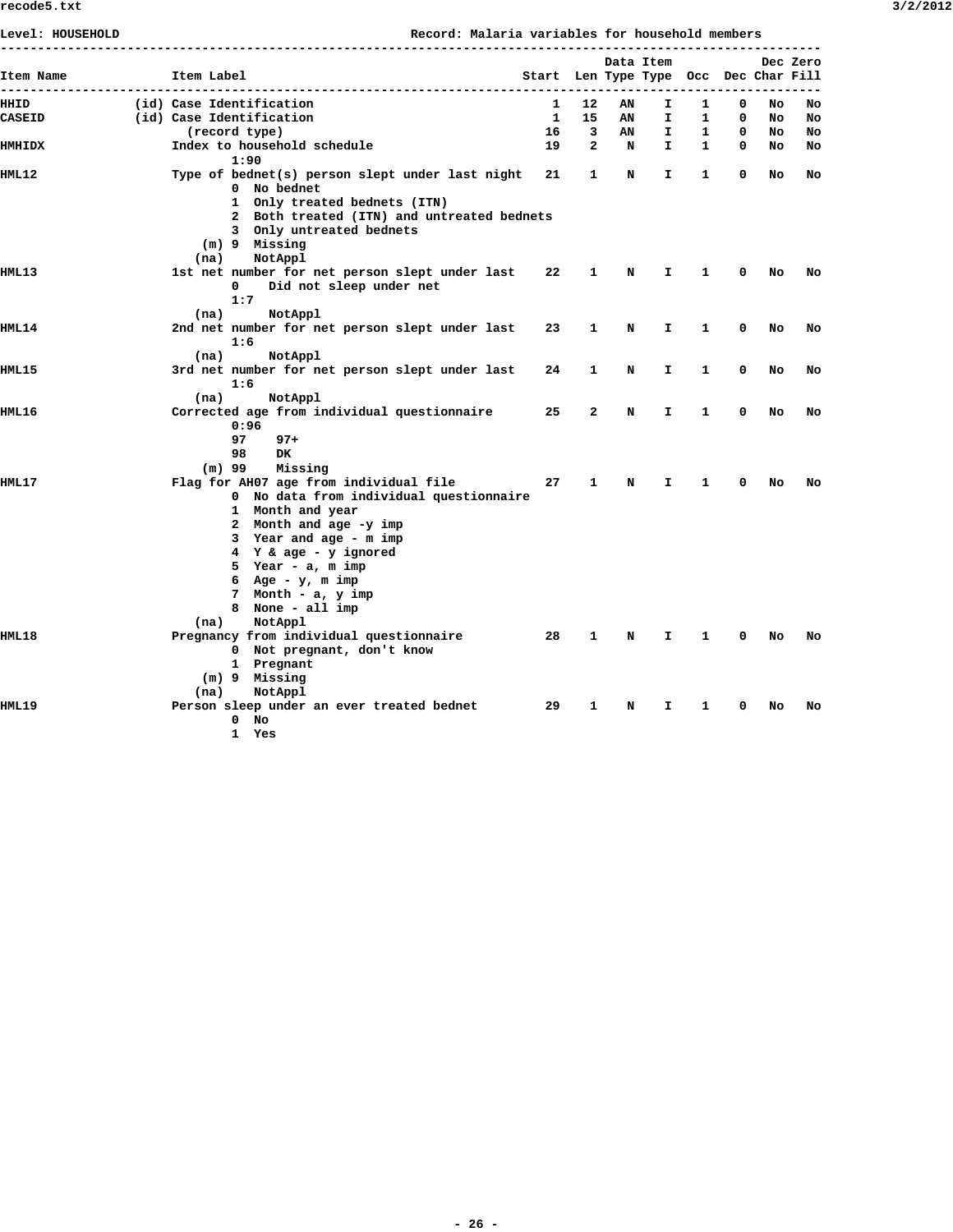| Level: HOUSEHOLD |                          |                                                 | Record: Malaria variables for household members | ----------------------------          |              |    |              |              |   |     | --------- |
|------------------|--------------------------|-------------------------------------------------|-------------------------------------------------|---------------------------------------|--------------|----|--------------|--------------|---|-----|-----------|
| Item Name        | Item Label               |                                                 |                                                 | Start Len Type Type Occ Dec Char Fill |              |    | Data Item    |              |   |     | Dec Zero  |
|                  |                          |                                                 |                                                 |                                       |              |    |              |              |   |     |           |
| HHID             | (id) Case Identification |                                                 |                                                 | 1                                     | 12           | ΑN | I.           | 1            | 0 | No  | No        |
| CASEID           | (id) Case Identification |                                                 |                                                 | $\mathbf{1}$                          | 15           | ΑN | I.           | 1            | 0 | No. | No        |
|                  | (record type)            |                                                 |                                                 | 16                                    | 3            | AN | I.           | 1            | 0 | No. | No        |
| <b>HMHIDX</b>    |                          | Index to household schedule                     |                                                 | 19                                    | $\mathbf{2}$ | N  | $\mathbf{I}$ | $\mathbf{1}$ | 0 | No  | No        |
|                  |                          | 1:90                                            |                                                 |                                       |              |    |              |              |   |     |           |
| HML12            |                          | Type of bednet(s) person slept under last night |                                                 | 21                                    | $\mathbf{1}$ | N  | I.           | $\mathbf{1}$ | 0 | No  | No        |
|                  |                          | 0 No bednet                                     |                                                 |                                       |              |    |              |              |   |     |           |
|                  |                          | 1 Only treated bednets (ITN)                    |                                                 |                                       |              |    |              |              |   |     |           |
|                  |                          | 2 Both treated (ITN) and untreated bednets      |                                                 |                                       |              |    |              |              |   |     |           |
|                  |                          | 3 Only untreated bednets<br>(m) 9 Missing       |                                                 |                                       |              |    |              |              |   |     |           |
|                  | (na)                     | NotAppl                                         |                                                 |                                       |              |    |              |              |   |     |           |
| <b>HML13</b>     |                          | 1st net number for net person slept under last  |                                                 | 22                                    | 1            | N  | I.           | 1            | 0 | No  | No        |
|                  | 0                        | Did not sleep under net                         |                                                 |                                       |              |    |              |              |   |     |           |
|                  | 1:7                      |                                                 |                                                 |                                       |              |    |              |              |   |     |           |
|                  | (na)                     | NotAppl                                         |                                                 |                                       |              |    |              |              |   |     |           |
| HML14            |                          | 2nd net number for net person slept under last  |                                                 | 23                                    | 1            | N  | I.           | 1            | 0 | No  | No        |
|                  | 1:6                      |                                                 |                                                 |                                       |              |    |              |              |   |     |           |
|                  | (na)                     | NotAppl                                         |                                                 |                                       |              |    |              |              |   |     |           |
| HML15            |                          | 3rd net number for net person slept under last  |                                                 | 24                                    | 1            | N  | I.           | 1            | 0 | No  | No        |
|                  | 1:6                      |                                                 |                                                 |                                       |              |    |              |              |   |     |           |
|                  | (na)                     | NotAppl                                         |                                                 |                                       |              |    |              |              |   |     |           |
| HML16            |                          | Corrected age from individual questionnaire     |                                                 | 25                                    | $\mathbf{2}$ | N  | I.           | 1            | 0 | No. | No        |
|                  |                          | 0:96                                            |                                                 |                                       |              |    |              |              |   |     |           |
|                  | 97                       | $97+$                                           |                                                 |                                       |              |    |              |              |   |     |           |
|                  | 98                       | <b>DK</b>                                       |                                                 |                                       |              |    |              |              |   |     |           |
|                  | $(m)$ 99                 | Missing                                         |                                                 |                                       |              |    |              |              |   |     |           |
| <b>HML17</b>     |                          | Flag for AH07 age from individual file          |                                                 | 27                                    | 1            | N  | I.           | 1            | 0 | No  | No        |
|                  |                          | 0 No data from individual questionnaire         |                                                 |                                       |              |    |              |              |   |     |           |
|                  |                          | 1 Month and year<br>2 Month and age -y imp      |                                                 |                                       |              |    |              |              |   |     |           |
|                  |                          | 3 Year and age - m imp                          |                                                 |                                       |              |    |              |              |   |     |           |
|                  |                          | 4 Y & age - y ignored                           |                                                 |                                       |              |    |              |              |   |     |           |
|                  |                          | 5 Year - a, m imp                               |                                                 |                                       |              |    |              |              |   |     |           |
|                  |                          | 6 Age - $y$ , m imp                             |                                                 |                                       |              |    |              |              |   |     |           |
|                  |                          | 7 Month - a, y imp                              |                                                 |                                       |              |    |              |              |   |     |           |
|                  |                          | 8 None - all imp                                |                                                 |                                       |              |    |              |              |   |     |           |
|                  | (na)                     | NotAppl                                         |                                                 |                                       |              |    |              |              |   |     |           |
| <b>HML18</b>     |                          | Pregnancy from individual questionnaire         |                                                 | 28                                    | 1            | N  | I.           | 1            | 0 | No  | No        |
|                  |                          | 0 Not pregnant, don't know                      |                                                 |                                       |              |    |              |              |   |     |           |
|                  |                          | 1 Pregnant                                      |                                                 |                                       |              |    |              |              |   |     |           |
|                  |                          | (m) 9 Missing                                   |                                                 |                                       |              |    |              |              |   |     |           |
|                  | (na)                     | NotAppl                                         |                                                 |                                       |              |    |              |              |   |     |           |
| <b>HML19</b>     |                          | Person sleep under an ever treated bednet       |                                                 | 29                                    | 1            | N  | I.           | 1            | 0 | No  | No        |
|                  |                          | $0$ No                                          |                                                 |                                       |              |    |              |              |   |     |           |
|                  |                          | 1 Yes                                           |                                                 |                                       |              |    |              |              |   |     |           |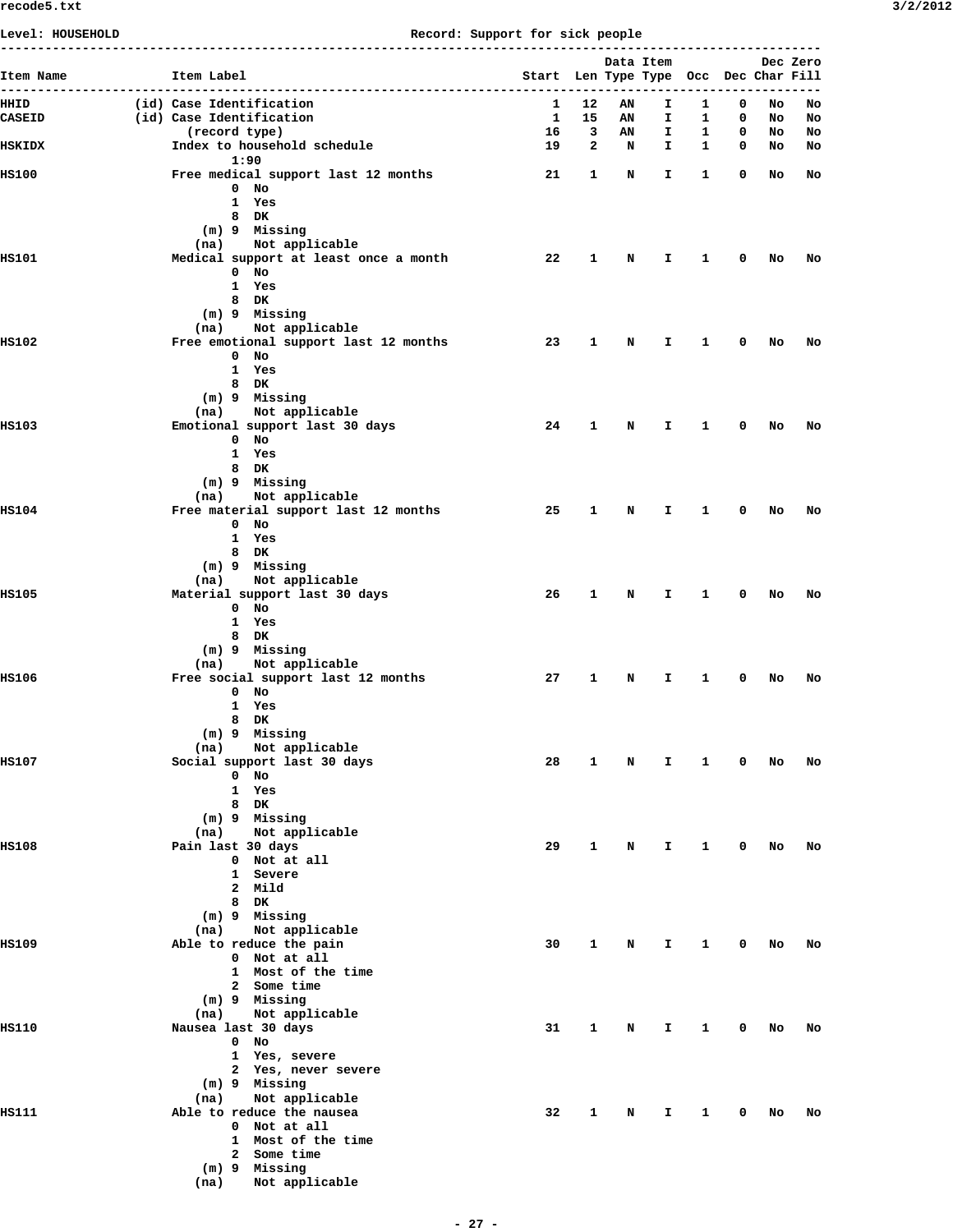## **Level: HOUSEHOLD Record: Support for sick people**

| Item Name      |                                                      |                                       |                         | Data Item   |                                 |              |                          |          | Dec Zero |
|----------------|------------------------------------------------------|---------------------------------------|-------------------------|-------------|---------------------------------|--------------|--------------------------|----------|----------|
|                | Item Label                                           | Start Len Type Type Occ Dec Char Fill |                         |             | ------------------------------- |              |                          |          |          |
| HHID<br>CASEID | (id) Case Identification<br>(id) Case Identification | $\mathbf{1}$<br><b>1</b>              | 12<br>15                | AN<br>AN    | I.<br>I.                        | 1<br>1       | 0<br>0                   | No<br>No | No<br>No |
|                | (record type)                                        | 16                                    | $\overline{\mathbf{3}}$ | AN          | I.                              | $\mathbf{1}$ | $\overline{\phantom{0}}$ | No       | No       |
| HSKIDX         | Index to household schedule<br>1:90                  | 19                                    | $\mathbf{2}$            | $\mathbf N$ | I.                              | $\mathbf{1}$ | $\overline{\phantom{0}}$ | No       | No       |
| <b>HS100</b>   | Free medical support last 12 months                  | 21                                    | 1                       | N           | I.                              | 1            | 0                        | No       | No       |
|                | 0 No<br>1 Yes                                        |                                       |                         |             |                                 |              |                          |          |          |
|                | 8 DK                                                 |                                       |                         |             |                                 |              |                          |          |          |
|                | (m) 9 Missing<br>Not applicable<br>(na)              |                                       |                         |             |                                 |              |                          |          |          |
| <b>HS101</b>   | Medical support at least once a month                | 22                                    | 1                       | N           | I.                              | 1            | 0                        | No       | No       |
|                | $0$ No<br>1 Yes                                      |                                       |                         |             |                                 |              |                          |          |          |
|                | 8 DK<br>(m) 9 Missing                                |                                       |                         |             |                                 |              |                          |          |          |
|                | Not applicable<br>(na)                               |                                       |                         |             |                                 |              |                          |          |          |
| <b>HS102</b>   | Free emotional support last 12 months                | 23                                    | 1                       | N           | I.                              | 1            | 0                        | No       | No       |
|                | 0 No<br>1 Yes                                        |                                       |                         |             |                                 |              |                          |          |          |
|                | 8 DK                                                 |                                       |                         |             |                                 |              |                          |          |          |
|                | (m) 9 Missing<br>Not applicable<br>(na)              |                                       |                         |             |                                 |              |                          |          |          |
| <b>HS103</b>   | Emotional support last 30 days                       | 24                                    | 1                       | N           | I.                              | 1            | 0                        | No       | No       |
|                | $0$ No<br>1 Yes                                      |                                       |                         |             |                                 |              |                          |          |          |
|                | 8 DK                                                 |                                       |                         |             |                                 |              |                          |          |          |
|                | (m) 9 Missing<br>Not applicable<br>(na)              |                                       |                         |             |                                 |              |                          |          |          |
| <b>HS104</b>   | Free material support last 12 months                 | 25                                    | 1                       | N           | I.                              | 1            | 0                        | No       | No       |
|                | 0 No<br>1 Yes                                        |                                       |                         |             |                                 |              |                          |          |          |
|                | 8 DK                                                 |                                       |                         |             |                                 |              |                          |          |          |
|                | (m) 9 Missing<br>(na) Not applicable                 |                                       |                         |             |                                 |              |                          |          |          |
| <b>HS105</b>   | Material support last 30 days                        | 26                                    | 1                       | N           | I.                              | 1            | 0                        | No       | No       |
|                | $0$ No<br>1 Yes                                      |                                       |                         |             |                                 |              |                          |          |          |
|                | 8 DK                                                 |                                       |                         |             |                                 |              |                          |          |          |
|                | (m) 9 Missing<br>Not applicable<br>(na)              |                                       |                         |             |                                 |              |                          |          |          |
| <b>HS106</b>   | Free social support last 12 months                   | 27                                    | 1                       | N           | I.                              | 1            | 0                        | No       | No       |
|                | $0$ No<br>1 Yes                                      |                                       |                         |             |                                 |              |                          |          |          |
|                | 8 DK                                                 |                                       |                         |             |                                 |              |                          |          |          |
|                | (m) 9 Missing<br>Not applicable<br>(na)              |                                       |                         |             |                                 |              |                          |          |          |
| <b>HS107</b>   | Social support last 30 days                          | 28                                    | 1                       | N           | I.                              | 1            | 0                        | No       | No       |
|                | 0 No                                                 |                                       |                         |             |                                 |              |                          |          |          |
|                | 1 Yes<br>8<br>DK                                     |                                       |                         |             |                                 |              |                          |          |          |
|                | (m) 9 Missing                                        |                                       |                         |             |                                 |              |                          |          |          |
| <b>HS108</b>   | (na)<br>Not applicable<br>Pain last 30 days          | 29                                    | 1                       | N           | I.                              | 1            | 0                        | No       | No       |
|                | 0 Not at all                                         |                                       |                         |             |                                 |              |                          |          |          |
|                | 1 Severe<br>2 Mild                                   |                                       |                         |             |                                 |              |                          |          |          |
|                | 8 DK                                                 |                                       |                         |             |                                 |              |                          |          |          |
|                | (m) 9 Missing<br>Not applicable<br>(na)              |                                       |                         |             |                                 |              |                          |          |          |
| <b>HS109</b>   | Able to reduce the pain                              | 30                                    | 1                       | N           | I                               | 1            | 0                        | No       | No       |
|                | 0 Not at all<br>1 Most of the time                   |                                       |                         |             |                                 |              |                          |          |          |
|                | 2 Some time                                          |                                       |                         |             |                                 |              |                          |          |          |
|                | (m) 9 Missing<br>Not applicable<br>(na)              |                                       |                         |             |                                 |              |                          |          |          |
| <b>HS110</b>   | Nausea last 30 days                                  | 31                                    | 1                       | N           | I                               | 1            | 0                        | No       | No       |
|                | $0$ No<br>1 Yes, severe                              |                                       |                         |             |                                 |              |                          |          |          |
|                | 2 Yes, never severe                                  |                                       |                         |             |                                 |              |                          |          |          |
|                | (m) 9 Missing<br>Not applicable<br>(na)              |                                       |                         |             |                                 |              |                          |          |          |
| <b>HS111</b>   | Able to reduce the nausea                            | 32                                    | 1                       | N           | I                               | 1            | 0                        | No       | No       |
|                | 0 Not at all<br>1 Most of the time                   |                                       |                         |             |                                 |              |                          |          |          |
|                | 2 Some time                                          |                                       |                         |             |                                 |              |                          |          |          |
|                | (m) 9 Missing                                        |                                       |                         |             |                                 |              |                          |          |          |
|                | (na)<br>Not applicable                               |                                       |                         |             |                                 |              |                          |          |          |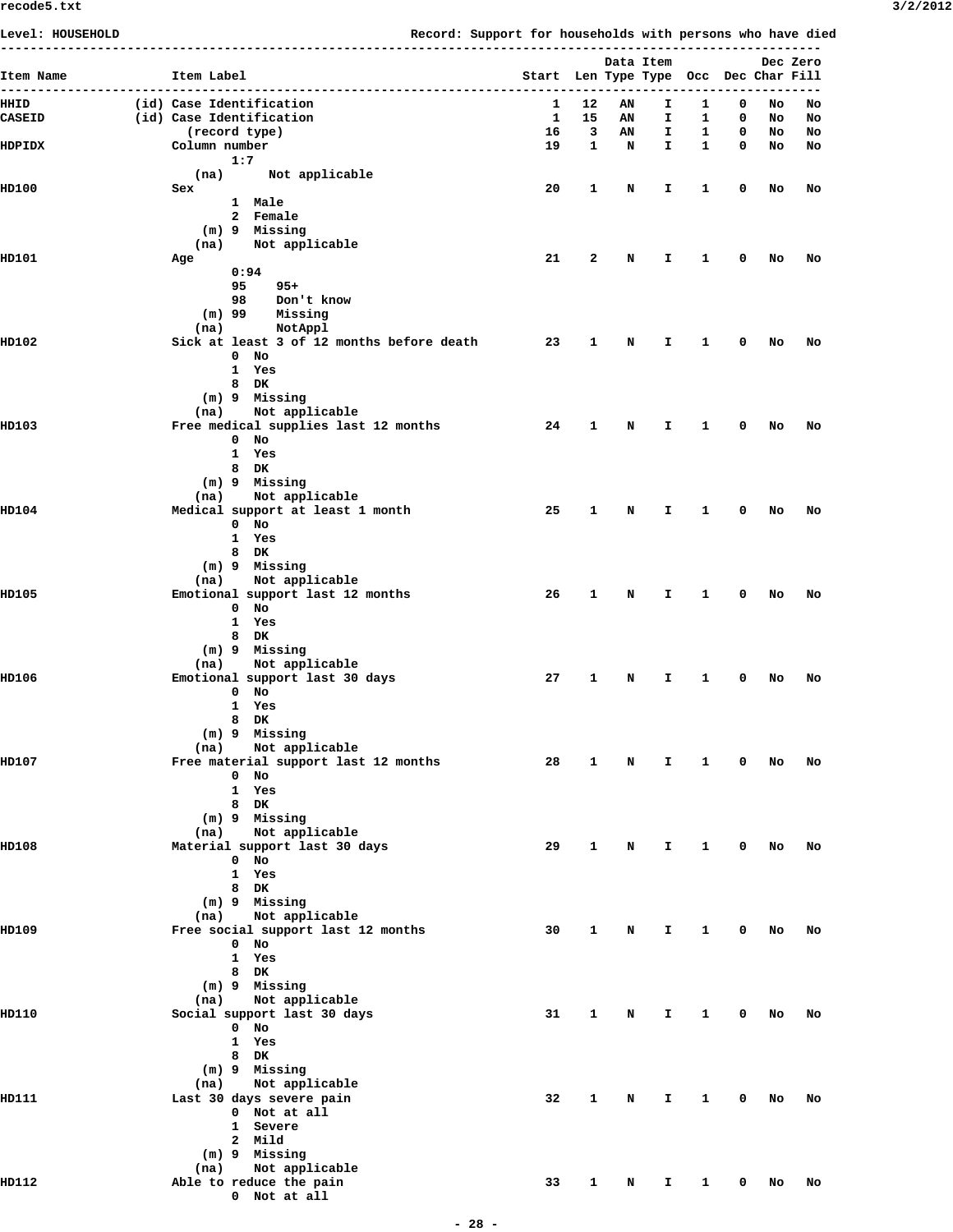| Level: HOUSEHOLD |                                                                | Record: Support for households with persons who have died |              |                          |                                       |                         |                         |    |          |
|------------------|----------------------------------------------------------------|-----------------------------------------------------------|--------------|--------------------------|---------------------------------------|-------------------------|-------------------------|----|----------|
| ---              |                                                                |                                                           |              |                          | Data Item                             |                         |                         |    | Dec Zero |
| Item Name        | Item Label                                                     |                                                           |              |                          | Start Len Type Type Occ Dec Char Fill |                         |                         |    |          |
| HHID             | (id) Case Identification                                       |                                                           | 1            | 12                       | AN<br>I.                              | 1                       | 0                       | No | No       |
| CASEID           | (id) Case Identification                                       |                                                           | $\mathbf{1}$ | 15                       | I.<br>AN                              | $\mathbf{1}$            | $\mathbf 0$             | No | No       |
|                  | (record type)                                                  |                                                           | 16           | $\overline{\phantom{a}}$ | AN<br>I.                              | $\overline{\mathbf{1}}$ | $\mathbf 0$             | No | No       |
| HDPIDX           | Column number<br>1:7                                           |                                                           | 19           | $\mathbf{1}$             | N<br>I.                               | $\overline{\mathbf{1}}$ | $\overline{\mathbf{0}}$ | NO | No       |
|                  | Not applicable<br>(na)                                         |                                                           |              |                          |                                       |                         |                         |    |          |
| HD100            | Sex                                                            |                                                           | 20           | $\mathbf{1}$             | N<br>I.                               | $\mathbf{1}$            | 0                       | No | No       |
|                  | 1 Male                                                         |                                                           |              |                          |                                       |                         |                         |    |          |
|                  | 2 Female<br>(m) 9 Missing                                      |                                                           |              |                          |                                       |                         |                         |    |          |
|                  | (na) Not applicable                                            |                                                           |              |                          |                                       |                         |                         |    |          |
| HD101            | Age                                                            |                                                           | 21           | $\mathbf{2}$             | N<br>I.                               | $\mathbf{1}$            | $^{\circ}$              | No | No       |
|                  | 0:94<br>95<br>$95+$                                            |                                                           |              |                          |                                       |                         |                         |    |          |
|                  | 98 Don't know                                                  |                                                           |              |                          |                                       |                         |                         |    |          |
|                  | $(m)$ 99<br>Missing                                            |                                                           |              |                          |                                       |                         |                         |    |          |
| HD102            | NotAppl<br>(na)<br>Sick at least 3 of 12 months before death   |                                                           | 23           | $\mathbf{1}$             | N<br>I.                               | $\mathbf{1}$            | 0                       | No | No       |
|                  | $0$ No                                                         |                                                           |              |                          |                                       |                         |                         |    |          |
|                  | 1 Yes                                                          |                                                           |              |                          |                                       |                         |                         |    |          |
|                  | 8 DK                                                           |                                                           |              |                          |                                       |                         |                         |    |          |
|                  | (m) 9 Missing<br>(na) Not applicable                           |                                                           |              |                          |                                       |                         |                         |    |          |
| HD103            | Free medical supplies last 12 months                           |                                                           | 24           | -1                       | N<br>I.                               | $\overline{\mathbf{1}}$ | $^{\circ}$              | No | No       |
|                  | $0$ No                                                         |                                                           |              |                          |                                       |                         |                         |    |          |
|                  | 1 Yes<br>8 DK                                                  |                                                           |              |                          |                                       |                         |                         |    |          |
|                  | (m) 9 Missing                                                  |                                                           |              |                          |                                       |                         |                         |    |          |
|                  | (na) Not applicable                                            |                                                           |              |                          |                                       |                         |                         |    |          |
| HD104            | Medical support at least 1 month<br>$0$ No                     |                                                           | 25           | $\mathbf{1}$             | N<br>I.                               | $\mathbf{1}$            | $^{\circ}$              | No | No       |
|                  | 1 Yes                                                          |                                                           |              |                          |                                       |                         |                         |    |          |
|                  | 8 DK                                                           |                                                           |              |                          |                                       |                         |                         |    |          |
|                  | (m) 9 Missing                                                  |                                                           |              |                          |                                       |                         |                         |    |          |
| <b>HD105</b>     | (na) Not applicable<br>Emotional support last 12 months        |                                                           | 26           | $\mathbf{1}$             | N<br>I.                               | $\mathbf{1}$            | $^{\circ}$              | No | No       |
|                  | $0$ No                                                         |                                                           |              |                          |                                       |                         |                         |    |          |
|                  | 1 Yes                                                          |                                                           |              |                          |                                       |                         |                         |    |          |
|                  | 8 DK<br>(m) 9 Missing                                          |                                                           |              |                          |                                       |                         |                         |    |          |
|                  | (na) Not applicable                                            |                                                           |              |                          |                                       |                         |                         |    |          |
| HD106            | Emotional support last 30 days                                 |                                                           | 27           | $\mathbf{1}$             | N<br>I.                               | $\mathbf{1}$            | 0                       | No | No       |
|                  | $0$ No<br>1 Yes                                                |                                                           |              |                          |                                       |                         |                         |    |          |
|                  | 8 DK                                                           |                                                           |              |                          |                                       |                         |                         |    |          |
|                  | (m) 9 Missing                                                  |                                                           |              |                          |                                       |                         |                         |    |          |
| <b>HD107</b>     | Not applicable<br>(na)<br>Free material support last 12 months |                                                           | 28           | 1                        | N<br>I.                               | $\mathbf{1}$            | $\mathbf 0$             | No | No       |
|                  | $0$ No                                                         |                                                           |              |                          |                                       |                         |                         |    |          |
|                  | 1 Yes                                                          |                                                           |              |                          |                                       |                         |                         |    |          |
|                  | 8 DK                                                           |                                                           |              |                          |                                       |                         |                         |    |          |
|                  | (m) 9 Missing<br>(na) Not applicable                           |                                                           |              |                          |                                       |                         |                         |    |          |
| HD108            | Material support last 30 days                                  |                                                           | 29           | $\mathbf{1}$             | N<br>I.                               | $1 \t 0$                |                         | No | No       |
|                  | $0$ No                                                         |                                                           |              |                          |                                       |                         |                         |    |          |
|                  | 1 Yes<br>8 DK                                                  |                                                           |              |                          |                                       |                         |                         |    |          |
|                  | (m) 9 Missing                                                  |                                                           |              |                          |                                       |                         |                         |    |          |
|                  | (na) Not applicable                                            |                                                           |              |                          |                                       |                         |                         |    |          |
| <b>HD109</b>     | Free social support last 12 months<br>$0$ No                   |                                                           | 30           | 1                        | N<br>I.                               | $\mathbf{1}$            | $\mathbf 0$             | No | No       |
|                  | 1 Yes                                                          |                                                           |              |                          |                                       |                         |                         |    |          |
|                  | 8 DK                                                           |                                                           |              |                          |                                       |                         |                         |    |          |
|                  | (m) 9 Missing<br>(na) Not applicable                           |                                                           |              |                          |                                       |                         |                         |    |          |
| HD110            | Social support last 30 days                                    |                                                           | 31           | $\mathbf{1}$             | N<br>I.                               | $\mathbf{1}$            | $\overline{\mathbf{0}}$ | No | No       |
|                  | $0$ No                                                         |                                                           |              |                          |                                       |                         |                         |    |          |
|                  | 1 Yes                                                          |                                                           |              |                          |                                       |                         |                         |    |          |
|                  | 8 DK<br>(m) 9 Missing                                          |                                                           |              |                          |                                       |                         |                         |    |          |
|                  | Not applicable<br>(na)                                         |                                                           |              |                          |                                       |                         |                         |    |          |
| HD111            | Last 30 days severe pain                                       |                                                           | 32           | $\mathbf{1}$             | N<br>I.                               | $\mathbf{1}$            | $\mathbf 0$             | No | No       |
|                  | 0 Not at all<br>1 Severe                                       |                                                           |              |                          |                                       |                         |                         |    |          |
|                  | 2 Mild                                                         |                                                           |              |                          |                                       |                         |                         |    |          |
|                  | (m) 9 Missing                                                  |                                                           |              |                          |                                       |                         |                         |    |          |
| HD112            | (na) Not applicable<br>Able to reduce the pain                 |                                                           | 33           | $\mathbf{1}$             | $\mathbf N$                           | $I \quad 1 \quad 0$     |                         | No | No       |
|                  | 0 Not at all                                                   |                                                           |              |                          |                                       |                         |                         |    |          |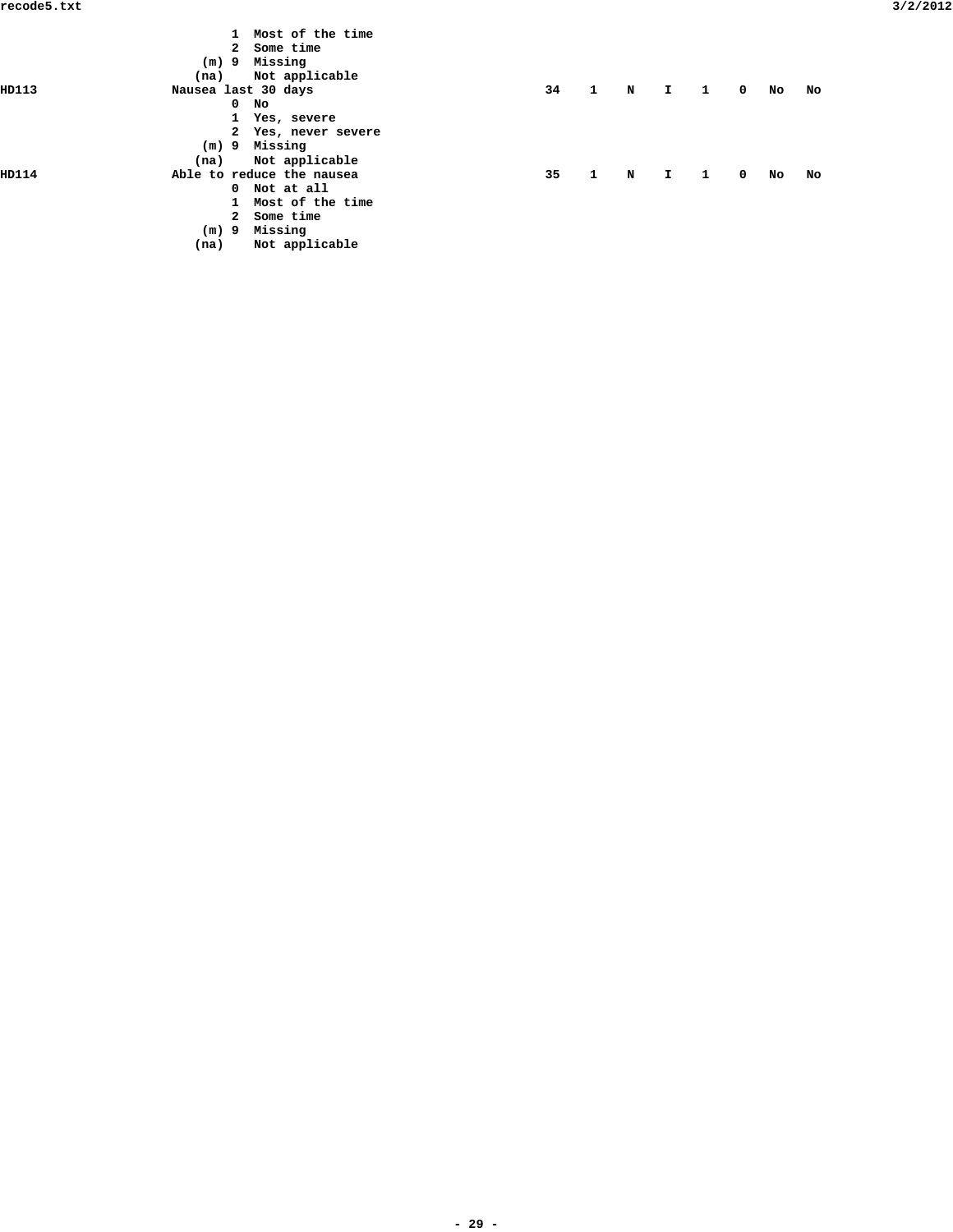|       |                     | $\mathbf{1}$ | Most of the time          |    |              |             |              |   |             |    |    |  |
|-------|---------------------|--------------|---------------------------|----|--------------|-------------|--------------|---|-------------|----|----|--|
|       |                     | $\mathbf{2}$ | Some time                 |    |              |             |              |   |             |    |    |  |
|       | (m) 9               |              | Missing                   |    |              |             |              |   |             |    |    |  |
|       | (na)                |              | Not applicable            |    |              |             |              |   |             |    |    |  |
| HD113 | Nausea last 30 days |              |                           | 34 | $\mathbf{1}$ | $\mathbf N$ | I.           | 1 | $\mathbf 0$ | No | No |  |
|       |                     | $\mathbf 0$  | No                        |    |              |             |              |   |             |    |    |  |
|       |                     | 1            | Yes, severe               |    |              |             |              |   |             |    |    |  |
|       |                     |              | 2 Yes, never severe       |    |              |             |              |   |             |    |    |  |
|       |                     |              | (m) 9 Missing             |    |              |             |              |   |             |    |    |  |
|       | (na)                |              | Not applicable            |    |              |             |              |   |             |    |    |  |
| HD114 |                     |              | Able to reduce the nausea | 35 | $\mathbf{1}$ | N           | $\mathbf{I}$ | 1 | $\mathbf 0$ | No | No |  |
|       |                     |              | 0 Not at all              |    |              |             |              |   |             |    |    |  |
|       |                     | $\mathbf{1}$ | Most of the time          |    |              |             |              |   |             |    |    |  |
|       |                     | $\mathbf{2}$ | Some time                 |    |              |             |              |   |             |    |    |  |
|       | $(m)$ 9             |              | Missing                   |    |              |             |              |   |             |    |    |  |
|       | (na)                |              | Not applicable            |    |              |             |              |   |             |    |    |  |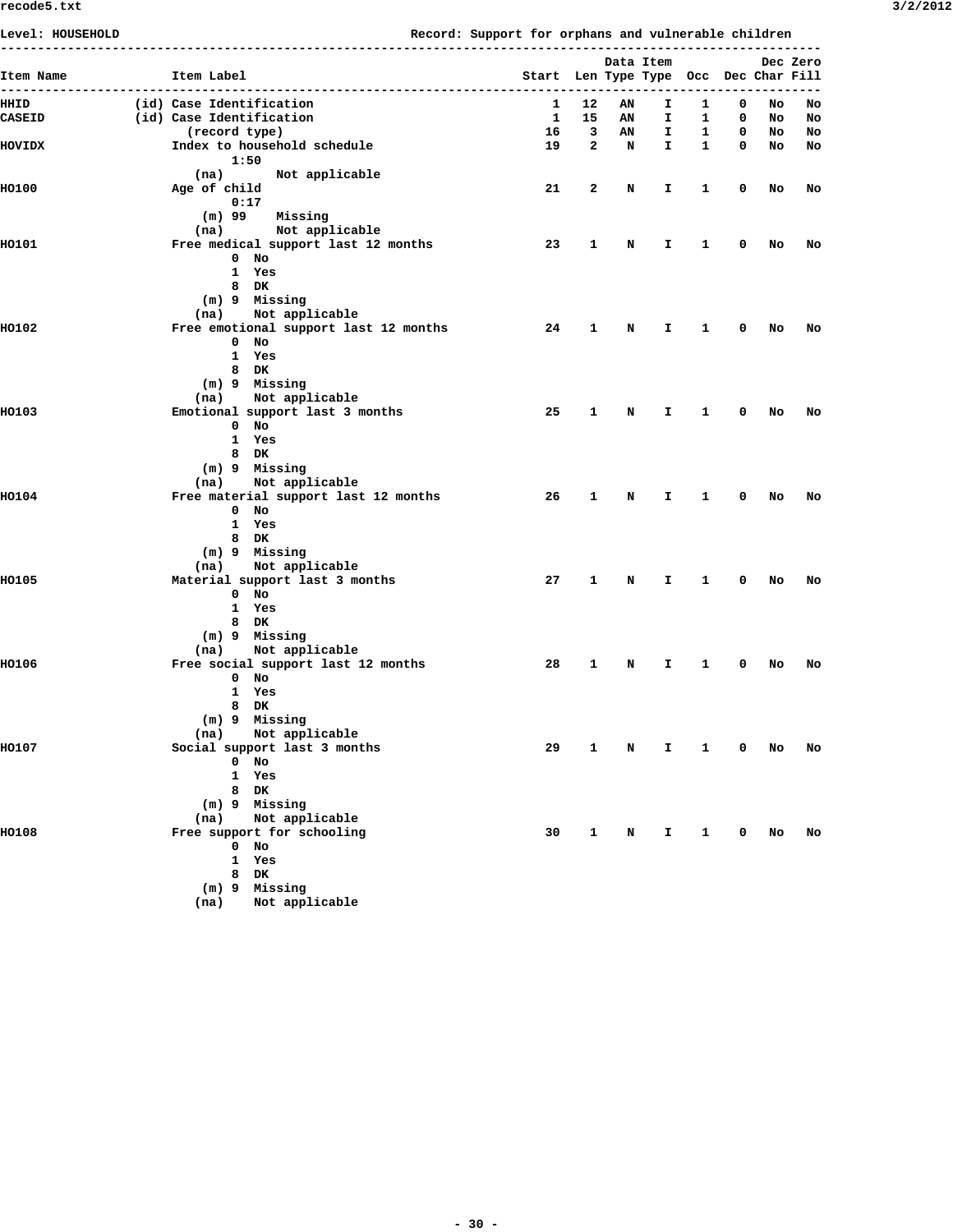| Item Name<br>$---$ | Item Label               |                                                |    |         | Start Len Type Type Occ Dec Char Fill | Data Item |                              |        |          | Dec Zero |
|--------------------|--------------------------|------------------------------------------------|----|---------|---------------------------------------|-----------|------------------------------|--------|----------|----------|
| HHID               | (id) Case Identification |                                                |    | 1<br>12 | AN                                    | I.        | 1                            | 0      | No       | No       |
| <b>CASEID</b>      | (id) Case Identification |                                                |    | 1<br>15 | AN                                    | I.        | 1                            | 0      | No       | No       |
| <b>NOVIDX</b>      | (record type)            | Index to household schedule                    | 19 | 16<br>3 | AN<br>2<br>N                          | I.<br>I.  | $\mathbf{1}$<br>$\mathbf{1}$ | 0<br>0 | NO<br>NO | No<br>No |
|                    | 1:50                     |                                                |    |         |                                       |           |                              |        |          |          |
|                    | (na)                     | Not applicable                                 |    |         |                                       |           |                              |        |          |          |
| <b>HO100</b>       | Age of child             |                                                |    | 21<br>2 | N                                     | I.        | 1                            | 0      | No       | No       |
|                    | 0:17                     |                                                |    |         |                                       |           |                              |        |          |          |
|                    | $(m)$ 99<br>(na)         | Missing<br>Not applicable                      |    |         |                                       |           |                              |        |          |          |
| <b>HO101</b>       |                          | Free medical support last 12 months            | 23 | 1       | N                                     | I.        | 1                            | 0      | No       | No       |
|                    |                          | $0$ No                                         |    |         |                                       |           |                              |        |          |          |
|                    |                          | 1 Yes                                          |    |         |                                       |           |                              |        |          |          |
|                    |                          | 8 DK                                           |    |         |                                       |           |                              |        |          |          |
|                    | (na)                     | (m) 9 Missing<br>Not applicable                |    |         |                                       |           |                              |        |          |          |
| <b>HO102</b>       |                          | Free emotional support last 12 months          |    | 24<br>1 | N                                     | I.        | 1                            | 0      | No       | No       |
|                    |                          | $0$ No                                         |    |         |                                       |           |                              |        |          |          |
|                    |                          | 1 Yes                                          |    |         |                                       |           |                              |        |          |          |
|                    |                          | 8 DK                                           |    |         |                                       |           |                              |        |          |          |
|                    | (na)                     | $(m)$ 9 Missing<br>Not applicable              |    |         |                                       |           |                              |        |          |          |
| <b>HO103</b>       |                          | Emotional support last 3 months                |    | 25<br>1 | N                                     | I.        | 1                            | 0      | No       | No       |
|                    |                          | $0$ No                                         |    |         |                                       |           |                              |        |          |          |
|                    |                          | 1 Yes                                          |    |         |                                       |           |                              |        |          |          |
|                    |                          | 8 DK                                           |    |         |                                       |           |                              |        |          |          |
|                    | (na)                     | (m) 9 Missing<br>Not applicable                |    |         |                                       |           |                              |        |          |          |
| <b>HO104</b>       |                          | Free material support last 12 months           |    | 26<br>1 | N                                     | I.        | 1                            | 0      | No       | No       |
|                    |                          | $0$ No                                         |    |         |                                       |           |                              |        |          |          |
|                    |                          | 1 Yes                                          |    |         |                                       |           |                              |        |          |          |
|                    |                          | 8 DK                                           |    |         |                                       |           |                              |        |          |          |
|                    | (na)                     | (m) 9 Missing<br>Not applicable                |    |         |                                       |           |                              |        |          |          |
| <b>HO105</b>       |                          | Material support last 3 months                 | 27 | 1       | N                                     | I.        | 1                            | 0      | No       | No       |
|                    |                          | $0$ No                                         |    |         |                                       |           |                              |        |          |          |
|                    |                          | 1 Yes                                          |    |         |                                       |           |                              |        |          |          |
|                    |                          | 8 DK                                           |    |         |                                       |           |                              |        |          |          |
|                    | (na)                     | (m) 9 Missing<br>Not applicable                |    |         |                                       |           |                              |        |          |          |
| <b>HO106</b>       |                          | Free social support last 12 months             | 28 | 1       | N                                     | Ι.        | 1                            | 0      | No       | No       |
|                    |                          | $0$ No                                         |    |         |                                       |           |                              |        |          |          |
|                    |                          | 1 Yes                                          |    |         |                                       |           |                              |        |          |          |
|                    |                          | 8 DK                                           |    |         |                                       |           |                              |        |          |          |
|                    |                          | (m) 9 Missing                                  |    |         |                                       |           |                              |        |          |          |
| <b>HO107</b>       | (na)                     | Not applicable<br>Social support last 3 months |    | 29<br>1 | N                                     | I.        | 1                            | 0      | No       | No       |
|                    |                          | $0$ No                                         |    |         |                                       |           |                              |        |          |          |
|                    |                          | 1 Yes                                          |    |         |                                       |           |                              |        |          |          |
|                    |                          | 8 DK                                           |    |         |                                       |           |                              |        |          |          |
|                    |                          | (m) 9 Missing                                  |    |         |                                       |           |                              |        |          |          |
| <b>HO108</b>       | (na)                     | Not applicable<br>Free support for schooling   |    | 30<br>1 | N                                     | Ι.        | 1                            | 0      | No       | No       |
|                    |                          | $0$ No                                         |    |         |                                       |           |                              |        |          |          |
|                    |                          | 1 Yes                                          |    |         |                                       |           |                              |        |          |          |
|                    | 8                        | DK                                             |    |         |                                       |           |                              |        |          |          |
|                    |                          | (m) 9 Missing                                  |    |         |                                       |           |                              |        |          |          |
|                    | (na)                     | Not applicable                                 |    |         |                                       |           |                              |        |          |          |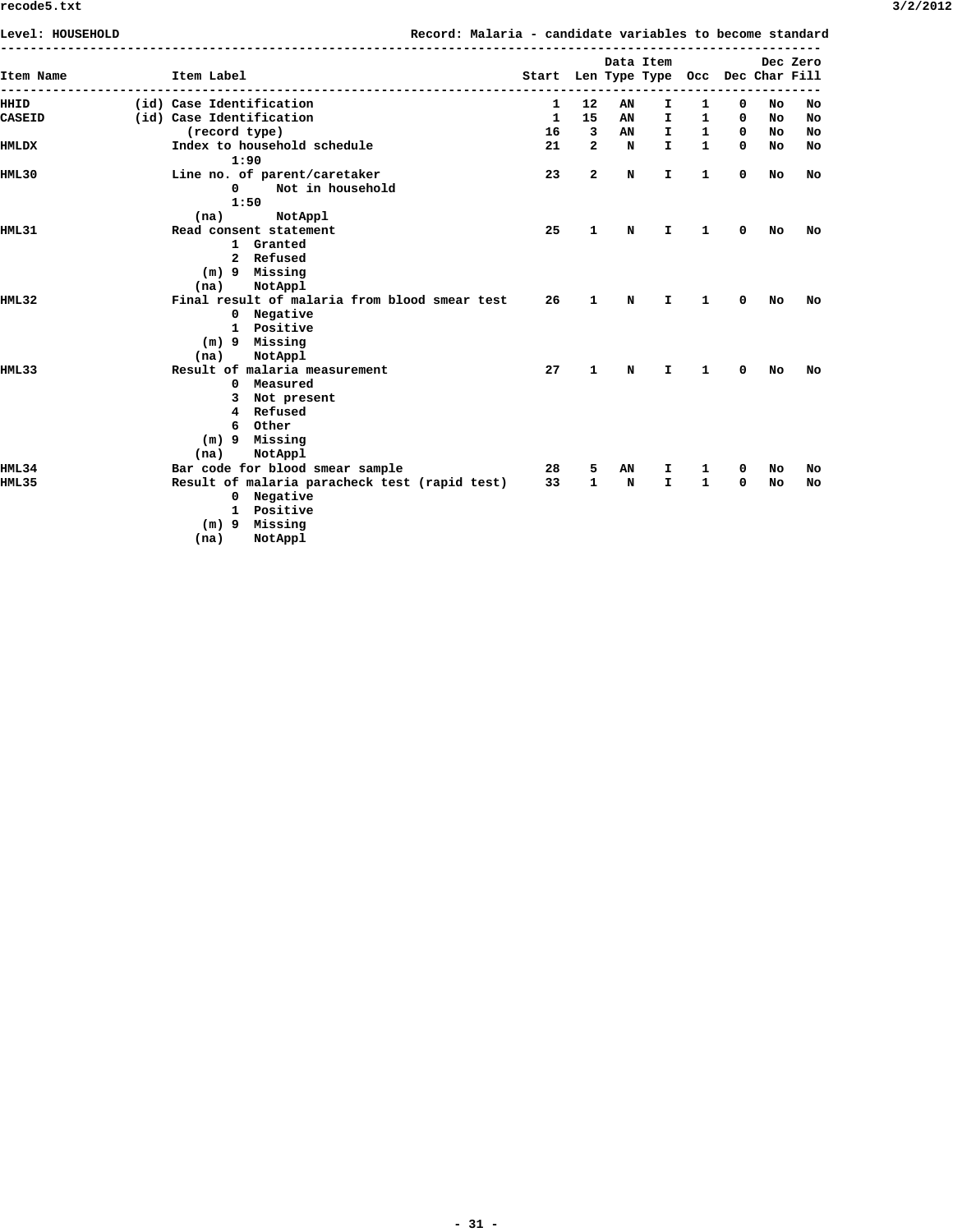| Level: HOUSEHOLD |                          |                                               | Record: Malaria - candidate variables to become standard |                                       |              |    |              |              |             |     |          |
|------------------|--------------------------|-----------------------------------------------|----------------------------------------------------------|---------------------------------------|--------------|----|--------------|--------------|-------------|-----|----------|
|                  |                          |                                               |                                                          |                                       |              |    | Data Item    |              |             |     | Dec Zero |
| Item Name        | Item Label               |                                               |                                                          | Start Len Type Type Occ Dec Char Fill |              |    |              |              |             |     |          |
| HHID             | (id) Case Identification |                                               |                                                          | 1                                     | 12           | AN | I.           | 1            | 0           | No  | No       |
| <b>CASEID</b>    | (id) Case Identification |                                               |                                                          | 1                                     | 15           | AN | I.           | 1            | 0           | No. | No       |
|                  | (record type)            |                                               |                                                          | 16                                    | 3            | AN | $\mathbf{I}$ | $\mathbf{1}$ | $\mathbf 0$ | No. | No       |
| <b>HMLDX</b>     |                          | Index to household schedule                   |                                                          | 21                                    | $\mathbf{2}$ | N  | $\mathbf{I}$ | $\mathbf{1}$ | 0           | No  | No       |
|                  |                          | 1:90                                          |                                                          |                                       |              |    |              |              |             |     |          |
| HML30            |                          | Line no. of parent/caretaker                  |                                                          | 23                                    | $\mathbf{z}$ | N  | I.           | $\mathbf{1}$ | 0           | No  | No       |
|                  | $\Omega$                 | Not in household                              |                                                          |                                       |              |    |              |              |             |     |          |
|                  |                          | 1:50                                          |                                                          |                                       |              |    |              |              |             |     |          |
|                  | (na)                     | NotAppl                                       |                                                          |                                       |              |    |              |              |             |     |          |
| HML 31           |                          | Read consent statement                        |                                                          | 25                                    | 1            | N  | I.           | 1            | 0           | No  | No       |
|                  |                          | 1 Granted                                     |                                                          |                                       |              |    |              |              |             |     |          |
|                  |                          | 2 Refused                                     |                                                          |                                       |              |    |              |              |             |     |          |
|                  |                          | $(m)$ 9 Missing                               |                                                          |                                       |              |    |              |              |             |     |          |
|                  | (na)                     | NotAppl                                       |                                                          |                                       |              |    |              |              |             |     |          |
| HML32            |                          | Final result of malaria from blood smear test |                                                          | 26                                    | 1            | N  | I.           | 1            | 0           | No  | No       |
|                  | 0                        | Negative                                      |                                                          |                                       |              |    |              |              |             |     |          |
|                  |                          | 1 Positive                                    |                                                          |                                       |              |    |              |              |             |     |          |
|                  | $(m)$ 9                  | Missing                                       |                                                          |                                       |              |    |              |              |             |     |          |
|                  | (na)                     | NotAppl                                       |                                                          |                                       |              |    |              |              |             |     |          |
| HML33            |                          | Result of malaria measurement                 |                                                          | 27                                    | 1            | N  | I.           | 1            | 0           | No  | No       |
|                  | 0                        | Measured                                      |                                                          |                                       |              |    |              |              |             |     |          |
|                  | 3                        | Not present                                   |                                                          |                                       |              |    |              |              |             |     |          |
|                  | 4                        | Refused                                       |                                                          |                                       |              |    |              |              |             |     |          |
|                  | 6                        | Other                                         |                                                          |                                       |              |    |              |              |             |     |          |
|                  | $(m)$ 9                  | Missing                                       |                                                          |                                       |              |    |              |              |             |     |          |
|                  | (na)                     | NotAppl                                       |                                                          |                                       |              |    |              |              |             |     |          |
| HML34            |                          | Bar code for blood smear sample               |                                                          | 28                                    | 5            | AN | I.           | 1            | 0           | No  | No       |
| HML35            |                          | Result of malaria paracheck test (rapid test) |                                                          | 33                                    | $\mathbf{1}$ | N  | $\mathbf{I}$ | 1            | 0           | No  | No       |
|                  | $\mathbf{0}$             | Negative                                      |                                                          |                                       |              |    |              |              |             |     |          |
|                  |                          | 1 Positive                                    |                                                          |                                       |              |    |              |              |             |     |          |
|                  | $(m)$ 9                  | Missing                                       |                                                          |                                       |              |    |              |              |             |     |          |
|                  | (na)                     | NotAppl                                       |                                                          |                                       |              |    |              |              |             |     |          |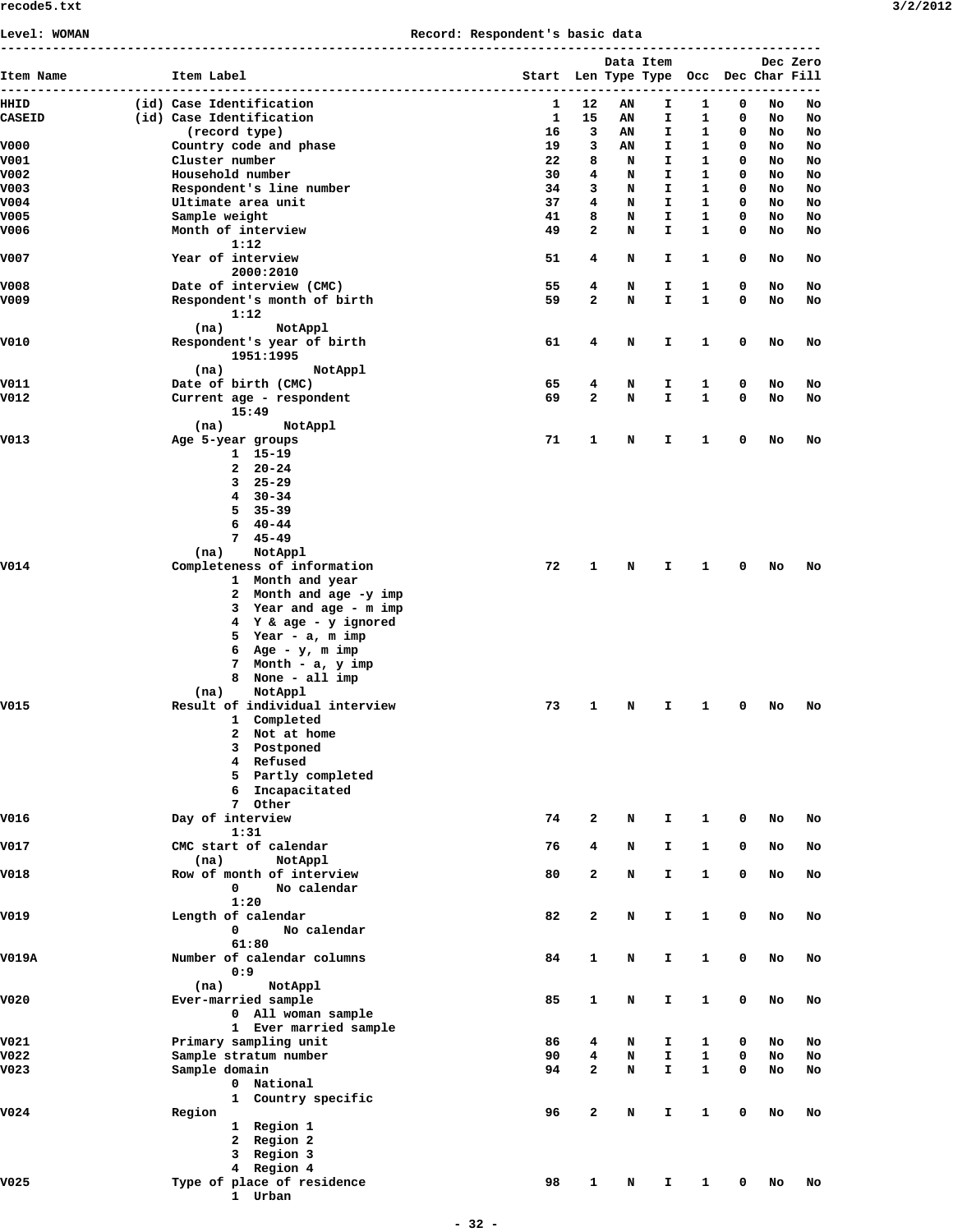# **Level: WOMAN Record: Respondent's basic data**

| Item Name<br>--------------- | Item Label                                           | Start Len Type Type Occ Dec Char Fill |                |        | Data Item    |              |             |          | Dec Zero |
|------------------------------|------------------------------------------------------|---------------------------------------|----------------|--------|--------------|--------------|-------------|----------|----------|
| HHID                         | (id) Case Identification                             | 1                                     | 12             | ΑN     | I.           | 1            | 0           | No       | No       |
| <b>CASEID</b>                | (id) Case Identification                             | $\mathbf{1}$                          | 15             | AN     | I.           | 1            | 0           | No       | No       |
|                              | (record type)                                        | 16                                    | 3              | AN     | I.           | 1            | 0           | NO       | No       |
| V000                         | Country code and phase                               | 19                                    | 3              | AN     | I            | $\mathbf{1}$ | 0           | No       | No       |
| V001                         | Cluster number                                       | 22                                    | 8              | N      | I.           | $\mathbf{1}$ | 0           | NO       | No       |
| V002                         | Household number                                     | 30                                    | 4              | N      | I            | $\mathbf{1}$ | 0           | No       | No       |
| V003                         | Respondent's line number                             | 34                                    | 3              | N      | $\mathbf{I}$ | $\mathbf{1}$ | 0           | NO       | No       |
| V004                         | Ultimate area unit                                   | 37                                    | 4              | N      | I.           | $\mathbf{1}$ | 0           | No       | No       |
| V005                         | Sample weight                                        | 41                                    | 8              | N      | $\mathbf{I}$ | 1            | 0           | No       | No       |
| V006                         | Month of interview                                   | 49                                    | $\mathbf{2}$   | N      | I.           | 1            | 0           | No       | No       |
|                              | 1:12                                                 |                                       |                |        |              |              |             |          |          |
| V007                         | Year of interview<br>2000:2010                       | 51                                    | 4              | N      | I.           | 1            | 0           | No       | No       |
| V008                         | Date of interview (CMC)                              | 55                                    | 4              | N      | I.           | 1            | 0           | No       | No       |
| V009                         | Respondent's month of birth<br>1:12                  | 59                                    | $\mathbf{2}$   | N      | I.           | $\mathbf{1}$ | 0           | No       | No       |
| V010                         | (na)<br>NotAppl<br>Respondent's year of birth        | 61                                    | 4              | N      | I.           | 1            | 0           | No       | No       |
|                              | 1951:1995                                            |                                       |                |        |              |              |             |          |          |
|                              | NotAppl<br>(na)                                      | 65                                    | 4              |        |              |              | 0           |          |          |
| V011<br>V012                 | Date of birth (CMC)                                  | 69                                    | 2              | N<br>N | I.<br>I.     | 1<br>1       | 0           | No<br>No | No<br>No |
|                              | Current age - respondent<br>15:49<br>(na)<br>NotAppl |                                       |                |        |              |              |             |          |          |
| V013                         | Age 5-year groups                                    | 71                                    | 1              | N      | I.           | 1            | 0           | No       | No       |
|                              | $1 15 - 19$                                          |                                       |                |        |              |              |             |          |          |
|                              | $2 \t20-24$                                          |                                       |                |        |              |              |             |          |          |
|                              | $325 - 29$                                           |                                       |                |        |              |              |             |          |          |
|                              | $4 \quad 30 - 34$                                    |                                       |                |        |              |              |             |          |          |
|                              | $535 - 39$                                           |                                       |                |        |              |              |             |          |          |
|                              | $640 - 44$                                           |                                       |                |        |              |              |             |          |          |
|                              | $745 - 49$                                           |                                       |                |        |              |              |             |          |          |
|                              | NotAppl<br>(na)                                      |                                       |                |        |              |              |             |          |          |
| V014                         | Completeness of information                          | 72                                    | 1              | N      | I.           | 1            | 0           | No       | No       |
|                              | 1 Month and year                                     |                                       |                |        |              |              |             |          |          |
|                              | 2 Month and age -y imp                               |                                       |                |        |              |              |             |          |          |
|                              | 3 Year and age - m imp                               |                                       |                |        |              |              |             |          |          |
|                              | 4 Y & age - y ignored                                |                                       |                |        |              |              |             |          |          |
|                              | 5 Year - a, m imp                                    |                                       |                |        |              |              |             |          |          |
|                              | 6 Age - $y$ , m imp                                  |                                       |                |        |              |              |             |          |          |
|                              | 7 Month - a, y imp                                   |                                       |                |        |              |              |             |          |          |
|                              | 8 None - all imp                                     |                                       |                |        |              |              |             |          |          |
|                              | NotAppl<br>(na)                                      |                                       |                |        |              |              |             |          |          |
| V015                         | Result of individual interview                       | 73                                    | 1              | N      | I.           | 1            | 0           | No       | No       |
|                              | 1 Completed                                          |                                       |                |        |              |              |             |          |          |
|                              | $\mathbf{2}$<br>Not at home                          |                                       |                |        |              |              |             |          |          |
|                              | 3 Postponed                                          |                                       |                |        |              |              |             |          |          |
|                              | 4 Refused                                            |                                       |                |        |              |              |             |          |          |
|                              | 5 Partly completed                                   |                                       |                |        |              |              |             |          |          |
|                              | 6 Incapacitated                                      |                                       |                |        |              |              |             |          |          |
|                              | 7 Other                                              |                                       |                |        |              |              |             |          |          |
| V016                         |                                                      | 74                                    | $\mathbf{2}$   |        | $\mathbf{I}$ |              | 0           |          |          |
|                              | Day of interview<br>1:31                             |                                       |                | N      |              | 1            |             | No       | No       |
| V017                         | CMC start of calendar                                | 76                                    | 4              | N      | I.           | $\mathbf{1}$ | $\mathbf 0$ | No       | No       |
|                              | (na)<br>NotAppl                                      |                                       |                |        |              |              |             |          |          |
| V018                         | Row of month of interview                            | 80                                    | $\mathbf{z}$   | N      | $\mathbf I$  | $\mathbf{1}$ | 0           | No       | No       |
|                              | No calendar<br>$\mathbf 0$                           |                                       |                |        |              |              |             |          |          |
|                              | 1:20                                                 |                                       |                |        |              |              |             |          |          |
| V019                         | Length of calendar                                   | 82                                    | $\overline{a}$ | N      | $\mathbf T$  | $\mathbf{1}$ | 0           | No       | No       |
|                              | No calendar<br>$\mathbf 0$                           |                                       |                |        |              |              |             |          |          |
|                              | 61:80                                                |                                       |                |        |              |              |             |          |          |
| V019A                        | Number of calendar columns                           | 84                                    | 1              | N      | I.           | $\mathbf{1}$ | 0           | No       | No       |
|                              | 0:9                                                  |                                       |                |        |              |              |             |          |          |
|                              | NotAppl<br>(na)                                      |                                       |                |        |              |              |             |          |          |
| V020                         | Ever-married sample                                  | 85                                    | $\mathbf{1}$   | N      | I.           | $\mathbf{1}$ | 0           | No       | No       |
|                              | 0 All woman sample                                   |                                       |                |        |              |              |             |          |          |
|                              | 1 Ever married sample                                |                                       |                |        |              |              |             |          |          |
| V021                         | Primary sampling unit                                | 86                                    | 4              | N      | I.           | 1            | 0           | No       | No       |
| V022                         | Sample stratum number                                | 90                                    | 4              | N      | I.           | 1            | 0           | No       | No       |
| V023                         | Sample domain                                        | 94                                    | $\overline{a}$ | N      | $\mathbf I$  | $\mathbf{1}$ | 0           | No       | No       |
|                              |                                                      |                                       |                |        |              |              |             |          |          |
|                              | 0 National                                           |                                       |                |        |              |              |             |          |          |
|                              | 1 Country specific                                   |                                       |                |        |              |              |             |          |          |
| V024                         | Region                                               | 96                                    | $\mathbf{2}$   | N      | I.           | $\mathbf{1}$ | 0           | No       | No       |
|                              | 1 Region 1                                           |                                       |                |        |              |              |             |          |          |
|                              | 2 Region 2                                           |                                       |                |        |              |              |             |          |          |
|                              | 3 Region 3                                           |                                       |                |        |              |              |             |          |          |
|                              | 4 Region 4                                           |                                       |                |        |              |              |             |          |          |
| v025                         | Type of place of residence                           | 98                                    | 1              | N      | Ι.           | 1            | 0           | No       | No       |
|                              | 1 Urban                                              |                                       |                |        |              |              |             |          |          |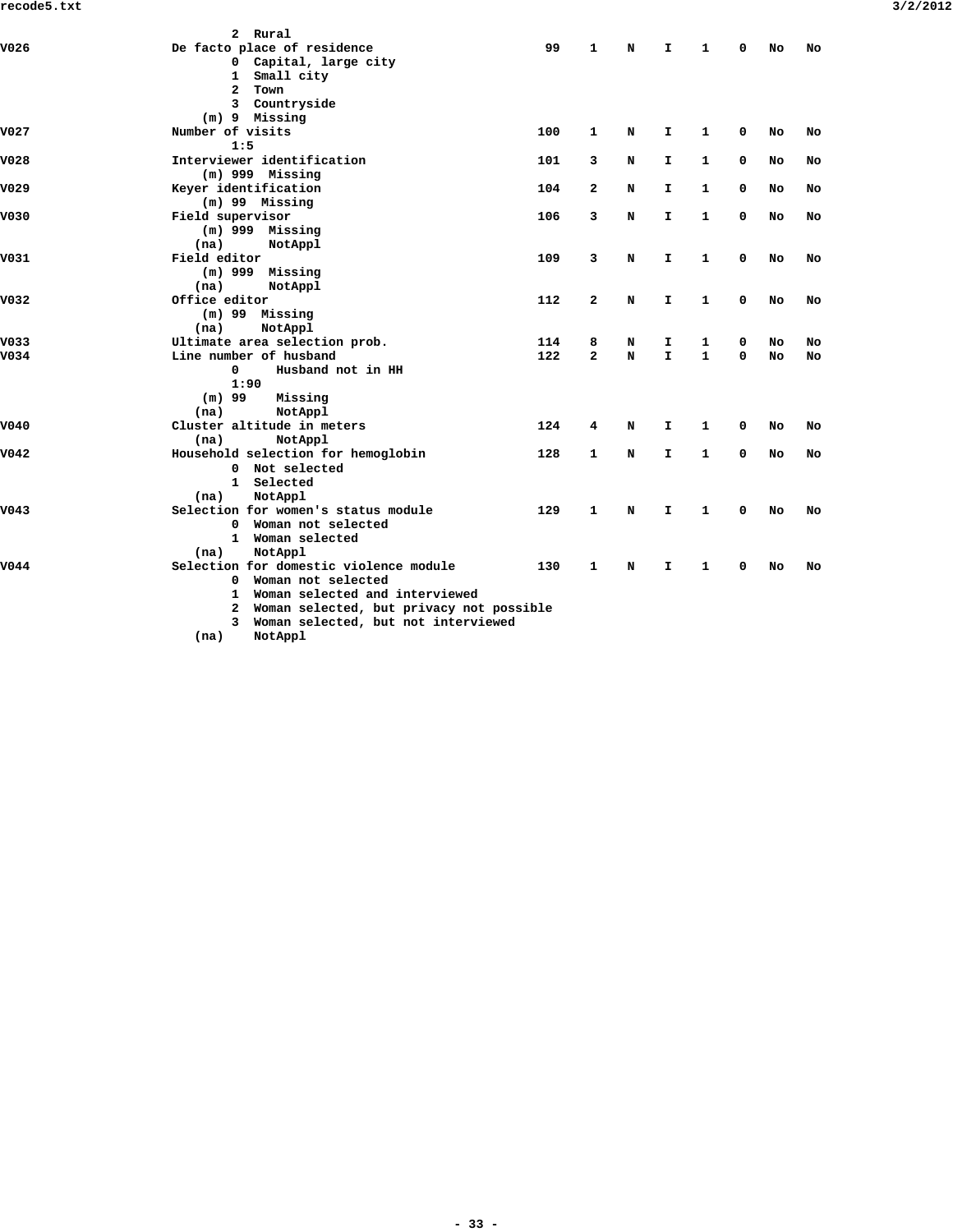|                  | 2 Rural                                    |     |                |   |              |              |             |    |    |
|------------------|--------------------------------------------|-----|----------------|---|--------------|--------------|-------------|----|----|
| V026             | De facto place of residence                | 99  | $\mathbf{1}$   | N | I.           | $\mathbf{1}$ | $\Omega$    | No | No |
|                  | 0 Capital, large city                      |     |                |   |              |              |             |    |    |
|                  | 1 Small city                               |     |                |   |              |              |             |    |    |
|                  | Town<br>$\mathbf{2}$                       |     |                |   |              |              |             |    |    |
|                  | 3 Countryside                              |     |                |   |              |              |             |    |    |
|                  | (m) 9 Missing                              |     |                |   |              |              |             |    |    |
| V027             | Number of visits                           | 100 | 1              | N | I.           | 1            | 0           | No | No |
|                  | 1:5                                        |     |                |   |              |              |             |    |    |
| V028             | Interviewer identification                 | 101 | 3              | N | I.           | 1            | 0           | No | No |
|                  | $(m)$ 999 Missing                          |     |                |   |              |              |             |    |    |
| V029             | Keyer identification                       | 104 | $\mathbf{z}$   | N | I.           | 1            | 0           | No | No |
|                  | $(m)$ 99 Missing                           |     |                |   |              |              |             |    |    |
| V030             | Field supervisor                           | 106 | 3              | N | I.           | $\mathbf{1}$ | $\mathbf 0$ | No | No |
|                  | $(m)$ 999 Missing                          |     |                |   |              |              |             |    |    |
|                  | (na)<br>NotAppl                            |     |                |   |              |              |             |    |    |
| V031             | Field editor                               | 109 | 3              | N | $\mathbf{I}$ | 1            | 0           | No | No |
|                  | $(m)$ 999 Missing                          |     |                |   |              |              |             |    |    |
|                  | (na)<br>NotAppl                            |     |                |   |              |              |             |    |    |
| V <sub>032</sub> | Office editor                              | 112 | $\mathbf{z}$   | N | $\mathbf{I}$ | $\mathbf{1}$ | $\mathbf 0$ | No | No |
|                  | $(m)$ 99 Missing                           |     |                |   |              |              |             |    |    |
|                  | NotAppl<br>(na)                            |     |                |   |              |              |             |    |    |
| V033             | Ultimate area selection prob.              | 114 | 8              | N | I.           | 1            | 0           | No | No |
| V034             | Line number of husband                     | 122 | $\overline{a}$ | N | $\mathbf{I}$ | $\mathbf{1}$ | $\mathbf 0$ | No | No |
|                  | Husband not in HH<br>0                     |     |                |   |              |              |             |    |    |
|                  | 1:90                                       |     |                |   |              |              |             |    |    |
|                  | $(m)$ 99<br>Missing                        |     |                |   |              |              |             |    |    |
|                  | NotAppl<br>(na)                            |     |                |   |              |              |             |    |    |
| V040             | Cluster altitude in meters                 | 124 | 4              | N | I.           | 1            | 0           | No | No |
|                  | NotAppl<br>(na)                            |     |                |   |              |              |             |    |    |
| V042             | Household selection for hemoglobin         | 128 | 1              | N | $\mathbf{I}$ | 1            | $\mathbf 0$ | No | No |
|                  | 0 Not selected                             |     |                |   |              |              |             |    |    |
|                  | 1 Selected                                 |     |                |   |              |              |             |    |    |
|                  | NotAppl<br>(na)                            |     |                |   |              |              |             |    |    |
| V043             | Selection for women's status module        | 129 | 1              | N | $\mathbf{I}$ | $\mathbf{1}$ | 0           | No | No |
|                  | Woman not selected<br>0                    |     |                |   |              |              |             |    |    |
|                  | 1 Woman selected                           |     |                |   |              |              |             |    |    |
|                  | (na)<br>NotAppl                            |     |                |   |              |              |             |    |    |
| V044             | Selection for domestic violence module     | 130 | 1              | N | I.           | 1            | 0           | No | No |
|                  | 0 Woman not selected                       |     |                |   |              |              |             |    |    |
|                  | 1 Woman selected and interviewed           |     |                |   |              |              |             |    |    |
|                  | 2 Woman selected, but privacy not possible |     |                |   |              |              |             |    |    |
|                  | 3 Woman selected, but not interviewed      |     |                |   |              |              |             |    |    |
|                  | (na)<br>NotAppl                            |     |                |   |              |              |             |    |    |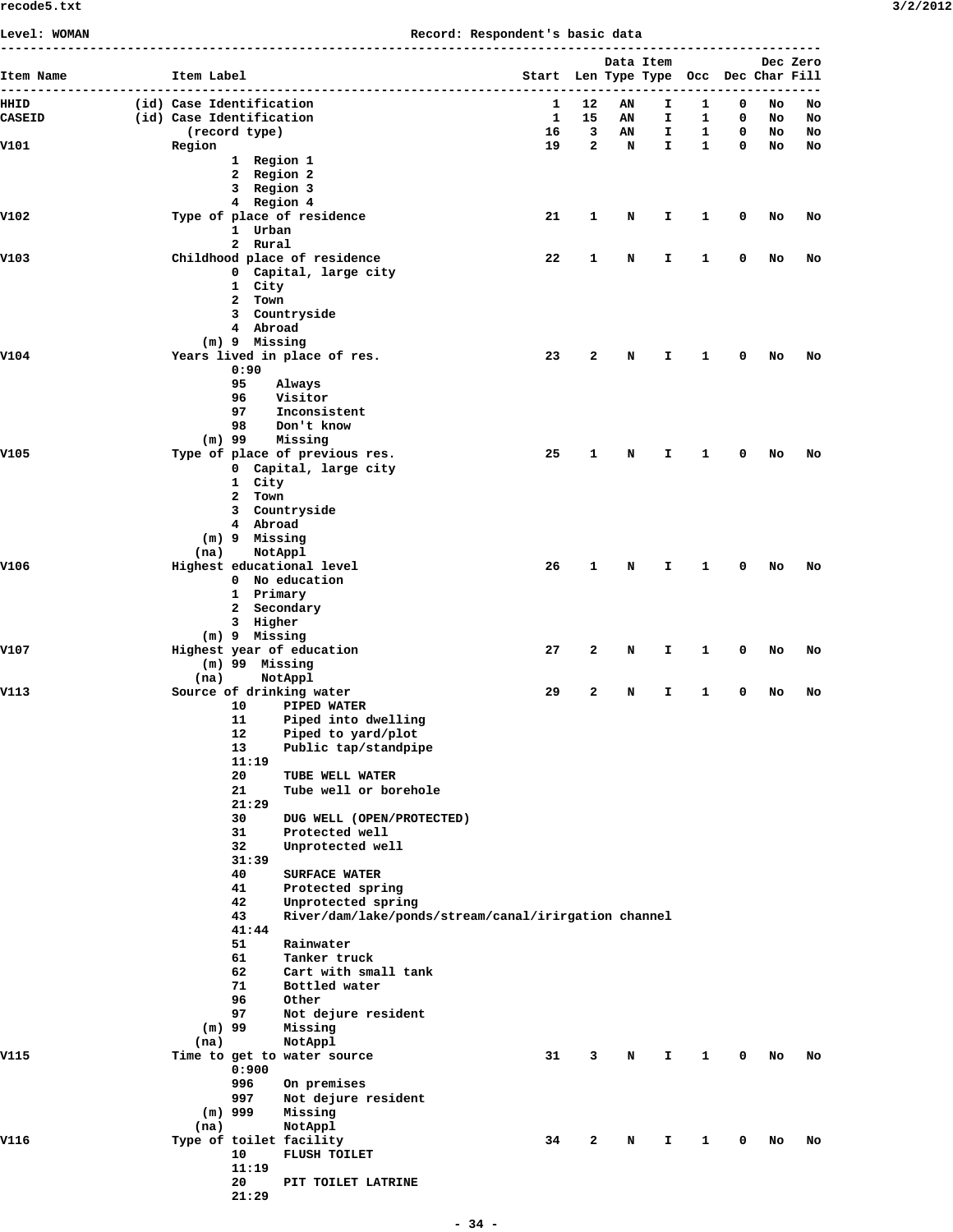**Level: WOMAN Record: Respondent's basic data**

|               |                          |                  |                                                      |                                       |              | Data Item |              |                   |        |          | Dec Zero |
|---------------|--------------------------|------------------|------------------------------------------------------|---------------------------------------|--------------|-----------|--------------|-------------------|--------|----------|----------|
| Item Name     | Item Label               |                  | ------------------------                             | Start Len Type Type Occ Dec Char Fill |              |           |              |                   |        |          |          |
| HHID          | (id) Case Identification |                  |                                                      | 1                                     | 12           | AN        | I            | 1                 | 0      | No       | No       |
| <b>CASEID</b> | (id) Case Identification | (record type)    |                                                      | $\mathbf{1}$<br>16                    | 15<br>3      | AN<br>AN  | I<br>I.      | 1<br>$\mathbf{1}$ | 0<br>0 | No       | No<br>No |
| V101          | Region                   |                  |                                                      | 19                                    | $\mathbf{2}$ | N         | $\mathbf{I}$ | $\mathbf{1}$      | 0      | No<br>No | No       |
|               |                          | 1 Region 1       |                                                      |                                       |              |           |              |                   |        |          |          |
|               |                          | 2 Region 2       |                                                      |                                       |              |           |              |                   |        |          |          |
|               |                          | 3 Region 3       |                                                      |                                       |              |           |              |                   |        |          |          |
| V102          |                          | 4 Region 4       | Type of place of residence                           | 21                                    | 1            | N         | I.           | 1                 | 0      | No       | No       |
|               |                          | 1 Urban          |                                                      |                                       |              |           |              |                   |        |          |          |
|               |                          | 2 Rural          |                                                      |                                       |              |           |              |                   |        |          |          |
| V103          |                          |                  | Childhood place of residence                         | 22                                    | 1            | N         | I            | 1                 | 0      | No       | No       |
|               |                          | 1 City           | 0 Capital, large city                                |                                       |              |           |              |                   |        |          |          |
|               |                          | 2 Town           |                                                      |                                       |              |           |              |                   |        |          |          |
|               |                          |                  | 3 Countryside                                        |                                       |              |           |              |                   |        |          |          |
|               |                          | 4 Abroad         |                                                      |                                       |              |           |              |                   |        |          |          |
| V104          |                          | (m) 9 Missing    | Years lived in place of res.                         | 23                                    | 2            | N         | I            | 1                 | 0      | No       | No       |
|               |                          | 0:90             |                                                      |                                       |              |           |              |                   |        |          |          |
|               |                          | 95               | Always                                               |                                       |              |           |              |                   |        |          |          |
|               |                          | 96               | Visitor                                              |                                       |              |           |              |                   |        |          |          |
|               |                          | 97<br>98         | Inconsistent<br>Don't know                           |                                       |              |           |              |                   |        |          |          |
|               |                          | $(m)$ 99         | Missing                                              |                                       |              |           |              |                   |        |          |          |
| V105          |                          |                  | Type of place of previous res.                       | 25                                    | $\mathbf{1}$ | N         | I.           | 1                 | 0      | No       | No       |
|               |                          |                  | 0 Capital, large city                                |                                       |              |           |              |                   |        |          |          |
|               |                          | 1 City           |                                                      |                                       |              |           |              |                   |        |          |          |
|               |                          | 2 Town           | 3 Countryside                                        |                                       |              |           |              |                   |        |          |          |
|               |                          | 4 Abroad         |                                                      |                                       |              |           |              |                   |        |          |          |
|               |                          | $(m)$ 9 Missing  |                                                      |                                       |              |           |              |                   |        |          |          |
|               | (na)                     |                  | NotAppl                                              |                                       |              |           |              |                   |        |          |          |
| V106          |                          |                  | Highest educational level<br>0 No education          | 26                                    | 1            | N         | I.           | 1                 | 0      | No       | No       |
|               |                          | 1 Primary        |                                                      |                                       |              |           |              |                   |        |          |          |
|               |                          | 2 Secondary      |                                                      |                                       |              |           |              |                   |        |          |          |
|               |                          | 3 Higher         |                                                      |                                       |              |           |              |                   |        |          |          |
| V107          |                          | $(m)$ 9 Missing  | Highest year of education                            | 27                                    | 2            | N         | I.           | 1                 | 0      | No       | No       |
|               |                          | (m) 99 Missing   |                                                      |                                       |              |           |              |                   |        |          |          |
|               | (na)                     |                  | NotAppl                                              |                                       |              |           |              |                   |        |          |          |
| V113          |                          |                  | Source of drinking water                             | 29                                    | 2            | N         | I.           | 1                 | 0      | No       | No       |
|               |                          | 10<br>11         | PIPED WATER<br>Piped into dwelling                   |                                       |              |           |              |                   |        |          |          |
|               |                          |                  | 12 Piped to yard/plot                                |                                       |              |           |              |                   |        |          |          |
|               |                          | 13               | Public tap/standpipe                                 |                                       |              |           |              |                   |        |          |          |
|               |                          | 11:19            |                                                      |                                       |              |           |              |                   |        |          |          |
|               |                          | 20<br>21         | TUBE WELL WATER<br>Tube well or borehole             |                                       |              |           |              |                   |        |          |          |
|               |                          | 21:29            |                                                      |                                       |              |           |              |                   |        |          |          |
|               |                          | 30               | DUG WELL (OPEN/PROTECTED)                            |                                       |              |           |              |                   |        |          |          |
|               |                          | 31               | Protected well                                       |                                       |              |           |              |                   |        |          |          |
|               |                          | 32               | Unprotected well                                     |                                       |              |           |              |                   |        |          |          |
|               |                          | 31:39<br>40      | <b>SURFACE WATER</b>                                 |                                       |              |           |              |                   |        |          |          |
|               |                          | 41               | Protected spring                                     |                                       |              |           |              |                   |        |          |          |
|               |                          | 42               | Unprotected spring                                   |                                       |              |           |              |                   |        |          |          |
|               |                          | 43               | River/dam/lake/ponds/stream/canal/irirgation channel |                                       |              |           |              |                   |        |          |          |
|               |                          | 41:44<br>51      | Rainwater                                            |                                       |              |           |              |                   |        |          |          |
|               |                          | 61               | Tanker truck                                         |                                       |              |           |              |                   |        |          |          |
|               |                          | 62               | Cart with small tank                                 |                                       |              |           |              |                   |        |          |          |
|               |                          | 71               | Bottled water                                        |                                       |              |           |              |                   |        |          |          |
|               |                          | 96               | Other                                                |                                       |              |           |              |                   |        |          |          |
|               | $(m)$ 99                 | 97               | Not dejure resident<br>Missing                       |                                       |              |           |              |                   |        |          |          |
|               | (na)                     |                  | NotAppl                                              |                                       |              |           |              |                   |        |          |          |
| V115          |                          |                  | Time to get to water source                          | 31                                    | 3            | N         | I.           | 1                 | 0      | No       | No       |
|               |                          | 0:900            |                                                      |                                       |              |           |              |                   |        |          |          |
|               |                          | 996              | On premises                                          |                                       |              |           |              |                   |        |          |          |
|               |                          | 997<br>$(m)$ 999 | Not dejure resident<br>Missing                       |                                       |              |           |              |                   |        |          |          |
|               | (na)                     |                  | NotAppl                                              |                                       |              |           |              |                   |        |          |          |
| V116          |                          |                  | Type of toilet facility                              | 34                                    | 2            | N         | I.           | 1                 | 0      | No       | No       |
|               |                          | 10               | <b>FLUSH TOILET</b>                                  |                                       |              |           |              |                   |        |          |          |
|               |                          | 11:19            |                                                      |                                       |              |           |              |                   |        |          |          |
|               |                          | 20<br>21:29      | PIT TOILET LATRINE                                   |                                       |              |           |              |                   |        |          |          |
|               |                          |                  |                                                      |                                       |              |           |              |                   |        |          |          |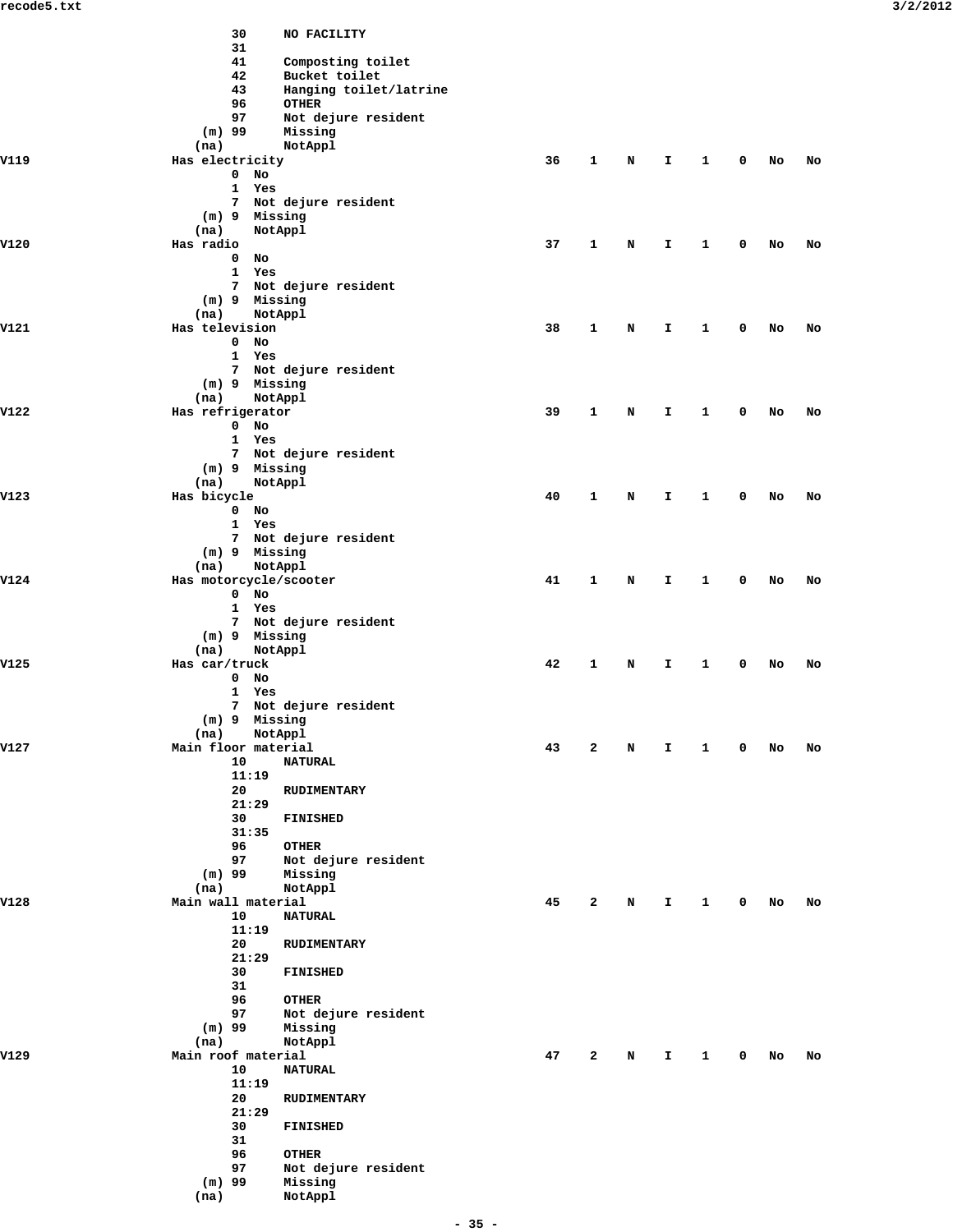|      | 30                         | NO FACILITY                             |    |              |   |    |              |   |    |    |
|------|----------------------------|-----------------------------------------|----|--------------|---|----|--------------|---|----|----|
|      | 31                         |                                         |    |              |   |    |              |   |    |    |
|      | 41                         | Composting toilet                       |    |              |   |    |              |   |    |    |
|      | 42<br>43                   | Bucket toilet<br>Hanging toilet/latrine |    |              |   |    |              |   |    |    |
|      | 96                         | <b>OTHER</b>                            |    |              |   |    |              |   |    |    |
|      | 97                         | Not dejure resident                     |    |              |   |    |              |   |    |    |
|      | $(m)$ 99                   | Missing                                 |    |              |   |    |              |   |    |    |
|      | (na)                       | NotAppl                                 |    |              |   |    |              |   |    |    |
| V119 | Has electricity            |                                         | 36 | 1            | N | I. | 1            | 0 | No | No |
|      | $0$ No<br>1 Yes            |                                         |    |              |   |    |              |   |    |    |
|      |                            | 7 Not dejure resident                   |    |              |   |    |              |   |    |    |
|      | $(m)$ 9 Missing            |                                         |    |              |   |    |              |   |    |    |
|      | (na)                       | NotAppl                                 |    |              |   |    |              |   |    |    |
| V120 | Has radio                  |                                         | 37 | 1            | N | I. | 1            | 0 | No | No |
|      | $0$ No                     |                                         |    |              |   |    |              |   |    |    |
|      | 1 Yes                      |                                         |    |              |   |    |              |   |    |    |
|      | (m) 9 Missing              | 7 Not dejure resident                   |    |              |   |    |              |   |    |    |
|      | (na)                       | NotAppl                                 |    |              |   |    |              |   |    |    |
| V121 | Has television             |                                         | 38 | 1            | N | I. | 1            | 0 | No | No |
|      | $0$ No                     |                                         |    |              |   |    |              |   |    |    |
|      | 1 Yes                      |                                         |    |              |   |    |              |   |    |    |
|      |                            | 7 Not dejure resident                   |    |              |   |    |              |   |    |    |
|      | (m) 9 Missing<br>(na)      | NotAppl                                 |    |              |   |    |              |   |    |    |
| V122 | Has refrigerator           |                                         | 39 | 1            | N | I  | 1            | 0 | No | No |
|      | $0$ No                     |                                         |    |              |   |    |              |   |    |    |
|      | 1 Yes                      |                                         |    |              |   |    |              |   |    |    |
|      |                            | 7 Not dejure resident                   |    |              |   |    |              |   |    |    |
|      | (m) 9 Missing              |                                         |    |              |   |    |              |   |    |    |
|      | (na)                       | NotAppl                                 |    |              |   |    |              |   |    |    |
| V123 | Has bicycle<br>$0$ No      |                                         | 40 | 1            | N | I. | 1            | 0 | No | No |
|      | 1 Yes                      |                                         |    |              |   |    |              |   |    |    |
|      |                            | 7 Not dejure resident                   |    |              |   |    |              |   |    |    |
|      | (m) 9 Missing              |                                         |    |              |   |    |              |   |    |    |
|      | (na)                       | NotAppl                                 |    |              |   |    |              |   |    |    |
| V124 | Has motorcycle/scooter     |                                         | 41 | 1            | N | I  | 1            | 0 | No | No |
|      | $0$ No<br>1 Yes            |                                         |    |              |   |    |              |   |    |    |
|      |                            | 7 Not dejure resident                   |    |              |   |    |              |   |    |    |
|      | (m) 9 Missing              |                                         |    |              |   |    |              |   |    |    |
|      | (na)                       | NotAppl                                 |    |              |   |    |              |   |    |    |
| V125 | Has car/truck              |                                         | 42 | 1            | N | I. | 1            | 0 | No | No |
|      | $0$ No                     |                                         |    |              |   |    |              |   |    |    |
|      | 1 Yes                      |                                         |    |              |   |    |              |   |    |    |
|      | $(m)$ 9 Missing            | 7 Not dejure resident                   |    |              |   |    |              |   |    |    |
|      | (na)                       | NotAppl                                 |    |              |   |    |              |   |    |    |
| V127 | Main floor material        |                                         | 43 | 2            | Ν | I  | 1            | 0 | No | No |
|      | 10                         | <b>NATURAL</b>                          |    |              |   |    |              |   |    |    |
|      | 11:19                      |                                         |    |              |   |    |              |   |    |    |
|      | 20                         | RUDIMENTARY                             |    |              |   |    |              |   |    |    |
|      | 21:29                      |                                         |    |              |   |    |              |   |    |    |
|      | 30<br>31:35                | FINISHED                                |    |              |   |    |              |   |    |    |
|      | 96                         | <b>OTHER</b>                            |    |              |   |    |              |   |    |    |
|      | 97                         | Not dejure resident                     |    |              |   |    |              |   |    |    |
|      | $(m)$ 99                   | Missing                                 |    |              |   |    |              |   |    |    |
|      | (na)                       | NotAppl                                 |    |              |   |    |              |   |    |    |
| V128 | Main wall material         |                                         | 45 | $\mathbf{2}$ | N | I. | $\mathbf{1}$ | 0 | No | No |
|      | 10                         | <b>NATURAL</b>                          |    |              |   |    |              |   |    |    |
|      | 11:19<br>20                | <b>RUDIMENTARY</b>                      |    |              |   |    |              |   |    |    |
|      | 21:29                      |                                         |    |              |   |    |              |   |    |    |
|      | 30                         | FINISHED                                |    |              |   |    |              |   |    |    |
|      | 31                         |                                         |    |              |   |    |              |   |    |    |
|      | 96                         | <b>OTHER</b>                            |    |              |   |    |              |   |    |    |
|      | 97                         | Not dejure resident                     |    |              |   |    |              |   |    |    |
|      | $(m)$ 99                   | Missing                                 |    |              |   |    |              |   |    |    |
| V129 | (na)<br>Main roof material | NotAppl                                 | 47 | $\mathbf{2}$ | N | I. | 1            | 0 | No | No |
|      | 10                         | <b>NATURAL</b>                          |    |              |   |    |              |   |    |    |
|      | 11:19                      |                                         |    |              |   |    |              |   |    |    |
|      | 20                         | <b>RUDIMENTARY</b>                      |    |              |   |    |              |   |    |    |
|      | 21:29                      |                                         |    |              |   |    |              |   |    |    |
|      | 30                         | <b>FINISHED</b>                         |    |              |   |    |              |   |    |    |
|      | 31<br>96                   | <b>OTHER</b>                            |    |              |   |    |              |   |    |    |
|      | 97                         | Not dejure resident                     |    |              |   |    |              |   |    |    |
|      | $(m)$ 99                   | Missing                                 |    |              |   |    |              |   |    |    |
|      | (na)                       | NotAppl                                 |    |              |   |    |              |   |    |    |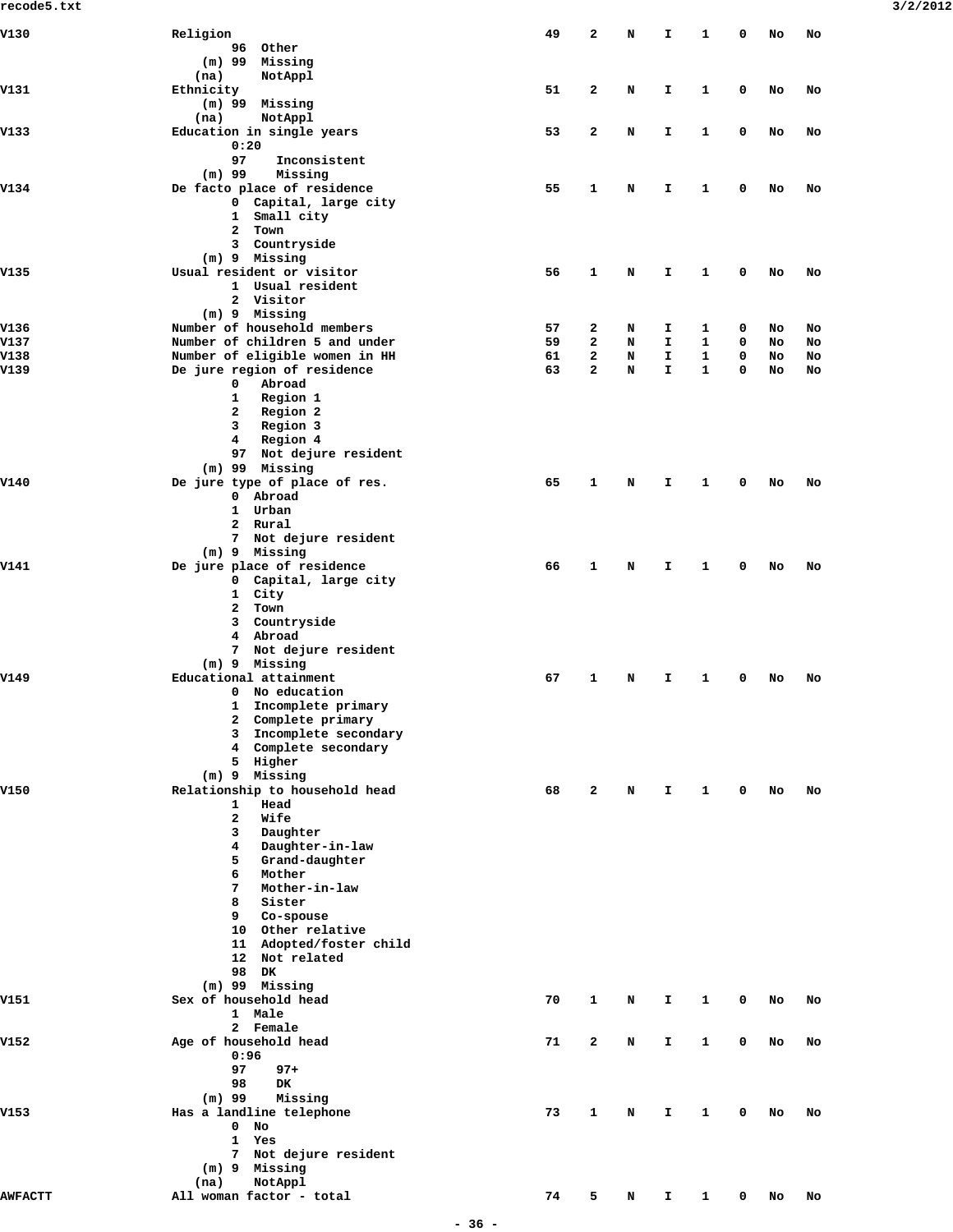| V130           | Religion                                       | 49 | 2            | N | I            | 1            | 0 | No | No |
|----------------|------------------------------------------------|----|--------------|---|--------------|--------------|---|----|----|
|                | 96 Other                                       |    |              |   |              |              |   |    |    |
|                | $(m)$ 99 Missing                               |    |              |   |              |              |   |    |    |
|                | NotAppl<br>(na)                                |    |              |   |              |              |   |    |    |
| V131           | Ethnicity                                      | 51 | 2            | N | I            | 1            | 0 | No | No |
|                | (m) 99 Missing                                 |    |              |   |              |              |   |    |    |
|                | (na)<br>NotAppl                                |    |              |   |              |              |   |    |    |
| V133           | Education in single years                      | 53 | 2            | N | I.           | 1            | 0 | No | No |
|                | 0:20<br>97<br>Inconsistent                     |    |              |   |              |              |   |    |    |
|                | $(m)$ 99<br>Missing                            |    |              |   |              |              |   |    |    |
| V134           | De facto place of residence                    | 55 | 1            | N | I.           | 1            | 0 | No | No |
|                | 0 Capital, large city                          |    |              |   |              |              |   |    |    |
|                | 1 Small city                                   |    |              |   |              |              |   |    |    |
|                | $\mathbf{2}$<br>Town                           |    |              |   |              |              |   |    |    |
|                | 3 Countryside                                  |    |              |   |              |              |   |    |    |
|                | $(m)$ 9 Missing                                |    |              |   |              |              |   |    |    |
| V135           | Usual resident or visitor                      | 56 | 1            | N | I.           | 1            | 0 | No | No |
|                | 1 Usual resident<br>2 Visitor                  |    |              |   |              |              |   |    |    |
|                | (m) 9 Missing                                  |    |              |   |              |              |   |    |    |
| V136           | Number of household members                    | 57 | 2            | N | I            | 1            | 0 | No | No |
| V137           | Number of children 5 and under                 | 59 | $\mathbf{z}$ | N | I.           | 1            | 0 | No | No |
| V138           | Number of eligible women in HH                 | 61 | $\mathbf{z}$ | N | I.           | 1            | 0 | No | No |
| V139           | De jure region of residence                    | 63 | $\mathbf{2}$ | N | T.           | 1            | 0 | No | No |
|                | 0<br>Abroad                                    |    |              |   |              |              |   |    |    |
|                | 1<br>Region 1                                  |    |              |   |              |              |   |    |    |
|                | $\mathbf{2}$<br>Region 2                       |    |              |   |              |              |   |    |    |
|                | 3<br>Region 3                                  |    |              |   |              |              |   |    |    |
|                | Region 4<br>4<br>97 Not dejure resident        |    |              |   |              |              |   |    |    |
|                | $(m)$ 99 Missing                               |    |              |   |              |              |   |    |    |
| V140           | De jure type of place of res.                  | 65 | 1            | N | I            | 1            | 0 | No | No |
|                | 0 Abroad                                       |    |              |   |              |              |   |    |    |
|                | 1 Urban                                        |    |              |   |              |              |   |    |    |
|                | 2 Rural                                        |    |              |   |              |              |   |    |    |
|                | Not dejure resident<br>7                       |    |              |   |              |              |   |    |    |
|                | (m) 9 Missing                                  |    |              |   |              |              |   |    |    |
| V141           | De jure place of residence                     | 66 | 1            | N | I            | 1            | 0 | No | No |
|                | 0 Capital, large city<br>1 City                |    |              |   |              |              |   |    |    |
|                | $\mathbf{2}$<br>Town                           |    |              |   |              |              |   |    |    |
|                | 3 Countryside                                  |    |              |   |              |              |   |    |    |
|                | 4 Abroad                                       |    |              |   |              |              |   |    |    |
|                | Not dejure resident<br>7                       |    |              |   |              |              |   |    |    |
|                | (m) 9 Missing                                  |    |              |   |              |              |   |    |    |
| V149           | Educational attainment                         | 67 | 1            | N | I.           | 1            | 0 | No | No |
|                | No education<br>0                              |    |              |   |              |              |   |    |    |
|                | Incomplete primary<br>1                        |    |              |   |              |              |   |    |    |
|                | 2 Complete primary                             |    |              |   |              |              |   |    |    |
|                | 3 Incomplete secondary<br>4 Complete secondary |    |              |   |              |              |   |    |    |
|                | 5 Higher                                       |    |              |   |              |              |   |    |    |
|                | $(m)$ 9 Missing                                |    |              |   |              |              |   |    |    |
| V150           | Relationship to household head                 | 68 | 2            | N | I.           | 1            | 0 | No | No |
|                | Head<br>1                                      |    |              |   |              |              |   |    |    |
|                | $\mathbf{z}$<br>Wife                           |    |              |   |              |              |   |    |    |
|                | 3<br>Daughter                                  |    |              |   |              |              |   |    |    |
|                | Daughter-in-law<br>4                           |    |              |   |              |              |   |    |    |
|                | Grand-daughter<br>5                            |    |              |   |              |              |   |    |    |
|                | 6<br>Mother<br>7<br>Mother-in-law              |    |              |   |              |              |   |    |    |
|                | 8<br>Sister                                    |    |              |   |              |              |   |    |    |
|                | 9<br>Co-spouse                                 |    |              |   |              |              |   |    |    |
|                | 10 Other relative                              |    |              |   |              |              |   |    |    |
|                | 11 Adopted/foster child                        |    |              |   |              |              |   |    |    |
|                | 12 Not related                                 |    |              |   |              |              |   |    |    |
|                | 98 DK                                          |    |              |   |              |              |   |    |    |
|                | $(m)$ 99 Missing                               |    |              |   |              |              |   |    |    |
| v151           | Sex of household head                          | 70 | 1            | N | Ι.           | 1            | 0 | No | No |
|                | 1 Male                                         |    |              |   |              |              |   |    |    |
| V152           | 2 Female<br>Age of household head              | 71 | $\mathbf{2}$ | N | I.           | 1            | 0 | No | No |
|                | 0:96                                           |    |              |   |              |              |   |    |    |
|                | 97<br>$97+$                                    |    |              |   |              |              |   |    |    |
|                | 98<br><b>DK</b>                                |    |              |   |              |              |   |    |    |
|                | $(m)$ 99<br>Missing                            |    |              |   |              |              |   |    |    |
| V153           | Has a landline telephone                       | 73 | 1            | N | Ι.           | 1            | 0 | No | No |
|                | $\mathbf{0}$<br>No                             |    |              |   |              |              |   |    |    |
|                | 1<br>Yes                                       |    |              |   |              |              |   |    |    |
|                | Not dejure resident<br>7                       |    |              |   |              |              |   |    |    |
|                | $(m)$ 9 Missing<br>NotAppl<br>(na)             |    |              |   |              |              |   |    |    |
| <b>AWFACTT</b> | All woman factor - total                       | 74 | 5            | N | $\mathbf{I}$ | $\mathbf{1}$ | 0 | No | No |
|                |                                                |    |              |   |              |              |   |    |    |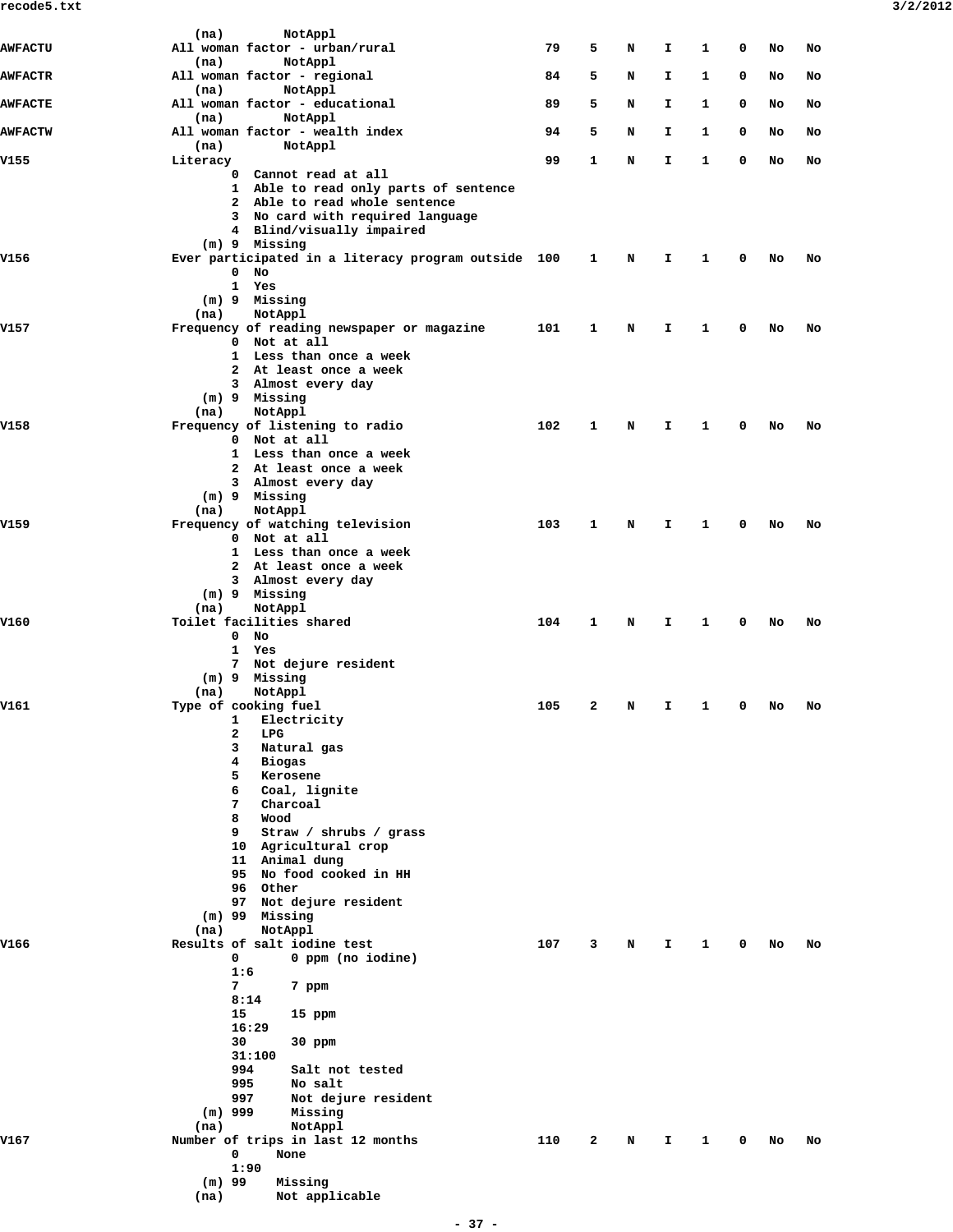| <b>AWFACTU</b> | NotAppl<br>(na)<br>All woman factor - urban/rural             | 79  | 5            | N | I. | 1            | 0           | No | No |
|----------------|---------------------------------------------------------------|-----|--------------|---|----|--------------|-------------|----|----|
| <b>AWFACTR</b> | NotAppl<br>(na)<br>All woman factor - regional                | 84  | 5            | N | I  | 1            | 0           | No | No |
|                | NotAppl<br>(na)                                               |     |              |   |    |              |             |    |    |
| <b>AWFACTE</b> | All woman factor - educational<br>(na)<br>NotAppl             | 89  | 5            | N | I  | 1            | 0           | No | No |
| <b>AWFACTW</b> | All woman factor - wealth index<br>(na)<br>NotAppl            | 94  | 5            | N | I. | 1            | 0           | No | No |
| V155           | Literacy                                                      | 99  | 1            | N | I. | $\mathbf{1}$ | $\mathbf 0$ | No | No |
|                | 0 Cannot read at all<br>1 Able to read only parts of sentence |     |              |   |    |              |             |    |    |
|                | 2 Able to read whole sentence                                 |     |              |   |    |              |             |    |    |
|                | 3 No card with required language<br>4 Blind/visually impaired |     |              |   |    |              |             |    |    |
|                | (m) 9 Missing                                                 |     |              |   |    |              |             |    |    |
| V156           | Ever participated in a literacy program outside 100<br>$0$ No |     | 1            | N | Ι. | 1            | 0           | No | No |
|                | 1 Yes<br>(m) 9 Missing                                        |     |              |   |    |              |             |    |    |
|                | NotAppl<br>(na)                                               |     |              |   |    |              |             |    |    |
| V157           | Frequency of reading newspaper or magazine<br>0 Not at all    | 101 | 1            | N | I. | 1            | 0           | No | No |
|                | 1 Less than once a week                                       |     |              |   |    |              |             |    |    |
|                | 2 At least once a week<br>3 Almost every day                  |     |              |   |    |              |             |    |    |
|                | (m) 9 Missing                                                 |     |              |   |    |              |             |    |    |
| V158           | NotAppl<br>(na)<br>Frequency of listening to radio            | 102 | 1            | N | I. | 1            | 0           | No | No |
|                | 0 Not at all<br>1 Less than once a week                       |     |              |   |    |              |             |    |    |
|                | 2 At least once a week                                        |     |              |   |    |              |             |    |    |
|                | 3 Almost every day<br>(m) 9 Missing                           |     |              |   |    |              |             |    |    |
|                | NotAppl<br>(na)                                               |     |              |   |    |              |             |    |    |
| V159           | Frequency of watching television<br>0 Not at all              | 103 | 1            | N | I. | 1            | 0           | No | No |
|                | 1 Less than once a week                                       |     |              |   |    |              |             |    |    |
|                | 2 At least once a week<br>3 Almost every day                  |     |              |   |    |              |             |    |    |
|                | (m) 9 Missing                                                 |     |              |   |    |              |             |    |    |
| V160           | NotAppl<br>(na)<br>Toilet facilities shared                   | 104 | $\mathbf{1}$ | N | I. | 1            | 0           | No | No |
|                | $0$ No<br>1 Yes                                               |     |              |   |    |              |             |    |    |
|                | 7 Not dejure resident                                         |     |              |   |    |              |             |    |    |
|                | (m) 9 Missing<br>(na)<br>NotAppl                              |     |              |   |    |              |             |    |    |
| V161           | Type of cooking fuel                                          | 105 | 2            | N | Ι. | 1            | 0           | No | No |
|                | 1 Electricity<br>2<br>LPG                                     |     |              |   |    |              |             |    |    |
|                | 3<br>Natural gas                                              |     |              |   |    |              |             |    |    |
|                | 4<br>Biogas<br>5<br>Kerosene                                  |     |              |   |    |              |             |    |    |
|                | 6<br>Coal, lignite                                            |     |              |   |    |              |             |    |    |
|                | $7^{\circ}$<br>Charcoal<br>8<br>Wood                          |     |              |   |    |              |             |    |    |
|                | 9<br>Straw / shrubs / grass                                   |     |              |   |    |              |             |    |    |
|                | 10 Agricultural crop<br>11 Animal dung                        |     |              |   |    |              |             |    |    |
|                | 95 No food cooked in HH<br>96 Other                           |     |              |   |    |              |             |    |    |
|                | 97 Not dejure resident                                        |     |              |   |    |              |             |    |    |
|                | $(m)$ 99 Missing<br>(na)<br>NotAppl                           |     |              |   |    |              |             |    |    |
| V166           | Results of salt iodine test                                   | 107 | 3            | N | I. | $\mathbf{1}$ | 0           | No | No |
|                | 0<br>0 ppm (no iodine)<br>1:6                                 |     |              |   |    |              |             |    |    |
|                | 7<br>7 ppm                                                    |     |              |   |    |              |             |    |    |
|                | 8:14<br>15<br>15 ppm                                          |     |              |   |    |              |             |    |    |
|                | 16:29                                                         |     |              |   |    |              |             |    |    |
|                | 30<br>30 ppm<br>31:100                                        |     |              |   |    |              |             |    |    |
|                | 994<br>Salt not tested                                        |     |              |   |    |              |             |    |    |
|                | 995<br>No salt<br>Not dejure resident<br>997                  |     |              |   |    |              |             |    |    |
|                | $(m)$ 999<br>Missing                                          |     |              |   |    |              |             |    |    |
| V167           | NotAppl<br>(na)<br>Number of trips in last 12 months          | 110 | 2            | N | Ι. | 1            | 0           | No | No |
|                | 0<br>None                                                     |     |              |   |    |              |             |    |    |
|                | 1:90<br>$(m)$ 99<br>Missing                                   |     |              |   |    |              |             |    |    |
|                | (na)<br>Not applicable                                        |     |              |   |    |              |             |    |    |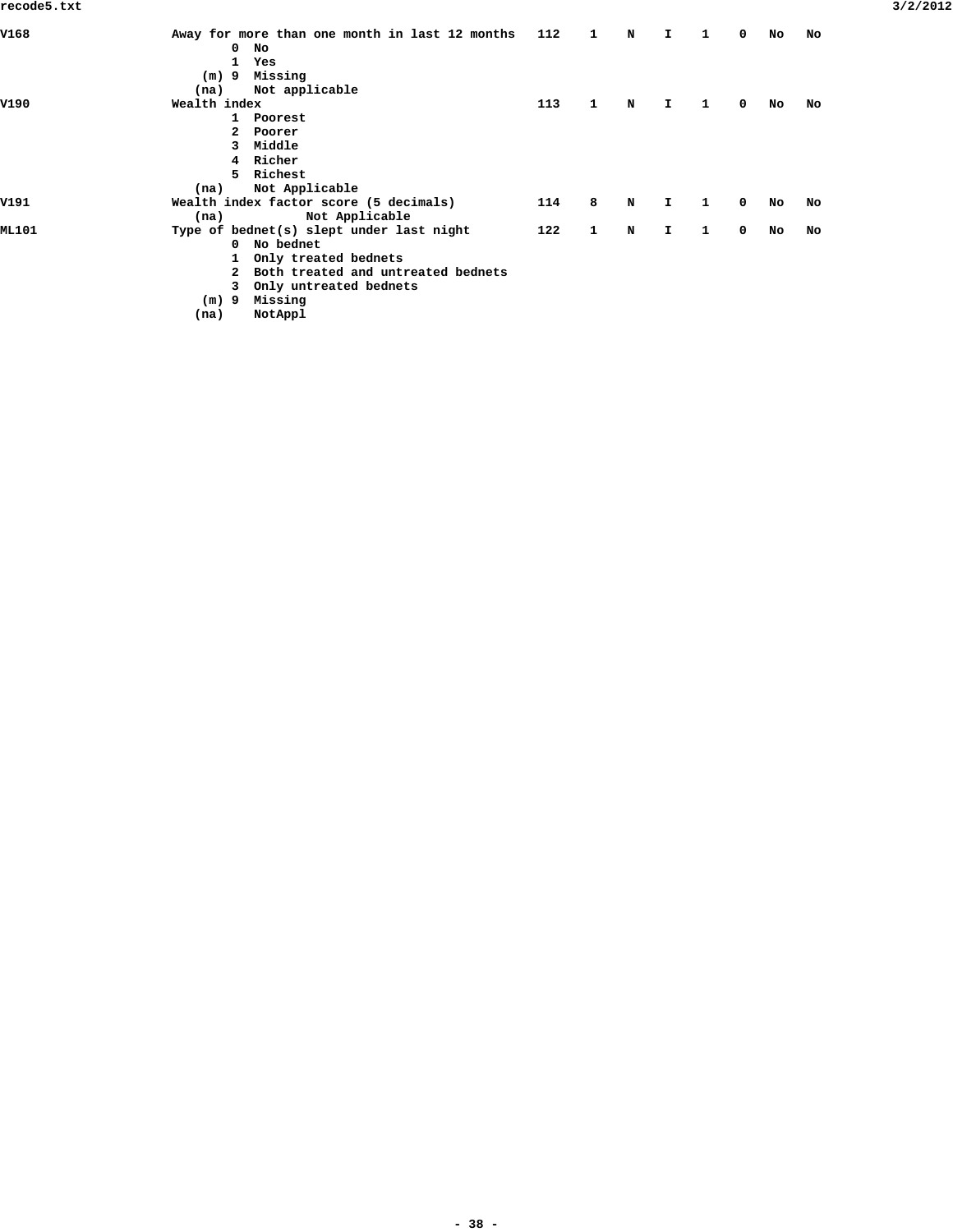| Away for more than one month in last 12 months | 112 | 1 | N | I. | 1 | 0 | No | No |
|------------------------------------------------|-----|---|---|----|---|---|----|----|
| $\mathbf 0$<br>No                              |     |   |   |    |   |   |    |    |
| 1 Yes                                          |     |   |   |    |   |   |    |    |
| Missing<br>$(m)$ 9                             |     |   |   |    |   |   |    |    |
| Not applicable<br>(na)                         |     |   |   |    |   |   |    |    |
| Wealth index                                   | 113 | 1 | N | I. | 1 | 0 | No | No |
| 1 Poorest                                      |     |   |   |    |   |   |    |    |
| 2 Poorer                                       |     |   |   |    |   |   |    |    |
| 3 Middle                                       |     |   |   |    |   |   |    |    |
| 4 Richer                                       |     |   |   |    |   |   |    |    |
| 5 Richest                                      |     |   |   |    |   |   |    |    |
| Not Applicable<br>(na)                         |     |   |   |    |   |   |    |    |
| Wealth index factor score (5 decimals)         | 114 | 8 | N | I. | 1 | 0 | No | No |
| Not Applicable<br>(na)                         |     |   |   |    |   |   |    |    |
| Type of bednet(s) slept under last night       | 122 | 1 | N | I. | 1 | 0 | No | No |
| 0 No bednet                                    |     |   |   |    |   |   |    |    |
| 1 Only treated bednets                         |     |   |   |    |   |   |    |    |
| 2 Both treated and untreated bednets           |     |   |   |    |   |   |    |    |
| 3 Only untreated bednets                       |     |   |   |    |   |   |    |    |
| Missing<br>(m) 9                               |     |   |   |    |   |   |    |    |
|                                                |     |   |   |    |   |   |    |    |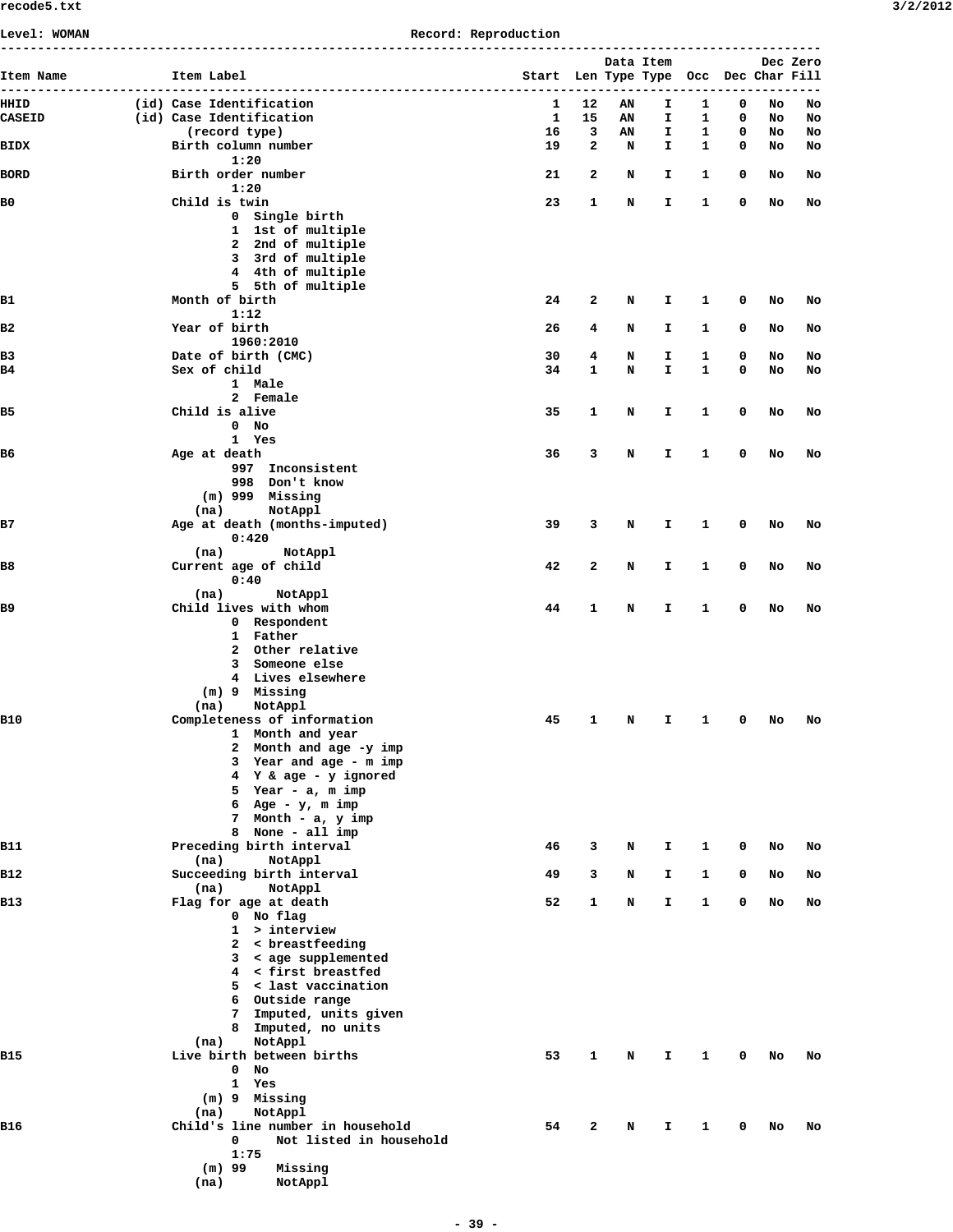| Level: WOMAN  | Record: Reproduction                                                                                                                                                                                                                     |                                               |              |           |           |            |        |          |          |  |  |  |  |
|---------------|------------------------------------------------------------------------------------------------------------------------------------------------------------------------------------------------------------------------------------------|-----------------------------------------------|--------------|-----------|-----------|------------|--------|----------|----------|--|--|--|--|
| Item Name     | Item Label                                                                                                                                                                                                                               | Start Len Type Type Occ Dec Char Fill<br>---- | $- - -$      | Data Item | --------- | ----       |        |          | Dec Zero |  |  |  |  |
| HHID          | (id) Case Identification                                                                                                                                                                                                                 | 1                                             | 12           | AN        | I         | 1          | 0      | No       | No       |  |  |  |  |
| <b>CASEID</b> | (id) Case Identification                                                                                                                                                                                                                 | 1                                             | 15           | AN        | I         | 1          | 0      | No       | No       |  |  |  |  |
|               | (record type)                                                                                                                                                                                                                            | 16                                            | 3            | AN        | I         | 1          | 0      | No       | No       |  |  |  |  |
| BIDX          | Birth column number<br>1:20                                                                                                                                                                                                              | 19                                            | 2            | N         | I.        | 1          | 0      | No       | No       |  |  |  |  |
| <b>BORD</b>   | Birth order number                                                                                                                                                                                                                       | 21                                            | 2            | N         | I         | 1          | 0      | No       | No       |  |  |  |  |
| B0            | 1:20<br>Child is twin                                                                                                                                                                                                                    | 23                                            | 1            | N         | I.        | 1          | 0      | No       | No       |  |  |  |  |
|               | 0 Single birth<br>1 1st of multiple<br>2 2nd of multiple<br>3 3rd of multiple<br>4 4th of multiple<br>5 5th of multiple                                                                                                                  |                                               |              |           |           |            |        |          |          |  |  |  |  |
| B1            | Month of birth<br>1:12                                                                                                                                                                                                                   | 24                                            | 2            | N         | I         | 1          | 0      | No       | No       |  |  |  |  |
| в2            | Year of birth                                                                                                                                                                                                                            | 26                                            | 4            | N         | I.        | 1          | 0      | No       | No       |  |  |  |  |
|               | 1960:2010                                                                                                                                                                                                                                |                                               |              |           |           |            |        |          |          |  |  |  |  |
| B3<br>B4      | Date of birth (CMC)<br>Sex of child                                                                                                                                                                                                      | 30<br>34                                      | 4<br>1       | N<br>N    | I<br>I.   | 1<br>1     | 0<br>0 | No<br>No | No<br>No |  |  |  |  |
|               | 1 Male                                                                                                                                                                                                                                   |                                               |              |           |           |            |        |          |          |  |  |  |  |
|               | 2 Female                                                                                                                                                                                                                                 |                                               |              |           |           |            |        |          |          |  |  |  |  |
| B5            | Child is alive                                                                                                                                                                                                                           | 35                                            | 1            | N         | I.        | 1          | 0      | No       | No       |  |  |  |  |
|               | $0$ No<br>1 Yes                                                                                                                                                                                                                          |                                               |              |           |           |            |        |          |          |  |  |  |  |
| B6            | Age at death<br>997 Inconsistent<br>998 Don't know<br>$(m)$ 999 Missing                                                                                                                                                                  | 36                                            | 3            | N         | I.        | 1          | 0      | No       | No       |  |  |  |  |
| B7            | NotAppl<br>(na)<br>Age at death (months-imputed)<br>0:420                                                                                                                                                                                | 39                                            | 3            | N         | I         | 1          | 0      | No       | No       |  |  |  |  |
|               | (na)<br>NotAppl                                                                                                                                                                                                                          |                                               |              |           |           |            |        |          |          |  |  |  |  |
| B8            | Current age of child<br>0:40                                                                                                                                                                                                             | 42                                            | 2            | N         | I.        | 1          | 0      | No       | No       |  |  |  |  |
|               | (na)<br>NotAppl                                                                                                                                                                                                                          |                                               |              |           |           |            |        |          |          |  |  |  |  |
| B9            | Child lives with whom<br>0 Respondent<br>1 Father<br>2 Other relative<br>Someone else<br>3<br>4 Lives elsewhere<br>(m) 9 Missing<br>(na)<br>NotAppl                                                                                      | 44                                            | 1            | N         | I.        | 1          | 0      | No       | No       |  |  |  |  |
| B10           | Completeness of information<br>1 Month and year<br>Month and age -y imp<br>2<br>3 Year and age - m imp<br>4 Y & age - y ignored<br>5 Year - a, m imp<br>6 Age - $y$ , m imp<br>7 Month - a, y imp<br>None - all imp<br>8                 | 45                                            |              | 1 N       |           | I 10 No No |        |          |          |  |  |  |  |
| B11           | Preceding birth interval                                                                                                                                                                                                                 | 46                                            | 3            | N         | I.        | 1          | 0      | No       | No       |  |  |  |  |
| B12           | NotAppl<br>(na)<br>Succeeding birth interval                                                                                                                                                                                             | 49                                            | 3            | N         | I.        | 1          | 0      | No       | No       |  |  |  |  |
| B13           | (na)<br>NotAppl<br>Flag for age at death<br>0 No flag<br>$1 >$ interview<br>2 < breastfeeding<br>3 < age supplemented<br>4 < first breastfed<br>5 < last vaccination<br>6 Outside range<br>7 Imputed, units given<br>8 Imputed, no units | 52                                            | 1            | N         | I.        | 1          | 0      | No       | No       |  |  |  |  |
| B15           | NotAppl<br>(na)<br>Live birth between births<br>0<br>No<br>Yes<br>$\mathbf{1}$<br>(m) 9 Missing<br>NotAppl<br>(na)                                                                                                                       | 53                                            | 1            | N         | I.        | 1          | 0      | No       | No       |  |  |  |  |
| B16           | Child's line number in household<br>0<br>Not listed in household<br>1:75<br>$(m)$ 99<br>Missing<br>(na)<br>NotAppl                                                                                                                       | 54                                            | $\mathbf{2}$ | N         | I.        | 1          | 0      | No       | No       |  |  |  |  |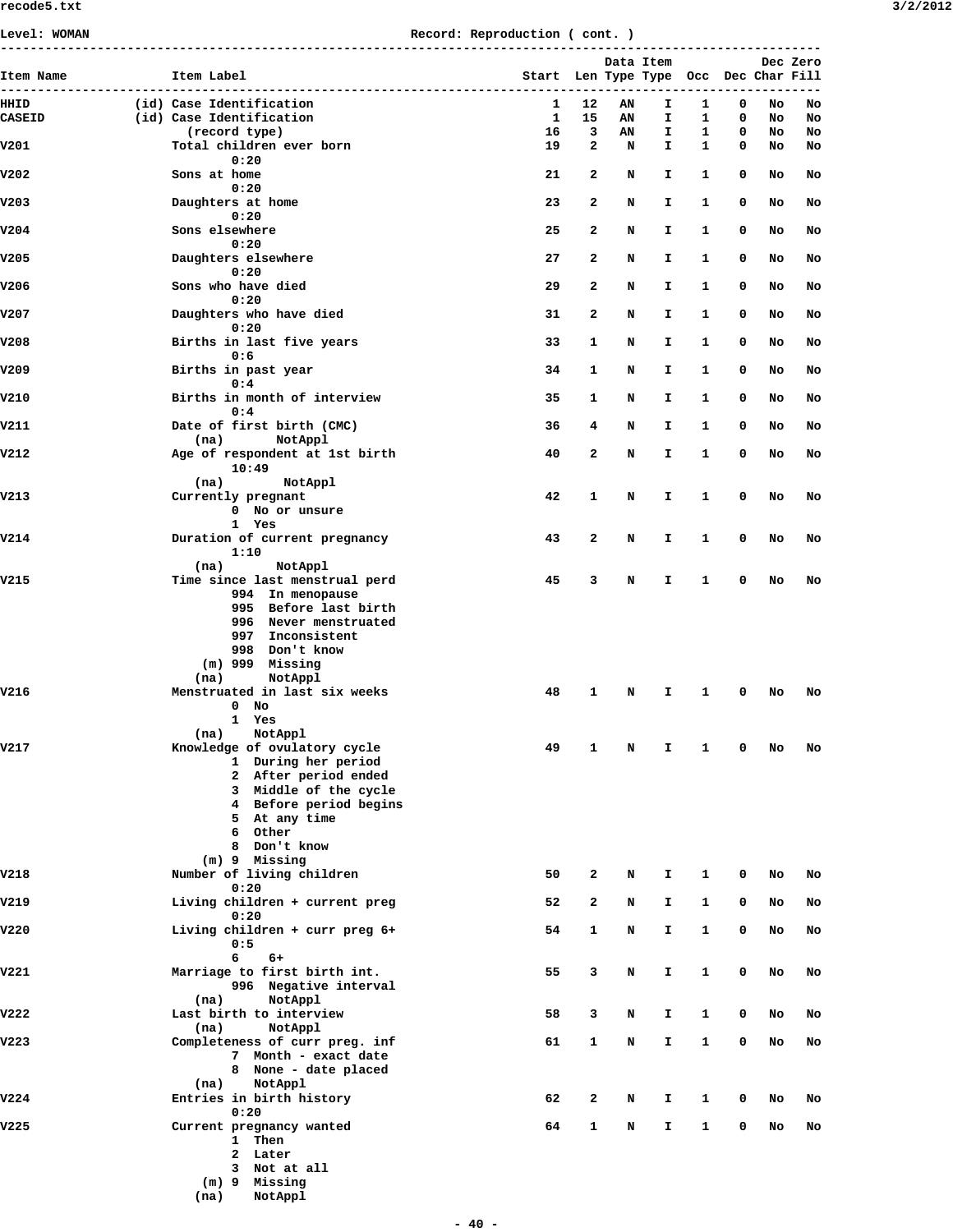| Level: WOMAN                   | Record: Reproduction ( cont. ) |                                               |                                       |              |           |          |        |        |          |          |  |  |
|--------------------------------|--------------------------------|-----------------------------------------------|---------------------------------------|--------------|-----------|----------|--------|--------|----------|----------|--|--|
|                                |                                |                                               |                                       |              | Data Item |          |        |        |          | Dec Zero |  |  |
| Item Name<br>----------------- |                                | Item Label                                    | Start Len Type Type Occ Dec Char Fill |              |           |          |        |        |          |          |  |  |
| HHID                           |                                | (id) Case Identification                      | 1                                     | 12           | AN        | I.       | 1      | 0      | No       | No       |  |  |
| <b>CASEID</b>                  |                                | (id) Case Identification<br>(record type)     | 1<br>16                               | 15<br>3      | AN<br>AN  | I.<br>I. | 1<br>1 | 0<br>0 | No<br>No | No<br>No |  |  |
| V201                           |                                | Total children ever born                      | 19                                    | 2            | N         | I.       | 1      | 0      | No       | No       |  |  |
|                                |                                | 0:20                                          |                                       |              |           |          |        |        |          |          |  |  |
| V202                           |                                | Sons at home<br>0:20                          | 21                                    | 2            | N         | I        | 1      | 0      | No       | No       |  |  |
| V203                           |                                | Daughters at home                             | 23                                    | $\mathbf{2}$ | N         | I.       | 1      | 0      | No       | No       |  |  |
|                                |                                | 0:20                                          |                                       |              |           |          |        |        |          |          |  |  |
| V204                           |                                | Sons elsewhere                                | 25                                    | $\mathbf{2}$ | N         | I.       | 1      | 0      | No       | No       |  |  |
| V205                           |                                | 0:20<br>Daughters elsewhere                   | 27                                    | $\mathbf{2}$ | N         | Ι.       | 1      | 0      | No       | No       |  |  |
|                                |                                | 0:20                                          |                                       |              |           |          |        |        |          |          |  |  |
| V206                           |                                | Sons who have died                            | 29                                    | 2            | N         | I        | 1      | 0      | No       | No       |  |  |
| V207                           |                                | 0:20<br>Daughters who have died               | 31                                    | 2            | N         | Ι.       | 1      | 0      | No       | No       |  |  |
|                                |                                | 0:20                                          |                                       |              |           |          |        |        |          |          |  |  |
| V208                           |                                | Births in last five years                     | 33                                    | 1            | N         | I.       | 1      | 0      | No       | No       |  |  |
|                                |                                | 0:6                                           |                                       | 1            |           | I.       | 1      | 0      |          |          |  |  |
| V209                           |                                | Births in past year<br>0:4                    | 34                                    |              | N         |          |        |        | No       | No       |  |  |
| V210                           |                                | Births in month of interview                  | 35                                    | 1            | N         | I        | 1      | 0      | No       | No       |  |  |
|                                |                                | 0:4                                           |                                       |              |           |          |        |        |          |          |  |  |
| V211                           |                                | Date of first birth (CMC)<br>(na)<br>NotAppl  | 36                                    | 4            | N         | Ι.       | 1      | 0      | No       | No       |  |  |
| V212                           |                                | Age of respondent at 1st birth                | 40                                    | 2            | N         | I        | 1      | 0      | No       | No       |  |  |
|                                |                                | 10:49                                         |                                       |              |           |          |        |        |          |          |  |  |
| V213                           |                                | (na)<br>NotAppl<br>Currently pregnant         | 42                                    | $\mathbf{1}$ | N         | Ι.       | 1      | 0      | No       | No       |  |  |
|                                |                                | 0 No or unsure                                |                                       |              |           |          |        |        |          |          |  |  |
|                                |                                | 1 Yes                                         |                                       |              |           |          |        |        |          |          |  |  |
| V214                           |                                | Duration of current pregnancy<br>1:10         | 43                                    | $\mathbf{2}$ | N         | I.       | 1      | 0      | No       | No       |  |  |
|                                |                                | (na)<br>NotAppl                               |                                       |              |           |          |        |        |          |          |  |  |
| V215                           |                                | Time since last menstrual perd                | 45                                    | 3            | N         | Ι.       | 1      | 0      | No       | No       |  |  |
|                                |                                | 994 In menopause<br>995 Before last birth     |                                       |              |           |          |        |        |          |          |  |  |
|                                |                                | 996 Never menstruated                         |                                       |              |           |          |        |        |          |          |  |  |
|                                |                                | 997 Inconsistent                              |                                       |              |           |          |        |        |          |          |  |  |
|                                |                                | 998 Don't know                                |                                       |              |           |          |        |        |          |          |  |  |
|                                |                                | $(m)$ 999 Missing<br>NotAppl<br>(na)          |                                       |              |           |          |        |        |          |          |  |  |
| V216                           |                                | Menstruated in last six weeks                 | 48                                    | 1            | N         | I.       | 1      | 0      | No       | No       |  |  |
|                                |                                | $0$ No                                        |                                       |              |           |          |        |        |          |          |  |  |
|                                |                                | 1 Yes<br>NotAppl<br>(na)                      |                                       |              |           |          |        |        |          |          |  |  |
| V217                           |                                | Knowledge of ovulatory cycle                  | 49                                    | 1            | N         | I        | 1      | 0      | No       | No       |  |  |
|                                |                                | 1 During her period                           |                                       |              |           |          |        |        |          |          |  |  |
|                                |                                | 2 After period ended<br>3 Middle of the cycle |                                       |              |           |          |        |        |          |          |  |  |
|                                |                                | 4 Before period begins                        |                                       |              |           |          |        |        |          |          |  |  |
|                                |                                | 5 At any time                                 |                                       |              |           |          |        |        |          |          |  |  |
|                                |                                | 6 Other<br>Don't know<br>8                    |                                       |              |           |          |        |        |          |          |  |  |
|                                |                                | (m) 9 Missing                                 |                                       |              |           |          |        |        |          |          |  |  |
| V218                           |                                | Number of living children                     | 50                                    | 2            | N         | I        | 1      | 0      | No       | No       |  |  |
| V219                           |                                | 0:20<br>Living children + current preg        | 52                                    | 2            | N         | Ι.       | 1      | 0      | No       | No       |  |  |
|                                |                                | 0:20                                          |                                       |              |           |          |        |        |          |          |  |  |
| V220                           |                                | Living children + curr preg 6+                | 54                                    | 1            | N         | I        | 1      | 0      | No       | No       |  |  |
|                                |                                | 0:5<br>6<br>$6+$                              |                                       |              |           |          |        |        |          |          |  |  |
| v221                           |                                | Marriage to first birth int.                  | 55                                    | 3            | N         | I        | 1      | 0      | No       | No       |  |  |
|                                |                                | 996 Negative interval                         |                                       |              |           |          |        |        |          |          |  |  |
| V222                           |                                | NotAppl<br>(na)                               |                                       |              |           |          |        |        |          |          |  |  |
|                                |                                | Last birth to interview<br>NotAppl<br>(na)    | 58                                    | 3            | N         | I        | 1      | 0      | No       | No       |  |  |
| V223                           |                                | Completeness of curr preg. inf                | 61                                    | 1            | N         | I        | 1      | 0      | No       | No       |  |  |
|                                |                                | 7 Month - exact date                          |                                       |              |           |          |        |        |          |          |  |  |
|                                |                                | 8 None - date placed<br>NotAppl<br>(na)       |                                       |              |           |          |        |        |          |          |  |  |
| V224                           |                                | Entries in birth history                      | 62                                    | 2            | N         | I        | 1      | 0      | No       | No       |  |  |
|                                |                                | 0:20                                          |                                       |              |           |          |        |        |          |          |  |  |
| V225                           |                                | Current pregnancy wanted<br>1 Then            | 64                                    | 1            | N         | Ι.       | 1      | 0      | No       | No       |  |  |
|                                |                                | 2 Later                                       |                                       |              |           |          |        |        |          |          |  |  |
|                                |                                | 3 Not at all                                  |                                       |              |           |          |        |        |          |          |  |  |
|                                |                                | (m) 9 Missing                                 |                                       |              |           |          |        |        |          |          |  |  |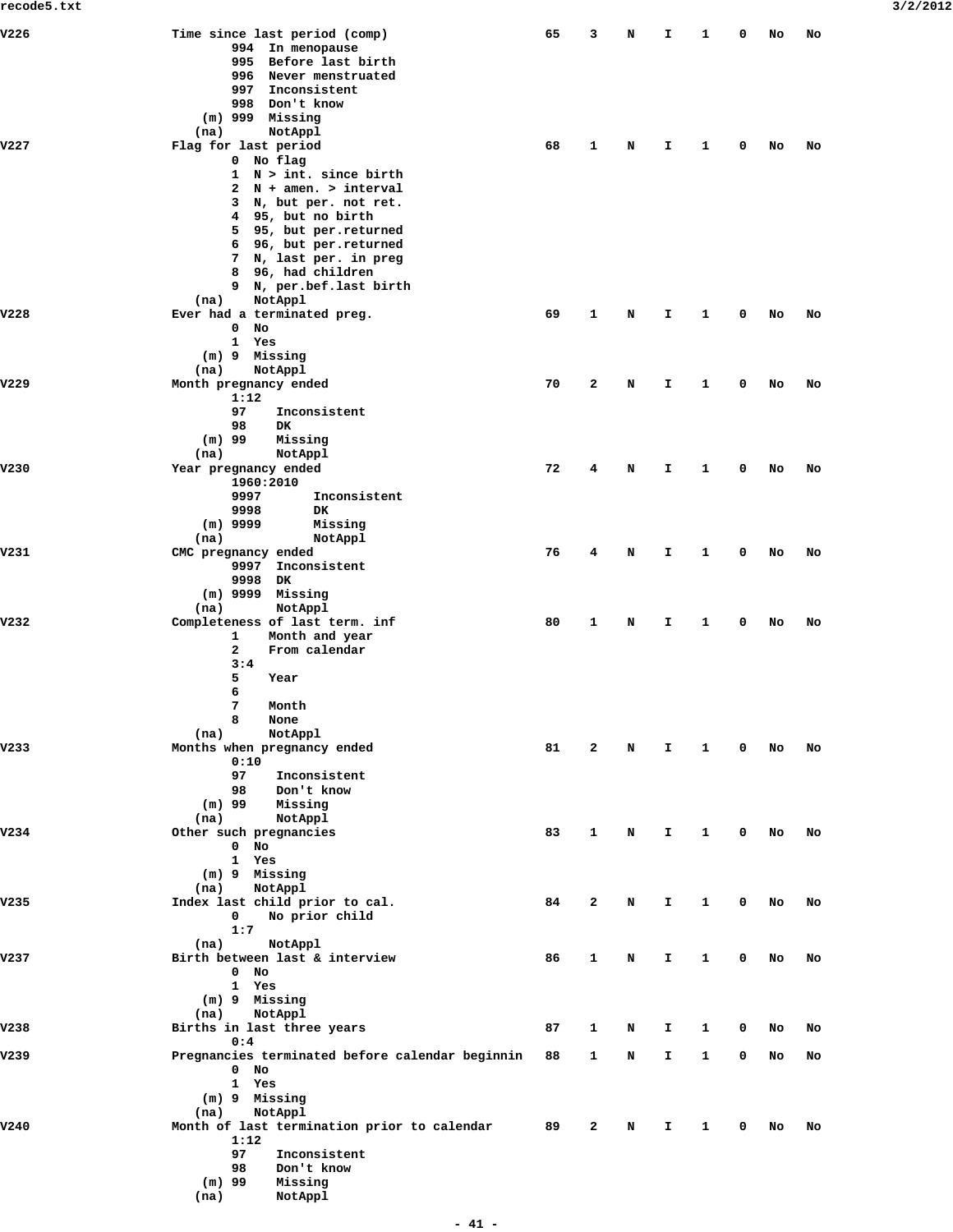| V226 | Time since last period (comp)                             | 65 | 3            | N | I. | 1 | 0 | No | No |
|------|-----------------------------------------------------------|----|--------------|---|----|---|---|----|----|
|      | 994 In menopause                                          |    |              |   |    |   |   |    |    |
|      | 995 Before last birth                                     |    |              |   |    |   |   |    |    |
|      | 996<br>Never menstruated                                  |    |              |   |    |   |   |    |    |
|      | Inconsistent<br>997                                       |    |              |   |    |   |   |    |    |
|      | 998 Don't know                                            |    |              |   |    |   |   |    |    |
|      | $(m)$ 999 Missing                                         |    |              |   |    |   |   |    |    |
| V227 | (na)<br>NotAppl                                           |    |              |   |    |   |   |    |    |
|      | Flag for last period<br>0 No flag                         | 68 | 1            | N | I. | 1 | 0 | No | No |
|      | 1 N > int. since birth                                    |    |              |   |    |   |   |    |    |
|      | $N + amen.$ > interval<br>$\mathbf{2}$                    |    |              |   |    |   |   |    |    |
|      | 3 N, but per. not ret.                                    |    |              |   |    |   |   |    |    |
|      | 95, but no birth<br>4                                     |    |              |   |    |   |   |    |    |
|      | 5<br>95, but per.returned                                 |    |              |   |    |   |   |    |    |
|      | 6 96, but per.returned                                    |    |              |   |    |   |   |    |    |
|      | 7 N, last per. in preg                                    |    |              |   |    |   |   |    |    |
|      | 8 96, had children                                        |    |              |   |    |   |   |    |    |
|      | 9 N, per.bef.last birth                                   |    |              |   |    |   |   |    |    |
|      | NotAppl<br>(na)                                           |    |              |   |    |   |   |    |    |
| V228 | Ever had a terminated preg.<br>0                          | 69 | 1            | N | I. | 1 | 0 | No | No |
|      | No<br>1 Yes                                               |    |              |   |    |   |   |    |    |
|      | (m) 9 Missing                                             |    |              |   |    |   |   |    |    |
|      | (na)<br>NotAppl                                           |    |              |   |    |   |   |    |    |
| V229 | Month pregnancy ended                                     | 70 | $\mathbf{2}$ | N | I. | 1 | 0 | No | No |
|      | 1:12                                                      |    |              |   |    |   |   |    |    |
|      | 97<br>Inconsistent                                        |    |              |   |    |   |   |    |    |
|      | 98<br>DK                                                  |    |              |   |    |   |   |    |    |
|      | $(m)$ 99<br>Missing                                       |    |              |   |    |   |   |    |    |
|      | (na)<br>NotAppl                                           |    |              |   |    |   |   |    |    |
| V230 | Year pregnancy ended                                      | 72 | 4            | N | I. | 1 | 0 | No | No |
|      | 1960:2010                                                 |    |              |   |    |   |   |    |    |
|      | 9997<br>Inconsistent                                      |    |              |   |    |   |   |    |    |
|      | 9998<br>DK                                                |    |              |   |    |   |   |    |    |
|      | $(m)$ 9999<br>Missing<br>(na)<br>NotAppl                  |    |              |   |    |   |   |    |    |
| V231 | CMC pregnancy ended                                       | 76 | 4            | N | I. | 1 | 0 | No | No |
|      | 9997 Inconsistent                                         |    |              |   |    |   |   |    |    |
|      | 9998<br>DK.                                               |    |              |   |    |   |   |    |    |
|      | $(m)$ 9999 Missing                                        |    |              |   |    |   |   |    |    |
|      | NotAppl<br>(na)                                           |    |              |   |    |   |   |    |    |
| V232 | Completeness of last term. inf                            | 80 | 1            | N | I. | 1 | 0 | No | No |
|      | Month and year<br>1                                       |    |              |   |    |   |   |    |    |
|      | $\mathbf{2}$<br>From calendar                             |    |              |   |    |   |   |    |    |
|      | 3:4                                                       |    |              |   |    |   |   |    |    |
|      | 5<br>Year                                                 |    |              |   |    |   |   |    |    |
|      | 6<br>7<br>Month                                           |    |              |   |    |   |   |    |    |
|      | 8<br>None                                                 |    |              |   |    |   |   |    |    |
|      | NotAppl<br>(na)                                           |    |              |   |    |   |   |    |    |
| v233 | Months when pregnancy ended                               | 81 | 2            | N | I. | 1 | 0 | No | No |
|      | 0:10                                                      |    |              |   |    |   |   |    |    |
|      | 97<br>Inconsistent                                        |    |              |   |    |   |   |    |    |
|      | 98<br>Don't know                                          |    |              |   |    |   |   |    |    |
|      | $(m)$ 99<br>Missing                                       |    |              |   |    |   |   |    |    |
|      | (na)<br>NotAppl                                           |    |              |   |    |   |   |    |    |
| V234 | Other such pregnancies                                    | 83 | 1            | N | Ι. | 1 | 0 | No | No |
|      | $0$ No                                                    |    |              |   |    |   |   |    |    |
|      | 1<br>Yes                                                  |    |              |   |    |   |   |    |    |
|      | (m) 9 Missing<br>(na)<br>NotAppl                          |    |              |   |    |   |   |    |    |
| V235 | Index last child prior to cal.                            | 84 | $\mathbf{2}$ | N | I. | 1 | 0 | No | No |
|      | $\mathbf 0$<br>No prior child                             |    |              |   |    |   |   |    |    |
|      | 1:7                                                       |    |              |   |    |   |   |    |    |
|      | NotAppl<br>(na)                                           |    |              |   |    |   |   |    |    |
| V237 | Birth between last & interview                            | 86 | 1            | N | I. | 1 | 0 | No | No |
|      | $0$ No                                                    |    |              |   |    |   |   |    |    |
|      | 1 Yes                                                     |    |              |   |    |   |   |    |    |
|      | (m) 9 Missing                                             |    |              |   |    |   |   |    |    |
|      | (na)<br>NotAppl                                           |    |              |   |    |   |   |    |    |
| V238 | Births in last three years                                | 87 | 1            | N | I. | 1 | 0 | No | No |
| V239 | 0:4                                                       |    |              |   |    |   | 0 |    |    |
|      | Pregnancies terminated before calendar beginnin<br>$0$ No | 88 | 1            | N | I. | 1 |   | No | No |
|      | 1<br>Yes                                                  |    |              |   |    |   |   |    |    |
|      | (m) 9 Missing                                             |    |              |   |    |   |   |    |    |
|      | (na)<br>NotAppl                                           |    |              |   |    |   |   |    |    |
| V240 | Month of last termination prior to calendar               | 89 | 2            | N | I. | 1 | 0 | No | No |
|      | 1:12                                                      |    |              |   |    |   |   |    |    |
|      | 97<br>Inconsistent                                        |    |              |   |    |   |   |    |    |
|      | 98<br>Don't know                                          |    |              |   |    |   |   |    |    |
|      | $(m)$ 99<br>Missing                                       |    |              |   |    |   |   |    |    |
|      | (na)<br>NotAppl                                           |    |              |   |    |   |   |    |    |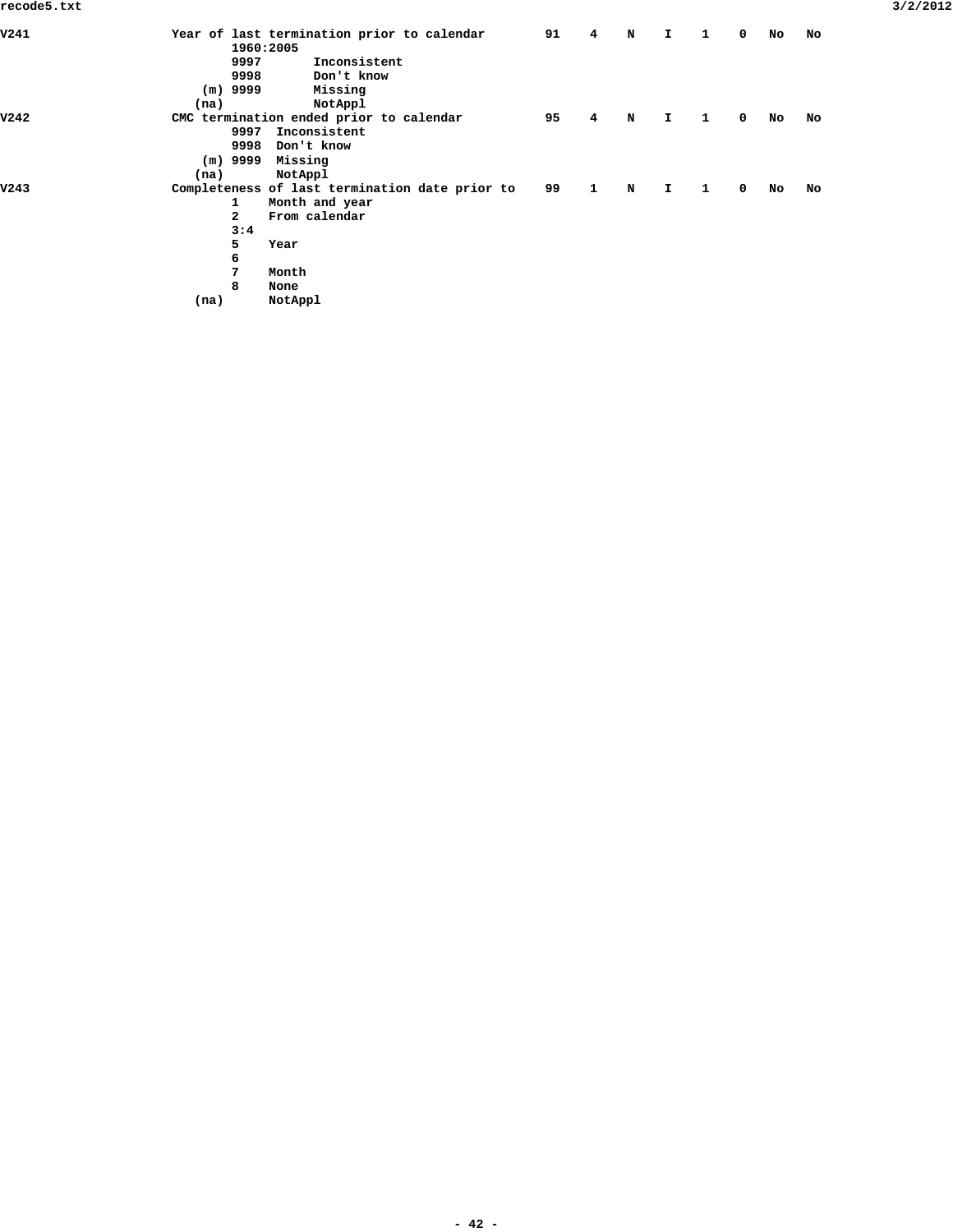|              |                | 91                                                                                                                                                                                                               | 4            | N           | I.           | 1 | 0           | No | No |
|--------------|----------------|------------------------------------------------------------------------------------------------------------------------------------------------------------------------------------------------------------------|--------------|-------------|--------------|---|-------------|----|----|
|              |                |                                                                                                                                                                                                                  |              |             |              |   |             |    |    |
|              | Inconsistent   |                                                                                                                                                                                                                  |              |             |              |   |             |    |    |
|              | Don't know     |                                                                                                                                                                                                                  |              |             |              |   |             |    |    |
|              | Missing        |                                                                                                                                                                                                                  |              |             |              |   |             |    |    |
| (na)         | NotAppl        |                                                                                                                                                                                                                  |              |             |              |   |             |    |    |
|              |                | 95                                                                                                                                                                                                               | 4            | N           | I.           | 1 | $\mathbf 0$ | No | No |
|              | Inconsistent   |                                                                                                                                                                                                                  |              |             |              |   |             |    |    |
|              | Don't know     |                                                                                                                                                                                                                  |              |             |              |   |             |    |    |
|              | Missing        |                                                                                                                                                                                                                  |              |             |              |   |             |    |    |
| (na)         | NotAppl        |                                                                                                                                                                                                                  |              |             |              |   |             |    |    |
|              |                | 99                                                                                                                                                                                                               | $\mathbf{1}$ | $\mathbf N$ | $\mathbf{I}$ | 1 | $\mathbf 0$ | No | No |
| 1            | Month and year |                                                                                                                                                                                                                  |              |             |              |   |             |    |    |
| $\mathbf{2}$ | From calendar  |                                                                                                                                                                                                                  |              |             |              |   |             |    |    |
| 3:4          |                |                                                                                                                                                                                                                  |              |             |              |   |             |    |    |
| 5            | Year           |                                                                                                                                                                                                                  |              |             |              |   |             |    |    |
| 6            |                |                                                                                                                                                                                                                  |              |             |              |   |             |    |    |
| 7            | Month          |                                                                                                                                                                                                                  |              |             |              |   |             |    |    |
| 8            | None           |                                                                                                                                                                                                                  |              |             |              |   |             |    |    |
| (na)         | NotAppl        |                                                                                                                                                                                                                  |              |             |              |   |             |    |    |
|              |                | Year of last termination prior to calendar<br>1960:2005<br>9997<br>9998<br>$(m)$ 9999<br>CMC termination ended prior to calendar<br>9997<br>9998<br>$(m)$ 9999<br>Completeness of last termination date prior to |              |             |              |   |             |    |    |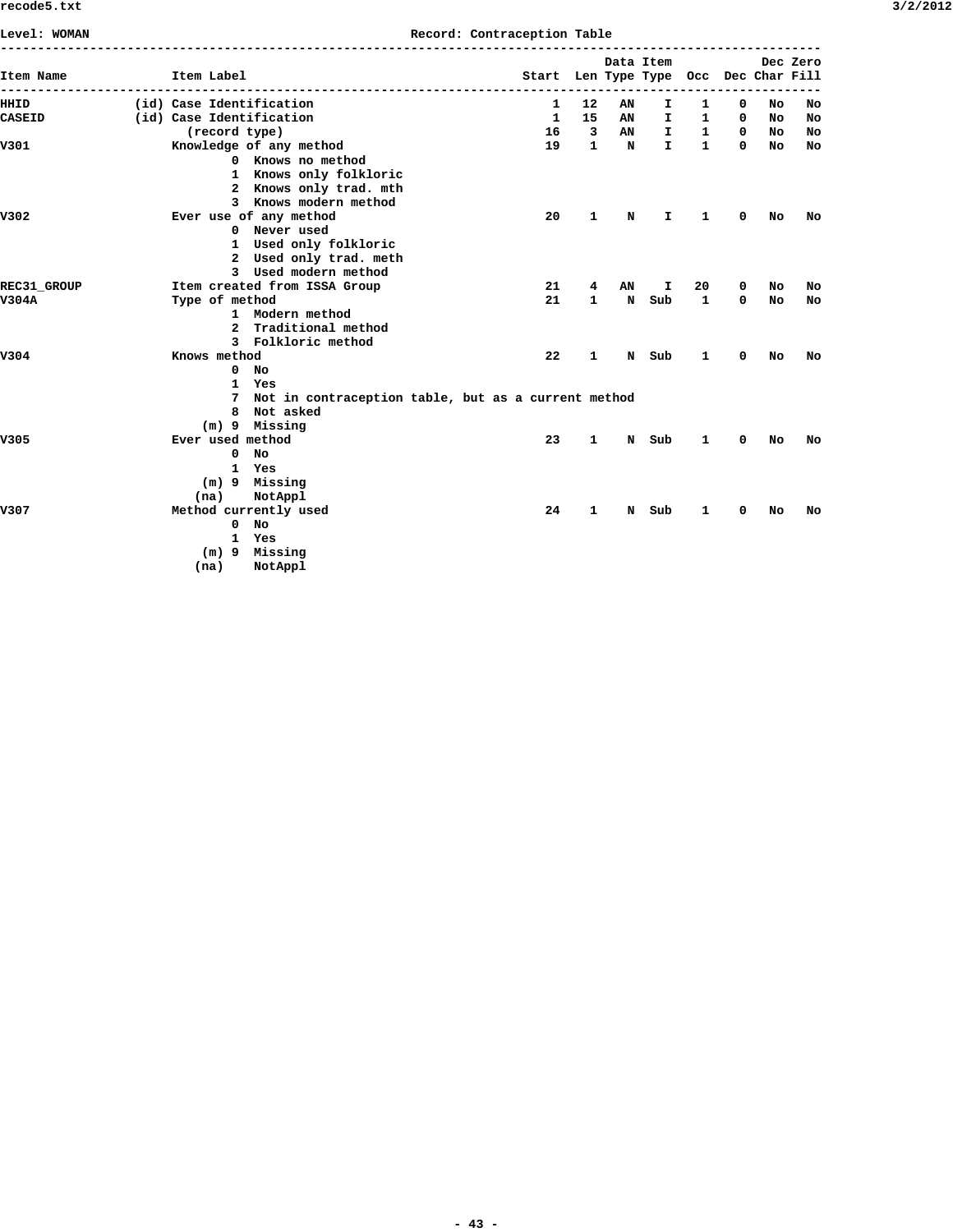|  | 3/2/201. |  |
|--|----------|--|
|--|----------|--|

| Level: WOMAN       |                          |                                                       | Record: Contraception Table           |                         |    |              |              |   |     |          |
|--------------------|--------------------------|-------------------------------------------------------|---------------------------------------|-------------------------|----|--------------|--------------|---|-----|----------|
| Item Name          | Item Label               |                                                       | Start Len Type Type Occ Dec Char Fill |                         |    | Data Item    |              |   |     | Dec Zero |
| HHID               | (id) Case Identification |                                                       | 1                                     | 12                      | AΝ | I            | 1            | 0 | No  | No       |
| <b>CASEID</b>      | (id) Case Identification |                                                       | $\mathbf{1}$                          | 15                      | AN | I.           | $\mathbf{1}$ | 0 | No  | No       |
|                    | (record type)            |                                                       | 16                                    | $\overline{\mathbf{3}}$ | AN | I.           | $\mathbf{1}$ | 0 | NO  | No       |
| V301               |                          | Knowledge of any method                               | 19                                    | $\mathbf{1}$            | N  | $\mathbf{I}$ | $\mathbf{1}$ | 0 | No. | No       |
|                    |                          | 0 Knows no method                                     |                                       |                         |    |              |              |   |     |          |
|                    |                          | 1 Knows only folkloric                                |                                       |                         |    |              |              |   |     |          |
|                    |                          | 2 Knows only trad. mth                                |                                       |                         |    |              |              |   |     |          |
|                    |                          | 3 Knows modern method                                 |                                       |                         |    |              |              |   |     |          |
| V302               |                          | Ever use of any method                                | 20                                    | 1                       | N  | I.           | 1            | 0 | No  | No       |
|                    |                          | 0 Never used                                          |                                       |                         |    |              |              |   |     |          |
|                    |                          | 1 Used only folkloric                                 |                                       |                         |    |              |              |   |     |          |
|                    |                          | 2 Used only trad. meth                                |                                       |                         |    |              |              |   |     |          |
|                    |                          | 3 Used modern method                                  |                                       |                         |    |              |              |   |     |          |
| <b>REC31 GROUP</b> |                          | Item created from ISSA Group                          | 21                                    | 4                       | AN | I            | 20           | 0 | No  | No       |
| V304A              | Type of method           |                                                       | 21                                    | $\mathbf{1}$            | N  | Sub          | 1            | 0 | No  | No       |
|                    |                          | 1 Modern method                                       |                                       |                         |    |              |              |   |     |          |
|                    |                          | 2 Traditional method                                  |                                       |                         |    |              |              |   |     |          |
|                    |                          | 3 Folkloric method                                    |                                       |                         |    |              |              |   |     |          |
| V304               | Knows method             |                                                       | 22                                    | 1                       | N  | Sub          | 1            | 0 | No  | No       |
|                    |                          | $0$ No                                                |                                       |                         |    |              |              |   |     |          |
|                    |                          | 1 Yes                                                 |                                       |                         |    |              |              |   |     |          |
|                    |                          | 7 Not in contraception table, but as a current method |                                       |                         |    |              |              |   |     |          |
|                    |                          | 8 Not asked                                           |                                       |                         |    |              |              |   |     |          |
|                    |                          | $(m)$ 9 Missing                                       |                                       |                         |    |              |              |   |     |          |
| V305               | Ever used method         |                                                       | 23                                    | 1                       | N  | Sub          | 1            | 0 | No  | No       |
|                    | 0                        | No                                                    |                                       |                         |    |              |              |   |     |          |
|                    | $\mathbf{1}$             | Yes                                                   |                                       |                         |    |              |              |   |     |          |
|                    |                          | $(m)$ 9 Missing                                       |                                       |                         |    |              |              |   |     |          |
|                    | (na)                     | NotAppl                                               |                                       |                         |    |              |              |   |     |          |
| V307               |                          | Method currently used                                 | 24                                    | 1                       | N  | Sub          | 1            | 0 | No  | No       |
|                    |                          | $0$ No                                                |                                       |                         |    |              |              |   |     |          |
|                    | $\mathbf{1}$             | Yes                                                   |                                       |                         |    |              |              |   |     |          |
|                    |                          | (m) 9 Missing                                         |                                       |                         |    |              |              |   |     |          |
|                    | (na)                     | NotAppl                                               |                                       |                         |    |              |              |   |     |          |
|                    |                          |                                                       |                                       |                         |    |              |              |   |     |          |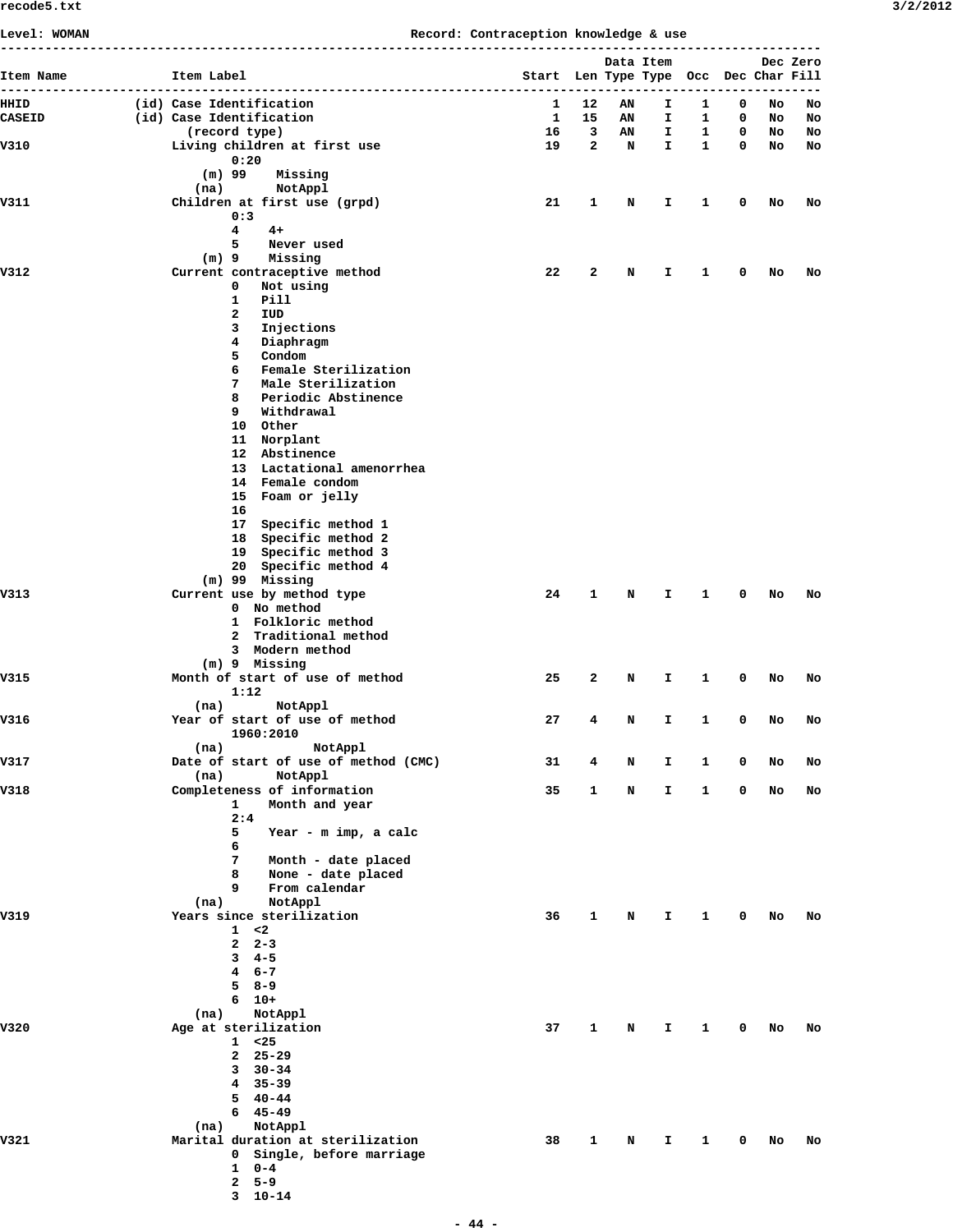**Level: WOMAN Record: Contraception knowledge & use**

| Item Name     | Item Label                                             | Start Len Type Type Occ Dec Char Fill |                   | Data Item |          |                   |                            |          | Dec Zero |
|---------------|--------------------------------------------------------|---------------------------------------|-------------------|-----------|----------|-------------------|----------------------------|----------|----------|
| HHID          | --------------------------<br>(id) Case Identification | 1                                     | 12                | ΑN        | I.       | 1                 | 0                          | No       | No       |
| <b>CASEID</b> | (id) Case Identification                               | 1                                     | 15                | AN        | I.       | 1                 | 0                          | No       | No       |
| V310          | (record type)<br>Living children at first use          | 16<br>19                              | 3<br>$\mathbf{2}$ | AN<br>N   | I.<br>I. | $\mathbf{1}$<br>1 | $\mathbf 0$<br>$\mathbf 0$ | No<br>No | No<br>No |
|               | 0:20                                                   |                                       |                   |           |          |                   |                            |          |          |
|               | $(m)$ 99<br>Missing                                    |                                       |                   |           |          |                   |                            |          |          |
| V311          | (na)<br>NotAppl<br>Children at first use (grpd)        | 21                                    | 1                 | N         | I.       | 1                 | 0                          | No       | No       |
|               | 0:3                                                    |                                       |                   |           |          |                   |                            |          |          |
|               | 4<br>$4+$                                              |                                       |                   |           |          |                   |                            |          |          |
|               | 5<br>Never used<br>$(m)$ 9<br>Missing                  |                                       |                   |           |          |                   |                            |          |          |
| V312          | Current contraceptive method                           | 22                                    | 2                 | N         | I.       | 1                 | 0                          | No       | No       |
|               | 0<br>Not using                                         |                                       |                   |           |          |                   |                            |          |          |
|               | 1<br>Pill<br>2<br>IUD                                  |                                       |                   |           |          |                   |                            |          |          |
|               | 3<br>Injections                                        |                                       |                   |           |          |                   |                            |          |          |
|               | 4<br>Diaphragm                                         |                                       |                   |           |          |                   |                            |          |          |
|               | 5<br>Condom                                            |                                       |                   |           |          |                   |                            |          |          |
|               | Female Sterilization<br>6<br>7<br>Male Sterilization   |                                       |                   |           |          |                   |                            |          |          |
|               | 8<br>Periodic Abstinence                               |                                       |                   |           |          |                   |                            |          |          |
|               | 9<br>Withdrawal                                        |                                       |                   |           |          |                   |                            |          |          |
|               | 10 Other<br>11 Norplant                                |                                       |                   |           |          |                   |                            |          |          |
|               | 12 Abstinence                                          |                                       |                   |           |          |                   |                            |          |          |
|               | 13 Lactational amenorrhea                              |                                       |                   |           |          |                   |                            |          |          |
|               | 14 Female condom<br>15 Foam or jelly                   |                                       |                   |           |          |                   |                            |          |          |
|               | 16                                                     |                                       |                   |           |          |                   |                            |          |          |
|               | 17 Specific method 1                                   |                                       |                   |           |          |                   |                            |          |          |
|               | 18 Specific method 2                                   |                                       |                   |           |          |                   |                            |          |          |
|               | 19 Specific method 3<br>20 Specific method 4           |                                       |                   |           |          |                   |                            |          |          |
|               | $(m)$ 99 Missing                                       |                                       |                   |           |          |                   |                            |          |          |
| V313          | Current use by method type                             | 24                                    | 1                 | N         | Ι.       | 1                 | 0                          | No       | No       |
|               | 0 No method<br>1 Folkloric method                      |                                       |                   |           |          |                   |                            |          |          |
|               | 2 Traditional method                                   |                                       |                   |           |          |                   |                            |          |          |
|               | 3 Modern method                                        |                                       |                   |           |          |                   |                            |          |          |
| V315          | $(m)$ 9 Missing<br>Month of start of use of method     | 25                                    | 2                 | N         | I.       | 1                 | 0                          | No       | No       |
|               | 1:12                                                   |                                       |                   |           |          |                   |                            |          |          |
|               | NotAppl<br>(na)                                        |                                       |                   |           |          |                   |                            |          |          |
| V316          | Year of start of use of method<br>1960:2010            | 27                                    | 4                 | N         | I.       | 1                 | 0                          | No       | No       |
|               | NotAppl<br>(na)                                        |                                       |                   |           |          |                   |                            |          |          |
| V317          | Date of start of use of method (CMC)                   | 31                                    | 4                 | N         | I.       | 1                 | 0                          | No       | No       |
|               | NotAppl<br>(na)                                        |                                       |                   |           |          |                   |                            |          |          |
| V318          | Completeness of information<br>Month and year<br>1     | 35                                    | 1                 | N         | I.       | 1                 | 0                          | No       | No       |
|               | 2:4                                                    |                                       |                   |           |          |                   |                            |          |          |
|               | 5<br>Year - m imp, a calc                              |                                       |                   |           |          |                   |                            |          |          |
|               | 6<br>7<br>Month - date placed                          |                                       |                   |           |          |                   |                            |          |          |
|               | 8<br>None - date placed                                |                                       |                   |           |          |                   |                            |          |          |
|               | 9<br>From calendar                                     |                                       |                   |           |          |                   |                            |          |          |
| V319          | NotAppl<br>(na)<br>Years since sterilization           | 36                                    | 1                 | N         | I        | 1                 | $\mathbf 0$                | No       | No       |
|               | 1 < 2                                                  |                                       |                   |           |          |                   |                            |          |          |
|               | $2 \quad 2-3$                                          |                                       |                   |           |          |                   |                            |          |          |
|               | $3 \quad 4-5$                                          |                                       |                   |           |          |                   |                            |          |          |
|               | $46 - -7$<br>$58 - -9$                                 |                                       |                   |           |          |                   |                            |          |          |
|               | $6 - 10 +$                                             |                                       |                   |           |          |                   |                            |          |          |
|               | (na)<br>NotAppl                                        |                                       |                   |           |          |                   |                            |          |          |
| V320          | Age at sterilization<br>$1 \t < 25$                    | 37                                    | 1                 | N         | I        | 1                 | $\mathbf 0$                | No       | No       |
|               | $2, 25 - 29$                                           |                                       |                   |           |          |                   |                            |          |          |
|               | $3\quad 30-34$                                         |                                       |                   |           |          |                   |                            |          |          |
|               | 4 35-39                                                |                                       |                   |           |          |                   |                            |          |          |
|               | $540-44$<br>$645 - 49$                                 |                                       |                   |           |          |                   |                            |          |          |
|               | NotAppl<br>(na)                                        |                                       |                   |           |          |                   |                            |          |          |
| V321          | Marital duration at sterilization                      | 38                                    | 1                 | N         | I.       | 1                 | $\mathbf 0$                | No       | No       |
|               | 0 Single, before marriage                              |                                       |                   |           |          |                   |                            |          |          |
|               | $1 \t 0-4$<br>$5 - 9$<br>$\mathbf{2}$                  |                                       |                   |           |          |                   |                            |          |          |
|               | $3 \t10-14$                                            |                                       |                   |           |          |                   |                            |          |          |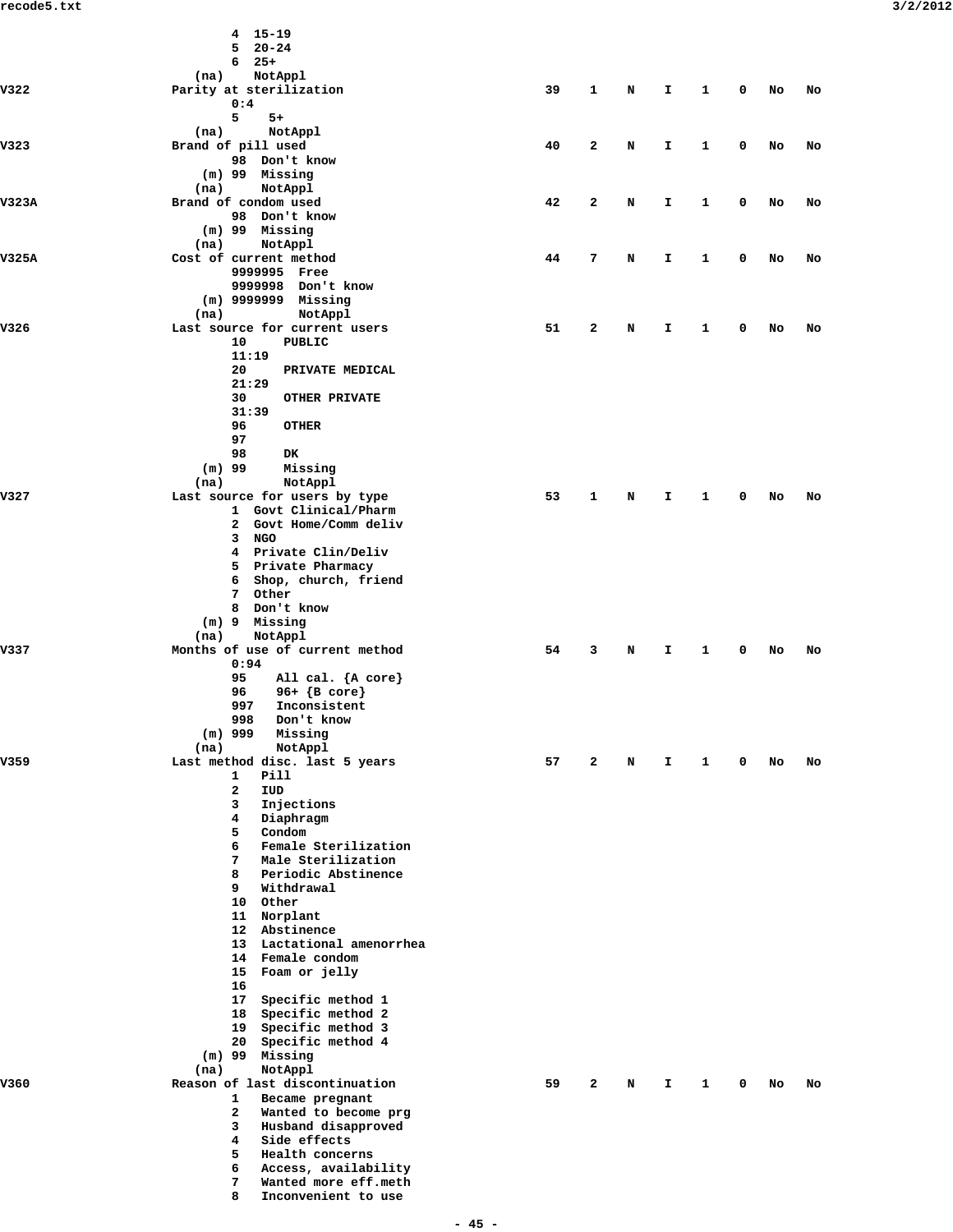|       | $4 15 - 19$                                            |    |              |   |              |              |             |    |    |
|-------|--------------------------------------------------------|----|--------------|---|--------------|--------------|-------------|----|----|
|       | $520 - 24$<br>$6$ 25+                                  |    |              |   |              |              |             |    |    |
|       | (na)<br>NotAppl                                        |    |              |   |              |              |             |    |    |
| V322  | Parity at sterilization                                | 39 | $\mathbf{1}$ | N | $\mathbf{I}$ | $\mathbf{1}$ | $\mathbf 0$ | No | No |
|       | 0:4<br>5<br>$5+$                                       |    |              |   |              |              |             |    |    |
|       | (na)<br>NotAppl                                        |    |              |   |              |              |             |    |    |
| V323  | Brand of pill used                                     | 40 | $\mathbf{2}$ | N | Ι.           | $\mathbf{1}$ | 0           | No | No |
|       | 98 Don't know<br>(m) 99 Missing                        |    |              |   |              |              |             |    |    |
|       | (na)<br>NotAppl                                        |    |              |   |              |              |             |    |    |
| V323A | Brand of condom used                                   | 42 | $\mathbf{2}$ | N | I.           | $\mathbf{1}$ | 0           | No | No |
|       | 98 Don't know                                          |    |              |   |              |              |             |    |    |
|       | $(m)$ 99 Missing<br>(na)<br>NotAppl                    |    |              |   |              |              |             |    |    |
| V325A | Cost of current method                                 | 44 | 7            | N | Ι.           | $\mathbf{1}$ | 0           | No | No |
|       | 9999995 Free                                           |    |              |   |              |              |             |    |    |
|       | 9999998 Don't know<br>(m) 9999999 Missing              |    |              |   |              |              |             |    |    |
|       | NotAppl<br>(na)                                        |    |              |   |              |              |             |    |    |
| V326  | Last source for current users                          | 51 | 2            | N | Ι.           | 1            | 0           | No | No |
|       | 10<br>PUBLIC<br>11:19                                  |    |              |   |              |              |             |    |    |
|       | 20<br>PRIVATE MEDICAL                                  |    |              |   |              |              |             |    |    |
|       | 21:29                                                  |    |              |   |              |              |             |    |    |
|       | 30<br><b>OTHER PRIVATE</b><br>31:39                    |    |              |   |              |              |             |    |    |
|       | 96<br><b>OTHER</b>                                     |    |              |   |              |              |             |    |    |
|       | 97                                                     |    |              |   |              |              |             |    |    |
|       | 98<br>DK                                               |    |              |   |              |              |             |    |    |
|       | $(m)$ 99<br>Missing<br>NotAppl<br>(na)                 |    |              |   |              |              |             |    |    |
| V327  | Last source for users by type                          | 53 | 1            | N | Ι.           | $\mathbf{1}$ | 0           | No | No |
|       | 1 Govt Clinical/Pharm                                  |    |              |   |              |              |             |    |    |
|       | 2 Govt Home/Comm deliv<br>3 NGO                        |    |              |   |              |              |             |    |    |
|       | 4 Private Clin/Deliv                                   |    |              |   |              |              |             |    |    |
|       | 5 Private Pharmacy                                     |    |              |   |              |              |             |    |    |
|       | 6 Shop, church, friend<br>7 Other                      |    |              |   |              |              |             |    |    |
|       | 8 Don't know                                           |    |              |   |              |              |             |    |    |
|       | (m) 9 Missing                                          |    |              |   |              |              |             |    |    |
| V337  | NotAppl<br>(na)<br>Months of use of current method     | 54 | $\mathbf{3}$ | N | Ι.           | $\mathbf{1}$ | 0           | No | No |
|       | 0:94                                                   |    |              |   |              |              |             |    |    |
|       | 95<br>All cal. ${A core}$                              |    |              |   |              |              |             |    |    |
|       | 96+ $\{B \text{ core}\}$<br>96<br>997<br>Inconsistent  |    |              |   |              |              |             |    |    |
|       | 998<br>Don't know                                      |    |              |   |              |              |             |    |    |
|       | $(m)$ 999<br>Missing                                   |    |              |   |              |              |             |    |    |
| V359  | NotAppl<br>(na)<br>Last method disc. last 5 years      | 57 | 2            | N | I.           | 1            | 0           | No | No |
|       | Pill<br>1                                              |    |              |   |              |              |             |    |    |
|       | 2<br>IUD                                               |    |              |   |              |              |             |    |    |
|       | 3<br>Injections<br>4<br>Diaphragm                      |    |              |   |              |              |             |    |    |
|       | 5<br>Condom                                            |    |              |   |              |              |             |    |    |
|       | Female Sterilization<br>6                              |    |              |   |              |              |             |    |    |
|       | 7<br>Male Sterilization<br>8<br>Periodic Abstinence    |    |              |   |              |              |             |    |    |
|       | 9<br>Withdrawal                                        |    |              |   |              |              |             |    |    |
|       | 10 Other                                               |    |              |   |              |              |             |    |    |
|       | 11 Norplant<br>12 Abstinence                           |    |              |   |              |              |             |    |    |
|       | 13 Lactational amenorrhea                              |    |              |   |              |              |             |    |    |
|       | 14 Female condom                                       |    |              |   |              |              |             |    |    |
|       | 15 Foam or jelly<br>16                                 |    |              |   |              |              |             |    |    |
|       | 17 Specific method 1                                   |    |              |   |              |              |             |    |    |
|       | 18 Specific method 2                                   |    |              |   |              |              |             |    |    |
|       | 19 Specific method 3<br>20 Specific method 4           |    |              |   |              |              |             |    |    |
|       | (m) 99 Missing                                         |    |              |   |              |              |             |    |    |
|       | NotAppl<br>(na)                                        |    |              |   |              |              |             |    |    |
| V360  | Reason of last discontinuation<br>1<br>Became pregnant | 59 | 2            | N | I.           | 1            | 0           | No | No |
|       | $\mathbf{2}$<br>Wanted to become prg                   |    |              |   |              |              |             |    |    |
|       | 3<br>Husband disapproved                               |    |              |   |              |              |             |    |    |
|       | 4<br>Side effects<br>5<br>Health concerns              |    |              |   |              |              |             |    |    |
|       | 6<br>Access, availability                              |    |              |   |              |              |             |    |    |
|       | 7<br>Wanted more eff.meth                              |    |              |   |              |              |             |    |    |
|       | 8<br>Inconvenient to use                               |    |              |   |              |              |             |    |    |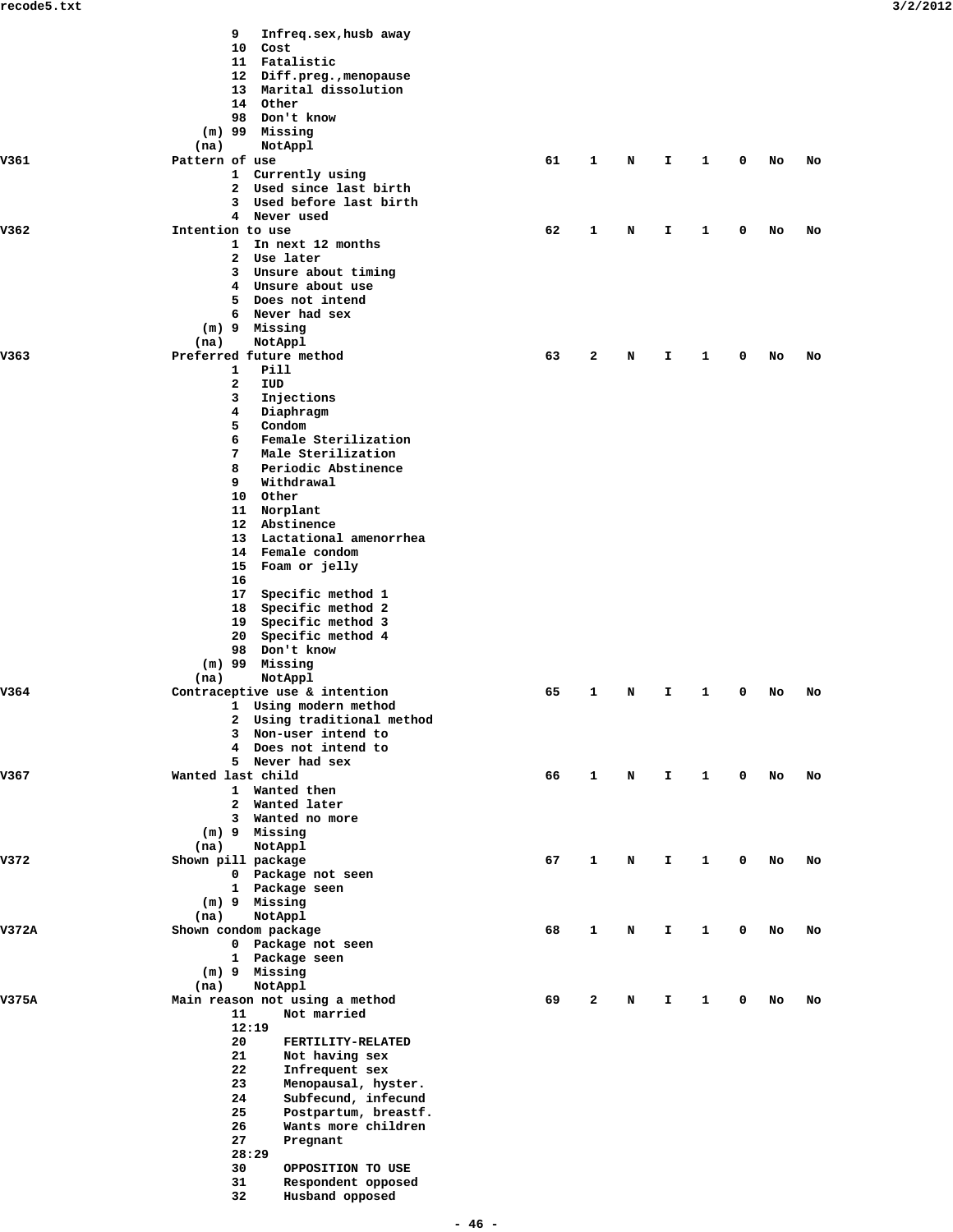|       | 9<br>Infreq.sex, husb away                             |    |              |   |    |   |   |    |    |
|-------|--------------------------------------------------------|----|--------------|---|----|---|---|----|----|
|       | 10 Cost                                                |    |              |   |    |   |   |    |    |
|       | 11 Fatalistic                                          |    |              |   |    |   |   |    |    |
|       | 12 Diff.preg., menopause                               |    |              |   |    |   |   |    |    |
|       | 13 Marital dissolution<br>14 Other                     |    |              |   |    |   |   |    |    |
|       | 98 Don't know                                          |    |              |   |    |   |   |    |    |
|       |                                                        |    |              |   |    |   |   |    |    |
|       | $(m)$ 99 Missing                                       |    |              |   |    |   |   |    |    |
|       | NotAppl<br>(na)                                        |    |              |   |    |   |   |    |    |
| V361  | Pattern of use                                         | 61 | 1            | N | I. | 1 | 0 | No | No |
|       | 1 Currently using<br>2 Used since last birth           |    |              |   |    |   |   |    |    |
|       | 3 Used before last birth                               |    |              |   |    |   |   |    |    |
|       | 4 Never used                                           |    |              |   |    |   |   |    |    |
| V362  | Intention to use                                       | 62 | 1            | N | I. | 1 | 0 | No | No |
|       | 1 In next 12 months                                    |    |              |   |    |   |   |    |    |
|       | 2 Use later                                            |    |              |   |    |   |   |    |    |
|       | 3 Unsure about timing                                  |    |              |   |    |   |   |    |    |
|       | 4 Unsure about use                                     |    |              |   |    |   |   |    |    |
|       | 5 Does not intend                                      |    |              |   |    |   |   |    |    |
|       | 6 Never had sex                                        |    |              |   |    |   |   |    |    |
|       | (m) 9 Missing                                          |    |              |   |    |   |   |    |    |
|       | (na)<br>NotAppl                                        |    |              |   |    |   |   |    |    |
| V363  | Preferred future method                                | 63 | 2            | N | I  | 1 | 0 | No | No |
|       | $\mathbf{1}$<br>Pill                                   |    |              |   |    |   |   |    |    |
|       | 2<br>IUD                                               |    |              |   |    |   |   |    |    |
|       | 3<br>Injections                                        |    |              |   |    |   |   |    |    |
|       | 4<br>Diaphragm                                         |    |              |   |    |   |   |    |    |
|       | 5<br>Condom                                            |    |              |   |    |   |   |    |    |
|       | Female Sterilization<br>6                              |    |              |   |    |   |   |    |    |
|       | 7<br>Male Sterilization                                |    |              |   |    |   |   |    |    |
|       | 8<br>Periodic Abstinence                               |    |              |   |    |   |   |    |    |
|       | 9<br>Withdrawal                                        |    |              |   |    |   |   |    |    |
|       | 10 Other                                               |    |              |   |    |   |   |    |    |
|       | 11 Norplant                                            |    |              |   |    |   |   |    |    |
|       | 12 Abstinence                                          |    |              |   |    |   |   |    |    |
|       | 13 Lactational amenorrhea                              |    |              |   |    |   |   |    |    |
|       | 14 Female condom                                       |    |              |   |    |   |   |    |    |
|       | 15 Foam or jelly                                       |    |              |   |    |   |   |    |    |
|       | 16                                                     |    |              |   |    |   |   |    |    |
|       | 17 Specific method 1                                   |    |              |   |    |   |   |    |    |
|       | 18 Specific method 2                                   |    |              |   |    |   |   |    |    |
|       | 19 Specific method 3                                   |    |              |   |    |   |   |    |    |
|       | 20 Specific method 4                                   |    |              |   |    |   |   |    |    |
|       | 98 Don't know                                          |    |              |   |    |   |   |    |    |
|       |                                                        |    |              |   |    |   |   |    |    |
|       | $(m)$ 99 Missing                                       |    |              |   |    |   |   |    |    |
| V364  | NotAppl<br>(na)                                        | 65 |              |   |    |   |   |    |    |
|       | Contraceptive use & intention<br>1 Using modern method |    | 1            | N | I. | 1 | 0 | No | No |
|       | 2 Using traditional method                             |    |              |   |    |   |   |    |    |
|       | 3 Non-user intend to                                   |    |              |   |    |   |   |    |    |
|       | 4 Does not intend to                                   |    |              |   |    |   |   |    |    |
|       | 5 Never had sex                                        |    |              |   |    |   |   |    |    |
| V367  | Wanted last child                                      | 66 | $\mathbf{1}$ |   | I  | 1 | 0 |    |    |
|       | 1 Wanted then                                          |    |              | N |    |   |   | No | No |
|       | 2 Wanted later                                         |    |              |   |    |   |   |    |    |
|       | 3 Wanted no more                                       |    |              |   |    |   |   |    |    |
|       | (m) 9 Missing                                          |    |              |   |    |   |   |    |    |
|       | (na)<br>NotAppl                                        |    |              |   |    |   |   |    |    |
| V372  | Shown pill package                                     | 67 | 1            | N | I  | 1 | 0 | No | No |
|       | 0 Package not seen                                     |    |              |   |    |   |   |    |    |
|       | 1 Package seen                                         |    |              |   |    |   |   |    |    |
|       | (m) 9 Missing                                          |    |              |   |    |   |   |    |    |
|       | NotAppl<br>(na)                                        |    |              |   |    |   |   |    |    |
| V372A |                                                        | 68 | 1            |   | I. |   | 0 |    |    |
|       | Shown condom package<br>0 Package not seen             |    |              | N |    | 1 |   | No | No |
|       | 1 Package seen                                         |    |              |   |    |   |   |    |    |
|       | (m) 9 Missing                                          |    |              |   |    |   |   |    |    |
|       | (na)<br>NotAppl                                        |    |              |   |    |   |   |    |    |
| V375A | Main reason not using a method                         | 69 | 2            | N | I  | 1 | 0 | No | No |
|       | Not married<br>11                                      |    |              |   |    |   |   |    |    |
|       | 12:19                                                  |    |              |   |    |   |   |    |    |
|       |                                                        |    |              |   |    |   |   |    |    |
|       | 20<br>FERTILITY-RELATED<br>21                          |    |              |   |    |   |   |    |    |
|       | Not having sex                                         |    |              |   |    |   |   |    |    |
|       | 22<br>Infrequent sex                                   |    |              |   |    |   |   |    |    |
|       | 23<br>Menopausal, hyster.                              |    |              |   |    |   |   |    |    |
|       | 24<br>Subfecund, infecund                              |    |              |   |    |   |   |    |    |
|       | 25<br>Postpartum, breastf.                             |    |              |   |    |   |   |    |    |
|       | 26<br>Wants more children                              |    |              |   |    |   |   |    |    |
|       | 27<br>Pregnant                                         |    |              |   |    |   |   |    |    |
|       | 28:29                                                  |    |              |   |    |   |   |    |    |
|       | 30<br>OPPOSITION TO USE                                |    |              |   |    |   |   |    |    |
|       | 31<br>Respondent opposed                               |    |              |   |    |   |   |    |    |
|       | 32<br>Husband opposed                                  |    |              |   |    |   |   |    |    |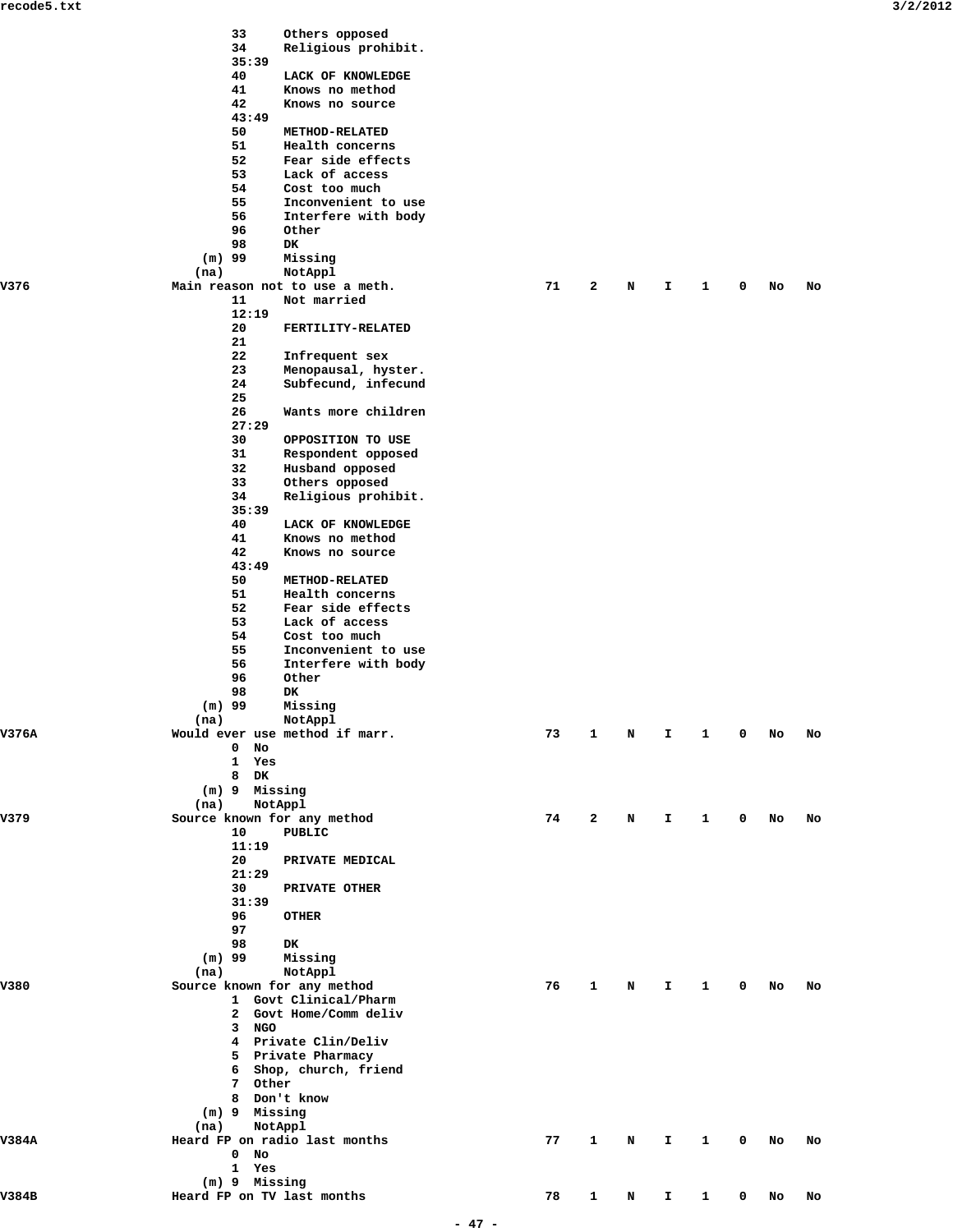|       |          | 33              | Others opposed                                  |    |              |   |    |              |   |    |    |
|-------|----------|-----------------|-------------------------------------------------|----|--------------|---|----|--------------|---|----|----|
|       |          | 34<br>35:39     | Religious prohibit.                             |    |              |   |    |              |   |    |    |
|       |          | 40              | LACK OF KNOWLEDGE                               |    |              |   |    |              |   |    |    |
|       |          | 41              | Knows no method                                 |    |              |   |    |              |   |    |    |
|       |          | 42<br>43:49     | Knows no source                                 |    |              |   |    |              |   |    |    |
|       |          | 50              | METHOD-RELATED                                  |    |              |   |    |              |   |    |    |
|       |          | 51              | Health concerns                                 |    |              |   |    |              |   |    |    |
|       |          | 52              | Fear side effects                               |    |              |   |    |              |   |    |    |
|       |          | 53<br>54        | Lack of access<br>Cost too much                 |    |              |   |    |              |   |    |    |
|       |          | 55              | Inconvenient to use                             |    |              |   |    |              |   |    |    |
|       |          | 56              | Interfere with body                             |    |              |   |    |              |   |    |    |
|       |          | 96<br>98        | Other<br>DK                                     |    |              |   |    |              |   |    |    |
|       | $(m)$ 99 |                 | Missing                                         |    |              |   |    |              |   |    |    |
|       | (na)     |                 | NotAppl                                         |    |              |   |    |              |   |    |    |
| V376  |          | 11              | Main reason not to use a meth.                  | 71 | 2            | N | I. | 1            | 0 | No | No |
|       |          | 12:19           | Not married                                     |    |              |   |    |              |   |    |    |
|       |          | 20              | FERTILITY-RELATED                               |    |              |   |    |              |   |    |    |
|       |          | 21              |                                                 |    |              |   |    |              |   |    |    |
|       |          | 22<br>23        | Infrequent sex<br>Menopausal, hyster.           |    |              |   |    |              |   |    |    |
|       |          | 24              | Subfecund, infecund                             |    |              |   |    |              |   |    |    |
|       |          | 25              |                                                 |    |              |   |    |              |   |    |    |
|       |          | 26              | Wants more children                             |    |              |   |    |              |   |    |    |
|       |          | 27:29<br>30     | OPPOSITION TO USE                               |    |              |   |    |              |   |    |    |
|       |          | 31              | Respondent opposed                              |    |              |   |    |              |   |    |    |
|       |          | 32              | Husband opposed                                 |    |              |   |    |              |   |    |    |
|       |          | 33              | Others opposed                                  |    |              |   |    |              |   |    |    |
|       |          | 34<br>35:39     | Religious prohibit.                             |    |              |   |    |              |   |    |    |
|       |          | 40              | LACK OF KNOWLEDGE                               |    |              |   |    |              |   |    |    |
|       |          | 41              | Knows no method                                 |    |              |   |    |              |   |    |    |
|       |          | 42<br>43:49     | Knows no source                                 |    |              |   |    |              |   |    |    |
|       |          | 50              | METHOD-RELATED                                  |    |              |   |    |              |   |    |    |
|       |          | 51              | Health concerns                                 |    |              |   |    |              |   |    |    |
|       |          | 52              | Fear side effects                               |    |              |   |    |              |   |    |    |
|       |          | 53<br>54        | Lack of access<br>Cost too much                 |    |              |   |    |              |   |    |    |
|       |          | 55              | Inconvenient to use                             |    |              |   |    |              |   |    |    |
|       |          | 56              | Interfere with body                             |    |              |   |    |              |   |    |    |
|       |          | 96              | Other                                           |    |              |   |    |              |   |    |    |
|       | $(m)$ 99 | 98              | DK<br>Missing                                   |    |              |   |    |              |   |    |    |
|       | (na)     |                 | NotAppl                                         |    |              |   |    |              |   |    |    |
| V376A |          |                 | Would ever use method if marr.                  | 73 | 1            | Ν | I. | 1            | 0 | No | No |
|       |          | $0$ No<br>1 Yes |                                                 |    |              |   |    |              |   |    |    |
|       |          | 8 DK            |                                                 |    |              |   |    |              |   |    |    |
|       |          | (m) 9 Missing   |                                                 |    |              |   |    |              |   |    |    |
| V379  | (na)     | NotAppl         | Source known for any method                     |    |              |   |    |              |   |    |    |
|       |          | 10              | PUBLIC                                          | 74 | 2            | N | I. | 1            | 0 | No | No |
|       |          | 11:19           |                                                 |    |              |   |    |              |   |    |    |
|       |          | 20              | PRIVATE MEDICAL                                 |    |              |   |    |              |   |    |    |
|       |          | 21:29<br>30     | PRIVATE OTHER                                   |    |              |   |    |              |   |    |    |
|       |          | 31:39           |                                                 |    |              |   |    |              |   |    |    |
|       |          | 96              | <b>OTHER</b>                                    |    |              |   |    |              |   |    |    |
|       |          | 97              |                                                 |    |              |   |    |              |   |    |    |
|       | $(m)$ 99 | 98              | DK<br>Missing                                   |    |              |   |    |              |   |    |    |
|       | (na)     |                 | NotAppl                                         |    |              |   |    |              |   |    |    |
| V380  |          |                 | Source known for any method                     | 76 | $\mathbf{1}$ | N | Ι. | $\mathbf{1}$ | 0 | No | No |
|       |          |                 | 1 Govt Clinical/Pharm<br>2 Govt Home/Comm deliv |    |              |   |    |              |   |    |    |
|       |          | 3 NGO           |                                                 |    |              |   |    |              |   |    |    |
|       |          |                 | 4 Private Clin/Deliv                            |    |              |   |    |              |   |    |    |
|       |          |                 | 5 Private Pharmacy                              |    |              |   |    |              |   |    |    |
|       |          | 7 Other         | 6 Shop, church, friend                          |    |              |   |    |              |   |    |    |
|       |          | 8 Don't know    |                                                 |    |              |   |    |              |   |    |    |
|       |          | (m) 9 Missing   |                                                 |    |              |   |    |              |   |    |    |
|       | (na)     | NotAppl         |                                                 |    |              |   |    |              |   |    |    |
| V384A |          | $0$ No          | Heard FP on radio last months                   | 77 | $\mathbf{1}$ | N | I. | $\mathbf{1}$ | 0 | No | No |
|       |          | 1 Yes           |                                                 |    |              |   |    |              |   |    |    |
|       |          | (m) 9 Missing   |                                                 |    |              |   |    |              |   |    |    |
| V384B |          |                 | Heard FP on TV last months                      | 78 | $\mathbf{1}$ | N | I. | $\mathbf{1}$ | 0 | No | No |
|       |          |                 |                                                 |    |              |   |    |              |   |    |    |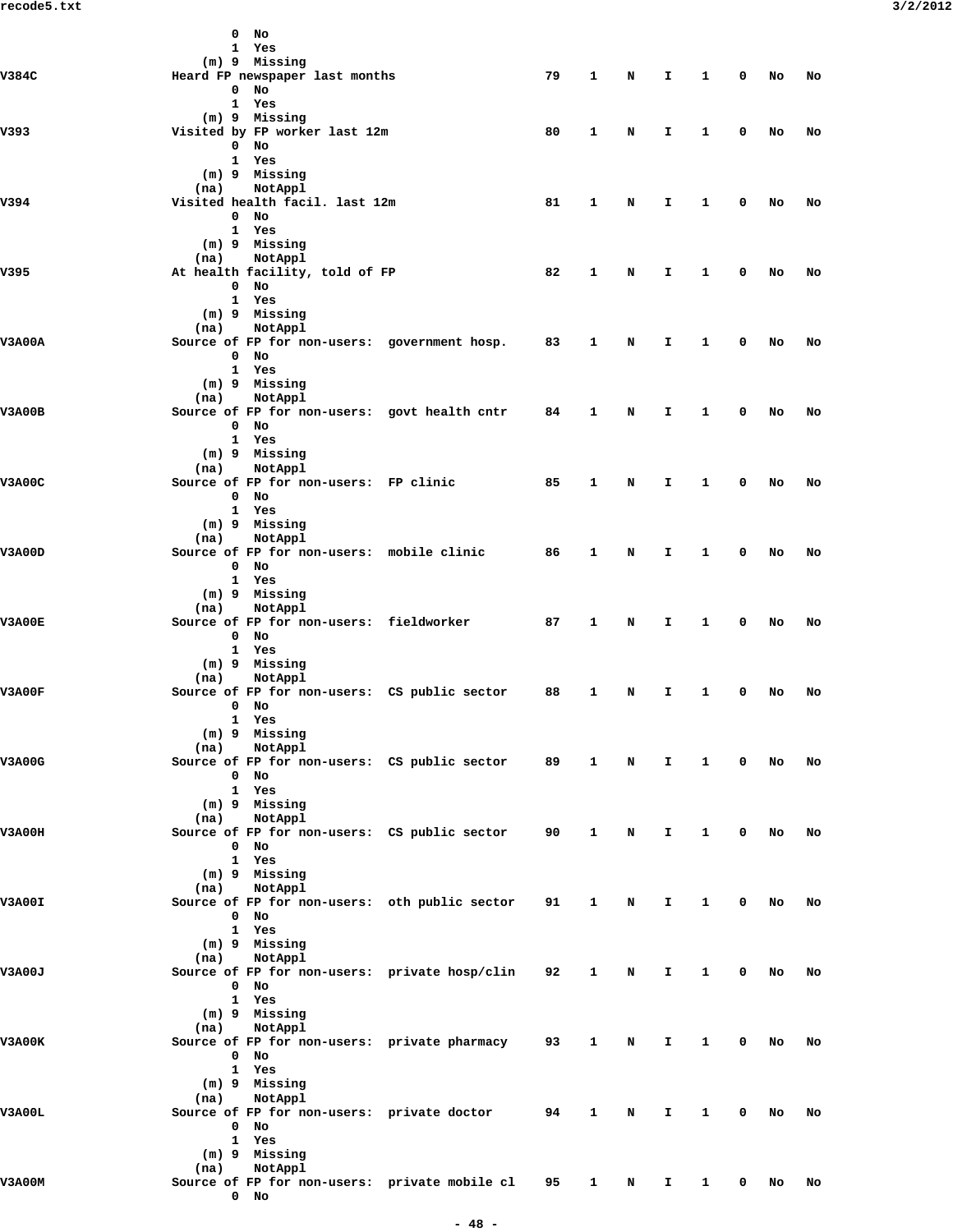|               | $\mathbf 0$ | No                                                           |                                                 |        |              |   |    |              |             |    |    |
|---------------|-------------|--------------------------------------------------------------|-------------------------------------------------|--------|--------------|---|----|--------------|-------------|----|----|
|               |             | 1 Yes                                                        |                                                 |        |              |   |    |              |             |    |    |
|               |             | (m) 9 Missing                                                |                                                 |        |              |   |    |              |             |    |    |
| V384C         |             | Heard FP newspaper last months<br>$0$ No                     |                                                 | 79     | 1            | N | I. | $\mathbf{1}$ | $^{\circ}$  | No | No |
|               |             | 1 Yes                                                        |                                                 |        |              |   |    |              |             |    |    |
|               |             | (m) 9 Missing                                                |                                                 |        |              |   |    |              |             |    |    |
| V393          |             | Visited by FP worker last 12m                                |                                                 | 80     | 1            | N | I. | $\mathbf{1}$ | $^{\circ}$  | No | No |
|               |             | $0$ No                                                       |                                                 |        |              |   |    |              |             |    |    |
|               |             | 1 Yes                                                        |                                                 |        |              |   |    |              |             |    |    |
|               |             | (m) 9 Missing                                                |                                                 |        |              |   |    |              |             |    |    |
| V394          |             | (na) NotAppl<br>Visited health facil. last 12m               |                                                 | 81     | 1            | N | I. | $\mathbf{1}$ | 0           | No | No |
|               |             | $0$ No                                                       |                                                 |        |              |   |    |              |             |    |    |
|               |             | 1 Yes                                                        |                                                 |        |              |   |    |              |             |    |    |
|               |             | (m) 9 Missing                                                |                                                 |        |              |   |    |              |             |    |    |
|               |             | (na) NotAppl                                                 |                                                 |        |              |   |    |              |             |    |    |
| V395          |             | At health facility, told of FP                               |                                                 | 82     | 1            | N | I. | $\mathbf{1}$ | 0           | No | No |
|               |             | $0$ No                                                       |                                                 |        |              |   |    |              |             |    |    |
|               |             | 1 Yes                                                        |                                                 |        |              |   |    |              |             |    |    |
|               |             | (m) 9 Missing                                                |                                                 |        |              |   |    |              |             |    |    |
| <b>V3A00A</b> |             | (na) NotAppl<br>Source of FP for non-users: government hosp. |                                                 | 83     | $\mathbf{1}$ | N | I. | $\mathbf{1}$ | $^{\circ}$  | No | No |
|               |             | $0$ No                                                       |                                                 |        |              |   |    |              |             |    |    |
|               |             | 1 Yes                                                        |                                                 |        |              |   |    |              |             |    |    |
|               |             | (m) 9 Missing                                                |                                                 |        |              |   |    |              |             |    |    |
|               |             | (na) NotAppl                                                 |                                                 |        |              |   |    |              |             |    |    |
| V3A00B        |             |                                                              | Source of FP for non-users: govt health cntr    | 84     | 1            | N | I. | $\mathbf{1}$ | 0           | No | No |
|               |             | $0$ No                                                       |                                                 |        |              |   |    |              |             |    |    |
|               |             | 1 Yes                                                        |                                                 |        |              |   |    |              |             |    |    |
|               |             | (m) 9 Missing                                                |                                                 |        |              |   |    |              |             |    |    |
| V3A00C        |             | (na) NotAppl<br>Source of FP for non-users: FP clinic        |                                                 | 85     | $\mathbf{1}$ |   | I. | $\mathbf{1}$ | 0           |    |    |
|               |             | $0$ No                                                       |                                                 |        |              | N |    |              |             | No | No |
|               |             | 1 Yes                                                        |                                                 |        |              |   |    |              |             |    |    |
|               |             | (m) 9 Missing                                                |                                                 |        |              |   |    |              |             |    |    |
|               | (na)        | NotAppl                                                      |                                                 |        |              |   |    |              |             |    |    |
| V3A00D        |             |                                                              | Source of FP for non-users: mobile clinic       | 86     | $\mathbf{1}$ | N | I. | $\mathbf{1}$ | 0           | No | No |
|               |             | $0$ No                                                       |                                                 |        |              |   |    |              |             |    |    |
|               |             | 1 Yes                                                        |                                                 |        |              |   |    |              |             |    |    |
|               |             | (m) 9 Missing                                                |                                                 |        |              |   |    |              |             |    |    |
|               |             | (na) NotAppl                                                 |                                                 |        |              |   |    | $\mathbf{1}$ | 0           |    |    |
| <b>V3A00E</b> |             | $0$ No                                                       | Source of FP for non-users: fieldworker         | 87 - 1 | $\mathbf{1}$ | N | I. |              |             | No | No |
|               |             | 1 Yes                                                        |                                                 |        |              |   |    |              |             |    |    |
|               |             | (m) 9 Missing                                                |                                                 |        |              |   |    |              |             |    |    |
|               | (na)        | NotAppl                                                      |                                                 |        |              |   |    |              |             |    |    |
| V3A00F        |             |                                                              | Source of FP for non-users: CS public sector    | 88     | 1            | N | I. | $\mathbf{1}$ | 0           | No | No |
|               |             | $0$ No                                                       |                                                 |        |              |   |    |              |             |    |    |
|               |             | 1 Yes                                                        |                                                 |        |              |   |    |              |             |    |    |
|               |             | (m) 9 Missing                                                |                                                 |        |              |   |    |              |             |    |    |
|               | (na)        | NotAppl                                                      |                                                 |        |              |   |    |              |             |    |    |
| <b>V3A00G</b> |             | $0$ No                                                       | Source of FP for non-users: CS public sector 89 |        | $\mathbf{1}$ | N | I. | $\mathbf{1}$ | $\mathbf 0$ | No | No |
|               |             | 1 Yes                                                        |                                                 |        |              |   |    |              |             |    |    |
|               |             | (m) 9 Missing                                                |                                                 |        |              |   |    |              |             |    |    |
|               | (na)        | NotAppl                                                      |                                                 |        |              |   |    |              |             |    |    |
| V3A00H        |             |                                                              | Source of FP for non-users: CS public sector    | 90     | 1            | N | I. | $\mathbf{1}$ | $\mathbf 0$ | No | No |
|               |             | $0$ No                                                       |                                                 |        |              |   |    |              |             |    |    |
|               |             | 1 Yes                                                        |                                                 |        |              |   |    |              |             |    |    |
|               |             | $(m)$ 9 Missing                                              |                                                 |        |              |   |    |              |             |    |    |
|               | (na)        | NotAppl                                                      |                                                 |        |              |   |    |              |             |    |    |
| V3A00I        |             | $0$ No                                                       | Source of FP for non-users: oth public sector   | 91     | 1            | N | I. | $\mathbf{1}$ | $^{\circ}$  | No | No |
|               |             | 1 Yes                                                        |                                                 |        |              |   |    |              |             |    |    |
|               |             | (m) 9 Missing                                                |                                                 |        |              |   |    |              |             |    |    |
|               | (na)        | NotAppl                                                      |                                                 |        |              |   |    |              |             |    |    |
| V3A00J        |             |                                                              | Source of FP for non-users: private hosp/clin   | 92     | 1            | N | I. | $\mathbf{1}$ | 0           | No | No |
|               |             | $0$ No                                                       |                                                 |        |              |   |    |              |             |    |    |
|               |             | 1 Yes                                                        |                                                 |        |              |   |    |              |             |    |    |
|               |             | (m) 9 Missing                                                |                                                 |        |              |   |    |              |             |    |    |
|               | (na)        | NotAppl                                                      |                                                 |        |              |   |    |              |             |    |    |
| V3A00K        |             |                                                              | Source of FP for non-users: private pharmacy    | 93     | $\mathbf{1}$ | N | I. | $\mathbf{1}$ | 0           | No | No |
|               |             | $0$ No<br>1 Yes                                              |                                                 |        |              |   |    |              |             |    |    |
|               |             | (m) 9 Missing                                                |                                                 |        |              |   |    |              |             |    |    |
|               | (na)        | NotAppl                                                      |                                                 |        |              |   |    |              |             |    |    |
| V3A00L        |             |                                                              | Source of FP for non-users: private doctor      | 94     | 1            | N | I. | $\mathbf{1}$ | 0           | No | No |
|               |             | $0$ No                                                       |                                                 |        |              |   |    |              |             |    |    |
|               |             | 1 Yes                                                        |                                                 |        |              |   |    |              |             |    |    |
|               |             | (m) 9 Missing                                                |                                                 |        |              |   |    |              |             |    |    |
|               | (na)        | NotAppl                                                      |                                                 |        |              |   |    |              |             |    |    |
| V3A00M        |             | $0$ No                                                       | Source of FP for non-users: private mobile cl   | 95     | $\mathbf{1}$ | N | I. | $\mathbf{1}$ | 0           | No | No |
|               |             |                                                              |                                                 |        |              |   |    |              |             |    |    |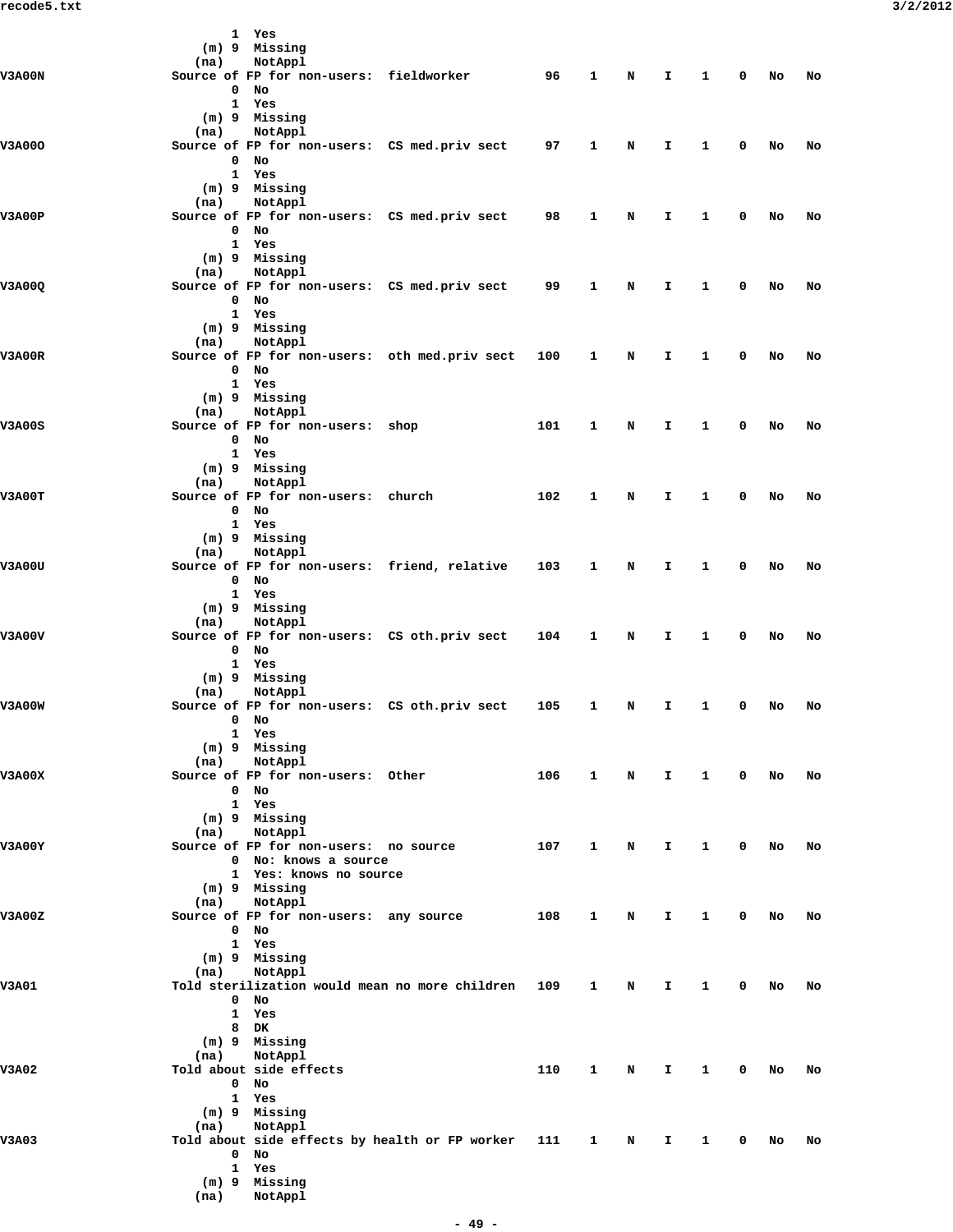|               |      | 1 Yes                                  |                                                |     |              |   |              |              |             |    |    |
|---------------|------|----------------------------------------|------------------------------------------------|-----|--------------|---|--------------|--------------|-------------|----|----|
|               |      | (m) 9 Missing                          |                                                |     |              |   |              |              |             |    |    |
|               | (na) | NotAppl                                |                                                |     |              |   |              |              |             |    |    |
| <b>V3A00N</b> |      |                                        | Source of FP for non-users: fieldworker        | 96  | 1            | N | I.           | $\mathbf{1}$ | 0           | No | No |
|               |      | $0$ No                                 |                                                |     |              |   |              |              |             |    |    |
|               |      | 1 Yes                                  |                                                |     |              |   |              |              |             |    |    |
|               |      | (m) 9 Missing                          |                                                |     |              |   |              |              |             |    |    |
|               | (na) | NotAppl                                |                                                |     |              |   |              |              |             |    |    |
| <b>V3A000</b> |      |                                        | Source of FP for non-users: CS med.priv sect   | 97  | 1            | N | I.           | 1            | 0           | No | No |
|               |      | $0$ No                                 |                                                |     |              |   |              |              |             |    |    |
|               |      | 1 Yes                                  |                                                |     |              |   |              |              |             |    |    |
|               |      | (m) 9 Missing                          |                                                |     |              |   |              |              |             |    |    |
|               | (na) | NotAppl                                |                                                |     |              |   |              |              |             |    |    |
| V3A00P        |      |                                        | Source of FP for non-users: CS med.priv sect   | 98  | 1            | N | I.           | 1            | 0           | No | No |
|               |      | $0$ No                                 |                                                |     |              |   |              |              |             |    |    |
|               |      | 1 Yes                                  |                                                |     |              |   |              |              |             |    |    |
|               |      | (m) 9 Missing                          |                                                |     |              |   |              |              |             |    |    |
|               | (na) | NotAppl                                |                                                |     |              |   |              |              |             |    |    |
| V3A00Q        |      |                                        | Source of FP for non-users: CS med.priv sect   | 99  | 1            | N | I.           | 1            | 0           | No | No |
|               |      | $0$ No                                 |                                                |     |              |   |              |              |             |    |    |
|               |      | 1 Yes                                  |                                                |     |              |   |              |              |             |    |    |
|               |      | (m) 9 Missing                          |                                                |     |              |   |              |              |             |    |    |
|               | (na) | NotAppl                                |                                                |     |              |   |              |              |             |    |    |
| V3A00R        |      |                                        | Source of FP for non-users: oth med.priv sect  | 100 | 1            | N | I.           | $\mathbf{1}$ | 0           | No | No |
|               |      | $0$ No                                 |                                                |     |              |   |              |              |             |    |    |
|               |      | 1 Yes                                  |                                                |     |              |   |              |              |             |    |    |
|               |      | $(m)$ 9 Missing                        |                                                |     |              |   |              |              |             |    |    |
|               | (na) | NotAppl                                |                                                |     |              |   |              |              |             |    |    |
|               |      |                                        |                                                |     |              |   |              |              |             |    |    |
| <b>V3A00S</b> |      | Source of FP for non-users: shop       |                                                | 101 | 1            | N | I.           | 1            | 0           | No | No |
|               |      | $0$ No                                 |                                                |     |              |   |              |              |             |    |    |
|               |      | 1 Yes                                  |                                                |     |              |   |              |              |             |    |    |
|               |      | (m) 9 Missing                          |                                                |     |              |   |              |              |             |    |    |
|               | (na) | NotAppl                                |                                                |     |              |   |              |              |             |    |    |
| V3A00T        |      | Source of FP for non-users: church     |                                                | 102 | $\mathbf{1}$ | N | I.           | 1            | 0           | No | No |
|               |      | $0$ No                                 |                                                |     |              |   |              |              |             |    |    |
|               |      | 1 Yes                                  |                                                |     |              |   |              |              |             |    |    |
|               |      | (m) 9 Missing                          |                                                |     |              |   |              |              |             |    |    |
|               | (na) | NotAppl                                |                                                |     |              |   |              |              |             |    |    |
| V3A00U        |      |                                        | Source of FP for non-users: friend, relative   | 103 | 1            | N | I.           | 1            | 0           | No | No |
|               |      | $0$ No                                 |                                                |     |              |   |              |              |             |    |    |
|               |      | 1 Yes                                  |                                                |     |              |   |              |              |             |    |    |
|               |      | (m) 9 Missing                          |                                                |     |              |   |              |              |             |    |    |
|               | (na) | NotAppl                                |                                                |     |              |   |              |              |             |    |    |
| V3A00V        |      |                                        | Source of FP for non-users: CS oth.priv sect   | 104 | 1            | N | I.           | 1            | 0           | No | No |
|               |      | $0$ No                                 |                                                |     |              |   |              |              |             |    |    |
|               |      | 1 Yes                                  |                                                |     |              |   |              |              |             |    |    |
|               |      | (m) 9 Missing                          |                                                |     |              |   |              |              |             |    |    |
|               | (na) | NotAppl                                |                                                |     |              |   |              |              |             |    |    |
| <b>V3A00W</b> |      |                                        | Source of FP for non-users: CS oth.priv sect   | 105 |              |   | I.           | 1            | 0           | No | No |
|               |      | $0$ No                                 |                                                |     | $\mathbf{1}$ | N |              |              |             |    |    |
|               |      |                                        |                                                |     |              |   |              |              |             |    |    |
|               |      | 1 Yes                                  |                                                |     |              |   |              |              |             |    |    |
|               |      | (m) 9 Missing                          |                                                |     |              |   |              |              |             |    |    |
|               | (na) | NotAppl                                |                                                |     |              |   |              |              |             |    |    |
| <b>V3A00X</b> |      | Source of FP for non-users: Other      |                                                | 106 | $\mathbf{1}$ | N | $\mathbf{T}$ | $\mathbf{1}$ | $\mathbf 0$ | No | No |
|               |      | $0$ No                                 |                                                |     |              |   |              |              |             |    |    |
|               |      | 1 Yes                                  |                                                |     |              |   |              |              |             |    |    |
|               |      | (m) 9 Missing                          |                                                |     |              |   |              |              |             |    |    |
|               | (na) | NotAppl                                |                                                |     |              |   |              |              |             |    |    |
| <b>V3A00Y</b> |      | Source of FP for non-users: no source  |                                                | 107 | $\mathbf{1}$ | N | I.           | 1            | 0           | No | No |
|               |      | 0 No: knows a source                   |                                                |     |              |   |              |              |             |    |    |
|               |      | 1 Yes: knows no source                 |                                                |     |              |   |              |              |             |    |    |
|               |      | $(m)$ 9 Missing                        |                                                |     |              |   |              |              |             |    |    |
|               | (na) | NotAppl                                |                                                |     |              |   |              |              |             |    |    |
| V3A00Z        |      | Source of FP for non-users: any source |                                                | 108 | 1            | N | I.           | 1            | 0           | No | No |
|               |      | $0$ No                                 |                                                |     |              |   |              |              |             |    |    |
|               |      | 1 Yes                                  |                                                |     |              |   |              |              |             |    |    |
|               |      | (m) 9 Missing                          |                                                |     |              |   |              |              |             |    |    |
|               | (na) | NotAppl                                |                                                |     |              |   |              |              |             |    |    |
| V3A01         |      |                                        | Told sterilization would mean no more children | 109 | 1            | N | I.           | 1            | $\mathbf 0$ | No | No |
|               |      | $0$ No                                 |                                                |     |              |   |              |              |             |    |    |
|               |      | 1 Yes                                  |                                                |     |              |   |              |              |             |    |    |
|               |      |                                        |                                                |     |              |   |              |              |             |    |    |
|               |      | 8 DK                                   |                                                |     |              |   |              |              |             |    |    |
|               |      | (m) 9 Missing                          |                                                |     |              |   |              |              |             |    |    |
|               | (na) | NotAppl                                |                                                |     |              |   |              |              |             |    |    |
| <b>V3A02</b>  |      | Told about side effects                |                                                | 110 | $\mathbf{1}$ | N | I.           | $\mathbf{1}$ | 0           | No | No |
|               |      | $0$ No                                 |                                                |     |              |   |              |              |             |    |    |
|               |      | 1 Yes                                  |                                                |     |              |   |              |              |             |    |    |
|               |      | (m) 9 Missing                          |                                                |     |              |   |              |              |             |    |    |
|               | (na) | NotAppl                                |                                                |     |              |   |              |              |             |    |    |
| <b>V3A03</b>  |      |                                        | Told about side effects by health or FP worker | 111 | 1            | N | I.           | 1            | 0           | No | No |
|               |      | $0$ No                                 |                                                |     |              |   |              |              |             |    |    |
|               |      | 1 Yes                                  |                                                |     |              |   |              |              |             |    |    |
|               |      | (m) 9 Missing                          |                                                |     |              |   |              |              |             |    |    |
|               | (na) | NotAppl                                |                                                |     |              |   |              |              |             |    |    |
|               |      |                                        |                                                |     |              |   |              |              |             |    |    |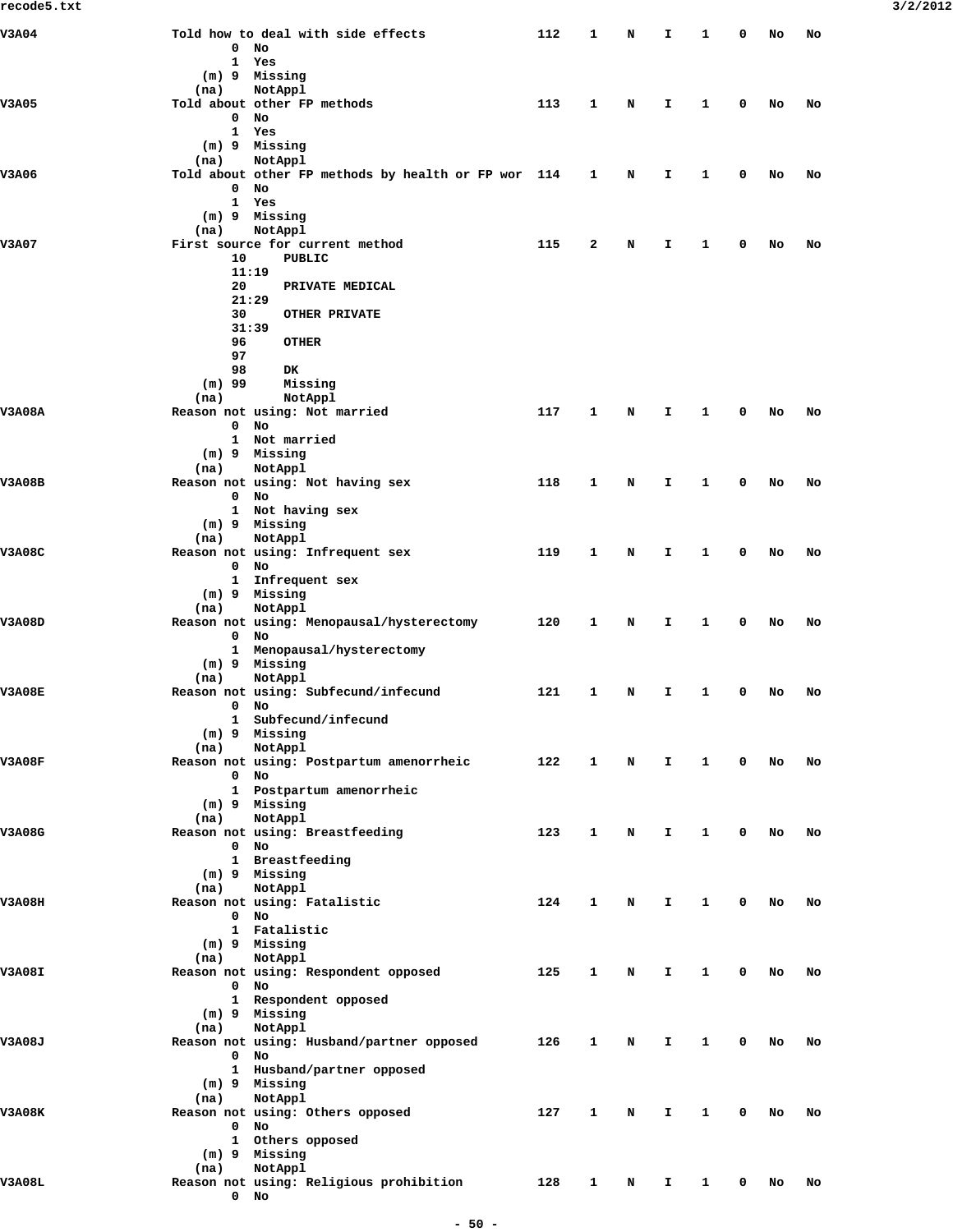| V3A04         |              | Told how to deal with side effects                  | 112 | 1 | N | I. | 1            | 0 | No | No |
|---------------|--------------|-----------------------------------------------------|-----|---|---|----|--------------|---|----|----|
|               | 0            | No                                                  |     |   |   |    |              |   |    |    |
|               | 1            | Yes                                                 |     |   |   |    |              |   |    |    |
|               | $(m)$ 9      | Missing                                             |     |   |   |    |              |   |    |    |
|               | (na)         | NotAppl                                             |     |   |   |    |              |   |    |    |
| <b>V3A05</b>  |              | Told about other FP methods                         | 113 | 1 | N | I. | 1            | 0 | No | No |
|               | 0            | No                                                  |     |   |   |    |              |   |    |    |
|               | 1            | Yes                                                 |     |   |   |    |              |   |    |    |
|               |              | (m) 9 Missing                                       |     |   |   |    |              |   |    |    |
|               | (na)         | NotAppl                                             |     |   |   |    |              |   |    |    |
| V3A06         |              | Told about other FP methods by health or FP wor 114 |     | 1 | N | I. | 1            | 0 | No | No |
|               | 0            | No                                                  |     |   |   |    |              |   |    |    |
|               |              | 1 Yes                                               |     |   |   |    |              |   |    |    |
|               |              | (m) 9 Missing                                       |     |   |   |    |              |   |    |    |
|               | (na)         | NotAppl                                             |     |   |   |    |              |   |    |    |
| <b>V3A07</b>  |              | First source for current method                     | 115 | 2 | N | I  | 1            | 0 | No | No |
|               | 10           | PUBLIC                                              |     |   |   |    |              |   |    |    |
|               | 11:19        |                                                     |     |   |   |    |              |   |    |    |
|               | 20           | PRIVATE MEDICAL                                     |     |   |   |    |              |   |    |    |
|               | 21:29        |                                                     |     |   |   |    |              |   |    |    |
|               | 30           | <b>OTHER PRIVATE</b>                                |     |   |   |    |              |   |    |    |
|               |              | 31:39                                               |     |   |   |    |              |   |    |    |
|               | 96           | <b>OTHER</b>                                        |     |   |   |    |              |   |    |    |
|               | 97           |                                                     |     |   |   |    |              |   |    |    |
|               | 98           | DK                                                  |     |   |   |    |              |   |    |    |
|               | $(m)$ 99     | Missing                                             |     |   |   |    |              |   |    |    |
|               |              | NotAppl                                             |     |   |   |    |              |   |    |    |
|               | (na)         |                                                     |     |   |   |    |              |   |    |    |
| <b>V3A08A</b> | 0            | Reason not using: Not married                       | 117 | 1 | N | I  | 1            | 0 | No | No |
|               |              | No<br>Not married                                   |     |   |   |    |              |   |    |    |
|               | $\mathbf{1}$ | $(m)$ 9 Missing                                     |     |   |   |    |              |   |    |    |
|               |              |                                                     |     |   |   |    |              |   |    |    |
|               | (na)         | NotAppl                                             |     |   |   |    |              |   |    |    |
| <b>V3A08B</b> |              | Reason not using: Not having sex                    | 118 | 1 | N | I. | 1            | 0 | No | No |
|               | 0            | No                                                  |     |   |   |    |              |   |    |    |
|               |              | 1 Not having sex                                    |     |   |   |    |              |   |    |    |
|               |              | (m) 9 Missing                                       |     |   |   |    |              |   |    |    |
|               | (na)         | NotAppl                                             |     |   |   |    |              |   |    |    |
| <b>V3A08C</b> |              | Reason not using: Infrequent sex                    | 119 | 1 | N | I. | 1            | 0 | No | No |
|               | $\mathbf 0$  | No                                                  |     |   |   |    |              |   |    |    |
|               |              | 1 Infrequent sex                                    |     |   |   |    |              |   |    |    |
|               |              | (m) 9 Missing                                       |     |   |   |    |              |   |    |    |
|               | (na)         | NotAppl                                             |     |   |   |    |              |   |    |    |
| V3A08D        |              | Reason not using: Menopausal/hysterectomy           | 120 | 1 | N | I. | 1            | 0 | No | No |
|               | 0            | No                                                  |     |   |   |    |              |   |    |    |
|               |              | 1 Menopausal/hysterectomy                           |     |   |   |    |              |   |    |    |
|               |              | (m) 9 Missing                                       |     |   |   |    |              |   |    |    |
|               | (na)         | NotAppl                                             |     |   |   |    |              |   |    |    |
| <b>V3A08E</b> |              | Reason not using: Subfecund/infecund                | 121 | 1 | N | I  | 1            | 0 | No | No |
|               | 0            | No                                                  |     |   |   |    |              |   |    |    |
|               | 1            | Subfecund/infecund                                  |     |   |   |    |              |   |    |    |
|               |              | (m) 9 Missing                                       |     |   |   |    |              |   |    |    |
|               | (na)         | NotAppl                                             |     |   |   |    |              |   |    |    |
| <b>V3A08F</b> |              | Reason not using: Postpartum amenorrheic            | 122 | 1 | N | I. | 1            | 0 | No | No |
|               | 0            | No                                                  |     |   |   |    |              |   |    |    |
|               |              | 1 Postpartum amenorrheic                            |     |   |   |    |              |   |    |    |
|               |              | (m) 9 Missing                                       |     |   |   |    |              |   |    |    |
|               | (na)         | NotAppl                                             |     |   |   |    |              |   |    |    |
| V3A08G        |              | Reason not using: Breastfeeding                     | 123 | 1 | N | I. | 1            | 0 | No | No |
|               | $\mathbf 0$  | No                                                  |     |   |   |    |              |   |    |    |
|               |              | 1 Breastfeeding                                     |     |   |   |    |              |   |    |    |
|               |              | (m) 9 Missing                                       |     |   |   |    |              |   |    |    |
|               | (na)         | NotAppl                                             |     |   |   |    |              |   |    |    |
| <b>V3A08H</b> |              | Reason not using: Fatalistic                        | 124 | 1 | N | I. | 1            | 0 | No | No |
|               | $\mathbf 0$  | No                                                  |     |   |   |    |              |   |    |    |
|               |              | 1 Fatalistic                                        |     |   |   |    |              |   |    |    |
|               |              | (m) 9 Missing                                       |     |   |   |    |              |   |    |    |
|               | (na)         | NotAppl                                             |     |   |   |    |              |   |    |    |
| <b>V3A08I</b> |              | Reason not using: Respondent opposed                | 125 | 1 | N | I. | 1            | 0 | No | No |
|               | $\mathbf{0}$ | No                                                  |     |   |   |    |              |   |    |    |
|               |              | 1 Respondent opposed                                |     |   |   |    |              |   |    |    |
|               |              | $(m)$ 9 Missing                                     |     |   |   |    |              |   |    |    |
|               | (na)         | NotAppl                                             |     |   |   |    |              |   |    |    |
| V3A08J        |              | Reason not using: Husband/partner opposed           | 126 | 1 | N | I  | 1            | 0 | No | No |
|               | 0            | No                                                  |     |   |   |    |              |   |    |    |
|               |              | 1 Husband/partner opposed                           |     |   |   |    |              |   |    |    |
|               |              | (m) 9 Missing                                       |     |   |   |    |              |   |    |    |
|               | (na)         | NotAppl                                             |     |   |   |    |              |   |    |    |
| <b>V3A08K</b> |              | Reason not using: Others opposed                    | 127 | 1 | N | I. | 1            | 0 | No | No |
|               | $\mathbf 0$  | No                                                  |     |   |   |    |              |   |    |    |
|               |              | 1 Others opposed                                    |     |   |   |    |              |   |    |    |
|               |              | $(m)$ 9 Missing                                     |     |   |   |    |              |   |    |    |
|               | (na)         | NotAppl                                             |     |   |   |    |              |   |    |    |
| <b>V3A08L</b> |              | Reason not using: Religious prohibition             | 128 | 1 | N | I. | $\mathbf{1}$ | 0 | No | No |
|               | $\mathbf{0}$ | No                                                  |     |   |   |    |              |   |    |    |
|               |              |                                                     |     |   |   |    |              |   |    |    |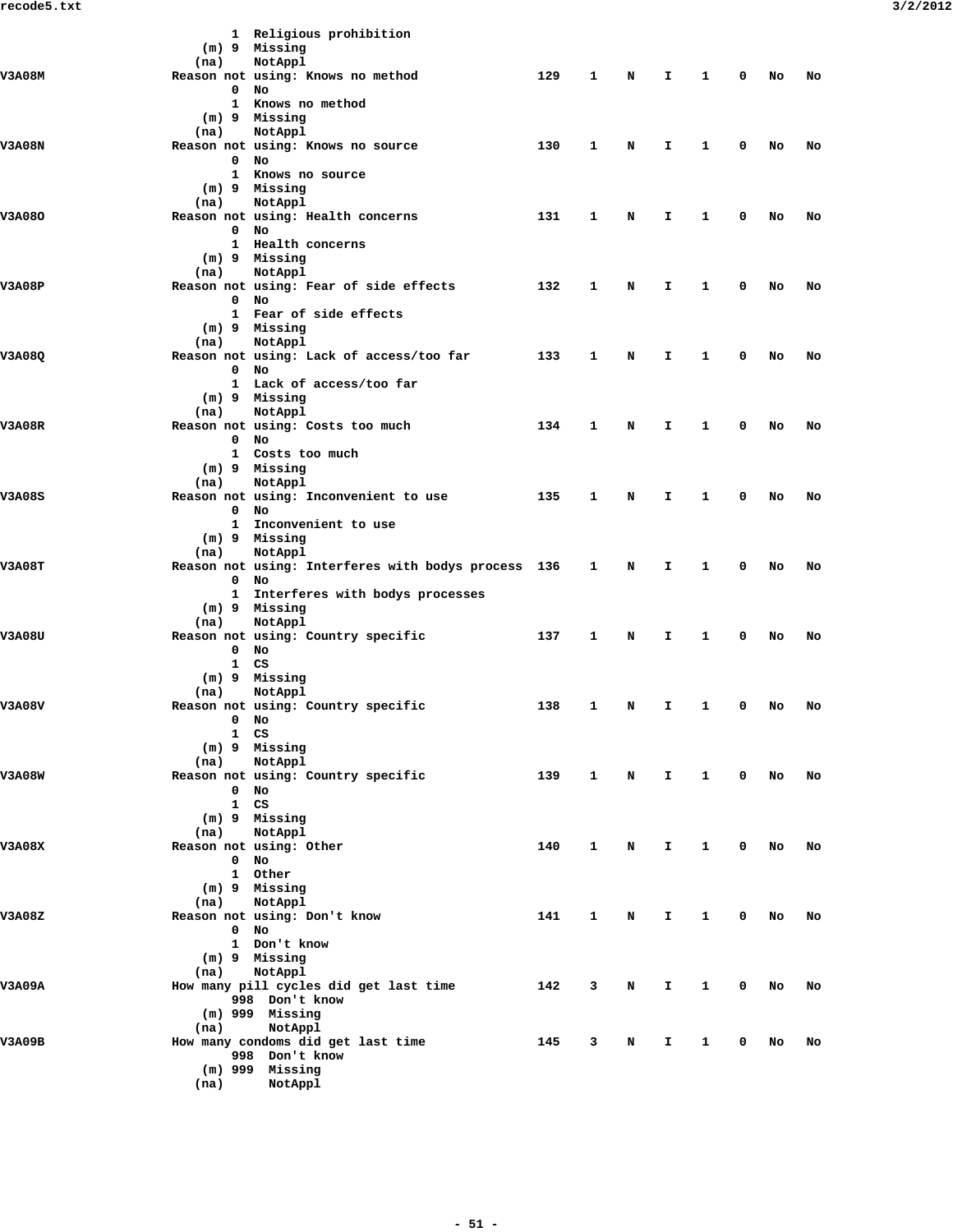|               | (m) 9 Missing                   | 1 Religious prohibition<br>NotAppl                  |     |              |   |    |              |                         |    |    |
|---------------|---------------------------------|-----------------------------------------------------|-----|--------------|---|----|--------------|-------------------------|----|----|
| <b>V3A08M</b> | (na)                            | Reason not using: Knows no method                   | 129 | 1            | N | I. | 1            | 0                       | No | No |
|               | 0<br>No<br>1                    | Knows no method                                     |     |              |   |    |              |                         |    |    |
|               | (m) 9 Missing                   |                                                     |     |              |   |    |              |                         |    |    |
| <b>V3A08N</b> | (na)                            | NotAppl                                             | 130 | 1            | N | I. | 1            | 0                       | No |    |
|               | 0<br>No                         | Reason not using: Knows no source                   |     |              |   |    |              |                         |    | No |
|               |                                 | 1 Knows no source                                   |     |              |   |    |              |                         |    |    |
|               | (m) 9 Missing<br>(na)           | NotAppl                                             |     |              |   |    |              |                         |    |    |
| V3A08O        |                                 | Reason not using: Health concerns                   | 131 | 1            | N | I. | 1            | 0                       | No | No |
|               | $0$ No                          |                                                     |     |              |   |    |              |                         |    |    |
|               | (m) 9 Missing                   | 1 Health concerns                                   |     |              |   |    |              |                         |    |    |
|               | (na)                            | NotAppl                                             |     |              |   |    |              |                         |    |    |
| V3A08P        |                                 | Reason not using: Fear of side effects              | 132 | 1            | N | I. | 1            | 0                       | No | No |
|               | 0<br>No                         | 1 Fear of side effects                              |     |              |   |    |              |                         |    |    |
|               | (m) 9 Missing                   |                                                     |     |              |   |    |              |                         |    |    |
|               | (na)                            | NotAppl                                             |     |              |   |    |              |                         |    |    |
| V3A08Q        | $^{\circ}$<br>No                | Reason not using: Lack of access/too far            | 133 | 1            | N | I. | 1            | 0                       | No | No |
|               | 1                               | Lack of access/too far                              |     |              |   |    |              |                         |    |    |
|               | (m) 9 Missing                   |                                                     |     |              |   |    |              |                         |    |    |
| <b>V3A08R</b> | (na)                            | NotAppl<br>Reason not using: Costs too much         | 134 | 1            | N | I. | 1            | 0                       | No | No |
|               | $\mathbf 0$<br>No               |                                                     |     |              |   |    |              |                         |    |    |
|               | (m) 9 Missing                   | 1 Costs too much                                    |     |              |   |    |              |                         |    |    |
|               | (na)                            | NotAppl                                             |     |              |   |    |              |                         |    |    |
| <b>V3A08S</b> |                                 | Reason not using: Inconvenient to use               | 135 | 1            | N | I. | 1            | 0                       | No | No |
|               | $\mathbf 0$<br>No<br>1          | Inconvenient to use                                 |     |              |   |    |              |                         |    |    |
|               | (m) 9 Missing                   |                                                     |     |              |   |    |              |                         |    |    |
|               | (na)                            | NotAppl                                             |     |              |   |    |              |                         |    |    |
| <b>V3A08T</b> | $\mathbf 0$<br>No               | Reason not using: Interferes with bodys process 136 |     | 1            | N | I. | 1            | 0                       | No | No |
|               |                                 | 1 Interferes with bodys processes                   |     |              |   |    |              |                         |    |    |
|               | (m) 9 Missing                   |                                                     |     |              |   |    |              |                         |    |    |
| V3A08U        | (na)                            | NotAppl<br>Reason not using: Country specific       | 137 | 1            | N | I. | 1            | 0                       | No | No |
|               | $0$ No                          |                                                     |     |              |   |    |              |                         |    |    |
|               | $\mathbf{1}$<br>CS              |                                                     |     |              |   |    |              |                         |    |    |
|               | (m) 9 Missing<br>(na)           | NotAppl                                             |     |              |   |    |              |                         |    |    |
| <b>V3A08V</b> |                                 | Reason not using: Country specific                  | 138 | 1            | N | I. | 1            | 0                       | No | No |
|               | 0 No<br>$1 \quad C.S$           |                                                     |     |              |   |    |              |                         |    |    |
|               | (m) 9 Missing                   |                                                     |     |              |   |    |              |                         |    |    |
|               | (na)                            | NotAppl                                             |     |              |   |    |              |                         |    |    |
| <b>V3A08W</b> | $0$ No                          | Reason not using: Country specific                  | 139 | $\mathbf{1}$ | N | Ι. | $\mathbf{1}$ | $\overline{\mathbf{0}}$ | No | No |
|               | 1 CS                            |                                                     |     |              |   |    |              |                         |    |    |
|               | (m) 9 Missing                   |                                                     |     |              |   |    |              |                         |    |    |
| <b>V3A08X</b> | (na)<br>Reason not using: Other | NotAppl                                             | 140 | $\mathbf{1}$ | N | I. | $\mathbf{1}$ | $\mathbf 0$             | No | No |
|               | $0$ No                          |                                                     |     |              |   |    |              |                         |    |    |
|               | 1 Other                         |                                                     |     |              |   |    |              |                         |    |    |
|               | $(m)$ 9 Missing<br>(na)         | NotAppl                                             |     |              |   |    |              |                         |    |    |
| V3A08Z        | Reason not using: Don't know    |                                                     | 141 | $\mathbf{1}$ | N | I. | $\mathbf{1}$ | 0                       | No | No |
|               | $0$ No                          |                                                     |     |              |   |    |              |                         |    |    |
|               | (m) 9 Missing                   | 1 Don't know                                        |     |              |   |    |              |                         |    |    |
|               | (na)                            | NotAppl                                             |     |              |   |    |              |                         |    |    |
| V3A09A        |                                 | How many pill cycles did get last time              | 142 | 3            | N | I. | 1            | 0                       | No | No |
|               | $(m)$ 999 Missing               | 998 Don't know                                      |     |              |   |    |              |                         |    |    |
|               | (na)                            | NotAppl                                             |     |              |   |    |              |                         |    |    |
| <b>V3A09B</b> |                                 | How many condoms did get last time                  | 145 | 3            | N | I. | $\mathbf{1}$ | 0                       | No | No |
|               |                                 | 998 Don't know                                      |     |              |   |    |              |                         |    |    |
|               | $(m)$ 999 Missing               |                                                     |     |              |   |    |              |                         |    |    |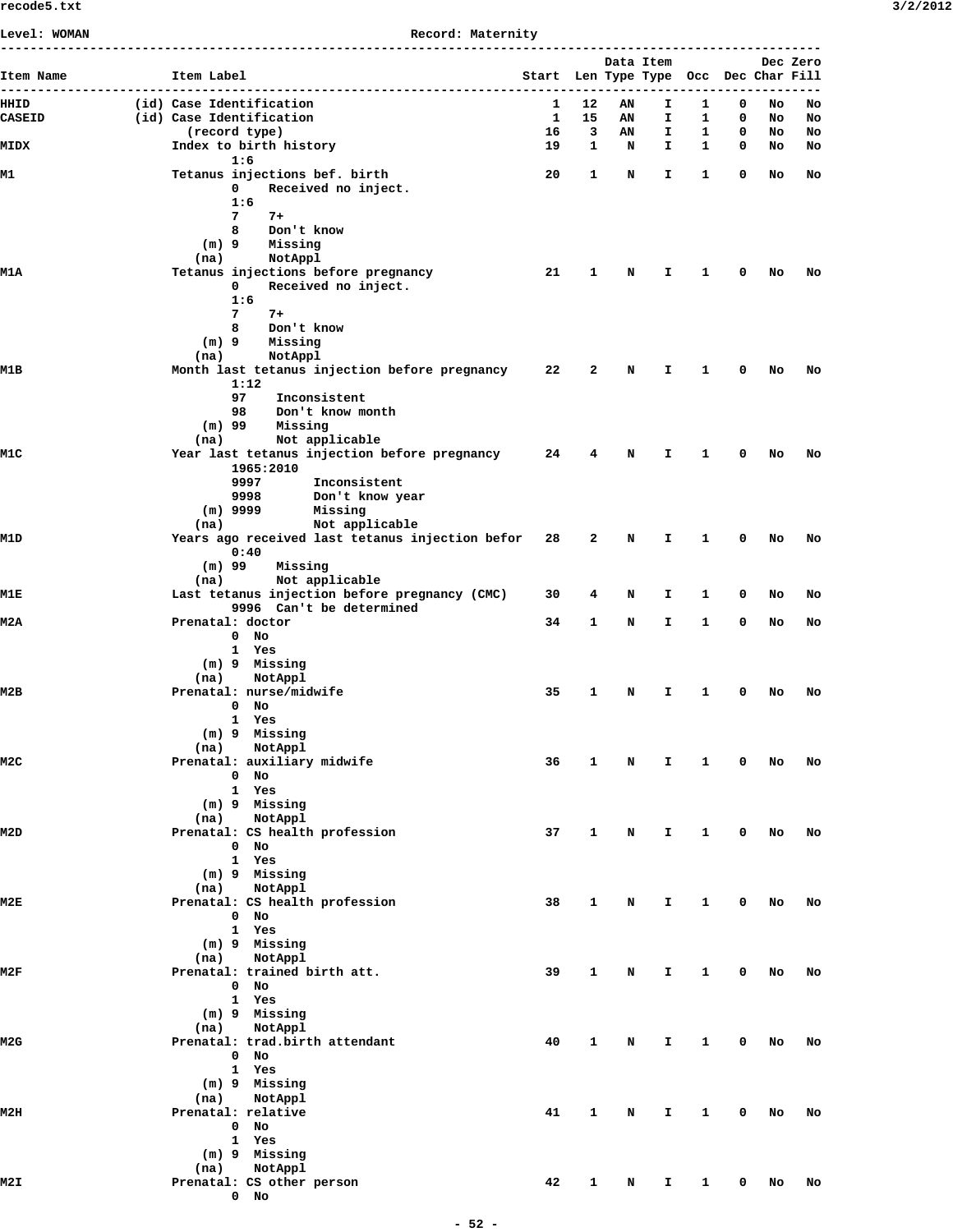| Level: WOMAN          | Record: Maternity<br>--------------------------------------                                                                   |                                       |                   |           |              |                   |                         |          |          |  |  |
|-----------------------|-------------------------------------------------------------------------------------------------------------------------------|---------------------------------------|-------------------|-----------|--------------|-------------------|-------------------------|----------|----------|--|--|
| Item Name             | Item Label                                                                                                                    | Start Len Type Type Occ Dec Char Fill |                   | Data Item |              |                   |                         |          | Dec Zero |  |  |
| HHID<br><b>CASEID</b> | (id) Case Identification<br>(id) Case Identification                                                                          | 1<br>-1                               | 12<br>15          | ΑN<br>AN  | I.<br>I.     | 1<br>1            | 0<br>0                  | No<br>No | No<br>No |  |  |
| MIDX                  | (record type)<br>Index to birth history                                                                                       | 16<br>19                              | 3<br>$\mathbf{1}$ | AN<br>N   | I.<br>I.     | 1<br>$\mathbf{1}$ | 0<br>0                  | No<br>No | No<br>No |  |  |
| M1                    | 1:6<br>Tetanus injections bef. birth<br>Received no inject.<br>0                                                              | 20                                    | 1                 | N         | I.           | $\mathbf{1}$      | 0                       | No       | No       |  |  |
|                       | 1:6<br>7<br>$7+$<br>Don't know<br>8<br>$(m)$ 9<br>Missing<br>NotAppl<br>(na)                                                  |                                       |                   |           |              |                   |                         |          |          |  |  |
| M1A                   | Tetanus injections before pregnancy<br>Received no inject.<br>0<br>1:6<br>7<br>$7+$<br>Don't know<br>8<br>Missing<br>$(m)$ 9  | 21                                    | $\mathbf{1}$      | N         | Ι.           | $\mathbf{1}$      | 0                       | No       | No       |  |  |
|                       | NotAppl<br>(na)                                                                                                               |                                       |                   |           |              |                   |                         |          |          |  |  |
| M1B                   | Month last tetanus injection before pregnancy<br>1:12<br>97<br>Inconsistent<br>98<br>Don't know month<br>$(m)$ 99<br>Missing  | 22                                    | 2                 | N         | Ι.           | 1                 | 0                       | No       | No       |  |  |
| M1C                   | Not applicable<br>(na)<br>Year last tetanus injection before pregnancy<br>1965:2010<br>9997<br>Inconsistent                   | 24                                    | 4                 | N         | I.           | 1                 | 0                       | No       | No       |  |  |
| M1D                   | 9998<br>Don't know year<br>$(m)$ 9999<br>Missing<br>Not applicable<br>(na)<br>Years ago received last tetanus injection befor | 28                                    | 2                 | N         | Ι.           | 1                 | 0                       | No       | No       |  |  |
|                       | 0:40<br>$(m)$ 99<br>Missing<br>Not applicable<br>(na)                                                                         |                                       |                   |           |              |                   |                         |          |          |  |  |
| M1E                   | Last tetanus injection before pregnancy (CMC)                                                                                 | 30                                    | 4                 | N         | I.           | 1                 | 0                       | No       | No       |  |  |
| M2A                   | 9996 Can't be determined<br>Prenatal: doctor<br>$0$ No<br>1 Yes                                                               | 34                                    | 1                 | N         | I.           | 1                 | 0                       | No       | No       |  |  |
| м2в                   | (m) 9 Missing<br>NotAppl<br>(na)<br>Prenatal: nurse/midwife<br>$0$ No<br>1 Yes                                                | 35                                    | 1                 | N         | Ι.           | 1                 | 0                       | No       | No       |  |  |
| M2C                   | (m) 9 Missing<br>(na) NotAppl<br>Prenatal: auxiliary midwife<br>0 No                                                          | 36                                    | $\mathbf{1}$      | N         | $\mathbf{T}$ | $\mathbf{1}$      | $\overline{\mathbf{0}}$ | No       | No       |  |  |
| M2D                   | 1 Yes<br>(m) 9 Missing<br>(na) NotAppl<br>Prenatal: CS health profession<br>$0$ No<br>1 Yes                                   | 37                                    | $\mathbf{1}$      | N         | $\mathbf{I}$ | $\mathbf{1}$      | $\mathbf 0$             | No       | No       |  |  |
| M2E                   | (m) 9 Missing<br>(na) NotAppl<br>Prenatal: CS health profession<br>$0$ No<br>1 Yes                                            | 38                                    | 1                 | N         | I.           | $\mathbf{1}$      | $\mathbf 0$             |          | No No    |  |  |
| M2F                   | (m) 9 Missing<br>(na)<br>NotAppl<br>Prenatal: trained birth att.<br>$0$ No<br>1 Yes                                           | 39                                    | $\mathbf{1}$      | N         | $\mathbf{T}$ | $\mathbf{1}$      | $\overline{\mathbf{0}}$ | No       | No       |  |  |
| M <sub>2G</sub>       | (m) 9 Missing<br>(na) NotAppl<br>Prenatal: trad.birth attendant<br>0 No<br>1 Yes                                              | 40                                    | $\mathbf{1}$      | N         | $\mathbf{I}$ | $\mathbf{1}$      | $\mathbf 0$             | No       | No       |  |  |
| M2H                   | (m) 9 Missing<br>(na) NotAppl<br>Prenatal: relative<br>$0$ No                                                                 | 41                                    | $\mathbf{1}$      | N         | $\mathbf{I}$ | $\mathbf{1}$      | $\mathbf 0$             |          | No No    |  |  |
| M2I                   | 1 Yes<br>(m) 9 Missing<br>(na) NotAppl<br>Prenatal: CS other person<br>$0$ No                                                 | 42                                    | 1                 | N         | I.           | $\mathbf{1}$      | $\mathbf 0$             | No       | No       |  |  |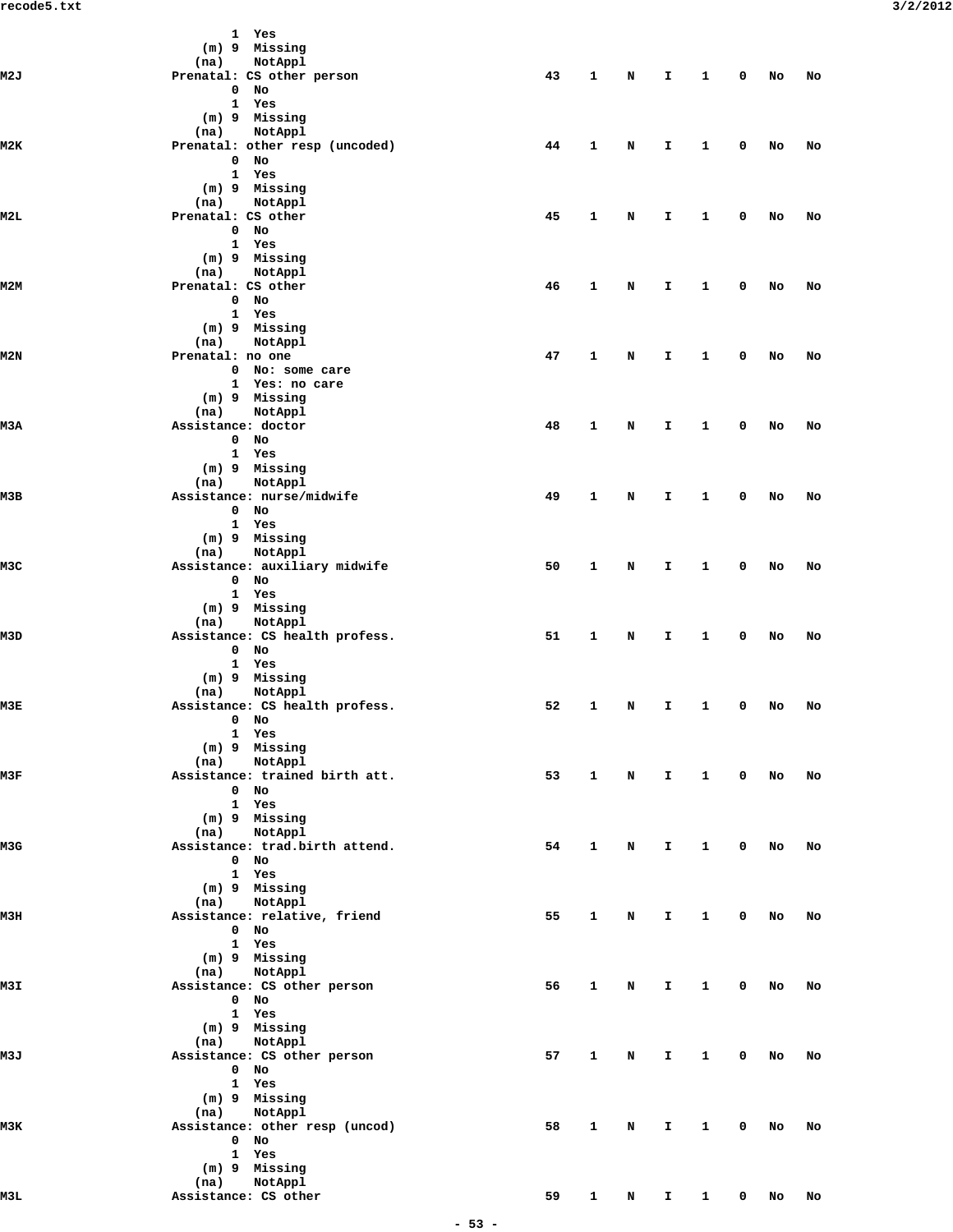|      | 1 Yes                          |    |              |             |                               |              |              |        |    |
|------|--------------------------------|----|--------------|-------------|-------------------------------|--------------|--------------|--------|----|
|      | (m) 9 Missing                  |    |              |             |                               |              |              |        |    |
|      | NotAppl<br>(na)                |    |              |             |                               |              |              |        |    |
| M2J  | Prenatal: CS other person      | 43 | $\mathbf{1}$ | N           | $\mathbf{T}$                  | $\mathbf{1}$ | $\mathbf 0$  | No     | No |
|      | $0$ No                         |    |              |             |                               |              |              |        |    |
|      | 1 Yes                          |    |              |             |                               |              |              |        |    |
|      | (m) 9 Missing                  |    |              |             |                               |              |              |        |    |
|      | (na)<br>NotAppl                |    |              |             |                               |              |              |        |    |
| M2K  | Prenatal: other resp (uncoded) | 44 | $\mathbf{1}$ | N           | $\mathbf{I}$                  | 1            | 0            | No     | No |
|      | $0$ No                         |    |              |             |                               |              |              |        |    |
|      | 1 Yes                          |    |              |             |                               |              |              |        |    |
|      | (m) 9 Missing                  |    |              |             |                               |              |              |        |    |
|      | NotAppl<br>(na)                |    |              |             |                               |              |              |        |    |
| M2L  | Prenatal: CS other             | 45 | $\mathbf{1}$ | N           | $\mathbf{I}$                  | $\mathbf{1}$ | 0            | No     | No |
|      | $0$ No                         |    |              |             |                               |              |              |        |    |
|      | 1 Yes                          |    |              |             |                               |              |              |        |    |
|      | (m) 9 Missing                  |    |              |             |                               |              |              |        |    |
|      | (na)<br>NotAppl                |    |              |             |                               |              |              |        |    |
| M2M  | Prenatal: CS other             | 46 | 1            | N           | I.                            | 1            | 0            | No     | No |
|      | $0$ No                         |    |              |             |                               |              |              |        |    |
|      | 1 Yes                          |    |              |             |                               |              |              |        |    |
|      | (m) 9 Missing                  |    |              |             |                               |              |              |        |    |
|      |                                |    |              |             |                               |              |              |        |    |
|      | NotAppl<br>(na)                |    |              |             |                               |              |              |        |    |
| M2N  | Prenatal: no one               | 47 | $\mathbf{1}$ | N           | $\mathbf{I}$                  | 1            | 0            | No     | No |
|      | 0 No: some care                |    |              |             |                               |              |              |        |    |
|      | 1 Yes: no care                 |    |              |             |                               |              |              |        |    |
|      | (m) 9 Missing                  |    |              |             |                               |              |              |        |    |
|      | (na)<br>NotAppl                |    |              |             |                               |              |              |        |    |
| мЗА  | Assistance: doctor             | 48 | $\mathbf{1}$ | N           | I.                            | 1            | 0            | No     | No |
|      | $0$ No                         |    |              |             |                               |              |              |        |    |
|      | 1 Yes                          |    |              |             |                               |              |              |        |    |
|      | (m) 9 Missing                  |    |              |             |                               |              |              |        |    |
|      | NotAppl<br>(na)                |    |              |             |                               |              |              |        |    |
| мзв  | Assistance: nurse/midwife      | 49 | $\mathbf{1}$ | N           | $\mathbf{I}$                  | $\mathbf{1}$ | 0            | No     | No |
|      | $0$ No                         |    |              |             |                               |              |              |        |    |
|      | 1 Yes                          |    |              |             |                               |              |              |        |    |
|      | (m) 9 Missing                  |    |              |             |                               |              |              |        |    |
|      | NotAppl<br>(na)                |    |              |             |                               |              |              |        |    |
| M3C  | Assistance: auxiliary midwife  | 50 | $\mathbf{1}$ | N           | $\mathbf{I}$                  | 1            | 0            | No     | No |
|      | $0$ No                         |    |              |             |                               |              |              |        |    |
|      | 1 Yes                          |    |              |             |                               |              |              |        |    |
|      | (m) 9 Missing                  |    |              |             |                               |              |              |        |    |
|      | NotAppl<br>(na)                |    |              |             |                               |              |              |        |    |
| M3D  | Assistance: CS health profess. | 51 | $\mathbf{1}$ | N           | $\mathbf{I}$                  | 1            | 0            | No     | No |
|      | $0$ No                         |    |              |             |                               |              |              |        |    |
|      |                                |    |              |             |                               |              |              |        |    |
|      | 1 Yes                          |    |              |             |                               |              |              |        |    |
|      | $(m)$ 9 Missing                |    |              |             |                               |              |              |        |    |
|      | NotAppl<br>(na)                |    |              |             |                               |              |              |        |    |
| мзк  | Assistance: CS health profess. | 52 | 1            | N           | I.                            | $\mathbf{1}$ | 0            | No     | No |
|      | $0$ No                         |    |              |             |                               |              |              |        |    |
|      | 1 Yes                          |    |              |             |                               |              |              |        |    |
|      | $(m)$ 9 Missing                |    |              |             |                               |              |              |        |    |
|      | NotAppl<br>(na)                |    |              |             |                               |              |              |        |    |
| M3F  | Assistance: trained birth att. | 53 | $\mathbf{1}$ | $\mathbf N$ | $\mathbf{I}$ and $\mathbf{I}$ | $\mathbf{1}$ |              | 0 No   | No |
|      | $0$ No                         |    |              |             |                               |              |              |        |    |
|      | 1 Yes                          |    |              |             |                               |              |              |        |    |
|      | (m) 9 Missing                  |    |              |             |                               |              |              |        |    |
|      | (na) NotAppl                   |    |              |             |                               |              |              |        |    |
| M3G  | Assistance: trad.birth attend. | 54 | $\mathbf{1}$ | N           | $\mathbf{T}$                  | $\mathbf{1}$ |              | $0$ No | No |
|      | $0$ No                         |    |              |             |                               |              |              |        |    |
|      | 1 Yes                          |    |              |             |                               |              |              |        |    |
|      | (m) 9 Missing                  |    |              |             |                               |              |              |        |    |
|      | (na) NotAppl                   |    |              |             |                               |              |              |        |    |
| мзн  | Assistance: relative, friend   | 55 | $\mathbf{1}$ | $\mathbf N$ | $\mathbf{I}$                  | $\mathbf{1}$ |              | $0$ No | No |
|      | $0$ No                         |    |              |             |                               |              |              |        |    |
|      | 1 Yes                          |    |              |             |                               |              |              |        |    |
|      | (m) 9 Missing                  |    |              |             |                               |              |              |        |    |
|      | (na) NotAppl                   |    |              |             |                               |              |              |        |    |
| M3I  | Assistance: CS other person    | 56 | $\mathbf{1}$ | N           | $\mathbf{T}$                  | $\mathbf{1}$ |              | $0$ No | No |
|      |                                |    |              |             |                               |              |              |        |    |
|      | $0$ No                         |    |              |             |                               |              |              |        |    |
|      | 1 Yes                          |    |              |             |                               |              |              |        |    |
|      | (m) 9 Missing                  |    |              |             |                               |              |              |        |    |
|      | (na) NotAppl                   |    |              |             |                               |              |              |        |    |
| мзл  | Assistance: CS other person    | 57 | $\mathbf{1}$ | $\mathbf N$ | $\mathbf{T}$                  | $\mathbf{1}$ |              | $0$ No | No |
|      | $0$ No                         |    |              |             |                               |              |              |        |    |
|      | 1 Yes                          |    |              |             |                               |              |              |        |    |
|      | (m) 9 Missing                  |    |              |             |                               |              |              |        |    |
|      | (na) NotAppl                   |    |              |             |                               |              |              |        |    |
| мзк  | Assistance: other resp (uncod) | 58 | $\mathbf{1}$ | N           | $\mathbf{T}$                  | $\mathbf{1}$ |              | $0$ No | No |
|      | 0 No                           |    |              |             |                               |              |              |        |    |
|      | 1 Yes                          |    |              |             |                               |              |              |        |    |
|      | (m) 9 Missing                  |    |              |             |                               |              |              |        |    |
|      | (na) NotAppl                   |    |              |             |                               |              |              |        |    |
| M3L. | Assistance: CS other           | 59 | $\mathbf{1}$ | N           | $\mathbf{I}$                  | $\mathbf{1}$ | $\mathbf{0}$ | No     | No |
|      |                                |    |              |             |                               |              |              |        |    |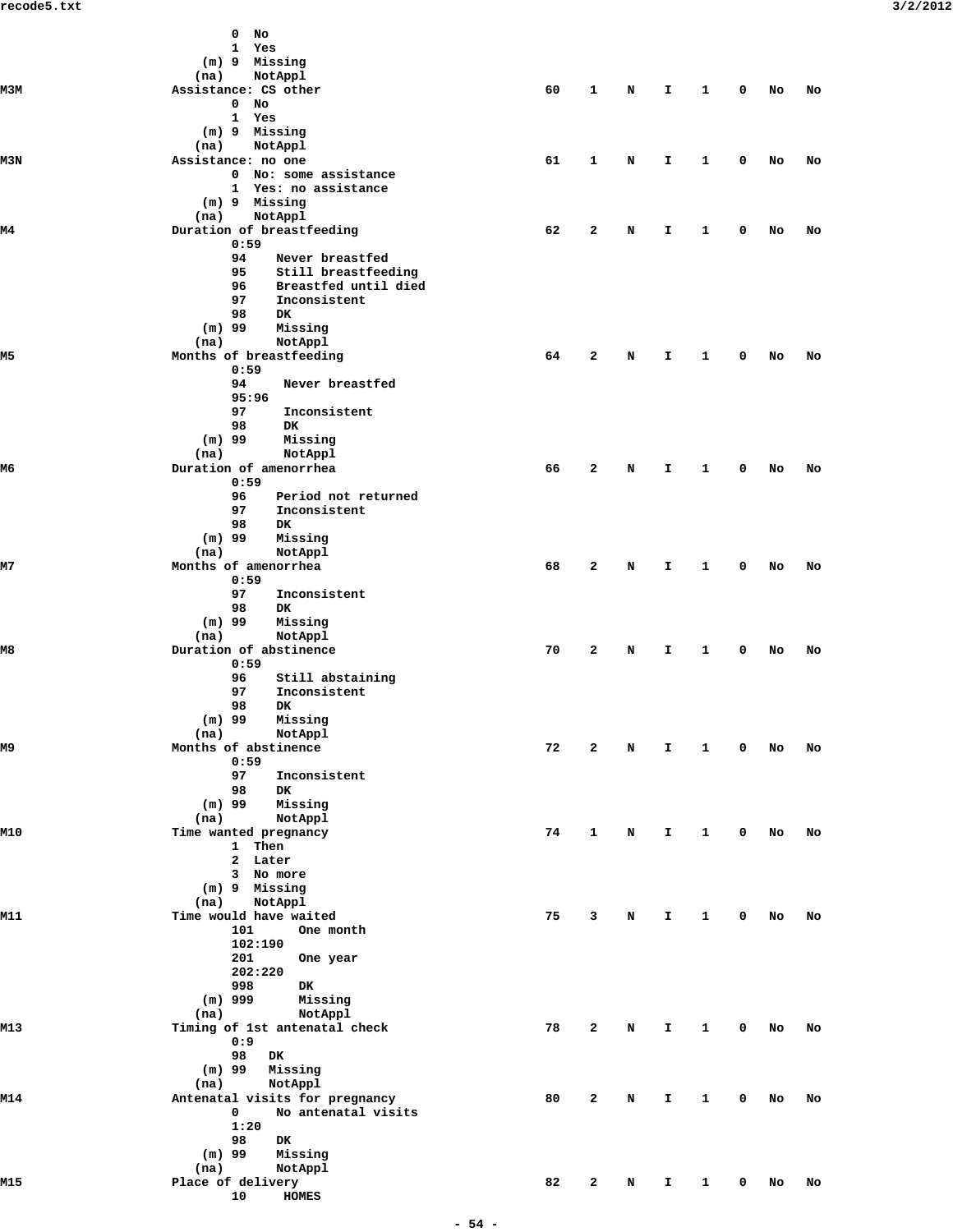|           | 0<br>No                                           |    |              |   |    |              |             |    |    |
|-----------|---------------------------------------------------|----|--------------|---|----|--------------|-------------|----|----|
|           | 1<br>Yes                                          |    |              |   |    |              |             |    |    |
|           | (m) 9 Missing                                     |    |              |   |    |              |             |    |    |
| мЗм       | NotAppl<br>(na)<br>Assistance: CS other           | 60 | 1            |   |    | 1            | 0           |    |    |
|           | 0<br>No                                           |    |              | N | I. |              |             | No | No |
|           | 1<br>Yes                                          |    |              |   |    |              |             |    |    |
|           | (m) 9 Missing                                     |    |              |   |    |              |             |    |    |
|           | (na)<br>NotAppl                                   |    |              |   |    |              |             |    |    |
| M3N       | Assistance: no one                                | 61 | $\mathbf{1}$ | N | I. | 1            | 0           | No | No |
|           | 0 No: some assistance                             |    |              |   |    |              |             |    |    |
|           | 1 Yes: no assistance                              |    |              |   |    |              |             |    |    |
|           | $(m)$ 9 Missing                                   |    |              |   |    |              |             |    |    |
|           | NotAppl<br>(na)                                   |    |              |   |    |              |             |    |    |
| M4        | Duration of breastfeeding                         | 62 | $\mathbf{z}$ | N | I. | 1            | 0           | No | No |
|           | 0:59                                              |    |              |   |    |              |             |    |    |
|           | 94<br>Never breastfed                             |    |              |   |    |              |             |    |    |
|           | 95<br>Still breastfeeding                         |    |              |   |    |              |             |    |    |
|           | 96<br>Breastfed until died<br>97<br>Inconsistent  |    |              |   |    |              |             |    |    |
|           | 98<br><b>DK</b>                                   |    |              |   |    |              |             |    |    |
|           | $(m)$ 99<br>Missing                               |    |              |   |    |              |             |    |    |
|           | (na)<br>NotAppl                                   |    |              |   |    |              |             |    |    |
| м5        | Months of breastfeeding                           | 64 | $\mathbf{z}$ | N | I. | 1            | 0           | No | No |
|           | 0:59                                              |    |              |   |    |              |             |    |    |
|           | 94<br>Never breastfed                             |    |              |   |    |              |             |    |    |
|           | 95:96                                             |    |              |   |    |              |             |    |    |
|           | 97<br>Inconsistent                                |    |              |   |    |              |             |    |    |
|           | 98<br><b>DK</b>                                   |    |              |   |    |              |             |    |    |
|           | $(m)$ 99<br>Missing                               |    |              |   |    |              |             |    |    |
|           | (na)<br>NotAppl                                   |    |              |   |    |              |             |    |    |
| M6        | Duration of amenorrhea                            | 66 | $\mathbf{z}$ | N | I. | 1            | 0           | No | No |
|           | 0:59<br>96                                        |    |              |   |    |              |             |    |    |
|           | Period not returned<br>97<br>Inconsistent         |    |              |   |    |              |             |    |    |
|           | 98<br>DK.                                         |    |              |   |    |              |             |    |    |
|           | $(m)$ 99<br>Missing                               |    |              |   |    |              |             |    |    |
|           | (na)<br>NotAppl                                   |    |              |   |    |              |             |    |    |
| <b>M7</b> | Months of amenorrhea                              | 68 | $\mathbf{z}$ | N | I. | 1            | 0           | No | No |
|           | 0:59                                              |    |              |   |    |              |             |    |    |
|           | 97<br>Inconsistent                                |    |              |   |    |              |             |    |    |
|           | 98<br>DK.                                         |    |              |   |    |              |             |    |    |
|           | $(m)$ 99<br>Missing                               |    |              |   |    |              |             |    |    |
|           | (na)<br>NotAppl                                   |    |              |   |    |              |             |    |    |
| M8        | Duration of abstinence                            | 70 | 2            | N | I. | 1            | 0           | No | No |
|           | 0:59                                              |    |              |   |    |              |             |    |    |
|           | 96<br>Still abstaining<br>97<br>Inconsistent      |    |              |   |    |              |             |    |    |
|           | 98<br>DK.                                         |    |              |   |    |              |             |    |    |
|           | $(m)$ 99 Missing                                  |    |              |   |    |              |             |    |    |
|           | (na)<br>NotAppl                                   |    |              |   |    |              |             |    |    |
| м9        | Months of abstinence                              | 72 | $\mathbf{2}$ | N | Ι. | 1            | 0           | No | No |
|           | 0:59                                              |    |              |   |    |              |             |    |    |
|           | 97<br>Inconsistent                                |    |              |   |    |              |             |    |    |
|           | 98<br>DK                                          |    |              |   |    |              |             |    |    |
|           | $(m)$ 99<br>Missing                               |    |              |   |    |              |             |    |    |
|           | (na)<br>NotAppl                                   |    |              |   |    |              |             |    |    |
| M10       | Time wanted pregnancy                             | 74 | 1            | N | Ι. | $\mathbf{1}$ | 0           | No | No |
|           | 1 Then                                            |    |              |   |    |              |             |    |    |
|           | 2 Later<br>3 No more                              |    |              |   |    |              |             |    |    |
|           | (m) 9 Missing                                     |    |              |   |    |              |             |    |    |
|           | NotAppl<br>(na)                                   |    |              |   |    |              |             |    |    |
| M11       | Time would have waited                            | 75 | $\mathbf{3}$ | N | Ι. | $\mathbf{1}$ | $\mathbf 0$ | No | No |
|           | 101<br>One month                                  |    |              |   |    |              |             |    |    |
|           | 102:190                                           |    |              |   |    |              |             |    |    |
|           | 201<br>One year                                   |    |              |   |    |              |             |    |    |
|           | 202:220                                           |    |              |   |    |              |             |    |    |
|           | 998<br>DK                                         |    |              |   |    |              |             |    |    |
|           | $(m)$ 999<br>Missing                              |    |              |   |    |              |             |    |    |
|           | (na)<br>NotAppl                                   |    |              |   |    |              |             |    |    |
| M13       | Timing of 1st antenatal check                     | 78 | $\mathbf{2}$ | N | I. | $\mathbf{1}$ | 0           | No | No |
|           | 0:9                                               |    |              |   |    |              |             |    |    |
|           | 98<br>DK                                          |    |              |   |    |              |             |    |    |
|           | $(m)$ 99<br>Missing                               |    |              |   |    |              |             |    |    |
| M14       | NotAppl<br>(na)<br>Antenatal visits for pregnancy | 80 | $\mathbf{2}$ | N | I. | 1            | 0           | No | No |
|           | No antenatal visits<br>$\mathbf 0$                |    |              |   |    |              |             |    |    |
|           | 1:20                                              |    |              |   |    |              |             |    |    |
|           | 98<br>DK                                          |    |              |   |    |              |             |    |    |
|           | $(m)$ 99<br>Missing                               |    |              |   |    |              |             |    |    |
|           | (na)<br>NotAppl                                   |    |              |   |    |              |             |    |    |
| M15       | Place of delivery                                 | 82 | $\mathbf{2}$ | N | Ι. | 1            | 0           | No | No |
|           | <b>HOMES</b><br>10                                |    |              |   |    |              |             |    |    |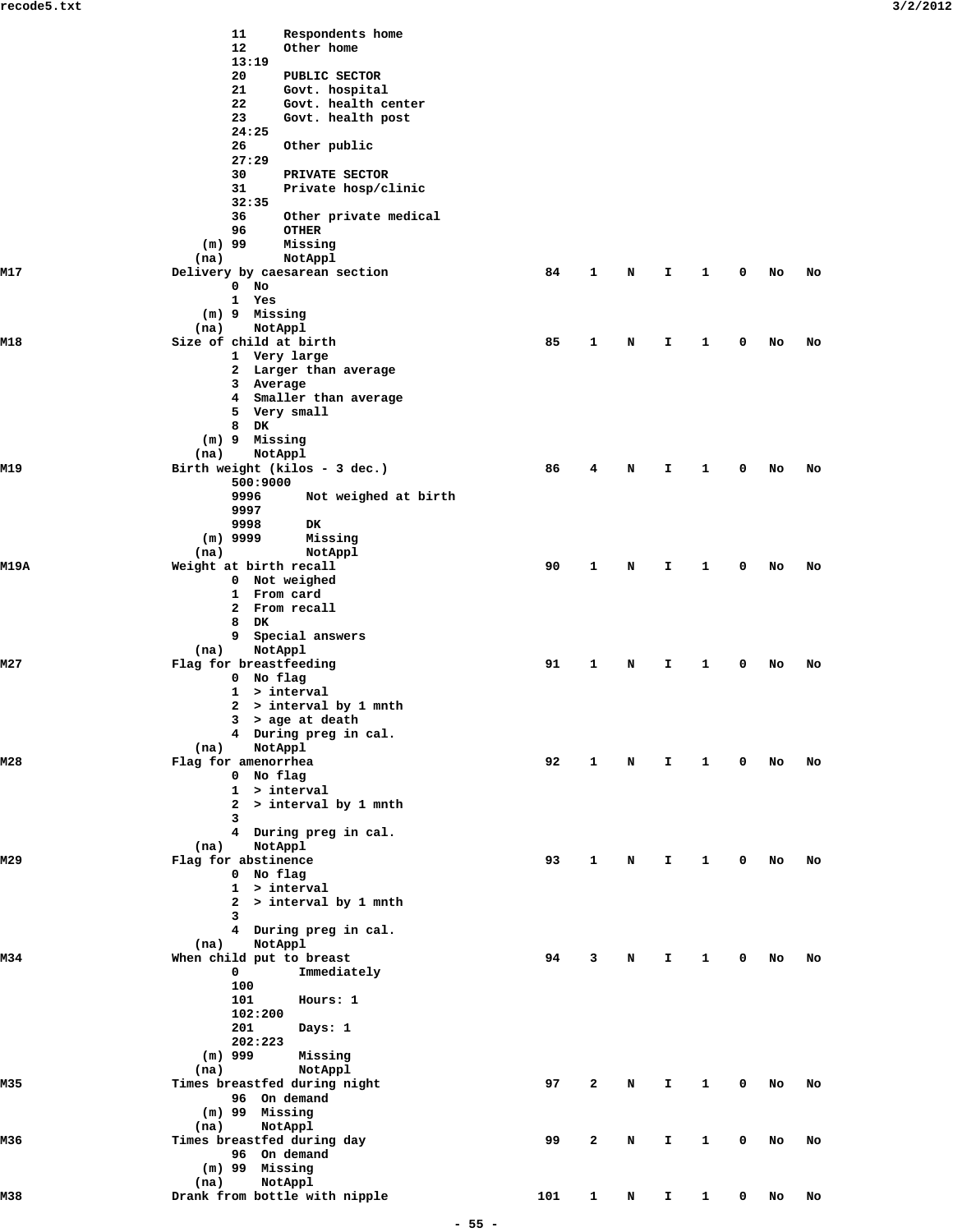|             | 11<br>Respondents home                            |     |              |   |              |              |            |    |    |
|-------------|---------------------------------------------------|-----|--------------|---|--------------|--------------|------------|----|----|
|             | 12<br>Other home<br>13:19                         |     |              |   |              |              |            |    |    |
|             | 20<br>PUBLIC SECTOR                               |     |              |   |              |              |            |    |    |
|             | 21<br>Govt. hospital<br>22<br>Govt. health center |     |              |   |              |              |            |    |    |
|             | 23<br>Govt. health post                           |     |              |   |              |              |            |    |    |
|             | 24:25                                             |     |              |   |              |              |            |    |    |
|             | 26<br>Other public<br>27:29                       |     |              |   |              |              |            |    |    |
|             | 30<br>PRIVATE SECTOR                              |     |              |   |              |              |            |    |    |
|             | 31<br>Private hosp/clinic                         |     |              |   |              |              |            |    |    |
|             | 32:35<br>36<br>Other private medical              |     |              |   |              |              |            |    |    |
|             | 96<br><b>OTHER</b>                                |     |              |   |              |              |            |    |    |
|             | $(m)$ 99<br>Missing<br>(na)                       |     |              |   |              |              |            |    |    |
| M17         | NotAppl<br>Delivery by caesarean section          | 84  | 1            | N | I.           | 1            | 0          | No | No |
|             | $0$ No                                            |     |              |   |              |              |            |    |    |
|             | 1 Yes<br>(m) 9 Missing                            |     |              |   |              |              |            |    |    |
|             | NotAppl<br>(na)                                   |     |              |   |              |              |            |    |    |
| M18         | Size of child at birth                            | 85  | 1            | N | I.           | 1            | 0          | No | No |
|             | 1 Very large<br>2 Larger than average             |     |              |   |              |              |            |    |    |
|             | 3 Average                                         |     |              |   |              |              |            |    |    |
|             | 4 Smaller than average                            |     |              |   |              |              |            |    |    |
|             | 5 Very small<br>8 DK                              |     |              |   |              |              |            |    |    |
|             | (m) 9 Missing                                     |     |              |   |              |              |            |    |    |
|             | (na)<br>NotAppl                                   |     |              |   |              |              |            |    |    |
| M19         | Birth weight (kilos - 3 dec.)<br>500:9000         | 86  | 4            | N | I.           | 1            | 0          | No | No |
|             | 9996<br>Not weighed at birth                      |     |              |   |              |              |            |    |    |
|             | 9997                                              |     |              |   |              |              |            |    |    |
|             | 9998<br>DK<br>$(m)$ 9999<br>Missing               |     |              |   |              |              |            |    |    |
|             | NotAppl<br>(na)                                   |     |              |   |              |              |            |    |    |
| <b>M19A</b> | Weight at birth recall                            | 90  | 1            | N | I.           | $\mathbf{1}$ | 0          | No | No |
|             | 0 Not weighed<br>1 From card                      |     |              |   |              |              |            |    |    |
|             | 2 From recall                                     |     |              |   |              |              |            |    |    |
|             | 8 DK                                              |     |              |   |              |              |            |    |    |
|             | 9 Special answers<br>(na)<br>NotAppl              |     |              |   |              |              |            |    |    |
| M27         | Flag for breastfeeding                            | 91  | 1            | N | I.           | 1            | 0          | No | No |
|             | 0 No flag<br>1 > interval                         |     |              |   |              |              |            |    |    |
|             | 2 > interval by 1 mnth                            |     |              |   |              |              |            |    |    |
|             | $3$ > age at death                                |     |              |   |              |              |            |    |    |
|             | 4 During preg in cal.<br>NotAppl<br>(na)          |     |              |   |              |              |            |    |    |
| M28         | Flag for amenorrhea                               | 92  | 1            | N | $\mathbf{I}$ | $\mathbf{1}$ | $^{\circ}$ | No | No |
|             | 0 No flag                                         |     |              |   |              |              |            |    |    |
|             | 1 > interval<br>2 > interval by 1 mnth            |     |              |   |              |              |            |    |    |
|             | 3                                                 |     |              |   |              |              |            |    |    |
|             | 4 During preg in cal.                             |     |              |   |              |              |            |    |    |
| M29         | NotAppl<br>(na)<br>Flag for abstinence            | 93  | 1            | N | I.           | 1            | 0          | No | No |
|             | 0 No flag                                         |     |              |   |              |              |            |    |    |
|             | 1 > interval<br>$2$ > interval by 1 mnth          |     |              |   |              |              |            |    |    |
|             | 3                                                 |     |              |   |              |              |            |    |    |
|             | 4 During preg in cal.                             |     |              |   |              |              |            |    |    |
| M34         | NotAppl<br>(na)<br>When child put to breast       | 94  | 3            | N | I.           | 1            | 0          | No | No |
|             | 0<br>Immediately                                  |     |              |   |              |              |            |    |    |
|             | 100                                               |     |              |   |              |              |            |    |    |
|             | 101<br>Hours: 1<br>102:200                        |     |              |   |              |              |            |    |    |
|             | 201<br>Days: 1                                    |     |              |   |              |              |            |    |    |
|             | 202:223                                           |     |              |   |              |              |            |    |    |
|             | $(m)$ 999<br>Missing<br>NotAppl<br>(na)           |     |              |   |              |              |            |    |    |
| M35         | Times breastfed during night                      | 97  | 2            | N | I.           | 1            | 0          | No | No |
|             | 96 On demand                                      |     |              |   |              |              |            |    |    |
|             | $(m)$ 99 Missing<br>NotAppl<br>(na)               |     |              |   |              |              |            |    |    |
| M36         | Times breastfed during day                        | 99  | 2            | N | I.           | 1            | 0          | No | No |
|             | 96 On demand                                      |     |              |   |              |              |            |    |    |
|             | $(m)$ 99 Missing<br>NotAppl<br>(na)               |     |              |   |              |              |            |    |    |
| M38         | Drank from bottle with nipple                     | 101 | $\mathbf{1}$ | N | I.           | 1            | 0          | No | No |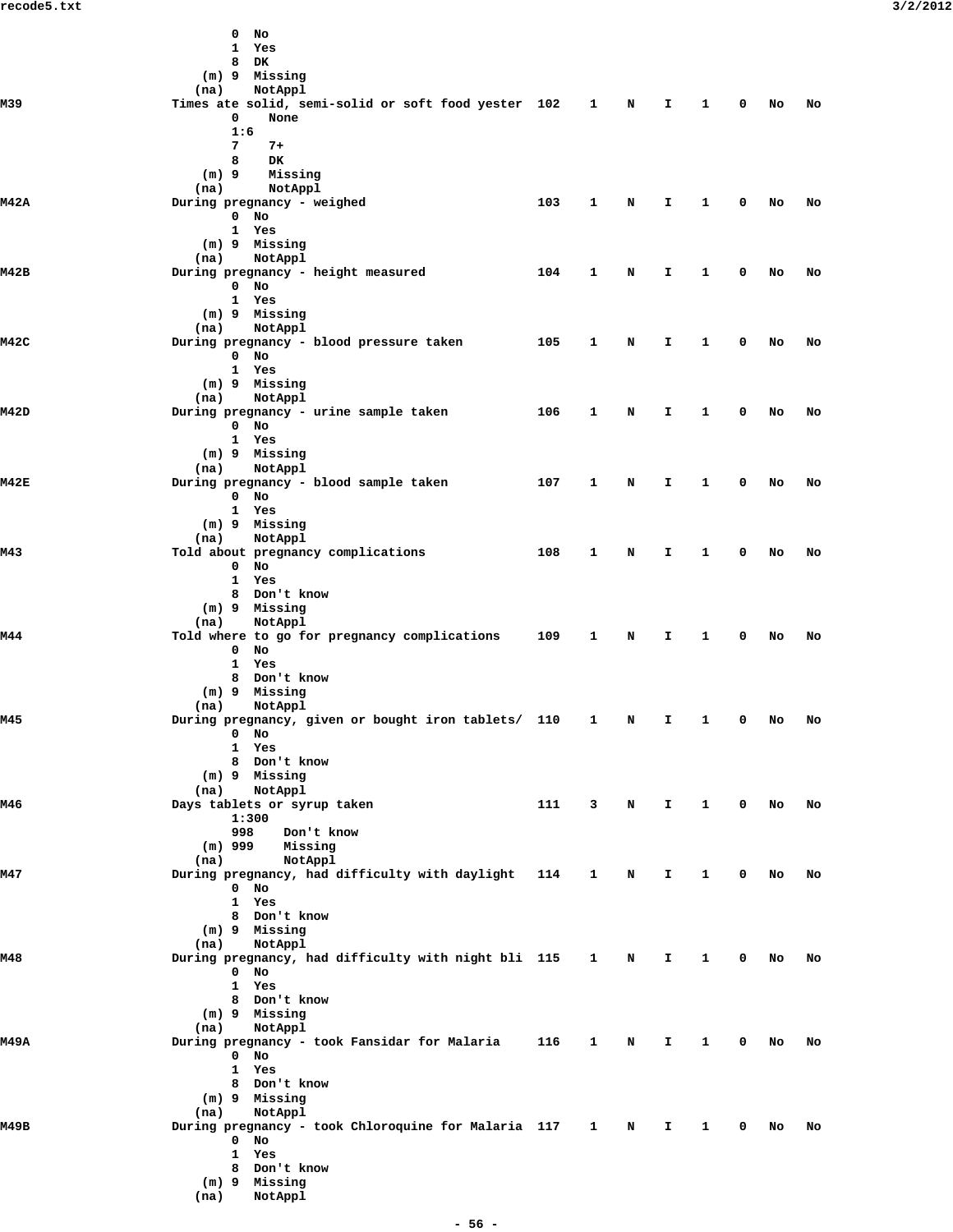|             | $0$ No<br>1 Yes<br>8 DK                                                                |     |                             |              |                         |              |    |    |
|-------------|----------------------------------------------------------------------------------------|-----|-----------------------------|--------------|-------------------------|--------------|----|----|
|             | (m) 9 Missing<br>NotAppl<br>(na)                                                       |     |                             |              |                         |              |    |    |
| M39         | Times ate solid, semi-solid or soft food yester 102 1 N<br>0<br>None                   |     |                             | $\mathbf{T}$ | $\overline{\mathbf{1}}$ | 0 No         |    | No |
|             | 1:6<br>7<br>$7+$                                                                       |     |                             |              |                         |              |    |    |
|             | 8<br>DK<br>Missing<br>$(m)$ 9                                                          |     |                             |              |                         |              |    |    |
|             | (na)<br>NotAppl                                                                        |     |                             |              |                         |              |    |    |
| <b>M42A</b> | During pregnancy - weighed<br>$0$ No<br>1 Yes                                          | 103 | 1<br>N                      | $\mathbf{I}$ | $\mathbf{1}$            | $\mathbf 0$  | No | No |
|             | (m) 9 Missing<br>(na)<br>NotAppl                                                       |     |                             |              |                         |              |    |    |
| M42B        | During pregnancy - height measured<br>0 No<br>1 Yes                                    | 104 | 1<br>N                      | $\mathbf{I}$ | $\mathbf{1}$            | $\mathbf 0$  | No | No |
|             | (m) 9 Missing<br>NotAppl<br>(na)                                                       |     |                             |              |                         |              |    |    |
| <b>M42C</b> | During pregnancy - blood pressure taken                                                | 105 | 1<br>N                      | $\mathbf{T}$ | $\mathbf{1}$            | 0            | No | No |
|             | $0$ No<br>1 Yes                                                                        |     |                             |              |                         |              |    |    |
|             | (m) 9 Missing<br>NotAppl<br>(na)                                                       |     |                             |              |                         |              |    |    |
| <b>M42D</b> | During pregnancy - urine sample taken                                                  | 106 | $\mathbf{1}$<br>N           | $\mathbf{T}$ | $\mathbf{1}$            | $\mathbf 0$  | No | No |
|             | $0$ No<br>1 Yes                                                                        |     |                             |              |                         |              |    |    |
|             | (m) 9 Missing<br>(na)<br>NotAppl                                                       |     |                             |              |                         |              |    |    |
| <b>M42E</b> | During pregnancy - blood sample taken                                                  | 107 | 1<br>N                      | $\mathbf{T}$ | $\mathbf{1}$            | $\mathbf 0$  | No | No |
|             | 0 No<br>1 Yes                                                                          |     |                             |              |                         |              |    |    |
|             | (m) 9 Missing<br>NotAppl<br>(na)                                                       |     |                             |              |                         |              |    |    |
| M43         | Told about pregnancy complications                                                     | 108 | 1<br>$\mathbf N$            | $\mathbf{I}$ | $\mathbf{1}$            | $\mathbf{0}$ | No | No |
|             | $0$ No<br>1 Yes                                                                        |     |                             |              |                         |              |    |    |
|             | 8 Don't know<br>(m) 9 Missing                                                          |     |                             |              |                         |              |    |    |
|             | NotAppl<br>(na)                                                                        |     |                             |              |                         |              |    |    |
| M44         | Told where to go for pregnancy complications 109<br>$0$ No                             |     | $\mathbf{1}$<br>N           | $\mathbf{T}$ | $\mathbf{1}$            | 0            | No | No |
|             | 1 Yes<br>8 Don't know                                                                  |     |                             |              |                         |              |    |    |
|             | (m) 9 Missing                                                                          |     |                             |              |                         |              |    |    |
| M45         | NotAppl<br>(na)<br>During pregnancy, given or bought iron tablets/ 110 1 N I 1 0 No No |     |                             |              |                         |              |    |    |
|             | 0 No<br>1 Yes                                                                          |     |                             |              |                         |              |    |    |
|             | 8 Don't know                                                                           |     |                             |              |                         |              |    |    |
|             | (m) 9 Missing<br>(na)<br>NotAppl                                                       |     |                             |              |                         |              |    |    |
| M46         | Days tablets or syrup taken<br>1:300                                                   | 111 |                             | 3 N I 1 0 No |                         |              |    | No |
|             | 998<br>Don't know<br>$(m)$ 999<br>Missing<br>(na)<br>NotAppl                           |     |                             |              |                         |              |    |    |
| M47         | During pregnancy, had difficulty with daylight 114 1                                   |     | $\mathbf N$                 | $\mathbf{I}$ | $\mathbf{1}$            | $\mathbf 0$  | No | No |
|             | $0$ No<br>1 Yes                                                                        |     |                             |              |                         |              |    |    |
|             | 8 Don't know<br>(m) 9 Missing                                                          |     |                             |              |                         |              |    |    |
|             | (na)<br>NotAppl                                                                        |     |                             |              |                         |              |    |    |
| M48         | During pregnancy, had difficulty with night bli 115 1 N I 1<br>0 No                    |     |                             |              |                         | $0$ No       |    | No |
|             | 1 Yes<br>8 Don't know                                                                  |     |                             |              |                         |              |    |    |
|             | (m) 9 Missing                                                                          |     |                             |              |                         |              |    |    |
| <b>M49A</b> | (na)<br>NotAppl<br>During pregnancy - took Fansidar for Malaria 116                    |     | $\mathbf{1}$<br>$\mathbf N$ | $\mathbf{I}$ | $\mathbf{1}$            | $0$ No       |    | No |
|             | $0$ No<br>1 Yes                                                                        |     |                             |              |                         |              |    |    |
|             | 8 Don't know                                                                           |     |                             |              |                         |              |    |    |
|             | (m) 9 Missing<br>(na)<br>NotAppl                                                       |     |                             |              |                         |              |    |    |
| м49в        | During pregnancy - took Chloroquine for Malaria 117 1 N I 1<br>$0$ No                  |     |                             |              |                         | $0$ No       |    | No |
|             | 1 Yes                                                                                  |     |                             |              |                         |              |    |    |
|             | 8 Don't know<br>(m) 9 Missing                                                          |     |                             |              |                         |              |    |    |
|             | (na)<br>NotAppl                                                                        |     |                             |              |                         |              |    |    |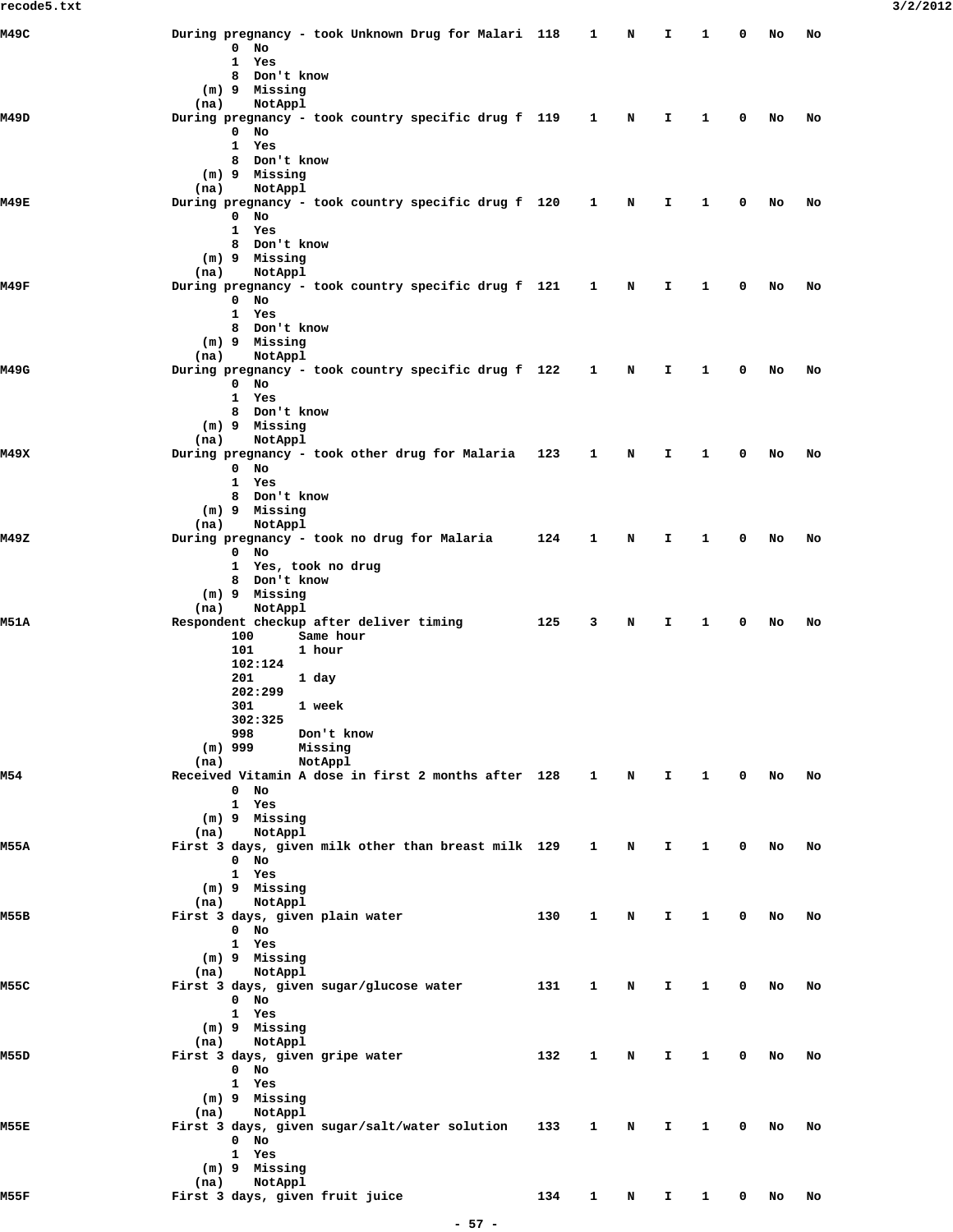| M49C        | During pregnancy - took Unknown Drug for Malari 118                    |     | 1            | N | I  | 1            | 0           | No | No |
|-------------|------------------------------------------------------------------------|-----|--------------|---|----|--------------|-------------|----|----|
|             | $\mathbf 0$<br>No<br>1<br>Yes                                          |     |              |   |    |              |             |    |    |
|             | Don't know<br>8                                                        |     |              |   |    |              |             |    |    |
|             | (m) 9 Missing                                                          |     |              |   |    |              |             |    |    |
| M49D        | (na)<br>NotAppl<br>During pregnancy - took country specific drug f 119 |     | $\mathbf{1}$ | N | I  | 1            | 0           | No | No |
|             | $\mathbf 0$<br>No                                                      |     |              |   |    |              |             |    |    |
|             | $\mathbf{1}$<br>Yes                                                    |     |              |   |    |              |             |    |    |
|             | 8 Don't know<br>(m) 9 Missing                                          |     |              |   |    |              |             |    |    |
|             | (na)<br>NotAppl                                                        |     |              |   |    |              |             |    |    |
| M49E        | During pregnancy - took country specific drug f 120                    |     | $\mathbf{1}$ | N | I. | 1            | 0           | No | No |
|             | $0$ No<br>1 Yes                                                        |     |              |   |    |              |             |    |    |
|             | 8 Don't know                                                           |     |              |   |    |              |             |    |    |
|             | (m) 9 Missing                                                          |     |              |   |    |              |             |    |    |
| M49F        | (na)<br>NotAppl                                                        |     | $\mathbf{1}$ | N | I  | 1            | 0           | No | No |
|             | During pregnancy - took country specific drug f 121<br>$0$ No          |     |              |   |    |              |             |    |    |
|             | 1 Yes                                                                  |     |              |   |    |              |             |    |    |
|             | 8 Don't know                                                           |     |              |   |    |              |             |    |    |
|             | (m) 9 Missing<br>(na)<br>NotAppl                                       |     |              |   |    |              |             |    |    |
| M49G        | During pregnancy - took country specific drug f 122                    |     | $\mathbf{1}$ | N | I. | 1            | 0           | No | No |
|             | $0$ No                                                                 |     |              |   |    |              |             |    |    |
|             | $\mathbf{1}$<br>Yes<br>8 Don't know                                    |     |              |   |    |              |             |    |    |
|             | $(m)$ 9 Missing                                                        |     |              |   |    |              |             |    |    |
|             | (na)<br>NotAppl                                                        |     |              |   |    |              |             |    |    |
| M49X        | During pregnancy - took other drug for Malaria 123<br>$0$ No           |     | 1            | N | I. | 1            | 0           | No | No |
|             | 1 Yes                                                                  |     |              |   |    |              |             |    |    |
|             | 8 Don't know                                                           |     |              |   |    |              |             |    |    |
|             | (m) 9 Missing<br>NotAppl<br>(na)                                       |     |              |   |    |              |             |    |    |
| M49Z        | During pregnancy - took no drug for Malaria                            | 124 | 1            | N | Ι. | 1            | 0           | No | No |
|             | $0$ No                                                                 |     |              |   |    |              |             |    |    |
|             | 1 Yes, took no drug<br>8 Don't know                                    |     |              |   |    |              |             |    |    |
|             | (m) 9 Missing                                                          |     |              |   |    |              |             |    |    |
|             | NotAppl<br>(na)                                                        |     |              |   |    |              |             |    |    |
| <b>M51A</b> | Respondent checkup after deliver timing<br>Same hour<br>100            | 125 | 3            | N | I  | 1            | 0           | No | No |
|             | 101<br>1 hour                                                          |     |              |   |    |              |             |    |    |
|             | 102:124                                                                |     |              |   |    |              |             |    |    |
|             | 201<br>1 day<br>202:299                                                |     |              |   |    |              |             |    |    |
|             | 1 week<br>301                                                          |     |              |   |    |              |             |    |    |
|             | 302:325                                                                |     |              |   |    |              |             |    |    |
|             | 998<br>Don't know<br>$(m)$ 999<br>Missing                              |     |              |   |    |              |             |    |    |
|             | NotAppl<br>(na)                                                        |     |              |   |    |              |             |    |    |
| M54         | Received Vitamin A dose in first 2 months after 128                    |     | $\mathbf{1}$ | N | I. | $\mathbf{1}$ | $\mathbf 0$ | No | No |
|             | $0$ No<br>1 Yes                                                        |     |              |   |    |              |             |    |    |
|             | (m) 9 Missing                                                          |     |              |   |    |              |             |    |    |
|             | NotAppl<br>(na)                                                        |     |              |   |    |              |             |    |    |
| M55A        | First 3 days, given milk other than breast milk 129<br>$0$ No          |     | 1            | N | I. | $\mathbf{1}$ | 0           | No | No |
|             | 1 Yes                                                                  |     |              |   |    |              |             |    |    |
|             | (m) 9 Missing                                                          |     |              |   |    |              |             |    |    |
| M55B        | NotAppl<br>(na)<br>First 3 days, given plain water                     | 130 |              |   |    |              |             |    |    |
|             | $0$ No                                                                 |     | 1            | N | I. | 1            | 0           | No | No |
|             | 1 Yes                                                                  |     |              |   |    |              |             |    |    |
|             | (m) 9 Missing                                                          |     |              |   |    |              |             |    |    |
| M55C        | NotAppl<br>(na)<br>First 3 days, given sugar/glucose water             | 131 | 1            | N | I  | 1            | 0           | No | No |
|             | $0$ No                                                                 |     |              |   |    |              |             |    |    |
|             | 1 Yes                                                                  |     |              |   |    |              |             |    |    |
|             | (m) 9 Missing<br>NotAppl<br>(na)                                       |     |              |   |    |              |             |    |    |
| M55D        | First 3 days, given gripe water                                        | 132 | 1            | N | Ι. | 1            | 0           | No | No |
|             | $0$ No                                                                 |     |              |   |    |              |             |    |    |
|             | 1 Yes                                                                  |     |              |   |    |              |             |    |    |
|             | (m) 9 Missing<br>NotAppl<br>(na)                                       |     |              |   |    |              |             |    |    |
| M55E        | First 3 days, given sugar/salt/water solution                          | 133 | 1            | N | I. | 1            | $\mathbf 0$ | No | No |
|             | $0$ No                                                                 |     |              |   |    |              |             |    |    |
|             | 1 Yes<br>(m) 9 Missing                                                 |     |              |   |    |              |             |    |    |
|             | NotAppl<br>(na)                                                        |     |              |   |    |              |             |    |    |
| M55F        | First 3 days, given fruit juice                                        | 134 | $\mathbf{1}$ | N | I. | $\mathbf{1}$ | 0           | No | No |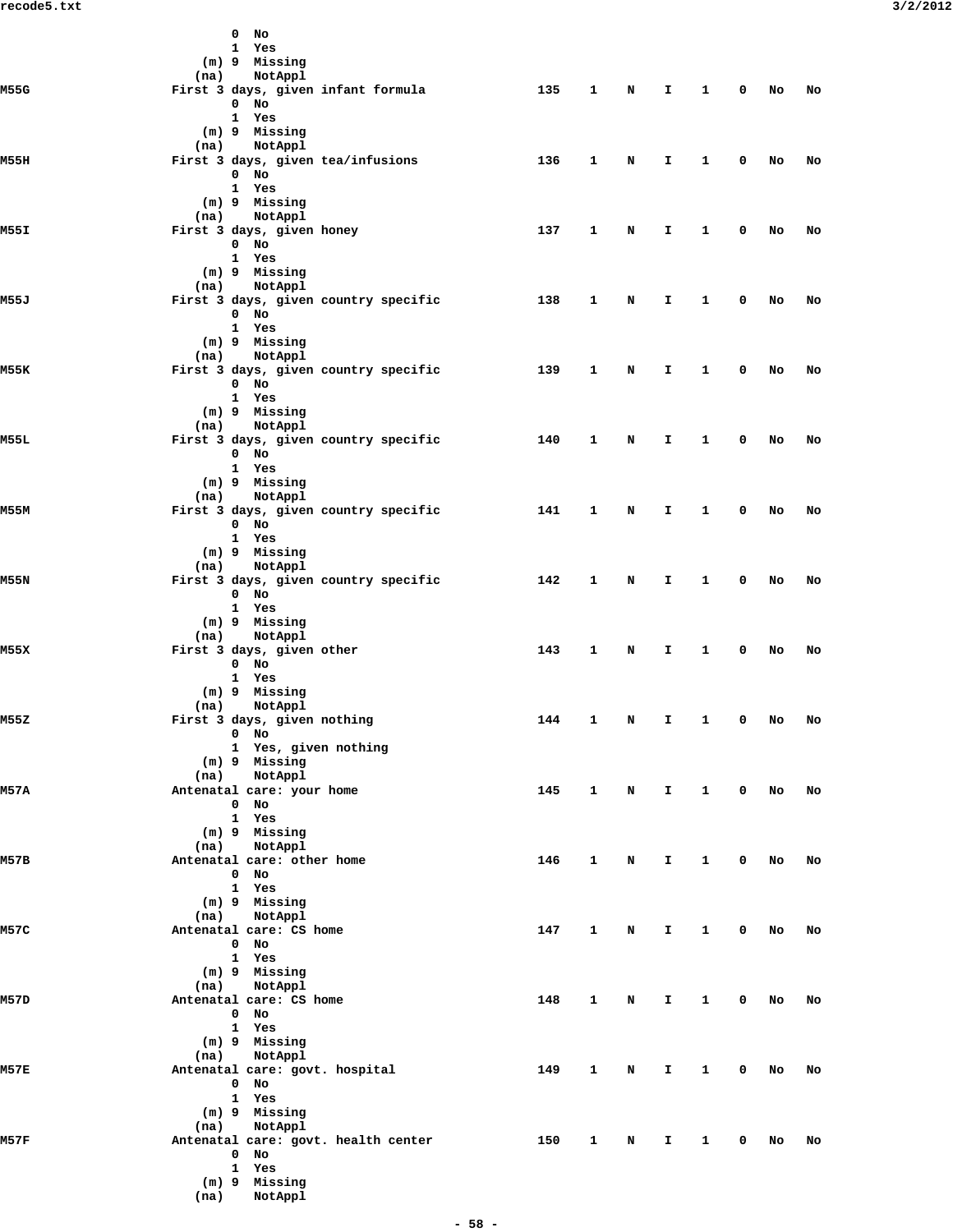|      |      | $0$ No |                                       |     |              |             |              |                 |              |      |    |
|------|------|--------|---------------------------------------|-----|--------------|-------------|--------------|-----------------|--------------|------|----|
|      |      |        | 1 Yes<br>(m) 9 Missing                |     |              |             |              |                 |              |      |    |
|      | (na) |        | NotAppl                               |     |              |             |              |                 |              |      |    |
| M55G |      |        | First 3 days, given infant formula    | 135 | $\mathbf{1}$ | $\mathbf N$ | $\mathbf{I}$ | $\mathbf{1}$    | $\mathbf{0}$ | No   | No |
|      |      | $0$ No |                                       |     |              |             |              |                 |              |      |    |
|      |      |        | 1 Yes<br>(m) 9 Missing                |     |              |             |              |                 |              |      |    |
|      |      |        | (na) NotAppl                          |     |              |             |              |                 |              |      |    |
| M55H |      |        | First 3 days, given tea/infusions     | 136 | $\mathbf{1}$ | N           | $\mathbf{T}$ | $\mathbf{1}$    | $\mathbf 0$  | No   | No |
|      |      | $0$ No |                                       |     |              |             |              |                 |              |      |    |
|      |      |        | 1 Yes<br>(m) 9 Missing                |     |              |             |              |                 |              |      |    |
|      |      |        | (na) NotAppl                          |     |              |             |              |                 |              |      |    |
| M55I |      |        | First 3 days, given honey             | 137 | 1            | N           | $\mathbf{T}$ | $\mathbf{1}$    | $\mathbf 0$  | No   | No |
|      |      | $0$ No |                                       |     |              |             |              |                 |              |      |    |
|      |      |        | 1 Yes<br>(m) 9 Missing                |     |              |             |              |                 |              |      |    |
|      |      |        | (na) NotAppl                          |     |              |             |              |                 |              |      |    |
| M55J |      |        | First 3 days, given country specific  | 138 | 1            | N           | I.           | $\mathbf{1}$    | $\mathbf 0$  | No   | No |
|      |      | $0$ No |                                       |     |              |             |              |                 |              |      |    |
|      |      |        | 1 Yes<br>(m) 9 Missing                |     |              |             |              |                 |              |      |    |
|      |      |        | (na) NotAppl                          |     |              |             |              |                 |              |      |    |
| M55K |      |        | First 3 days, given country specific  | 139 | $\mathbf{1}$ | N           | $\mathbf{T}$ | $\mathbf{1}$    | $\mathbf 0$  | No   | No |
|      |      | $0$ No |                                       |     |              |             |              |                 |              |      |    |
|      |      |        | 1 Yes<br>(m) 9 Missing                |     |              |             |              |                 |              |      |    |
|      |      |        | (na) NotAppl                          |     |              |             |              |                 |              |      |    |
| M55L |      |        | First 3 days, given country specific  | 140 | $\mathbf{1}$ | N           | $\mathbf{T}$ | $\mathbf{1}$    | $\mathbf 0$  | No   | No |
|      |      | $0$ No |                                       |     |              |             |              |                 |              |      |    |
|      |      |        | 1 Yes<br>(m) 9 Missing                |     |              |             |              |                 |              |      |    |
|      |      |        | (na) NotAppl                          |     |              |             |              |                 |              |      |    |
| M55M |      |        | First 3 days, given country specific  | 141 | $\mathbf{1}$ | N           | $\mathbf{T}$ | $\mathbf{1}$    | $\mathbf 0$  | No   | No |
|      |      | $0$ No |                                       |     |              |             |              |                 |              |      |    |
|      |      |        | 1 Yes<br>(m) 9 Missing                |     |              |             |              |                 |              |      |    |
|      |      |        | (na) NotAppl                          |     |              |             |              |                 |              |      |    |
| M55N |      |        | First 3 days, given country specific  | 142 | $\mathbf{1}$ | N           | $\mathbf{T}$ | $\mathbf{1}$    | $\mathbf 0$  | No   | No |
|      |      | $0$ No |                                       |     |              |             |              |                 |              |      |    |
|      |      |        | 1 Yes<br>(m) 9 Missing                |     |              |             |              |                 |              |      |    |
|      | (na) |        | NotAppl                               |     |              |             |              |                 |              |      |    |
| M55X |      |        | First 3 days, given other             | 143 | $\mathbf{1}$ | N           | Ι.           | $\mathbf{1}$    | $\mathbf 0$  | No   | No |
|      |      | $0$ No |                                       |     |              |             |              |                 |              |      |    |
|      |      |        | 1 Yes<br>(m) 9 Missing                |     |              |             |              |                 |              |      |    |
|      | (na) |        | NotAppl                               |     |              |             |              |                 |              |      |    |
| M55Z |      |        | First 3 days, given nothing           | 144 | 1            | N           | I.           | $\mathbf{1}$    | $\mathbf 0$  | No   | No |
|      |      | $0$ No |                                       |     |              |             |              |                 |              |      |    |
|      |      |        | 1 Yes, given nothing<br>(m) 9 Missing |     |              |             |              |                 |              |      |    |
|      |      |        | (na) NotAppl                          |     |              |             |              |                 |              |      |    |
| M57A |      |        | Antenatal care: your home             | 145 |              |             |              | 1 N I 1 0 No No |              |      |    |
|      |      |        | $0$ No<br>1 Yes                       |     |              |             |              |                 |              |      |    |
|      |      |        | (m) 9 Missing                         |     |              |             |              |                 |              |      |    |
|      |      |        | (na) NotAppl                          |     |              |             |              |                 |              |      |    |
| м57в |      |        | Antenatal care: other home            | 146 | $\mathbf{1}$ | N           | $\mathbf{I}$ | $\mathbf{1}$    | $0$ No       |      | No |
|      |      |        | $0$ No<br>1 Yes                       |     |              |             |              |                 |              |      |    |
|      |      |        | (m) 9 Missing                         |     |              |             |              |                 |              |      |    |
|      |      |        | (na) NotAppl                          |     |              |             |              |                 |              |      |    |
| M57C |      |        | Antenatal care: CS home               | 147 | $\mathbf{1}$ | $\mathbf N$ | $\mathbf{I}$ | $\mathbf{1}$    |              | 0 No | No |
|      |      |        | $0$ No<br>1 Yes                       |     |              |             |              |                 |              |      |    |
|      |      |        | (m) 9 Missing                         |     |              |             |              |                 |              |      |    |
|      |      |        | (na) NotAppl                          |     |              |             |              |                 |              |      |    |
| M57D |      |        | Antenatal care: CS home               | 148 | $\mathbf{1}$ | $\mathbf N$ | $\mathbf{I}$ | $\mathbf{1}$    | $0$ No       |      | No |
|      |      |        | $0$ No<br>1 Yes                       |     |              |             |              |                 |              |      |    |
|      |      |        | (m) 9 Missing                         |     |              |             |              |                 |              |      |    |
|      |      |        | (na) NotAppl                          |     |              |             |              |                 |              |      |    |
| M57E |      |        | Antenatal care: govt. hospital        | 149 | $\mathbf{1}$ | N           | $\mathbf{I}$ | $\mathbf{1}$    | $\mathbf{0}$ | No   | No |
|      |      |        | $0$ No                                |     |              |             |              |                 |              |      |    |
|      |      |        | 1 Yes<br>(m) 9 Missing                |     |              |             |              |                 |              |      |    |
|      |      |        | (na) NotAppl                          |     |              |             |              |                 |              |      |    |
| M57F |      |        | Antenatal care: govt. health center   | 150 | $\mathbf{1}$ | $\mathbf N$ | $\mathbf{I}$ | $\mathbf{1}$    | $0$ No       |      | No |
|      |      |        | $0$ No                                |     |              |             |              |                 |              |      |    |
|      |      |        | 1 Yes<br>(m) 9 Missing                |     |              |             |              |                 |              |      |    |
|      |      |        | (na) NotAppl                          |     |              |             |              |                 |              |      |    |
|      |      |        |                                       |     |              |             |              |                 |              |      |    |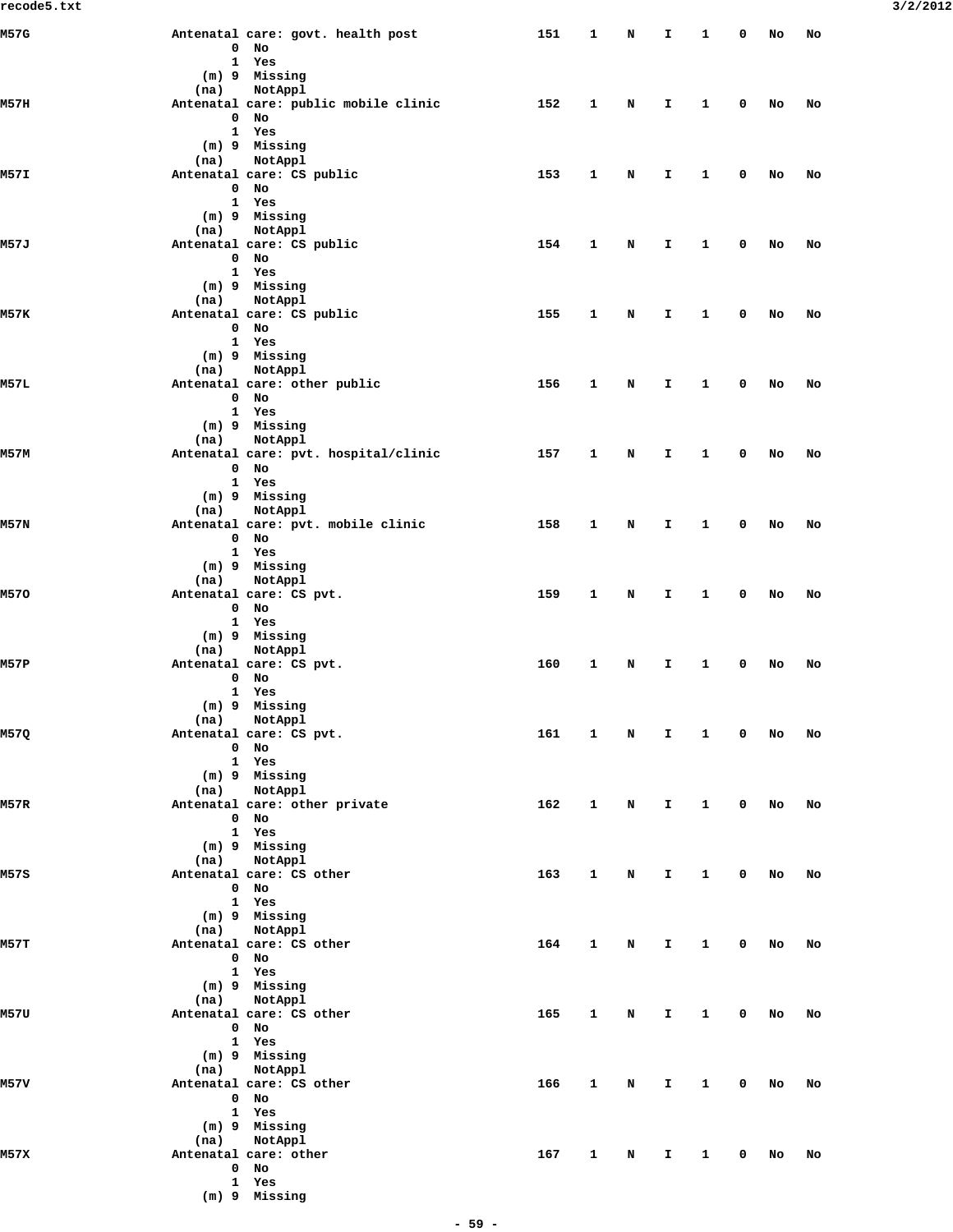| recode5.txt |                                                      |                     |                        |             |                               |              |        |        |    | 3/2/2012 |
|-------------|------------------------------------------------------|---------------------|------------------------|-------------|-------------------------------|--------------|--------|--------|----|----------|
| M57G        | Antenatal care: govt. health post<br>$0$ No          | 151 1 N I 1 0 No No |                        |             |                               |              |        |        |    |          |
|             | 1 Yes                                                |                     |                        |             |                               |              |        |        |    |          |
|             | (m) 9 Missing                                        |                     |                        |             |                               |              |        |        |    |          |
| M57II       | (na) NotAppl<br>Antenatal care: public mobile clinic | 152                 | $\mathbf{1}$           | N D         | $\mathbf{I}$                  | $\mathbf{1}$ |        | 0 No   | No |          |
|             | 0 No                                                 |                     |                        |             |                               |              |        |        |    |          |
|             | 1 Yes<br>(m) 9 Missing                               |                     |                        |             |                               |              |        |        |    |          |
|             | (na) NotAppl                                         |                     |                        |             |                               |              |        |        |    |          |
| M57I        | Antenatal care: CS public<br>0 No                    | 153                 | $\mathbf{1}$           | $\mathbf N$ | $\mathbf{I}$                  | $\mathbf{1}$ |        | 0 No   | No |          |
|             | 1 Yes                                                |                     |                        |             |                               |              |        |        |    |          |
|             | (m) 9 Missing                                        |                     |                        |             |                               |              |        |        |    |          |
| M57J        | (na) NotAppl<br>Antenatal care: CS public            | 154                 | $\mathbf{1}$           | N           | $\mathbf{I}$ and $\mathbf{I}$ | $\mathbf{1}$ |        | $0$ No | No |          |
|             | $0$ No                                               |                     |                        |             |                               |              |        |        |    |          |
|             | 1 Yes<br>(m) 9 Missing                               |                     |                        |             |                               |              |        |        |    |          |
|             | (na) NotAppl                                         |                     |                        |             |                               |              |        |        |    |          |
| M57K        | Antenatal care: CS public<br>$0$ No                  | 155                 | $\mathbf{1}$           | N           | $\mathbf{I}$                  |              | 1 0 No |        | No |          |
|             | 1 Yes                                                |                     |                        |             |                               |              |        |        |    |          |
|             | (m) 9 Missing                                        |                     |                        |             |                               |              |        |        |    |          |
| M57L        | (na) NotAppl<br>Antenatal care: other public         | 156                 | $\mathbf{1}$           | N           | $\mathbf{I}$ and $\mathbf{I}$ | $\mathbf{1}$ |        | 0 No   | No |          |
|             | $0$ No                                               |                     |                        |             |                               |              |        |        |    |          |
|             | 1 Yes<br>(m) 9 Missing                               |                     |                        |             |                               |              |        |        |    |          |
|             | (na) NotAppl                                         |                     |                        |             |                               |              |        |        |    |          |
| м57м        | Antenatal care: pvt. hospital/clinic                 | 157                 | $\mathbf{1}$           |             | N I                           |              | 1 0 No |        | No |          |
|             | 0 No<br>1 Yes                                        |                     |                        |             |                               |              |        |        |    |          |
|             | (m) 9 Missing                                        |                     |                        |             |                               |              |        |        |    |          |
| M57N        | (na) NotAppl<br>Antenatal care: pvt. mobile clinic   | 158                 | $\mathbf{1}$           | $\mathbf N$ | $\mathbf{I}$                  | $\mathbf{1}$ |        | 0 No   | No |          |
|             | $0$ No                                               |                     |                        |             |                               |              |        |        |    |          |
|             | 1 Yes<br>(m) 9 Missing                               |                     |                        |             |                               |              |        |        |    |          |
|             | (na) NotAppl                                         |                     |                        |             |                               |              |        |        |    |          |
| M570        | Antenatal care: CS pvt.                              | 159                 | $\mathbf{1}$           | $\mathbf N$ | $\mathbf{I}$                  |              | 1 0 No |        | No |          |
|             | 0 No<br>1 Yes                                        |                     |                        |             |                               |              |        |        |    |          |
|             | (m) 9 Missing                                        |                     |                        |             |                               |              |        |        |    |          |
| M57P        | NotAppl<br>(na)<br>Antenatal care: CS pvt.           | 160                 |                        |             |                               |              |        |        |    |          |
|             | $0$ No                                               |                     | $\mathbf{1}$           | N           | $\mathbf{I}$ and $\mathbf{I}$ | $\mathbf{1}$ |        | 0 No   | No |          |
|             | 1 Yes                                                |                     |                        |             |                               |              |        |        |    |          |
|             | (m) 9 Missing<br>NotAppl<br>(na)                     |                     |                        |             |                               |              |        |        |    |          |
| M57Q        | Antenatal care: CS pvt.                              | 161 1 N I 1 0 No No |                        |             |                               |              |        |        |    |          |
|             | 0 No<br>1 Yes                                        |                     |                        |             |                               |              |        |        |    |          |
|             | (m) 9 Missing                                        |                     |                        |             |                               |              |        |        |    |          |
|             | (na) NotAppl                                         |                     |                        |             |                               |              |        |        |    |          |
| M57R        | Antenatal care: other private<br>$0$ No              | 162                 | $\mathbf{1}$           |             | N I 1 0 No No                 |              |        |        |    |          |
|             | 1 Yes                                                |                     |                        |             |                               |              |        |        |    |          |
|             | (m) 9 Missing<br>(na) NotAppl                        |                     |                        |             |                               |              |        |        |    |          |
| M57S        | Antenatal care: CS other                             | 163                 |                        |             | 1 N I 1 0 No No               |              |        |        |    |          |
|             | 0 No                                                 |                     |                        |             |                               |              |        |        |    |          |
|             | 1 Yes<br>(m) 9 Missing                               |                     |                        |             |                               |              |        |        |    |          |
|             | (na) NotAppl                                         |                     |                        |             |                               |              |        |        |    |          |
| M57T        | Antenatal care: CS other<br>$0$ No                   | 164                 | $\mathbf{1}$           |             | N I 10 No No                  |              |        |        |    |          |
|             | 1 Yes                                                |                     |                        |             |                               |              |        |        |    |          |
|             | (m) 9 Missing<br>(na) NotAppl                        |                     |                        |             |                               |              |        |        |    |          |
| M57U        | Antenatal care: CS other                             | 165                 | $1 \quad \blacksquare$ |             | N I 1 0 No No                 |              |        |        |    |          |
|             | 0 No                                                 |                     |                        |             |                               |              |        |        |    |          |
|             | 1 Yes<br>(m) 9 Missing                               |                     |                        |             |                               |              |        |        |    |          |
|             | (na) NotAppl                                         |                     |                        |             |                               |              |        |        |    |          |
| M57V        | Antenatal care: CS other                             | 166                 | $\mathbf{1}$           |             | N I 10 No No                  |              |        |        |    |          |
|             | 0 No<br>1 Yes                                        |                     |                        |             |                               |              |        |        |    |          |
|             | (m) 9 Missing                                        |                     |                        |             |                               |              |        |        |    |          |
| M57X        | (na) NotAppl<br>Antenatal care: other                | 167 1 N I 1 0 No No |                        |             |                               |              |        |        |    |          |
|             | 0 No                                                 |                     |                        |             |                               |              |        |        |    |          |
|             | 1 Yes                                                |                     |                        |             |                               |              |        |        |    |          |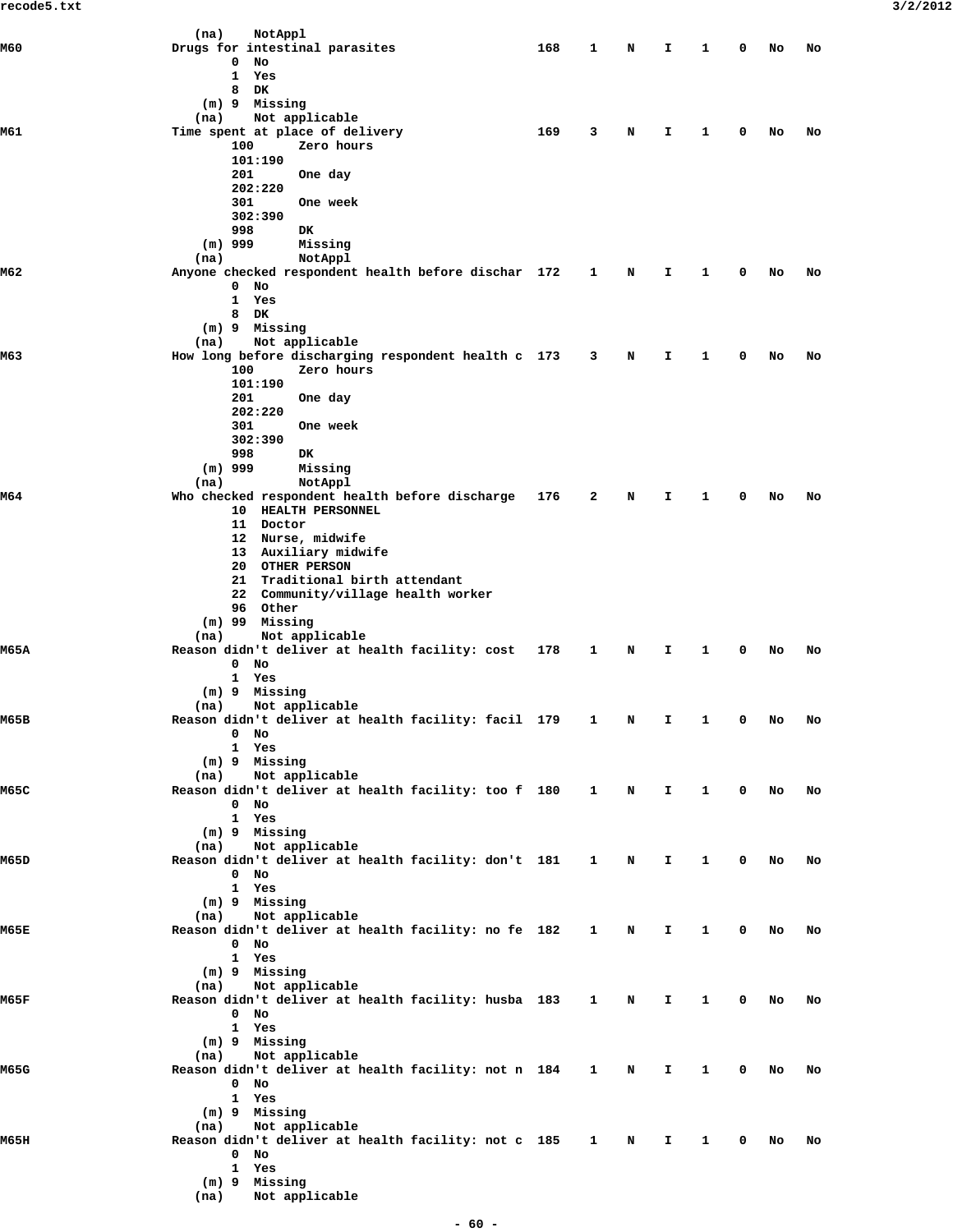|       | (na)<br>NotAppl                                                                   |     |              |   |              |              |             |    |    |
|-------|-----------------------------------------------------------------------------------|-----|--------------|---|--------------|--------------|-------------|----|----|
| M60   | Drugs for intestinal parasites                                                    | 168 | 1            | N | I            | 1            | 0           | No | No |
|       | 0<br>No<br>1 Yes                                                                  |     |              |   |              |              |             |    |    |
|       | 8<br>DK                                                                           |     |              |   |              |              |             |    |    |
|       | (m) 9 Missing                                                                     |     |              |   |              |              |             |    |    |
|       | Not applicable<br>(na)                                                            |     |              |   |              |              |             |    |    |
| M61   | Time spent at place of delivery                                                   | 169 | 3            | N | I            | 1            | 0           | No | No |
|       | 100<br>Zero hours<br>101:190                                                      |     |              |   |              |              |             |    |    |
|       | 201<br>One day                                                                    |     |              |   |              |              |             |    |    |
|       | 202:220                                                                           |     |              |   |              |              |             |    |    |
|       | 301<br>One week                                                                   |     |              |   |              |              |             |    |    |
|       | 302:390                                                                           |     |              |   |              |              |             |    |    |
|       | 998<br>DK                                                                         |     |              |   |              |              |             |    |    |
|       | $(m)$ 999<br>Missing<br>NotAppl<br>(na)                                           |     |              |   |              |              |             |    |    |
| M62   | Anyone checked respondent health before dischar 172                               |     | 1            | N | I.           | 1            | 0           | No | No |
|       | $0$ No                                                                            |     |              |   |              |              |             |    |    |
|       | 1 Yes                                                                             |     |              |   |              |              |             |    |    |
|       | 8<br>DK                                                                           |     |              |   |              |              |             |    |    |
|       | (m) 9 Missing<br>Not applicable<br>(na)                                           |     |              |   |              |              |             |    |    |
| M63   | How long before discharging respondent health c 173                               |     | $\mathbf{3}$ | N | I            | 1            | 0           | No | No |
|       | 100<br>Zero hours                                                                 |     |              |   |              |              |             |    |    |
|       | 101:190                                                                           |     |              |   |              |              |             |    |    |
|       | 201<br>One day                                                                    |     |              |   |              |              |             |    |    |
|       | 202:220<br>301<br>One week                                                        |     |              |   |              |              |             |    |    |
|       | 302:390                                                                           |     |              |   |              |              |             |    |    |
|       | 998<br>DK                                                                         |     |              |   |              |              |             |    |    |
|       | $(m)$ 999<br>Missing                                                              |     |              |   |              |              |             |    |    |
|       | NotAppl<br>(na)                                                                   |     |              |   |              |              |             |    |    |
| M64   | Who checked respondent health before discharge                                    | 176 | 2            | N | I.           | 1            | 0           | No | No |
|       | 10 HEALTH PERSONNEL<br>11 Doctor                                                  |     |              |   |              |              |             |    |    |
|       | 12 Nurse, midwife                                                                 |     |              |   |              |              |             |    |    |
|       | 13 Auxiliary midwife                                                              |     |              |   |              |              |             |    |    |
|       | 20 OTHER PERSON                                                                   |     |              |   |              |              |             |    |    |
|       | 21 Traditional birth attendant                                                    |     |              |   |              |              |             |    |    |
|       | 22 Community/village health worker<br>96 Other                                    |     |              |   |              |              |             |    |    |
|       | $(m)$ 99 Missing                                                                  |     |              |   |              |              |             |    |    |
|       | Not applicable<br>(na)                                                            |     |              |   |              |              |             |    |    |
| M65A  | Reason didn't deliver at health facility: cost                                    | 178 | 1            | N | I            | 1            | 0           | No | No |
|       | $0$ No                                                                            |     |              |   |              |              |             |    |    |
|       | 1 Yes<br>(m) 9 Missing                                                            |     |              |   |              |              |             |    |    |
|       | Not applicable<br>(na)                                                            |     |              |   |              |              |             |    |    |
| M65B  | Reason didn't deliver at health facility: facil 179 1 N                           |     |              |   | I.           |              |             | No | No |
|       | $0$ No                                                                            |     |              |   |              |              |             |    |    |
|       | 1 Yes<br>(m) 9 Missing                                                            |     |              |   |              |              |             |    |    |
|       | Not applicable<br>(na)                                                            |     |              |   |              |              |             |    |    |
| M65C  | Reason didn't deliver at health facility: too f 180 1 N I 1 0                     |     |              |   |              |              |             | No | No |
|       | $0$ No                                                                            |     |              |   |              |              |             |    |    |
|       | 1 Yes                                                                             |     |              |   |              |              |             |    |    |
|       | (m) 9 Missing<br>Not applicable<br>(na)                                           |     |              |   |              |              |             |    |    |
| M65D  | Reason didn't deliver at health facility: don't 181 1 N                           |     |              |   | Ι.           | $\mathbf{1}$ | $\mathbf 0$ | No | No |
|       | $0$ No                                                                            |     |              |   |              |              |             |    |    |
|       | 1 Yes                                                                             |     |              |   |              |              |             |    |    |
|       | (m) 9 Missing                                                                     |     |              |   |              |              |             |    |    |
| M65E  | Not applicable<br>(na)<br>Reason didn't deliver at health facility: no fe 182 1 N |     |              |   | I.           | $\mathbf{1}$ | 0           | No | No |
|       | $0$ No                                                                            |     |              |   |              |              |             |    |    |
|       | 1 Yes                                                                             |     |              |   |              |              |             |    |    |
|       | (m) 9 Missing                                                                     |     |              |   |              |              |             |    |    |
|       | (na) Not applicable                                                               |     |              |   |              |              |             |    |    |
| M65F  | Reason didn't deliver at health facility: husba 183 1 N<br>0 No                   |     |              |   | $\mathbf{T}$ | $\mathbf{1}$ | $\mathbf 0$ | No | No |
|       | 1 Yes                                                                             |     |              |   |              |              |             |    |    |
|       | (m) 9 Missing                                                                     |     |              |   |              |              |             |    |    |
|       | (na) Not applicable                                                               |     |              |   |              |              |             |    |    |
| M65G  | Reason didn't deliver at health facility: not n 184 1 N                           |     |              |   |              | $1 \quad 1$  | $\mathbf 0$ | No | No |
|       | $0$ No<br>1 Yes                                                                   |     |              |   |              |              |             |    |    |
|       | (m) 9 Missing                                                                     |     |              |   |              |              |             |    |    |
|       | Not applicable<br>(na)                                                            |     |              |   |              |              |             |    |    |
| M65II | Reason didn't deliver at health facility: not c 185 1 N                           |     |              |   | I.           | $\mathbf{1}$ | $\mathbf 0$ | No | No |
|       | $0$ No                                                                            |     |              |   |              |              |             |    |    |
|       | 1 Yes                                                                             |     |              |   |              |              |             |    |    |
|       | (m) 9 Missing<br>(na) Not applicable                                              |     |              |   |              |              |             |    |    |
|       |                                                                                   |     |              |   |              |              |             |    |    |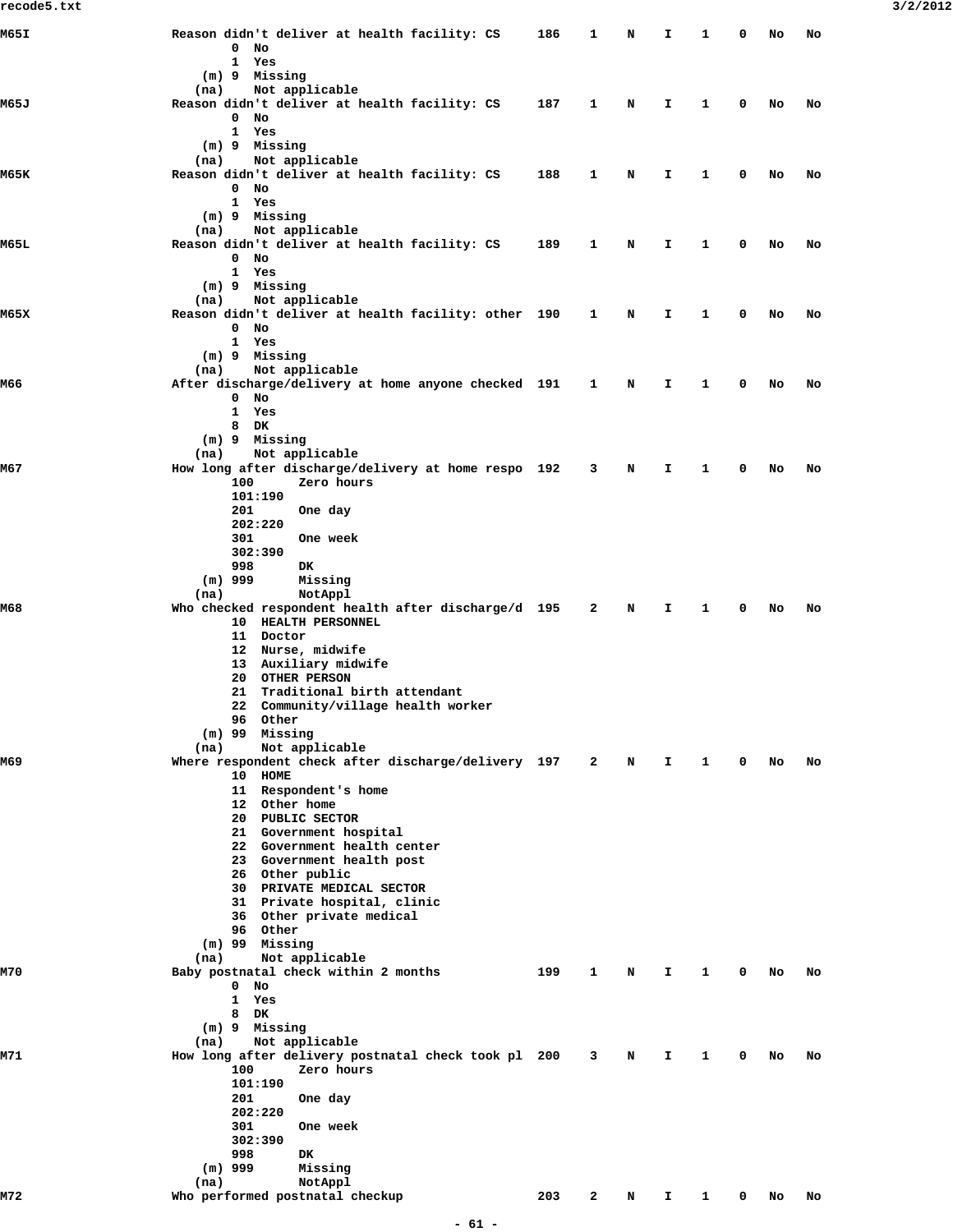| M65I | Reason didn't deliver at health facility: CS                | 186 | $\mathbf{1}$ | N | I  | 1 | 0 | No | No |
|------|-------------------------------------------------------------|-----|--------------|---|----|---|---|----|----|
|      | $0$ No                                                      |     |              |   |    |   |   |    |    |
|      | 1 Yes                                                       |     |              |   |    |   |   |    |    |
|      | (m) 9 Missing<br>Not applicable<br>(na)                     |     |              |   |    |   |   |    |    |
| M65J | Reason didn't deliver at health facility: CS                | 187 | 1            | N | I. | 1 | 0 | No | No |
|      | $0$ No                                                      |     |              |   |    |   |   |    |    |
|      | 1 Yes                                                       |     |              |   |    |   |   |    |    |
|      | (m) 9 Missing<br>Not applicable<br>(na)                     |     |              |   |    |   |   |    |    |
| M65K | Reason didn't deliver at health facility: CS                | 188 | 1            | N | I. | 1 | 0 | No | No |
|      | $0$ No                                                      |     |              |   |    |   |   |    |    |
|      | 1 Yes                                                       |     |              |   |    |   |   |    |    |
|      | (m) 9 Missing<br>Not applicable<br>(na)                     |     |              |   |    |   |   |    |    |
| M65L | Reason didn't deliver at health facility: CS                | 189 | 1            | N | I. | 1 | 0 | No | No |
|      | $0$ No                                                      |     |              |   |    |   |   |    |    |
|      | 1 Yes                                                       |     |              |   |    |   |   |    |    |
|      | (m) 9 Missing<br>Not applicable<br>(na)                     |     |              |   |    |   |   |    |    |
| M65X | Reason didn't deliver at health facility: other 190         |     | 1            | N | I. | 1 | 0 | No | No |
|      | $0$ No                                                      |     |              |   |    |   |   |    |    |
|      | 1 Yes                                                       |     |              |   |    |   |   |    |    |
|      | (m) 9 Missing<br>Not applicable                             |     |              |   |    |   |   |    |    |
| M66  | (na)<br>After discharge/delivery at home anyone checked 191 |     | $\mathbf{1}$ | N | I. | 1 | 0 | No | No |
|      | $0$ No                                                      |     |              |   |    |   |   |    |    |
|      | 1 Yes                                                       |     |              |   |    |   |   |    |    |
|      | 8 DK                                                        |     |              |   |    |   |   |    |    |
|      | (m) 9 Missing<br>Not applicable<br>(na)                     |     |              |   |    |   |   |    |    |
| M67  | How long after discharge/delivery at home respo 192         |     | 3            | N | I. | 1 | 0 | No | No |
|      | 100<br>Zero hours                                           |     |              |   |    |   |   |    |    |
|      | 101:190                                                     |     |              |   |    |   |   |    |    |
|      | 201<br>One day<br>202:220                                   |     |              |   |    |   |   |    |    |
|      | 301<br>One week                                             |     |              |   |    |   |   |    |    |
|      | 302:390                                                     |     |              |   |    |   |   |    |    |
|      | 998<br>DK                                                   |     |              |   |    |   |   |    |    |
|      | $(m)$ 999<br>Missing<br>(na)<br>NotAppl                     |     |              |   |    |   |   |    |    |
| M68  | Who checked respondent health after discharge/d 195         |     | 2            | N | I. | 1 | 0 | No | No |
|      | 10 HEALTH PERSONNEL                                         |     |              |   |    |   |   |    |    |
|      | 11 Doctor<br>12 Nurse, midwife                              |     |              |   |    |   |   |    |    |
|      | 13 Auxiliary midwife                                        |     |              |   |    |   |   |    |    |
|      | 20 OTHER PERSON                                             |     |              |   |    |   |   |    |    |
|      | 21 Traditional birth attendant                              |     |              |   |    |   |   |    |    |
|      | 22 Community/village health worker<br>96 Other              |     |              |   |    |   |   |    |    |
|      | $(m)$ 99 Missing                                            |     |              |   |    |   |   |    |    |
|      | Not applicable<br>(na)                                      |     |              |   |    |   |   |    |    |
| M69  | Where respondent check after discharge/delivery 197         |     | $\mathbf{2}$ | N | I. | 1 | 0 | No | No |
|      | 10 HOME<br>11 Respondent's home                             |     |              |   |    |   |   |    |    |
|      | 12 Other home                                               |     |              |   |    |   |   |    |    |
|      | 20 PUBLIC SECTOR                                            |     |              |   |    |   |   |    |    |
|      | 21 Government hospital                                      |     |              |   |    |   |   |    |    |
|      | 22 Government health center<br>23 Government health post    |     |              |   |    |   |   |    |    |
|      | 26 Other public                                             |     |              |   |    |   |   |    |    |
|      | 30 PRIVATE MEDICAL SECTOR                                   |     |              |   |    |   |   |    |    |
|      | 31 Private hospital, clinic                                 |     |              |   |    |   |   |    |    |
|      | 36 Other private medical                                    |     |              |   |    |   |   |    |    |
|      | 96 Other<br>$(m)$ 99 Missing                                |     |              |   |    |   |   |    |    |
|      | Not applicable<br>(na)                                      |     |              |   |    |   |   |    |    |
| M70  | Baby postnatal check within 2 months                        | 199 | 1            | N | I. | 1 | 0 | No | No |
|      | $0$ No                                                      |     |              |   |    |   |   |    |    |
|      | $\mathbf{1}$<br>Yes<br>8 DK                                 |     |              |   |    |   |   |    |    |
|      | (m) 9 Missing                                               |     |              |   |    |   |   |    |    |
|      | Not applicable<br>(na)                                      |     |              |   |    |   |   |    |    |
| M71  | How long after delivery postnatal check took pl 200         |     | 3            | N | I. | 1 | 0 | No | No |
|      | 100<br>Zero hours<br>101:190                                |     |              |   |    |   |   |    |    |
|      | 201<br>One day                                              |     |              |   |    |   |   |    |    |
|      | 202:220                                                     |     |              |   |    |   |   |    |    |
|      | 301<br>One week                                             |     |              |   |    |   |   |    |    |
|      | 302:390<br>998<br>DK                                        |     |              |   |    |   |   |    |    |
|      | $(m)$ 999<br>Missing                                        |     |              |   |    |   |   |    |    |
|      | NotAppl<br>(na)                                             |     |              |   |    |   |   |    |    |
| M72  | Who performed postnatal checkup                             | 203 | 2            | N | I. | 1 | 0 | No | No |
|      |                                                             |     |              |   |    |   |   |    |    |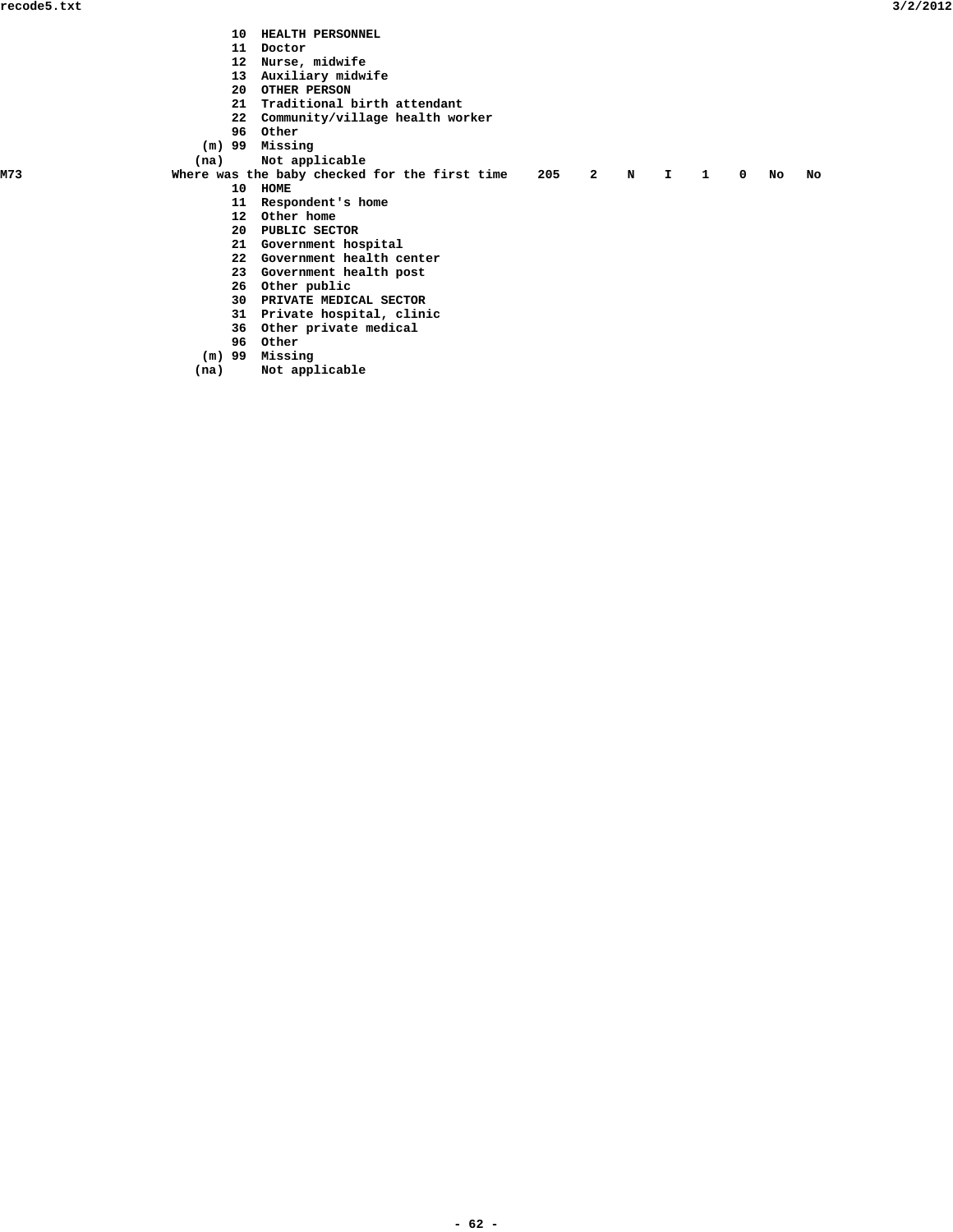- **10 HEALTH PERSONNEL**
- **11 Doctor**
	- **12 Nurse, midwife**
	- **13 Auxiliary midwife**
- **20 OTHER PERSON**
- **21 Traditional birth attendant**
	- **22 Community/village health worker**
	-
- **196** Other
- **(m) 99 Missing**
- (na) Not applicable<br>M73 Where was the baby checked
	- Where was the baby checked for the first time 205 2 N I 1 0 No No  **10 HOME**
		- **11 Respondent's home**
			- **12 Other home**
- **20 PUBLIC SECTOR**
- **21 Government hospital**
	- **22 Government health center**
- **23 Government health post**
	-
- **26 Other public**
	- **30 PRIVATE MEDICAL SECTOR**
	- **31 Private hospital, clinic**
- **36 Other private medical**
- **196** Other
	- **(m) 99 Missing**
	- **(na) Not applicable**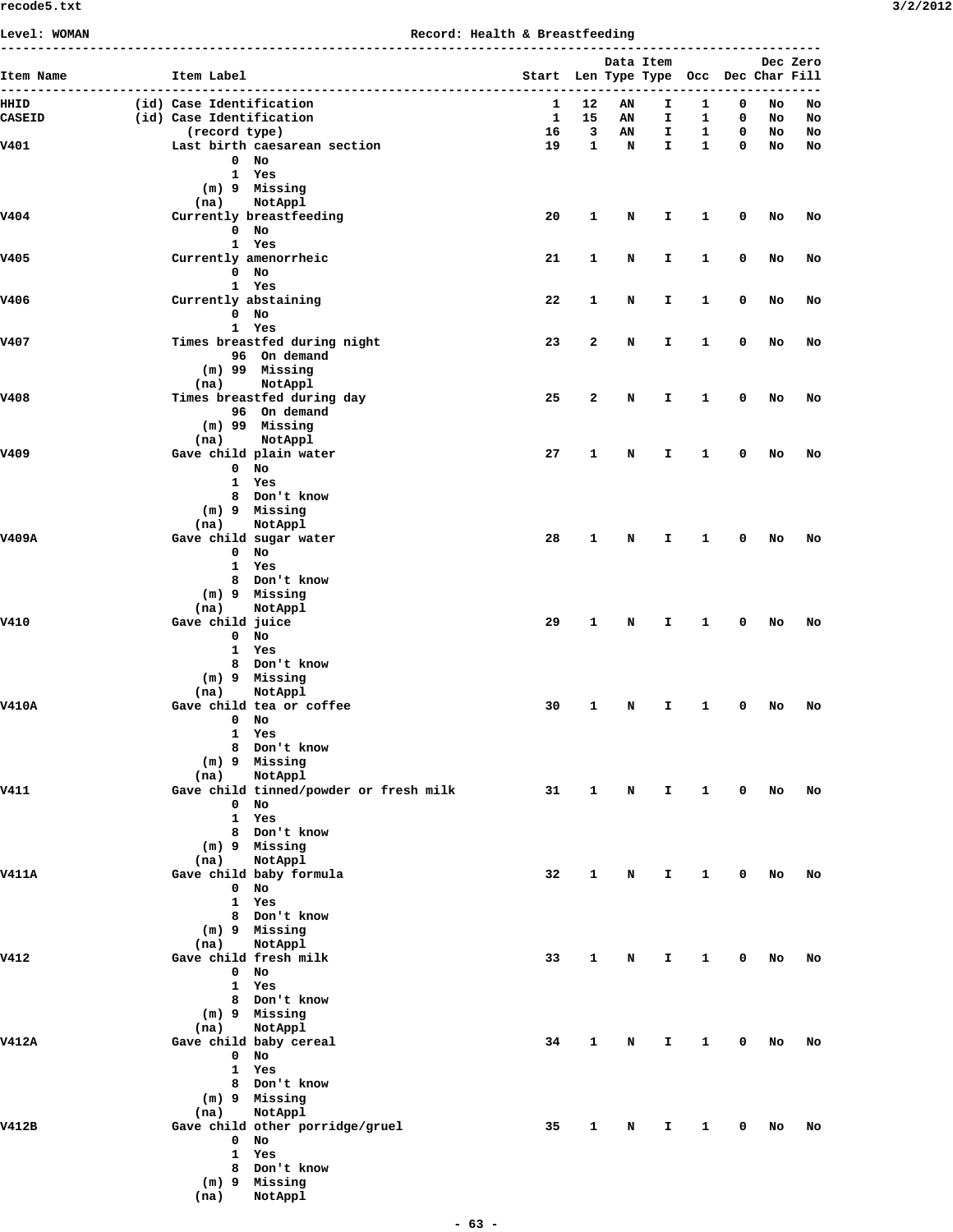| 3/2/201 |
|---------|
|---------|

| Level: WOMAN          |                                                      |                                         | Record: Health & Breastfeeding |                                       |               |           |                              |                     |                  |          |          |
|-----------------------|------------------------------------------------------|-----------------------------------------|--------------------------------|---------------------------------------|---------------|-----------|------------------------------|---------------------|------------------|----------|----------|
|                       |                                                      |                                         |                                |                                       |               | Data Item |                              |                     |                  |          | Dec Zero |
| Item Name             | Item Label                                           |                                         |                                | Start Len Type Type Occ Dec Char Fill |               |           |                              |                     |                  |          |          |
|                       |                                                      |                                         |                                |                                       |               |           |                              | ------------------- |                  |          |          |
| HHID<br><b>CASEID</b> | (id) Case Identification<br>(id) Case Identification |                                         |                                | 1<br>-1                               | 12<br>15      | AN<br>AN  | $\mathbf{T}$<br>$\mathbf{T}$ | $\mathbf{1}$<br>1   | 0<br>$\mathbf 0$ | No<br>No | No<br>No |
|                       | (record type)                                        |                                         |                                |                                       | $16 \qquad 3$ | AN        | I.                           | $\mathbf{1}$        | $\mathbf 0$      | No       | No       |
| V401                  |                                                      | Last birth caesarean section            |                                | 19                                    | $\mathbf{1}$  | N         | $\mathbf{I}$                 | $\mathbf{1}$        | $\mathbf{0}$     |          | No No    |
|                       |                                                      | $0$ No                                  |                                |                                       |               |           |                              |                     |                  |          |          |
|                       |                                                      | 1 Yes                                   |                                |                                       |               |           |                              |                     |                  |          |          |
|                       |                                                      | (m) 9 Missing                           |                                |                                       |               |           |                              |                     |                  |          |          |
| V404                  |                                                      | (na) NotAppl<br>Currently breastfeeding |                                | 20                                    | $\mathbf{1}$  | N         | I.                           | $\mathbf{1}$        | $\mathbf 0$      | No       | No       |
|                       |                                                      | $0$ No                                  |                                |                                       |               |           |                              |                     |                  |          |          |
|                       |                                                      | 1 Yes                                   |                                |                                       |               |           |                              |                     |                  |          |          |
| v405                  |                                                      | Currently amenorrheic                   |                                | 21                                    | 1             | N         | I.                           | 1                   | 0                | No       | No       |
|                       |                                                      | $0$ No                                  |                                |                                       |               |           |                              |                     |                  |          |          |
|                       |                                                      | 1 Yes                                   |                                |                                       |               |           |                              |                     |                  |          |          |
| V406                  | Currently abstaining                                 |                                         |                                | 22                                    | $\mathbf{1}$  | N         | I.                           | $\mathbf{1}$        | $\mathbf 0$      | No       | No       |
|                       |                                                      | 0 No                                    |                                |                                       |               |           |                              |                     |                  |          |          |
| v407                  |                                                      | 1 Yes<br>Times breastfed during night   |                                | 23                                    | 2             | N         | $\mathbf{T}$                 | $\mathbf{1}$        | 0                | No       | No       |
|                       |                                                      | 96 On demand                            |                                |                                       |               |           |                              |                     |                  |          |          |
|                       |                                                      | (m) 99 Missing                          |                                |                                       |               |           |                              |                     |                  |          |          |
|                       | (na)                                                 | NotAppl                                 |                                |                                       |               |           |                              |                     |                  |          |          |
| <b>V408</b>           |                                                      | Times breastfed during day              |                                | 25                                    | 2             | N         | I.                           | 1                   | 0                | No       | No       |
|                       |                                                      | 96 On demand                            |                                |                                       |               |           |                              |                     |                  |          |          |
|                       |                                                      | (m) 99 Missing                          |                                |                                       |               |           |                              |                     |                  |          |          |
|                       | (na)                                                 | NotAppl                                 |                                |                                       |               |           |                              |                     |                  |          |          |
| V409                  |                                                      | Gave child plain water<br>$0$ No        |                                | 27                                    | $\mathbf{1}$  | N         | I.                           | 1                   | 0                | No       | No       |
|                       |                                                      | 1 Yes                                   |                                |                                       |               |           |                              |                     |                  |          |          |
|                       |                                                      | 8 Don't know                            |                                |                                       |               |           |                              |                     |                  |          |          |
|                       |                                                      | (m) 9 Missing                           |                                |                                       |               |           |                              |                     |                  |          |          |
|                       | (na)                                                 | NotAppl                                 |                                |                                       |               |           |                              |                     |                  |          |          |
| V409A                 |                                                      | Gave child sugar water                  |                                | 28                                    | $\mathbf{1}$  | N         | I.                           | $\mathbf{1}$        | 0                | No       | No       |
|                       |                                                      | 0 No                                    |                                |                                       |               |           |                              |                     |                  |          |          |
|                       |                                                      | 1 Yes                                   |                                |                                       |               |           |                              |                     |                  |          |          |
|                       |                                                      | 8 Don't know                            |                                |                                       |               |           |                              |                     |                  |          |          |
|                       |                                                      | (m) 9 Missing                           |                                |                                       |               |           |                              |                     |                  |          |          |
| V410                  | (na)<br>Gave child juice                             | NotAppl                                 |                                | 29                                    | $\mathbf{1}$  | N         | I.                           | 1                   | $\mathbf 0$      | No       | No       |
|                       |                                                      | $0$ No                                  |                                |                                       |               |           |                              |                     |                  |          |          |
|                       |                                                      | 1 Yes                                   |                                |                                       |               |           |                              |                     |                  |          |          |
|                       |                                                      | 8 Don't know                            |                                |                                       |               |           |                              |                     |                  |          |          |
|                       |                                                      | (m) 9 Missing                           |                                |                                       |               |           |                              |                     |                  |          |          |
|                       | (na)                                                 | NotAppl                                 |                                |                                       |               |           |                              |                     |                  |          |          |
| <b>V410A</b>          |                                                      | Gave child tea or coffee                |                                | 30                                    | 1             | N         | I.                           | 1                   | 0                | No       | No       |
|                       |                                                      | $0$ No                                  |                                |                                       |               |           |                              |                     |                  |          |          |
|                       |                                                      | 1 Yes                                   |                                |                                       |               |           |                              |                     |                  |          |          |
|                       |                                                      | 8 Don't know<br>$(m)$ 9 Missing         |                                |                                       |               |           |                              |                     |                  |          |          |
|                       | (na)                                                 | NotAppl                                 |                                |                                       |               |           |                              |                     |                  |          |          |
| V411                  |                                                      | Gave child tinned/powder or fresh milk  |                                | 31                                    | $\mathbf{1}$  |           | $\mathbf N$<br>$\mathbf{T}$  | $\mathbf{1}$        | $\mathbf{0}$     | No       | No       |
|                       |                                                      | $0$ No                                  |                                |                                       |               |           |                              |                     |                  |          |          |
|                       |                                                      | 1 Yes                                   |                                |                                       |               |           |                              |                     |                  |          |          |
|                       |                                                      | 8 Don't know                            |                                |                                       |               |           |                              |                     |                  |          |          |
|                       |                                                      | (m) 9 Missing                           |                                |                                       |               |           |                              |                     |                  |          |          |
|                       | (na)                                                 | NotAppl                                 |                                |                                       |               |           |                              |                     |                  |          |          |
| <b>V411A</b>          |                                                      | Gave child baby formula                 |                                | 32                                    | 1             | N         | I.                           | $\mathbf{1}$        | 0                | No       | No       |
|                       |                                                      | $0$ No<br>1 Yes                         |                                |                                       |               |           |                              |                     |                  |          |          |
|                       |                                                      | 8 Don't know                            |                                |                                       |               |           |                              |                     |                  |          |          |
|                       |                                                      | $(m)$ 9 Missing                         |                                |                                       |               |           |                              |                     |                  |          |          |
|                       | (na)                                                 | NotAppl                                 |                                |                                       |               |           |                              |                     |                  |          |          |
| V412                  |                                                      | Gave child fresh milk                   |                                | 33                                    | $\mathbf{1}$  | N         | $\mathbf{T}$                 | 1                   | 0                | No       | No       |
|                       |                                                      | $0$ No                                  |                                |                                       |               |           |                              |                     |                  |          |          |
|                       |                                                      | 1 Yes                                   |                                |                                       |               |           |                              |                     |                  |          |          |
|                       |                                                      | 8 Don't know                            |                                |                                       |               |           |                              |                     |                  |          |          |
|                       |                                                      | (m) 9 Missing                           |                                |                                       |               |           |                              |                     |                  |          |          |
| <b>V412A</b>          | (na)                                                 | NotAppl<br>Gave child baby cereal       |                                | 34                                    | 1             | N         | I.                           | $\mathbf{1}$        | 0                | No       | No       |
|                       |                                                      | $0$ No                                  |                                |                                       |               |           |                              |                     |                  |          |          |
|                       |                                                      | 1 Yes                                   |                                |                                       |               |           |                              |                     |                  |          |          |
|                       |                                                      | 8 Don't know                            |                                |                                       |               |           |                              |                     |                  |          |          |
|                       |                                                      | $(m)$ 9 Missing                         |                                |                                       |               |           |                              |                     |                  |          |          |
|                       | (na)                                                 | NotAppl                                 |                                |                                       |               |           |                              |                     |                  |          |          |
| V412B                 |                                                      | Gave child other porridge/gruel         |                                | 35                                    | 1             | N         | I.                           | 1                   | 0                | No       | No       |
|                       |                                                      | $0$ No                                  |                                |                                       |               |           |                              |                     |                  |          |          |
|                       |                                                      | 1 Yes                                   |                                |                                       |               |           |                              |                     |                  |          |          |
|                       |                                                      | 8 Don't know                            |                                |                                       |               |           |                              |                     |                  |          |          |
|                       |                                                      | (m) 9 Missing                           |                                |                                       |               |           |                              |                     |                  |          |          |
|                       | (na)                                                 | NotAppl                                 |                                |                                       |               |           |                              |                     |                  |          |          |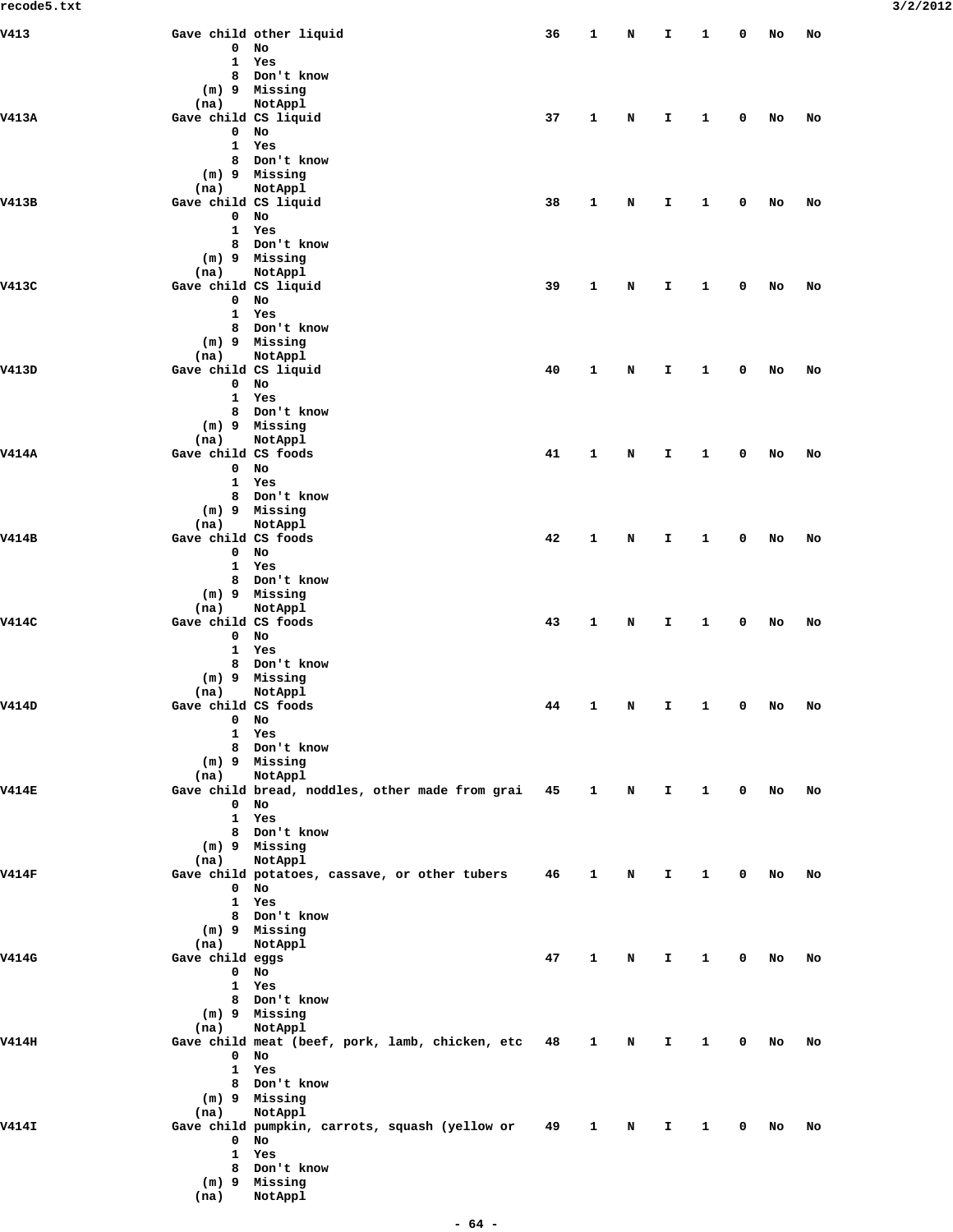| V413         |                           | Gave child other liquid                                   | 36 | $\mathbf{1}$ | N | I            | 1            | 0           | No | No |
|--------------|---------------------------|-----------------------------------------------------------|----|--------------|---|--------------|--------------|-------------|----|----|
|              | 0                         | No                                                        |    |              |   |              |              |             |    |    |
|              | 1<br>8                    | Yes<br>Don't know                                         |    |              |   |              |              |             |    |    |
|              |                           | (m) 9 Missing                                             |    |              |   |              |              |             |    |    |
|              | (na)                      | NotAppl                                                   |    |              |   |              |              |             |    |    |
| <b>V413A</b> | Gave child CS liquid      |                                                           | 37 | 1            | N | I            | 1            | 0           | No | No |
|              | 0                         | No                                                        |    |              |   |              |              |             |    |    |
|              | 1                         | Yes                                                       |    |              |   |              |              |             |    |    |
|              | 8                         | Don't know                                                |    |              |   |              |              |             |    |    |
|              | (na)                      | (m) 9 Missing<br>NotAppl                                  |    |              |   |              |              |             |    |    |
| V413B        | Gave child CS liquid      |                                                           | 38 | 1            | N | I.           | 1            | 0           | No | No |
|              | 0                         | No                                                        |    |              |   |              |              |             |    |    |
|              | $\mathbf{1}$              | Yes                                                       |    |              |   |              |              |             |    |    |
|              | 8                         | Don't know                                                |    |              |   |              |              |             |    |    |
|              |                           | (m) 9 Missing                                             |    |              |   |              |              |             |    |    |
|              | (na)                      | NotAppl                                                   |    |              |   |              |              |             |    |    |
| V413C        | Gave child CS liquid<br>0 | No                                                        | 39 | 1            | N | I            | 1            | 0           | No | No |
|              | 1                         | Yes                                                       |    |              |   |              |              |             |    |    |
|              | 8                         | Don't know                                                |    |              |   |              |              |             |    |    |
|              |                           | (m) 9 Missing                                             |    |              |   |              |              |             |    |    |
|              | (na)                      | <b>NotAppl</b>                                            |    |              |   |              |              |             |    |    |
| V413D        | Gave child CS liquid      |                                                           | 40 | 1            | N | I.           | 1            | 0           | No | No |
|              | 0                         | No                                                        |    |              |   |              |              |             |    |    |
|              | 1<br>8                    | Yes<br>Don't know                                         |    |              |   |              |              |             |    |    |
|              |                           | (m) 9 Missing                                             |    |              |   |              |              |             |    |    |
|              | (na)                      | NotAppl                                                   |    |              |   |              |              |             |    |    |
| <b>V414A</b> | Gave child CS foods       |                                                           | 41 | 1            | N | I            | 1            | 0           | No | No |
|              | 0                         | No                                                        |    |              |   |              |              |             |    |    |
|              | $\mathbf{1}$              | Yes                                                       |    |              |   |              |              |             |    |    |
|              | 8                         | Don't know                                                |    |              |   |              |              |             |    |    |
|              | (na)                      | (m) 9 Missing<br>NotAppl                                  |    |              |   |              |              |             |    |    |
| V414B        | Gave child CS foods       |                                                           | 42 | 1            | N | I.           | 1            | 0           | No | No |
|              | 0                         | No                                                        |    |              |   |              |              |             |    |    |
|              | 1                         | Yes                                                       |    |              |   |              |              |             |    |    |
|              | 8                         | Don't know                                                |    |              |   |              |              |             |    |    |
|              |                           | (m) 9 Missing                                             |    |              |   |              |              |             |    |    |
|              | (na)                      | NotAppl                                                   |    |              |   |              |              |             |    |    |
| V414C        | Gave child CS foods<br>0  | No                                                        | 43 | 1            | N | I            | 1            | 0           | No | No |
|              | $\mathbf{1}$              | Yes                                                       |    |              |   |              |              |             |    |    |
|              | 8                         | Don't know                                                |    |              |   |              |              |             |    |    |
|              |                           | (m) 9 Missing                                             |    |              |   |              |              |             |    |    |
|              | (na)                      | NotAppl                                                   |    |              |   |              |              |             |    |    |
| V414D        | Gave child CS foods       |                                                           | 44 | 1            | N | Ι.           | 1            | 0           | No | No |
|              |                           | $0$ No                                                    |    |              |   |              |              |             |    |    |
|              | 1                         | Yes                                                       |    |              |   |              |              |             |    |    |
|              |                           | 8 Don't know<br>(m) 9 Missing                             |    |              |   |              |              |             |    |    |
|              | (na)                      | NotAppl                                                   |    |              |   |              |              |             |    |    |
| <b>V414E</b> |                           | Gave child bread, noddles, other made from grai 45        |    | $\mathbf{1}$ | N | $\mathbf{I}$ | $\mathbf{1}$ | $\mathbf 0$ | No | No |
|              | $\mathbf 0$               | No                                                        |    |              |   |              |              |             |    |    |
|              | $\mathbf{1}$              | Yes                                                       |    |              |   |              |              |             |    |    |
|              |                           | 8 Don't know                                              |    |              |   |              |              |             |    |    |
|              |                           | (m) 9 Missing                                             |    |              |   |              |              |             |    |    |
| <b>V414F</b> | (na)                      | NotAppl<br>Gave child potatoes, cassave, or other tubers  | 46 | 1            | N | I.           | 1            | 0           | No | No |
|              | 0                         | No                                                        |    |              |   |              |              |             |    |    |
|              |                           | 1 Yes                                                     |    |              |   |              |              |             |    |    |
|              |                           | 8 Don't know                                              |    |              |   |              |              |             |    |    |
|              |                           | (m) 9 Missing                                             |    |              |   |              |              |             |    |    |
|              | (na)                      | NotAppl                                                   |    |              |   |              |              |             |    |    |
| V414G        | Gave child eggs           |                                                           | 47 | 1            | N | Ι.           | $\mathbf{1}$ | 0           | No | No |
|              | 0                         | No                                                        |    |              |   |              |              |             |    |    |
|              | $\mathbf{1}$              | Yes<br>8 Don't know                                       |    |              |   |              |              |             |    |    |
|              |                           | (m) 9 Missing                                             |    |              |   |              |              |             |    |    |
|              | (na)                      | NotAppl                                                   |    |              |   |              |              |             |    |    |
| <b>V414H</b> |                           | Gave child meat (beef, pork, lamb, chicken, etc           | 48 | 1            | N | I.           | 1            | 0           | No | No |
|              | 0                         | No                                                        |    |              |   |              |              |             |    |    |
|              |                           | 1 Yes                                                     |    |              |   |              |              |             |    |    |
|              |                           | 8 Don't know                                              |    |              |   |              |              |             |    |    |
|              |                           | (m) 9 Missing                                             |    |              |   |              |              |             |    |    |
| <b>V414I</b> | (na)                      | NotAppl<br>Gave child pumpkin, carrots, squash (yellow or | 49 | $\mathbf{1}$ | N | Ι.           | $\mathbf{1}$ | 0           | No | No |
|              | 0                         | No                                                        |    |              |   |              |              |             |    |    |
|              | 1                         | Yes                                                       |    |              |   |              |              |             |    |    |
|              | 8                         | Don't know                                                |    |              |   |              |              |             |    |    |
|              |                           | (m) 9 Missing                                             |    |              |   |              |              |             |    |    |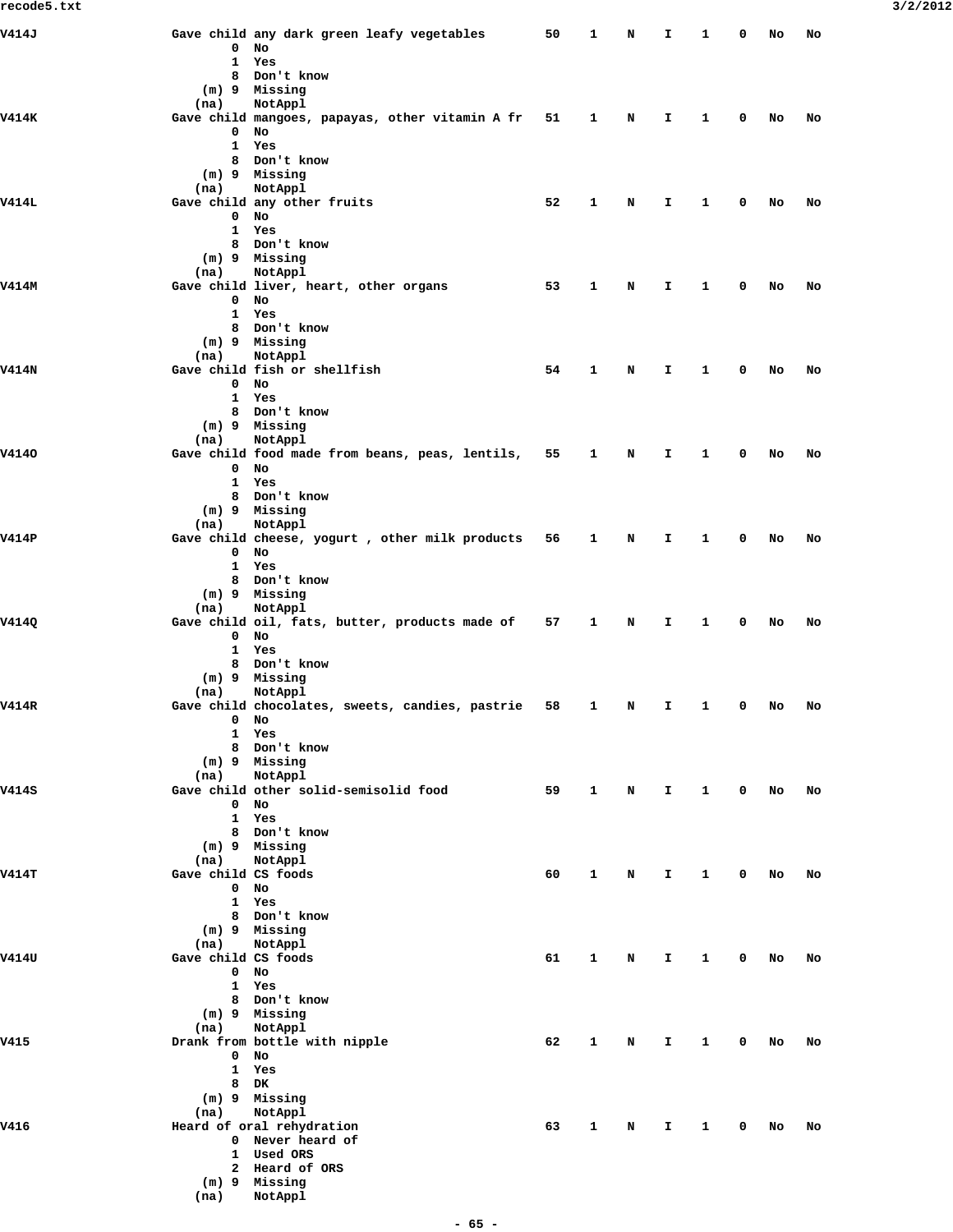| V414J        |                     | Gave child any dark green leafy vegetables      | 50 | 1            | N           | I.           | 1            | 0                       | No | No |
|--------------|---------------------|-------------------------------------------------|----|--------------|-------------|--------------|--------------|-------------------------|----|----|
|              | 0                   | No<br>1 Yes                                     |    |              |             |              |              |                         |    |    |
|              | 8                   | Don't know                                      |    |              |             |              |              |                         |    |    |
|              |                     | (m) 9 Missing                                   |    |              |             |              |              |                         |    |    |
|              | (na)                | NotAppl                                         |    |              |             |              |              |                         |    |    |
| <b>V414K</b> |                     | Gave child mangoes, papayas, other vitamin A fr | 51 | 1            | N           | I.           | 1            | 0                       | No | No |
|              | 0                   | No<br>1 Yes                                     |    |              |             |              |              |                         |    |    |
|              |                     | 8 Don't know                                    |    |              |             |              |              |                         |    |    |
|              |                     | (m) 9 Missing                                   |    |              |             |              |              |                         |    |    |
|              | (na)                | NotAppl                                         |    |              |             |              |              |                         |    |    |
| <b>V414L</b> | $\mathbf{0}$        | Gave child any other fruits<br>No               | 52 | 1            | N           | I.           | 1            | 0                       | No | No |
|              |                     | 1 Yes                                           |    |              |             |              |              |                         |    |    |
|              |                     | 8 Don't know                                    |    |              |             |              |              |                         |    |    |
|              |                     | (m) 9 Missing                                   |    |              |             |              |              |                         |    |    |
|              | (na)                | NotAppl                                         |    |              |             |              |              |                         |    |    |
| V414M        | $\mathbf{0}$        | Gave child liver, heart, other organs<br>No     | 53 | 1            | N           | I.           | 1            | 0                       | No | No |
|              |                     | 1 Yes                                           |    |              |             |              |              |                         |    |    |
|              |                     | 8 Don't know                                    |    |              |             |              |              |                         |    |    |
|              |                     | $(m)$ 9 Missing                                 |    |              |             |              |              |                         |    |    |
|              | (na)                | NotAppl                                         |    |              |             |              |              |                         |    |    |
| <b>V414N</b> |                     | Gave child fish or shellfish                    | 54 | 1            | N           | I.           | 1            | 0                       | No | No |
|              |                     | $0$ No<br>1 Yes                                 |    |              |             |              |              |                         |    |    |
|              |                     | 8 Don't know                                    |    |              |             |              |              |                         |    |    |
|              |                     | (m) 9 Missing                                   |    |              |             |              |              |                         |    |    |
|              | (na)                | NotAppl                                         |    |              |             |              |              |                         |    |    |
| V4140        |                     | Gave child food made from beans, peas, lentils, | 55 | 1            | N           | I.           | 1            | 0                       | No | No |
|              | 0                   | No<br>1 Yes                                     |    |              |             |              |              |                         |    |    |
|              |                     | 8 Don't know                                    |    |              |             |              |              |                         |    |    |
|              |                     | (m) 9 Missing                                   |    |              |             |              |              |                         |    |    |
|              | (na)                | NotAppl                                         |    |              |             |              |              |                         |    |    |
| V414P        |                     | Gave child cheese, yogurt, other milk products  | 56 | 1            | N           | I.           | 1            | 0                       | No | No |
|              | $\mathbf{0}$        | No<br>1 Yes                                     |    |              |             |              |              |                         |    |    |
|              |                     | 8 Don't know                                    |    |              |             |              |              |                         |    |    |
|              |                     | (m) 9 Missing                                   |    |              |             |              |              |                         |    |    |
|              | (na)                | NotAppl                                         |    |              |             |              |              |                         |    |    |
| V414Q        |                     | Gave child oil, fats, butter, products made of  | 57 | 1            | N           | I.           | 1            | 0                       | No | No |
|              | $\mathbf{0}$        | No<br>1 Yes                                     |    |              |             |              |              |                         |    |    |
|              |                     | 8 Don't know                                    |    |              |             |              |              |                         |    |    |
|              |                     | (m) 9 Missing                                   |    |              |             |              |              |                         |    |    |
|              | (na)                | NotAppl                                         |    |              |             |              |              |                         |    |    |
| V414R        |                     | Gave child chocolates, sweets, candies, pastrie | 58 | 1            | N           | Ι.           | 1            | 0                       | No | No |
|              |                     | $0$ No<br>1 Yes                                 |    |              |             |              |              |                         |    |    |
|              |                     | 8 Don't know                                    |    |              |             |              |              |                         |    |    |
|              |                     | (m) 9 Missing                                   |    |              |             |              |              |                         |    |    |
|              | (na)                | NotAppl                                         |    |              |             |              |              |                         |    |    |
| V414S        |                     | Gave child other solid-semisolid food           | 59 | $\mathbf{1}$ | $\mathbf N$ | $\mathbf{T}$ | $\mathbf{1}$ | $\overline{\mathbf{0}}$ | No | No |
|              |                     | $0$ No<br>1 Yes                                 |    |              |             |              |              |                         |    |    |
|              |                     | 8 Don't know                                    |    |              |             |              |              |                         |    |    |
|              |                     | $(m)$ 9 Missing                                 |    |              |             |              |              |                         |    |    |
|              | (na)                | NotAppl                                         |    |              |             |              |              |                         |    |    |
| V414T        | Gave child CS foods |                                                 | 60 | $\mathbf{1}$ | N           | I.           | 1            | 0                       | No | No |
|              |                     | $0$ No<br>1 Yes                                 |    |              |             |              |              |                         |    |    |
|              |                     | 8 Don't know                                    |    |              |             |              |              |                         |    |    |
|              |                     | (m) 9 Missing                                   |    |              |             |              |              |                         |    |    |
|              | (na)                | NotAppl                                         |    |              |             |              |              |                         |    |    |
| V414U        | Gave child CS foods |                                                 | 61 | $\mathbf{1}$ | N           | $\mathbf{I}$ | $\mathbf{1}$ | $\mathbf 0$             | No | No |
|              |                     | $0$ No<br>1 Yes                                 |    |              |             |              |              |                         |    |    |
|              |                     | 8 Don't know                                    |    |              |             |              |              |                         |    |    |
|              |                     | $(m)$ 9 Missing                                 |    |              |             |              |              |                         |    |    |
|              | (na)                | NotAppl                                         |    |              |             |              |              |                         |    |    |
| V415         |                     | Drank from bottle with nipple                   | 62 | $\mathbf{1}$ | N           | I.           | 1            | 0                       | No | No |
|              | $\mathbf{0}$        | No<br>1 Yes                                     |    |              |             |              |              |                         |    |    |
|              | 8                   | DK                                              |    |              |             |              |              |                         |    |    |
|              |                     | (m) 9 Missing                                   |    |              |             |              |              |                         |    |    |
|              | (na)                | NotAppl                                         |    |              |             |              |              |                         |    |    |
| V416         |                     | Heard of oral rehydration                       | 63 | $\mathbf{1}$ | N           | $\mathbf{I}$ | $\mathbf{1}$ | $\mathbf 0$             | No | No |
|              |                     | 0 Never heard of                                |    |              |             |              |              |                         |    |    |
|              |                     | 1 Used ORS<br>2 Heard of ORS                    |    |              |             |              |              |                         |    |    |
|              |                     | (m) 9 Missing                                   |    |              |             |              |              |                         |    |    |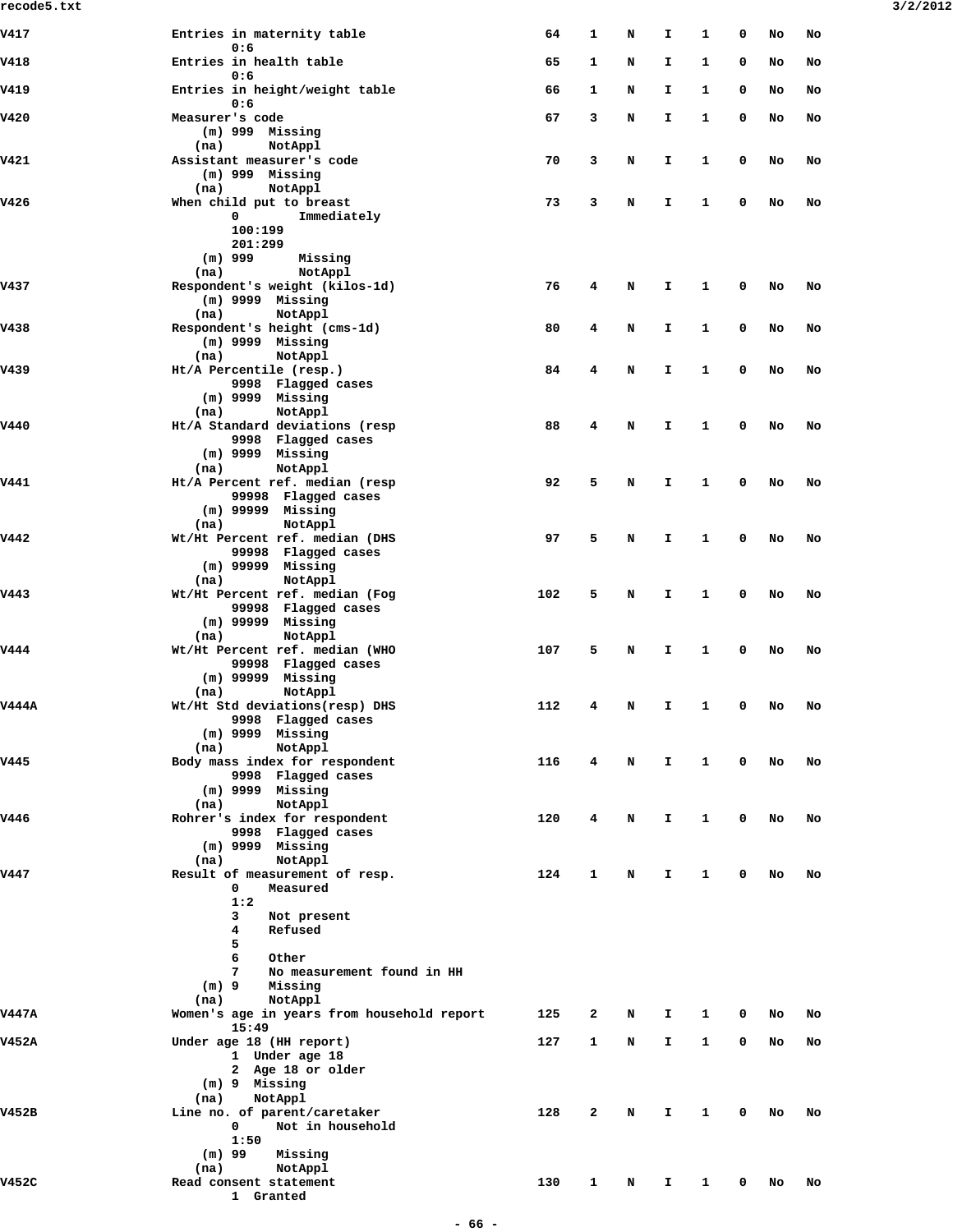| V417         | Entries in maternity table                            | 64  | 1 | N | I. | 1 | 0           | No | No |
|--------------|-------------------------------------------------------|-----|---|---|----|---|-------------|----|----|
| V418         | 0:6<br>Entries in health table                        | 65  | 1 | N | I  | 1 | 0           | No | No |
| V419         | 0:6<br>Entries in height/weight table                 | 66  | 1 | N | I  | 1 | 0           | No | No |
| V420         | 0:6<br>Measurer's code                                | 67  | 3 | N | I  | 1 | 0           | No | No |
|              | $(m)$ 999 Missing<br>NotAppl<br>(na)                  |     |   |   |    |   |             |    |    |
| V421         | Assistant measurer's code<br>$(m)$ 999 Missing        | 70  | 3 | N | I  | 1 | 0           | No | No |
| V426         | NotAppl<br>(na)<br>When child put to breast           | 73  | 3 | N | I  | 1 | 0           | No | No |
|              | 0<br>Immediately<br>100:199                           |     |   |   |    |   |             |    |    |
|              | 201:299<br>$(m)$ 999<br>Missing                       |     |   |   |    |   |             |    |    |
|              | NotAppl<br>(na)                                       |     |   |   |    |   |             |    |    |
| V437         | Respondent's weight (kilos-1d)<br>$(m)$ 9999 Missing  | 76  | 4 | N | I  | 1 | 0           | No | No |
|              | NotAppl<br>(na)                                       |     |   |   |    |   |             |    |    |
| V438         | Respondent's height (cms-1d)<br>$(m)$ 9999 Missing    | 80  | 4 | N | I  | 1 | 0           | No | No |
|              | NotAppl<br>(na)                                       |     |   |   |    |   |             |    |    |
| <b>V439</b>  | Ht/A Percentile (resp.)                               | 84  | 4 | N | I. | 1 | 0           | No | No |
|              | 9998 Flagged cases                                    |     |   |   |    |   |             |    |    |
|              | $(m)$ 9999 Missing<br>NotAppl<br>(na)                 |     |   |   |    |   |             |    |    |
| V440         | Ht/A Standard deviations (resp                        | 88  | 4 | N | I. | 1 | 0           | No | No |
|              | 9998 Flagged cases                                    |     |   |   |    |   |             |    |    |
|              | $(m)$ 9999 Missing                                    |     |   |   |    |   |             |    |    |
| V441         | NotAppl<br>(na)<br>Ht/A Percent ref. median (resp     | 92  | 5 | N | I. | 1 | 0           | No | No |
|              | 99998 Flagged cases                                   |     |   |   |    |   |             |    |    |
|              | $(m)$ 99999 Missing                                   |     |   |   |    |   |             |    |    |
|              | NotAppl<br>(na)                                       |     |   |   |    |   |             |    |    |
| V442         | Wt/Ht Percent ref. median (DHS<br>99998 Flagged cases | 97  | 5 | N | I  | 1 | 0           | No | No |
|              | $(m)$ 99999 Missing                                   |     |   |   |    |   |             |    |    |
|              | NotAppl<br>(na)                                       |     |   |   |    |   |             |    |    |
| V443         | Wt/Ht Percent ref. median (Fog<br>99998 Flagged cases | 102 | 5 | N | I. | 1 | 0           | No | No |
|              | $(m)$ 99999 Missing                                   |     |   |   |    |   |             |    |    |
|              | NotAppl<br>(na)                                       |     |   |   |    |   |             |    |    |
| V444         | Wt/Ht Percent ref. median (WHO                        | 107 | 5 | N | I  | 1 | 0           | No | No |
|              | 99998 Flagged cases<br>$(m)$ 99999 Missing            |     |   |   |    |   |             |    |    |
|              | (na)<br>NotAppl                                       |     |   |   |    |   |             |    |    |
| <b>V444A</b> | Wt/Ht Std deviations(resp) DHS                        | 112 | 4 | N | I  | 1 | 0           | No | No |
|              | 9998 Flagged cases<br>$(m)$ 9999 Missing              |     |   |   |    |   |             |    |    |
|              | NotAppl<br>(na)                                       |     |   |   |    |   |             |    |    |
| <b>V445</b>  | Body mass index for respondent                        | 116 | 4 | N | I. | 1 | 0           | No | No |
|              | 9998 Flagged cases                                    |     |   |   |    |   |             |    |    |
|              | $(m)$ 9999 Missing<br>NotAppl<br>(na)                 |     |   |   |    |   |             |    |    |
| V446         | Rohrer's index for respondent                         | 120 | 4 | N | I. | 1 | $\mathbf 0$ | No | No |
|              | 9998 Flagged cases                                    |     |   |   |    |   |             |    |    |
|              | $(m)$ 9999 Missing<br>NotAppl<br>(na)                 |     |   |   |    |   |             |    |    |
| V447         | Result of measurement of resp.                        | 124 | 1 | N | I. | 1 | 0           | No | No |
|              | 0<br>Measured                                         |     |   |   |    |   |             |    |    |
|              | 1:2                                                   |     |   |   |    |   |             |    |    |
|              | 3<br>Not present<br>Refused<br>4                      |     |   |   |    |   |             |    |    |
|              | 5                                                     |     |   |   |    |   |             |    |    |
|              | 6<br>Other                                            |     |   |   |    |   |             |    |    |
|              | 7<br>No measurement found in HH                       |     |   |   |    |   |             |    |    |
|              | $(m)$ 9<br>Missing<br>NotAppl<br>(na)                 |     |   |   |    |   |             |    |    |
| <b>V447A</b> | Women's age in years from household report            | 125 | 2 | N | I  | 1 | 0           | No | No |
| V452A        | 15:49<br>Under age 18 (HH report)                     | 127 | 1 | N | I. | 1 | 0           | No | No |
|              | 1 Under age 18                                        |     |   |   |    |   |             |    |    |
|              | 2 Age 18 or older                                     |     |   |   |    |   |             |    |    |
|              | (m) 9 Missing                                         |     |   |   |    |   |             |    |    |
| V452B        | NotAppl<br>(na)<br>Line no. of parent/caretaker       | 128 | 2 | N | I. | 1 | 0           | No | No |
|              | Not in household<br>$\mathbf 0$                       |     |   |   |    |   |             |    |    |
|              | 1:50                                                  |     |   |   |    |   |             |    |    |
|              | $(m)$ 99<br>Missing<br>NotAppl                        |     |   |   |    |   |             |    |    |
| V452C        | (na)<br>Read consent statement                        | 130 | 1 | N | I. | 1 | 0           | No | No |
|              | 1 Granted                                             |     |   |   |    |   |             |    |    |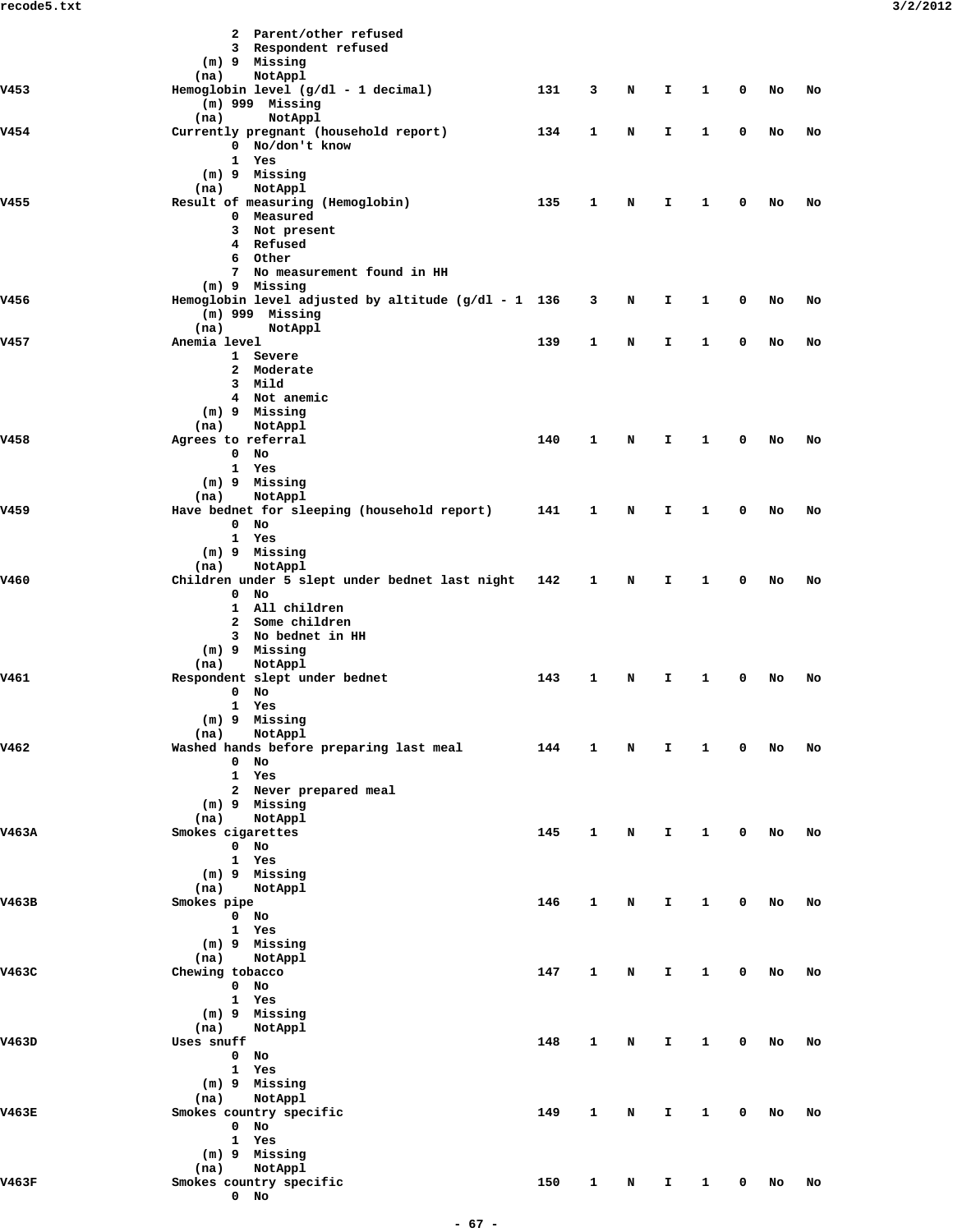|       | 2 Parent/other refused                                            |     |   |   |    |              |             |    |    |
|-------|-------------------------------------------------------------------|-----|---|---|----|--------------|-------------|----|----|
|       | 3 Respondent refused                                              |     |   |   |    |              |             |    |    |
|       | (m) 9 Missing                                                     |     |   |   |    |              |             |    |    |
|       | (na)<br>NotAppl                                                   |     |   |   |    |              |             |    |    |
| V453  | Hemoglobin level $(g/dl - 1$ decimal)                             | 131 | 3 | N | I. | $\mathbf{1}$ | 0           | No | No |
|       | $(m)$ 999 Missing                                                 |     |   |   |    |              |             |    |    |
|       | (na)<br>NotAppl                                                   |     |   |   |    |              |             |    |    |
| v454  | Currently pregnant (household report)<br>0 No/don't know          | 134 | 1 | N | I. | $\mathbf{1}$ | 0           | No | No |
|       | 1 Yes                                                             |     |   |   |    |              |             |    |    |
|       | (m) 9 Missing                                                     |     |   |   |    |              |             |    |    |
|       | (na)<br>NotAppl                                                   |     |   |   |    |              |             |    |    |
| V455  | Result of measuring (Hemoglobin)                                  | 135 | 1 | N | I. | $\mathbf{1}$ | 0           | No | No |
|       | 0 Measured                                                        |     |   |   |    |              |             |    |    |
|       | 3 Not present                                                     |     |   |   |    |              |             |    |    |
|       | 4 Refused<br>6 Other                                              |     |   |   |    |              |             |    |    |
|       | 7 No measurement found in HH                                      |     |   |   |    |              |             |    |    |
|       | (m) 9 Missing                                                     |     |   |   |    |              |             |    |    |
| V456  | Hemoglobin level adjusted by altitude $(g/dl - 1 136$             |     | 3 | N | I  | 1            | 0           | No | No |
|       | $(m)$ 999 Missing                                                 |     |   |   |    |              |             |    |    |
|       | (na)<br>NotAppl                                                   |     |   |   |    |              |             |    |    |
| v457  | Anemia level                                                      | 139 | 1 | N | I. | $\mathbf{1}$ | 0           | No | No |
|       | 1 Severe<br>2 Moderate                                            |     |   |   |    |              |             |    |    |
|       | 3 Mild                                                            |     |   |   |    |              |             |    |    |
|       | 4 Not anemic                                                      |     |   |   |    |              |             |    |    |
|       | (m) 9 Missing                                                     |     |   |   |    |              |             |    |    |
|       | NotAppl<br>(na)                                                   |     |   |   |    |              |             |    |    |
| V458  | Agrees to referral                                                | 140 | 1 | N | I. | 1            | 0           | No | No |
|       | $0$ No                                                            |     |   |   |    |              |             |    |    |
|       | 1 Yes<br>(m) 9 Missing                                            |     |   |   |    |              |             |    |    |
|       | (na)<br>NotAppl                                                   |     |   |   |    |              |             |    |    |
| V459  | Have bednet for sleeping (household report)                       | 141 | 1 | N | I. | $\mathbf{1}$ | 0           | No | No |
|       | $0$ No                                                            |     |   |   |    |              |             |    |    |
|       | 1 Yes                                                             |     |   |   |    |              |             |    |    |
|       | (m) 9 Missing                                                     |     |   |   |    |              |             |    |    |
| V460  | NotAppl<br>(na)<br>Children under 5 slept under bednet last night |     | 1 | N | I. | 1            | 0           |    | No |
|       | $0$ No                                                            | 142 |   |   |    |              |             | No |    |
|       | 1 All children                                                    |     |   |   |    |              |             |    |    |
|       | 2 Some children                                                   |     |   |   |    |              |             |    |    |
|       | 3 No bednet in HH                                                 |     |   |   |    |              |             |    |    |
|       | (m) 9 Missing                                                     |     |   |   |    |              |             |    |    |
|       | (na)<br>NotAppl                                                   |     |   |   |    |              |             |    |    |
| V461  | Respondent slept under bednet<br>$0$ No                           | 143 | 1 | N | I  | 1            | 0           | No | No |
|       | 1 Yes                                                             |     |   |   |    |              |             |    |    |
|       | $(m)$ 9 Missing                                                   |     |   |   |    |              |             |    |    |
|       | NotAppl<br>(na)                                                   |     |   |   |    |              |             |    |    |
| V462  | Washed hands before preparing last meal                           | 144 | 1 | N | I. | $\mathbf{1}$ | $\mathbf 0$ | No | No |
|       | $0$ No                                                            |     |   |   |    |              |             |    |    |
|       | 1 Yes<br>2 Never prepared meal                                    |     |   |   |    |              |             |    |    |
|       | (m) 9 Missing                                                     |     |   |   |    |              |             |    |    |
|       | NotAppl<br>(na)                                                   |     |   |   |    |              |             |    |    |
| V463A | Smokes cigarettes                                                 | 145 | 1 | N | I. | $\mathbf{1}$ | 0           | No | No |
|       | $0$ No                                                            |     |   |   |    |              |             |    |    |
|       | 1 Yes                                                             |     |   |   |    |              |             |    |    |
|       | (m) 9 Missing                                                     |     |   |   |    |              |             |    |    |
| V463B | (na)<br>NotAppl<br>Smokes pipe                                    | 146 | 1 | N | I. | $\mathbf{1}$ | 0           | No | No |
|       | $0$ No                                                            |     |   |   |    |              |             |    |    |
|       | 1 Yes                                                             |     |   |   |    |              |             |    |    |
|       | (m) 9 Missing                                                     |     |   |   |    |              |             |    |    |
|       | (na)<br>NotAppl                                                   |     |   |   |    |              |             |    |    |
| V463C | Chewing tobacco                                                   | 147 | 1 | N | I. | $\mathbf{1}$ | $\mathbf 0$ | No | No |
|       | $0$ No                                                            |     |   |   |    |              |             |    |    |
|       | 1 Yes<br>(m) 9 Missing                                            |     |   |   |    |              |             |    |    |
|       | (na)<br>NotAppl                                                   |     |   |   |    |              |             |    |    |
| V463D | Uses snuff                                                        | 148 | 1 | N | I  | $\mathbf{1}$ | 0           | No | No |
|       | $0$ No                                                            |     |   |   |    |              |             |    |    |
|       | 1 Yes                                                             |     |   |   |    |              |             |    |    |
|       | (m) 9 Missing                                                     |     |   |   |    |              |             |    |    |
|       | NotAppl<br>(na)                                                   |     |   |   |    |              |             |    |    |
| V463E | Smokes country specific<br>$0$ No                                 | 149 | 1 | N | I. | $\mathbf{1}$ | 0           | No | No |
|       | 1 Yes                                                             |     |   |   |    |              |             |    |    |
|       | (m) 9 Missing                                                     |     |   |   |    |              |             |    |    |
|       | (na) NotAppl                                                      |     |   |   |    |              |             |    |    |
| V463F | Smokes country specific                                           | 150 | 1 | N | I. | $\mathbf{1}$ | 0           | No | No |
|       | $0$ No                                                            |     |   |   |    |              |             |    |    |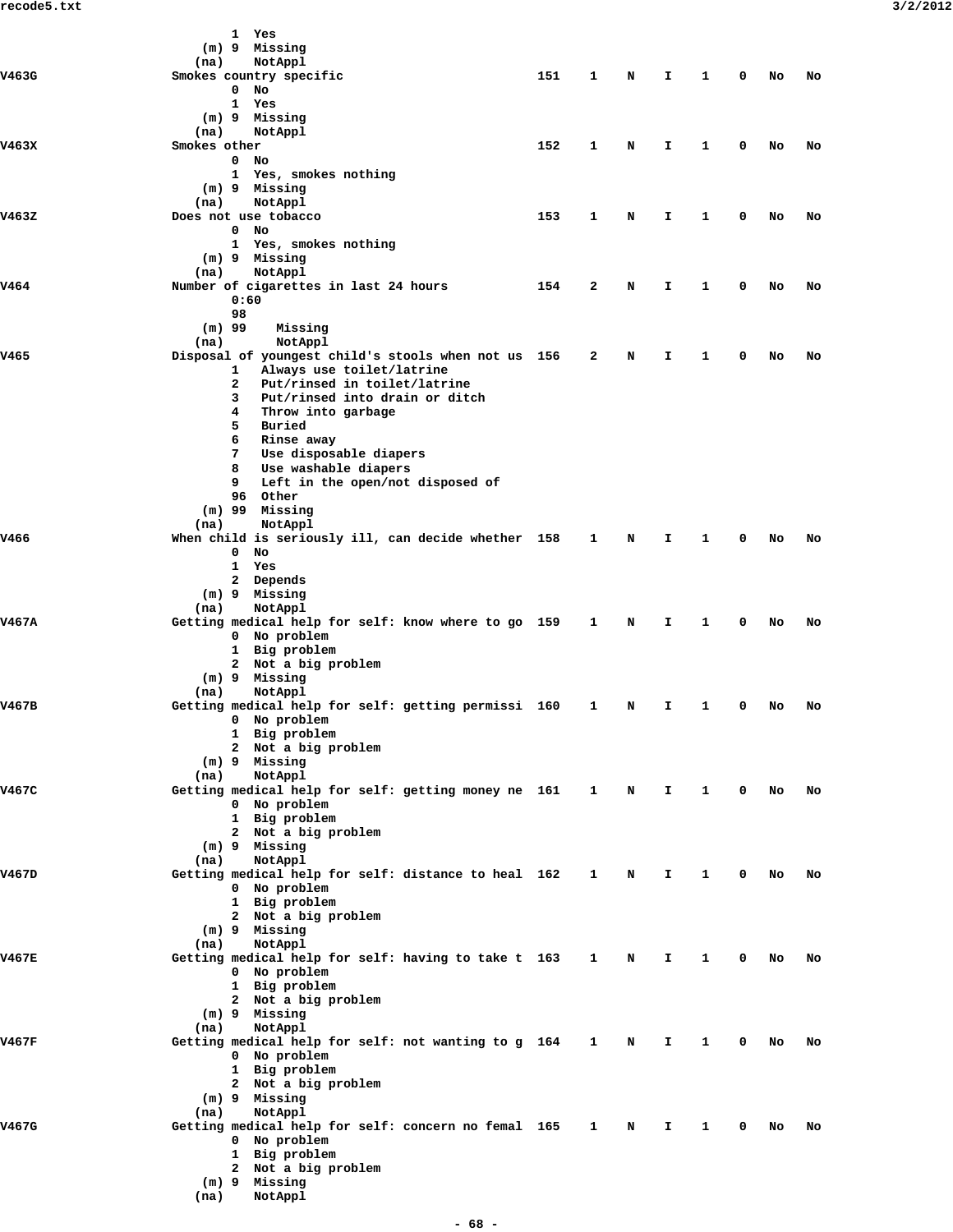|       |              | 1 Yes                                                               |     |              |   |    |   |             |    |    |  |
|-------|--------------|---------------------------------------------------------------------|-----|--------------|---|----|---|-------------|----|----|--|
|       |              | (m) 9 Missing                                                       |     |              |   |    |   |             |    |    |  |
|       | (na)         | NotAppl                                                             |     |              |   |    |   |             |    |    |  |
| V463G |              | Smokes country specific<br>No<br>0                                  | 151 | 1            | N | I. | 1 | 0           | No | No |  |
|       |              | 1<br>Yes                                                            |     |              |   |    |   |             |    |    |  |
|       |              | (m) 9 Missing                                                       |     |              |   |    |   |             |    |    |  |
|       | (na)         | NotAppl                                                             |     |              |   |    |   |             |    |    |  |
| V463X | Smokes other |                                                                     | 152 | 1            | N | I. | 1 | 0           | No | No |  |
|       |              | No<br>$\mathbf{0}$<br>1 Yes, smokes nothing                         |     |              |   |    |   |             |    |    |  |
|       |              | (m) 9 Missing                                                       |     |              |   |    |   |             |    |    |  |
|       | (na)         | NotAppl                                                             |     |              |   |    |   |             |    |    |  |
| V463Z |              | Does not use tobacco                                                | 153 | 1            | N | I. | 1 | 0           | No | No |  |
|       |              | $\mathbf 0$<br>No<br>1 Yes, smokes nothing                          |     |              |   |    |   |             |    |    |  |
|       |              | (m) 9 Missing                                                       |     |              |   |    |   |             |    |    |  |
|       | (na)         | NotAppl                                                             |     |              |   |    |   |             |    |    |  |
| V464  |              | Number of cigarettes in last 24 hours                               | 154 | 2            | N | I. | 1 | 0           | No | No |  |
|       |              | 0:60                                                                |     |              |   |    |   |             |    |    |  |
|       | $(m)$ 99     | 98<br>Missing                                                       |     |              |   |    |   |             |    |    |  |
|       | (na)         | NotAppl                                                             |     |              |   |    |   |             |    |    |  |
| V465  |              | Disposal of youngest child's stools when not us 156                 |     | 2            | N | I. | 1 | 0           | No | No |  |
|       |              | Always use toilet/latrine<br>1                                      |     |              |   |    |   |             |    |    |  |
|       |              | $\mathbf{2}$<br>Put/rinsed in toilet/latrine<br>3                   |     |              |   |    |   |             |    |    |  |
|       |              | Put/rinsed into drain or ditch<br>4<br>Throw into garbage           |     |              |   |    |   |             |    |    |  |
|       |              | 5<br>Buried                                                         |     |              |   |    |   |             |    |    |  |
|       |              | 6<br>Rinse away                                                     |     |              |   |    |   |             |    |    |  |
|       |              | 7<br>Use disposable diapers                                         |     |              |   |    |   |             |    |    |  |
|       |              | 8<br>Use washable diapers<br>9                                      |     |              |   |    |   |             |    |    |  |
|       |              | Left in the open/not disposed of<br>96 Other                        |     |              |   |    |   |             |    |    |  |
|       |              | $(m)$ 99 Missing                                                    |     |              |   |    |   |             |    |    |  |
|       | (na)         | NotAppl                                                             |     |              |   |    |   |             |    |    |  |
| V466  |              | When child is seriously ill, can decide whether 158                 |     | 1            | N | I. | 1 | 0           | No | No |  |
|       |              | $\mathbf 0$<br>No<br>1 Yes                                          |     |              |   |    |   |             |    |    |  |
|       |              | 2 Depends                                                           |     |              |   |    |   |             |    |    |  |
|       |              | (m) 9 Missing                                                       |     |              |   |    |   |             |    |    |  |
|       | (na)         | NotAppl                                                             |     |              |   |    |   |             |    |    |  |
| V467A |              | Getting medical help for self: know where to go 159<br>0 No problem |     | $\mathbf{1}$ | N | Ι. | 1 | 0           | No | No |  |
|       |              | 1 Big problem                                                       |     |              |   |    |   |             |    |    |  |
|       |              | 2 Not a big problem                                                 |     |              |   |    |   |             |    |    |  |
|       |              | (m) 9 Missing                                                       |     |              |   |    |   |             |    |    |  |
| V467B | (na)         | NotAppl<br>Getting medical help for self: getting permissi 160      |     | 1            | N | Ι. | 1 | 0           | No | No |  |
|       |              | 0 No problem                                                        |     |              |   |    |   |             |    |    |  |
|       |              | 1 Big problem                                                       |     |              |   |    |   |             |    |    |  |
|       |              | 2 Not a big problem                                                 |     |              |   |    |   |             |    |    |  |
|       | (na)         | (m) 9 Missing<br>NotAppl                                            |     |              |   |    |   |             |    |    |  |
| V467C |              | Getting medical help for self: getting money ne 161 1               |     |              | N | Ι. | 1 | $\mathbf 0$ | No | No |  |
|       |              | 0 No problem                                                        |     |              |   |    |   |             |    |    |  |
|       |              | 1 Big problem                                                       |     |              |   |    |   |             |    |    |  |
|       |              | 2 Not a big problem                                                 |     |              |   |    |   |             |    |    |  |
|       | (na)         | (m) 9 Missing<br>NotAppl                                            |     |              |   |    |   |             |    |    |  |
| V467D |              | Getting medical help for self: distance to heal 162                 |     | $\mathbf{1}$ | N | I. | 1 | 0           | No | No |  |
|       |              | 0 No problem                                                        |     |              |   |    |   |             |    |    |  |
|       |              | 1 Big problem                                                       |     |              |   |    |   |             |    |    |  |
|       |              | 2 Not a big problem                                                 |     |              |   |    |   |             |    |    |  |
|       | (na)         | (m) 9 Missing<br>NotAppl                                            |     |              |   |    |   |             |    |    |  |
| V467E |              | Getting medical help for self: having to take t 163                 |     | $\mathbf{1}$ | N | Ι. | 1 | 0           | No | No |  |
|       |              | 0 No problem                                                        |     |              |   |    |   |             |    |    |  |
|       |              | 1 Big problem                                                       |     |              |   |    |   |             |    |    |  |
|       |              | 2 Not a big problem                                                 |     |              |   |    |   |             |    |    |  |
|       | (na)         | (m) 9 Missing<br>NotAppl                                            |     |              |   |    |   |             |    |    |  |
| V467F |              | Getting medical help for self: not wanting to g 164 1               |     |              | N | I. | 1 | 0           | No | No |  |
|       |              | 0 No problem                                                        |     |              |   |    |   |             |    |    |  |
|       |              | 1 Big problem                                                       |     |              |   |    |   |             |    |    |  |
|       |              | 2 Not a big problem<br>(m) 9 Missing                                |     |              |   |    |   |             |    |    |  |
|       | (na)         | NotAppl                                                             |     |              |   |    |   |             |    |    |  |
| V467G |              | Getting medical help for self: concern no femal 165                 |     | $\mathbf{1}$ | N | I. | 1 | 0           | No | No |  |
|       |              | 0 No problem                                                        |     |              |   |    |   |             |    |    |  |
|       |              | 1 Big problem<br>2 Not a big problem                                |     |              |   |    |   |             |    |    |  |
|       |              | (m) 9 Missing                                                       |     |              |   |    |   |             |    |    |  |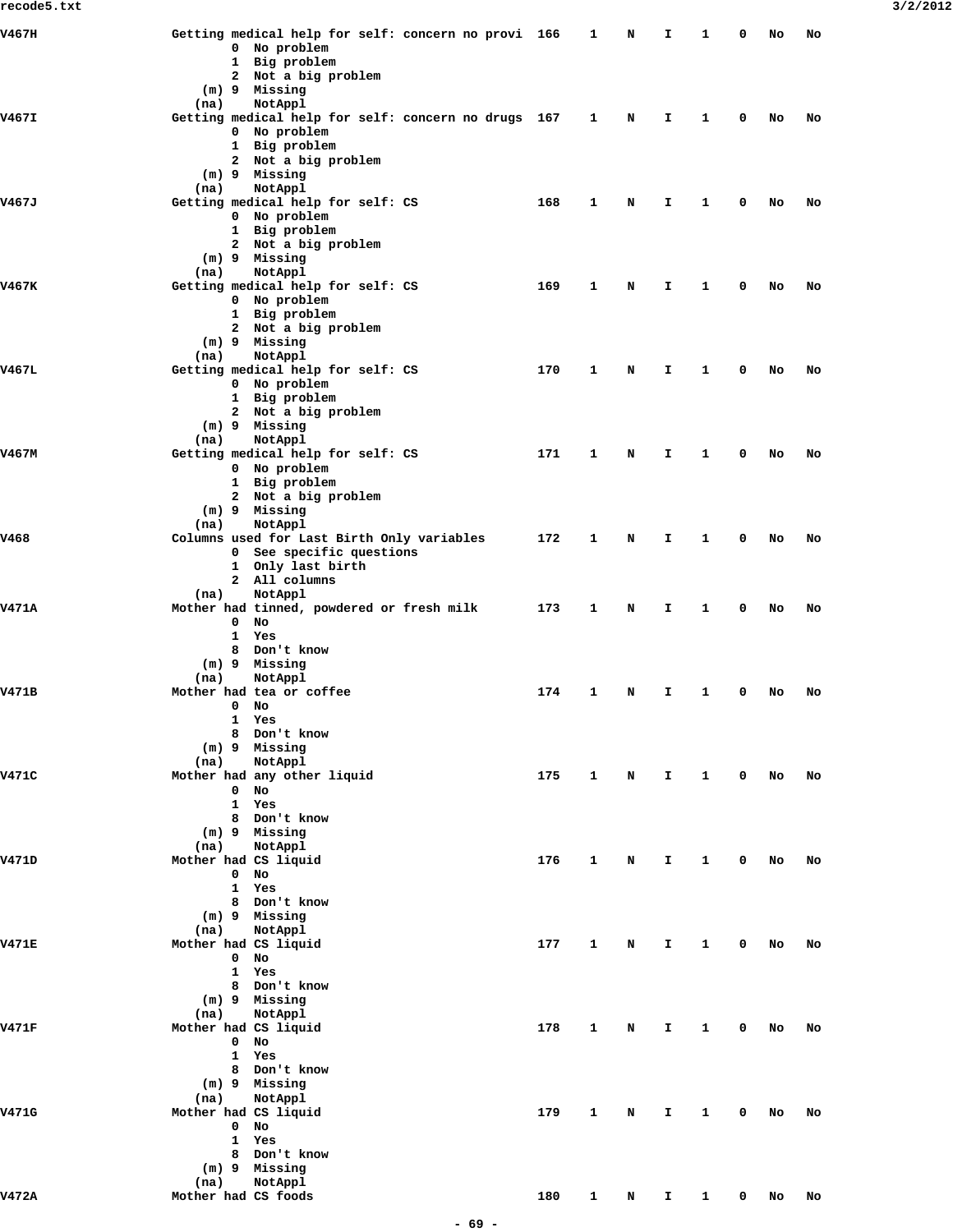| V467H        |                              | Getting medical help for self: concern no provi 166                 |     | 1            | N | I.           | 1            | 0           | No | No |
|--------------|------------------------------|---------------------------------------------------------------------|-----|--------------|---|--------------|--------------|-------------|----|----|
|              |                              | 0 No problem<br>1 Big problem                                       |     |              |   |              |              |             |    |    |
|              |                              | 2 Not a big problem                                                 |     |              |   |              |              |             |    |    |
|              |                              | (m) 9 Missing                                                       |     |              |   |              |              |             |    |    |
|              | (na)                         | NotAppl                                                             |     |              |   |              |              |             |    |    |
| V467I        |                              | Getting medical help for self: concern no drugs 167<br>0 No problem |     | $\mathbf{1}$ | N | I.           | 1            | 0           | No | No |
|              |                              | 1 Big problem                                                       |     |              |   |              |              |             |    |    |
|              |                              | 2 Not a big problem                                                 |     |              |   |              |              |             |    |    |
|              |                              | (m) 9 Missing                                                       |     |              |   |              |              |             |    |    |
| V467J        | (na)                         | NotAppl<br>Getting medical help for self: CS                        | 168 | 1            | N | Ι.           | 1            | 0           | No | No |
|              |                              | 0 No problem                                                        |     |              |   |              |              |             |    |    |
|              |                              | 1 Big problem                                                       |     |              |   |              |              |             |    |    |
|              |                              | 2 Not a big problem<br>(m) 9 Missing                                |     |              |   |              |              |             |    |    |
|              | (na)                         | NotAppl                                                             |     |              |   |              |              |             |    |    |
| V467K        |                              | Getting medical help for self: CS                                   | 169 | 1            | N | I.           | 1            | 0           | No | No |
|              |                              | 0 No problem                                                        |     |              |   |              |              |             |    |    |
|              |                              | 1 Big problem<br>2 Not a big problem                                |     |              |   |              |              |             |    |    |
|              |                              | (m) 9 Missing                                                       |     |              |   |              |              |             |    |    |
|              | (na)                         | NotAppl                                                             |     |              |   |              |              |             |    |    |
| V467L        |                              | Getting medical help for self: CS                                   | 170 | 1            | N | I.           | 1            | 0           | No | No |
|              |                              | 0 No problem<br>1 Big problem                                       |     |              |   |              |              |             |    |    |
|              |                              | 2 Not a big problem                                                 |     |              |   |              |              |             |    |    |
|              |                              | (m) 9 Missing                                                       |     |              |   |              |              |             |    |    |
| V467M        | (na)                         | NotAppl                                                             |     |              |   |              |              |             |    |    |
|              |                              | Getting medical help for self: CS<br>0 No problem                   | 171 | 1            | N | I.           | 1            | 0           | No | No |
|              |                              | 1 Big problem                                                       |     |              |   |              |              |             |    |    |
|              |                              | 2 Not a big problem                                                 |     |              |   |              |              |             |    |    |
|              | (na)                         | (m) 9 Missing<br>NotAppl                                            |     |              |   |              |              |             |    |    |
| V468         |                              | Columns used for Last Birth Only variables                          | 172 | 1            | N | I.           | 1            | 0           | No | No |
|              |                              | 0 See specific questions                                            |     |              |   |              |              |             |    |    |
|              |                              | 1 Only last birth                                                   |     |              |   |              |              |             |    |    |
|              | (na)                         | 2 All columns<br>NotAppl                                            |     |              |   |              |              |             |    |    |
| V471A        |                              | Mother had tinned, powdered or fresh milk                           | 173 | 1            | N | I.           | 1            | 0           | No | No |
|              |                              | $0$ No                                                              |     |              |   |              |              |             |    |    |
|              |                              | 1 Yes                                                               |     |              |   |              |              |             |    |    |
|              |                              | 8 Don't know<br>(m) 9 Missing                                       |     |              |   |              |              |             |    |    |
|              | (na)                         | NotAppl                                                             |     |              |   |              |              |             |    |    |
| V471B        |                              | Mother had tea or coffee                                            | 174 | 1            | N | Ι.           | 1            | 0           | No | No |
|              |                              | $0$ No<br>1 Yes                                                     |     |              |   |              |              |             |    |    |
|              |                              | 8 Don't know                                                        |     |              |   |              |              |             |    |    |
|              |                              | $(m)$ 9 Missing                                                     |     |              |   |              |              |             |    |    |
|              | (na)                         | NotAppl                                                             |     |              |   |              |              |             |    |    |
| V471C        |                              | Mother had any other liquid<br>$0$ No                               | 175 | 1            | N | Ι.           | $\mathbf{1}$ | $\mathbf 0$ | No | No |
|              |                              | 1 Yes                                                               |     |              |   |              |              |             |    |    |
|              |                              | 8 Don't know                                                        |     |              |   |              |              |             |    |    |
|              |                              | (m) 9 Missing                                                       |     |              |   |              |              |             |    |    |
| V471D        | (na)<br>Mother had CS liquid | NotAppl                                                             | 176 | 1            | N | I.           | 1            | 0           | No | No |
|              |                              | $0$ No                                                              |     |              |   |              |              |             |    |    |
|              |                              | 1 Yes                                                               |     |              |   |              |              |             |    |    |
|              |                              | 8 Don't know<br>(m) 9 Missing                                       |     |              |   |              |              |             |    |    |
|              | (na)                         | NotAppl                                                             |     |              |   |              |              |             |    |    |
| <b>V471E</b> | Mother had CS liquid         |                                                                     | 177 | 1            | N | I.           | 1            | 0           | No | No |
|              |                              | $0$ No                                                              |     |              |   |              |              |             |    |    |
|              |                              | 1 Yes<br>8 Don't know                                               |     |              |   |              |              |             |    |    |
|              |                              | (m) 9 Missing                                                       |     |              |   |              |              |             |    |    |
|              | (na)                         | NotAppl                                                             |     |              |   |              |              |             |    |    |
| V471F        | Mother had CS liquid         |                                                                     | 178 | 1            | N | $\mathbf{I}$ | 1            | 0           | No | No |
|              |                              | $0$ No<br>1 Yes                                                     |     |              |   |              |              |             |    |    |
|              |                              | 8 Don't know                                                        |     |              |   |              |              |             |    |    |
|              |                              | (m) 9 Missing                                                       |     |              |   |              |              |             |    |    |
|              | (na)                         | NotAppl                                                             |     |              |   |              |              |             |    |    |
| V471G        | Mother had CS liquid         | $0$ No                                                              | 179 | 1            | N | I.           | 1            | 0           | No | No |
|              |                              | 1 Yes                                                               |     |              |   |              |              |             |    |    |
|              |                              | 8 Don't know                                                        |     |              |   |              |              |             |    |    |
|              |                              | (m) 9 Missing                                                       |     |              |   |              |              |             |    |    |
| V472A        | (na)<br>Mother had CS foods  | NotAppl                                                             | 180 | 1            | N | I.           | 1            | 0           | No | No |
|              |                              |                                                                     |     |              |   |              |              |             |    |    |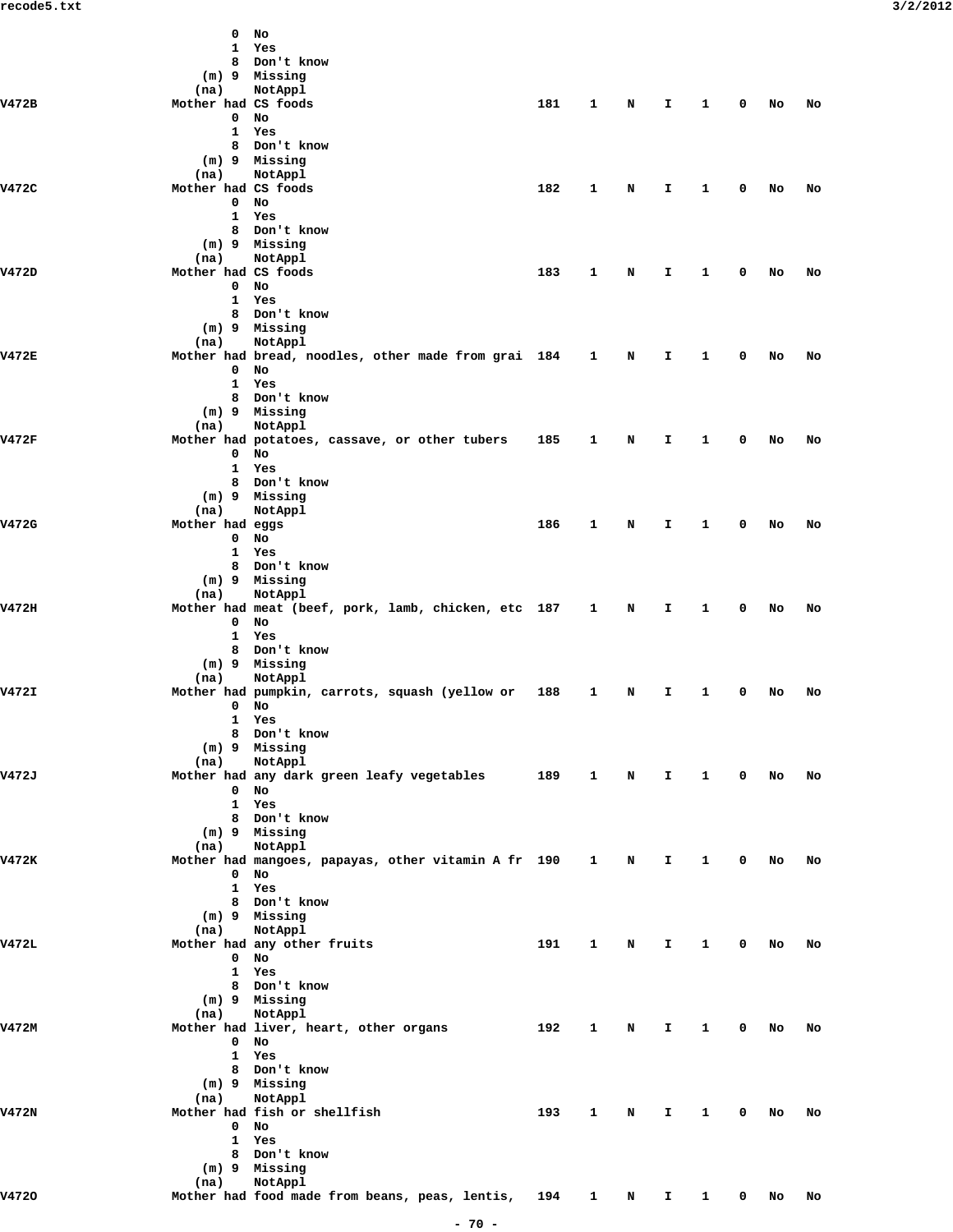|       | 0                   | No                                                                 |     |              |   |              |              |              |    |    |  |
|-------|---------------------|--------------------------------------------------------------------|-----|--------------|---|--------------|--------------|--------------|----|----|--|
|       | 1                   | Yes                                                                |     |              |   |              |              |              |    |    |  |
|       | 8                   | Don't know                                                         |     |              |   |              |              |              |    |    |  |
|       |                     | (m) 9 Missing                                                      |     |              |   |              |              |              |    |    |  |
|       | (na)                | NotAppl                                                            |     |              |   |              |              |              |    |    |  |
| V472B | Mother had CS foods |                                                                    | 181 | 1            | N | I.           | $\mathbf{1}$ | $\mathbf 0$  | No | No |  |
|       | $\mathbf{0}$        | No                                                                 |     |              |   |              |              |              |    |    |  |
|       |                     | 1 Yes                                                              |     |              |   |              |              |              |    |    |  |
|       | 8                   | Don't know                                                         |     |              |   |              |              |              |    |    |  |
|       |                     | (m) 9 Missing                                                      |     |              |   |              |              |              |    |    |  |
|       | (na)                | NotAppl                                                            |     |              |   |              |              |              |    |    |  |
| V472C | Mother had CS foods |                                                                    | 182 | 1            | N | I.           | 1            | 0            | No | No |  |
|       | $\mathbf{0}$        | No                                                                 |     |              |   |              |              |              |    |    |  |
|       |                     | 1 Yes                                                              |     |              |   |              |              |              |    |    |  |
|       |                     | 8 Don't know                                                       |     |              |   |              |              |              |    |    |  |
|       |                     | (m) 9 Missing                                                      |     |              |   |              |              |              |    |    |  |
|       | (na)                | NotAppl                                                            |     |              |   |              |              |              |    |    |  |
| V472D | Mother had CS foods |                                                                    | 183 | 1            | N | I.           | 1            | 0            | No | No |  |
|       | $\mathbf{0}$        | No                                                                 |     |              |   |              |              |              |    |    |  |
|       |                     | 1 Yes                                                              |     |              |   |              |              |              |    |    |  |
|       |                     | 8 Don't know                                                       |     |              |   |              |              |              |    |    |  |
|       |                     | $(m)$ 9 Missing                                                    |     |              |   |              |              |              |    |    |  |
|       | (na)                | NotAppl                                                            |     |              |   |              |              |              |    |    |  |
| V472E |                     | Mother had bread, noodles, other made from grai 184                |     | $\mathbf{1}$ | N | I.           | 1            | 0            | No | No |  |
|       | $\mathbf{0}$        | No                                                                 |     |              |   |              |              |              |    |    |  |
|       |                     | 1 Yes                                                              |     |              |   |              |              |              |    |    |  |
|       |                     | 8 Don't know                                                       |     |              |   |              |              |              |    |    |  |
|       |                     | (m) 9 Missing                                                      |     |              |   |              |              |              |    |    |  |
|       | (na)                | NotAppl                                                            |     |              |   |              |              |              |    |    |  |
| V472F |                     | Mother had potatoes, cassave, or other tubers                      | 185 | 1            | N | I.           | $\mathbf{1}$ | 0            | No | No |  |
|       | $\mathbf{0}$        | No                                                                 |     |              |   |              |              |              |    |    |  |
|       |                     | 1 Yes                                                              |     |              |   |              |              |              |    |    |  |
|       |                     | 8 Don't know                                                       |     |              |   |              |              |              |    |    |  |
|       |                     | (m) 9 Missing                                                      |     |              |   |              |              |              |    |    |  |
|       | (na)                | NotAppl                                                            |     |              |   |              |              |              |    |    |  |
| V472G | Mother had eggs     |                                                                    | 186 | 1            | N | I.           | 1            | 0            | No | No |  |
|       | $\mathbf{0}$        | No                                                                 |     |              |   |              |              |              |    |    |  |
|       |                     | 1 Yes                                                              |     |              |   |              |              |              |    |    |  |
|       |                     | 8 Don't know                                                       |     |              |   |              |              |              |    |    |  |
|       |                     | (m) 9 Missing                                                      |     |              |   |              |              |              |    |    |  |
|       | (na)                | NotAppl                                                            |     |              |   |              |              |              |    |    |  |
| V472H |                     | Mother had meat (beef, pork, lamb, chicken, etc 187 1              |     |              | N | I.           | $\mathbf{1}$ | $\mathbf 0$  | No | No |  |
|       | $\mathbf{0}$        | No                                                                 |     |              |   |              |              |              |    |    |  |
|       |                     | 1 Yes                                                              |     |              |   |              |              |              |    |    |  |
|       |                     | 8 Don't know                                                       |     |              |   |              |              |              |    |    |  |
|       |                     | (m) 9 Missing                                                      |     |              |   |              |              |              |    |    |  |
|       | (na)                | NotAppl                                                            |     |              |   |              |              |              |    |    |  |
| V472I |                     | Mother had pumpkin, carrots, squash (yellow or                     | 188 | 1            | N | I.           | 1            | 0            | No | No |  |
|       |                     | $0$ No                                                             |     |              |   |              |              |              |    |    |  |
|       |                     | 1 Yes                                                              |     |              |   |              |              |              |    |    |  |
|       |                     | 8 Don't know                                                       |     |              |   |              |              |              |    |    |  |
|       |                     | (m) 9 Missing                                                      |     |              |   |              |              |              |    |    |  |
|       | (na)                | NotAppl                                                            |     |              |   |              |              |              |    |    |  |
| V472J |                     | Mother had any dark green leafy vegetables 189 1 N I               |     |              |   |              | $\mathbf{1}$ | $\mathbf 0$  | No | No |  |
|       |                     | $0$ No                                                             |     |              |   |              |              |              |    |    |  |
|       |                     | 1 Yes                                                              |     |              |   |              |              |              |    |    |  |
|       |                     | 8 Don't know                                                       |     |              |   |              |              |              |    |    |  |
|       |                     | (m) 9 Missing                                                      |     |              |   |              |              |              |    |    |  |
|       | (na)                | NotAppl                                                            |     |              |   |              |              |              |    |    |  |
| V472K |                     | Mother had mangoes, papayas, other vitamin A fr 190 1              |     |              | N | $\mathbf{I}$ | $\mathbf{1}$ | $\mathbf{0}$ | No | No |  |
|       |                     | $0$ No                                                             |     |              |   |              |              |              |    |    |  |
|       |                     | 1 Yes                                                              |     |              |   |              |              |              |    |    |  |
|       |                     | 8 Don't know                                                       |     |              |   |              |              |              |    |    |  |
|       |                     | $(m)$ 9 Missing                                                    |     |              |   |              |              |              |    |    |  |
|       | (na)                | NotAppl                                                            |     |              |   |              |              |              |    |    |  |
| V472L |                     | Mother had any other fruits                                        | 191 | 1            | N | I.           | $\mathbf{1}$ | $\mathbf 0$  | No | No |  |
|       |                     | $0$ No                                                             |     |              |   |              |              |              |    |    |  |
|       |                     | 1 Yes                                                              |     |              |   |              |              |              |    |    |  |
|       |                     | 8 Don't know                                                       |     |              |   |              |              |              |    |    |  |
|       |                     | (m) 9 Missing                                                      |     |              |   |              |              |              |    |    |  |
|       | (na)                | NotAppl                                                            |     |              |   |              |              |              |    |    |  |
| V472M |                     | Mother had liver, heart, other organs                              | 192 | $\mathbf{1}$ | N | I.           | $\mathbf{1}$ | $\mathbf{0}$ | No | No |  |
|       |                     | $0$ No                                                             |     |              |   |              |              |              |    |    |  |
|       |                     | 1 Yes                                                              |     |              |   |              |              |              |    |    |  |
|       |                     | 8 Don't know                                                       |     |              |   |              |              |              |    |    |  |
|       |                     | $(m)$ 9 Missing                                                    |     |              |   |              |              |              |    |    |  |
|       | (na)                | NotAppl                                                            |     |              |   |              |              |              |    |    |  |
| V472N |                     | Mother had fish or shellfish                                       | 193 | 1            | N | I.           | $\mathbf{1}$ | $\mathbf 0$  | No | No |  |
|       |                     | $0$ No                                                             |     |              |   |              |              |              |    |    |  |
|       |                     | 1 Yes                                                              |     |              |   |              |              |              |    |    |  |
|       |                     | 8 Don't know                                                       |     |              |   |              |              |              |    |    |  |
|       |                     | (m) 9 Missing                                                      |     |              |   |              |              |              |    |    |  |
|       | (na)                | NotAppl                                                            |     |              |   |              |              |              |    |    |  |
| V4720 |                     | Mother had food made from beans, peas, lentis, 194 1 N I 1 0 No No |     |              |   |              |              |              |    |    |  |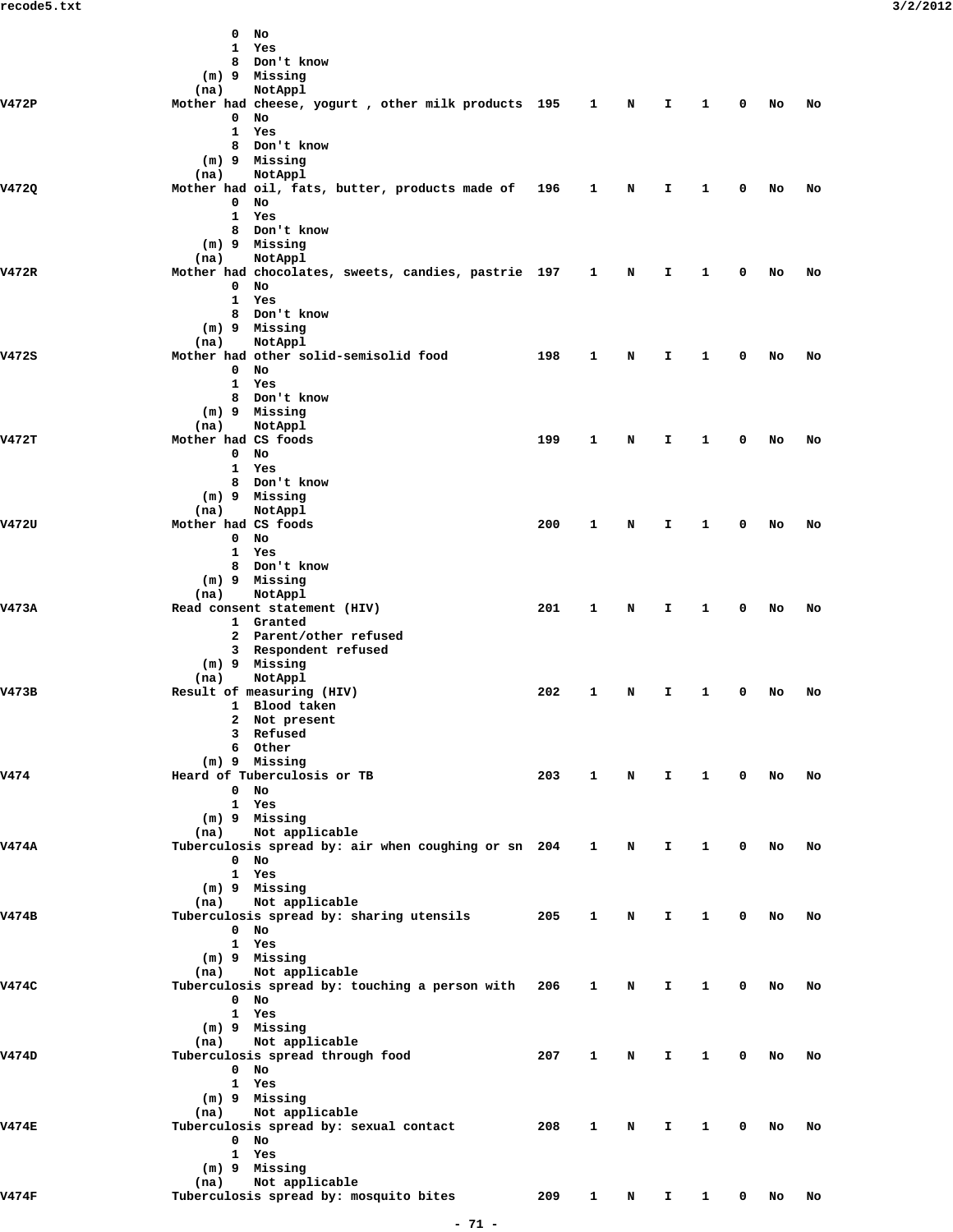|              | 0<br>No                                             |     |              |   |    |              |   |    |    |
|--------------|-----------------------------------------------------|-----|--------------|---|----|--------------|---|----|----|
|              | $\mathbf{1}$<br>Yes                                 |     |              |   |    |              |   |    |    |
|              | Don't know<br>8                                     |     |              |   |    |              |   |    |    |
|              | (m) 9 Missing                                       |     |              |   |    |              |   |    |    |
|              | NotAppl<br>(na)                                     |     |              |   |    |              |   |    |    |
| V472P        | Mother had cheese, yogurt , other milk products 195 |     | $\mathbf{1}$ | N | I. | 1            | 0 | No | No |
|              | $\mathbf 0$<br>No                                   |     |              |   |    |              |   |    |    |
|              | $\mathbf{1}$<br>Yes                                 |     |              |   |    |              |   |    |    |
|              | 8 Don't know                                        |     |              |   |    |              |   |    |    |
|              | (m) 9 Missing                                       |     |              |   |    |              |   |    |    |
|              |                                                     |     |              |   |    |              |   |    |    |
|              | NotAppl<br>(na)                                     |     |              |   |    |              |   |    |    |
| V4720        | Mother had oil, fats, butter, products made of 196  |     | 1            | N | Ι. | 1            | 0 | No | No |
|              | 0<br>No                                             |     |              |   |    |              |   |    |    |
|              | 1 Yes                                               |     |              |   |    |              |   |    |    |
|              | 8 Don't know                                        |     |              |   |    |              |   |    |    |
|              | (m) 9 Missing                                       |     |              |   |    |              |   |    |    |
|              | NotAppl<br>(na)                                     |     |              |   |    |              |   |    |    |
| V472R        | Mother had chocolates, sweets, candies, pastrie 197 |     | $\mathbf{1}$ | N | Ι. | 1            | 0 | No | No |
|              | $\mathbf 0$<br>No                                   |     |              |   |    |              |   |    |    |
|              | $\mathbf{1}$<br>Yes                                 |     |              |   |    |              |   |    |    |
|              | 8 Don't know                                        |     |              |   |    |              |   |    |    |
|              | (m) 9 Missing                                       |     |              |   |    |              |   |    |    |
|              |                                                     |     |              |   |    |              |   |    |    |
|              | NotAppl<br>(na)                                     |     |              |   |    |              |   |    |    |
| V472S        | Mother had other solid-semisolid food               | 198 | $\mathbf{1}$ | N | I. | 1            | 0 | No | No |
|              | No<br>$\mathbf 0$                                   |     |              |   |    |              |   |    |    |
|              | 1 Yes                                               |     |              |   |    |              |   |    |    |
|              | 8 Don't know                                        |     |              |   |    |              |   |    |    |
|              | (m) 9 Missing                                       |     |              |   |    |              |   |    |    |
|              | NotAppl<br>(na)                                     |     |              |   |    |              |   |    |    |
| <b>V472T</b> | Mother had CS foods                                 | 199 | $\mathbf{1}$ | N | Ι. | 1            | 0 | No | No |
|              | $\mathbf{0}$<br>No                                  |     |              |   |    |              |   |    |    |
|              | 1 Yes                                               |     |              |   |    |              |   |    |    |
|              | 8 Don't know                                        |     |              |   |    |              |   |    |    |
|              | (m) 9 Missing                                       |     |              |   |    |              |   |    |    |
|              |                                                     |     |              |   |    |              |   |    |    |
|              | (na)<br>NotAppl                                     |     |              |   |    |              |   |    |    |
| V472U        | Mother had CS foods                                 | 200 | $\mathbf{1}$ | N | Ι. | 1            | 0 | No | No |
|              | $\mathbf{0}$<br>No                                  |     |              |   |    |              |   |    |    |
|              | 1 Yes                                               |     |              |   |    |              |   |    |    |
|              | 8 Don't know                                        |     |              |   |    |              |   |    |    |
|              | (m) 9 Missing                                       |     |              |   |    |              |   |    |    |
|              | NotAppl<br>(na)                                     |     |              |   |    |              |   |    |    |
| V473A        | Read consent statement (HIV)                        | 201 | $\mathbf{1}$ | N | Ι. | 1            | 0 | No | No |
|              | 1 Granted                                           |     |              |   |    |              |   |    |    |
|              | 2 Parent/other refused                              |     |              |   |    |              |   |    |    |
|              | 3 Respondent refused                                |     |              |   |    |              |   |    |    |
|              | (m) 9 Missing                                       |     |              |   |    |              |   |    |    |
|              | NotAppl                                             |     |              |   |    |              |   |    |    |
|              | (na)                                                |     |              |   |    |              |   |    |    |
| V473B        | Result of measuring (HIV)                           | 202 | 1            | N | Ι. | 1            | 0 | No | No |
|              | 1 Blood taken                                       |     |              |   |    |              |   |    |    |
|              | 2 Not present                                       |     |              |   |    |              |   |    |    |
|              | 3 Refused                                           |     |              |   |    |              |   |    |    |
|              | 6 Other                                             |     |              |   |    |              |   |    |    |
|              | (m) 9 Missing                                       |     |              |   |    |              |   |    |    |
| v474         | Heard of Tuberculosis or TB                         | 203 | 1            | N | I. | $\mathbf{1}$ | 0 | No | No |
|              | $0$ No                                              |     |              |   |    |              |   |    |    |
|              | 1 Yes                                               |     |              |   |    |              |   |    |    |
|              | (m) 9 Missing                                       |     |              |   |    |              |   |    |    |
|              | (na) Not applicable                                 |     |              |   |    |              |   |    |    |
| <b>V474A</b> | Tuberculosis spread by: air when coughing or sn 204 |     | $\mathbf{1}$ | N | I. | $\mathbf{1}$ | 0 | No | No |
|              | $0$ No                                              |     |              |   |    |              |   |    |    |
|              |                                                     |     |              |   |    |              |   |    |    |
|              | 1 Yes                                               |     |              |   |    |              |   |    |    |
|              | (m) 9 Missing                                       |     |              |   |    |              |   |    |    |
|              | Not applicable<br>(na)                              |     |              |   |    |              |   |    |    |
| V474B        | Tuberculosis spread by: sharing utensils            | 205 | $\mathbf{1}$ | N | I. | $\mathbf{1}$ | 0 | No | No |
|              | $0$ No                                              |     |              |   |    |              |   |    |    |
|              | 1 Yes                                               |     |              |   |    |              |   |    |    |
|              | (m) 9 Missing                                       |     |              |   |    |              |   |    |    |
|              | Not applicable<br>(na)                              |     |              |   |    |              |   |    |    |
| V474C        | Tuberculosis spread by: touching a person with 206  |     | $\mathbf{1}$ | N | I. | 1            | 0 | No | No |
|              | $0$ No                                              |     |              |   |    |              |   |    |    |
|              | 1 Yes                                               |     |              |   |    |              |   |    |    |
|              | (m) 9 Missing                                       |     |              |   |    |              |   |    |    |
|              | Not applicable<br>(na)                              |     |              |   |    |              |   |    |    |
| V474D        | Tuberculosis spread through food                    | 207 | $\mathbf{1}$ | N | I. | 1            | 0 | No | No |
|              |                                                     |     |              |   |    |              |   |    |    |
|              | $0$ No                                              |     |              |   |    |              |   |    |    |
|              | 1 Yes                                               |     |              |   |    |              |   |    |    |
|              | (m) 9 Missing                                       |     |              |   |    |              |   |    |    |
|              | Not applicable<br>(na)                              |     |              |   |    |              |   |    |    |
| <b>V474E</b> | Tuberculosis spread by: sexual contact              | 208 | $\mathbf{1}$ | N | Ι. | $\mathbf{1}$ | 0 | No | No |
|              | $0$ No                                              |     |              |   |    |              |   |    |    |
|              | 1 Yes                                               |     |              |   |    |              |   |    |    |
|              | (m) 9 Missing                                       |     |              |   |    |              |   |    |    |
|              | Not applicable<br>(na)                              |     |              |   |    |              |   |    |    |
| V474F        | Tuberculosis spread by: mosquito bites              | 209 |              |   |    | 1 N I 1 0 No |   |    | No |
|              |                                                     |     |              |   |    |              |   |    |    |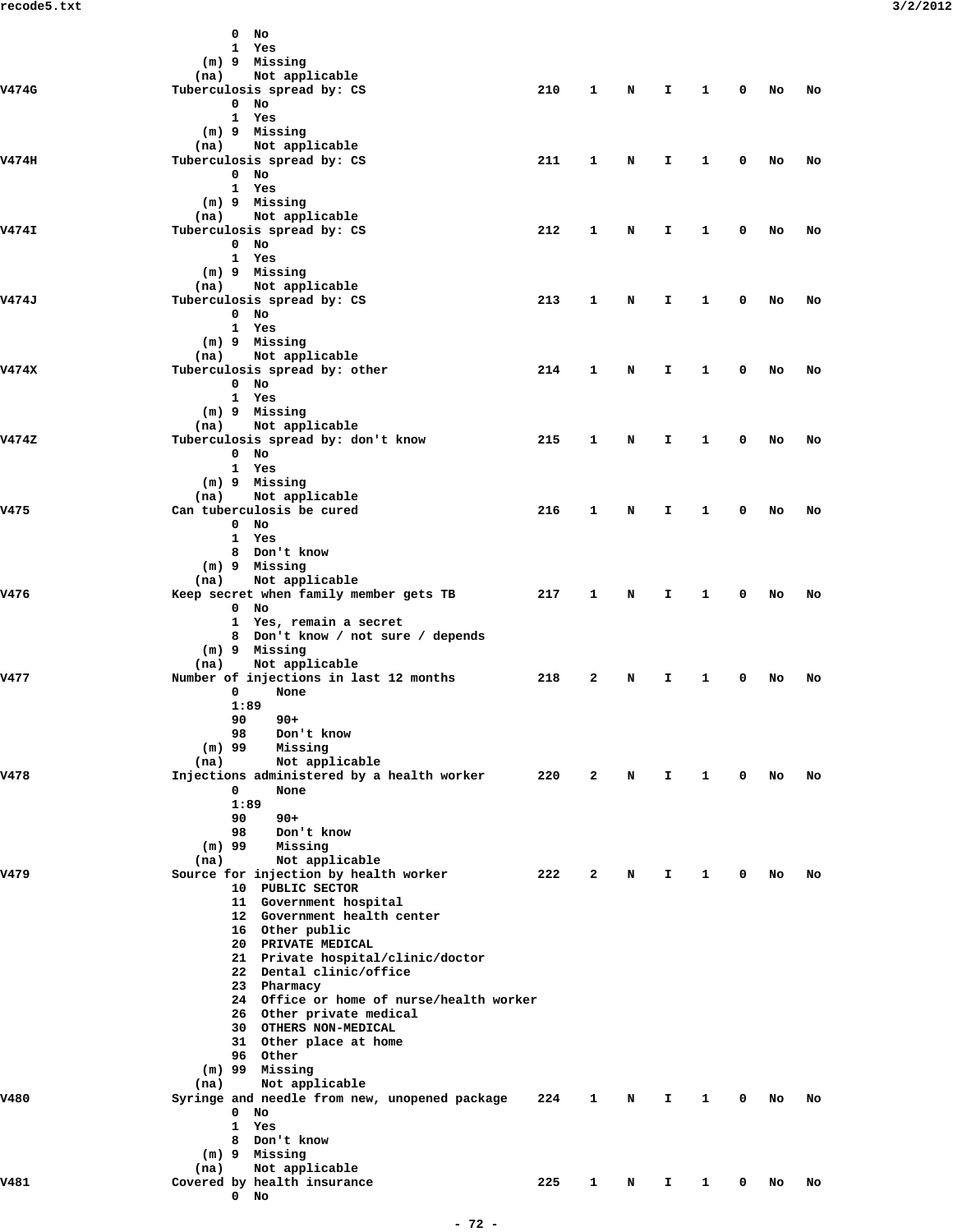|              | No<br>0                                                              |     |              |   |              |              |             |    |    |
|--------------|----------------------------------------------------------------------|-----|--------------|---|--------------|--------------|-------------|----|----|
|              | 1 Yes                                                                |     |              |   |              |              |             |    |    |
|              | (m) 9 Missing                                                        |     |              |   |              |              |             |    |    |
|              | Not applicable<br>(na)                                               |     |              |   |              |              |             |    |    |
| V474G        | Tuberculosis spread by: CS                                           | 210 | $\mathbf{1}$ | N | Ι.           | $\mathbf{1}$ | 0           | No | No |
|              | $0$ No                                                               |     |              |   |              |              |             |    |    |
|              | 1 Yes                                                                |     |              |   |              |              |             |    |    |
|              | (m) 9 Missing                                                        |     |              |   |              |              |             |    |    |
|              | Not applicable<br>(na)                                               |     |              |   |              |              |             |    |    |
| V474H        | Tuberculosis spread by: CS                                           | 211 | 1            | N | I.           | 1            | 0           | No | No |
|              | $0$ No                                                               |     |              |   |              |              |             |    |    |
|              | 1 Yes<br>(m) 9 Missing                                               |     |              |   |              |              |             |    |    |
|              | (na) Not applicable                                                  |     |              |   |              |              |             |    |    |
| <b>V474I</b> | Tuberculosis spread by: CS                                           | 212 | 1            | N | I.           | $\mathbf{1}$ | 0           | No | No |
|              | $0$ No                                                               |     |              |   |              |              |             |    |    |
|              | 1 Yes                                                                |     |              |   |              |              |             |    |    |
|              | (m) 9 Missing                                                        |     |              |   |              |              |             |    |    |
|              | (na) Not applicable                                                  |     |              |   |              |              |             |    |    |
| V474J        | Tuberculosis spread by: CS                                           | 213 | 1            | N | I.           | 1            | 0           | No | No |
|              | $0$ No                                                               |     |              |   |              |              |             |    |    |
|              | 1 Yes                                                                |     |              |   |              |              |             |    |    |
|              | (m) 9 Missing                                                        |     |              |   |              |              |             |    |    |
|              | (na) Not applicable                                                  |     |              |   |              |              |             |    |    |
| V474X        | Tuberculosis spread by: other                                        | 214 | 1            | N | I.           | 1            | 0           | No | No |
|              | $0$ No                                                               |     |              |   |              |              |             |    |    |
|              | 1 Yes                                                                |     |              |   |              |              |             |    |    |
|              | (m) 9 Missing                                                        |     |              |   |              |              |             |    |    |
|              | Not applicable<br>(na)                                               |     |              |   |              |              |             |    |    |
| V474Z        | Tuberculosis spread by: don't know                                   | 215 | 1            | N | I.           | 1            | 0           | No | No |
|              | $0$ No                                                               |     |              |   |              |              |             |    |    |
|              | 1 Yes                                                                |     |              |   |              |              |             |    |    |
|              | (m) 9 Missing                                                        |     |              |   |              |              |             |    |    |
| v475         | Not applicable<br>(na)<br>Can tuberculosis be cured                  | 216 | 1            | N | $\mathbf{I}$ | $\mathbf{1}$ | 0           | No | No |
|              | $0$ No                                                               |     |              |   |              |              |             |    |    |
|              | 1 Yes                                                                |     |              |   |              |              |             |    |    |
|              | 8 Don't know                                                         |     |              |   |              |              |             |    |    |
|              | (m) 9 Missing                                                        |     |              |   |              |              |             |    |    |
|              | Not applicable<br>(na)                                               |     |              |   |              |              |             |    |    |
| V476         | Keep secret when family member gets TB                               | 217 | $\mathbf{1}$ | N | I.           | 1            | 0           | No | No |
|              | $0$ No                                                               |     |              |   |              |              |             |    |    |
|              | 1 Yes, remain a secret                                               |     |              |   |              |              |             |    |    |
|              | 8 Don't know / not sure / depends                                    |     |              |   |              |              |             |    |    |
|              | $(m)$ 9 Missing                                                      |     |              |   |              |              |             |    |    |
|              | Not applicable<br>(na)                                               |     |              |   |              |              |             |    |    |
| V477         | Number of injections in last 12 months                               | 218 | 2            | N | I.           | 1            | 0           | No | No |
|              | 0<br>None                                                            |     |              |   |              |              |             |    |    |
|              | 1:89                                                                 |     |              |   |              |              |             |    |    |
|              | 90<br>$90+$                                                          |     |              |   |              |              |             |    |    |
|              | 98<br>Don't know                                                     |     |              |   |              |              |             |    |    |
|              | $(m)$ 99<br>Missing                                                  |     |              |   |              |              |             |    |    |
| v478         | Not applicable<br>(na)<br>Injections administered by a health worker | 220 | 2            | N | I.           | $\mathbf{1}$ | 0           | No | No |
|              | 0<br>None                                                            |     |              |   |              |              |             |    |    |
|              | 1:89                                                                 |     |              |   |              |              |             |    |    |
|              | 90<br>$90+$                                                          |     |              |   |              |              |             |    |    |
|              | 98<br>Don't know                                                     |     |              |   |              |              |             |    |    |
|              | $(m)$ 99<br>Missing                                                  |     |              |   |              |              |             |    |    |
|              | Not applicable<br>(na)                                               |     |              |   |              |              |             |    |    |
| v479         | Source for injection by health worker                                | 222 | 2            | N | I.           | 1            | 0           | No | No |
|              | 10 PUBLIC SECTOR                                                     |     |              |   |              |              |             |    |    |
|              | 11 Government hospital                                               |     |              |   |              |              |             |    |    |
|              | 12 Government health center                                          |     |              |   |              |              |             |    |    |
|              | 16 Other public                                                      |     |              |   |              |              |             |    |    |
|              | 20 PRIVATE MEDICAL                                                   |     |              |   |              |              |             |    |    |
|              | 21 Private hospital/clinic/doctor                                    |     |              |   |              |              |             |    |    |
|              | 22 Dental clinic/office                                              |     |              |   |              |              |             |    |    |
|              | 23 Pharmacy                                                          |     |              |   |              |              |             |    |    |
|              | 24 Office or home of nurse/health worker                             |     |              |   |              |              |             |    |    |
|              | 26 Other private medical<br>30 OTHERS NON-MEDICAL                    |     |              |   |              |              |             |    |    |
|              | 31 Other place at home                                               |     |              |   |              |              |             |    |    |
|              | 96 Other                                                             |     |              |   |              |              |             |    |    |
|              | $(m)$ 99 Missing                                                     |     |              |   |              |              |             |    |    |
|              | Not applicable<br>(na)                                               |     |              |   |              |              |             |    |    |
| <b>V480</b>  | Syringe and needle from new, unopened package                        | 224 | 1            | N | I.           | 1            | 0           | No | No |
|              | $0$ No                                                               |     |              |   |              |              |             |    |    |
|              | 1 Yes                                                                |     |              |   |              |              |             |    |    |
|              | 8 Don't know                                                         |     |              |   |              |              |             |    |    |
|              | (m) 9 Missing                                                        |     |              |   |              |              |             |    |    |
|              | Not applicable<br>(na)                                               |     |              |   |              |              |             |    |    |
| v481         | Covered by health insurance                                          | 225 | 1            | N | Ι.           | $\mathbf{1}$ | $\mathbf 0$ | No | No |
|              | $0$ No                                                               |     |              |   |              |              |             |    |    |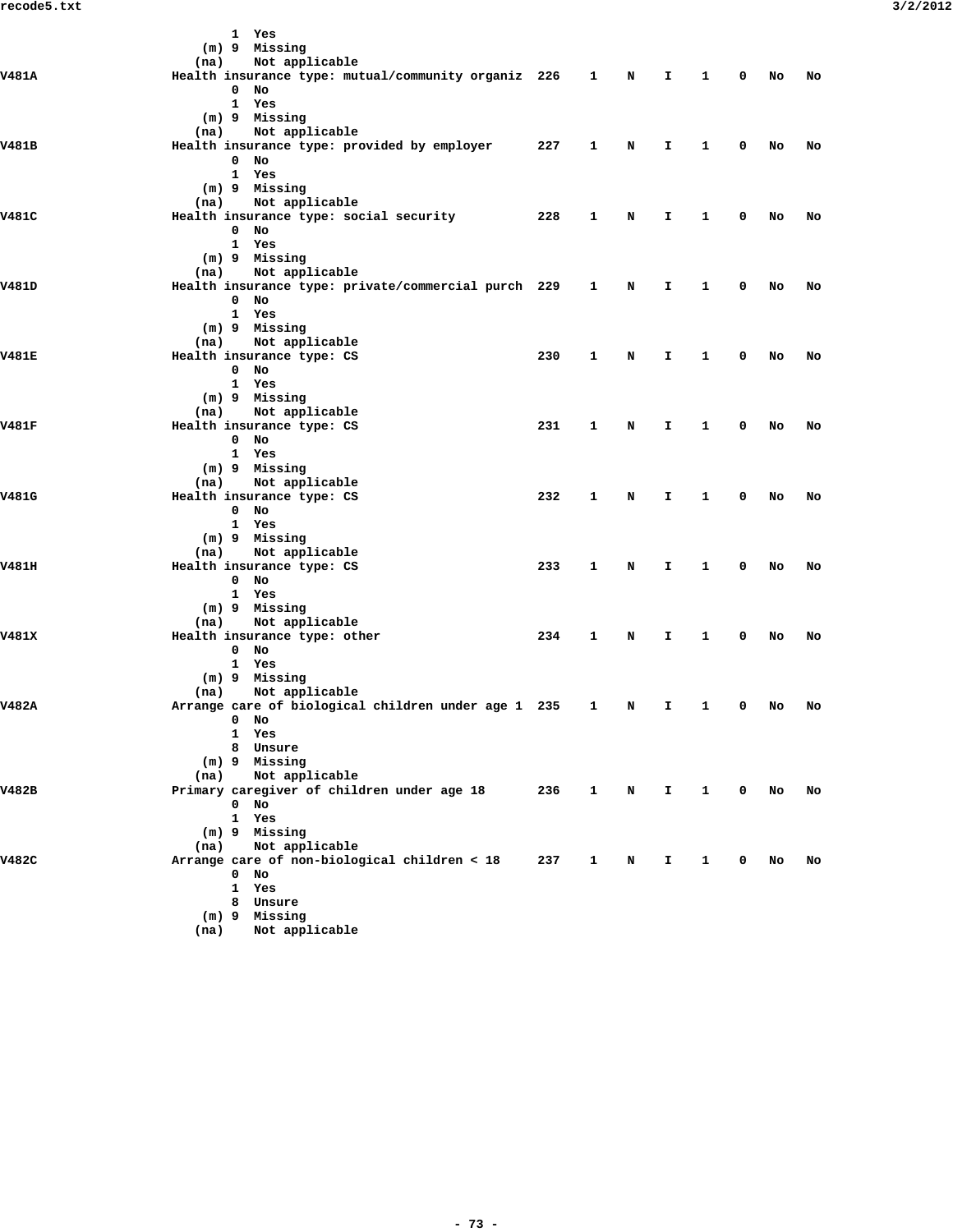|              |      | 1 Yes                                                                 |     |              |   |    |              |             |    |    |
|--------------|------|-----------------------------------------------------------------------|-----|--------------|---|----|--------------|-------------|----|----|
|              |      | (m) 9 Missing                                                         |     |              |   |    |              |             |    |    |
| V481A        | (na) | Not applicable<br>Health insurance type: mutual/community organiz 226 |     | 1            | N | I. | 1            | 0           | No | No |
|              |      | $0$ No                                                                |     |              |   |    |              |             |    |    |
|              |      | 1 Yes                                                                 |     |              |   |    |              |             |    |    |
|              |      | (m) 9 Missing                                                         |     |              |   |    |              |             |    |    |
|              | (na) | Not applicable                                                        |     |              |   |    |              |             |    |    |
| V481B        |      | Health insurance type: provided by employer                           | 227 | 1            | N | I. | 1            | 0           | No | No |
|              |      | $0$ No                                                                |     |              |   |    |              |             |    |    |
|              |      | 1 Yes                                                                 |     |              |   |    |              |             |    |    |
|              |      | (m) 9 Missing                                                         |     |              |   |    |              |             |    |    |
| V481C        | (na) | Not applicable<br>Health insurance type: social security              | 228 | 1            | N | I  | 1            | 0           | No | No |
|              |      | $0$ No                                                                |     |              |   |    |              |             |    |    |
|              |      | 1 Yes                                                                 |     |              |   |    |              |             |    |    |
|              |      | (m) 9 Missing                                                         |     |              |   |    |              |             |    |    |
|              | (na) | Not applicable                                                        |     |              |   |    |              |             |    |    |
| V481D        |      | Health insurance type: private/commercial purch 229                   |     | 1            | N | I  | 1            | 0           | No | No |
|              |      | $0$ No                                                                |     |              |   |    |              |             |    |    |
|              |      | 1 Yes                                                                 |     |              |   |    |              |             |    |    |
|              |      | (m) 9 Missing                                                         |     |              |   |    |              |             |    |    |
|              |      | (na) Not applicable                                                   |     |              |   |    |              |             |    |    |
| <b>V481E</b> |      | Health insurance type: CS<br>$0$ No                                   | 230 | 1            | N | I. | 1            | 0           | No | No |
|              |      | 1 Yes                                                                 |     |              |   |    |              |             |    |    |
|              |      | (m) 9 Missing                                                         |     |              |   |    |              |             |    |    |
|              | (na) | Not applicable                                                        |     |              |   |    |              |             |    |    |
| V481F        |      | Health insurance type: CS                                             | 231 | 1            | N | I. | 1            | 0           | No | No |
|              |      | $0$ No                                                                |     |              |   |    |              |             |    |    |
|              |      | 1 Yes                                                                 |     |              |   |    |              |             |    |    |
|              |      | (m) 9 Missing                                                         |     |              |   |    |              |             |    |    |
|              | (na) | Not applicable                                                        |     |              |   |    |              |             |    |    |
| V481G        |      | Health insurance type: CS                                             | 232 | 1            | N | I. | 1            | 0           | No | No |
|              |      | $0$ No                                                                |     |              |   |    |              |             |    |    |
|              |      | 1 Yes<br>(m) 9 Missing                                                |     |              |   |    |              |             |    |    |
|              | (na) | Not applicable                                                        |     |              |   |    |              |             |    |    |
| V481H        |      | Health insurance type: CS                                             | 233 | 1            | N | I  | 1            | 0           | No | No |
|              |      | $0$ No                                                                |     |              |   |    |              |             |    |    |
|              |      | 1 Yes                                                                 |     |              |   |    |              |             |    |    |
|              |      | (m) 9 Missing                                                         |     |              |   |    |              |             |    |    |
|              | (na) | Not applicable                                                        |     |              |   |    |              |             |    |    |
| V481X        |      | Health insurance type: other                                          | 234 | 1            | N | Ι. | 1            | 0           | No | No |
|              |      | $0$ No                                                                |     |              |   |    |              |             |    |    |
|              |      | 1 Yes                                                                 |     |              |   |    |              |             |    |    |
|              | (na) | (m) 9 Missing<br>Not applicable                                       |     |              |   |    |              |             |    |    |
| V482A        |      | Arrange care of biological children under age 1 235                   |     | 1            | N | I. | 1            | 0           | No | No |
|              |      | $0$ No                                                                |     |              |   |    |              |             |    |    |
|              |      | 1 Yes                                                                 |     |              |   |    |              |             |    |    |
|              |      | 8 Unsure                                                              |     |              |   |    |              |             |    |    |
|              |      | $(m)$ 9 Missing                                                       |     |              |   |    |              |             |    |    |
|              | (na) | Not applicable                                                        |     |              |   |    |              |             |    |    |
| V482B        |      | Primary caregiver of children under age 18                            | 236 | $\mathbf{1}$ | N | Ι. | $\mathbf{1}$ | $\mathbf 0$ | No | No |
|              |      | $0$ No                                                                |     |              |   |    |              |             |    |    |
|              |      | 1 Yes                                                                 |     |              |   |    |              |             |    |    |
|              | (na) | (m) 9 Missing<br>Not applicable                                       |     |              |   |    |              |             |    |    |
| V482C        |      | Arrange care of non-biological children < 18                          | 237 | 1            | N | I. | $\mathbf{1}$ | 0           | No | No |
|              |      | $0$ No                                                                |     |              |   |    |              |             |    |    |
|              |      | $\mathbf{1}$<br>Yes                                                   |     |              |   |    |              |             |    |    |
|              |      | 8 Unsure                                                              |     |              |   |    |              |             |    |    |
|              |      | $(m)$ 9 Missing                                                       |     |              |   |    |              |             |    |    |
|              | (na) | Not applicable                                                        |     |              |   |    |              |             |    |    |
|              |      |                                                                       |     |              |   |    |              |             |    |    |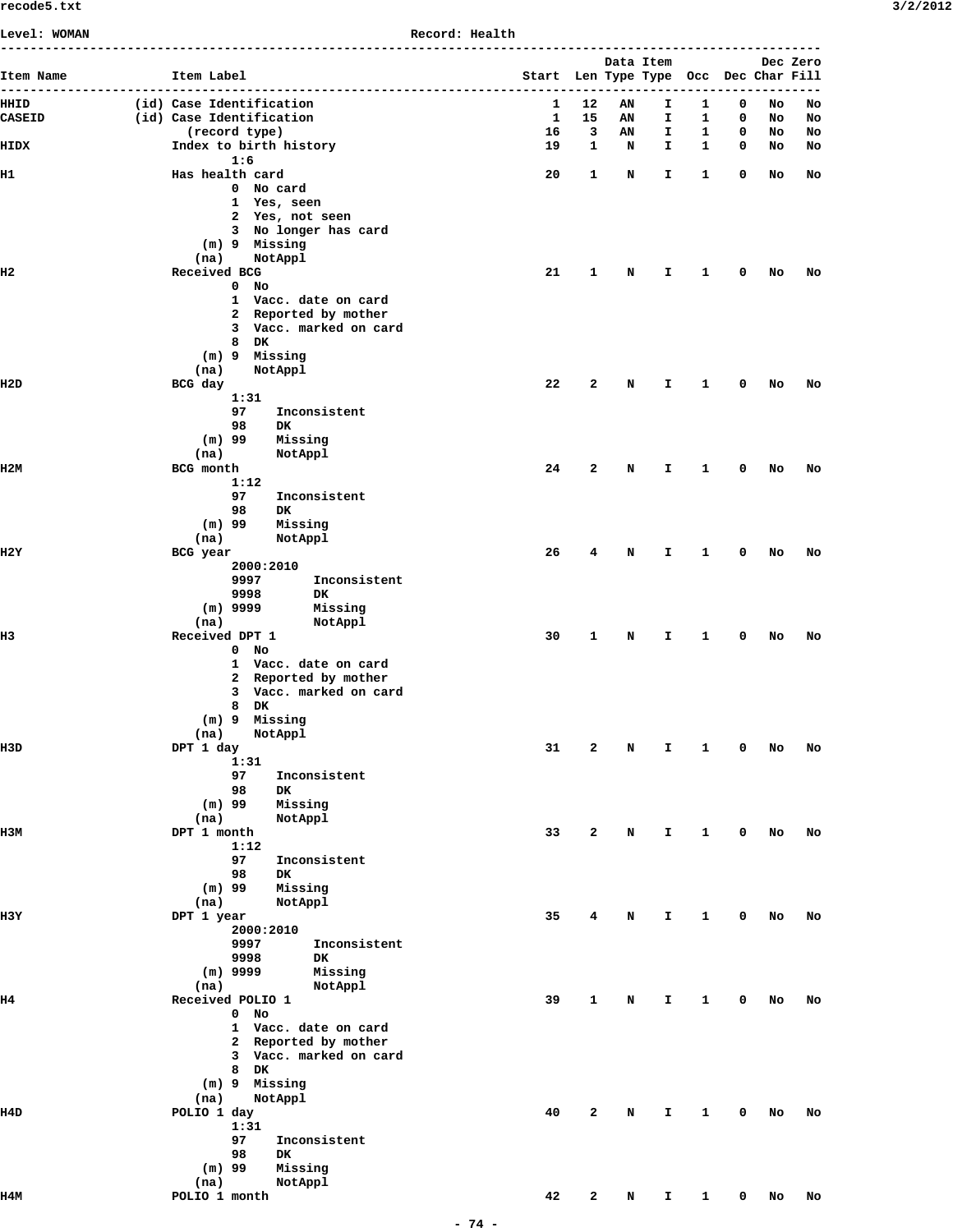| <b>Level: WOMAN</b>  |                                                | Record: Health                                |        |           |           |                   |        |          |          |
|----------------------|------------------------------------------------|-----------------------------------------------|--------|-----------|-----------|-------------------|--------|----------|----------|
|                      | -----------------------------                  | -------------------------------------         |        | Data Item |           |                   |        |          | Dec Zero |
| Item Name<br>------- | Item Label<br>------------------               | Start Len Type Type Occ Dec Char Fill<br>---- |        |           | --------- |                   |        |          |          |
| HHID                 | (id) Case Identification                       | 1                                             | 12     | AN        | I         | 1                 | 0      | No       | No       |
| <b>CASEID</b>        | (id) Case Identification                       | 1                                             | 15     | AN        | I.        | 1                 | 0      | No       | No       |
| HIDX                 | (record type)<br>Index to birth history        | 16<br>19                                      | 3<br>1 | ΑN<br>N   | I.<br>I.  | 1<br>$\mathbf{1}$ | 0<br>0 | NO<br>NO | No<br>No |
|                      | 1:6                                            |                                               |        |           |           |                   |        |          |          |
| н1                   | Has health card                                | 20                                            | 1      | N         | I.        | 1                 | 0      | No       | No       |
|                      | 0 No card<br>1 Yes, seen                       |                                               |        |           |           |                   |        |          |          |
|                      | 2 Yes, not seen                                |                                               |        |           |           |                   |        |          |          |
|                      | 3 No longer has card                           |                                               |        |           |           |                   |        |          |          |
|                      | (m) 9 Missing<br>(na)<br>NotAppl               |                                               |        |           |           |                   |        |          |          |
| н2                   | Received BCG                                   | 21                                            | 1      | N         | I.        | 1                 | 0      | No       | No       |
|                      | $0$ No                                         |                                               |        |           |           |                   |        |          |          |
|                      | 1 Vacc. date on card                           |                                               |        |           |           |                   |        |          |          |
|                      | 2 Reported by mother<br>3 Vacc. marked on card |                                               |        |           |           |                   |        |          |          |
|                      | 8 DK                                           |                                               |        |           |           |                   |        |          |          |
|                      | (m) 9 Missing                                  |                                               |        |           |           |                   |        |          |          |
|                      | (na)<br>NotAppl                                |                                               |        |           |           |                   |        |          |          |
| H2D                  | BCG day<br>1:31                                | 22                                            | 2      | N         | I.        | 1                 | 0      | No       | No       |
|                      | 97<br>Inconsistent                             |                                               |        |           |           |                   |        |          |          |
|                      | 98<br>DK.                                      |                                               |        |           |           |                   |        |          |          |
|                      | $(m)$ 99<br>Missing                            |                                               |        |           |           |                   |        |          |          |
| 112M                 | (na)<br>NotAppl<br>BCG month                   | 24                                            | 2      | N         | I.        | 1                 | 0      | No       | No       |
|                      | 1:12                                           |                                               |        |           |           |                   |        |          |          |
|                      | 97<br>Inconsistent                             |                                               |        |           |           |                   |        |          |          |
|                      | 98<br>DK.<br>$(m)$ 99<br>Missing               |                                               |        |           |           |                   |        |          |          |
|                      | (na)<br>NotAppl                                |                                               |        |           |           |                   |        |          |          |
| H2Y                  | BCG year                                       | 26                                            | 4      | N         | I         | 1                 | 0      | No       | No       |
|                      | 2000:2010                                      |                                               |        |           |           |                   |        |          |          |
|                      | 9997<br>Inconsistent<br>9998<br>DK.            |                                               |        |           |           |                   |        |          |          |
|                      | $(m)$ 9999<br>Missing                          |                                               |        |           |           |                   |        |          |          |
|                      | (na)<br>NotAppl                                |                                               |        |           |           |                   |        |          |          |
| н3                   | Received DPT 1<br>$0$ No                       | 30                                            | 1      | N         | I.        | 1                 | 0      | No       | No       |
|                      | 1 Vacc. date on card                           |                                               |        |           |           |                   |        |          |          |
|                      | 2 Reported by mother                           |                                               |        |           |           |                   |        |          |          |
|                      | 3 Vacc. marked on card                         |                                               |        |           |           |                   |        |          |          |
|                      | 8 DK<br>(m) 9 Missing                          |                                               |        |           |           |                   |        |          |          |
|                      | NotAppl<br>(na)                                |                                               |        |           |           |                   |        |          |          |
| II3D                 | DPT 1 day                                      | 31                                            | 2      | N         | I         | 1                 | 0      | No       | No       |
|                      | 1:31<br>97<br>Inconsistent                     |                                               |        |           |           |                   |        |          |          |
|                      | 98<br>DK                                       |                                               |        |           |           |                   |        |          |          |
|                      | $(m)$ 99<br>Missing                            |                                               |        |           |           |                   |        |          |          |
|                      | NotAppl<br>(na)                                |                                               |        |           |           |                   |        |          |          |
| нзм                  | DPT 1 month<br>1:12                            | 33                                            | 2      | N         | I         | 1                 | 0      | No       | No       |
|                      | 97<br>Inconsistent                             |                                               |        |           |           |                   |        |          |          |
|                      | 98<br><b>DK</b>                                |                                               |        |           |           |                   |        |          |          |
|                      | $(m)$ 99<br>Missing<br>(na)<br>NotAppl         |                                               |        |           |           |                   |        |          |          |
| H3Y                  | DPT 1 year                                     | 35                                            | 4      | N         | I         | 1                 | 0      | No       | No       |
|                      | 2000:2010                                      |                                               |        |           |           |                   |        |          |          |
|                      | 9997<br>Inconsistent                           |                                               |        |           |           |                   |        |          |          |
|                      | 9998<br>DK<br>$(m)$ 9999<br>Missing            |                                               |        |           |           |                   |        |          |          |
|                      | (na)<br>NotAppl                                |                                               |        |           |           |                   |        |          |          |
| н4                   | Received POLIO 1                               | 39                                            | 1      | N         | I         | 1                 | 0      | No       | No       |
|                      | $0$ No                                         |                                               |        |           |           |                   |        |          |          |
|                      | 1 Vacc. date on card<br>2 Reported by mother   |                                               |        |           |           |                   |        |          |          |
|                      | 3 Vacc. marked on card                         |                                               |        |           |           |                   |        |          |          |
|                      | 8 DK                                           |                                               |        |           |           |                   |        |          |          |
|                      | (m) 9 Missing                                  |                                               |        |           |           |                   |        |          |          |
| II4D                 | (na)<br>NotAppl<br>POLIO 1 day                 | 40                                            | 2      | N         | I         | 1                 | 0      | No       | No       |
|                      | 1:31                                           |                                               |        |           |           |                   |        |          |          |
|                      | 97<br>Inconsistent                             |                                               |        |           |           |                   |        |          |          |
|                      | 98<br><b>DK</b><br>$(m)$ 99<br>Missing         |                                               |        |           |           |                   |        |          |          |
|                      | (na)<br>NotAppl                                |                                               |        |           |           |                   |        |          |          |
| 114M                 | POLIO 1 month                                  | 42                                            | 2      | N         | I.        | $\mathbf{1}$      | 0      | No       | No       |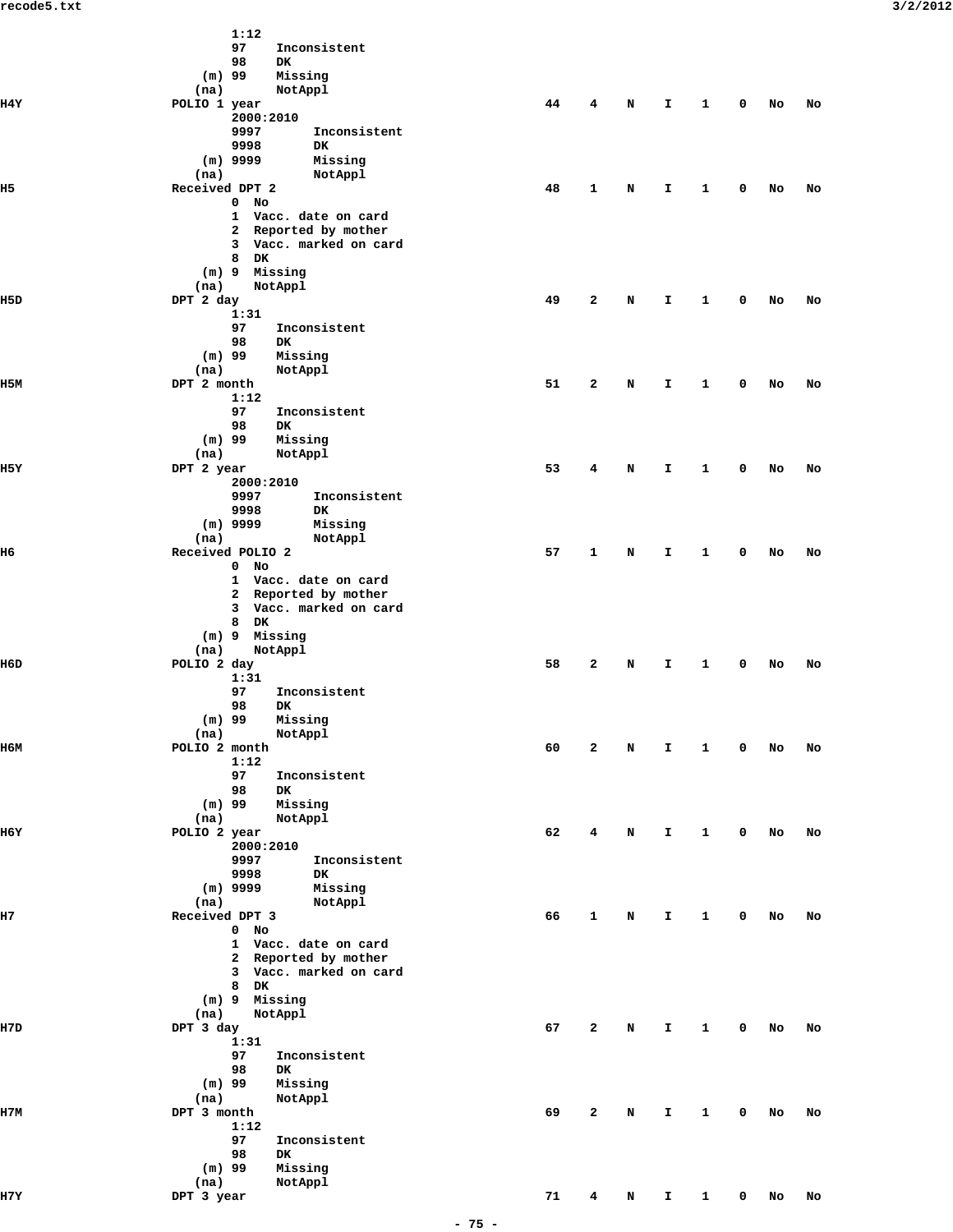|       | 1:12                                 |    |              |   |              |              |             |    |    |
|-------|--------------------------------------|----|--------------|---|--------------|--------------|-------------|----|----|
|       | 97<br>Inconsistent                   |    |              |   |              |              |             |    |    |
|       | 98<br>DK                             |    |              |   |              |              |             |    |    |
|       | $(m)$ 99<br>Missing                  |    |              |   |              |              |             |    |    |
|       |                                      |    |              |   |              |              |             |    |    |
|       | (na)<br>NotAppl                      |    |              |   |              |              |             |    |    |
| 114 Y | POLIO 1 year                         | 44 | 4            | N | I            | 1            | 0           | No | No |
|       | 2000:2010                            |    |              |   |              |              |             |    |    |
|       | 9997<br>Inconsistent                 |    |              |   |              |              |             |    |    |
|       | 9998<br>DK                           |    |              |   |              |              |             |    |    |
|       | $(m)$ 9999<br>Missing                |    |              |   |              |              |             |    |    |
|       |                                      |    |              |   |              |              |             |    |    |
|       | (na)<br>NotAppl                      |    |              |   |              |              |             |    |    |
| H5    | Received DPT 2                       | 48 | 1            | N | I            | 1            | 0           | No | No |
|       | $\mathbf{0}$<br>No                   |    |              |   |              |              |             |    |    |
|       | Vacc. date on card<br>$\mathbf{1}$   |    |              |   |              |              |             |    |    |
|       | Reported by mother<br>$\mathbf{2}$   |    |              |   |              |              |             |    |    |
|       | $\mathbf{3}$<br>Vacc. marked on card |    |              |   |              |              |             |    |    |
|       |                                      |    |              |   |              |              |             |    |    |
|       | 8<br>DK                              |    |              |   |              |              |             |    |    |
|       | (m) 9 Missing                        |    |              |   |              |              |             |    |    |
|       | (na)<br>NotAppl                      |    |              |   |              |              |             |    |    |
| II5D  | DPT 2 day                            | 49 | $\mathbf{z}$ | N | I            | 1            | 0           | No | No |
|       | 1:31                                 |    |              |   |              |              |             |    |    |
|       | 97<br>Inconsistent                   |    |              |   |              |              |             |    |    |
|       |                                      |    |              |   |              |              |             |    |    |
|       | 98<br>DK                             |    |              |   |              |              |             |    |    |
|       | $(m)$ 99<br>Missing                  |    |              |   |              |              |             |    |    |
|       | (na)<br>NotAppl                      |    |              |   |              |              |             |    |    |
| 115M  | DPT 2 month                          | 51 | $\mathbf{2}$ | N | I            | 1            | 0           | No | No |
|       | 1:12                                 |    |              |   |              |              |             |    |    |
|       | 97<br>Inconsistent                   |    |              |   |              |              |             |    |    |
|       |                                      |    |              |   |              |              |             |    |    |
|       | 98<br>DK                             |    |              |   |              |              |             |    |    |
|       | $(m)$ 99<br>Missing                  |    |              |   |              |              |             |    |    |
|       | (na)<br>NotAppl                      |    |              |   |              |              |             |    |    |
| 115 Y | DPT 2 year                           | 53 | 4            | N | I            | 1            | 0           | No | No |
|       | 2000:2010                            |    |              |   |              |              |             |    |    |
|       | 9997<br>Inconsistent                 |    |              |   |              |              |             |    |    |
|       |                                      |    |              |   |              |              |             |    |    |
|       | 9998<br>DK                           |    |              |   |              |              |             |    |    |
|       | $(m)$ 9999<br>Missing                |    |              |   |              |              |             |    |    |
|       | (na)<br>NotAppl                      |    |              |   |              |              |             |    |    |
| H6    | Received POLIO 2                     | 57 | 1            | N | I            | 1            | 0           | No | No |
|       | $0$ No                               |    |              |   |              |              |             |    |    |
|       | 1 Vacc. date on card                 |    |              |   |              |              |             |    |    |
|       |                                      |    |              |   |              |              |             |    |    |
|       | 2 Reported by mother                 |    |              |   |              |              |             |    |    |
|       | 3 Vacc. marked on card               |    |              |   |              |              |             |    |    |
|       | 8<br>DK                              |    |              |   |              |              |             |    |    |
|       | (m) 9 Missing                        |    |              |   |              |              |             |    |    |
|       | (na)<br>NotAppl                      |    |              |   |              |              |             |    |    |
| II6D  |                                      |    |              |   |              |              |             |    |    |
|       | POLIO 2 day                          | 58 | 2            | N | I            | 1            | 0           | No | No |
|       | 1:31                                 |    |              |   |              |              |             |    |    |
|       | 97<br>Inconsistent                   |    |              |   |              |              |             |    |    |
|       | 98<br>DK                             |    |              |   |              |              |             |    |    |
|       | $(m)$ 99<br>Missing                  |    |              |   |              |              |             |    |    |
|       | NotAppl<br>(na)                      |    |              |   |              |              |             |    |    |
|       |                                      |    |              |   |              |              |             |    |    |
| 116M  | POLIO 2 month                        | 60 | $\mathbf{2}$ | N | I            | 1            | 0           | No | No |
|       | 1:12                                 |    |              |   |              |              |             |    |    |
|       | 97<br>Inconsistent                   |    |              |   |              |              |             |    |    |
|       | 98<br>DK                             |    |              |   |              |              |             |    |    |
|       | $(m)$ 99<br>Missing                  |    |              |   |              |              |             |    |    |
|       |                                      |    |              |   |              |              |             |    |    |
|       | (na)<br>NotAppl                      |    |              |   |              |              |             |    |    |
| H6Y   | POLIO 2 year                         | 62 | 4            | Ν | I            | 1            | 0           | No | No |
|       | 2000:2010                            |    |              |   |              |              |             |    |    |
|       | 9997<br>Inconsistent                 |    |              |   |              |              |             |    |    |
|       | 9998<br>DK                           |    |              |   |              |              |             |    |    |
|       | $(m)$ 9999<br>Missing                |    |              |   |              |              |             |    |    |
|       |                                      |    |              |   |              |              |             |    |    |
|       | (na)<br>NotAppl                      |    |              |   |              |              |             |    |    |
| н7    | Received DPT 3                       | 66 | 1            | N | I            | 1            | 0           | No | No |
|       | $0$ No                               |    |              |   |              |              |             |    |    |
|       | 1 Vacc. date on card                 |    |              |   |              |              |             |    |    |
|       | 2 Reported by mother                 |    |              |   |              |              |             |    |    |
|       | 3 Vacc. marked on card               |    |              |   |              |              |             |    |    |
|       |                                      |    |              |   |              |              |             |    |    |
|       | 8 DK                                 |    |              |   |              |              |             |    |    |
|       | (m) 9 Missing                        |    |              |   |              |              |             |    |    |
|       | (na)<br>NotAppl                      |    |              |   |              |              |             |    |    |
| H7D   | DPT 3 day                            | 67 | $\mathbf{2}$ | N | I            | 1            | 0           | No | No |
|       | 1:31                                 |    |              |   |              |              |             |    |    |
|       |                                      |    |              |   |              |              |             |    |    |
|       | 97<br>Inconsistent                   |    |              |   |              |              |             |    |    |
|       | 98<br>DK                             |    |              |   |              |              |             |    |    |
|       | $(m)$ 99<br>Missing                  |    |              |   |              |              |             |    |    |
|       | (na)<br>NotAppl                      |    |              |   |              |              |             |    |    |
| 117M  | DPT 3 month                          | 69 | 2            | N | I            | 1            | 0           | No | No |
|       |                                      |    |              |   |              |              |             |    |    |
|       | 1:12                                 |    |              |   |              |              |             |    |    |
|       | 97<br>Inconsistent                   |    |              |   |              |              |             |    |    |
|       | 98<br>DK                             |    |              |   |              |              |             |    |    |
|       | $(m)$ 99<br>Missing                  |    |              |   |              |              |             |    |    |
|       | (na)<br>NotAppl                      |    |              |   |              |              |             |    |    |
|       |                                      |    |              |   |              |              |             |    |    |
| H7Y   | DPT 3 year                           | 71 | 4            | N | $\mathbf{I}$ | $\mathbf{1}$ | $\mathbf 0$ | No | No |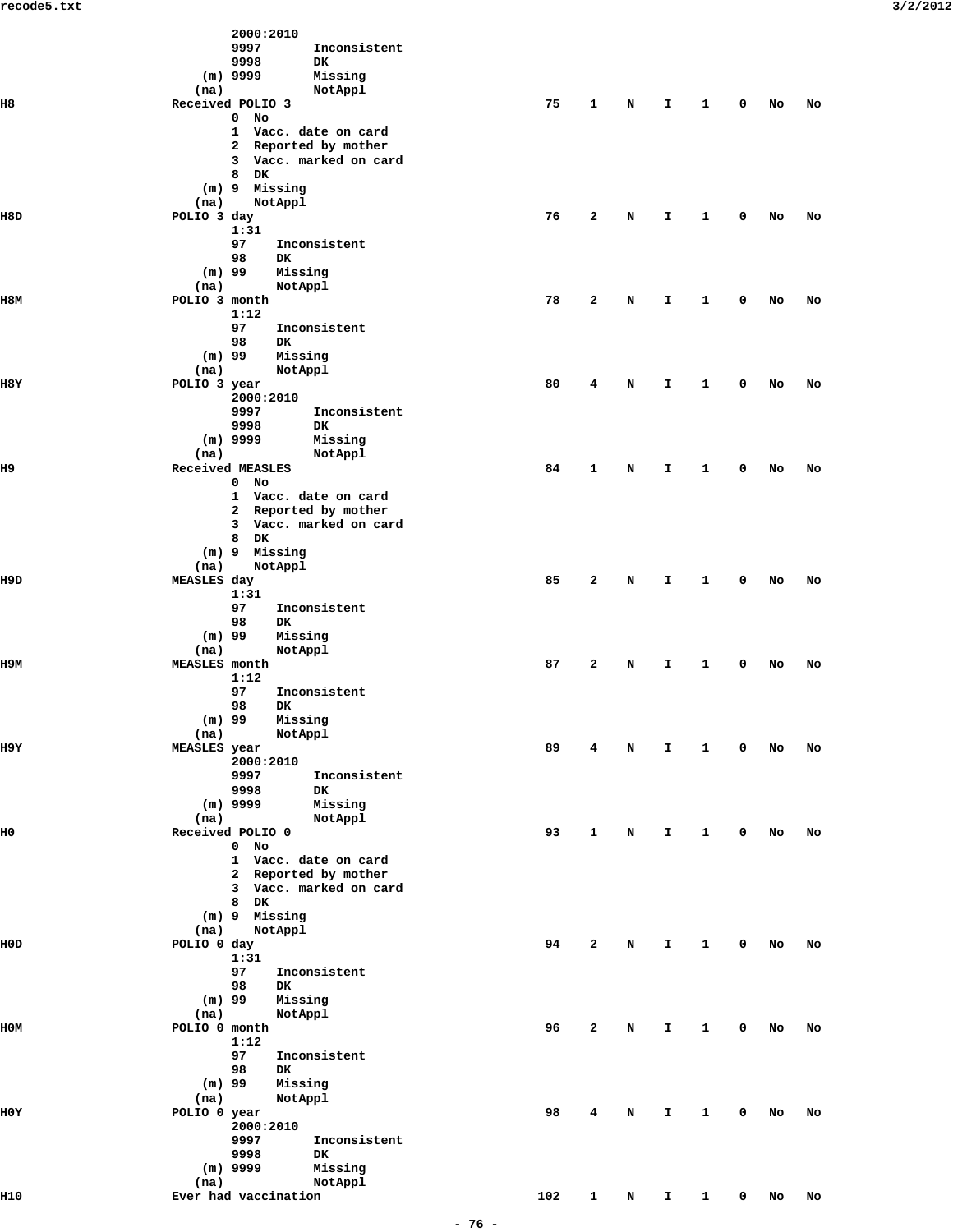|                | 2000:2010                                         |     |              |   |    |              |   |    |    |
|----------------|---------------------------------------------------|-----|--------------|---|----|--------------|---|----|----|
|                | 9997<br>Inconsistent<br>9998<br><b>DK</b>         |     |              |   |    |              |   |    |    |
|                | $(m)$ 9999<br>Missing                             |     |              |   |    |              |   |    |    |
|                | (na)<br>NotAppl                                   |     |              |   |    |              |   |    |    |
| H8             | Received POLIO 3                                  | 75  | $\mathbf{1}$ | N | I. | $\mathbf{1}$ | 0 | No | No |
|                | $0$ No<br>1 Vacc. date on card                    |     |              |   |    |              |   |    |    |
|                | 2 Reported by mother                              |     |              |   |    |              |   |    |    |
|                | Vacc. marked on card<br>3                         |     |              |   |    |              |   |    |    |
|                | 8 DK<br>$(m)$ 9<br>Missing                        |     |              |   |    |              |   |    |    |
|                | (na)<br>NotAppl                                   |     |              |   |    |              |   |    |    |
| II8D           | POLIO 3 day                                       | 76  | 2            | N | I  | 1            | 0 | No | No |
|                | 1:31<br>97                                        |     |              |   |    |              |   |    |    |
|                | Inconsistent<br>98<br>DK                          |     |              |   |    |              |   |    |    |
|                | $(m)$ 99<br>Missing                               |     |              |   |    |              |   |    |    |
|                | (na)<br>NotAppl                                   |     |              |   |    |              |   |    |    |
| <b>H8M</b>     | POLIO 3 month<br>1:12                             | 78  | 2            | N | I  | 1            | 0 | No | No |
|                | 97<br>Inconsistent                                |     |              |   |    |              |   |    |    |
|                | 98<br>DK                                          |     |              |   |    |              |   |    |    |
|                | $(m)$ 99<br>Missing                               |     |              |   |    |              |   |    |    |
| 118 Y          | (na)<br>NotAppl<br>POLIO 3 year                   | 80  | 4            | N | I  | 1            | 0 | No | No |
|                | 2000:2010                                         |     |              |   |    |              |   |    |    |
|                | 9997<br>Inconsistent                              |     |              |   |    |              |   |    |    |
|                | 9998<br><b>DK</b>                                 |     |              |   |    |              |   |    |    |
|                | $(m)$ 9999<br>Missing<br>(na)<br>NotAppl          |     |              |   |    |              |   |    |    |
| H9             | Received MEASLES                                  | 84  | 1            | N | I  | 1            | 0 | No | No |
|                | $0$ No                                            |     |              |   |    |              |   |    |    |
|                | 1 Vacc. date on card                              |     |              |   |    |              |   |    |    |
|                | 2 Reported by mother<br>Vacc. marked on card<br>3 |     |              |   |    |              |   |    |    |
|                | 8<br>DK.                                          |     |              |   |    |              |   |    |    |
|                | $(m)$ 9<br>Missing                                |     |              |   |    |              |   |    |    |
| 119D           | (na)<br>NotAppl<br>MEASLES day                    | 85  | 2            | N | I  | $\mathbf{1}$ | 0 | No | No |
|                | 1:31                                              |     |              |   |    |              |   |    |    |
|                | 97<br>Inconsistent                                |     |              |   |    |              |   |    |    |
|                | 98<br>DK                                          |     |              |   |    |              |   |    |    |
|                | $(m)$ 99<br>Missing<br>(na)<br>NotAppl            |     |              |   |    |              |   |    |    |
| <b>H9M</b>     | MEASLES month                                     | 87  | $\mathbf{2}$ | N | I  | 1            | 0 | No | No |
|                | 1:12                                              |     |              |   |    |              |   |    |    |
|                | 97<br>Inconsistent<br>98<br>DK                    |     |              |   |    |              |   |    |    |
|                | $(m)$ 99<br>Missing                               |     |              |   |    |              |   |    |    |
|                | (na)<br>NotAppl                                   |     |              |   |    |              |   |    |    |
| 119 Y          | MEASLES year                                      | 89  | 4            | N | I  | 1            | 0 | No | No |
|                | 2000:2010<br>9997<br>Inconsistent                 |     |              |   |    |              |   |    |    |
|                | 9998<br><b>DK</b>                                 |     |              |   |    |              |   |    |    |
|                | $(m)$ 9999<br>Missing                             |     |              |   |    |              |   |    |    |
|                | (na)<br>NotAppl                                   |     |              |   |    |              |   |    |    |
| H <sub>0</sub> | Received POLIO 0<br>$0$ No                        | 93  | 1            | N | I  | $\mathbf{1}$ | 0 | No | No |
|                | 1 Vacc. date on card                              |     |              |   |    |              |   |    |    |
|                | 2 Reported by mother                              |     |              |   |    |              |   |    |    |
|                | 3 Vacc. marked on card<br>8 DK                    |     |              |   |    |              |   |    |    |
|                | (m) 9 Missing                                     |     |              |   |    |              |   |    |    |
|                | NotAppl<br>(na)                                   |     |              |   |    |              |   |    |    |
| H0D            | POLIO 0 day                                       | 94  | $\mathbf{2}$ | N | I  | 1            | 0 | No | No |
|                | 1:31<br>97<br>Inconsistent                        |     |              |   |    |              |   |    |    |
|                | 98<br>DK                                          |     |              |   |    |              |   |    |    |
|                | $(m)$ 99<br>Missing                               |     |              |   |    |              |   |    |    |
| H0M            | (na)<br>NotAppl<br>POLIO 0 month                  | 96  | $\mathbf{2}$ | N | I. | $\mathbf{1}$ | 0 | No | No |
|                | 1:12                                              |     |              |   |    |              |   |    |    |
|                | 97<br>Inconsistent                                |     |              |   |    |              |   |    |    |
|                | 98<br>DK                                          |     |              |   |    |              |   |    |    |
|                | $(m)$ 99<br>Missing<br>(na)<br>NotAppl            |     |              |   |    |              |   |    |    |
| H0Y            | POLIO 0 year                                      | 98  | 4            | N | I. | $\mathbf{1}$ | 0 | No | No |
|                | 2000:2010                                         |     |              |   |    |              |   |    |    |
|                | 9997<br>Inconsistent                              |     |              |   |    |              |   |    |    |
|                | 9998<br>DK<br>$(m)$ 9999<br>Missing               |     |              |   |    |              |   |    |    |
|                | (na)<br>NotAppl                                   |     |              |   |    |              |   |    |    |
| H10            | Ever had vaccination                              | 102 | 1            | N | I  | 1            | 0 | No | No |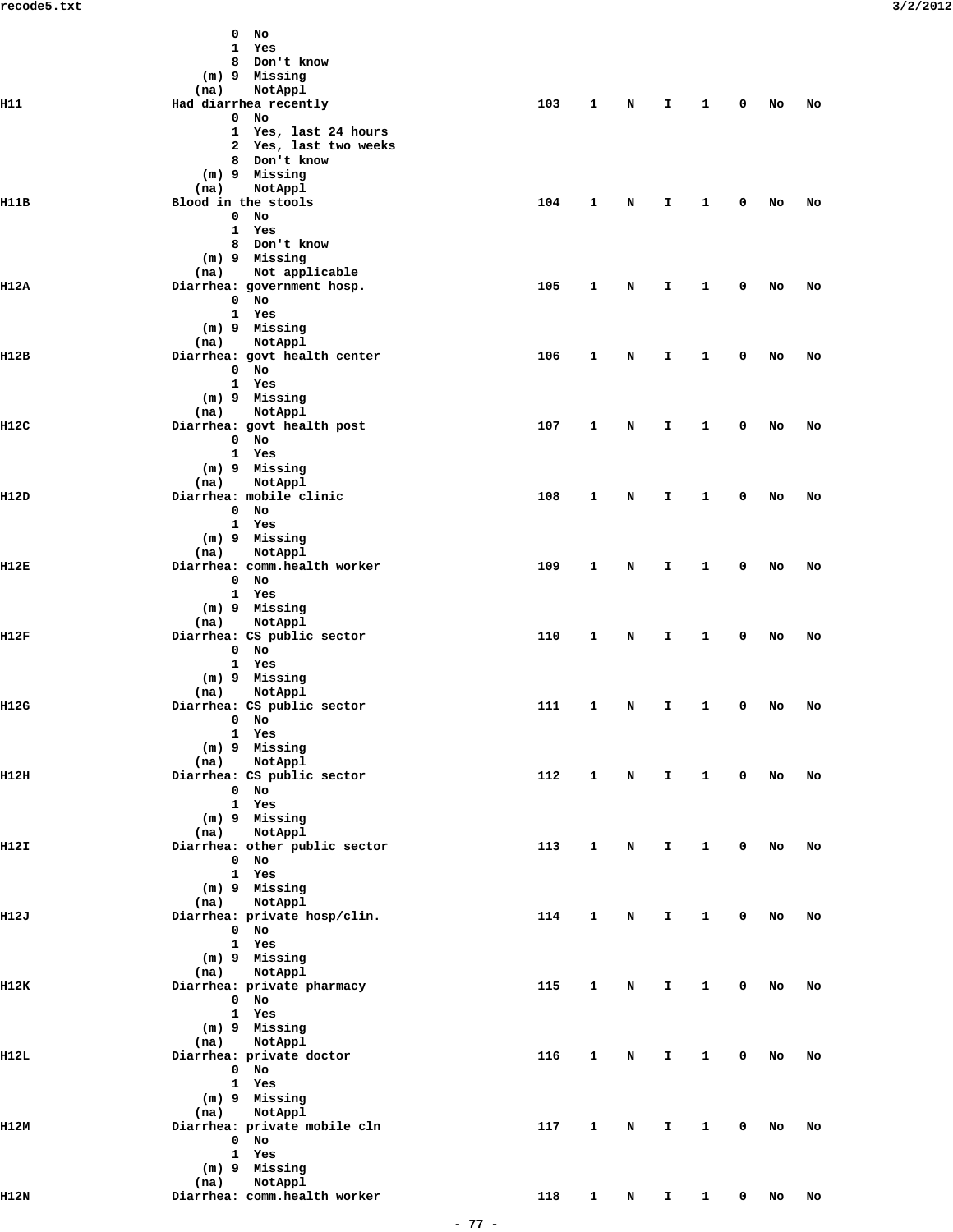|             | $0$ No<br>1 Yes<br>8 Don't know<br>(m) 9 Missing                                                    |     |              |                                                                                                                                                                                                                                |              |                |              |        |    |
|-------------|-----------------------------------------------------------------------------------------------------|-----|--------------|--------------------------------------------------------------------------------------------------------------------------------------------------------------------------------------------------------------------------------|--------------|----------------|--------------|--------|----|
| H11         | (na)<br>NotAppl<br>Had diarrhea recently                                                            | 103 | $\mathbf{1}$ | N                                                                                                                                                                                                                              | $\mathbf{T}$ | $\mathbf{1}$   | $\mathbf{0}$ | No     | No |
|             | $0$ No<br>1 Yes, last 24 hours<br>2 Yes, last two weeks<br>8 Don't know<br>(m) 9 Missing<br>NotAppl |     |              |                                                                                                                                                                                                                                |              |                |              |        |    |
| H11B        | (na)<br>Blood in the stools                                                                         | 104 | $\mathbf{1}$ | N                                                                                                                                                                                                                              | I.           | $\overline{1}$ | $\mathbf{0}$ | No     | No |
|             | $0$ No<br>1 Yes<br>8 Don't know<br>(m) 9 Missing<br>Not applicable<br>(na)                          |     |              |                                                                                                                                                                                                                                |              |                |              |        |    |
| II12A       | Diarrhea: government hosp.<br>$0$ No<br>1 Yes<br>(m) 9 Missing                                      | 105 | $\mathbf{1}$ | N                                                                                                                                                                                                                              | I.           | $\mathbf{1}$   | $\mathbf 0$  | No     | No |
| II12B       | NotAppl<br>(na)<br>Diarrhea: govt health center                                                     | 106 | 1            | N                                                                                                                                                                                                                              | $\mathbf{I}$ | $\mathbf{1}$   | $\mathbf 0$  | No     | No |
|             | $0$ No<br>1 Yes<br>(m) 9 Missing<br>NotAppl<br>(na)                                                 |     |              |                                                                                                                                                                                                                                |              |                |              |        |    |
| H12C        | Diarrhea: govt health post<br>$0$ No                                                                | 107 | $\mathbf{1}$ | N                                                                                                                                                                                                                              | $\mathbf{I}$ | $\mathbf{1}$   | $\mathbf 0$  | No     | No |
|             | 1 Yes<br>(m) 9 Missing<br>(na)<br>NotAppl                                                           |     |              |                                                                                                                                                                                                                                |              |                |              |        |    |
| H12D        | Diarrhea: mobile clinic<br>$0$ No                                                                   | 108 | $\mathbf{1}$ | N                                                                                                                                                                                                                              | $\mathbf{I}$ | $\mathbf{1}$   | $\mathbf 0$  | No     | No |
| H12E        | 1 Yes<br>(m) 9 Missing<br>NotAppl<br>(na)<br>Diarrhea: comm.health worker                           | 109 | 1            | N                                                                                                                                                                                                                              | $\mathbf{I}$ | $\mathbf{1}$   | 0            | No     | No |
|             | $0$ No<br>1 Yes<br>(m) 9 Missing                                                                    |     |              |                                                                                                                                                                                                                                |              |                |              |        |    |
| H12F        | (na)<br>NotAppl<br>Diarrhea: CS public sector<br>$0$ No<br>1 Yes                                    | 110 | 1            | N                                                                                                                                                                                                                              | I.           | $\mathbf{1}$   | 0            | No     | No |
| <b>H12G</b> | (m) 9 Missing<br>(na) NotAppl<br>Diarrhea: CS public sector<br>$\sim$ 0 No $\sim$<br>1 Yes          | 111 | $\mathbf{1}$ | N                                                                                                                                                                                                                              | $\mathbf{T}$ | $\mathbf{1}$   | $\mathbf 0$  | No     | No |
|             | $(m)$ 9 Missing<br>(na) NotAppl                                                                     |     |              |                                                                                                                                                                                                                                |              |                |              |        |    |
| H12H        | Diarrhea: CS public sector<br>0 No<br>1 Yes<br>$(m)$ 9 Missing                                      | 112 | $\mathbf{1}$ | $\mathbf N$                                                                                                                                                                                                                    |              | I 1 0 No       |              |        | No |
| H12I        | (na) NotAppl<br>Diarrhea: other public sector<br>$0$ No<br>1 Yes                                    | 113 | $\mathbf{1}$ | N                                                                                                                                                                                                                              | $\mathbf{T}$ | $\sim$ 1       |              | $0$ No | No |
| II12J       | $(m)$ 9 Missing<br>(na) NotAppl<br>Diarrhea: private hosp/clin.                                     | 114 | $\mathbf{1}$ | N                                                                                                                                                                                                                              | $\mathbf{I}$ | $\mathbf{1}$   | $\mathbf{0}$ | No     | No |
|             | $0$ No<br>1 Yes<br>(m) 9 Missing<br>(na) NotAppl                                                    |     |              |                                                                                                                                                                                                                                |              |                |              |        |    |
| 1112K       | Diarrhea: private pharmacy<br>$0$ No<br>1 Yes<br>$(m)$ 9 Missing                                    | 115 | $\mathbf{1}$ | N                                                                                                                                                                                                                              | $\mathbf{I}$ | $\mathbf{1}$   |              | $0$ No | No |
| H12L        | (na) NotAppl<br>Diarrhea: private doctor<br>0 No<br>1 Yes                                           | 116 | $\mathbf{1}$ | N                                                                                                                                                                                                                              |              | $1 \quad 1$    |              | $0$ No | No |
| II12M       | (m) 9 Missing<br>(na) NotAppl<br>Diarrhea: private mobile cln<br>$0$ No                             | 117 | $\mathbf{1}$ | N and the set of the set of the set of the set of the set of the set of the set of the set of the set of the set of the set of the set of the set of the set of the set of the set of the set of the set of the set of the set |              | $1 \quad 1$    |              | $0$ No | No |
|             | 1 Yes<br>$(m)$ 9 Missing<br>(na) NotAppl                                                            |     |              |                                                                                                                                                                                                                                |              |                |              |        |    |
| H12N        | Diarrhea: comm.health worker                                                                        | 118 | $\mathbf{1}$ | N                                                                                                                                                                                                                              | $\mathbf{I}$ | $\mathbf{1}$   |              | $0$ No | No |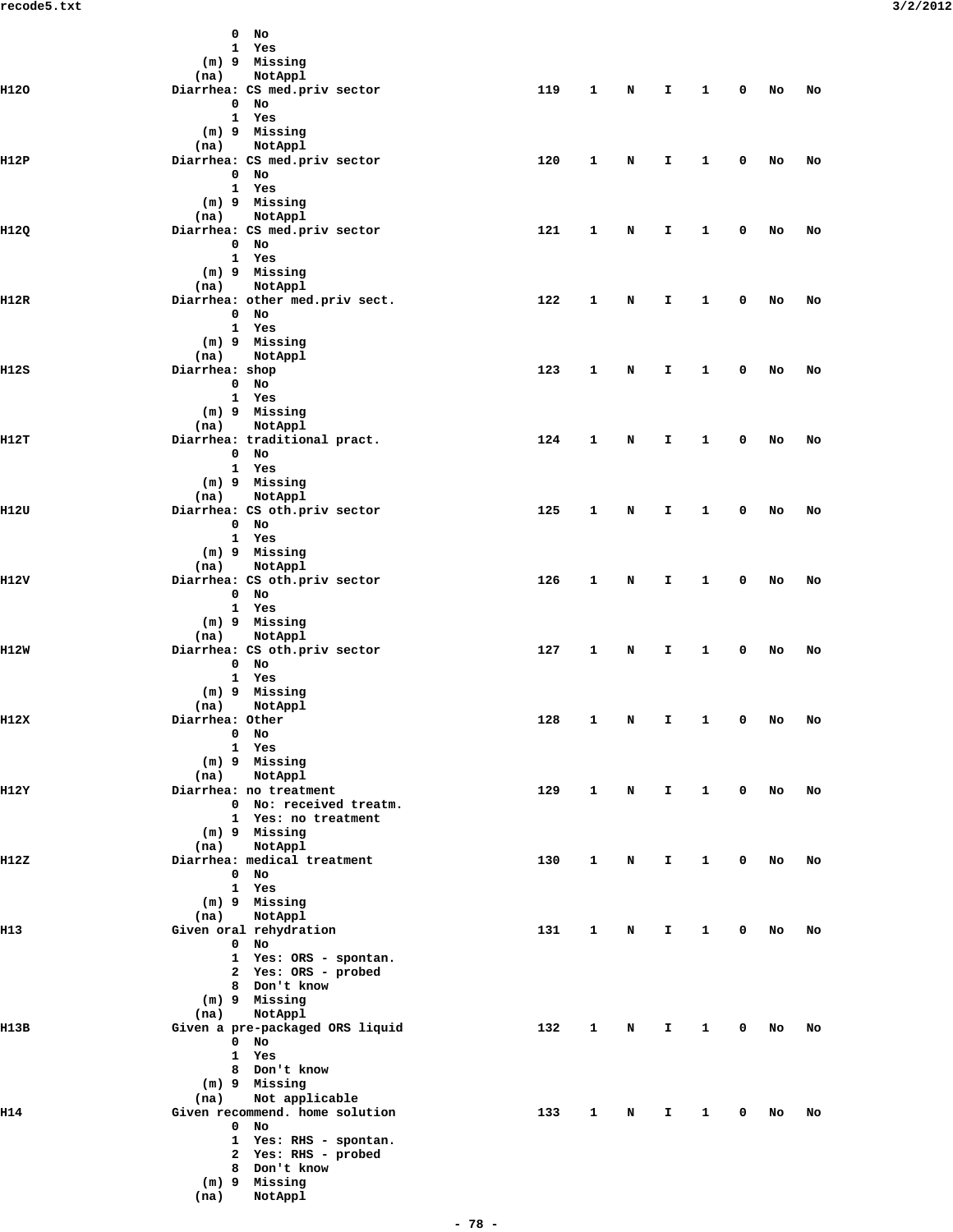|       | $0$ No                                                   |     |              |             |              |                     |              |    |           |  |
|-------|----------------------------------------------------------|-----|--------------|-------------|--------------|---------------------|--------------|----|-----------|--|
|       | 1 Yes                                                    |     |              |             |              |                     |              |    |           |  |
|       | (m) 9 Missing                                            |     |              |             |              |                     |              |    |           |  |
|       | NotAppl<br>(na)                                          |     |              |             |              |                     |              |    |           |  |
| H120  | Diarrhea: CS med.priv sector<br>$0$ No                   | 119 | $\mathbf{1}$ | $\mathbf N$ | $\mathbf{T}$ | $\mathbf{1}$        | $\mathbf 0$  | No | No        |  |
|       | 1 Yes                                                    |     |              |             |              |                     |              |    |           |  |
|       | $(m)$ 9 Missing                                          |     |              |             |              |                     |              |    |           |  |
|       | (na) NotAppl                                             |     |              |             |              |                     |              |    |           |  |
| H12P  | Diarrhea: CS med.priv sector                             | 120 | $\mathbf{1}$ | N           | I.           | $\mathbf{1}$        | 0            | No | No        |  |
|       | 0 No                                                     |     |              |             |              |                     |              |    |           |  |
|       | 1 Yes<br>(m) 9 Missing                                   |     |              |             |              |                     |              |    |           |  |
|       | (na) NotAppl                                             |     |              |             |              |                     |              |    |           |  |
| H12Q  | Diarrhea: CS med.priv sector                             | 121 | $\mathbf{1}$ | N           | I            | $\mathbf{1}$        | 0            | No | No        |  |
|       | $0$ No                                                   |     |              |             |              |                     |              |    |           |  |
|       | 1 Yes                                                    |     |              |             |              |                     |              |    |           |  |
|       | (m) 9 Missing                                            |     |              |             |              |                     |              |    |           |  |
| II12R | (na) NotAppl<br>Diarrhea: other med.priv sect.           | 122 | 1            | N           |              | $\mathbf{1}$        | 0            |    |           |  |
|       | $0$ No                                                   |     |              |             | I.           |                     |              | No | No        |  |
|       | 1 Yes                                                    |     |              |             |              |                     |              |    |           |  |
|       | (m) 9 Missing                                            |     |              |             |              |                     |              |    |           |  |
|       | (na) NotAppl                                             |     |              |             |              |                     |              |    |           |  |
| H12S  | Diarrhea: shop                                           | 123 | $\mathbf{1}$ | N           | I.           | $\mathbf{1}$        | $\mathbf 0$  | No | No        |  |
|       | 0 No<br>1 Yes                                            |     |              |             |              |                     |              |    |           |  |
|       | (m) 9 Missing                                            |     |              |             |              |                     |              |    |           |  |
|       | (na) NotAppl                                             |     |              |             |              |                     |              |    |           |  |
| H12T  | Diarrhea: traditional pract.                             | 124 | $\mathbf{1}$ | N           | I.           | $\mathbf{1}$        | 0            | No | No        |  |
|       | $0$ No                                                   |     |              |             |              |                     |              |    |           |  |
|       | 1 Yes                                                    |     |              |             |              |                     |              |    |           |  |
|       | (m) 9 Missing                                            |     |              |             |              |                     |              |    |           |  |
| H12U  | (na) NotAppl<br>Diarrhea: CS oth.priv sector             | 125 | $\mathbf{1}$ | N           | $\mathbf{I}$ | $\mathbf{1}$        | $\mathbf 0$  | No | No        |  |
|       | $0$ No                                                   |     |              |             |              |                     |              |    |           |  |
|       | 1 Yes                                                    |     |              |             |              |                     |              |    |           |  |
|       | (m) 9 Missing                                            |     |              |             |              |                     |              |    |           |  |
|       | (na) NotAppl                                             |     |              |             |              |                     |              |    |           |  |
| H12V  | Diarrhea: CS oth.priv sector                             | 126 | $\mathbf{1}$ | N           | I.           | $\mathbf{1}$        | $\mathbf 0$  | No | No        |  |
|       | $0$ No<br>1 Yes                                          |     |              |             |              |                     |              |    |           |  |
|       | (m) 9 Missing                                            |     |              |             |              |                     |              |    |           |  |
|       | (na) NotAppl                                             |     |              |             |              |                     |              |    |           |  |
| II12W | Diarrhea: CS oth.priv sector                             | 127 | $\mathbf{1}$ | N           | I.           | $\mathbf{1}$        | $\mathbf 0$  | No | No        |  |
|       | $0$ No                                                   |     |              |             |              |                     |              |    |           |  |
|       | 1 Yes                                                    |     |              |             |              |                     |              |    |           |  |
|       | (m) 9 Missing<br>(na) NotAppl                            |     |              |             |              |                     |              |    |           |  |
| H12X  | Diarrhea: Other                                          |     |              |             |              | 128 1 N I 1 0 No No |              |    |           |  |
|       | $0$ No                                                   |     |              |             |              |                     |              |    |           |  |
|       | 1 Yes                                                    |     |              |             |              |                     |              |    |           |  |
|       | $(m)$ 9 Missing                                          |     |              |             |              |                     |              |    |           |  |
|       | NotAppl<br>(na)                                          |     |              |             |              |                     |              |    |           |  |
| H12Y  | Diarrhea: no treatment<br>0 No: received treatm.         | 129 | $\mathbf{1}$ |             |              | N I 1 0 No          |              |    | <b>NO</b> |  |
|       | 1 Yes: no treatment                                      |     |              |             |              |                     |              |    |           |  |
|       | (m) 9 Missing                                            |     |              |             |              |                     |              |    |           |  |
|       | (na) NotAppl                                             |     |              |             |              |                     |              |    |           |  |
| H12Z  | Diarrhea: medical treatment                              | 130 | $\mathbf{1}$ | N           | I.           | $\mathbf{1}$        | $\mathbf 0$  | No | No        |  |
|       | $0$ No                                                   |     |              |             |              |                     |              |    |           |  |
|       | 1 Yes<br>$(m)$ 9 Missing                                 |     |              |             |              |                     |              |    |           |  |
|       | NotAppl<br>(na)                                          |     |              |             |              |                     |              |    |           |  |
| H13   | Given oral rehydration                                   | 131 | $\mathbf{1}$ | $\mathbf N$ | $\mathbf{T}$ | $\mathbf{1}$        | $\mathbf 0$  | No | No        |  |
|       | $0$ No                                                   |     |              |             |              |                     |              |    |           |  |
|       | 1 Yes: ORS - spontan.                                    |     |              |             |              |                     |              |    |           |  |
|       | 2 Yes: ORS - probed                                      |     |              |             |              |                     |              |    |           |  |
|       | 8 Don't know<br>(m) 9 Missing                            |     |              |             |              |                     |              |    |           |  |
|       | NotAppl<br>(na)                                          |     |              |             |              |                     |              |    |           |  |
| H13B  | Given a pre-packaged ORS liquid                          | 132 | $\mathbf{1}$ | $\mathbf N$ | $\mathbf{T}$ | $\mathbf{1}$        | $\mathbf 0$  | No | No        |  |
|       | $0$ No                                                   |     |              |             |              |                     |              |    |           |  |
|       | 1 Yes                                                    |     |              |             |              |                     |              |    |           |  |
|       | 8 Don't know                                             |     |              |             |              |                     |              |    |           |  |
|       | (m) 9 Missing                                            |     |              |             |              |                     |              |    |           |  |
| H14   | Not applicable<br>(na)<br>Given recommend. home solution | 133 | $\mathbf{1}$ | $\mathbf N$ | $\mathbf{I}$ | $\mathbf{1}$        | $\mathbf{0}$ | No | No        |  |
|       | $0$ No                                                   |     |              |             |              |                     |              |    |           |  |
|       | 1 Yes: RHS - spontan.                                    |     |              |             |              |                     |              |    |           |  |
|       | 2 Yes: RHS - probed                                      |     |              |             |              |                     |              |    |           |  |
|       | 8 Don't know                                             |     |              |             |              |                     |              |    |           |  |
|       | $(m)$ 9 Missing                                          |     |              |             |              |                     |              |    |           |  |
|       | (na)<br>NotAppl                                          |     |              |             |              |                     |              |    |           |  |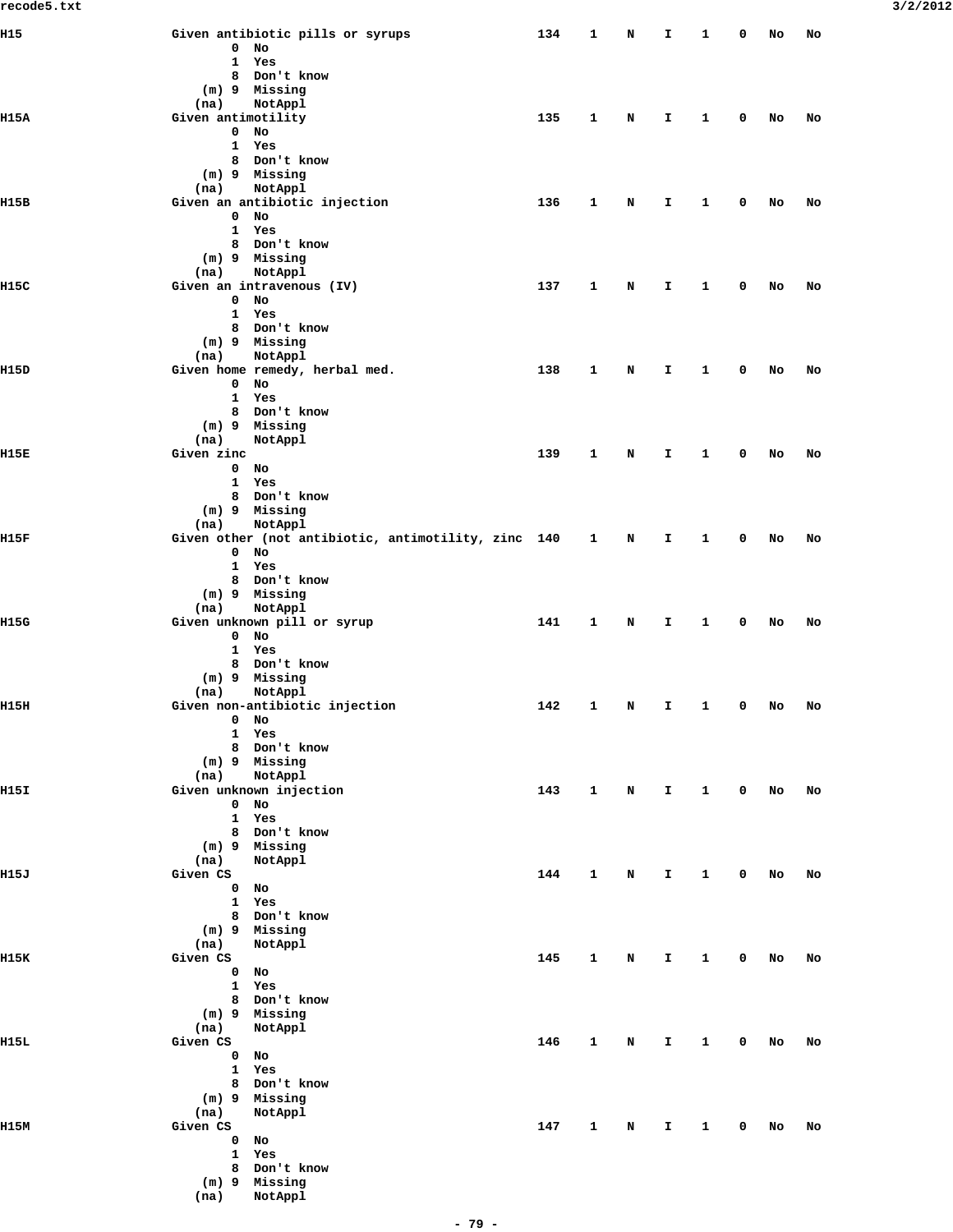| H15  | Given antibiotic pills or syrups                                       | 134 | 1            | N | I            | 1            | 0           | No | No |
|------|------------------------------------------------------------------------|-----|--------------|---|--------------|--------------|-------------|----|----|
|      | $\mathbf{0}$<br>No<br>$\mathbf{1}$<br>Yes                              |     |              |   |              |              |             |    |    |
|      | 8 Don't know                                                           |     |              |   |              |              |             |    |    |
|      | (m) 9 Missing                                                          |     |              |   |              |              |             |    |    |
|      | (na)<br>NotAppl                                                        |     |              |   |              |              |             |    |    |
| H15A | Given antimotility                                                     | 135 | 1            | N | I            | 1            | 0           | No | No |
|      | $\mathbf{0}$<br>No<br>$\mathbf{1}$<br>Yes                              |     |              |   |              |              |             |    |    |
|      | 8 Don't know                                                           |     |              |   |              |              |             |    |    |
|      | (m) 9 Missing                                                          |     |              |   |              |              |             |    |    |
|      | NotAppl<br>(na)                                                        |     |              |   |              |              |             |    |    |
| H15B | Given an antibiotic injection                                          | 136 | 1            | Ν | I.           | 1            | 0           | No | No |
|      | $0$ No                                                                 |     |              |   |              |              |             |    |    |
|      | $\mathbf{1}$<br>Yes<br>8 Don't know                                    |     |              |   |              |              |             |    |    |
|      | (m) 9 Missing                                                          |     |              |   |              |              |             |    |    |
|      | NotAppl<br>(na)                                                        |     |              |   |              |              |             |    |    |
| H15C | Given an intravenous (IV)                                              | 137 | 1            | Ν | I.           | 1            | 0           | No | No |
|      | $0$ No                                                                 |     |              |   |              |              |             |    |    |
|      | $\mathbf{1}$<br>Yes                                                    |     |              |   |              |              |             |    |    |
|      | 8 Don't know<br>(m) 9 Missing                                          |     |              |   |              |              |             |    |    |
|      | (na)<br>NotAppl                                                        |     |              |   |              |              |             |    |    |
| H15D | Given home remedy, herbal med.                                         | 138 | 1            | Ν | I            | 1            | 0           | No | No |
|      | $\mathbf{0}$<br>No                                                     |     |              |   |              |              |             |    |    |
|      | 1 Yes                                                                  |     |              |   |              |              |             |    |    |
|      | 8 Don't know                                                           |     |              |   |              |              |             |    |    |
|      | (m) 9 Missing<br>NotAppl<br>(na)                                       |     |              |   |              |              |             |    |    |
| н15к | Given zinc                                                             | 139 | 1            | Ν | I            | 1            | 0           | No | No |
|      | $\mathbf 0$<br>No                                                      |     |              |   |              |              |             |    |    |
|      | $\mathbf{1}$<br>Yes                                                    |     |              |   |              |              |             |    |    |
|      | 8 Don't know                                                           |     |              |   |              |              |             |    |    |
|      | (m) 9 Missing                                                          |     |              |   |              |              |             |    |    |
| H15F | (na)<br>NotAppl<br>Given other (not antibiotic, antimotility, zinc 140 |     |              | N | I.           | 1            | 0           | No | No |
|      | $0$ No                                                                 |     | $\mathbf{1}$ |   |              |              |             |    |    |
|      | $\mathbf{1}$<br>Yes                                                    |     |              |   |              |              |             |    |    |
|      | 8 Don't know                                                           |     |              |   |              |              |             |    |    |
|      | (m) 9 Missing                                                          |     |              |   |              |              |             |    |    |
|      | (na)<br>NotAppl                                                        |     |              |   |              |              |             |    |    |
| H15G | Given unknown pill or syrup<br>$0$ No                                  | 141 | 1            | Ν | I            | 1            | 0           | No | No |
|      | $\mathbf{1}$<br>Yes                                                    |     |              |   |              |              |             |    |    |
|      | 8 Don't know                                                           |     |              |   |              |              |             |    |    |
|      | (m) 9 Missing                                                          |     |              |   |              |              |             |    |    |
|      | (na)<br>NotAppl                                                        |     |              |   |              |              |             |    |    |
| H15H | Given non-antibiotic injection                                         | 142 | $\mathbf{1}$ | N | I.           | $\mathbf{1}$ | 0           | No | No |
|      | 0<br>No<br>$\mathbf{1}$<br>Yes                                         |     |              |   |              |              |             |    |    |
|      | 8 Don't know                                                           |     |              |   |              |              |             |    |    |
|      | $(m)$ 9 Missing                                                        |     |              |   |              |              |             |    |    |
|      | (na)<br>NotAppl                                                        |     |              |   |              |              |             |    |    |
| H15I | Given unknown injection                                                | 143 | $\mathbf{1}$ | N | $\mathbf{I}$ | $\mathbf{1}$ | $\mathbf 0$ | No | No |
|      | $\mathbf{0}$<br>No                                                     |     |              |   |              |              |             |    |    |
|      | Yes<br>$\mathbf{1}$<br>8 Don't know                                    |     |              |   |              |              |             |    |    |
|      | (m) 9 Missing                                                          |     |              |   |              |              |             |    |    |
|      | (na)<br>NotAppl                                                        |     |              |   |              |              |             |    |    |
| H15J | Given CS                                                               | 144 | 1            | N | I.           | 1            | 0           | No | No |
|      | $\mathbf{0}$<br>No                                                     |     |              |   |              |              |             |    |    |
|      | $\mathbf{1}$<br>Yes                                                    |     |              |   |              |              |             |    |    |
|      | 8 Don't know<br>(m) 9 Missing                                          |     |              |   |              |              |             |    |    |
|      | (na)<br>NotAppl                                                        |     |              |   |              |              |             |    |    |
| H15K | Given CS                                                               | 145 | 1            | N | I.           | 1            | 0           | No | No |
|      | $0$ No                                                                 |     |              |   |              |              |             |    |    |
|      | $\mathbf{1}$<br>Yes                                                    |     |              |   |              |              |             |    |    |
|      | 8 Don't know                                                           |     |              |   |              |              |             |    |    |
|      | (m) 9 Missing<br>(na)                                                  |     |              |   |              |              |             |    |    |
| H15L | NotAppl<br>Given CS                                                    | 146 | $\mathbf{1}$ | N | I.           | 1            | 0           | No | No |
|      | $\mathbf{0}$<br>No                                                     |     |              |   |              |              |             |    |    |
|      | $\mathbf{1}$<br>Yes                                                    |     |              |   |              |              |             |    |    |
|      | 8 Don't know                                                           |     |              |   |              |              |             |    |    |
|      | (m) 9 Missing                                                          |     |              |   |              |              |             |    |    |
|      | (na)<br>NotAppl                                                        |     |              |   |              |              |             |    |    |
| H15M | Given CS<br>$0$ No                                                     | 147 | 1            | N | I.           | 1            | 0           | No | No |
|      | $\mathbf{1}$<br>Yes                                                    |     |              |   |              |              |             |    |    |
|      | 8 Don't know                                                           |     |              |   |              |              |             |    |    |
|      | (m) 9 Missing                                                          |     |              |   |              |              |             |    |    |
|      | (na)<br>NotAppl                                                        |     |              |   |              |              |             |    |    |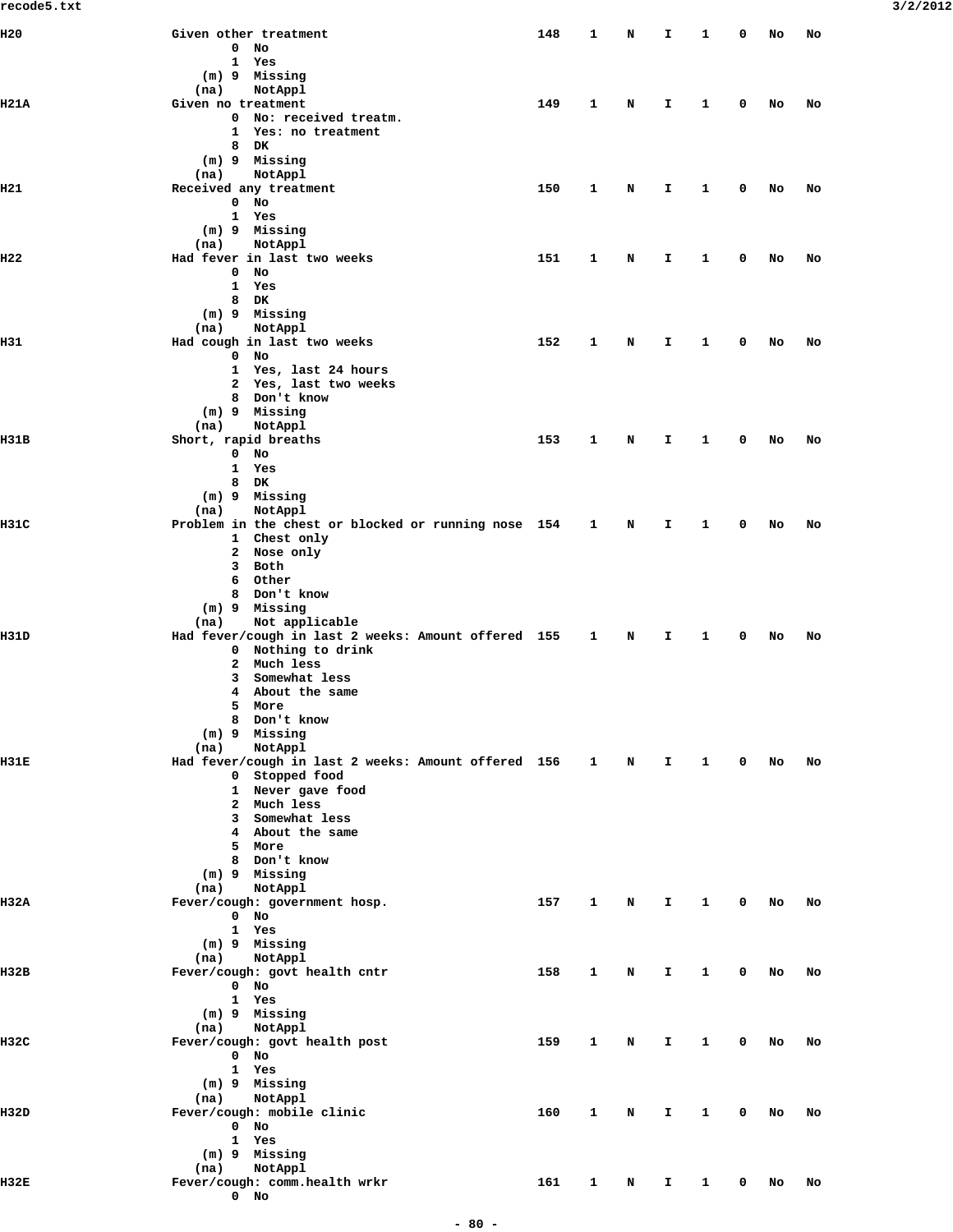| recode5.txt |                                                                         |     |              |                                                                                                                                                                                                                                |                               |                        |              |        |    | 3/2/2012 |
|-------------|-------------------------------------------------------------------------|-----|--------------|--------------------------------------------------------------------------------------------------------------------------------------------------------------------------------------------------------------------------------|-------------------------------|------------------------|--------------|--------|----|----------|
| H20         | Given other treatment                                                   | 148 | $\mathbf{1}$ | N                                                                                                                                                                                                                              | $\mathbf{I}$                  | $\mathbf{1}$           |              | 0 No   | No |          |
|             | $0$ No<br>1 Yes                                                         |     |              |                                                                                                                                                                                                                                |                               |                        |              |        |    |          |
|             | (m) 9 Missing                                                           |     |              |                                                                                                                                                                                                                                |                               |                        |              |        |    |          |
|             | NotAppl<br>(na)                                                         |     |              |                                                                                                                                                                                                                                |                               |                        |              |        |    |          |
| H21A        | Given no treatment                                                      | 149 | $\mathbf{1}$ | N                                                                                                                                                                                                                              | $\mathbf{I}$                  | $\mathbf{1}$           | $\mathbf 0$  | No     | No |          |
|             | 0 No: received treatm.<br>1 Yes: no treatment                           |     |              |                                                                                                                                                                                                                                |                               |                        |              |        |    |          |
|             | 8 DK                                                                    |     |              |                                                                                                                                                                                                                                |                               |                        |              |        |    |          |
|             | (m) 9 Missing                                                           |     |              |                                                                                                                                                                                                                                |                               |                        |              |        |    |          |
| H21         | NotAppl<br>(na)<br>Received any treatment                               | 150 | $\mathbf{1}$ | N                                                                                                                                                                                                                              | I.                            | $\mathbf{1}$           | 0            | No     | No |          |
|             | $0$ No                                                                  |     |              |                                                                                                                                                                                                                                |                               |                        |              |        |    |          |
|             | 1 Yes                                                                   |     |              |                                                                                                                                                                                                                                |                               |                        |              |        |    |          |
|             | (m) 9 Missing                                                           |     |              |                                                                                                                                                                                                                                |                               |                        |              |        |    |          |
| H22         | NotAppl<br>(na)<br>Had fever in last two weeks                          | 151 | 1            | N                                                                                                                                                                                                                              | $\mathbf{I}$                  | $\mathbf{1}$           | $\mathbf 0$  | No     | No |          |
|             | $0$ No                                                                  |     |              |                                                                                                                                                                                                                                |                               |                        |              |        |    |          |
|             | 1 Yes                                                                   |     |              |                                                                                                                                                                                                                                |                               |                        |              |        |    |          |
|             | 8 DK                                                                    |     |              |                                                                                                                                                                                                                                |                               |                        |              |        |    |          |
|             | (m) 9 Missing<br>(na)<br>NotAppl                                        |     |              |                                                                                                                                                                                                                                |                               |                        |              |        |    |          |
| H31         | Had cough in last two weeks                                             | 152 | $\mathbf{1}$ | N                                                                                                                                                                                                                              | $\mathbf{I}$                  | $\mathbf{1}$           | 0            | No     | No |          |
|             | $0$ No                                                                  |     |              |                                                                                                                                                                                                                                |                               |                        |              |        |    |          |
|             | 1 Yes, last 24 hours                                                    |     |              |                                                                                                                                                                                                                                |                               |                        |              |        |    |          |
|             | 2 Yes, last two weeks<br>8 Don't know                                   |     |              |                                                                                                                                                                                                                                |                               |                        |              |        |    |          |
|             | (m) 9 Missing                                                           |     |              |                                                                                                                                                                                                                                |                               |                        |              |        |    |          |
|             | NotAppl<br>(na)                                                         |     |              |                                                                                                                                                                                                                                |                               |                        |              |        |    |          |
| 1131B       | Short, rapid breaths                                                    | 153 | $\mathbf{1}$ | N                                                                                                                                                                                                                              | $\mathbf{I}$                  | $\mathbf{1}$           | $\mathbf 0$  | No     | No |          |
|             | $0$ No<br>1 Yes                                                         |     |              |                                                                                                                                                                                                                                |                               |                        |              |        |    |          |
|             | 8 DK                                                                    |     |              |                                                                                                                                                                                                                                |                               |                        |              |        |    |          |
|             | (m) 9 Missing                                                           |     |              |                                                                                                                                                                                                                                |                               |                        |              |        |    |          |
|             | NotAppl<br>(na)                                                         |     |              |                                                                                                                                                                                                                                |                               |                        |              |        |    |          |
| 1131C       | Problem in the chest or blocked or running nose 154 1 N<br>1 Chest only |     |              |                                                                                                                                                                                                                                | $\mathbf{I}$                  | $\mathbf{1}$           | 0            | No     | No |          |
|             | 2 Nose only                                                             |     |              |                                                                                                                                                                                                                                |                               |                        |              |        |    |          |
|             | 3 Both                                                                  |     |              |                                                                                                                                                                                                                                |                               |                        |              |        |    |          |
|             | 6 Other<br>8 Don't know                                                 |     |              |                                                                                                                                                                                                                                |                               |                        |              |        |    |          |
|             | (m) 9 Missing                                                           |     |              |                                                                                                                                                                                                                                |                               |                        |              |        |    |          |
|             | Not applicable<br>(na)                                                  |     |              |                                                                                                                                                                                                                                |                               |                        |              |        |    |          |
| 1131D       | Had fever/cough in last 2 weeks: Amount offered 155 1 N                 |     |              |                                                                                                                                                                                                                                | Ι.                            | $\mathbf{1}$           | 0            | No     | No |          |
|             | 0 Nothing to drink<br>2 Much less                                       |     |              |                                                                                                                                                                                                                                |                               |                        |              |        |    |          |
|             | 3 Somewhat less                                                         |     |              |                                                                                                                                                                                                                                |                               |                        |              |        |    |          |
|             | 4 About the same                                                        |     |              |                                                                                                                                                                                                                                |                               |                        |              |        |    |          |
|             | 5 More                                                                  |     |              |                                                                                                                                                                                                                                |                               |                        |              |        |    |          |
|             | 8 Don't know<br>(m) 9 Missing                                           |     |              |                                                                                                                                                                                                                                |                               |                        |              |        |    |          |
|             | NotAppl<br>(na)                                                         |     |              |                                                                                                                                                                                                                                |                               |                        |              |        |    |          |
| H31E        | Had fever/cough in last 2 weeks: Amount offered 156 1 N                 |     |              |                                                                                                                                                                                                                                | $\mathbf{I}$ and $\mathbf{I}$ | $\mathbf{1}$           |              | $0$ No | No |          |
|             | 0 Stopped food<br>1 Never gave food                                     |     |              |                                                                                                                                                                                                                                |                               |                        |              |        |    |          |
|             | 2 Much less                                                             |     |              |                                                                                                                                                                                                                                |                               |                        |              |        |    |          |
|             | 3 Somewhat less                                                         |     |              |                                                                                                                                                                                                                                |                               |                        |              |        |    |          |
|             | 4 About the same                                                        |     |              |                                                                                                                                                                                                                                |                               |                        |              |        |    |          |
|             | 5 More<br>8 Don't know                                                  |     |              |                                                                                                                                                                                                                                |                               |                        |              |        |    |          |
|             | $(m)$ 9 Missing                                                         |     |              |                                                                                                                                                                                                                                |                               |                        |              |        |    |          |
|             | NotAppl<br>(na)                                                         |     |              |                                                                                                                                                                                                                                |                               |                        |              |        |    |          |
| 1132A       | Fever/cough: government hosp.                                           | 157 | $\mathbf{1}$ | N and the set of the set of the set of the set of the set of the set of the set of the set of the set of the set of the set of the set of the set of the set of the set of the set of the set of the set of the set of the set | $\mathbf{I}$                  | $\mathbf{1}$           |              | $0$ No | No |          |
|             | $0$ No<br>1 Yes                                                         |     |              |                                                                                                                                                                                                                                |                               |                        |              |        |    |          |
|             | (m) 9 Missing                                                           |     |              |                                                                                                                                                                                                                                |                               |                        |              |        |    |          |
|             | (na) NotAppl                                                            |     |              |                                                                                                                                                                                                                                |                               |                        |              |        |    |          |
| 1132B       | Fever/cough: govt health cntr                                           | 158 | $\mathbf{1}$ | N                                                                                                                                                                                                                              | $\mathbf{T}$                  | $\mathbf{1}$           | $\mathbf 0$  | No     | No |          |
|             | $0$ No<br>1 Yes                                                         |     |              |                                                                                                                                                                                                                                |                               |                        |              |        |    |          |
|             | $(m)$ 9 Missing                                                         |     |              |                                                                                                                                                                                                                                |                               |                        |              |        |    |          |
|             | (na) NotAppl                                                            |     |              |                                                                                                                                                                                                                                |                               |                        |              |        |    |          |
| 1132C       | Fever/cough: govt health post                                           | 159 | $\mathbf{1}$ | N                                                                                                                                                                                                                              | $\mathbf{T}$                  | $\mathbf{1}$           | $\mathbf 0$  | No     | No |          |
|             | $0$ No<br>1 Yes                                                         |     |              |                                                                                                                                                                                                                                |                               |                        |              |        |    |          |
|             | (m) 9 Missing                                                           |     |              |                                                                                                                                                                                                                                |                               |                        |              |        |    |          |
|             | (na) NotAppl                                                            |     |              |                                                                                                                                                                                                                                |                               |                        |              |        |    |          |
| 1132D       | Fever/cough: mobile clinic                                              | 160 | $\mathbf{1}$ | N                                                                                                                                                                                                                              | $\mathbf{T}$                  | $\mathbf{1}$           | 0            | No     | No |          |
|             | $0$ No<br>1 Yes                                                         |     |              |                                                                                                                                                                                                                                |                               |                        |              |        |    |          |
|             | (m) 9 Missing                                                           |     |              |                                                                                                                                                                                                                                |                               |                        |              |        |    |          |
|             | (na) NotAppl                                                            |     |              |                                                                                                                                                                                                                                |                               |                        |              |        |    |          |
| H32E        | Fever/cough: comm.health wrkr                                           | 161 | $\mathbf{1}$ | $\mathbf N$                                                                                                                                                                                                                    | $\mathbf{I}$                  | $1 \quad \blacksquare$ | $\mathbf{0}$ | No     | No |          |
|             | $0$ No                                                                  |     |              |                                                                                                                                                                                                                                |                               |                        |              |        |    |          |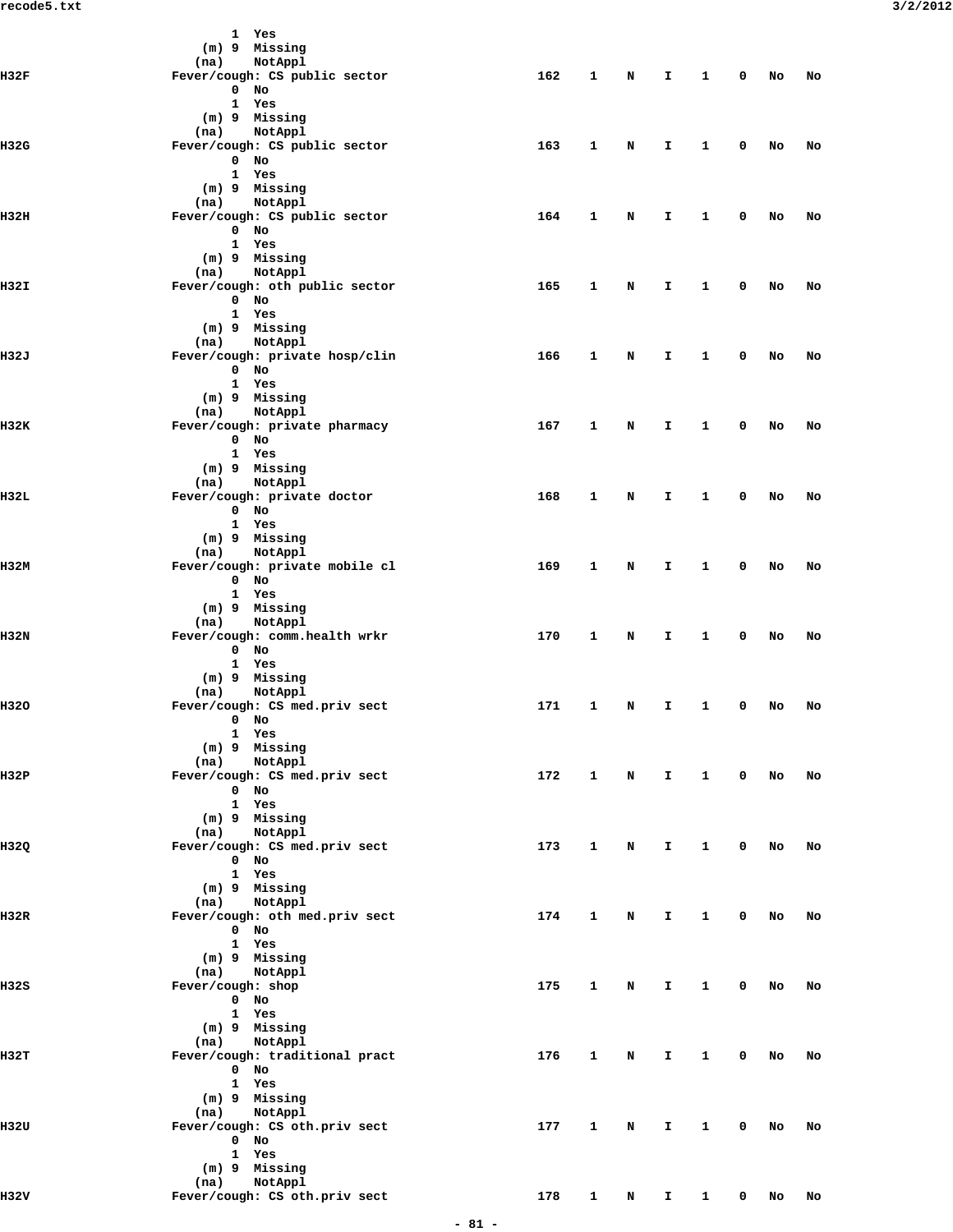|             | 1 Yes<br>(m) 9 Missing                           |     |              |   |              |              |   |        |    |
|-------------|--------------------------------------------------|-----|--------------|---|--------------|--------------|---|--------|----|
|             | NotAppl<br>(na)                                  |     |              |   |              |              |   |        |    |
| H32F        | Fever/cough: CS public sector                    | 162 | 1            | N | I.           | $\mathbf{1}$ | 0 | No     | No |
|             | $0$ No<br>1 Yes                                  |     |              |   |              |              |   |        |    |
|             | (m) 9 Missing                                    |     |              |   |              |              |   |        |    |
|             | NotAppl<br>(na)                                  |     |              |   |              |              |   |        |    |
| <b>H32G</b> | Fever/cough: CS public sector<br>$0$ No          | 163 | 1            | N | I.           | 1            | 0 | No     | No |
|             | 1 Yes                                            |     |              |   |              |              |   |        |    |
|             | (m) 9 Missing                                    |     |              |   |              |              |   |        |    |
|             | NotAppl<br>(na)                                  |     |              |   |              |              |   |        |    |
| H32H        | Fever/cough: CS public sector<br>$0$ No          | 164 | 1            | N | I.           | 1            | 0 | No     | No |
|             | 1 Yes                                            |     |              |   |              |              |   |        |    |
|             | (m) 9 Missing                                    |     |              |   |              |              |   |        |    |
|             | (na)<br>NotAppl                                  |     |              |   |              |              |   |        |    |
| H32I        | Fever/cough: oth public sector<br>$0$ No         | 165 | 1            | N | I.           | 1            | 0 | No     | No |
|             | 1 Yes                                            |     |              |   |              |              |   |        |    |
|             | (m) 9 Missing                                    |     |              |   |              |              |   |        |    |
| 1132J       | NotAppl<br>(na)                                  | 166 | 1            | N | I.           | 1            | 0 | No     | No |
|             | Fever/cough: private hosp/clin<br>$0$ No         |     |              |   |              |              |   |        |    |
|             | 1 Yes                                            |     |              |   |              |              |   |        |    |
|             | (m) 9 Missing                                    |     |              |   |              |              |   |        |    |
|             | NotAppl<br>(na)                                  |     |              |   |              |              |   |        |    |
| 1132K       | Fever/cough: private pharmacy<br>$0$ No          | 167 | 1            | N | I.           | 1            | 0 | No     | No |
|             | 1 Yes                                            |     |              |   |              |              |   |        |    |
|             | (m) 9 Missing                                    |     |              |   |              |              |   |        |    |
|             | NotAppl<br>(na)                                  |     |              |   |              |              |   |        |    |
| 1132L       | Fever/cough: private doctor<br>$0$ No            | 168 | 1            | N | I.           | 1            | 0 | No     | No |
|             | 1 Yes                                            |     |              |   |              |              |   |        |    |
|             | (m) 9 Missing                                    |     |              |   |              |              |   |        |    |
|             | (na)<br>NotAppl                                  |     |              |   |              |              |   |        |    |
| H32M        | Fever/cough: private mobile cl<br>$0$ No         | 169 | 1            | N | I.           | 1            | 0 | No     | No |
|             | 1 Yes                                            |     |              |   |              |              |   |        |    |
|             | (m) 9 Missing                                    |     |              |   |              |              |   |        |    |
|             | NotAppl<br>(na)<br>Fever/cough: comm.health wrkr | 170 | 1            |   | I.           | 1            | 0 |        |    |
| H32N        | $0$ No                                           |     |              | N |              |              |   | No     | No |
|             | 1 Yes                                            |     |              |   |              |              |   |        |    |
|             | (m) 9 Missing                                    |     |              |   |              |              |   |        |    |
| H320        | NotAppl<br>(na)                                  | 171 | 1            | N | I.           | 1            | 0 |        | No |
|             | Fever/cough: CS med.priv sect<br>U NO            |     |              |   |              |              |   | No     |    |
|             | 1 Yes                                            |     |              |   |              |              |   |        |    |
|             | (m) 9 Missing                                    |     |              |   |              |              |   |        |    |
| 1132P       | (na) NotAppl<br>Fever/cough: CS med.priv sect    | 172 | 1            | N | $\mathbf{I}$ | $\mathbf{1}$ | 0 | No     | No |
|             | $0$ No                                           |     |              |   |              |              |   |        |    |
|             | 1 Yes                                            |     |              |   |              |              |   |        |    |
|             | (m) 9 Missing                                    |     |              |   |              |              |   |        |    |
| H32Q        | (na) NotAppl<br>Fever/cough: CS med.priv sect    | 173 | 1            | N | Ι.           | $\mathbf{1}$ | 0 | No     | No |
|             | $0$ No                                           |     |              |   |              |              |   |        |    |
|             | 1 Yes                                            |     |              |   |              |              |   |        |    |
|             | (m) 9 Missing                                    |     |              |   |              |              |   |        |    |
| II32R       | (na) NotAppl<br>Fever/cough: oth med.priv sect   | 174 | 1            | N | Ι.           | $\mathbf{1}$ | 0 | No     | No |
|             | $0$ No                                           |     |              |   |              |              |   |        |    |
|             | 1 Yes                                            |     |              |   |              |              |   |        |    |
|             | (m) 9 Missing                                    |     |              |   |              |              |   |        |    |
| H32S        | (na) NotAppl<br>Fever/cough: shop                | 175 | 1            | N | Ι.           | 1            | 0 | No     | No |
|             | $0$ No                                           |     |              |   |              |              |   |        |    |
|             | 1 Yes                                            |     |              |   |              |              |   |        |    |
|             | (m) 9 Missing                                    |     |              |   |              |              |   |        |    |
| 1132T       | (na) NotAppl<br>Fever/cough: traditional pract   | 176 | 1            | N | $\mathbf{T}$ | $\mathbf{1}$ | 0 | No     | No |
|             | $0$ No                                           |     |              |   |              |              |   |        |    |
|             | 1 Yes                                            |     |              |   |              |              |   |        |    |
|             | (m) 9 Missing                                    |     |              |   |              |              |   |        |    |
| 1132U       | (na) NotAppl<br>Fever/cough: CS oth.priv sect    | 177 | $\mathbf{1}$ |   |              |              | 0 |        |    |
|             | $0$ No                                           |     |              | N | Ι.           | $\mathbf{1}$ |   | No     | No |
|             | 1 Yes                                            |     |              |   |              |              |   |        |    |
|             | (m) 9 Missing                                    |     |              |   |              |              |   |        |    |
|             | (na) NotAppl<br>Fever/cough: CS oth.priv sect    | 178 | $\mathbf{1}$ |   |              | $\mathbf{1}$ |   | $0$ No |    |
| H32V        |                                                  |     |              |   | $N$ I        |              |   |        | No |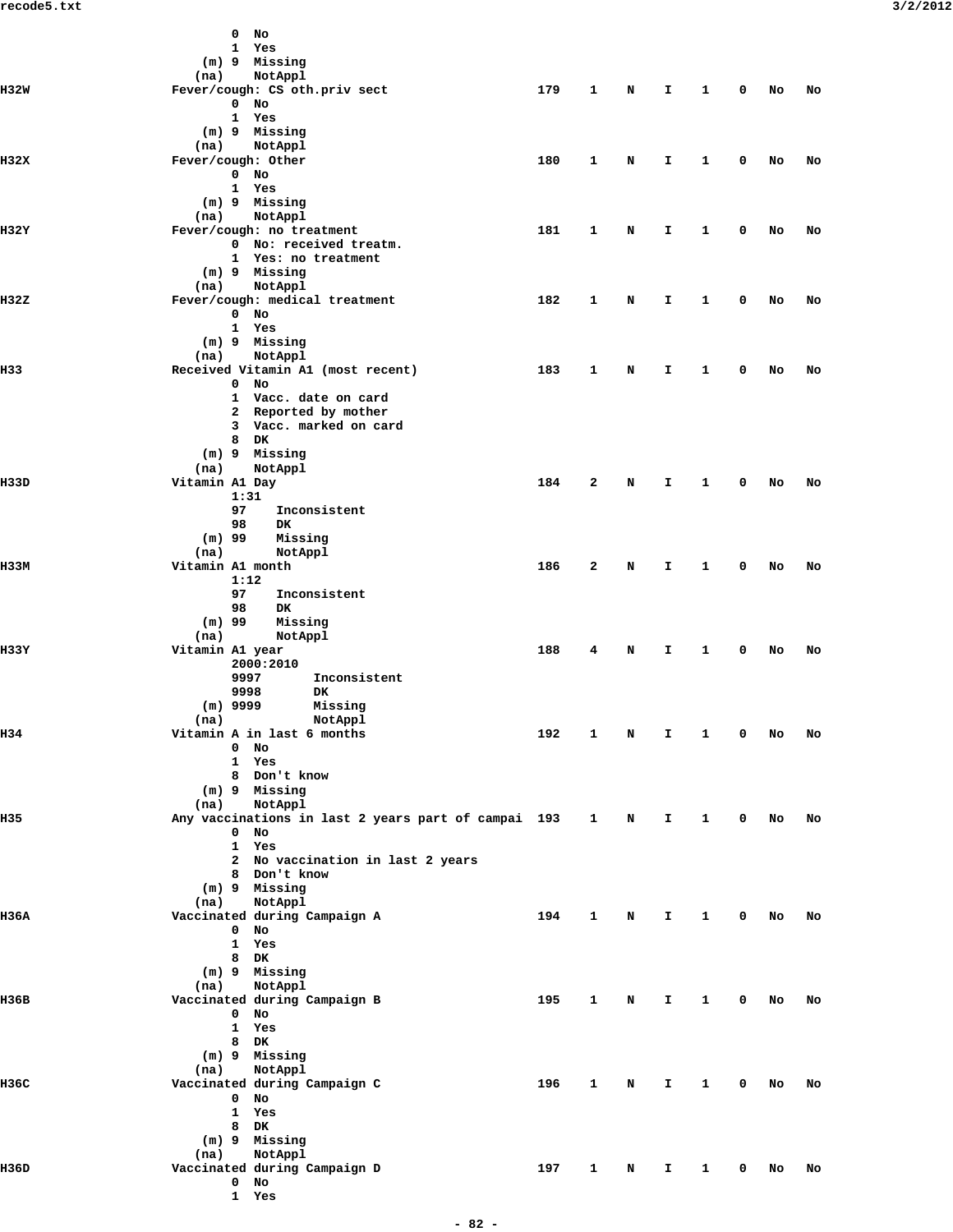|             | $0$ No                                              |     |              |   |              |              |              |        |    |  |
|-------------|-----------------------------------------------------|-----|--------------|---|--------------|--------------|--------------|--------|----|--|
|             | 1 Yes                                               |     |              |   |              |              |              |        |    |  |
|             | (m) 9 Missing                                       |     |              |   |              |              |              |        |    |  |
|             | NotAppl<br>(na)                                     |     |              |   |              |              |              |        |    |  |
| <b>H32W</b> | Fever/cough: CS oth.priv sect                       | 179 | 1            | N | $\mathbf{I}$ | $\mathbf{1}$ | $\mathbf{0}$ | No     | No |  |
|             | $0$ No                                              |     |              |   |              |              |              |        |    |  |
|             | 1 Yes                                               |     |              |   |              |              |              |        |    |  |
|             | (m) 9 Missing                                       |     |              |   |              |              |              |        |    |  |
|             | NotAppl<br>(na)                                     |     |              |   |              |              |              |        |    |  |
| H32X        | Fever/cough: Other                                  | 180 | 1            | N | I.           | $\mathbf{1}$ | $\mathbf 0$  | No     | No |  |
|             | $0$ No                                              |     |              |   |              |              |              |        |    |  |
|             | 1 Yes                                               |     |              |   |              |              |              |        |    |  |
|             | (m) 9 Missing                                       |     |              |   |              |              |              |        |    |  |
|             | (na)<br>NotAppl                                     |     |              |   |              |              |              |        |    |  |
| H32Y        | Fever/cough: no treatment                           | 181 | 1            | N | I.           | $\mathbf{1}$ | $\mathbf 0$  | No     | No |  |
|             | 0 No: received treatm.                              |     |              |   |              |              |              |        |    |  |
|             | 1 Yes: no treatment                                 |     |              |   |              |              |              |        |    |  |
|             | (m) 9 Missing                                       |     |              |   |              |              |              |        |    |  |
|             | NotAppl<br>(na)                                     |     |              |   |              |              |              |        |    |  |
| H32Z        | Fever/cough: medical treatment                      | 182 | 1            | N | I.           | $\mathbf{1}$ | $\mathbf 0$  | No     | No |  |
|             | $0$ No                                              |     |              |   |              |              |              |        |    |  |
|             | 1 Yes                                               |     |              |   |              |              |              |        |    |  |
|             | $(m)$ 9 Missing                                     |     |              |   |              |              |              |        |    |  |
|             | (na)<br>NotAppl                                     |     |              |   |              |              |              |        |    |  |
| H33         | Received Vitamin A1 (most recent)                   | 183 | 1            | N | I.           | $\mathbf{1}$ | $\mathbf 0$  | No     | No |  |
|             | $0$ No                                              |     |              |   |              |              |              |        |    |  |
|             | 1 Vacc. date on card                                |     |              |   |              |              |              |        |    |  |
|             | 2 Reported by mother                                |     |              |   |              |              |              |        |    |  |
|             | 3 Vacc. marked on card                              |     |              |   |              |              |              |        |    |  |
|             | $8$ DK                                              |     |              |   |              |              |              |        |    |  |
|             | (m) 9 Missing                                       |     |              |   |              |              |              |        |    |  |
|             | (na)<br>NotAppl                                     |     |              |   |              |              |              |        |    |  |
| H33D        | Vitamin A1 Day                                      | 184 | 2            | N | I.           | $\mathbf{1}$ | $\mathbf 0$  | No     | No |  |
|             | 1:31                                                |     |              |   |              |              |              |        |    |  |
|             | 97<br>Inconsistent                                  |     |              |   |              |              |              |        |    |  |
|             | 98<br>DK                                            |     |              |   |              |              |              |        |    |  |
|             | $(m)$ 99<br>Missing                                 |     |              |   |              |              |              |        |    |  |
|             | (na)<br>NotAppl                                     |     |              |   |              |              |              |        |    |  |
| <b>H33M</b> | Vitamin A1 month                                    | 186 | 2            | N | I.           | $\mathbf{1}$ | $\mathbf 0$  | No     | No |  |
|             | 1:12                                                |     |              |   |              |              |              |        |    |  |
|             | 97<br>Inconsistent                                  |     |              |   |              |              |              |        |    |  |
|             | 98<br>DK                                            |     |              |   |              |              |              |        |    |  |
|             | $(m)$ 99<br>Missing                                 |     |              |   |              |              |              |        |    |  |
|             | (na)<br>NotAppl                                     |     |              |   |              |              |              |        |    |  |
| H33Y        | Vitamin A1 year                                     | 188 | 4            | N | I.           | 1            | 0            | No     | No |  |
|             | 2000:2010                                           |     |              |   |              |              |              |        |    |  |
|             | 9997<br>Inconsistent                                |     |              |   |              |              |              |        |    |  |
|             | 9998<br>DK                                          |     |              |   |              |              |              |        |    |  |
|             | $(m)$ 9999<br>Missing                               |     |              |   |              |              |              |        |    |  |
|             | (na)<br>NotAppl                                     |     |              |   |              |              |              |        |    |  |
| H34         | Vitamin A in last 6 months                          | 192 | 1            | N | I            | 1            | 0            | No     | No |  |
|             | $0$ No                                              |     |              |   |              |              |              |        |    |  |
|             | 1 Yes                                               |     |              |   |              |              |              |        |    |  |
|             | 8 Don't know                                        |     |              |   |              |              |              |        |    |  |
|             | (m) 9 Missing                                       |     |              |   |              |              |              |        |    |  |
|             | NotAppl<br>(na)                                     |     |              |   |              |              |              |        |    |  |
| H35         | Any vaccinations in last 2 years part of campai 193 |     | $\mathbf{1}$ | N | Ι.           | $\mathbf{1}$ | $\mathbf 0$  | No     | No |  |
|             | $0$ No                                              |     |              |   |              |              |              |        |    |  |
|             | 1 Yes                                               |     |              |   |              |              |              |        |    |  |
|             | 2 No vaccination in last 2 years                    |     |              |   |              |              |              |        |    |  |
|             | 8 Don't know                                        |     |              |   |              |              |              |        |    |  |
|             | (m) 9 Missing                                       |     |              |   |              |              |              |        |    |  |
|             | NotAppl<br>(na)                                     |     |              |   |              |              |              |        |    |  |
| H36A        | Vaccinated during Campaign A                        | 194 | 1            | N | I.           | $\mathbf{1}$ | $\mathbf{0}$ | No     | No |  |
|             | $0$ No                                              |     |              |   |              |              |              |        |    |  |
|             | 1 Yes                                               |     |              |   |              |              |              |        |    |  |
|             | 8 DK                                                |     |              |   |              |              |              |        |    |  |
|             | $(m)$ 9 Missing                                     |     |              |   |              |              |              |        |    |  |
|             | NotAppl<br>(na)                                     |     |              |   |              |              |              |        |    |  |
| н36в        | Vaccinated during Campaign B                        | 195 | $\mathbf{1}$ | N | I.           | $\mathbf{1}$ | $\mathbf 0$  | No     | No |  |
|             | $0$ No                                              |     |              |   |              |              |              |        |    |  |
|             |                                                     |     |              |   |              |              |              |        |    |  |
|             | 1 Yes                                               |     |              |   |              |              |              |        |    |  |
|             | 8 DK                                                |     |              |   |              |              |              |        |    |  |
|             | (m) 9 Missing                                       |     |              |   |              |              |              |        |    |  |
|             | NotAppl<br>(na)                                     |     |              |   |              |              |              |        |    |  |
| H36C        | Vaccinated during Campaign C                        | 196 | 1            | N | I.           | $\mathbf{1}$ |              | $0$ No | No |  |
|             | $0$ No                                              |     |              |   |              |              |              |        |    |  |
|             | 1 Yes                                               |     |              |   |              |              |              |        |    |  |
|             | 8 DK                                                |     |              |   |              |              |              |        |    |  |
|             | $(m)$ 9 Missing                                     |     |              |   |              |              |              |        |    |  |
|             | NotAppl<br>(na)                                     |     |              |   |              |              |              |        |    |  |
| H36D        | Vaccinated during Campaign D                        | 197 | $\mathbf{1}$ | N | I.           | 1            | $\mathbf 0$  | No     | No |  |
|             | $0$ No                                              |     |              |   |              |              |              |        |    |  |
|             | 1 Yes                                               |     |              |   |              |              |              |        |    |  |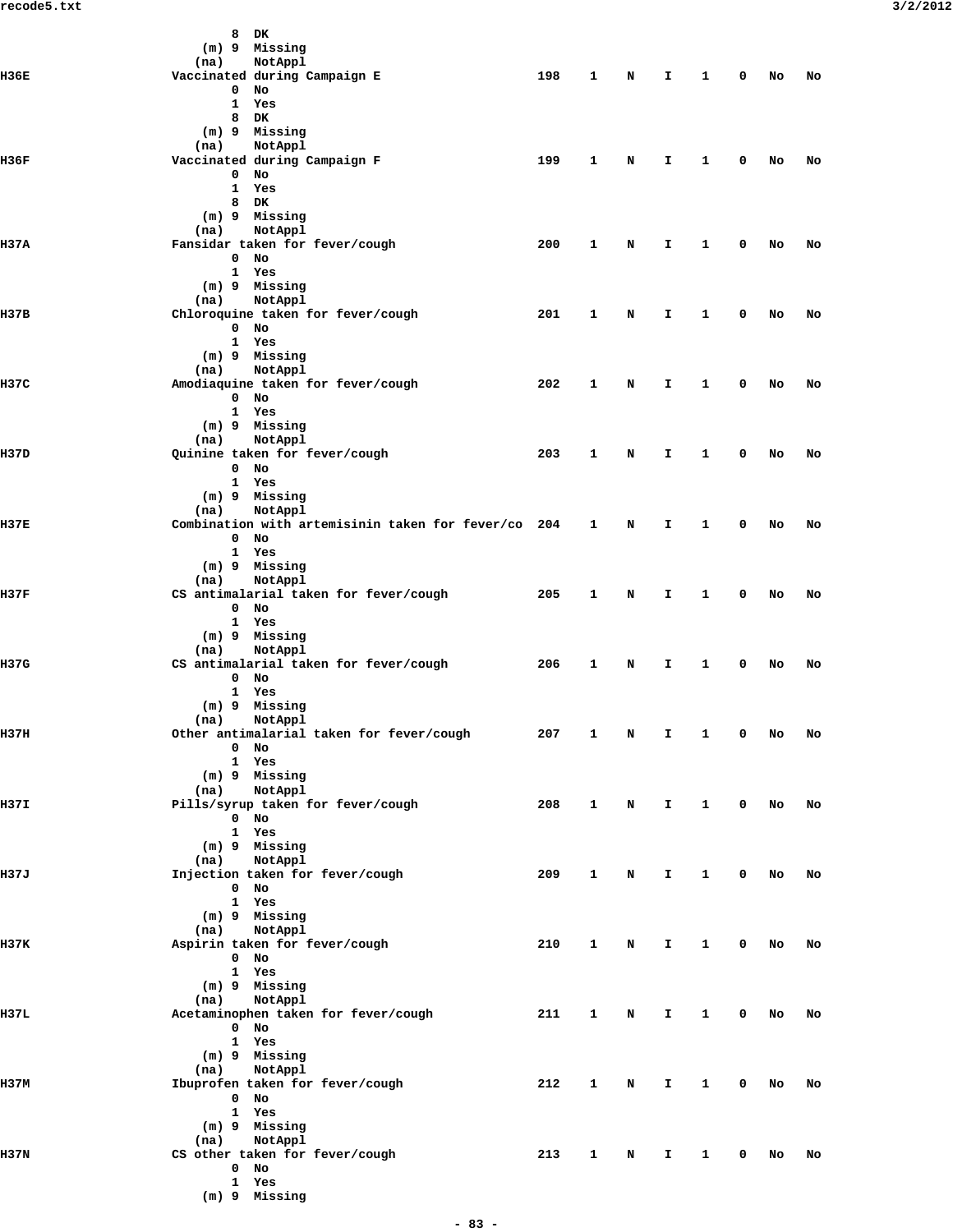|       | DK<br>8                                                  |     |   |   |    |   |   |    |    |
|-------|----------------------------------------------------------|-----|---|---|----|---|---|----|----|
|       | (m) 9 Missing                                            |     |   |   |    |   |   |    |    |
| 1136E | NotAppl<br>(na)<br>Vaccinated during Campaign E          | 198 | 1 | N | I. | 1 | 0 | No | No |
|       | 0<br>No                                                  |     |   |   |    |   |   |    |    |
|       | 1<br>Yes                                                 |     |   |   |    |   |   |    |    |
|       | 8<br>DK.                                                 |     |   |   |    |   |   |    |    |
|       | (m) 9 Missing                                            |     |   |   |    |   |   |    |    |
|       | NotAppl<br>(na)                                          |     |   |   |    |   |   |    |    |
| 1136F | Vaccinated during Campaign F<br>0<br>No                  | 199 | 1 | N | I. | 1 | 0 | No | No |
|       | $\mathbf{1}$<br>Yes                                      |     |   |   |    |   |   |    |    |
|       | DK<br>8                                                  |     |   |   |    |   |   |    |    |
|       | (m) 9 Missing                                            |     |   |   |    |   |   |    |    |
|       | NotAppl<br>(na)                                          |     |   |   |    |   |   |    |    |
| 1137A | Fansidar taken for fever/cough                           | 200 | 1 | N | I  | 1 | 0 | No | No |
|       | No<br>0                                                  |     |   |   |    |   |   |    |    |
|       | 1 Yes                                                    |     |   |   |    |   |   |    |    |
|       | (m) 9 Missing                                            |     |   |   |    |   |   |    |    |
| H37B  | NotAppl<br>(na)<br>Chloroquine taken for fever/cough     | 201 | 1 | N | I  | 1 | 0 | No | No |
|       | $0$ No                                                   |     |   |   |    |   |   |    |    |
|       | 1 Yes                                                    |     |   |   |    |   |   |    |    |
|       | (m) 9 Missing                                            |     |   |   |    |   |   |    |    |
|       | NotAppl<br>(na)                                          |     |   |   |    |   |   |    |    |
| 1137C | Amodiaquine taken for fever/cough                        | 202 | 1 | N | I. | 1 | 0 | No | No |
|       | $\mathbf{0}$<br>No                                       |     |   |   |    |   |   |    |    |
|       | 1 Yes                                                    |     |   |   |    |   |   |    |    |
|       | (m) 9 Missing                                            |     |   |   |    |   |   |    |    |
| 1137D | NotAppl<br>(na)<br>Quinine taken for fever/cough         | 203 | 1 | N | I  | 1 | 0 | No | No |
|       | $0$ No                                                   |     |   |   |    |   |   |    |    |
|       | 1 Yes                                                    |     |   |   |    |   |   |    |    |
|       | (m) 9 Missing                                            |     |   |   |    |   |   |    |    |
|       | NotAppl<br>(na)                                          |     |   |   |    |   |   |    |    |
| H37E  | Combination with artemisinin taken for fever/co 204      |     | 1 | N | I  | 1 | 0 | No | No |
|       | No<br>0                                                  |     |   |   |    |   |   |    |    |
|       | 1 Yes                                                    |     |   |   |    |   |   |    |    |
|       | (m) 9 Missing                                            |     |   |   |    |   |   |    |    |
| 1137F | NotAppl<br>(na)<br>CS antimalarial taken for fever/cough | 205 | 1 | N | I. | 1 | 0 | No | No |
|       | $0$ No                                                   |     |   |   |    |   |   |    |    |
|       | 1 Yes                                                    |     |   |   |    |   |   |    |    |
|       | (m) 9 Missing                                            |     |   |   |    |   |   |    |    |
|       | NotAppl<br>(na)                                          |     |   |   |    |   |   |    |    |
| H37G  | CS antimalarial taken for fever/cough                    | 206 | 1 | N | I  | 1 | 0 | No | No |
|       | 0<br>No                                                  |     |   |   |    |   |   |    |    |
|       | 1 Yes                                                    |     |   |   |    |   |   |    |    |
|       | (m) 9 Missing                                            |     |   |   |    |   |   |    |    |
| H37H  | (na) NotAppl<br>Other antimalarial taken for fever/cough | 207 | 1 | Ν | I  | 1 | 0 | No | No |
|       | $0$ No                                                   |     |   |   |    |   |   |    |    |
|       | 1 Yes                                                    |     |   |   |    |   |   |    |    |
|       | (m) 9 Missing                                            |     |   |   |    |   |   |    |    |
|       | (na) NotAppl                                             |     |   |   |    |   |   |    |    |
| H37I  | Pills/syrup taken for fever/cough                        | 208 | 1 | N | Ι. | 1 | 0 | No | No |
|       | 0 No                                                     |     |   |   |    |   |   |    |    |
|       | 1 Yes                                                    |     |   |   |    |   |   |    |    |
|       | (m) 9 Missing                                            |     |   |   |    |   |   |    |    |
| H37J  | (na) NotAppl<br>Injection taken for fever/cough          | 209 | 1 | N | I. | 1 | 0 | No | No |
|       | 0 No                                                     |     |   |   |    |   |   |    |    |
|       | 1 Yes                                                    |     |   |   |    |   |   |    |    |
|       | (m) 9 Missing                                            |     |   |   |    |   |   |    |    |
|       | NotAppl<br>(na)                                          |     |   |   |    |   |   |    |    |
| н37к  | Aspirin taken for fever/cough                            | 210 | 1 | N | I. | 1 | 0 | No | No |
|       | 0 No                                                     |     |   |   |    |   |   |    |    |
|       | 1 Yes                                                    |     |   |   |    |   |   |    |    |
|       | $(m)$ 9 Missing<br>(na) NotAppl                          |     |   |   |    |   |   |    |    |
| H37L  | Acetaminophen taken for fever/cough                      | 211 | 1 | N | I. | 1 | 0 | No | No |
|       | $0$ No                                                   |     |   |   |    |   |   |    |    |
|       | 1 Yes                                                    |     |   |   |    |   |   |    |    |
|       | $(m)$ 9 Missing                                          |     |   |   |    |   |   |    |    |
|       | (na) NotAppl                                             |     |   |   |    |   |   |    |    |
| H37M  | Ibuprofen taken for fever/cough                          | 212 | 1 | N | I. | 1 | 0 | No | No |
|       | 0 No                                                     |     |   |   |    |   |   |    |    |
|       | 1 Yes                                                    |     |   |   |    |   |   |    |    |
|       | (m) 9 Missing<br>NotAppl                                 |     |   |   |    |   |   |    |    |
| H37N  | (na)<br>CS other taken for fever/cough                   | 213 | 1 | N | I. | 1 | 0 | No | No |
|       | $0$ No                                                   |     |   |   |    |   |   |    |    |
|       | 1 Yes                                                    |     |   |   |    |   |   |    |    |
|       | (m) 9 Missing                                            |     |   |   |    |   |   |    |    |
|       |                                                          |     |   |   |    |   |   |    |    |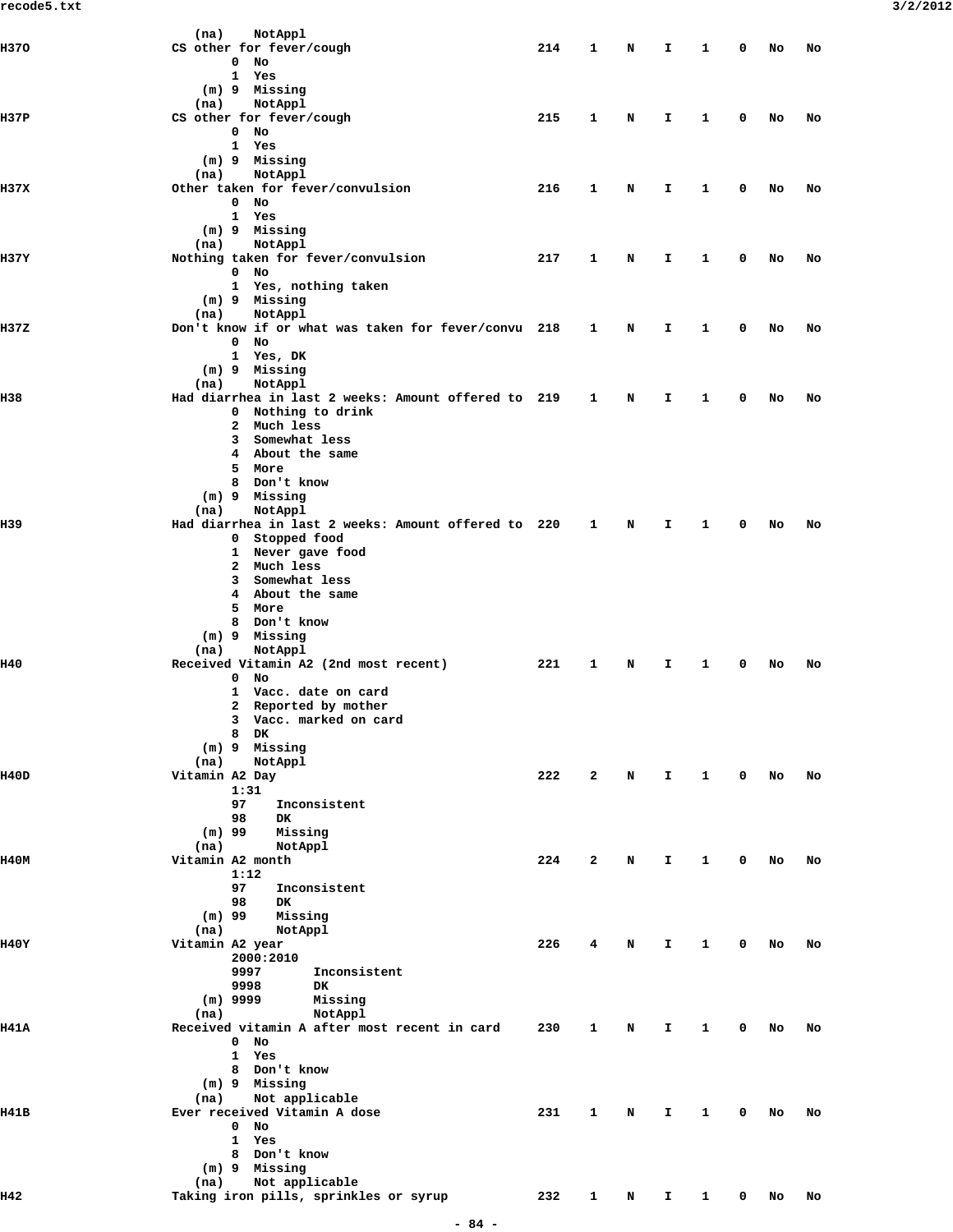| <b>H370</b> | (na)<br>NotAppl<br>CS other for fever/cough                            | 214 | 1              | N | I  | 1            | 0           | No | No |  |
|-------------|------------------------------------------------------------------------|-----|----------------|---|----|--------------|-------------|----|----|--|
|             | $\mathbf 0$<br>No                                                      |     |                |   |    |              |             |    |    |  |
|             | 1<br>Yes                                                               |     |                |   |    |              |             |    |    |  |
|             | (m) 9 Missing<br>NotAppl<br>(na)                                       |     |                |   |    |              |             |    |    |  |
| H37P        | CS other for fever/cough                                               | 215 | 1              | N | I  | 1            | 0           | No | No |  |
|             | $\mathbf 0$<br>No                                                      |     |                |   |    |              |             |    |    |  |
|             | 1 Yes                                                                  |     |                |   |    |              |             |    |    |  |
|             | (m) 9 Missing<br>NotAppl<br>(na)                                       |     |                |   |    |              |             |    |    |  |
| H37X        | Other taken for fever/convulsion                                       | 216 | 1              | N | I  | 1            | 0           | No | No |  |
|             | $0$ No                                                                 |     |                |   |    |              |             |    |    |  |
|             | 1<br>Yes                                                               |     |                |   |    |              |             |    |    |  |
|             | (m) 9 Missing<br>NotAppl<br>(na)                                       |     |                |   |    |              |             |    |    |  |
| H37Y        | Nothing taken for fever/convulsion                                     | 217 | 1              | N | Ι. | 1            | 0           | No | No |  |
|             | $0$ No                                                                 |     |                |   |    |              |             |    |    |  |
|             | 1 Yes, nothing taken                                                   |     |                |   |    |              |             |    |    |  |
|             | (m) 9 Missing<br>NotAppl<br>(na)                                       |     |                |   |    |              |             |    |    |  |
| H37Z        | Don't know if or what was taken for fever/convu 218                    |     | 1              | N | I  | 1            | 0           | No | No |  |
|             | 0<br>No                                                                |     |                |   |    |              |             |    |    |  |
|             | 1 Yes, DK                                                              |     |                |   |    |              |             |    |    |  |
|             | (m) 9 Missing                                                          |     |                |   |    |              |             |    |    |  |
| H38         | NotAppl<br>(na)<br>Had diarrhea in last 2 weeks: Amount offered to 219 |     | $\mathbf{1}$   | N | I. | 1            | 0           | No | No |  |
|             | 0 Nothing to drink                                                     |     |                |   |    |              |             |    |    |  |
|             | 2 Much less                                                            |     |                |   |    |              |             |    |    |  |
|             | Somewhat less<br>3                                                     |     |                |   |    |              |             |    |    |  |
|             | 4 About the same<br>5<br>More                                          |     |                |   |    |              |             |    |    |  |
|             | 8 Don't know                                                           |     |                |   |    |              |             |    |    |  |
|             | (m) 9 Missing                                                          |     |                |   |    |              |             |    |    |  |
| H39         | NotAppl<br>(na)                                                        |     |                |   |    |              |             |    |    |  |
|             | Had diarrhea in last 2 weeks: Amount offered to 220<br>0 Stopped food  |     | 1              | N | I  | 1            | 0           | No | No |  |
|             | 1 Never gave food                                                      |     |                |   |    |              |             |    |    |  |
|             | 2 Much less                                                            |     |                |   |    |              |             |    |    |  |
|             | Somewhat less<br>3                                                     |     |                |   |    |              |             |    |    |  |
|             | 4 About the same<br>5<br>More                                          |     |                |   |    |              |             |    |    |  |
|             | 8<br>Don't know                                                        |     |                |   |    |              |             |    |    |  |
|             | (m) 9 Missing                                                          |     |                |   |    |              |             |    |    |  |
| <b>H40</b>  | NotAppl<br>(na)                                                        |     |                |   |    |              |             |    |    |  |
|             | Received Vitamin A2 (2nd most recent)<br>$\mathbf{0}$<br>No            | 221 | 1              | N | I  | 1            | 0           | No | No |  |
|             | 1 Vacc. date on card                                                   |     |                |   |    |              |             |    |    |  |
|             | 2 Reported by mother                                                   |     |                |   |    |              |             |    |    |  |
|             | 3 Vacc. marked on card<br>8 DK                                         |     |                |   |    |              |             |    |    |  |
|             | (m) 9 Missing                                                          |     |                |   |    |              |             |    |    |  |
|             | NotAppl<br>(na)                                                        |     |                |   |    |              |             |    |    |  |
| <b>H40D</b> | Vitamin A2 Day                                                         | 222 | 2              | N | I. | $\mathbf{1}$ | $\mathbf 0$ | No | No |  |
|             | 1:31<br>97<br>Inconsistent                                             |     |                |   |    |              |             |    |    |  |
|             | 98<br>DK.                                                              |     |                |   |    |              |             |    |    |  |
|             | $(m)$ 99<br>Missing                                                    |     |                |   |    |              |             |    |    |  |
|             | (na)<br>NotAppl                                                        |     |                |   |    |              |             |    |    |  |
| <b>H40M</b> | Vitamin A2 month<br>1:12                                               | 224 | $\overline{a}$ | N | Ι. | 1            | 0           | No | No |  |
|             | 97<br>Inconsistent                                                     |     |                |   |    |              |             |    |    |  |
|             | 98<br>DK.                                                              |     |                |   |    |              |             |    |    |  |
|             | $(m)$ 99<br>Missing                                                    |     |                |   |    |              |             |    |    |  |
| H40Y        | NotAppl<br>(na)<br>Vitamin A2 year                                     | 226 | 4              | N | I. | 1            | 0           | No | No |  |
|             | 2000:2010                                                              |     |                |   |    |              |             |    |    |  |
|             | 9997<br>Inconsistent                                                   |     |                |   |    |              |             |    |    |  |
|             | 9998<br>DK.                                                            |     |                |   |    |              |             |    |    |  |
|             | $(m)$ 9999<br>Missing<br>(na)                                          |     |                |   |    |              |             |    |    |  |
| <b>H41A</b> | NotAppl<br>Received vitamin A after most recent in card                | 230 | 1              | N | Ι. | 1            | 0           | No | No |  |
|             | $0$ No                                                                 |     |                |   |    |              |             |    |    |  |
|             | 1 Yes                                                                  |     |                |   |    |              |             |    |    |  |
|             | 8 Don't know<br>(m) 9 Missing                                          |     |                |   |    |              |             |    |    |  |
|             | Not applicable<br>(na)                                                 |     |                |   |    |              |             |    |    |  |
| <b>H41B</b> | Ever received Vitamin A dose                                           | 231 | 1              | N | I. | 1            | 0           | No | No |  |
|             | $0$ No                                                                 |     |                |   |    |              |             |    |    |  |
|             | 1 Yes                                                                  |     |                |   |    |              |             |    |    |  |
|             | 8 Don't know<br>(m) 9 Missing                                          |     |                |   |    |              |             |    |    |  |
|             | Not applicable<br>(na)                                                 |     |                |   |    |              |             |    |    |  |
| H42         | Taking iron pills, sprinkles or syrup                                  | 232 | 1              | N | I. | 1            | 0           | No | No |  |
|             |                                                                        |     |                |   |    |              |             |    |    |  |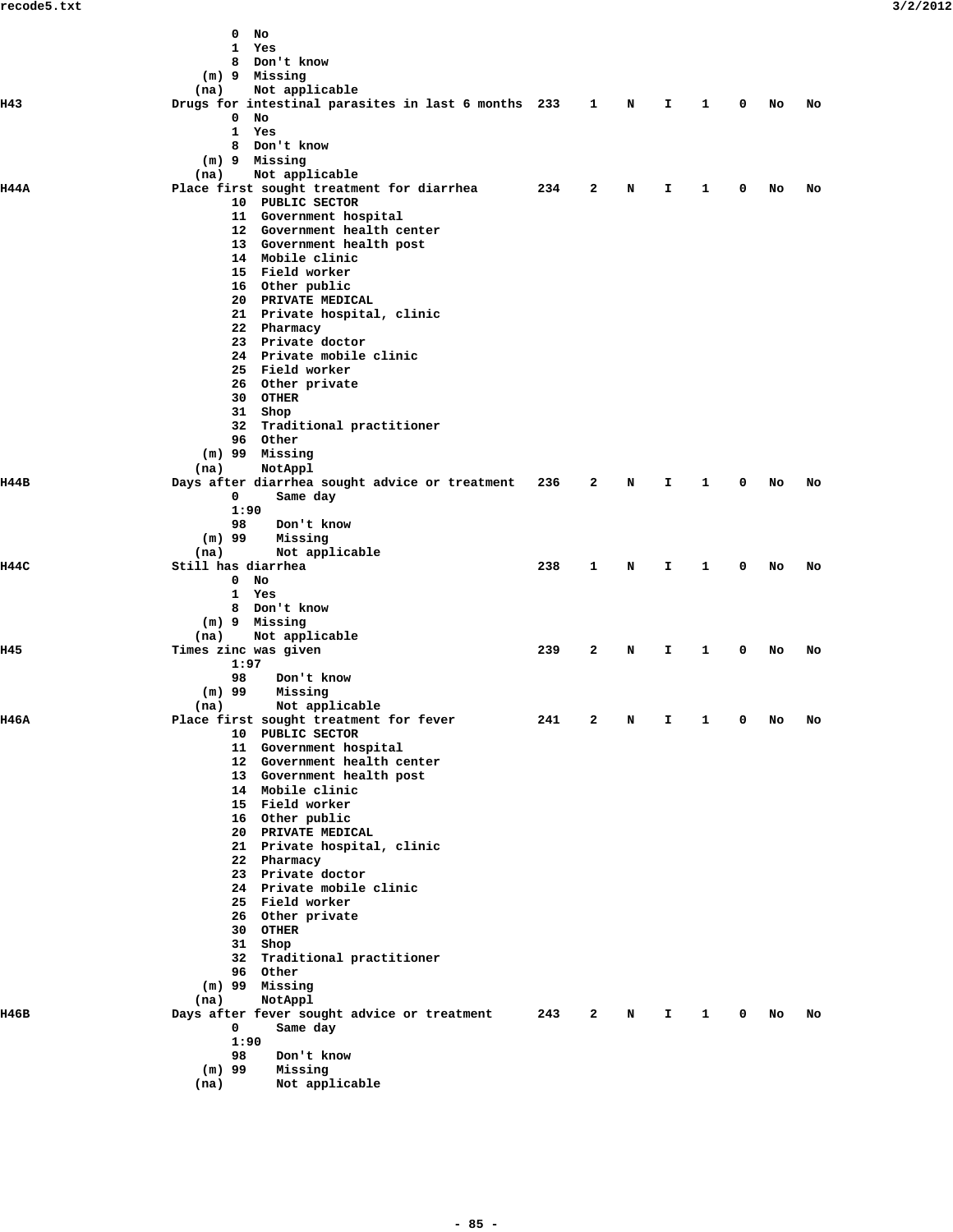|       | 0<br>No                                             |     |              |     |    |              |             |      |    |
|-------|-----------------------------------------------------|-----|--------------|-----|----|--------------|-------------|------|----|
|       | 1<br>Yes<br>8 Don't know                            |     |              |     |    |              |             |      |    |
|       |                                                     |     |              |     |    |              |             |      |    |
|       | (m) 9 Missing                                       |     |              |     |    |              |             |      |    |
|       | Not applicable<br>(na)                              |     |              |     |    |              |             |      |    |
| H43   | Drugs for intestinal parasites in last 6 months 233 |     | $\mathbf{1}$ | N   | I. | 1            | $\mathbf 0$ | No   | No |
|       | 0<br>No                                             |     |              |     |    |              |             |      |    |
|       | 1<br>Yes                                            |     |              |     |    |              |             |      |    |
|       | 8 Don't know                                        |     |              |     |    |              |             |      |    |
|       | (m) 9 Missing                                       |     |              |     |    |              |             |      |    |
|       | Not applicable<br>(na)                              |     |              |     |    |              |             |      |    |
| 1144A | Place first sought treatment for diarrhea           | 234 | 2            | N   | I. | 1            | 0           | No   | No |
|       | 10 PUBLIC SECTOR                                    |     |              |     |    |              |             |      |    |
|       | 11 Government hospital                              |     |              |     |    |              |             |      |    |
|       | 12 Government health center                         |     |              |     |    |              |             |      |    |
|       | 13 Government health post                           |     |              |     |    |              |             |      |    |
|       | 14 Mobile clinic                                    |     |              |     |    |              |             |      |    |
|       | 15 Field worker                                     |     |              |     |    |              |             |      |    |
|       | 16 Other public                                     |     |              |     |    |              |             |      |    |
|       | 20 PRIVATE MEDICAL                                  |     |              |     |    |              |             |      |    |
|       | 21 Private hospital, clinic                         |     |              |     |    |              |             |      |    |
|       | 22 Pharmacy                                         |     |              |     |    |              |             |      |    |
|       | 23 Private doctor                                   |     |              |     |    |              |             |      |    |
|       | 24 Private mobile clinic                            |     |              |     |    |              |             |      |    |
|       | 25 Field worker                                     |     |              |     |    |              |             |      |    |
|       | 26 Other private                                    |     |              |     |    |              |             |      |    |
|       | 30 OTHER                                            |     |              |     |    |              |             |      |    |
|       | 31 Shop                                             |     |              |     |    |              |             |      |    |
|       | 32 Traditional practitioner                         |     |              |     |    |              |             |      |    |
|       | 96 Other                                            |     |              |     |    |              |             |      |    |
|       | (m) 99 Missing                                      |     |              |     |    |              |             |      |    |
|       | NotAppl<br>(na)                                     |     |              |     |    |              |             |      |    |
| н44в  | Days after diarrhea sought advice or treatment      | 236 | 2            | N   | I. | $\mathbf{1}$ | 0           | No   | No |
|       | 0<br>Same day                                       |     |              |     |    |              |             |      |    |
|       | 1:90                                                |     |              |     |    |              |             |      |    |
|       | 98<br>Don't know                                    |     |              |     |    |              |             |      |    |
|       | $(m)$ 99<br>Missing                                 |     |              |     |    |              |             |      |    |
|       | (na)<br>Not applicable                              |     |              |     |    |              |             |      |    |
| 1144C | Still has diarrhea                                  | 238 | $\mathbf{1}$ | N   | Ι. | $\mathbf{1}$ | 0           | No   | No |
|       | $\mathbf 0$                                         |     |              |     |    |              |             |      |    |
|       | No                                                  |     |              |     |    |              |             |      |    |
|       | 1 Yes                                               |     |              |     |    |              |             |      |    |
|       | 8 Don't know                                        |     |              |     |    |              |             |      |    |
|       | (m) 9 Missing                                       |     |              |     |    |              |             |      |    |
|       | Not applicable<br>(na)                              |     |              |     |    |              |             |      |    |
| H45   | Times zinc was given                                | 239 | 2            | N   | I. | 1            | 0           | No   | No |
|       | 1:97                                                |     |              |     |    |              |             |      |    |
|       | 98<br>Don't know                                    |     |              |     |    |              |             |      |    |
|       | $(m)$ 99<br>Missing                                 |     |              |     |    |              |             |      |    |
|       | (na)<br>Not applicable                              |     |              |     |    |              |             |      |    |
| 1146A | Place first sought treatment for fever              | 241 |              | 2 N |    | $I \quad 1$  |             | 0 No | No |
|       | 10 PUBLIC SECTOR                                    |     |              |     |    |              |             |      |    |
|       | 11 Government hospital                              |     |              |     |    |              |             |      |    |
|       | 12 Government health center                         |     |              |     |    |              |             |      |    |
|       | 13 Government health post                           |     |              |     |    |              |             |      |    |
|       | 14 Mobile clinic                                    |     |              |     |    |              |             |      |    |
|       | 15 Field worker                                     |     |              |     |    |              |             |      |    |
|       | 16 Other public                                     |     |              |     |    |              |             |      |    |
|       | 20 PRIVATE MEDICAL                                  |     |              |     |    |              |             |      |    |
|       | 21 Private hospital, clinic                         |     |              |     |    |              |             |      |    |
|       | 22 Pharmacy                                         |     |              |     |    |              |             |      |    |
|       | 23 Private doctor                                   |     |              |     |    |              |             |      |    |
|       | 24 Private mobile clinic                            |     |              |     |    |              |             |      |    |
|       | 25 Field worker                                     |     |              |     |    |              |             |      |    |
|       | 26 Other private                                    |     |              |     |    |              |             |      |    |
|       | 30 OTHER                                            |     |              |     |    |              |             |      |    |
|       | 31 Shop                                             |     |              |     |    |              |             |      |    |
|       | 32 Traditional practitioner                         |     |              |     |    |              |             |      |    |
|       | 96 Other                                            |     |              |     |    |              |             |      |    |
|       | $(m)$ 99 Missing                                    |     |              |     |    |              |             |      |    |
|       | NotAppl<br>(na)                                     |     |              |     |    |              |             |      |    |
| н46в  |                                                     | 243 | $\mathbf{2}$ | N   | I. | $\mathbf{1}$ | $\mathbf 0$ |      | No |
|       | Days after fever sought advice or treatment<br>0    |     |              |     |    |              |             | No   |    |
|       | Same day                                            |     |              |     |    |              |             |      |    |
|       | 1:90                                                |     |              |     |    |              |             |      |    |
|       | 98<br>Don't know                                    |     |              |     |    |              |             |      |    |
|       | $(m)$ 99<br>Missing                                 |     |              |     |    |              |             |      |    |
|       | Not applicable<br>(na)                              |     |              |     |    |              |             |      |    |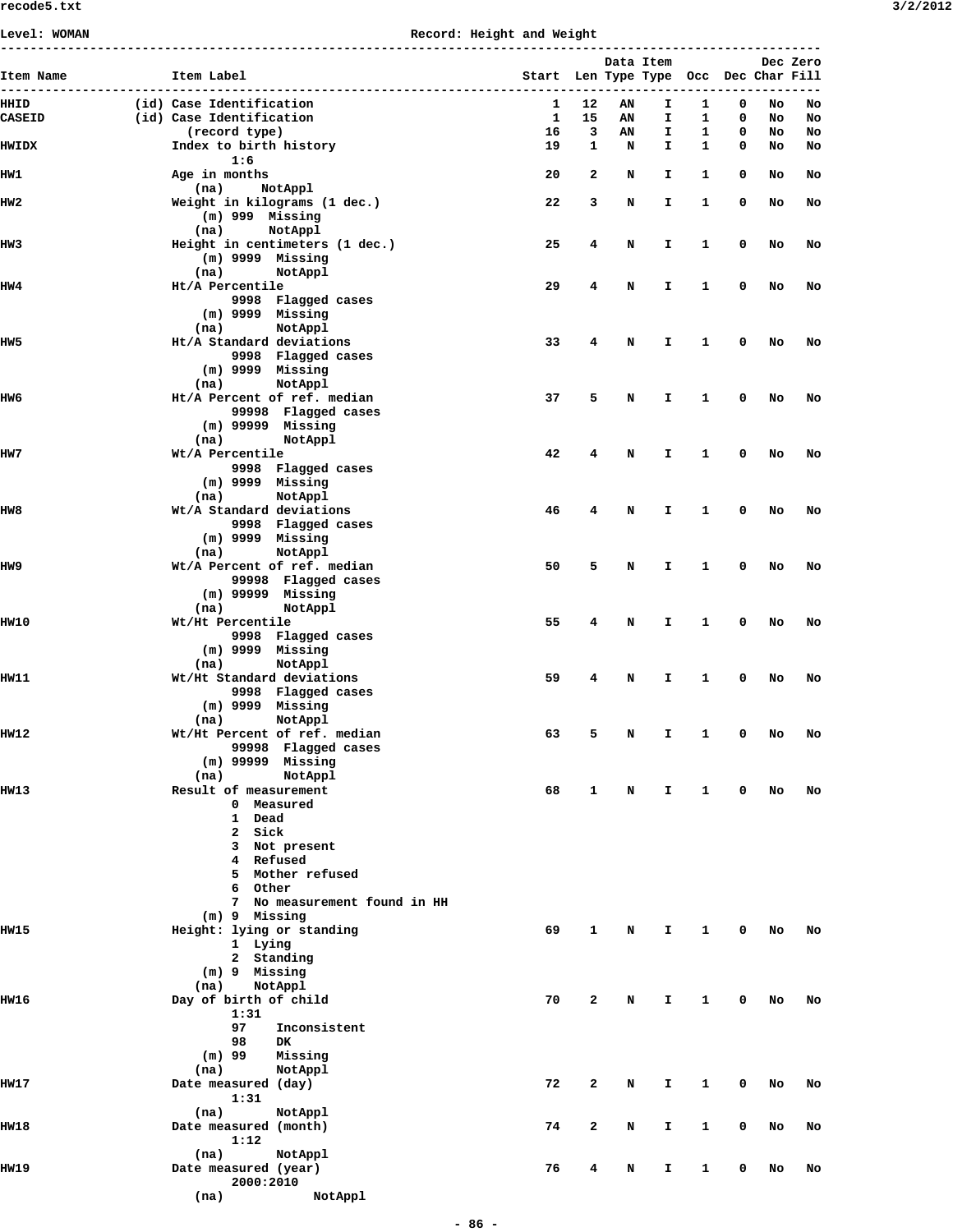## **Level: WOMAN Record: Height and Weight**

|                       |                                                      |                                       |          |          | Data Item |                   |        |          | Dec Zero |
|-----------------------|------------------------------------------------------|---------------------------------------|----------|----------|-----------|-------------------|--------|----------|----------|
| Item Name             | Item Label<br>-------------------                    | Start Len Type Type Occ Dec Char Fill |          |          |           |                   |        |          |          |
| HHID<br><b>CASEID</b> | (id) Case Identification<br>(id) Case Identification | 1<br>1                                | 12<br>15 | AN<br>AN | I.<br>I   | $\mathbf{1}$<br>1 | 0<br>0 | No<br>No | No<br>No |
|                       | (record type)                                        | 16                                    | 3        | ΑN       | I         | 1                 | 0      | No       | No       |
| <b>HWIDX</b>          | Index to birth history<br>1:6                        | 19                                    | 1        | N        | I.        | 1                 | 0      | No       | No       |
| IIW1                  | Age in months                                        | 20                                    | 2        | N        | I         | 1                 | 0      | No       | No       |
| IIW2                  | (na)<br>NotAppl<br>Weight in kilograms (1 dec.)      | 22                                    | 3        | N        | I         | 1                 | 0      | No       | No       |
|                       | $(m)$ 999 Missing<br>NotAppl<br>(na)                 |                                       |          |          |           |                   |        |          |          |
| IIW3                  | Height in centimeters (1 dec.)                       | 25                                    | 4        | N        | I.        | 1                 | 0      | No       | No       |
|                       | $(m)$ 9999 Missing<br>NotAppl<br>(na)                |                                       |          |          |           |                   |        |          |          |
| IIW4                  | Ht/A Percentile                                      | 29                                    | 4        | N        | I         | 1                 | 0      | No       | No       |
|                       | 9998 Flagged cases                                   |                                       |          |          |           |                   |        |          |          |
|                       | $(m)$ 9999 Missing<br>NotAppl<br>(na)                |                                       |          |          |           |                   |        |          |          |
| IIW5                  | Ht/A Standard deviations                             | 33                                    | 4        | N        | I         | 1                 | 0      | No       | No       |
|                       | 9998 Flagged cases                                   |                                       |          |          |           |                   |        |          |          |
|                       | $(m)$ 9999 Missing<br>NotAppl<br>(na)                |                                       |          |          |           |                   |        |          |          |
| IIW6                  | Ht/A Percent of ref. median                          | 37                                    | 5        | N        | I         | 1                 | 0      | No       | No       |
|                       | 99998 Flagged cases                                  |                                       |          |          |           |                   |        |          |          |
|                       | $(m)$ 99999 Missing                                  |                                       |          |          |           |                   |        |          |          |
| IIW 7                 | (na)<br>NotAppl<br>Wt/A Percentile                   | 42                                    | 4        | N        | I         | 1                 | 0      | No       | No       |
|                       | 9998 Flagged cases                                   |                                       |          |          |           |                   |        |          |          |
|                       | $(m)$ 9999 Missing                                   |                                       |          |          |           |                   |        |          |          |
| HW8                   | NotAppl<br>(na)<br>Wt/A Standard deviations          | 46                                    | 4        | N        | I         | 1                 | 0      | No       |          |
|                       | 9998 Flagged cases                                   |                                       |          |          |           |                   |        |          | No       |
|                       | $(m)$ 9999 Missing                                   |                                       |          |          |           |                   |        |          |          |
|                       | NotAppl<br>(na)                                      |                                       |          |          |           |                   |        |          |          |
| HW9                   | Wt/A Percent of ref. median<br>99998 Flagged cases   | 50                                    | 5        | N        | I         | 1                 | 0      | No       | No       |
|                       | $(m)$ 99999 Missing                                  |                                       |          |          |           |                   |        |          |          |
|                       | (na)<br>NotAppl                                      |                                       |          |          |           |                   |        |          |          |
| IIW10                 | Wt/Ht Percentile                                     | 55                                    | 4        | N        | I         | 1                 | 0      | No       | No       |
|                       | 9998 Flagged cases<br>$(m)$ 9999 Missing             |                                       |          |          |           |                   |        |          |          |
|                       | NotAppl<br>(na)                                      |                                       |          |          |           |                   |        |          |          |
| IIW11                 | Wt/Ht Standard deviations                            | 59                                    | 4        | N        | I         | 1                 | 0      | No       | No       |
|                       | 9998 Flagged cases<br>$(m)$ 9999 Missing             |                                       |          |          |           |                   |        |          |          |
|                       | NotAppl<br>(na)                                      |                                       |          |          |           |                   |        |          |          |
| IIW12                 | Wt/Ht Percent of ref. median                         | 63                                    | 5        | Ν        | I         | 1                 | 0      | No       | No       |
|                       | 99998 Flagged cases                                  |                                       |          |          |           |                   |        |          |          |
|                       | $(m)$ 99999 Missing<br>(na)<br>NotAppl               |                                       |          |          |           |                   |        |          |          |
| IIW13                 | Result of measurement                                | 68                                    | 1        | N        | I.        | $\mathbf{1}$      | 0      | No       | No       |
|                       | 0 Measured                                           |                                       |          |          |           |                   |        |          |          |
|                       | 1 Dead<br>Sick<br>2                                  |                                       |          |          |           |                   |        |          |          |
|                       | Not present<br>3                                     |                                       |          |          |           |                   |        |          |          |
|                       | 4 Refused                                            |                                       |          |          |           |                   |        |          |          |
|                       | 5 Mother refused                                     |                                       |          |          |           |                   |        |          |          |
|                       | 6 Other<br>No measurement found in HH<br>7           |                                       |          |          |           |                   |        |          |          |
|                       | (m) 9 Missing                                        |                                       |          |          |           |                   |        |          |          |
| IIW15                 | Height: lying or standing                            | 69                                    | 1        | N        | I         | 1                 | 0      | No       | No       |
|                       | 1 Lying<br>2 Standing                                |                                       |          |          |           |                   |        |          |          |
|                       | $(m)$ 9 Missing                                      |                                       |          |          |           |                   |        |          |          |
|                       | NotAppl<br>(na)                                      |                                       |          |          |           |                   |        |          |          |
| IIW16                 | Day of birth of child                                | 70                                    | 2        | N        | I.        | 1                 | 0      | No       | No       |
|                       | 1:31<br>97<br>Inconsistent                           |                                       |          |          |           |                   |        |          |          |
|                       | 98<br><b>DK</b>                                      |                                       |          |          |           |                   |        |          |          |
|                       | $(m)$ 99<br>Missing                                  |                                       |          |          |           |                   |        |          |          |
|                       | (na)<br>NotAppl                                      |                                       |          |          |           |                   |        |          |          |
| IIW1 7                | Date measured (day)<br>1:31                          | 72                                    | 2        | N        | I.        | 1                 | 0      | No       | No       |
|                       | NotAppl<br>(na)                                      |                                       |          |          |           |                   |        |          |          |
| <b>HW18</b>           | Date measured (month)                                | 74                                    | 2        | N        | I.        | 1                 | 0      | No       | No       |
|                       | 1:12                                                 |                                       |          |          |           |                   |        |          |          |
| IIW19                 | NotAppl<br>(na)<br>Date measured (year)              | 76                                    | 4        | N        | I.        | 1                 | 0      | No       | No       |
|                       | 2000:2010                                            |                                       |          |          |           |                   |        |          |          |
|                       | NotAppl<br>(na)                                      |                                       |          |          |           |                   |        |          |          |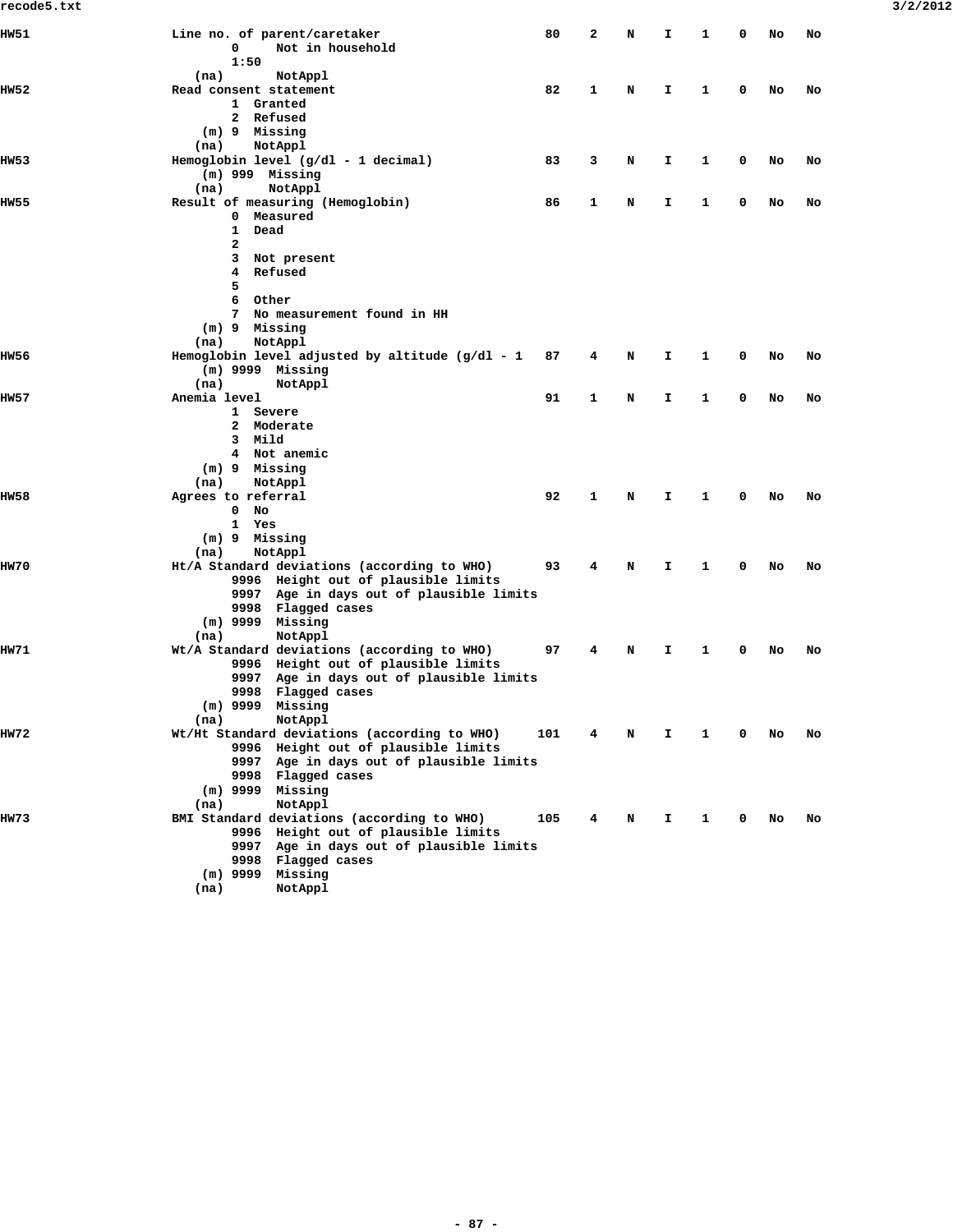| recode5.txt |                                                                                                                                                                                                          |     |              |   |              |              |             |    |    | 3/2/2012 |
|-------------|----------------------------------------------------------------------------------------------------------------------------------------------------------------------------------------------------------|-----|--------------|---|--------------|--------------|-------------|----|----|----------|
| IIW 51      | Line no. of parent/caretaker<br>Not in household<br>0<br>1:50                                                                                                                                            | 80  | 2            | N | $\mathbf{T}$ | $\mathbf{1}$ | 0           | No | No |          |
| IIW 52      | NotAppl<br>(na)<br>Read consent statement<br>1 Granted<br>2 Refused<br>(m) 9 Missing                                                                                                                     | 82  | $\mathbf{1}$ | N | I.           | 1            | 0           | No | No |          |
| IIW53       | NotAppl<br>(na)<br>Hemoglobin level (g/dl - 1 decimal)<br>$(m)$ 999 Missing<br>NotAppl<br>(na)                                                                                                           | 83  | 3            | N | I.           | 1            | 0           | No | No |          |
| IIW55       | Result of measuring (Hemoglobin)<br>0 Measured<br>$\mathbf{1}$<br>Dead<br>2                                                                                                                              | 86  | 1            | N | $\mathbf{I}$ | 1            | 0           | No | No |          |
|             | Not present<br>3<br>Refused<br>4<br>5<br>Other<br>6<br>No measurement found in HH<br>7<br>(m) 9 Missing                                                                                                  |     |              |   |              |              |             |    |    |          |
| IIW56       | NotAppl<br>(na)<br>Hemoglobin level adjusted by altitude $(g/dl - 1)$<br>$(m)$ 9999 Missing                                                                                                              | 87  | 4            | N | $\mathbf{I}$ | 1            | 0           | No | No |          |
| IIW57       | (na)<br>NotAppl<br>Anemia level<br>1 Severe<br>2 Moderate<br>3 Mild<br>4 Not anemic<br>(m) 9 Missing                                                                                                     | 91  | 1            | N | $\mathbf{T}$ | 1            | 0           | No | No |          |
| IIW58       | NotAppl<br>(na)<br>Agrees to referral<br>$\mathbf{0}$<br>No<br>1 Yes<br>(m) 9 Missing                                                                                                                    | 92  | 1            | N | I.           | 1            | $\mathbf 0$ | No | No |          |
| IIW70       | NotAppl<br>(na)<br>Ht/A Standard deviations (according to WHO)<br>9996 Height out of plausible limits<br>9997 Age in days out of plausible limits<br>9998 Flagged cases<br>$(m)$ 9999 Missing            | 93  | 4            | N | I.           | 1            | 0           | No | No |          |
| IIW 71      | NotAppl<br>(na)<br>Wt/A Standard deviations (according to WHO)<br>9996 Height out of plausible limits<br>9997 Age in days out of plausible limits<br>9998 Flagged cases<br>$(m)$ 9999 Missing<br>NotAppl | 97  | 4            | N | I.           | $\mathbf{1}$ | 0           | No | No |          |
| IIW7 2      | (na)<br>Wt/Ht Standard deviations (according to WHO)<br>9996 Height out of plausible limits<br>9997 Age in days out of plausible limits<br>9998 Flagged cases<br>$(m)$ 9999 Missing<br>(na)<br>NotAppl   | 101 | 4            | N | Ι.           | $\mathbf{1}$ | $\mathbf 0$ | No | No |          |
| IIW73       | BMI Standard deviations (according to WHO)<br>9996 Height out of plausible limits<br>9997 Age in days out of plausible limits<br>9998 Flagged cases<br>$(m)$ 9999 Missing<br>NotAppl<br>(na)             | 105 | 4            | N | $\mathbf{I}$ | 1            | 0           | No | No |          |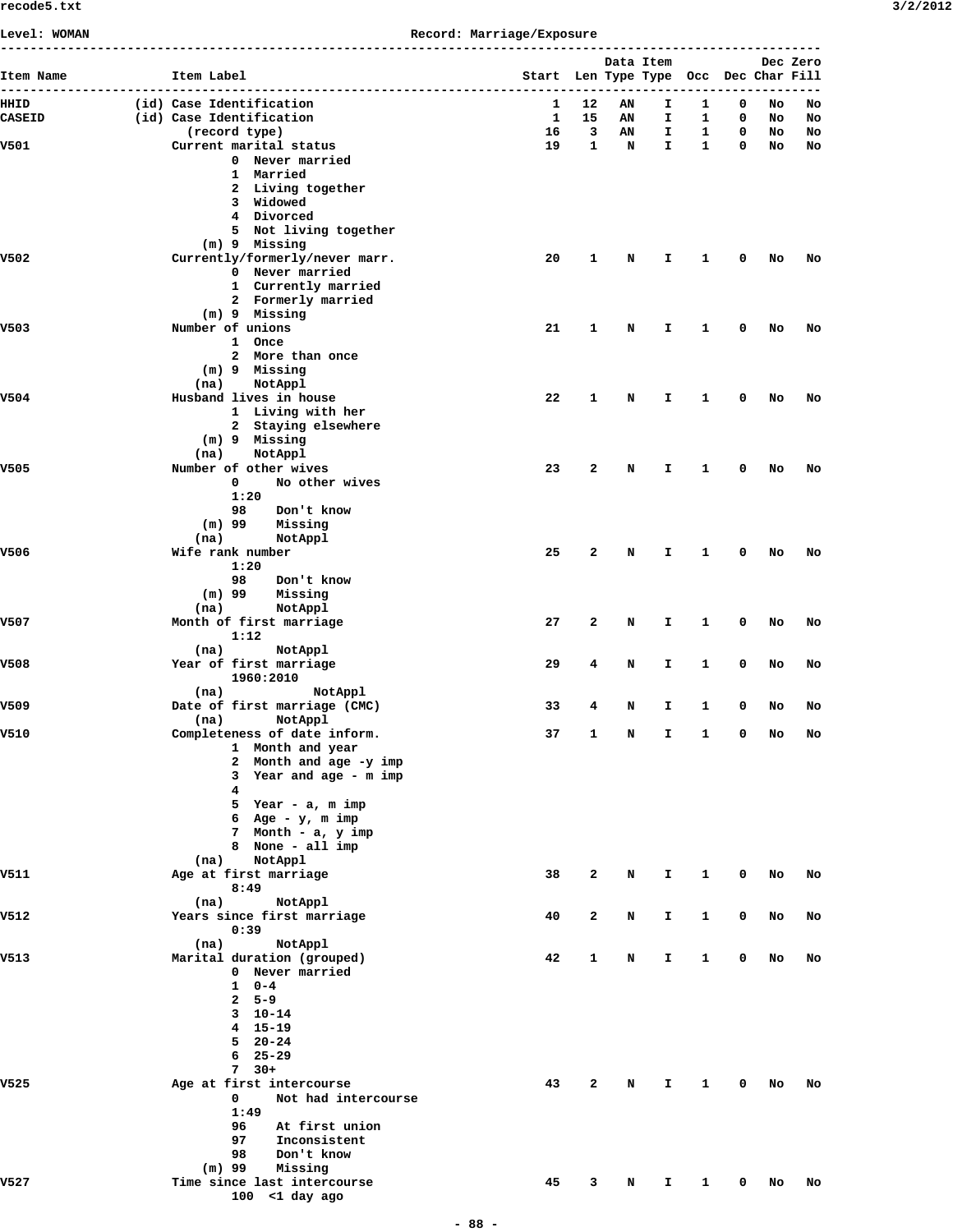| 3/2/201 |
|---------|
|---------|

| Level: WOMAN | --------------------------------------          | Record: Marriage/Exposure             |              |    |              |              |              |    |                                                                                        |
|--------------|-------------------------------------------------|---------------------------------------|--------------|----|--------------|--------------|--------------|----|----------------------------------------------------------------------------------------|
| Item Name    | Item Label                                      | Start Len Type Type Occ Dec Char Fill |              |    | Data Item    |              |              |    |                                                                                        |
| HHID         | (id) Case Identification                        | $\mathbf{1}$                          | 12           | ΑN | Ι.           | 1            | 0            | No | No                                                                                     |
| CASEID       | (id) Case Identification                        |                                       | 1 15         | AN | I.           | 1            | $\mathbf 0$  | No | No                                                                                     |
|              | (record type)                                   |                                       | 16 3         | AN | $\mathbf{I}$ | $\mathbf{1}$ | $\mathbf{0}$ | NO | No                                                                                     |
| v501         | Current marital status                          | 19                                    | $\mathbf{1}$ | N  | $\mathbf{I}$ | $\mathbf{1}$ | $\mathbf{0}$ | No | No                                                                                     |
|              | 0 Never married                                 |                                       |              |    |              |              |              |    | Dec Zero<br>No<br>No<br>No<br>No<br>No<br>No<br>No<br>No<br>No<br>No<br>No<br>No<br>No |
|              | 1 Married                                       |                                       |              |    |              |              |              |    |                                                                                        |
|              | 2 Living together<br>3 Widowed                  |                                       |              |    |              |              |              |    |                                                                                        |
|              | 4 Divorced                                      |                                       |              |    |              |              |              |    |                                                                                        |
|              | 5 Not living together                           |                                       |              |    |              |              |              |    |                                                                                        |
|              | (m) 9 Missing                                   |                                       |              |    |              |              |              |    |                                                                                        |
| V502         | Currently/formerly/never marr.                  | 20                                    | $\mathbf{1}$ | N  | Ι.           | 1            | 0            | No |                                                                                        |
|              | 0 Never married                                 |                                       |              |    |              |              |              |    |                                                                                        |
|              | 1 Currently married                             |                                       |              |    |              |              |              |    |                                                                                        |
|              | 2 Formerly married                              |                                       |              |    |              |              |              |    |                                                                                        |
| V503         | (m) 9 Missing<br>Number of unions               | 21                                    | 1            |    | Ι.           | 1            | 0            |    |                                                                                        |
|              | 1 Once                                          |                                       |              | N  |              |              |              |    |                                                                                        |
|              | 2 More than once                                |                                       |              |    |              |              |              |    |                                                                                        |
|              | (m) 9 Missing                                   |                                       |              |    |              |              |              |    |                                                                                        |
|              | NotAppl<br>(na)                                 |                                       |              |    |              |              |              |    |                                                                                        |
| v504         | Husband lives in house                          | 22                                    | $\mathbf{1}$ | N  | I.           | $\mathbf{1}$ | 0            | No |                                                                                        |
|              | 1 Living with her                               |                                       |              |    |              |              |              |    |                                                                                        |
|              | 2 Staying elsewhere                             |                                       |              |    |              |              |              |    |                                                                                        |
|              | (m) 9 Missing                                   |                                       |              |    |              |              |              |    |                                                                                        |
|              | (na)<br>NotAppl                                 |                                       |              |    |              |              |              |    |                                                                                        |
| V505         | Number of other wives                           | 23                                    | $\mathbf{2}$ | N  | I.           | 1            | 0            | No |                                                                                        |
|              | $\mathbf 0$<br>No other wives                   |                                       |              |    |              |              |              |    |                                                                                        |
|              | 1:20                                            |                                       |              |    |              |              |              |    |                                                                                        |
|              | 98<br>Don't know<br>(m) 99                      |                                       |              |    |              |              |              |    |                                                                                        |
|              | Missing<br>(na)<br>NotAppl                      |                                       |              |    |              |              |              |    |                                                                                        |
| V506         | Wife rank number                                | 25                                    | $\mathbf{2}$ | N  | I.           | 1            | 0            |    |                                                                                        |
|              | 1:20                                            |                                       |              |    |              |              |              |    | No<br>No<br>No<br>No<br>No                                                             |
|              | 98<br>Don't know                                |                                       |              |    |              |              |              |    |                                                                                        |
|              | (m) 99<br>Missing                               |                                       |              |    |              |              |              |    |                                                                                        |
|              | (na)<br>NotAppl                                 |                                       |              |    |              |              |              |    |                                                                                        |
| V507         | Month of first marriage                         | 27                                    | 2            | N  | Ι.           | 1            | 0            | No |                                                                                        |
|              | 1:12                                            |                                       |              |    |              |              |              |    |                                                                                        |
|              | NotAppl<br>(na)                                 |                                       |              |    |              |              |              |    |                                                                                        |
| V508         | Year of first marriage                          | 29                                    | 4            | N  | I.           | 1            | 0            |    |                                                                                        |
|              | 1960:2010                                       |                                       |              |    |              |              |              |    |                                                                                        |
| V509         | NotAppl<br>(na)<br>Date of first marriage (CMC) | 33                                    | 4            | N  | I.           | 1            | 0            |    |                                                                                        |
|              | NotAppl<br>(na)                                 |                                       |              |    |              |              |              |    |                                                                                        |
| V510         | Completeness of date inform.                    | 37                                    | 1            | N  | I            | 1            | 0            | No |                                                                                        |
|              | 1 Month and year                                |                                       |              |    |              |              |              |    |                                                                                        |
|              | 2 Month and age -y imp                          |                                       |              |    |              |              |              |    |                                                                                        |
|              | Year and $age - m imp$<br>3                     |                                       |              |    |              |              |              |    |                                                                                        |
|              | 4                                               |                                       |              |    |              |              |              |    |                                                                                        |
|              | 5 Year - a, m imp                               |                                       |              |    |              |              |              |    |                                                                                        |
|              | 6 Age - $y$ , m imp                             |                                       |              |    |              |              |              |    |                                                                                        |
|              | 7 Month - a, y imp<br>8 None - all imp          |                                       |              |    |              |              |              |    |                                                                                        |
|              | NotAppl                                         |                                       |              |    |              |              |              |    |                                                                                        |
| v511         | (na)<br>Age at first marriage                   | 38                                    | 2            | N  | I.           | 1            | 0            |    |                                                                                        |
|              | 8:49                                            |                                       |              |    |              |              |              |    |                                                                                        |
|              | NotAppl<br>(na)                                 |                                       |              |    |              |              |              |    |                                                                                        |
| v512         | Years since first marriage                      | 40                                    | 2            | N  | I            | 1            | $\mathbf 0$  | No |                                                                                        |
|              | 0:39                                            |                                       |              |    |              |              |              |    |                                                                                        |
|              | NotAppl<br>(na)                                 |                                       |              |    |              |              |              |    |                                                                                        |
| V513         | Marital duration (grouped)                      | 42                                    | 1            | N  | I            | 1            | 0            | No |                                                                                        |
|              | 0 Never married                                 |                                       |              |    |              |              |              |    |                                                                                        |
|              | $1 \t 0-4$                                      |                                       |              |    |              |              |              |    |                                                                                        |
|              | $2, 5-9$                                        |                                       |              |    |              |              |              |    |                                                                                        |
|              | $3 10 - 14$                                     |                                       |              |    |              |              |              |    |                                                                                        |
|              | $4 15 - 19$<br>$520 - 24$                       |                                       |              |    |              |              |              |    |                                                                                        |
|              | $625 - 29$                                      |                                       |              |    |              |              |              |    |                                                                                        |
|              | $7 - 30 +$                                      |                                       |              |    |              |              |              |    |                                                                                        |
| V525         | Age at first intercourse                        | 43                                    | $\mathbf{2}$ | N  | I.           | 1            | 0            | No |                                                                                        |
|              | 0<br>Not had intercourse                        |                                       |              |    |              |              |              |    |                                                                                        |
|              | 1:49                                            |                                       |              |    |              |              |              |    |                                                                                        |
|              | 96<br>At first union                            |                                       |              |    |              |              |              |    |                                                                                        |
|              | 97<br>Inconsistent                              |                                       |              |    |              |              |              |    |                                                                                        |
|              | 98<br>Don't know                                |                                       |              |    |              |              |              |    |                                                                                        |
|              | $(m)$ 99<br>Missing                             |                                       |              |    |              |              |              |    |                                                                                        |
| v527         | Time since last intercourse                     | 45                                    | 3            | N  | I.           | 1            | 0            | No | No                                                                                     |
|              | $100 < 1$ day ago                               |                                       |              |    |              |              |              |    |                                                                                        |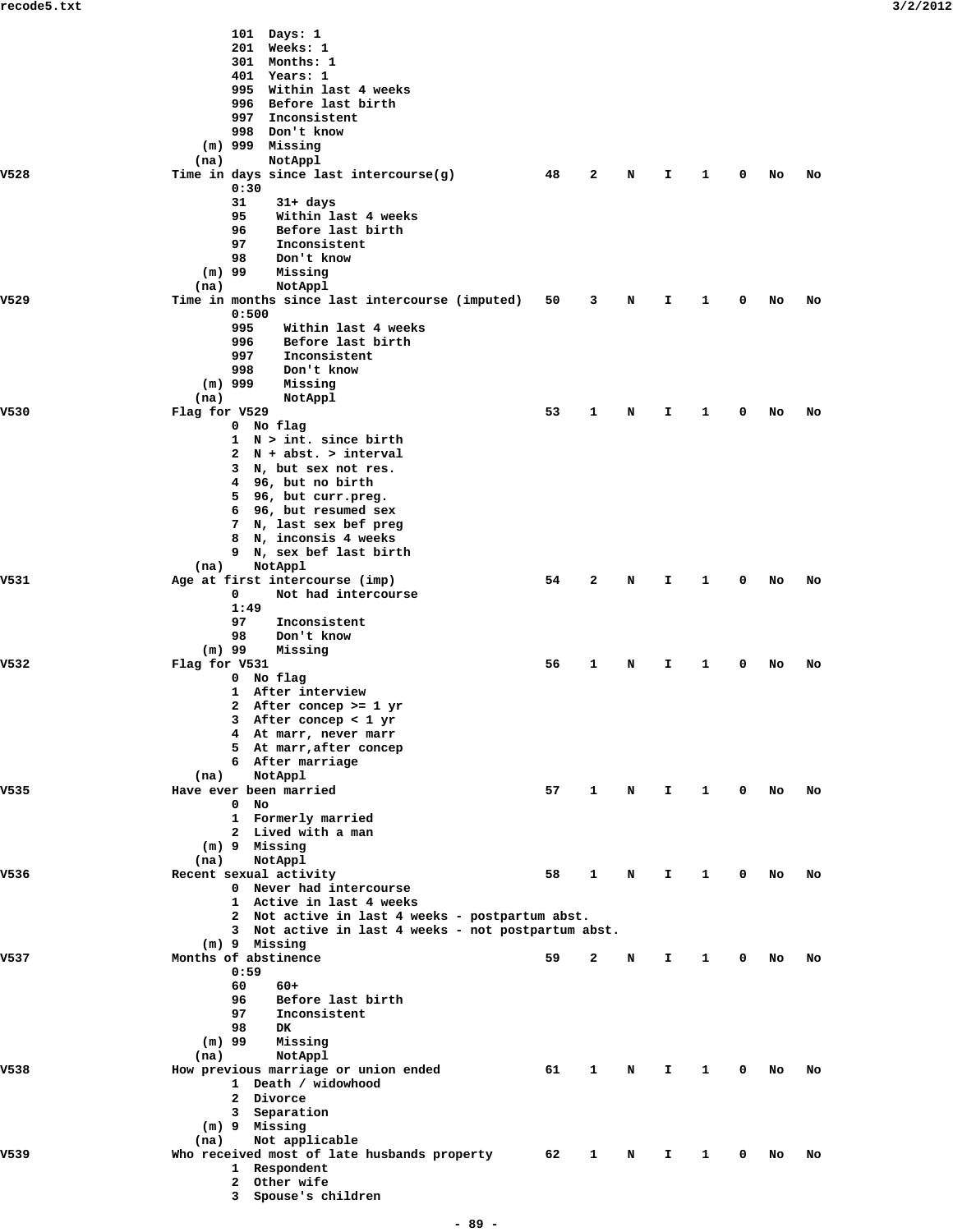|      | 101 Days: 1                                                                                            |    |   |   |    |   |             |    |    |
|------|--------------------------------------------------------------------------------------------------------|----|---|---|----|---|-------------|----|----|
|      | 201 Weeks: 1                                                                                           |    |   |   |    |   |             |    |    |
|      | 301 Months: 1                                                                                          |    |   |   |    |   |             |    |    |
|      | 401 Years: 1                                                                                           |    |   |   |    |   |             |    |    |
|      | 995 Within last 4 weeks<br>996 Before last birth                                                       |    |   |   |    |   |             |    |    |
|      | Inconsistent<br>997                                                                                    |    |   |   |    |   |             |    |    |
|      | 998 Don't know                                                                                         |    |   |   |    |   |             |    |    |
|      | $(m)$ 999 Missing                                                                                      |    |   |   |    |   |             |    |    |
|      | NotAppl<br>(na)                                                                                        |    |   |   |    |   |             |    |    |
| V528 | Time in days since last intercourse(g)<br>0:30                                                         | 48 | 2 | N | I  | 1 | 0           | No | No |
|      | 31<br>$31+ days$                                                                                       |    |   |   |    |   |             |    |    |
|      | 95<br>Within last 4 weeks                                                                              |    |   |   |    |   |             |    |    |
|      | 96<br>Before last birth                                                                                |    |   |   |    |   |             |    |    |
|      | 97<br>Inconsistent<br>98<br>Don't know                                                                 |    |   |   |    |   |             |    |    |
|      | $(m)$ 99<br>Missing                                                                                    |    |   |   |    |   |             |    |    |
|      | NotAppl<br>(na)                                                                                        |    |   |   |    |   |             |    |    |
| V529 | Time in months since last intercourse (imputed)                                                        | 50 | 3 | N | I. | 1 | 0           | No | No |
|      | 0:500<br>995<br>Within last 4 weeks                                                                    |    |   |   |    |   |             |    |    |
|      | 996<br>Before last birth                                                                               |    |   |   |    |   |             |    |    |
|      | 997<br>Inconsistent                                                                                    |    |   |   |    |   |             |    |    |
|      | 998<br>Don't know                                                                                      |    |   |   |    |   |             |    |    |
|      | $(m)$ 999<br>Missing                                                                                   |    |   |   |    |   |             |    |    |
| V530 | NotAppl<br>(na)<br>Flag for V529                                                                       | 53 | 1 | N | I. | 1 | 0           | No | No |
|      | 0 No flag                                                                                              |    |   |   |    |   |             |    |    |
|      | $1 \quad N > int.$ since birth                                                                         |    |   |   |    |   |             |    |    |
|      | 2 N + abst. > interval                                                                                 |    |   |   |    |   |             |    |    |
|      | 3 N, but sex not res.<br>4 96, but no birth                                                            |    |   |   |    |   |             |    |    |
|      | 5 96, but curr.preg.                                                                                   |    |   |   |    |   |             |    |    |
|      | 6 96, but resumed sex                                                                                  |    |   |   |    |   |             |    |    |
|      | 7 N, last sex bef preg<br>8 N, inconsis 4 weeks                                                        |    |   |   |    |   |             |    |    |
|      | 9 N, sex bef last birth                                                                                |    |   |   |    |   |             |    |    |
|      | NotAppl<br>(na)                                                                                        |    |   |   |    |   |             |    |    |
| V531 | Age at first intercourse (imp)                                                                         | 54 | 2 | N | I. | 1 | 0           | No | No |
|      | 0<br>Not had intercourse<br>1:49                                                                       |    |   |   |    |   |             |    |    |
|      | 97<br>Inconsistent                                                                                     |    |   |   |    |   |             |    |    |
|      | 98<br>Don't know                                                                                       |    |   |   |    |   |             |    |    |
| V532 | $(m)$ 99<br>Missing<br>Flag for V531                                                                   | 56 | 1 | N | I. | 1 | 0           | No | No |
|      | 0 No flag                                                                                              |    |   |   |    |   |             |    |    |
|      | 1 After interview                                                                                      |    |   |   |    |   |             |    |    |
|      | 2<br>After concep >= 1 yr                                                                              |    |   |   |    |   |             |    |    |
|      | 3 After concep < 1 yr<br>4 At marr, never marr                                                         |    |   |   |    |   |             |    |    |
|      | 5 At marr, after concep                                                                                |    |   |   |    |   |             |    |    |
|      | 6 After marriage                                                                                       |    |   |   |    |   |             |    |    |
|      | NotAppl<br>(na)                                                                                        |    |   |   |    |   |             |    |    |
| V535 | Have ever been married<br>$0$ No                                                                       | 57 | 1 | N | I. | 1 | $\mathbf 0$ | No | No |
|      | 1 Formerly married                                                                                     |    |   |   |    |   |             |    |    |
|      | 2 Lived with a man                                                                                     |    |   |   |    |   |             |    |    |
|      | (m) 9 Missing                                                                                          |    |   |   |    |   |             |    |    |
| V536 | NotAppl<br>(na)<br>Recent sexual activity                                                              | 58 | 1 | N | I. | 1 | 0           | No | No |
|      | 0 Never had intercourse                                                                                |    |   |   |    |   |             |    |    |
|      | 1 Active in last 4 weeks                                                                               |    |   |   |    |   |             |    |    |
|      | 2 Not active in last 4 weeks - postpartum abst.<br>3 Not active in last 4 weeks - not postpartum abst. |    |   |   |    |   |             |    |    |
|      | (m) 9 Missing                                                                                          |    |   |   |    |   |             |    |    |
| V537 | Months of abstinence                                                                                   | 59 | 2 | N | I. | 1 | 0           | No | No |
|      | 0:59                                                                                                   |    |   |   |    |   |             |    |    |
|      | 60<br>$60+$<br>96<br>Before last birth                                                                 |    |   |   |    |   |             |    |    |
|      | 97<br>Inconsistent                                                                                     |    |   |   |    |   |             |    |    |
|      | 98<br>DK                                                                                               |    |   |   |    |   |             |    |    |
|      | $(m)$ 99<br>Missing                                                                                    |    |   |   |    |   |             |    |    |
| V538 | NotAppl<br>(na)<br>How previous marriage or union ended                                                | 61 | 1 | N | I. | 1 | 0           | No | No |
|      | 1 Death / widowhood                                                                                    |    |   |   |    |   |             |    |    |
|      | 2 Divorce                                                                                              |    |   |   |    |   |             |    |    |
|      | 3 Separation<br>(m) 9 Missing                                                                          |    |   |   |    |   |             |    |    |
|      | Not applicable<br>(na)                                                                                 |    |   |   |    |   |             |    |    |
| V539 | Who received most of late husbands property                                                            | 62 | 1 | N | I. | 1 | 0           | No | No |
|      | 1 Respondent<br>2 Other wife                                                                           |    |   |   |    |   |             |    |    |
|      | 3 Spouse's children                                                                                    |    |   |   |    |   |             |    |    |
|      |                                                                                                        |    |   |   |    |   |             |    |    |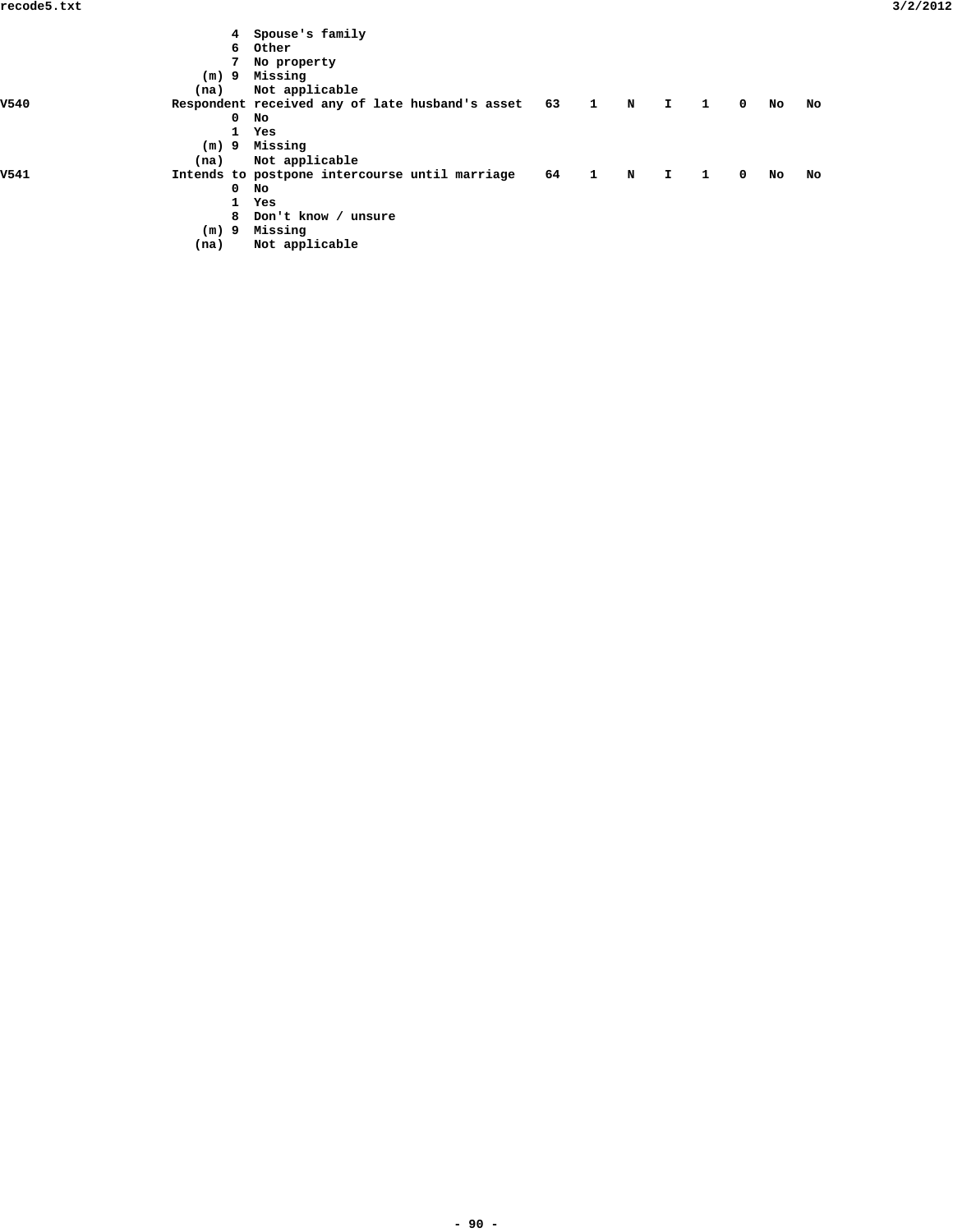|             |         |              | 4 Spouse's family                                  |        |                         |             |    |              |            |    |    |
|-------------|---------|--------------|----------------------------------------------------|--------|-------------------------|-------------|----|--------------|------------|----|----|
|             |         |              | 6 Other                                            |        |                         |             |    |              |            |    |    |
|             |         |              | 7 No property                                      |        |                         |             |    |              |            |    |    |
|             | $(m)$ 9 |              | Missing                                            |        |                         |             |    |              |            |    |    |
|             | (na)    |              | Not applicable                                     |        |                         |             |    |              |            |    |    |
| <b>V540</b> |         |              | Respondent received any of late husband's asset 63 |        | $\overline{\mathbf{1}}$ | $\mathbf N$ | I. | $\mathbf{1}$ | $^{\circ}$ | No | No |
|             |         | $\mathbf 0$  | No                                                 |        |                         |             |    |              |            |    |    |
|             |         | $\mathbf{1}$ | Yes                                                |        |                         |             |    |              |            |    |    |
|             |         |              | (m) 9 Missing                                      |        |                         |             |    |              |            |    |    |
|             | (na)    |              | Not applicable                                     |        |                         |             |    |              |            |    |    |
| V541        |         |              | Intends to postpone intercourse until marriage     | 64 1 N |                         |             | I. | - 1          | $^{\circ}$ | No | No |
|             |         | $^{\circ}$   | No                                                 |        |                         |             |    |              |            |    |    |
|             |         | $\mathbf{1}$ | Yes                                                |        |                         |             |    |              |            |    |    |
|             |         |              | 8 Don't know / unsure                              |        |                         |             |    |              |            |    |    |
|             | $(m)$ 9 |              | Missing                                            |        |                         |             |    |              |            |    |    |
|             | (na)    |              | Not applicable                                     |        |                         |             |    |              |            |    |    |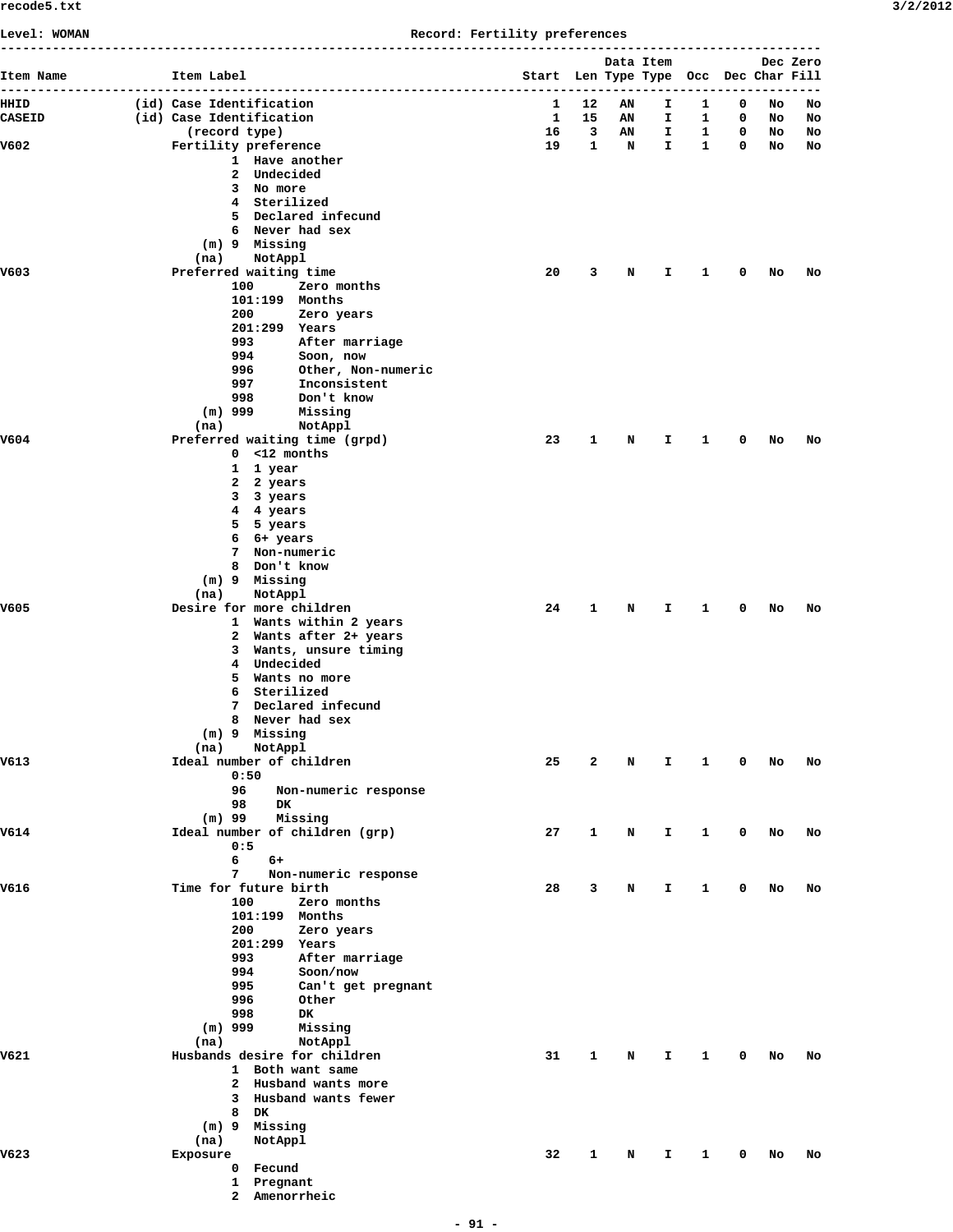**Level: WOMAN Record: Fertility preferences**

| Item Name     | Item Label                                            | Start Len Type Type Occ Dec Char Fill |                   | Data Item |                    |                   |             |          | Dec Zero |
|---------------|-------------------------------------------------------|---------------------------------------|-------------------|-----------|--------------------|-------------------|-------------|----------|----------|
| HHID          | (id) Case Identification                              | 1                                     | 12                | AN        | I.                 | 1                 | 0           | No       | No       |
| <b>CASEID</b> | (id) Case Identification                              | $\mathbf{1}$                          | 15                | AN        | I.                 | 1                 | $\mathbf 0$ | No       | No       |
| V602          | (record type)<br>Fertility preference                 | 16<br>19                              | 3<br>$\mathbf{1}$ | AN<br>N   | Ι.<br>$\mathbf{I}$ | 1<br>$\mathbf{1}$ | 0<br>0      | No<br>No | No<br>No |
|               | 1 Have another                                        |                                       |                   |           |                    |                   |             |          |          |
|               | 2 Undecided                                           |                                       |                   |           |                    |                   |             |          |          |
|               | 3 No more                                             |                                       |                   |           |                    |                   |             |          |          |
|               | 4 Sterilized<br>5 Declared infecund                   |                                       |                   |           |                    |                   |             |          |          |
|               | 6 Never had sex                                       |                                       |                   |           |                    |                   |             |          |          |
|               | (m) 9 Missing                                         |                                       |                   |           |                    |                   |             |          |          |
|               | (na)<br>NotAppl                                       |                                       |                   |           |                    |                   |             |          |          |
| V603          | Preferred waiting time<br>Zero months<br>100          | 20                                    | 3                 | N         | Ι.                 | 1                 | 0           | No       | No       |
|               | $101:199$ Months                                      |                                       |                   |           |                    |                   |             |          |          |
|               | 200<br>Zero years                                     |                                       |                   |           |                    |                   |             |          |          |
|               | 201:299 Years                                         |                                       |                   |           |                    |                   |             |          |          |
|               | 993<br>After marriage<br>994<br>Soon, now             |                                       |                   |           |                    |                   |             |          |          |
|               | 996<br>Other, Non-numeric                             |                                       |                   |           |                    |                   |             |          |          |
|               | 997<br>Inconsistent                                   |                                       |                   |           |                    |                   |             |          |          |
|               | 998<br>Don't know                                     |                                       |                   |           |                    |                   |             |          |          |
|               | $(m)$ 999<br>Missing<br>(na)                          |                                       |                   |           |                    |                   |             |          |          |
| V604          | NotAppl<br>Preferred waiting time (grpd)              | 23                                    | $\mathbf{1}$      | N         | I.                 | 1                 | 0           | No       | No       |
|               | $0 < 12$ months                                       |                                       |                   |           |                    |                   |             |          |          |
|               | 1 1 year                                              |                                       |                   |           |                    |                   |             |          |          |
|               | 2 2 years                                             |                                       |                   |           |                    |                   |             |          |          |
|               | 3 3 years<br>4 4 years                                |                                       |                   |           |                    |                   |             |          |          |
|               | 5 5 years                                             |                                       |                   |           |                    |                   |             |          |          |
|               | 6 6+ years                                            |                                       |                   |           |                    |                   |             |          |          |
|               | 7 Non-numeric<br>8 Don't know                         |                                       |                   |           |                    |                   |             |          |          |
|               | (m) 9 Missing                                         |                                       |                   |           |                    |                   |             |          |          |
|               | (na)<br>NotAppl                                       |                                       |                   |           |                    |                   |             |          |          |
| V605          | Desire for more children                              | 24                                    | 1                 | N         | I.                 | 1                 | 0           | No       | No       |
|               | 1 Wants within 2 years<br>2 Wants after 2+ years      |                                       |                   |           |                    |                   |             |          |          |
|               | 3 Wants, unsure timing                                |                                       |                   |           |                    |                   |             |          |          |
|               | 4 Undecided                                           |                                       |                   |           |                    |                   |             |          |          |
|               | 5 Wants no more                                       |                                       |                   |           |                    |                   |             |          |          |
|               | 6 Sterilized<br>Declared infecund<br>7                |                                       |                   |           |                    |                   |             |          |          |
|               | 8 Never had sex                                       |                                       |                   |           |                    |                   |             |          |          |
|               | (m) 9 Missing                                         |                                       |                   |           |                    |                   |             |          |          |
|               | NotAppl<br>(na)                                       |                                       |                   |           |                    |                   |             |          |          |
| V613          | Ideal number of children<br>0:50                      | 25                                    | 2                 | N         | Ι.                 | 1                 | 0           | No       | No       |
|               | 96<br>Non-numeric response                            |                                       |                   |           |                    |                   |             |          |          |
|               | 98<br>DK                                              |                                       |                   |           |                    |                   |             |          |          |
| V614          | $(m)$ 99<br>Missing<br>Ideal number of children (grp) | 27                                    | $\mathbf{1}$      | N         |                    |                   |             |          |          |
|               | 0:5                                                   |                                       |                   |           | I.                 | $\mathbf{1}$      | $\mathbf 0$ | No       | No       |
|               | 6<br>6+                                               |                                       |                   |           |                    |                   |             |          |          |
|               | 7<br>Non-numeric response                             |                                       |                   |           |                    |                   |             |          |          |
| V616          | Time for future birth<br>100<br>Zero months           | 28                                    | 3                 | N         | I.                 | $\mathbf{1}$      | $\mathbf 0$ | No       | No       |
|               | 101:199 Months                                        |                                       |                   |           |                    |                   |             |          |          |
|               | 200<br>Zero years                                     |                                       |                   |           |                    |                   |             |          |          |
|               | 201:299 Years                                         |                                       |                   |           |                    |                   |             |          |          |
|               | 993<br>After marriage<br>994<br>Soon/now              |                                       |                   |           |                    |                   |             |          |          |
|               | 995<br>Can't get pregnant                             |                                       |                   |           |                    |                   |             |          |          |
|               | 996<br>Other                                          |                                       |                   |           |                    |                   |             |          |          |
|               | 998<br>DK.                                            |                                       |                   |           |                    |                   |             |          |          |
|               | $(m)$ 999<br>Missing<br>NotAppl<br>(na)               |                                       |                   |           |                    |                   |             |          |          |
| V621          | Husbands desire for children                          | 31                                    | $\mathbf{1}$      | N         | I.                 | 1                 | $\mathbf 0$ | No       | No       |
|               | 1 Both want same                                      |                                       |                   |           |                    |                   |             |          |          |
|               | 2 Husband wants more                                  |                                       |                   |           |                    |                   |             |          |          |
|               | 3 Husband wants fewer                                 |                                       |                   |           |                    |                   |             |          |          |
|               | 8 DK<br>(m) 9 Missing                                 |                                       |                   |           |                    |                   |             |          |          |
|               | NotAppl<br>(na)                                       |                                       |                   |           |                    |                   |             |          |          |
| V623          | Exposure                                              | 32                                    | 1                 | N         | Ι.                 | 1                 | 0           | No       | No       |
|               | 0 Fecund                                              |                                       |                   |           |                    |                   |             |          |          |
|               | 1 Pregnant<br>2 Amenorrheic                           |                                       |                   |           |                    |                   |             |          |          |
|               |                                                       |                                       |                   |           |                    |                   |             |          |          |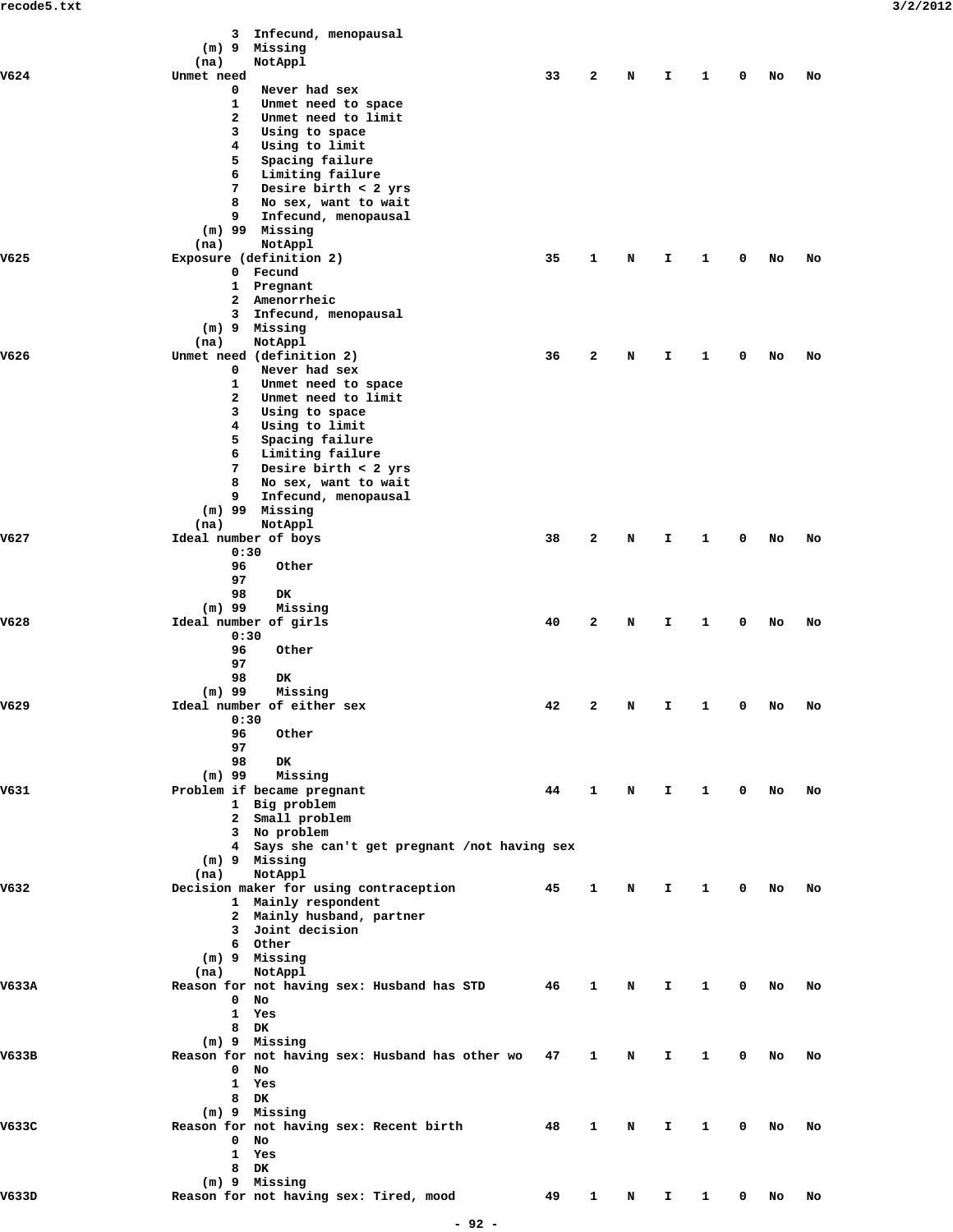|       | Infecund, menopausal<br>3                          |    |                         |             |              |              |             |    |    |  |
|-------|----------------------------------------------------|----|-------------------------|-------------|--------------|--------------|-------------|----|----|--|
|       | (m) 9 Missing<br>(na)<br>NotAppl                   |    |                         |             |              |              |             |    |    |  |
| V624  | Unmet need                                         | 33 | $\mathbf{2}$            | N           | I            | 1            | 0           | No | No |  |
|       | Never had sex<br>0                                 |    |                         |             |              |              |             |    |    |  |
|       | 1<br>Unmet need to space                           |    |                         |             |              |              |             |    |    |  |
|       | 2<br>Unmet need to limit                           |    |                         |             |              |              |             |    |    |  |
|       | 3<br>Using to space                                |    |                         |             |              |              |             |    |    |  |
|       | 4<br>Using to limit                                |    |                         |             |              |              |             |    |    |  |
|       | 5<br>Spacing failure<br>6                          |    |                         |             |              |              |             |    |    |  |
|       | Limiting failure<br>7<br>Desire birth $<$ 2 yrs    |    |                         |             |              |              |             |    |    |  |
|       | 8<br>No sex, want to wait                          |    |                         |             |              |              |             |    |    |  |
|       | Infecund, menopausal<br>9                          |    |                         |             |              |              |             |    |    |  |
|       | $(m)$ 99 Missing                                   |    |                         |             |              |              |             |    |    |  |
|       | NotAppl<br>(na)                                    |    |                         |             |              |              |             |    |    |  |
| V625  | Exposure (definition 2)                            | 35 | 1                       | N           | I            | 1            | 0           | No | No |  |
|       | Fecund<br>$\mathbf{0}$                             |    |                         |             |              |              |             |    |    |  |
|       | $\mathbf{1}$<br>Pregnant                           |    |                         |             |              |              |             |    |    |  |
|       | Amenorrheic<br>2                                   |    |                         |             |              |              |             |    |    |  |
|       | Infecund, menopausal<br>3                          |    |                         |             |              |              |             |    |    |  |
|       | (m) 9 Missing<br>NotAppl                           |    |                         |             |              |              |             |    |    |  |
| V626  | (na)<br>Unmet need (definition 2)                  | 36 | $\mathbf{2}$            | N           | Ι.           | 1            | 0           | No | No |  |
|       | 0<br>Never had sex                                 |    |                         |             |              |              |             |    |    |  |
|       | 1<br>Unmet need to space                           |    |                         |             |              |              |             |    |    |  |
|       | 2<br>Unmet need to limit                           |    |                         |             |              |              |             |    |    |  |
|       | Using to space<br>3                                |    |                         |             |              |              |             |    |    |  |
|       | 4<br>Using to limit                                |    |                         |             |              |              |             |    |    |  |
|       | 5<br>Spacing failure                               |    |                         |             |              |              |             |    |    |  |
|       | 6<br>Limiting failure                              |    |                         |             |              |              |             |    |    |  |
|       | 7<br>Desire birth $<$ 2 yrs                        |    |                         |             |              |              |             |    |    |  |
|       | 8<br>No sex, want to wait                          |    |                         |             |              |              |             |    |    |  |
|       | 9<br>Infecund, menopausal                          |    |                         |             |              |              |             |    |    |  |
|       | (m) 99<br>Missing                                  |    |                         |             |              |              |             |    |    |  |
|       | (na)<br>NotAppl                                    |    |                         |             |              |              |             |    |    |  |
| V627  | Ideal number of boys<br>0:30                       | 38 | 2                       | N           | Ι.           | 1            | 0           | No | No |  |
|       | 96<br>Other                                        |    |                         |             |              |              |             |    |    |  |
|       | 97                                                 |    |                         |             |              |              |             |    |    |  |
|       | 98<br>DK                                           |    |                         |             |              |              |             |    |    |  |
|       | $(m)$ 99<br>Missing                                |    |                         |             |              |              |             |    |    |  |
| V628  | Ideal number of girls                              | 40 | $\overline{\mathbf{2}}$ | N           | I            | 1            | 0           | No | No |  |
|       | 0:30                                               |    |                         |             |              |              |             |    |    |  |
|       | 96<br>Other                                        |    |                         |             |              |              |             |    |    |  |
|       | 97                                                 |    |                         |             |              |              |             |    |    |  |
|       | 98<br>DK                                           |    |                         |             |              |              |             |    |    |  |
|       | $(m)$ 99<br>Missing                                |    |                         |             |              |              |             |    |    |  |
| V629  | Ideal number of either sex<br>0:30                 | 42 | 2                       | N           | I            | 1            | 0           | No | No |  |
|       | 96<br>Other                                        |    |                         |             |              |              |             |    |    |  |
|       | 97                                                 |    |                         |             |              |              |             |    |    |  |
|       | 98<br>DK                                           |    |                         |             |              |              |             |    |    |  |
|       | $(m)$ 99<br>Missing                                |    |                         |             |              |              |             |    |    |  |
| V631  | Problem if became pregnant                         | 44 | $\mathbf{1}$            | $\mathbf N$ | $\mathbf{T}$ | $\mathbf{1}$ | 0           | No | No |  |
|       | 1 Big problem                                      |    |                         |             |              |              |             |    |    |  |
|       | 2 Small problem                                    |    |                         |             |              |              |             |    |    |  |
|       | 3 No problem                                       |    |                         |             |              |              |             |    |    |  |
|       | 4 Says she can't get pregnant /not having sex      |    |                         |             |              |              |             |    |    |  |
|       | (m) 9 Missing                                      |    |                         |             |              |              |             |    |    |  |
|       | NotAppl<br>(na)                                    |    |                         |             |              |              |             |    |    |  |
| V632  | Decision maker for using contraception             | 45 | $\mathbf{1}$            | N           | I.           | $\mathbf{1}$ | $\mathbf 0$ | No | No |  |
|       | 1 Mainly respondent                                |    |                         |             |              |              |             |    |    |  |
|       | 2 Mainly husband, partner<br>3 Joint decision      |    |                         |             |              |              |             |    |    |  |
|       | 6 Other                                            |    |                         |             |              |              |             |    |    |  |
|       | $(m)$ 9 Missing                                    |    |                         |             |              |              |             |    |    |  |
|       | NotAppl<br>(na)                                    |    |                         |             |              |              |             |    |    |  |
| V633A | Reason for not having sex: Husband has STD 46      |    | $\mathbf{1}$            | N           | I.           | 1            | 0           | No | No |  |
|       | $\mathbf{0}$<br>No                                 |    |                         |             |              |              |             |    |    |  |
|       | 1<br>Yes                                           |    |                         |             |              |              |             |    |    |  |
|       | 8 DK                                               |    |                         |             |              |              |             |    |    |  |
|       | (m) 9 Missing                                      |    |                         |             |              |              |             |    |    |  |
| V633B | Reason for not having sex: Husband has other wo 47 |    | 1                       | N           | I.           | 1            | 0           | No | No |  |
|       | $0$ No                                             |    |                         |             |              |              |             |    |    |  |
|       | 1 Yes                                              |    |                         |             |              |              |             |    |    |  |
|       | 8<br>DK                                            |    |                         |             |              |              |             |    |    |  |
|       | (m) 9 Missing                                      |    |                         |             |              |              |             |    |    |  |
| V633C | Reason for not having sex: Recent birth            | 48 | 1                       | N           | $\mathbf{I}$ | 1            | 0           | No | No |  |
|       | $0$ No<br>1<br>Yes                                 |    |                         |             |              |              |             |    |    |  |
|       | 8<br>DK                                            |    |                         |             |              |              |             |    |    |  |
|       | (m) 9 Missing                                      |    |                         |             |              |              |             |    |    |  |
| V633D | Reason for not having sex: Tired, mood             | 49 | 1                       | N           | I.           | 1            | 0           | No | No |  |
|       |                                                    |    |                         |             |              |              |             |    |    |  |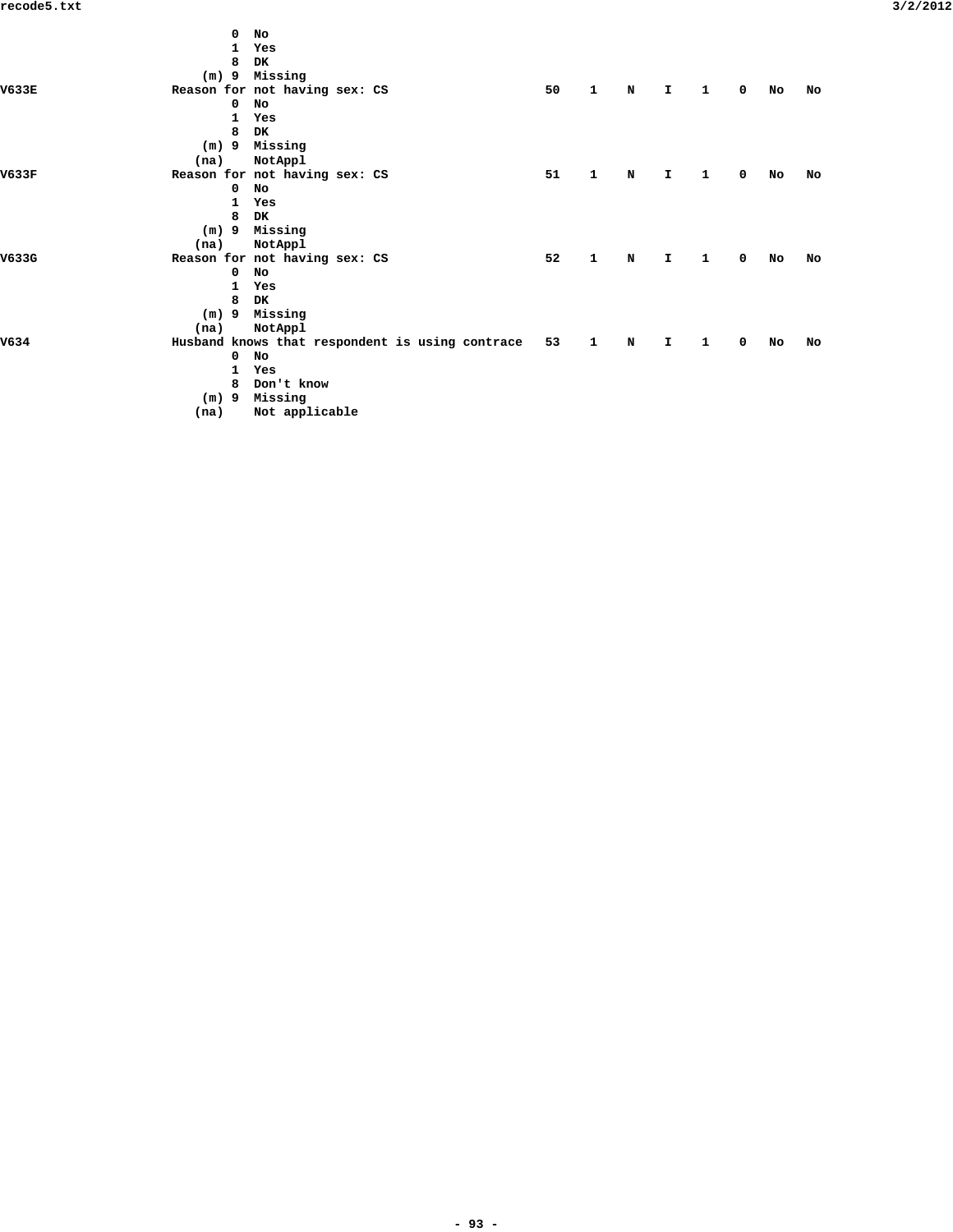|       |         | 0  | <b>No</b>                                       |    |              |             |              |   |             |    |    |
|-------|---------|----|-------------------------------------------------|----|--------------|-------------|--------------|---|-------------|----|----|
|       |         | 1. | Yes                                             |    |              |             |              |   |             |    |    |
|       |         | 8  | DK                                              |    |              |             |              |   |             |    |    |
|       | $(m)$ 9 |    | Missing                                         |    |              |             |              |   |             |    |    |
| V633E |         |    | Reason for not having sex: CS                   | 50 | $\mathbf{1}$ | N           | $\mathbf{T}$ | 1 | $\mathbf 0$ | No | No |
|       |         | 0  | No                                              |    |              |             |              |   |             |    |    |
|       |         | 1  | Yes                                             |    |              |             |              |   |             |    |    |
|       |         | 8  | <b>DK</b>                                       |    |              |             |              |   |             |    |    |
|       |         |    | (m) 9 Missing                                   |    |              |             |              |   |             |    |    |
|       | (na)    |    | NotAppl                                         |    |              |             |              |   |             |    |    |
| V633F |         |    | Reason for not having sex: CS                   | 51 | $\mathbf{1}$ | $\mathbf N$ | $\mathbf{T}$ | 1 | $\mathbf 0$ | No | No |
|       |         | 0  | No                                              |    |              |             |              |   |             |    |    |
|       |         | 1  | Yes                                             |    |              |             |              |   |             |    |    |
|       |         | 8  | DK                                              |    |              |             |              |   |             |    |    |
|       | $(m)$ 9 |    | Missing                                         |    |              |             |              |   |             |    |    |
|       | (na)    |    | NotAppl                                         |    |              |             |              |   |             |    |    |
| V633G |         |    | Reason for not having sex: CS                   | 52 | $\mathbf{1}$ | $\mathbf N$ | $\mathbf{T}$ | 1 | $\mathbf 0$ | No | No |
|       |         | 0  | No                                              |    |              |             |              |   |             |    |    |
|       |         | 1  | Yes                                             |    |              |             |              |   |             |    |    |
|       |         | 8  | DK                                              |    |              |             |              |   |             |    |    |
|       | $(m)$ 9 |    | Missing                                         |    |              |             |              |   |             |    |    |
|       | (na)    |    | NotAppl                                         |    |              |             |              |   |             |    |    |
| V634  |         |    | Husband knows that respondent is using contrace | 53 | $\mathbf{1}$ | N           | $\mathbf{T}$ | 1 | $\mathbf 0$ | No | No |
|       |         | 0  | No                                              |    |              |             |              |   |             |    |    |
|       |         | 1  | Yes                                             |    |              |             |              |   |             |    |    |
|       |         | 8  | Don't know                                      |    |              |             |              |   |             |    |    |
|       | $(m)$ 9 |    | Missing                                         |    |              |             |              |   |             |    |    |
|       | (na)    |    | Not applicable                                  |    |              |             |              |   |             |    |    |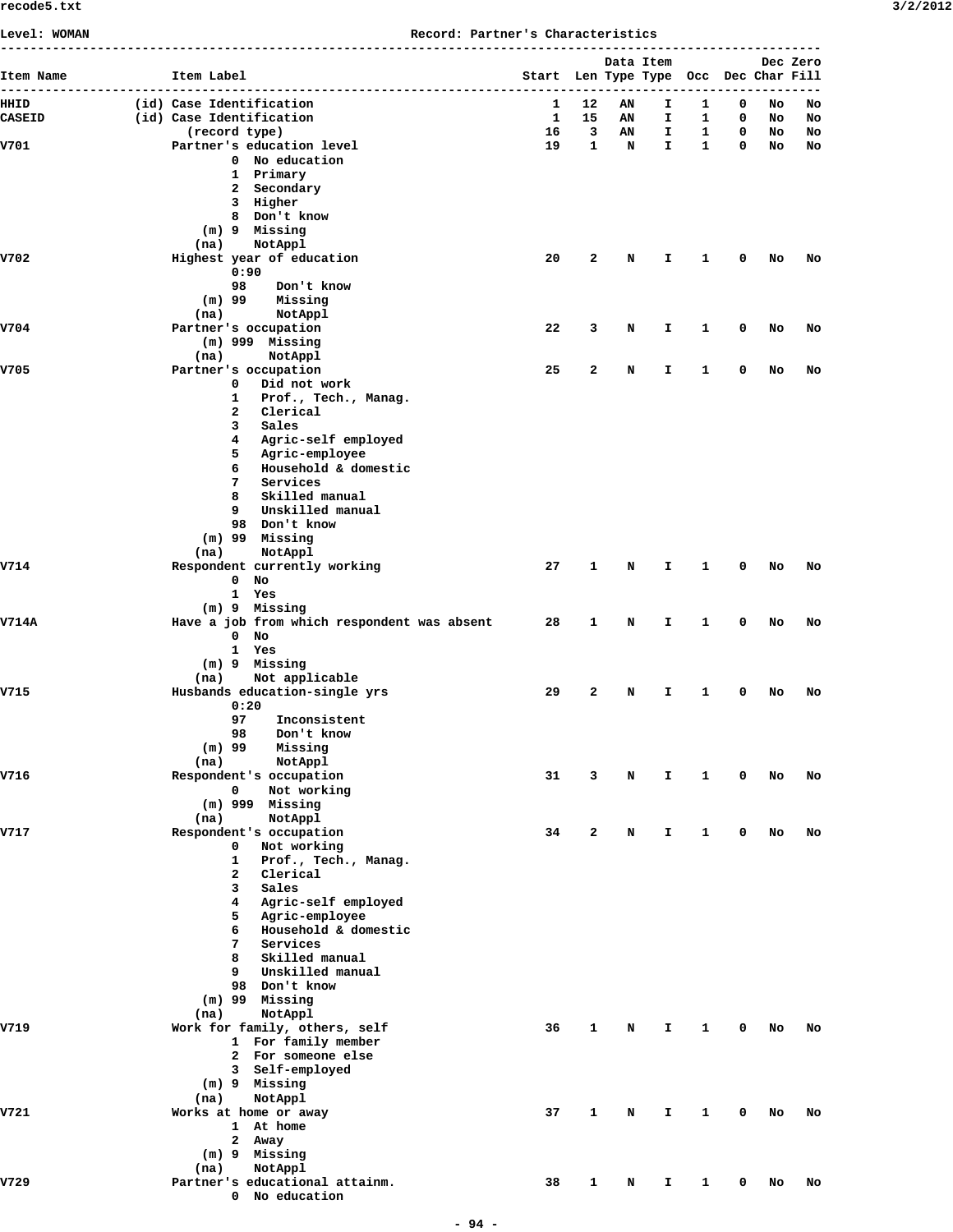**Level: WOMAN Record: Partner's Characteristics**

| Item Name     | Item Label                                        | Start Len Type Type Occ Dec Char Fill |              | Data Item |         |                   |        |          | Dec Zero |
|---------------|---------------------------------------------------|---------------------------------------|--------------|-----------|---------|-------------------|--------|----------|----------|
| HHID          | (id) Case Identification                          | 1                                     | 12           | AN        | I.      | 1                 | 0      | No       | No       |
| <b>CASEID</b> | (id) Case Identification                          | 1                                     | 15<br>3      | AN        | I.      | 1                 | 0      | No       | No       |
| V701          | (record type)<br>Partner's education level        | 16<br>19                              | $\mathbf{1}$ | AN<br>N   | I<br>I. | 1<br>$\mathbf{1}$ | 0<br>0 | No<br>No | No<br>No |
|               | 0 No education                                    |                                       |              |           |         |                   |        |          |          |
|               | 1 Primary                                         |                                       |              |           |         |                   |        |          |          |
|               | 2 Secondary                                       |                                       |              |           |         |                   |        |          |          |
|               | 3 Higher<br>8 Don't know                          |                                       |              |           |         |                   |        |          |          |
|               | (m) 9 Missing                                     |                                       |              |           |         |                   |        |          |          |
|               | (na)<br>NotAppl                                   |                                       |              |           |         |                   |        |          |          |
| V702          | Highest year of education                         | 20                                    | $\mathbf{2}$ | N         | I       | 1                 | 0      | No       | No       |
|               | 0:90<br>98<br>Don't know                          |                                       |              |           |         |                   |        |          |          |
|               | $(m)$ 99<br>Missing                               |                                       |              |           |         |                   |        |          |          |
|               | NotAppl<br>(na)                                   |                                       |              |           |         |                   |        |          |          |
| V704          | Partner's occupation                              | 22                                    | 3            | N         | I       | 1                 | 0      | No       | No       |
|               | $(m)$ 999 Missing                                 |                                       |              |           |         |                   |        |          |          |
|               | NotAppl<br>(na)                                   |                                       |              |           |         |                   |        |          |          |
| v705          | Partner's occupation<br>0<br>Did not work         | 25                                    | $\mathbf{z}$ | N         | I.      | 1                 | 0      | No       | No       |
|               | 1<br>Prof., Tech., Manag.                         |                                       |              |           |         |                   |        |          |          |
|               | $\mathbf{2}$<br>Clerical                          |                                       |              |           |         |                   |        |          |          |
|               | 3<br>Sales                                        |                                       |              |           |         |                   |        |          |          |
|               | Agric-self employed<br>4                          |                                       |              |           |         |                   |        |          |          |
|               | 5<br>Agric-employee<br>6<br>Household & domestic  |                                       |              |           |         |                   |        |          |          |
|               | 7<br>Services                                     |                                       |              |           |         |                   |        |          |          |
|               | Skilled manual<br>8                               |                                       |              |           |         |                   |        |          |          |
|               | Unskilled manual<br>9                             |                                       |              |           |         |                   |        |          |          |
|               | 98 Don't know                                     |                                       |              |           |         |                   |        |          |          |
|               | $(m)$ 99 Missing                                  |                                       |              |           |         |                   |        |          |          |
| v714          | (na)<br>NotAppl<br>Respondent currently working   | 27                                    | 1            | N         | I       | 1                 | 0      | No       | No       |
|               | $\mathbf{0}$<br>No                                |                                       |              |           |         |                   |        |          |          |
|               | $\mathbf{1}$<br>Yes                               |                                       |              |           |         |                   |        |          |          |
|               | (m) 9 Missing                                     |                                       |              |           |         |                   |        |          |          |
| <b>V714A</b>  | Have a job from which respondent was absent       | 28                                    | 1            | N         | I       | 1                 | 0      | No       | No       |
|               | $\mathbf 0$<br>No<br>$\mathbf{1}$<br>Yes          |                                       |              |           |         |                   |        |          |          |
|               | (m) 9 Missing                                     |                                       |              |           |         |                   |        |          |          |
|               | Not applicable<br>(na)                            |                                       |              |           |         |                   |        |          |          |
| V715          | Husbands education-single yrs                     | 29                                    | $\mathbf{2}$ | N         | I       | 1                 | 0      | No       | No       |
|               | 0:20                                              |                                       |              |           |         |                   |        |          |          |
|               | 97<br>Inconsistent<br>98<br>Don't know            |                                       |              |           |         |                   |        |          |          |
|               | $(m)$ 99<br>Missing                               |                                       |              |           |         |                   |        |          |          |
|               | (na)<br>NotAppl                                   |                                       |              |           |         |                   |        |          |          |
| V716          | Respondent's occupation                           | 31                                    | 3            | N         | I.      | $\mathbf{1}$      | 0      | No       | No       |
|               | Not working<br>0                                  |                                       |              |           |         |                   |        |          |          |
|               | $(m)$ 999 Missing<br>(na)<br>NotAppl              |                                       |              |           |         |                   |        |          |          |
| v717          | Respondent's occupation                           | 34                                    | $\mathbf{2}$ | N         | I.      | 1                 | 0      | No       | No       |
|               | 0<br>Not working                                  |                                       |              |           |         |                   |        |          |          |
|               | 1<br>Prof., Tech., Manag.                         |                                       |              |           |         |                   |        |          |          |
|               | $\mathbf{2}$<br>Clerical                          |                                       |              |           |         |                   |        |          |          |
|               | 3<br>Sales<br>Agric-self employed<br>4            |                                       |              |           |         |                   |        |          |          |
|               | 5<br>Agric-employee                               |                                       |              |           |         |                   |        |          |          |
|               | 6<br>Household & domestic                         |                                       |              |           |         |                   |        |          |          |
|               | 7<br>Services                                     |                                       |              |           |         |                   |        |          |          |
|               | 8<br>Skilled manual                               |                                       |              |           |         |                   |        |          |          |
|               | Unskilled manual<br>9<br>98 Don't know            |                                       |              |           |         |                   |        |          |          |
|               | $(m)$ 99 Missing                                  |                                       |              |           |         |                   |        |          |          |
|               | NotAppl<br>(na)                                   |                                       |              |           |         |                   |        |          |          |
| V719          | Work for family, others, self                     | 36                                    | 1            | N         | Ι.      | 1                 | 0      | No       | No       |
|               | 1 For family member                               |                                       |              |           |         |                   |        |          |          |
|               | 2 For someone else                                |                                       |              |           |         |                   |        |          |          |
|               | 3 Self-employed<br>(m) 9 Missing                  |                                       |              |           |         |                   |        |          |          |
|               | NotAppl<br>(na)                                   |                                       |              |           |         |                   |        |          |          |
| V721          | Works at home or away                             | 37                                    | 1            | N         | I       | 1                 | 0      | No       | No       |
|               | At home<br>$\mathbf{1}$                           |                                       |              |           |         |                   |        |          |          |
|               | 2 Away                                            |                                       |              |           |         |                   |        |          |          |
|               | (m) 9 Missing                                     |                                       |              |           |         |                   |        |          |          |
| V729          | (na)<br>NotAppl<br>Partner's educational attainm. | 38                                    | 1            | N         | I       | 1                 | 0      | No       | No       |
|               | 0 No education                                    |                                       |              |           |         |                   |        |          |          |
|               |                                                   |                                       |              |           |         |                   |        |          |          |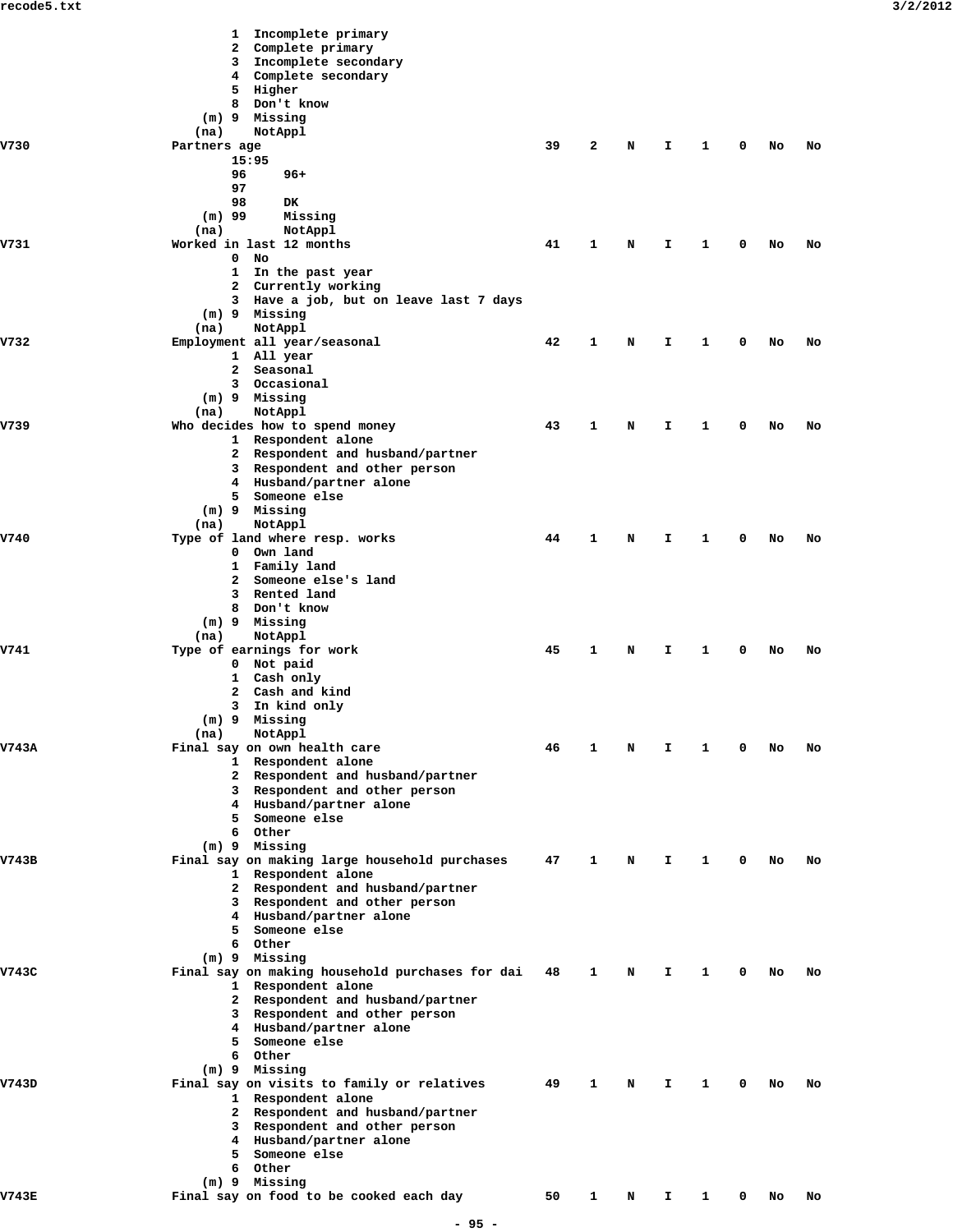|              | Incomplete primary<br>1                                               |    |   |   |    |   |   |    |    |  |
|--------------|-----------------------------------------------------------------------|----|---|---|----|---|---|----|----|--|
|              | Complete primary<br>2                                                 |    |   |   |    |   |   |    |    |  |
|              | Incomplete secondary<br>3                                             |    |   |   |    |   |   |    |    |  |
|              | Complete secondary<br>4                                               |    |   |   |    |   |   |    |    |  |
|              | Higher<br>5                                                           |    |   |   |    |   |   |    |    |  |
|              | 8<br>Don't know<br>Missing                                            |    |   |   |    |   |   |    |    |  |
|              | $(m)$ 9<br>(na)<br>NotAppl                                            |    |   |   |    |   |   |    |    |  |
| V730         | Partners age                                                          | 39 | 2 | N | I  | 1 | 0 | No | No |  |
|              | 15:95                                                                 |    |   |   |    |   |   |    |    |  |
|              | 96<br>$96+$                                                           |    |   |   |    |   |   |    |    |  |
|              | 97                                                                    |    |   |   |    |   |   |    |    |  |
|              | 98<br><b>DK</b>                                                       |    |   |   |    |   |   |    |    |  |
|              | $(m)$ 99<br>Missing                                                   |    |   |   |    |   |   |    |    |  |
|              | NotAppl<br>(na)                                                       |    |   |   |    |   |   |    |    |  |
| V731         | Worked in last 12 months                                              | 41 | 1 | N | I  | 1 | 0 | No | No |  |
|              | 0<br>No                                                               |    |   |   |    |   |   |    |    |  |
|              | In the past year<br>$\mathbf{1}$                                      |    |   |   |    |   |   |    |    |  |
|              | Currently working<br>2                                                |    |   |   |    |   |   |    |    |  |
|              | 3 Have a job, but on leave last 7 days                                |    |   |   |    |   |   |    |    |  |
|              | (m) 9 Missing                                                         |    |   |   |    |   |   |    |    |  |
| V732         | (na)<br>NotAppl<br>Employment all year/seasonal                       | 42 | 1 | N | I  | 1 | 0 | No | No |  |
|              | 1 All year                                                            |    |   |   |    |   |   |    |    |  |
|              | Seasonal<br>2                                                         |    |   |   |    |   |   |    |    |  |
|              | Occasional<br>3                                                       |    |   |   |    |   |   |    |    |  |
|              | (m) 9 Missing                                                         |    |   |   |    |   |   |    |    |  |
|              | NotAppl<br>(na)                                                       |    |   |   |    |   |   |    |    |  |
| V739         | Who decides how to spend money                                        | 43 | 1 | N | I  | 1 | 0 | No | No |  |
|              | 1 Respondent alone                                                    |    |   |   |    |   |   |    |    |  |
|              | 2 Respondent and husband/partner                                      |    |   |   |    |   |   |    |    |  |
|              | 3 Respondent and other person                                         |    |   |   |    |   |   |    |    |  |
|              | 4 Husband/partner alone                                               |    |   |   |    |   |   |    |    |  |
|              | Someone else<br>5.                                                    |    |   |   |    |   |   |    |    |  |
|              | (m) 9 Missing                                                         |    |   |   |    |   |   |    |    |  |
|              | NotAppl<br>(na)                                                       |    |   |   |    |   |   |    |    |  |
| V740         | Type of land where resp. works<br>Own land<br>$\mathbf{O}$            | 44 | 1 | N | I  | 1 | 0 | No | No |  |
|              | Family land<br>$\mathbf{1}$                                           |    |   |   |    |   |   |    |    |  |
|              | Someone else's land<br>2                                              |    |   |   |    |   |   |    |    |  |
|              | Rented land<br>3                                                      |    |   |   |    |   |   |    |    |  |
|              | 8<br>Don't know                                                       |    |   |   |    |   |   |    |    |  |
|              | (m) 9 Missing                                                         |    |   |   |    |   |   |    |    |  |
|              | NotAppl<br>(na)                                                       |    |   |   |    |   |   |    |    |  |
| V741         | Type of earnings for work                                             | 45 | 1 | N | I  | 1 | 0 | No | No |  |
|              | 0 Not paid                                                            |    |   |   |    |   |   |    |    |  |
|              | 1 Cash only                                                           |    |   |   |    |   |   |    |    |  |
|              | Cash and kind<br>2                                                    |    |   |   |    |   |   |    |    |  |
|              | In kind only<br>з                                                     |    |   |   |    |   |   |    |    |  |
|              | $(m)$ 9<br>Missing                                                    |    |   |   |    |   |   |    |    |  |
|              | NotAppl<br>(na)                                                       |    |   |   |    |   |   |    |    |  |
| V743A        | Final say on own health care<br>1 Respondent alone                    | 46 | 1 | N | I  | 1 | 0 | No | No |  |
|              | 2 Respondent and husband/partner                                      |    |   |   |    |   |   |    |    |  |
|              | Respondent and other person<br>3                                      |    |   |   |    |   |   |    |    |  |
|              | 4 Husband/partner alone                                               |    |   |   |    |   |   |    |    |  |
|              | Someone else<br>5.                                                    |    |   |   |    |   |   |    |    |  |
|              | 6 Other                                                               |    |   |   |    |   |   |    |    |  |
|              | (m) 9 Missing                                                         |    |   |   |    |   |   |    |    |  |
| V743B        | Final say on making large household purchases                         | 47 | 1 | N | I  | 1 | 0 | No | No |  |
|              | 1 Respondent alone                                                    |    |   |   |    |   |   |    |    |  |
|              | 2 Respondent and husband/partner                                      |    |   |   |    |   |   |    |    |  |
|              | 3 Respondent and other person                                         |    |   |   |    |   |   |    |    |  |
|              | 4 Husband/partner alone                                               |    |   |   |    |   |   |    |    |  |
|              | Someone else<br>5.                                                    |    |   |   |    |   |   |    |    |  |
|              | 6 Other                                                               |    |   |   |    |   |   |    |    |  |
|              | (m) 9 Missing                                                         |    |   |   |    |   |   |    |    |  |
| V743C        | Final say on making household purchases for dai<br>1 Respondent alone | 48 | 1 | N | Ι. | 1 | 0 | No | No |  |
|              | 2 Respondent and husband/partner                                      |    |   |   |    |   |   |    |    |  |
|              | 3 Respondent and other person                                         |    |   |   |    |   |   |    |    |  |
|              | 4 Husband/partner alone                                               |    |   |   |    |   |   |    |    |  |
|              | Someone else<br>5.                                                    |    |   |   |    |   |   |    |    |  |
|              | 6 Other                                                               |    |   |   |    |   |   |    |    |  |
|              | (m) 9 Missing                                                         |    |   |   |    |   |   |    |    |  |
| V743D        | Final say on visits to family or relatives                            | 49 | 1 | N | Ι. | 1 | 0 | No | No |  |
|              | 1 Respondent alone                                                    |    |   |   |    |   |   |    |    |  |
|              | 2 Respondent and husband/partner                                      |    |   |   |    |   |   |    |    |  |
|              | Respondent and other person<br>3                                      |    |   |   |    |   |   |    |    |  |
|              | 4 Husband/partner alone                                               |    |   |   |    |   |   |    |    |  |
|              | Someone else<br>5.                                                    |    |   |   |    |   |   |    |    |  |
|              | 6 Other                                                               |    |   |   |    |   |   |    |    |  |
|              | (m) 9 Missing                                                         |    |   |   |    |   |   |    |    |  |
| <b>V743E</b> | Final say on food to be cooked each day                               | 50 | 1 | N | Ι. | 1 | 0 | No | No |  |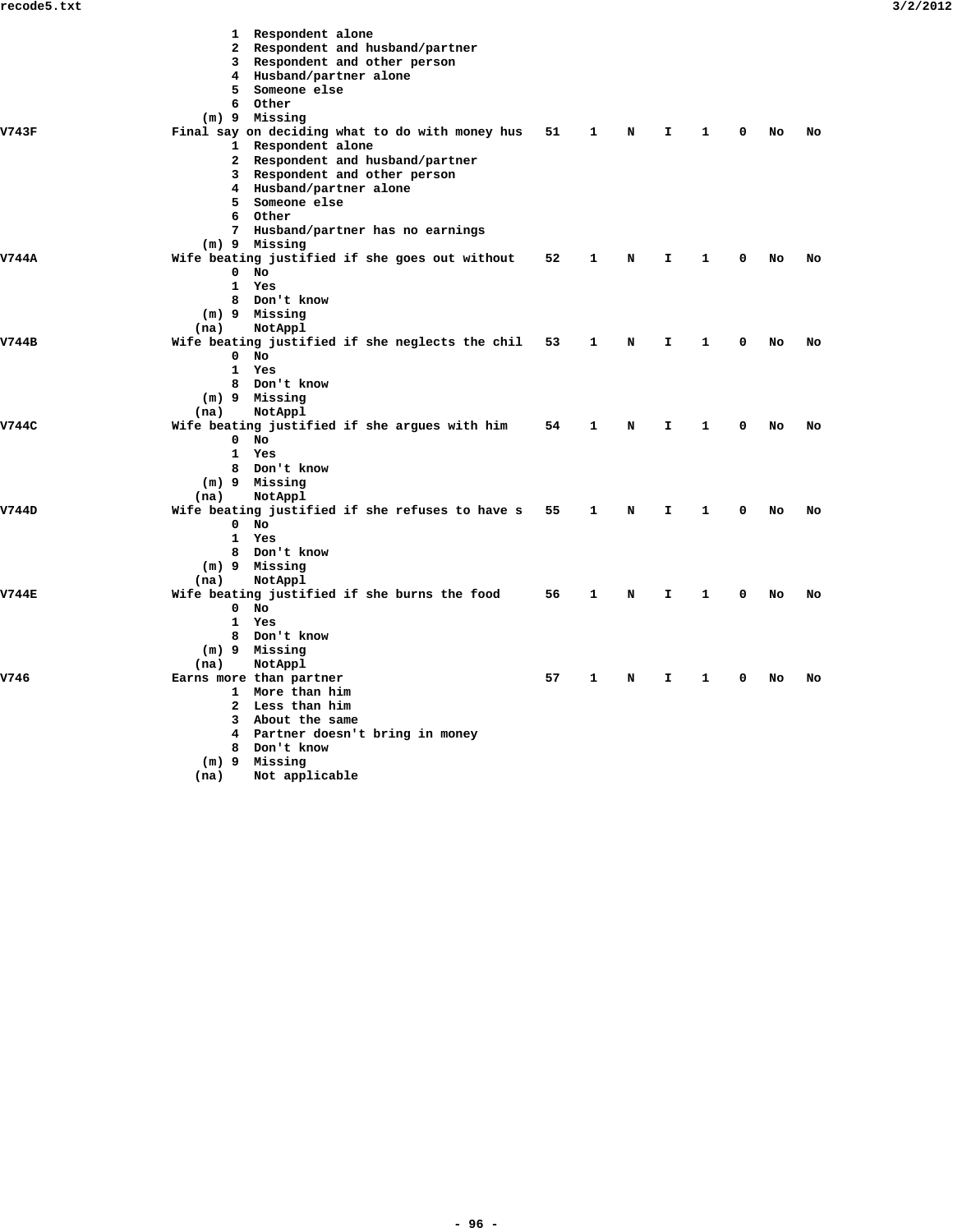|              | 1 Respondent alone<br>2 Respondent and husband/partner<br>3 Respondent and other person<br>4 Husband/partner alone<br>Someone else<br>5<br>6 Other<br>$(m)$ 9 Missing                                                                         |    |   |   |    |   |   |    |    |
|--------------|-----------------------------------------------------------------------------------------------------------------------------------------------------------------------------------------------------------------------------------------------|----|---|---|----|---|---|----|----|
| V743F        | Final say on deciding what to do with money hus<br>1 Respondent alone<br>Respondent and husband/partner<br>2<br>3 Respondent and other person<br>4 Husband/partner alone<br>5 Someone else<br>6 Other<br>Husband/partner has no earnings<br>7 | 51 | 1 | N | I. | 1 | 0 | No | No |
| V744A        | (m) 9 Missing<br>Wife beating justified if she goes out without<br>0<br>No<br>1 Yes<br>8 Don't know<br>(m) 9 Missing<br>NotAppl<br>(na)                                                                                                       | 52 | 1 | N | I. | 1 | 0 | No | No |
| V744B        | Wife beating justified if she neglects the chil<br>No<br>$\mathbf 0$<br>1 Yes<br>8 Don't know<br>(m) 9 Missing<br>(na)<br>NotAppl                                                                                                             | 53 | 1 | N | I. | 1 | 0 | No | No |
| V744C        | Wife beating justified if she argues with him<br>$\mathbf 0$<br>No<br>$\mathbf{1}$<br>Yes<br>8 Don't know<br>(m) 9 Missing<br>NotAppl<br>(na)                                                                                                 | 54 | 1 | N | I. | 1 | 0 | No | No |
| V744D        | Wife beating justified if she refuses to have s<br>$0$ No<br>1<br>Yes<br>8 Don't know<br>(m) 9 Missing<br>(na)<br>NotAppl                                                                                                                     | 55 | 1 | N | I. | 1 | 0 | No | No |
| <b>V744E</b> | Wife beating justified if she burns the food<br>0<br>No<br>1<br>Yes<br>8 Don't know<br>Missing<br>$(m)$ 9<br>NotAppl<br>(na)                                                                                                                  | 56 | 1 | N | I. | 1 | 0 | No | No |
| v746         | Earns more than partner<br>1 More than him<br>2 Less than him<br>3 About the same<br>4 Partner doesn't bring in money<br>8 Don't know<br>$(m)$ 9 Missing<br>Not applicable<br>(na)                                                            | 57 | 1 | N | I  | 1 | 0 | No | No |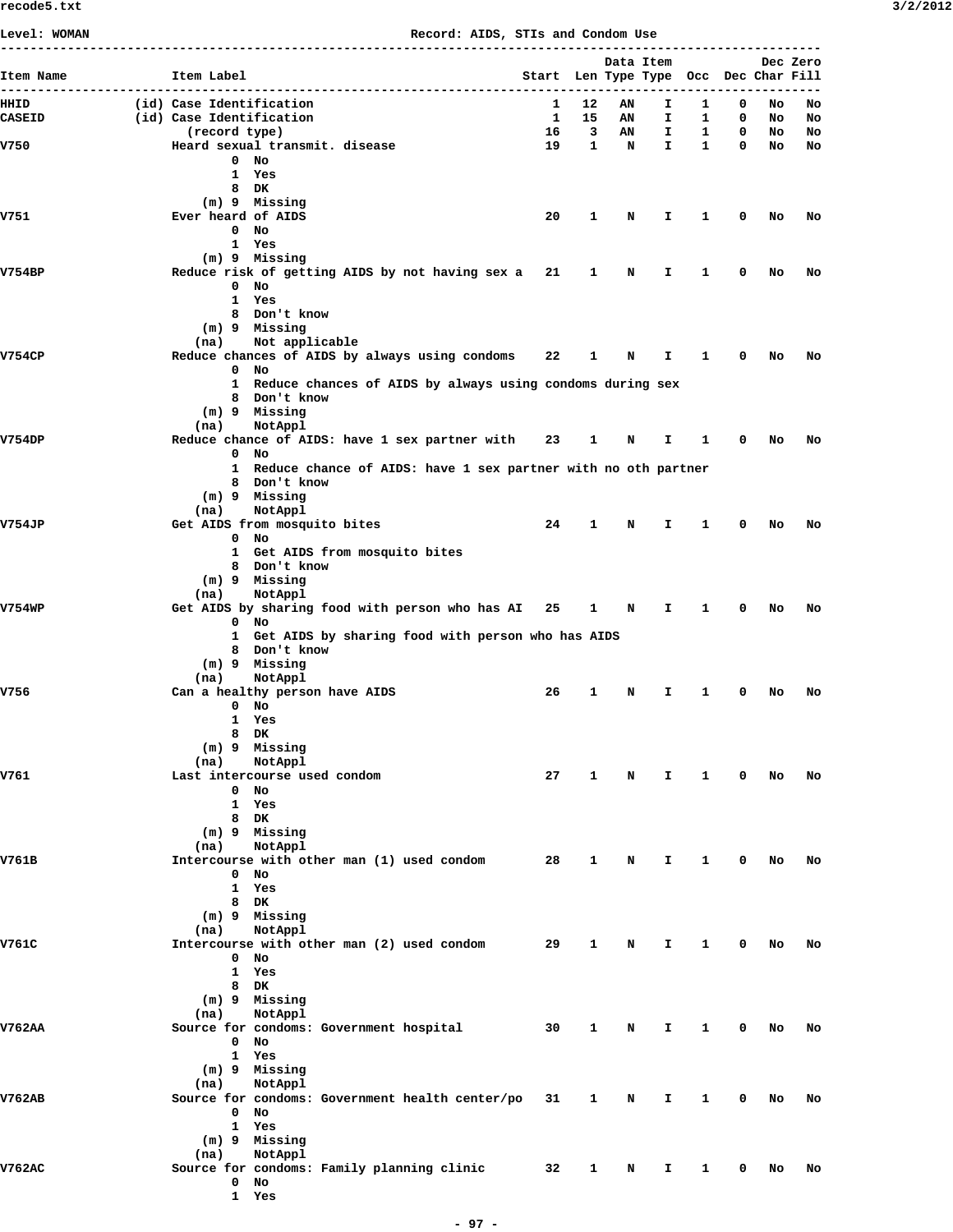**Level: WOMAN Record: AIDS, STIs and Condom Use**

| Item Name     | Item Label                                                            |    | Start Len Type Type Occ Dec Char Fill |             | Data Item    |              |                              |                    | Dec Zero |
|---------------|-----------------------------------------------------------------------|----|---------------------------------------|-------------|--------------|--------------|------------------------------|--------------------|----------|
| HIIID         | (id) Case Identification                                              | 1  | 12                                    | ΑN          | I.           | 1            | 0                            | No                 | No       |
| <b>CASEID</b> | (id) Case Identification                                              | 1  | 15                                    | AN          | I.           | $\mathbf{1}$ | $\mathbf 0$                  | No                 | No       |
|               | (record type)                                                         | 16 | $\overline{\mathbf{3}}$               | AN          | I.           |              | $\mathbf{1}$<br>$\mathbf{0}$ | No                 | No       |
| V750          | Heard sexual transmit. disease<br>$0$ No                              | 19 | $\mathbf{1}$                          | N           | $\mathbf{I}$ | $\mathbf{1}$ |                              | $\mathbf{0}$<br>No | No       |
|               | 1 Yes                                                                 |    |                                       |             |              |              |                              |                    |          |
|               | 8 DK                                                                  |    |                                       |             |              |              |                              |                    |          |
|               | (m) 9 Missing                                                         |    |                                       |             |              |              |                              |                    |          |
| V751          | Ever heard of AIDS                                                    | 20 | 1                                     | N           | Ι.           | 1            | 0                            | No                 | No       |
|               | $0$ No                                                                |    |                                       |             |              |              |                              |                    |          |
|               | 1 Yes                                                                 |    |                                       |             |              |              |                              |                    |          |
| <b>V754BP</b> | $(m)$ 9 Missing<br>Reduce risk of getting AIDS by not having sex a 21 |    | 1                                     | N           | I.           | 1            | 0                            | No                 | No       |
|               | $0$ No                                                                |    |                                       |             |              |              |                              |                    |          |
|               | 1 Yes                                                                 |    |                                       |             |              |              |                              |                    |          |
|               | 8 Don't know                                                          |    |                                       |             |              |              |                              |                    |          |
|               | (m) 9 Missing                                                         |    |                                       |             |              |              |                              |                    |          |
|               | Not applicable<br>(na)                                                |    |                                       |             |              |              |                              |                    |          |
| <b>V754CP</b> | Reduce chances of AIDS by always using condoms                        | 22 | 1                                     | Ν           | Ι.           | 1            | 0                            | No                 | No       |
|               | $0$ No                                                                |    |                                       |             |              |              |                              |                    |          |
|               | 1 Reduce chances of AIDS by always using condoms during sex           |    |                                       |             |              |              |                              |                    |          |
|               | 8 Don't know<br>$(m)$ 9 Missing                                       |    |                                       |             |              |              |                              |                    |          |
|               | NotAppl<br>(na)                                                       |    |                                       |             |              |              |                              |                    |          |
| <b>V754DP</b> | Reduce chance of AIDS: have 1 sex partner with 23                     |    | 1                                     | <b>N</b>    | Ι.           | $\mathbf{1}$ | 0                            | No                 | No       |
|               | $0$ No                                                                |    |                                       |             |              |              |                              |                    |          |
|               | 1 Reduce chance of AIDS: have 1 sex partner with no oth partner       |    |                                       |             |              |              |                              |                    |          |
|               | 8 Don't know                                                          |    |                                       |             |              |              |                              |                    |          |
|               | (m) 9 Missing                                                         |    |                                       |             |              |              |                              |                    |          |
|               | (na)<br>NotAppl                                                       |    |                                       |             |              |              |                              |                    |          |
| <b>V754JP</b> | Get AIDS from mosquito bites<br>$0$ No                                | 24 | 1                                     | N           | I.           | 1            | 0                            | No                 | No       |
|               | 1 Get AIDS from mosquito bites                                        |    |                                       |             |              |              |                              |                    |          |
|               | 8 Don't know                                                          |    |                                       |             |              |              |                              |                    |          |
|               | (m) 9 Missing                                                         |    |                                       |             |              |              |                              |                    |          |
|               | NotAppl<br>(na)                                                       |    |                                       |             |              |              |                              |                    |          |
| <b>V754WP</b> | Get AIDS by sharing food with person who has AI 25                    |    | $\mathbf{1}$                          | $\mathbf N$ | $\mathbf{I}$ | $\mathbf{1}$ | 0                            | No                 | No       |
|               | $0$ No                                                                |    |                                       |             |              |              |                              |                    |          |
|               | 1 Get AIDS by sharing food with person who has AIDS<br>8 Don't know   |    |                                       |             |              |              |                              |                    |          |
|               | (m) 9 Missing                                                         |    |                                       |             |              |              |                              |                    |          |
|               | (na)<br>NotAppl                                                       |    |                                       |             |              |              |                              |                    |          |
| V756          | Can a healthy person have AIDS                                        | 26 | 1                                     | N           | I.           | 1            | 0                            | No                 | No       |
|               | $0$ No                                                                |    |                                       |             |              |              |                              |                    |          |
|               | 1 Yes                                                                 |    |                                       |             |              |              |                              |                    |          |
|               | 8 DK                                                                  |    |                                       |             |              |              |                              |                    |          |
|               | (m) 9 Missing                                                         |    |                                       |             |              |              |                              |                    |          |
| V761          | NotAppl<br>(na)<br>Last intercourse used condom                       | 27 | 1                                     | N           | I.           | 1            | 0                            | No                 | No       |
|               | $0$ No                                                                |    |                                       |             |              |              |                              |                    |          |
|               | 1 Yes                                                                 |    |                                       |             |              |              |                              |                    |          |
|               | 8 DK                                                                  |    |                                       |             |              |              |                              |                    |          |
|               | $(m)$ 9 Missing                                                       |    |                                       |             |              |              |                              |                    |          |
|               | NotAppl<br>(na)                                                       |    |                                       |             |              |              |                              |                    |          |
| V761B         | Intercourse with other man (1) used condom                            | 28 | 1                                     | N           | I.           | 1            | 0                            | No                 | No       |
|               | $0$ No<br>1 Yes                                                       |    |                                       |             |              |              |                              |                    |          |
|               | 8 DK                                                                  |    |                                       |             |              |              |                              |                    |          |
|               | (m) 9 Missing                                                         |    |                                       |             |              |              |                              |                    |          |
|               | NotAppl<br>(na)                                                       |    |                                       |             |              |              |                              |                    |          |
| V761C         | Intercourse with other man (2) used condom                            | 29 | 1                                     | N           | I.           | 1            | 0                            | No                 | No       |
|               | $0$ No                                                                |    |                                       |             |              |              |                              |                    |          |
|               | 1 Yes                                                                 |    |                                       |             |              |              |                              |                    |          |
|               | 8 DK                                                                  |    |                                       |             |              |              |                              |                    |          |
|               | (m) 9 Missing                                                         |    |                                       |             |              |              |                              |                    |          |
| V762AA        | NotAppl<br>(na)<br>Source for condoms: Government hospital            | 30 | 1                                     | N           | I.           | 1            | 0                            | No                 | No       |
|               | $0$ No                                                                |    |                                       |             |              |              |                              |                    |          |
|               | 1 Yes                                                                 |    |                                       |             |              |              |                              |                    |          |
|               | (m) 9 Missing                                                         |    |                                       |             |              |              |                              |                    |          |
|               | NotAppl<br>(na)                                                       |    |                                       |             |              |              |                              |                    |          |
| <b>V762AB</b> | Source for condoms: Government health center/po                       | 31 | 1                                     | N           | I.           | 1            | 0                            | No                 | No       |
|               | $0$ No                                                                |    |                                       |             |              |              |                              |                    |          |
|               | 1 Yes                                                                 |    |                                       |             |              |              |                              |                    |          |
|               | (m) 9 Missing                                                         |    |                                       |             |              |              |                              |                    |          |
|               | NotAppl<br>(na)                                                       |    |                                       |             |              |              |                              |                    |          |
| <b>V762AC</b> | Source for condoms: Family planning clinic<br>$0$ No                  | 32 | 1                                     | N           | I.           | 1            | 0                            | No                 | No       |
|               | 1 Yes                                                                 |    |                                       |             |              |              |                              |                    |          |
|               |                                                                       |    |                                       |             |              |              |                              |                    |          |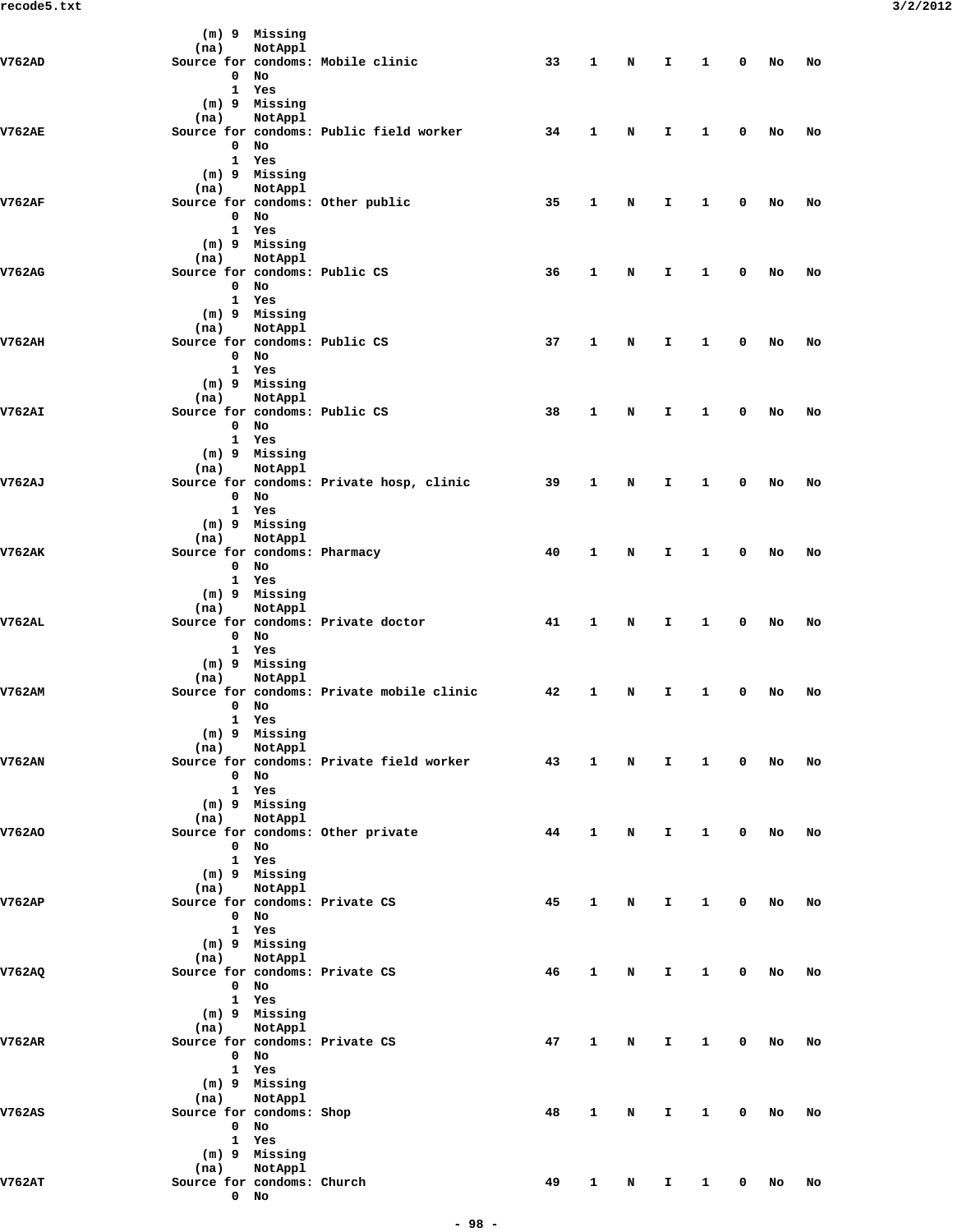|               |      |                   | (m) 9 Missing                           |                                           |    |              |   |    |              |             |    |    |
|---------------|------|-------------------|-----------------------------------------|-------------------------------------------|----|--------------|---|----|--------------|-------------|----|----|
| V762AD        | (na) |                   | NotAppl                                 |                                           | 33 | 1            |   |    | 1            | 0           |    |    |
|               |      | 0                 | No                                      | Source for condoms: Mobile clinic         |    |              | N | I. |              |             | No | No |
|               |      |                   | 1 Yes                                   |                                           |    |              |   |    |              |             |    |    |
|               |      |                   | (m) 9 Missing                           |                                           |    |              |   |    |              |             |    |    |
|               | (na) |                   | NotAppl                                 |                                           |    |              |   |    |              |             |    |    |
| <b>V762AE</b> |      |                   |                                         | Source for condoms: Public field worker   | 34 | 1            | N | I. | 1            | 0           | No | No |
|               |      | $\mathbf 0$       | No<br>1 Yes                             |                                           |    |              |   |    |              |             |    |    |
|               |      |                   | (m) 9 Missing                           |                                           |    |              |   |    |              |             |    |    |
|               | (na) |                   | NotAppl                                 |                                           |    |              |   |    |              |             |    |    |
| <b>V762AF</b> |      |                   |                                         | Source for condoms: Other public          | 35 | $\mathbf{1}$ | N | I. | 1            | 0           | No | No |
|               |      |                   | $0$ No                                  |                                           |    |              |   |    |              |             |    |    |
|               |      |                   | 1 Yes                                   |                                           |    |              |   |    |              |             |    |    |
|               | (na) |                   | $(m)$ 9 Missing<br>NotAppl              |                                           |    |              |   |    |              |             |    |    |
| V762AG        |      |                   |                                         | Source for condoms: Public CS             | 36 | 1            | N | I  | 1            | 0           | No | No |
|               |      |                   | $0$ No                                  |                                           |    |              |   |    |              |             |    |    |
|               |      |                   | 1 Yes                                   |                                           |    |              |   |    |              |             |    |    |
|               |      |                   | (m) 9 Missing                           |                                           |    |              |   |    |              |             |    |    |
| V762AH        | (na) |                   | NotAppl                                 |                                           |    | 1            |   |    |              |             |    |    |
|               |      |                   | $0$ No                                  | Source for condoms: Public CS             | 37 |              | N | I. | 1            | 0           | No | No |
|               |      |                   | 1 Yes                                   |                                           |    |              |   |    |              |             |    |    |
|               |      |                   | (m) 9 Missing                           |                                           |    |              |   |    |              |             |    |    |
|               | (na) |                   | NotAppl                                 |                                           |    |              |   |    |              |             |    |    |
| <b>V762AI</b> |      |                   |                                         | Source for condoms: Public CS             | 38 | 1            | N | I. | 1            | 0           | No | No |
|               |      |                   | $0$ No                                  |                                           |    |              |   |    |              |             |    |    |
|               |      |                   | 1 Yes<br>$(m)$ 9 Missing                |                                           |    |              |   |    |              |             |    |    |
|               | (na) |                   | NotAppl                                 |                                           |    |              |   |    |              |             |    |    |
| V762AJ        |      |                   |                                         | Source for condoms: Private hosp, clinic  | 39 | 1            | N | I. | 1            | 0           | No | No |
|               |      |                   | $0$ No                                  |                                           |    |              |   |    |              |             |    |    |
|               |      |                   | 1 Yes                                   |                                           |    |              |   |    |              |             |    |    |
|               |      |                   | (m) 9 Missing                           |                                           |    |              |   |    |              |             |    |    |
| V762AK        | (na) |                   | NotAppl<br>Source for condoms: Pharmacy |                                           | 40 | 1            | N | I  | 1            | 0           | No | No |
|               |      |                   | $0$ No                                  |                                           |    |              |   |    |              |             |    |    |
|               |      |                   | 1 Yes                                   |                                           |    |              |   |    |              |             |    |    |
|               |      |                   | (m) 9 Missing                           |                                           |    |              |   |    |              |             |    |    |
|               | (na) |                   | NotAppl                                 |                                           |    |              |   |    |              |             |    |    |
| V762AL        |      |                   | $0$ No                                  | Source for condoms: Private doctor        | 41 | 1            | N | Ι. | 1            | 0           | No | No |
|               |      |                   | 1 Yes                                   |                                           |    |              |   |    |              |             |    |    |
|               |      |                   | $(m)$ 9 Missing                         |                                           |    |              |   |    |              |             |    |    |
|               | (na) |                   | NotAppl                                 |                                           |    |              |   |    |              |             |    |    |
| <b>V762AM</b> |      |                   |                                         | Source for condoms: Private mobile clinic | 42 | 1            | N | I. | 1            | 0           | No | No |
|               |      | 0<br>$\mathbf{1}$ | No<br>Yes                               |                                           |    |              |   |    |              |             |    |    |
|               |      |                   | (m) 9 Missing                           |                                           |    |              |   |    |              |             |    |    |
|               | (na) |                   | NotAppl                                 |                                           |    |              |   |    |              |             |    |    |
| V762AN        |      |                   |                                         | Source for condoms: Private field worker  | 43 | $\mathbf{1}$ | N | Ι. | $\mathbf{1}$ | 0           | No | No |
|               |      | $\mathbf{0}$      | No                                      |                                           |    |              |   |    |              |             |    |    |
|               |      |                   | 1 Yes                                   |                                           |    |              |   |    |              |             |    |    |
|               |      | (na)              | $(m)$ 9 Missing<br>NotAppl              |                                           |    |              |   |    |              |             |    |    |
| V762AO        |      |                   |                                         | Source for condoms: Other private         | 44 | $\mathbf{1}$ | N | I. | 1            | 0           | No | No |
|               |      |                   | $0$ No                                  |                                           |    |              |   |    |              |             |    |    |
|               |      |                   | 1 Yes                                   |                                           |    |              |   |    |              |             |    |    |
|               |      |                   | (m) 9 Missing                           |                                           |    |              |   |    |              |             |    |    |
|               | (na) |                   | NotAppl                                 |                                           |    |              |   |    |              |             |    |    |
| V762AP        |      |                   | $0$ No                                  | Source for condoms: Private CS            | 45 | 1            | N | Ι. | $\mathbf{1}$ | 0           | No | No |
|               |      |                   | 1 Yes                                   |                                           |    |              |   |    |              |             |    |    |
|               |      |                   | (m) 9 Missing                           |                                           |    |              |   |    |              |             |    |    |
|               |      | (na)              | NotAppl                                 |                                           |    |              |   |    |              |             |    |    |
| V762AQ        |      |                   |                                         | Source for condoms: Private CS            | 46 | 1            | N | I. | 1            | 0           | No | No |
|               |      |                   | $0$ No                                  |                                           |    |              |   |    |              |             |    |    |
|               |      |                   | 1 Yes<br>(m) 9 Missing                  |                                           |    |              |   |    |              |             |    |    |
|               | (na) |                   | NotAppl                                 |                                           |    |              |   |    |              |             |    |    |
| V762AR        |      |                   |                                         | Source for condoms: Private CS            | 47 | 1            | N | I. | 1            | 0           | No | No |
|               |      |                   | $0$ No                                  |                                           |    |              |   |    |              |             |    |    |
|               |      |                   | 1 Yes                                   |                                           |    |              |   |    |              |             |    |    |
|               |      |                   | $(m)$ 9 Missing                         |                                           |    |              |   |    |              |             |    |    |
| <b>V762AS</b> |      | (na)              | NotAppl<br>Source for condoms: Shop     |                                           | 48 | 1            | N | I. | 1            | 0           | No | No |
|               |      |                   | $0$ No                                  |                                           |    |              |   |    |              |             |    |    |
|               |      |                   | 1 Yes                                   |                                           |    |              |   |    |              |             |    |    |
|               |      |                   | (m) 9 Missing                           |                                           |    |              |   |    |              |             |    |    |
|               | (na) |                   | NotAppl                                 |                                           |    |              |   |    |              |             |    |    |
| V762AT        |      |                   | Source for condoms: Church              |                                           | 49 | $\mathbf{1}$ | N | Ι. | $\mathbf{1}$ | $\mathbf 0$ | No | No |
|               |      |                   | $0$ No                                  |                                           |    |              |   |    |              |             |    |    |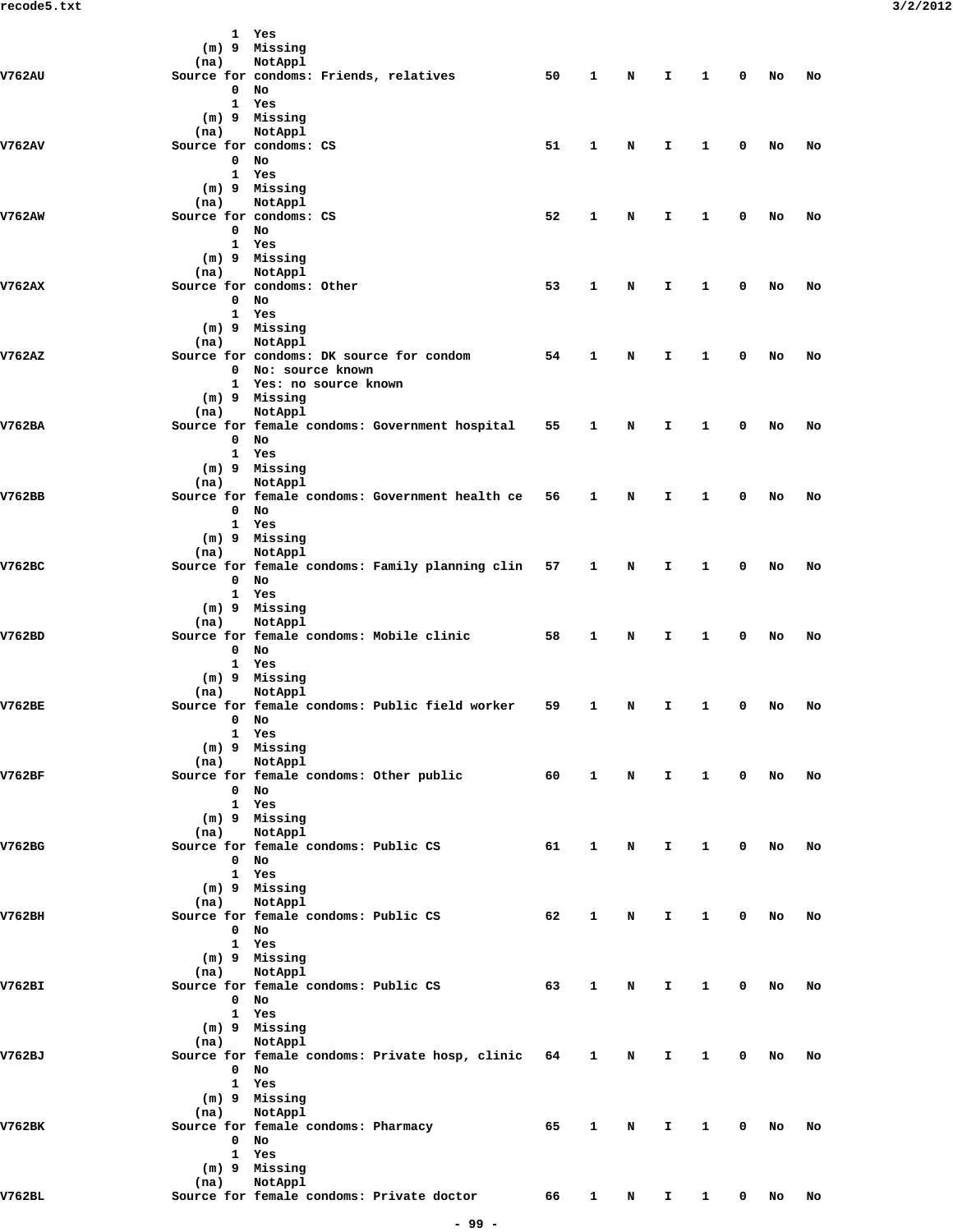|               |                             | 1 Yes<br>(m) 9 Missing                               |                                                      |    |              |          |    |              |              |      |    |
|---------------|-----------------------------|------------------------------------------------------|------------------------------------------------------|----|--------------|----------|----|--------------|--------------|------|----|
|               | (na)                        | NotAppl                                              |                                                      |    |              |          |    |              |              |      |    |
| <b>V762AU</b> |                             | Source for condoms: Friends, relatives               |                                                      | 50 | 1            | N        | I. | 1            | 0            | No   | No |
|               | 0<br>$\mathbf{1}$           | No<br>Yes                                            |                                                      |    |              |          |    |              |              |      |    |
|               |                             | (m) 9 Missing                                        |                                                      |    |              |          |    |              |              |      |    |
|               | (na)                        | NotAppl                                              |                                                      |    |              |          |    |              |              |      |    |
| <b>V762AV</b> | $\mathbf 0$                 | Source for condoms: CS<br>No                         |                                                      | 51 | 1            | N        | I  | 1            | 0            | No   | No |
|               |                             | 1 Yes                                                |                                                      |    |              |          |    |              |              |      |    |
|               |                             | (m) 9 Missing                                        |                                                      |    |              |          |    |              |              |      |    |
|               | (na)                        | NotAppl                                              |                                                      |    |              |          |    |              |              |      |    |
| V762AW        | $\mathbf 0$                 | Source for condoms: CS<br>No                         |                                                      | 52 | 1            | N        | I. | 1            | 0            | No   | No |
|               |                             | 1 Yes                                                |                                                      |    |              |          |    |              |              |      |    |
|               |                             | (m) 9 Missing                                        |                                                      |    |              |          |    |              |              |      |    |
| <b>V762AX</b> | (na)                        | NotAppl<br>Source for condoms: Other                 |                                                      | 53 | 1            | N        | I  | 1            | 0            | No   | No |
|               | $\mathbf 0$                 | No                                                   |                                                      |    |              |          |    |              |              |      |    |
|               |                             | 1 Yes                                                |                                                      |    |              |          |    |              |              |      |    |
|               |                             | (m) 9 Missing                                        |                                                      |    |              |          |    |              |              |      |    |
| V762AZ        | (na)                        | NotAppl<br>Source for condoms: DK source for condom  |                                                      | 54 | 1            | N        | I. | 1            | 0            | No   | No |
|               |                             | 0 No: source known                                   |                                                      |    |              |          |    |              |              |      |    |
|               |                             | 1 Yes: no source known                               |                                                      |    |              |          |    |              |              |      |    |
|               | (na)                        | (m) 9 Missing<br>NotAppl                             |                                                      |    |              |          |    |              |              |      |    |
| V762BA        |                             |                                                      | Source for female condoms: Government hospital       | 55 | 1            | N        | I  | 1            | 0            | No   | No |
|               | $\mathbf 0$                 | No                                                   |                                                      |    |              |          |    |              |              |      |    |
|               |                             | 1 Yes                                                |                                                      |    |              |          |    |              |              |      |    |
|               | (na)                        | (m) 9 Missing<br>NotAppl                             |                                                      |    |              |          |    |              |              |      |    |
| V762BB        |                             |                                                      | Source for female condoms: Government health ce      | 56 | 1            | N        | I. | 1            | 0            | No   | No |
|               | $\mathbf{0}$                | No                                                   |                                                      |    |              |          |    |              |              |      |    |
|               |                             | 1 Yes<br>(m) 9 Missing                               |                                                      |    |              |          |    |              |              |      |    |
|               | (na)                        | NotAppl                                              |                                                      |    |              |          |    |              |              |      |    |
| V762BC        |                             |                                                      | Source for female condoms: Family planning clin      | 57 | 1            | N        | Ι. | 1            | 0            | No   | No |
|               | $\mathbf 0$<br>$\mathbf{1}$ | No<br>Yes                                            |                                                      |    |              |          |    |              |              |      |    |
|               |                             | (m) 9 Missing                                        |                                                      |    |              |          |    |              |              |      |    |
|               | (na)                        | NotAppl                                              |                                                      |    |              |          |    |              |              |      |    |
| V762BD        |                             | Source for female condoms: Mobile clinic             |                                                      | 58 | 1            | N        | I. | 1            | 0            | No   | No |
|               | $\mathbf 0$                 | No<br>1 Yes                                          |                                                      |    |              |          |    |              |              |      |    |
|               |                             | (m) 9 Missing                                        |                                                      |    |              |          |    |              |              |      |    |
|               | (na)                        | NotAppl                                              |                                                      |    |              |          |    |              |              |      |    |
| V762BE        |                             | 0 No                                                 | Source for female condoms: Public field worker       | 59 | 1            | N        | I. | 1            | 0            | No   | No |
|               |                             | 1 Yes                                                |                                                      |    |              |          |    |              |              |      |    |
|               |                             | (m) 9 Missing                                        |                                                      |    |              |          |    |              |              |      |    |
| V762BF        | (na)                        | NotAppl<br>Source for female condoms: Other public   |                                                      | 60 | $\mathbf{1}$ | N        | I. | $\mathbf{1}$ | $\mathbf 0$  | No   | No |
|               |                             | $0$ No                                               |                                                      |    |              |          |    |              |              |      |    |
|               |                             | 1 Yes                                                |                                                      |    |              |          |    |              |              |      |    |
|               |                             | (m) 9 Missing                                        |                                                      |    |              |          |    |              |              |      |    |
| V762BG        | (na)                        | NotAppl<br>Source for female condoms: Public CS      |                                                      | 61 | 1            | N        | Ι. | $\mathbf{1}$ | $\mathbf 0$  | No   | No |
|               |                             | $0$ No                                               |                                                      |    |              |          |    |              |              |      |    |
|               |                             | 1 Yes                                                |                                                      |    |              |          |    |              |              |      |    |
|               | (na)                        | (m) 9 Missing<br>NotAppl                             |                                                      |    |              |          |    |              |              |      |    |
| V762BH        |                             | Source for female condoms: Public CS                 |                                                      | 62 | 1            | N        | I. | $\mathbf{1}$ | $\mathbf 0$  | No   | No |
|               |                             | 0 No                                                 |                                                      |    |              |          |    |              |              |      |    |
|               |                             | 1 Yes<br>(m) 9 Missing                               |                                                      |    |              |          |    |              |              |      |    |
|               |                             | (na) NotAppl                                         |                                                      |    |              |          |    |              |              |      |    |
| V762BI        |                             | Source for female condoms: Public CS                 |                                                      | 63 | $\mathbf{1}$ | N        | I. | $\mathbf{1}$ | 0            | No   | No |
|               |                             | $0$ No<br>1 Yes                                      |                                                      |    |              |          |    |              |              |      |    |
|               |                             | (m) 9 Missing                                        |                                                      |    |              |          |    |              |              |      |    |
|               |                             | (na) NotAppl                                         |                                                      |    |              |          |    |              |              |      |    |
| V762BJ        |                             |                                                      | Source for female condoms: Private hosp, clinic 64 1 |    |              | N        | I. | $\mathbf{1}$ | 0            | No   | No |
|               |                             | $0$ No<br>1 Yes                                      |                                                      |    |              |          |    |              |              |      |    |
|               |                             | (m) 9 Missing                                        |                                                      |    |              |          |    |              |              |      |    |
|               | (na)                        | NotAppl                                              |                                                      |    |              |          |    |              |              |      |    |
| V762BK        |                             | Source for female condoms: Pharmacy<br>$0$ No        |                                                      | 65 | $\mathbf{1}$ | N        | I. | $\mathbf{1}$ | $\mathbf{0}$ | No   | No |
|               |                             | 1 Yes                                                |                                                      |    |              |          |    |              |              |      |    |
|               |                             | (m) 9 Missing                                        |                                                      |    |              |          |    |              |              |      |    |
| V762BL        | (na)                        | NotAppl<br>Source for female condoms: Private doctor |                                                      | 66 |              |          | I. | $\mathbf{1}$ |              | 0 No | No |
|               |                             |                                                      |                                                      |    |              | $1 \t N$ |    |              |              |      |    |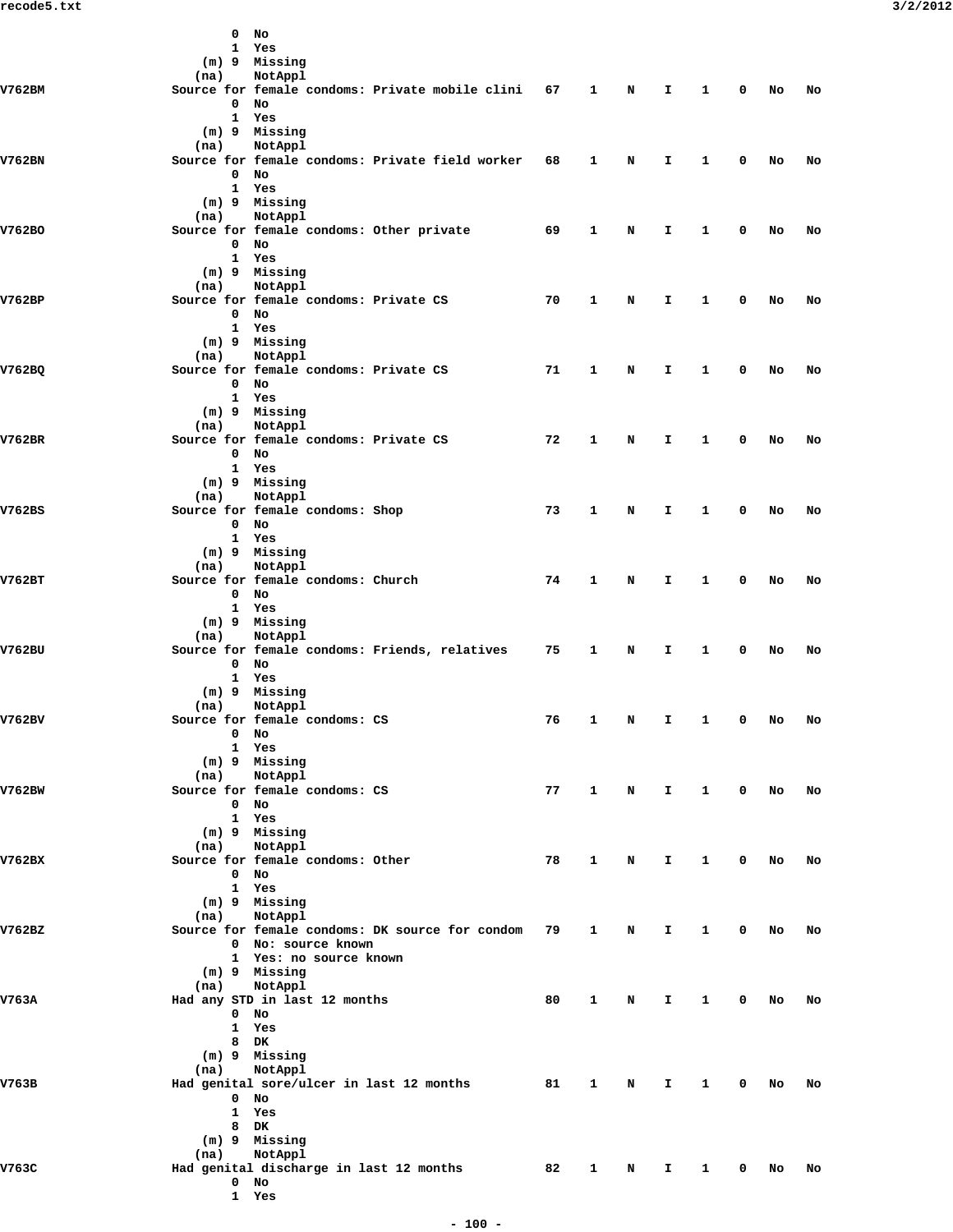|        |      | $0$ No                                             |    |              |       |              |              |             |           |    |
|--------|------|----------------------------------------------------|----|--------------|-------|--------------|--------------|-------------|-----------|----|
|        |      | 1 Yes                                              |    |              |       |              |              |             |           |    |
|        | (na) | (m) 9 Missing<br>NotAppl                           |    |              |       |              |              |             |           |    |
| V762BM |      | Source for female condoms: Private mobile clini 67 |    | $\mathbf{1}$ | N     | I.           | 1            | 0           | No        | No |
|        |      | $0$ No                                             |    |              |       |              |              |             |           |    |
|        |      | 1 Yes                                              |    |              |       |              |              |             |           |    |
|        |      | (m) 9 Missing                                      |    |              |       |              |              |             |           |    |
|        | (na) | NotAppl                                            |    |              |       |              |              |             |           |    |
| V762BN |      | Source for female condoms: Private field worker    | 68 | 1            | N     | I.           | 1            | 0           | No        | No |
|        |      | $0$ No                                             |    |              |       |              |              |             |           |    |
|        |      | 1 Yes<br>(m) 9 Missing                             |    |              |       |              |              |             |           |    |
|        | (na) | NotAppl                                            |    |              |       |              |              |             |           |    |
| V762BO |      | Source for female condoms: Other private           | 69 | 1            | N     | I.           | 1            | 0           | No        | No |
|        |      | $0$ No                                             |    |              |       |              |              |             |           |    |
|        |      | 1 Yes                                              |    |              |       |              |              |             |           |    |
|        |      | (m) 9 Missing                                      |    |              |       |              |              |             |           |    |
|        | (na) | NotAppl                                            |    |              |       |              |              |             |           |    |
| V762BP |      | Source for female condoms: Private CS<br>$0$ No    | 70 | 1            | N     | I.           | 1            | 0           | No        | No |
|        |      | 1 Yes                                              |    |              |       |              |              |             |           |    |
|        |      | (m) 9 Missing                                      |    |              |       |              |              |             |           |    |
|        | (na) | NotAppl                                            |    |              |       |              |              |             |           |    |
| V762BQ |      | Source for female condoms: Private CS              | 71 | 1            | N     | I.           | 1            | 0           | No        | No |
|        |      | $0$ No                                             |    |              |       |              |              |             |           |    |
|        |      | 1 Yes                                              |    |              |       |              |              |             |           |    |
|        | (na) | (m) 9 Missing<br>NotAppl                           |    |              |       |              |              |             |           |    |
| V762BR |      | Source for female condoms: Private CS              | 72 | 1            | N     | I.           | 1            | 0           | No        | No |
|        |      | $0$ No                                             |    |              |       |              |              |             |           |    |
|        |      | 1 Yes                                              |    |              |       |              |              |             |           |    |
|        |      | (m) 9 Missing                                      |    |              |       |              |              |             |           |    |
|        | (na) | NotAppl                                            |    |              |       |              |              |             |           |    |
| V762BS |      | Source for female condoms: Shop<br>$0$ No          | 73 | 1            | N     | I.           | 1            | 0           | No        | No |
|        |      | 1 Yes                                              |    |              |       |              |              |             |           |    |
|        |      | (m) 9 Missing                                      |    |              |       |              |              |             |           |    |
|        | (na) | NotAppl                                            |    |              |       |              |              |             |           |    |
| V762BT |      | Source for female condoms: Church                  | 74 | 1            | N     | I.           | 1            | 0           | No        | No |
|        |      | $0$ No<br>1 Yes                                    |    |              |       |              |              |             |           |    |
|        |      | (m) 9 Missing                                      |    |              |       |              |              |             |           |    |
|        | (na) | NotAppl                                            |    |              |       |              |              |             |           |    |
| V762BU |      | Source for female condoms: Friends, relatives      | 75 | $\mathbf{1}$ | N     | I.           | 1            | 0           | No        | No |
|        |      | $0$ No                                             |    |              |       |              |              |             |           |    |
|        |      | 1 Yes                                              |    |              |       |              |              |             |           |    |
|        | (na) | (m) 9 Missing<br>NotAppl                           |    |              |       |              |              |             |           |    |
| V762BV |      | Source for female condoms: CS                      | 76 | 1            | N     | Ι.           | 1            | 0           | No        | No |
|        |      | $0$ No                                             |    |              |       |              |              |             |           |    |
|        |      | 1 Yes                                              |    |              |       |              |              |             |           |    |
|        |      | (m) 9 Missing                                      |    |              |       |              |              |             |           |    |
| V762BW | (na) | NotAppl<br>Source for female condoms: CS           | 77 |              | 1 N I |              | $\mathbf{1}$ |             | $0$ No    | No |
|        |      | $0$ No                                             |    |              |       |              |              |             |           |    |
|        |      | 1 Yes                                              |    |              |       |              |              |             |           |    |
|        |      | (m) 9 Missing                                      |    |              |       |              |              |             |           |    |
|        | (na) | NotAppl                                            |    |              |       |              |              |             |           |    |
| V762BX |      | Source for female condoms: Other<br>$0$ No         | 78 | 1            | N     | I.           | $\mathbf{1}$ | 0           | No        | No |
|        |      | 1 Yes                                              |    |              |       |              |              |             |           |    |
|        |      | (m) 9 Missing                                      |    |              |       |              |              |             |           |    |
|        | (na) | NotAppl                                            |    |              |       |              |              |             |           |    |
| V762BZ |      | Source for female condoms: DK source for condom 79 |    | $\mathbf{1}$ | N     | I.           | $\mathbf{1}$ | $\mathbf 0$ | <b>NO</b> | No |
|        |      | 0 No: source known                                 |    |              |       |              |              |             |           |    |
|        |      | 1 Yes: no source known<br>(m) 9 Missing            |    |              |       |              |              |             |           |    |
|        | (na) | NotAppl                                            |    |              |       |              |              |             |           |    |
| V763A  |      | Had any STD in last 12 months                      | 80 | $\mathbf{1}$ | N     | I.           | $\mathbf{1}$ |             | $0$ No    | No |
|        |      | $0$ No                                             |    |              |       |              |              |             |           |    |
|        |      | 1 Yes                                              |    |              |       |              |              |             |           |    |
|        |      | 8 DK<br>(m) 9 Missing                              |    |              |       |              |              |             |           |    |
|        | (na) | NotAppl                                            |    |              |       |              |              |             |           |    |
| V763B  |      | Had genital sore/ulcer in last 12 months           | 81 | $\mathbf{1}$ | N     | I.           | $\mathbf{1}$ | $\mathbf 0$ | No        | No |
|        |      | $0$ No                                             |    |              |       |              |              |             |           |    |
|        |      | 1 Yes                                              |    |              |       |              |              |             |           |    |
|        |      | 8 DK                                               |    |              |       |              |              |             |           |    |
|        | (na) | (m) 9 Missing<br>NotAppl                           |    |              |       |              |              |             |           |    |
| V763C  |      | Had genital discharge in last 12 months            | 82 | $\mathbf{1}$ | N     | $\mathbf{T}$ | $\mathbf{1}$ |             | $0$ No    | No |
|        |      | $0$ No                                             |    |              |       |              |              |             |           |    |
|        |      | 1 Yes                                              |    |              |       |              |              |             |           |    |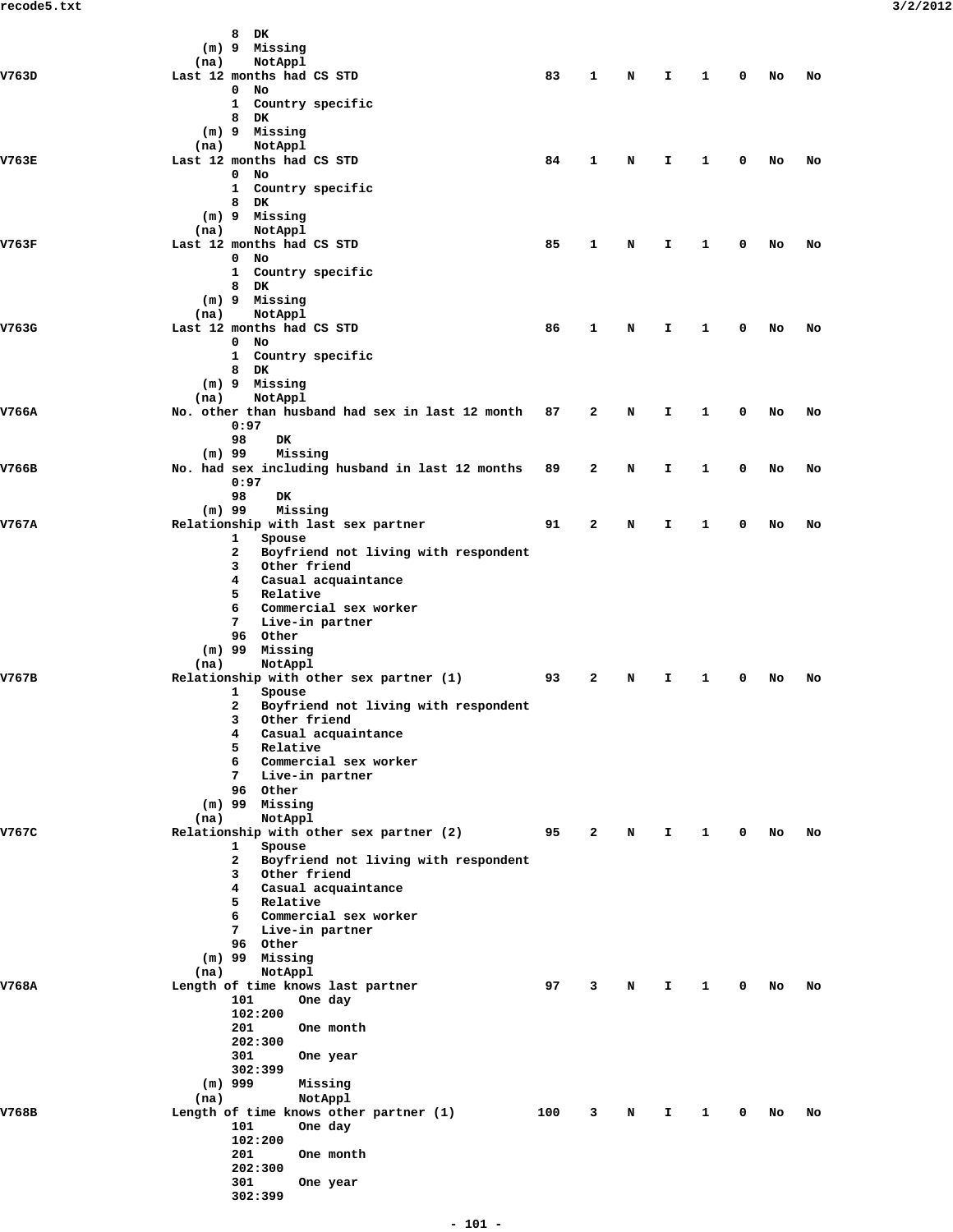|       | 8<br>DK                                                   |     |   |   |    |              |   |    |    |
|-------|-----------------------------------------------------------|-----|---|---|----|--------------|---|----|----|
|       | (m) 9 Missing<br>NotAppl<br>(na)                          |     |   |   |    |              |   |    |    |
| V763D | Last 12 months had CS STD                                 | 83  | 1 | N | I  | 1            | 0 | No | No |
|       | 0<br>No                                                   |     |   |   |    |              |   |    |    |
|       | Country specific<br>$\mathbf{1}$                          |     |   |   |    |              |   |    |    |
|       | 8<br>DK<br>(m) 9 Missing                                  |     |   |   |    |              |   |    |    |
|       | (na)<br>NotAppl                                           |     |   |   |    |              |   |    |    |
| V763E | Last 12 months had CS STD                                 | 84  | 1 | N | Ι. | 1            | 0 | No | No |
|       | $0$ No                                                    |     |   |   |    |              |   |    |    |
|       | Country specific<br>$\mathbf{1}$<br>8<br>DK               |     |   |   |    |              |   |    |    |
|       | (m) 9 Missing                                             |     |   |   |    |              |   |    |    |
|       | (na)<br>NotAppl                                           |     |   |   |    |              |   |    |    |
| V763F | Last 12 months had CS STD                                 | 85  | 1 | N | I  | 1            | 0 | No | No |
|       | $\mathbf{0}$<br>No<br>1 Country specific                  |     |   |   |    |              |   |    |    |
|       | 8<br>DK                                                   |     |   |   |    |              |   |    |    |
|       | (m) 9 Missing                                             |     |   |   |    |              |   |    |    |
|       | (na)<br>NotAppl                                           |     |   |   |    |              |   |    |    |
| V763G | Last 12 months had CS STD                                 | 86  | 1 | N | Ι. | 1            | 0 | No | No |
|       | $0$ No<br>1 Country specific                              |     |   |   |    |              |   |    |    |
|       | 8 DK                                                      |     |   |   |    |              |   |    |    |
|       | (m) 9 Missing                                             |     |   |   |    |              |   |    |    |
|       | (na)<br>NotAppl                                           |     |   |   |    |              |   |    |    |
| V766A | No. other than husband had sex in last 12 month<br>0:97   | 87  | 2 | N | Ι. | 1            | 0 | No | No |
|       | 98<br>DK                                                  |     |   |   |    |              |   |    |    |
|       | $(m)$ 99<br>Missing                                       |     |   |   |    |              |   |    |    |
| V766B | No. had sex including husband in last 12 months           | 89  | 2 | N | Ι. | 1            | 0 | No | No |
|       | 0:97                                                      |     |   |   |    |              |   |    |    |
|       | 98<br>DK                                                  |     |   |   |    |              |   |    |    |
| V767A | Missing<br>$(m)$ 99<br>Relationship with last sex partner | 91  | 2 | N | I  | 1            | 0 | No | No |
|       | 1<br>Spouse                                               |     |   |   |    |              |   |    |    |
|       | Boyfriend not living with respondent<br>2                 |     |   |   |    |              |   |    |    |
|       | Other friend<br>3                                         |     |   |   |    |              |   |    |    |
|       | 4<br>Casual acquaintance<br>5<br>Relative                 |     |   |   |    |              |   |    |    |
|       | 6<br>Commercial sex worker                                |     |   |   |    |              |   |    |    |
|       | Live-in partner<br>7                                      |     |   |   |    |              |   |    |    |
|       | 96 Other                                                  |     |   |   |    |              |   |    |    |
|       | $(m)$ 99 Missing<br>NotAppl<br>(na)                       |     |   |   |    |              |   |    |    |
| V767B | Relationship with other sex partner (1)                   | 93  | 2 | N | I  | 1            | 0 | No | No |
|       | 1<br>Spouse                                               |     |   |   |    |              |   |    |    |
|       | Boyfriend not living with respondent<br>2                 |     |   |   |    |              |   |    |    |
|       | 3 Other friend                                            |     |   |   |    |              |   |    |    |
|       | Casual acquaintance<br>4<br>5<br>Relative                 |     |   |   |    |              |   |    |    |
|       | 6<br>Commercial sex worker                                |     |   |   |    |              |   |    |    |
|       | 7<br>Live-in partner                                      |     |   |   |    |              |   |    |    |
|       | 96 Other                                                  |     |   |   |    |              |   |    |    |
|       | (m) 99 Missing<br>(na)<br>NotAppl                         |     |   |   |    |              |   |    |    |
| V767C | Relationship with other sex partner (2)                   | 95  | 2 | N | Ι. | $\mathbf{1}$ | 0 | No | No |
|       | 1<br>Spouse                                               |     |   |   |    |              |   |    |    |
|       | Boyfriend not living with respondent<br>2                 |     |   |   |    |              |   |    |    |
|       | 3<br>Other friend                                         |     |   |   |    |              |   |    |    |
|       | 4<br>Casual acquaintance<br>5<br>Relative                 |     |   |   |    |              |   |    |    |
|       | $6^{\circ}$<br>Commercial sex worker                      |     |   |   |    |              |   |    |    |
|       | Live-in partner<br>7                                      |     |   |   |    |              |   |    |    |
|       | 96 Other                                                  |     |   |   |    |              |   |    |    |
|       | (m) 99 Missing<br>(na)<br>NotAppl                         |     |   |   |    |              |   |    |    |
| V768A | Length of time knows last partner                         | 97  | 3 | N | I  | 1            | 0 | No | No |
|       | 101<br>One day                                            |     |   |   |    |              |   |    |    |
|       | 102:200                                                   |     |   |   |    |              |   |    |    |
|       | 201<br>One month                                          |     |   |   |    |              |   |    |    |
|       | 202:300<br>301<br>One year                                |     |   |   |    |              |   |    |    |
|       | 302:399                                                   |     |   |   |    |              |   |    |    |
|       | $(m)$ 999<br>Missing                                      |     |   |   |    |              |   |    |    |
|       | NotAppl<br>(na)                                           |     |   |   |    |              |   |    |    |
| V768B | Length of time knows other partner (1)                    | 100 | 3 | N | I. | 1            | 0 | No | No |
|       | 101<br>One day<br>102:200                                 |     |   |   |    |              |   |    |    |
|       | 201<br>One month                                          |     |   |   |    |              |   |    |    |
|       | 202:300                                                   |     |   |   |    |              |   |    |    |
|       | 301<br>One year                                           |     |   |   |    |              |   |    |    |
|       | 302:399                                                   |     |   |   |    |              |   |    |    |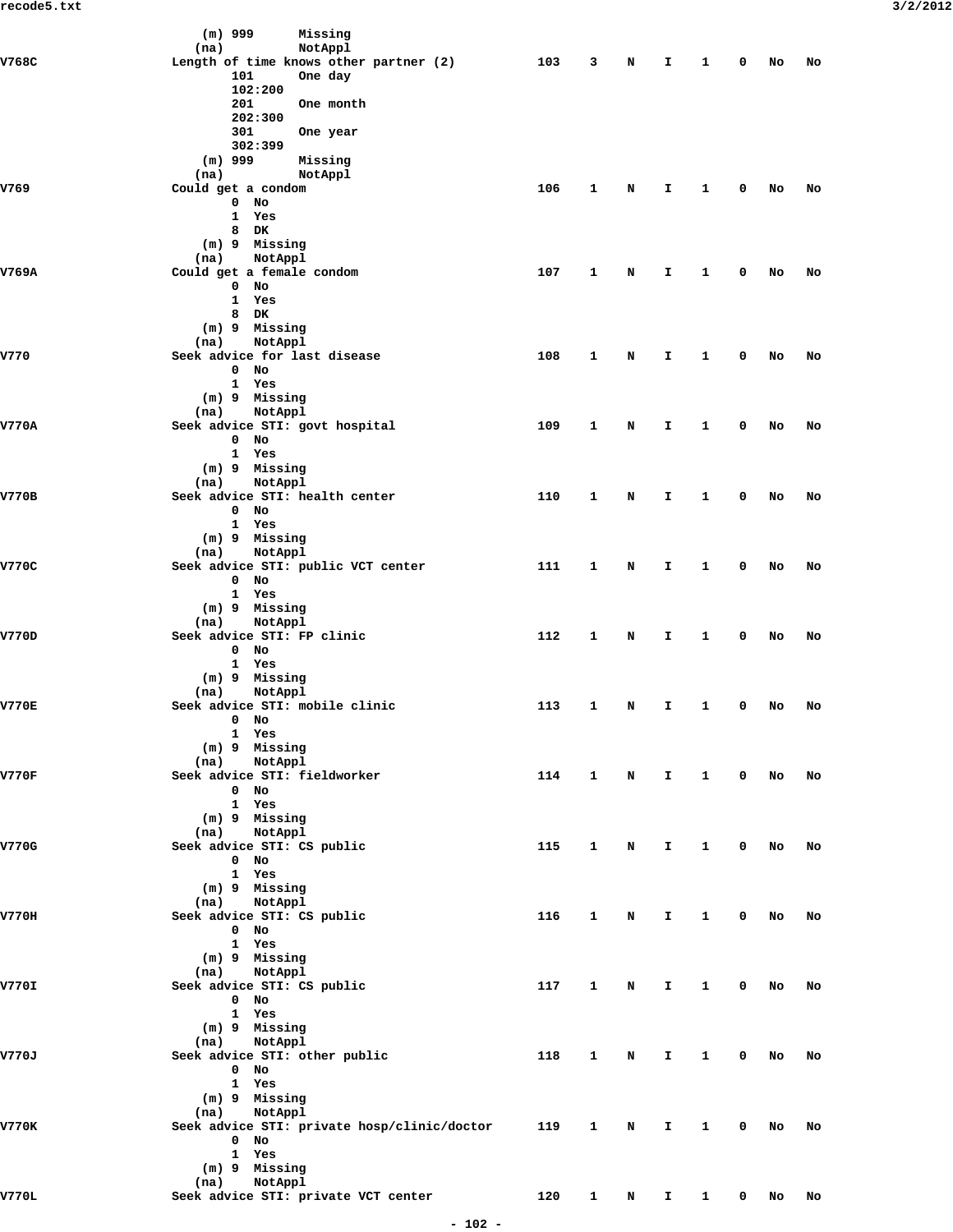|              | $(m)$ 999<br>Missing                                      |     |              |                |              |                        |             |      |    |
|--------------|-----------------------------------------------------------|-----|--------------|----------------|--------------|------------------------|-------------|------|----|
| V768C        | NotAppl<br>(na)<br>Length of time knows other partner (2) | 103 | 3            | N              | I            | 1                      | 0           | No   | No |
|              | 101<br>One day                                            |     |              |                |              |                        |             |      |    |
|              | 102:200                                                   |     |              |                |              |                        |             |      |    |
|              | 201<br>One month<br>202:300                               |     |              |                |              |                        |             |      |    |
|              | 301<br>One year                                           |     |              |                |              |                        |             |      |    |
|              | 302:399                                                   |     |              |                |              |                        |             |      |    |
|              | $(m)$ 999<br>Missing<br>(na)<br>NotAppl                   |     |              |                |              |                        |             |      |    |
| V769         | Could get a condom                                        | 106 | 1            | N              | I.           | 1                      | 0           | No   | No |
|              | No<br>0                                                   |     |              |                |              |                        |             |      |    |
|              | $\mathbf{1}$<br>Yes<br>8<br>DK                            |     |              |                |              |                        |             |      |    |
|              | (m) 9 Missing                                             |     |              |                |              |                        |             |      |    |
|              | (na)<br>NotAppl                                           |     |              |                |              |                        |             |      |    |
| V769A        | Could get a female condom<br>No<br>$\mathbf 0$            | 107 | 1            | N              | I.           | 1                      | 0           | No   | No |
|              | $\mathbf{1}$<br>Yes                                       |     |              |                |              |                        |             |      |    |
|              | 8<br>DK                                                   |     |              |                |              |                        |             |      |    |
|              | (m) 9 Missing<br>NotAppl<br>(na)                          |     |              |                |              |                        |             |      |    |
| V770         | Seek advice for last disease                              | 108 | 1            | N              | I.           | 1                      | 0           | No   | No |
|              | 0<br>No                                                   |     |              |                |              |                        |             |      |    |
|              | 1 Yes<br>(m) 9 Missing                                    |     |              |                |              |                        |             |      |    |
|              | NotAppl<br>(na)                                           |     |              |                |              |                        |             |      |    |
| <b>V770A</b> | Seek advice STI: govt hospital                            | 109 | 1            | N              | I.           | 1                      | 0           | No   | No |
|              | $0$ No<br>1 Yes                                           |     |              |                |              |                        |             |      |    |
|              | (m) 9 Missing                                             |     |              |                |              |                        |             |      |    |
|              | NotAppl<br>(na)                                           |     |              |                |              |                        |             |      |    |
| <b>V770B</b> | Seek advice STI: health center<br>$\mathbf{0}$<br>No      | 110 | 1            | N              | I            | 1                      | 0           | No   | No |
|              | 1 Yes                                                     |     |              |                |              |                        |             |      |    |
|              | (m) 9 Missing                                             |     |              |                |              |                        |             |      |    |
| V770C        | NotAppl<br>(na)<br>Seek advice STI: public VCT center     | 111 | 1            | N              | I            | 1                      | 0           | No   | No |
|              | $0$ No                                                    |     |              |                |              |                        |             |      |    |
|              | 1 Yes<br>(m) 9 Missing                                    |     |              |                |              |                        |             |      |    |
|              | NotAppl<br>(na)                                           |     |              |                |              |                        |             |      |    |
| V770D        | Seek advice STI: FP clinic                                | 112 | 1            | N              | I.           | 1                      | 0           | No   | No |
|              | 0<br>No<br>1 Yes                                          |     |              |                |              |                        |             |      |    |
|              | (m) 9 Missing                                             |     |              |                |              |                        |             |      |    |
|              | NotAppl<br>(na)                                           |     |              |                |              |                        |             |      |    |
| <b>V770E</b> | Seek advice STI: mobile clinic<br>$0$ No                  | 113 | 1            | N              | I.           | 1                      | 0           | No   | No |
|              | 1 Yes                                                     |     |              |                |              |                        |             |      |    |
|              | $(m)$ 9 Missing                                           |     |              |                |              |                        |             |      |    |
| <b>V770F</b> | (na) NotAppl<br>Seek advice STI: fieldworker              | 114 | $\mathbf{1}$ | N              | $\mathbf{I}$ | $\mathbf{1}$           |             | 0 No | No |
|              | $0$ No                                                    |     |              |                |              |                        |             |      |    |
|              | 1 Yes                                                     |     |              |                |              |                        |             |      |    |
|              | (m) 9 Missing<br>(na) NotAppl                             |     |              |                |              |                        |             |      |    |
| V770G        | Seek advice STI: CS public                                | 115 | $\mathbf{1}$ | N              | I.           | $\mathbf{1}$           | $\mathbf 0$ | No   | No |
|              | 0 No<br>1 Yes                                             |     |              |                |              |                        |             |      |    |
|              | (m) 9 Missing                                             |     |              |                |              |                        |             |      |    |
|              | (na) NotAppl                                              |     |              |                |              |                        |             |      |    |
| V770H        | Seek advice STI: CS public<br>0 No                        | 116 | $\mathbf{1}$ | N              | Ι.           | $\mathbf{1}$           | $\mathbf 0$ | No   | No |
|              | 1 Yes                                                     |     |              |                |              |                        |             |      |    |
|              | (m) 9 Missing                                             |     |              |                |              |                        |             |      |    |
| V770I        | (na) NotAppl<br>Seek advice STI: CS public                | 117 | $\mathbf{1}$ | N              | I.           | 1                      | 0           | No   | No |
|              | $0$ No                                                    |     |              |                |              |                        |             |      |    |
|              | 1 Yes                                                     |     |              |                |              |                        |             |      |    |
|              | (m) 9 Missing<br>(na) NotAppl                             |     |              |                |              |                        |             |      |    |
| V770J        | Seek advice STI: other public                             | 118 | $\mathbf{1}$ | N              | Ι.           | $\mathbf{1}$           | 0           | No   | No |
|              | $0$ No                                                    |     |              |                |              |                        |             |      |    |
|              | 1 Yes<br>(m) 9 Missing                                    |     |              |                |              |                        |             |      |    |
|              | (na) NotAppl                                              |     |              |                |              |                        |             |      |    |
| <b>V770K</b> | Seek advice STI: private hosp/clinic/doctor               | 119 | $\mathbf{1}$ | $\mathbf N$    | $\mathbf{I}$ | $\mathbf{1}$           |             | 0 No | No |
|              | 0 No<br>1 Yes                                             |     |              |                |              |                        |             |      |    |
|              | (m) 9 Missing                                             |     |              |                |              |                        |             |      |    |
|              | (na) NotAppl                                              |     |              |                |              |                        |             |      |    |
| V770L        | Seek advice STI: private VCT center                       | 120 | $\mathbf{1}$ | N <sub>N</sub> | $\mathbf{I}$ | $1 \quad \blacksquare$ | $\mathbf 0$ | No   | No |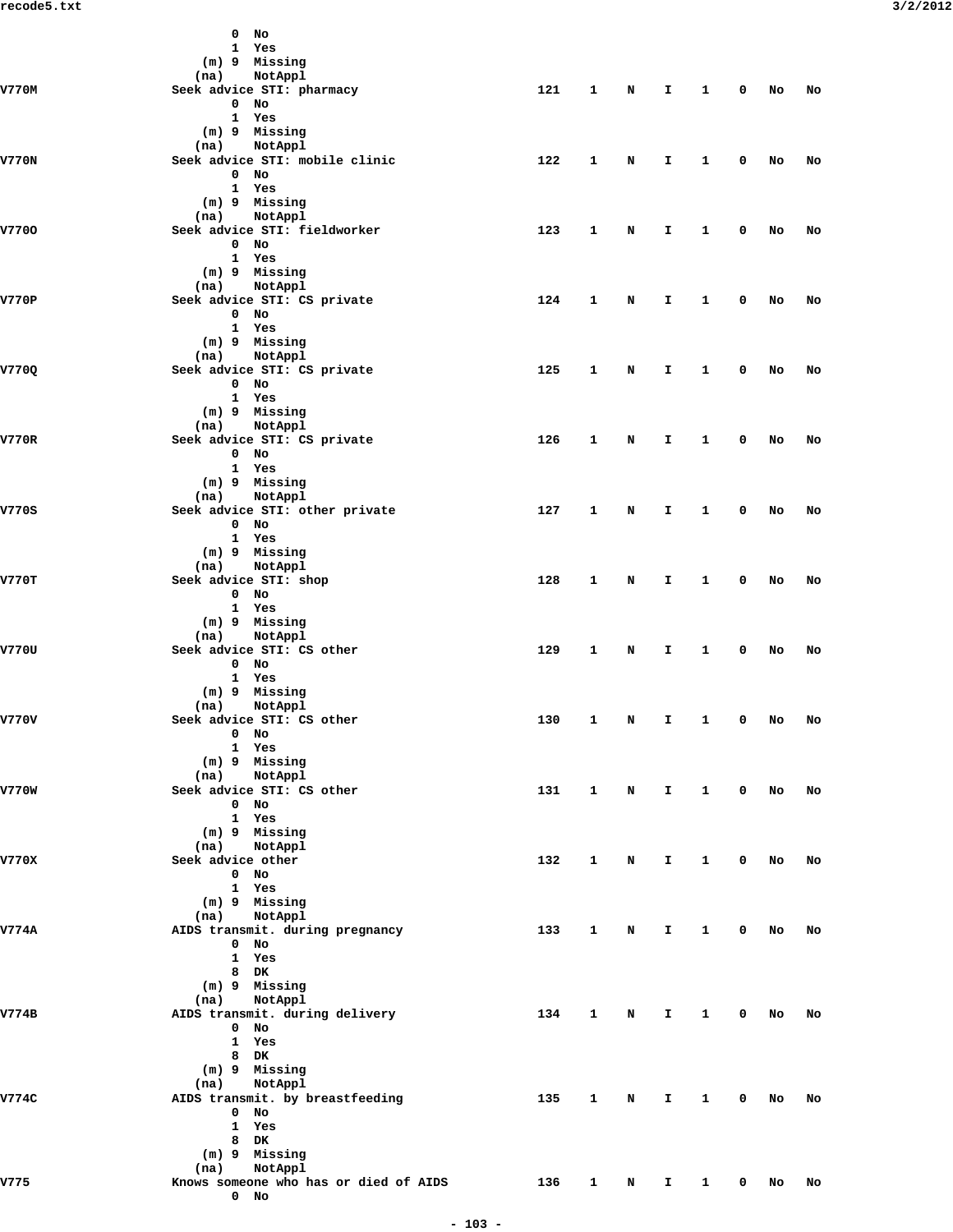|              | $0$ No                                         |     |                     |             |                               |              |              |        |    |
|--------------|------------------------------------------------|-----|---------------------|-------------|-------------------------------|--------------|--------------|--------|----|
|              | 1 Yes                                          |     |                     |             |                               |              |              |        |    |
|              | (m) 9 Missing                                  |     |                     |             |                               |              |              |        |    |
| V770M        | (na) NotAppl<br>Seek advice STI: pharmacy      | 121 | $\mathbf{1}$        | $\mathbf N$ | $\mathbf{I}$ and $\mathbf{I}$ | $\mathbf{1}$ |              | 0 No   | No |
|              | $0$ No                                         |     |                     |             |                               |              |              |        |    |
|              | 1 Yes                                          |     |                     |             |                               |              |              |        |    |
|              | (m) 9 Missing                                  |     |                     |             |                               |              |              |        |    |
| <b>V770N</b> | (na) NotAppl<br>Seek advice STI: mobile clinic | 122 | $\mathbf{1}$        | N           | $\mathbf{T}$                  | $\mathbf{1}$ | $\mathbf 0$  | No     | No |
|              | $0$ No                                         |     |                     |             |                               |              |              |        |    |
|              | 1 Yes                                          |     |                     |             |                               |              |              |        |    |
|              | (m) 9 Missing                                  |     |                     |             |                               |              |              |        |    |
| V7700        | (na) NotAppl<br>Seek advice STI: fieldworker   | 123 | $\mathbf{1}$        | N           | $\mathbf{T}$                  | $\mathbf{1}$ | $\mathbf 0$  | No     | No |
|              | $0$ No                                         |     |                     |             |                               |              |              |        |    |
|              | 1 Yes                                          |     |                     |             |                               |              |              |        |    |
|              | (m) 9 Missing                                  |     |                     |             |                               |              |              |        |    |
| V770P        | (na) NotAppl<br>Seek advice STI: CS private    | 124 | 1                   | N           | $\mathbf{T}$                  | $\mathbf{1}$ | $\mathbf{0}$ | No     | No |
|              | 0 No                                           |     |                     |             |                               |              |              |        |    |
|              | 1 Yes                                          |     |                     |             |                               |              |              |        |    |
|              | (m) 9 Missing                                  |     |                     |             |                               |              |              |        |    |
|              | (na) NotAppl                                   |     |                     |             |                               |              |              |        |    |
| V770Q        | Seek advice STI: CS private<br>0 No            | 125 | 1                   | N           | I.                            | $\mathbf{1}$ | $\mathbf 0$  | No     | No |
|              | 1 Yes                                          |     |                     |             |                               |              |              |        |    |
|              | (m) 9 Missing                                  |     |                     |             |                               |              |              |        |    |
|              | (na) NotAppl                                   |     |                     |             |                               |              |              |        |    |
| <b>V770R</b> | Seek advice STI: CS private                    | 126 | 1                   | N           | I.                            | $\mathbf{1}$ | 0            | No     | No |
|              | $0$ No<br>1 Yes                                |     |                     |             |                               |              |              |        |    |
|              | (m) 9 Missing                                  |     |                     |             |                               |              |              |        |    |
|              | (na) NotAppl                                   |     |                     |             |                               |              |              |        |    |
| V770S        | Seek advice STI: other private                 | 127 | $\mathbf{1}$        | N           | I.                            | $\mathbf{1}$ | 0            | No     | No |
|              | $0$ No<br>1 Yes                                |     |                     |             |                               |              |              |        |    |
|              | (m) 9 Missing                                  |     |                     |             |                               |              |              |        |    |
|              | (na) NotAppl                                   |     |                     |             |                               |              |              |        |    |
| <b>V770T</b> | Seek advice STI: shop                          | 128 | 1                   | N           | I.                            | $\mathbf{1}$ | $\mathbf 0$  | No     | No |
|              | $0$ No                                         |     |                     |             |                               |              |              |        |    |
|              | 1 Yes<br>(m) 9 Missing                         |     |                     |             |                               |              |              |        |    |
|              | (na) NotAppl                                   |     |                     |             |                               |              |              |        |    |
| V770U        | Seek advice STI: CS other                      | 129 | 1                   | N           | Ι.                            | $\mathbf{1}$ | $\mathbf{0}$ | No     | No |
|              | $0$ No                                         |     |                     |             |                               |              |              |        |    |
|              | 1 Yes<br>(m) 9 Missing                         |     |                     |             |                               |              |              |        |    |
|              | (na) NotAppl                                   |     |                     |             |                               |              |              |        |    |
| <b>V770V</b> | Seek advice STI: CS other                      |     | 130 1 N I 1 0 No No |             |                               |              |              |        |    |
|              | $0$ No                                         |     |                     |             |                               |              |              |        |    |
|              | 1 Yes<br>(m) 9 Missing                         |     |                     |             |                               |              |              |        |    |
|              | (na) NotAppl                                   |     |                     |             |                               |              |              |        |    |
| <b>V770W</b> | Seek advice STI: CS other                      |     | 131 1 N I 1 0 No No |             |                               |              |              |        |    |
|              | $0$ No                                         |     |                     |             |                               |              |              |        |    |
|              | 1 Yes                                          |     |                     |             |                               |              |              |        |    |
|              | (m) 9 Missing<br>(na) NotAppl                  |     |                     |             |                               |              |              |        |    |
| <b>V770X</b> | Seek advice other                              | 132 | $\mathbf{1}$        | $\mathbf N$ | $\mathbf{I}$                  | $\mathbf{1}$ |              | $0$ No | No |
|              | 0 No                                           |     |                     |             |                               |              |              |        |    |
|              | 1 Yes                                          |     |                     |             |                               |              |              |        |    |
|              | (m) 9 Missing<br>(na) NotAppl                  |     |                     |             |                               |              |              |        |    |
| V774A        | AIDS transmit. during pregnancy                | 133 | $\mathbf{1}$        | $\mathbf N$ |                               | $1 \quad 1$  |              | $0$ No | No |
|              | $0$ No                                         |     |                     |             |                               |              |              |        |    |
|              | 1 Yes                                          |     |                     |             |                               |              |              |        |    |
|              | 8 DK<br>(m) 9 Missing                          |     |                     |             |                               |              |              |        |    |
|              | (na) NotAppl                                   |     |                     |             |                               |              |              |        |    |
| V774B        | AIDS transmit. during delivery                 | 134 | $\mathbf{1}$        | N N         | $\mathbf{I}$ and $\mathbf{I}$ |              | 1 0 No       |        | No |
|              | $0$ No                                         |     |                     |             |                               |              |              |        |    |
|              | 1 Yes                                          |     |                     |             |                               |              |              |        |    |
|              | 8 DK<br>(m) 9 Missing                          |     |                     |             |                               |              |              |        |    |
|              | (na) NotAppl                                   |     |                     |             |                               |              |              |        |    |
| V774C        | AIDS transmit. by breastfeeding                | 135 | $\mathbf{1}$        | $\mathbf N$ | $\mathbf{I}$                  | $\mathbf{1}$ |              | $0$ No | No |
|              | $0$ No                                         |     |                     |             |                               |              |              |        |    |
|              | 1 Yes                                          |     |                     |             |                               |              |              |        |    |
|              | 8 DK<br>(m) 9 Missing                          |     |                     |             |                               |              |              |        |    |
|              | (na) NotAppl                                   |     |                     |             |                               |              |              |        |    |
| v775         | Knows someone who has or died of AIDS          |     | 136 1 N I 1 0 No No |             |                               |              |              |        |    |
|              | $0$ No                                         |     |                     |             |                               |              |              |        |    |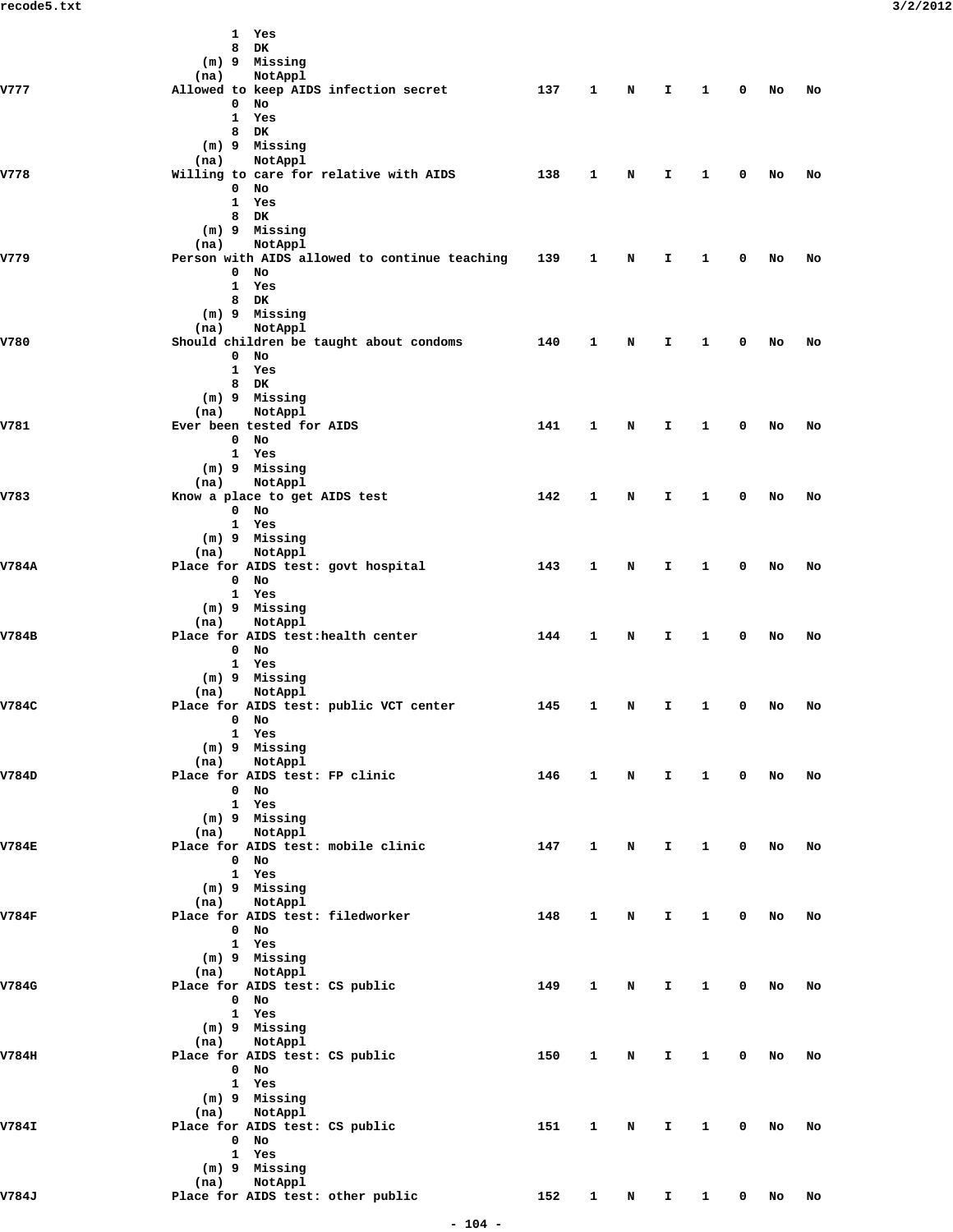|              | 1 Yes<br>DK<br>8                                                 |                     |              |          |              |                 |                         |           |       |
|--------------|------------------------------------------------------------------|---------------------|--------------|----------|--------------|-----------------|-------------------------|-----------|-------|
|              | (m) 9 Missing                                                    |                     |              |          |              |                 |                         |           |       |
| <b>V777</b>  | (na)<br>NotAppl<br>Allowed to keep AIDS infection secret         | 137                 | $\mathbf{1}$ | N        | I.           | $\mathbf{1}$    | 0                       | No        | No    |
|              | 0<br>No                                                          |                     |              |          |              |                 |                         |           |       |
|              | $\mathbf{1}$<br>Yes<br>8 DK                                      |                     |              |          |              |                 |                         |           |       |
|              | (m) 9 Missing                                                    |                     |              |          |              |                 |                         |           |       |
| V778         | NotAppl<br>(na)<br>Willing to care for relative with AIDS        | 138                 | 1            | N        | I.           | 1               | 0                       | No        | No    |
|              | $0$ No                                                           |                     |              |          |              |                 |                         |           |       |
|              | 1 Yes<br>8 DK                                                    |                     |              |          |              |                 |                         |           |       |
|              | (m) 9 Missing                                                    |                     |              |          |              |                 |                         |           |       |
| V779         | (na)<br>NotAppl<br>Person with AIDS allowed to continue teaching | 139                 | 1            | N        | I.           | $\mathbf{1}$    | 0                       | No        | No    |
|              | $0$ No                                                           |                     |              |          |              |                 |                         |           |       |
|              | 1 Yes<br>8 DK                                                    |                     |              |          |              |                 |                         |           |       |
|              | (m) 9 Missing                                                    |                     |              |          |              |                 |                         |           |       |
| V780         | (na)<br>NotAppl                                                  | 140                 | 1            | N        | I.           | 1               | 0                       |           |       |
|              | Should children be taught about condoms<br>$0$ No                |                     |              |          |              |                 |                         | No        | No    |
|              | 1 Yes<br>8 DK                                                    |                     |              |          |              |                 |                         |           |       |
|              | (m) 9 Missing                                                    |                     |              |          |              |                 |                         |           |       |
|              | NotAppl<br>(na)                                                  |                     |              |          |              |                 |                         |           |       |
| V781         | Ever been tested for AIDS<br>$0$ No                              | 141                 | $\mathbf{1}$ | N        | I.           | $\mathbf{1}$    | 0                       | No        | No    |
|              | 1 Yes                                                            |                     |              |          |              |                 |                         |           |       |
|              | (m) 9 Missing<br>NotAppl<br>(na)                                 |                     |              |          |              |                 |                         |           |       |
| V783         | Know a place to get AIDS test                                    | 142                 | $\mathbf{1}$ | N        | I.           | $\mathbf{1}$    | 0                       | No        | No    |
|              | 0 No<br>1 Yes                                                    |                     |              |          |              |                 |                         |           |       |
|              | (m) 9 Missing                                                    |                     |              |          |              |                 |                         |           |       |
| V784A        | NotAppl<br>(na)<br>Place for AIDS test: govt hospital            | 143                 | 1            | N        | I.           | $\mathbf{1}$    | 0                       | No        | No    |
|              | $0$ No                                                           |                     |              |          |              |                 |                         |           |       |
|              | 1 Yes<br>(m) 9 Missing                                           |                     |              |          |              |                 |                         |           |       |
|              | NotAppl<br>(na)                                                  |                     |              |          |              |                 |                         |           |       |
| V784B        | Place for AIDS test:health center<br>$0$ No                      | 144                 | $\mathbf{1}$ | N        | I.           | $\mathbf{1}$    | 0                       | No        | No    |
|              | 1 Yes                                                            |                     |              |          |              |                 |                         |           |       |
|              | (m) 9 Missing<br>(na)<br>NotAppl                                 |                     |              |          |              |                 |                         |           |       |
| V784C        | Place for AIDS test: public VCT center                           | 145                 | 1            | N        | I.           | $\mathbf{1}$    | 0                       | No        | No    |
|              | 0 No<br>1 Yes                                                    |                     |              |          |              |                 |                         |           |       |
|              | (m) 9 Missing                                                    |                     |              |          |              |                 |                         |           |       |
| V784D        | (na) NotAppl<br>Place for AIDS test: FP clinic                   | 146 1 N I 1 0 No No |              |          |              |                 |                         |           |       |
|              | 0 No                                                             |                     |              |          |              |                 |                         |           |       |
|              | 1 Yes<br>(m) 9 Missing                                           |                     |              |          |              |                 |                         |           |       |
|              | (na) NotAppl                                                     |                     |              |          |              |                 |                         |           |       |
| <b>V784E</b> | Place for AIDS test: mobile clinic<br>$0$ No                     | 147                 |              |          |              | 1 N I 1 0 No No |                         |           |       |
|              | 1 Yes                                                            |                     |              |          |              |                 |                         |           |       |
|              | (m) 9 Missing<br>(na) NotAppl                                    |                     |              |          |              |                 |                         |           |       |
| V784F        | Place for AIDS test: filedworker                                 | 148                 |              | $1 \t N$ | $\mathbf{I}$ |                 |                         | 1 0 No No |       |
|              | $0$ No<br>1 Yes                                                  |                     |              |          |              |                 |                         |           |       |
|              | (m) 9 Missing                                                    |                     |              |          |              |                 |                         |           |       |
| V784G        | (na) NotAppl<br>Place for AIDS test: CS public                   | 149                 |              | 1 N      | $\mathbf{I}$ | $\mathbf{1}$    | $\overline{\mathbf{0}}$ |           | No No |
|              | 0 No                                                             |                     |              |          |              |                 |                         |           |       |
|              | 1 Yes<br>(m) 9 Missing                                           |                     |              |          |              |                 |                         |           |       |
|              | (na) NotAppl                                                     |                     |              |          |              |                 |                         |           |       |
| V784H        | Place for AIDS test: CS public<br>0 No                           | 150                 |              | 1 N      |              | I 1 0 No No     |                         |           |       |
|              | 1 Yes                                                            |                     |              |          |              |                 |                         |           |       |
|              | (m) 9 Missing<br>(na) NotAppl                                    |                     |              |          |              |                 |                         |           |       |
| V784I        | Place for AIDS test: CS public                                   | 151 1 N I 1 0 No No |              |          |              |                 |                         |           |       |
|              | $0$ No<br>1 Yes                                                  |                     |              |          |              |                 |                         |           |       |
|              | (m) 9 Missing                                                    |                     |              |          |              |                 |                         |           |       |
| V784J        | (na) NotAppl<br>Place for AIDS test: other public                |                     |              |          |              |                 |                         |           |       |
|              | 152 1 N I 1 0 No No                                              |                     |              |          |              |                 |                         |           |       |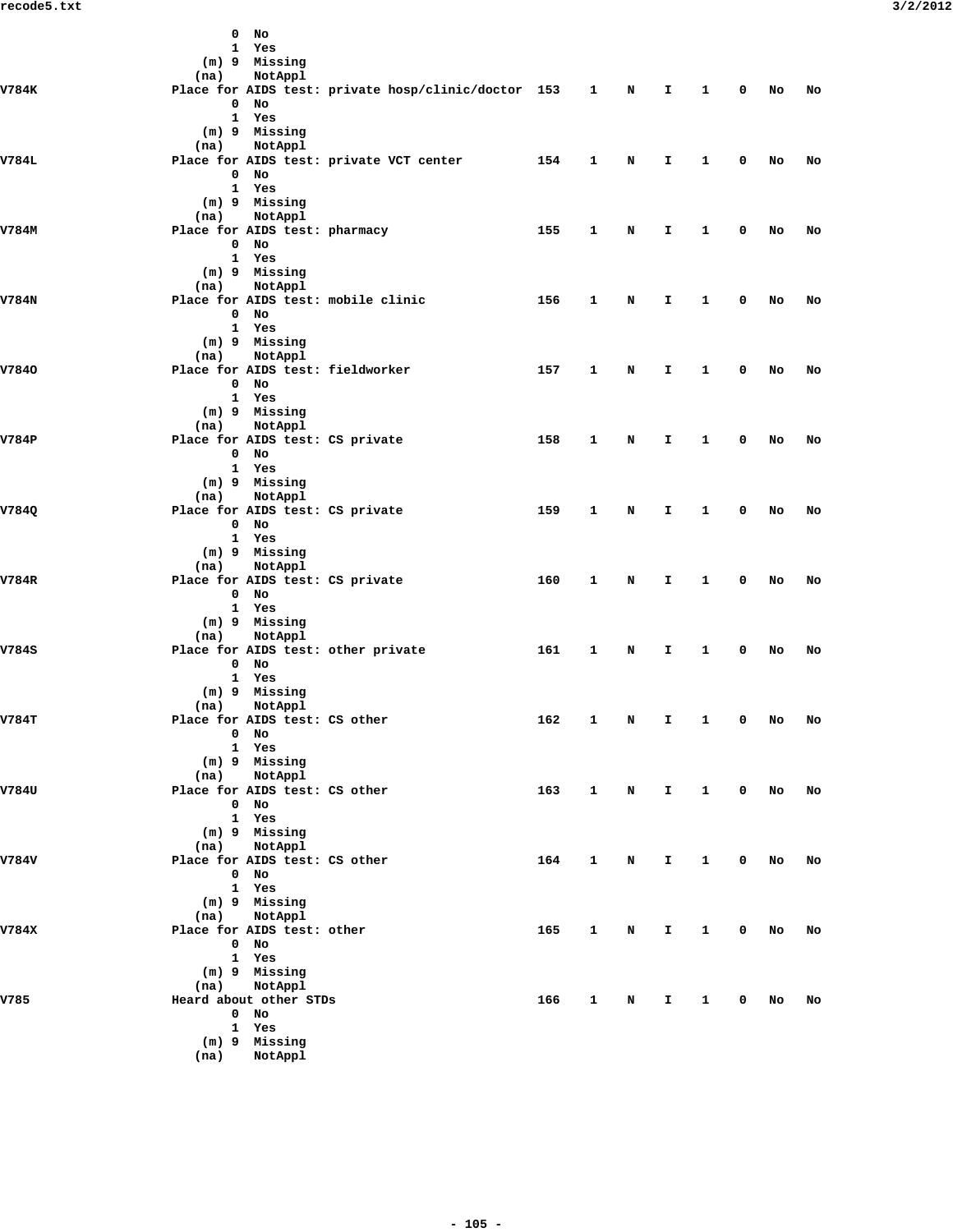|       |      | $0$ No                                        |                                                         |                  |              |             |              |                        |             |           |           |
|-------|------|-----------------------------------------------|---------------------------------------------------------|------------------|--------------|-------------|--------------|------------------------|-------------|-----------|-----------|
|       |      | 1 Yes                                         |                                                         |                  |              |             |              |                        |             |           |           |
|       |      | (m) 9 Missing                                 |                                                         |                  |              |             |              |                        |             |           |           |
|       | (na) | NotAppl                                       |                                                         |                  |              |             |              |                        |             |           |           |
| V784K |      |                                               | Place for AIDS test: private hosp/clinic/doctor 153 1 N |                  |              |             | п.           | $\mathbf{1}$           | $\mathbf 0$ | <b>No</b> | No        |
|       |      | $0$ No                                        |                                                         |                  |              |             |              |                        |             |           |           |
|       |      | 1 Yes                                         |                                                         |                  |              |             |              |                        |             |           |           |
|       |      | (m) 9 Missing                                 |                                                         |                  |              |             |              |                        |             |           |           |
|       | (na) | NotAppl                                       |                                                         |                  |              |             |              |                        |             |           |           |
| V784L |      |                                               | Place for AIDS test: private VCT center                 | 154              | 1            | N           | I.           | $\mathbf{1}$           | 0           | No        | No        |
|       |      | $0$ No                                        |                                                         |                  |              |             |              |                        |             |           |           |
|       |      | 1 Yes                                         |                                                         |                  |              |             |              |                        |             |           |           |
|       |      | (m) 9 Missing                                 |                                                         |                  |              |             |              |                        |             |           |           |
|       | (na) | NotAppl                                       |                                                         |                  |              |             |              |                        |             |           |           |
| V784M |      | Place for AIDS test: pharmacy                 |                                                         | 155              | 1            | N           | Ι.           | $\mathbf{1}$           | 0           | No        | No        |
|       |      | $0$ No                                        |                                                         |                  |              |             |              |                        |             |           |           |
|       |      | 1 Yes                                         |                                                         |                  |              |             |              |                        |             |           |           |
|       |      | (m) 9 Missing                                 |                                                         |                  |              |             |              |                        |             |           |           |
|       | (na) | NotAppl                                       |                                                         |                  |              |             |              |                        |             |           |           |
| V784N |      |                                               | Place for AIDS test: mobile clinic                      | 156              | 1            | N           | I.           | $\mathbf{1}$           | $\mathbf 0$ | No        | No        |
|       |      | $0$ No                                        |                                                         |                  |              |             |              |                        |             |           |           |
|       |      | 1 Yes                                         |                                                         |                  |              |             |              |                        |             |           |           |
|       |      | (m) 9 Missing                                 |                                                         |                  |              |             |              |                        |             |           |           |
|       | (na) | NotAppl                                       |                                                         |                  |              |             |              |                        |             |           |           |
| V7840 |      |                                               | Place for AIDS test: fieldworker                        | 157              | 1            | N           | I.           | $\mathbf{1}$           | $\mathbf 0$ | No        | No        |
|       |      | $0$ No                                        |                                                         |                  |              |             |              |                        |             |           |           |
|       |      | 1 Yes                                         |                                                         |                  |              |             |              |                        |             |           |           |
|       |      | (m) 9 Missing                                 |                                                         |                  |              |             |              |                        |             |           |           |
|       | (na) | NotAppl                                       |                                                         |                  |              |             |              |                        |             |           |           |
| V784P |      |                                               | Place for AIDS test: CS private                         | 158              | 1            | N           | I.           | $\mathbf{1}$           | 0           | No        | No        |
|       |      | $0$ No                                        |                                                         |                  |              |             |              |                        |             |           |           |
|       |      | 1 Yes                                         |                                                         |                  |              |             |              |                        |             |           |           |
|       |      | (m) 9 Missing                                 |                                                         |                  |              |             |              |                        |             |           |           |
|       | (na) | NotAppl                                       |                                                         |                  |              |             |              |                        |             |           |           |
| V784Q |      |                                               | Place for AIDS test: CS private                         | 159              | 1            | N           | I.           | $\mathbf{1}$           | 0           | No        | No        |
|       |      | $0$ No                                        |                                                         |                  |              |             |              |                        |             |           |           |
|       |      | 1 Yes                                         |                                                         |                  |              |             |              |                        |             |           |           |
|       |      | (m) 9 Missing                                 |                                                         |                  |              |             |              |                        |             |           |           |
|       | (na) | NotAppl                                       |                                                         |                  |              |             |              |                        |             |           |           |
| V784R |      |                                               | Place for AIDS test: CS private                         | 160              | 1            | N           | I.           | $\mathbf{1}$           | $\mathbf 0$ | No        | No        |
|       |      | $0$ No                                        |                                                         |                  |              |             |              |                        |             |           |           |
|       |      | 1 Yes                                         |                                                         |                  |              |             |              |                        |             |           |           |
|       |      | (m) 9 Missing                                 |                                                         |                  |              |             |              |                        |             |           |           |
|       | (na) | NotAppl                                       |                                                         |                  |              |             |              |                        |             |           |           |
| V784S |      |                                               | Place for AIDS test: other private                      | 161              | $\mathbf{1}$ | N           | Ι.           | $\mathbf{1}$           | $\mathbf 0$ | No        | No        |
|       |      | $0$ No                                        |                                                         |                  |              |             |              |                        |             |           |           |
|       |      | 1 Yes                                         |                                                         |                  |              |             |              |                        |             |           |           |
|       |      | (m) 9 Missing                                 |                                                         |                  |              |             |              |                        |             |           |           |
|       | (na) | NotAppl                                       |                                                         |                  |              |             |              |                        |             |           |           |
| V784T |      | Place for AIDS test: CS other                 |                                                         | 162              | 1            | N           | I.           | $\mathbf{1}$           | $\mathbf 0$ | No        | No        |
|       |      | $0$ No                                        |                                                         |                  |              |             |              |                        |             |           |           |
|       |      | 1 Yes<br>(m) 9 Missing                        |                                                         |                  |              |             |              |                        |             |           |           |
|       |      |                                               |                                                         |                  |              |             |              |                        |             |           |           |
| V784U |      | (na) NotAppl<br>Place for AIDS test: CS other |                                                         | 163 1 N I 1 0 No |              |             |              |                        |             |           | No        |
|       |      | $0$ No                                        |                                                         |                  |              |             |              |                        |             |           |           |
|       |      | 1 Yes                                         |                                                         |                  |              |             |              |                        |             |           |           |
|       |      | (m) 9 Missing                                 |                                                         |                  |              |             |              |                        |             |           |           |
|       |      | (na) NotAppl                                  |                                                         |                  |              |             |              |                        |             |           |           |
| V784V |      | Place for AIDS test: CS other                 |                                                         | 164              | $\mathbf{1}$ | $\mathbf N$ | $\mathbf{T}$ | 1 0 No                 |             |           | No        |
|       |      | $0$ No                                        |                                                         |                  |              |             |              |                        |             |           |           |
|       |      | 1 Yes                                         |                                                         |                  |              |             |              |                        |             |           |           |
|       |      | (m) 9 Missing                                 |                                                         |                  |              |             |              |                        |             |           |           |
|       |      | (na) NotAppl                                  |                                                         |                  |              |             |              |                        |             |           |           |
| V784X |      | Place for AIDS test: other                    |                                                         | 165              | $\mathbf{1}$ | $\mathbf N$ | $\mathbf{I}$ | $1 \quad \blacksquare$ | 0 No        |           | No        |
|       |      | $0$ No                                        |                                                         |                  |              |             |              |                        |             |           |           |
|       |      | 1 Yes                                         |                                                         |                  |              |             |              |                        |             |           |           |
|       |      | (m) 9 Missing                                 |                                                         |                  |              |             |              |                        |             |           |           |
|       |      | (na) NotAppl                                  |                                                         |                  |              |             |              |                        |             |           |           |
| V785  |      | Heard about other STDs                        |                                                         | 166 1 N I 1 0 No |              |             |              |                        |             |           | <b>No</b> |
|       |      | $0$ No                                        |                                                         |                  |              |             |              |                        |             |           |           |
|       |      | 1 Yes                                         |                                                         |                  |              |             |              |                        |             |           |           |
|       |      | (m) 9 Missing                                 |                                                         |                  |              |             |              |                        |             |           |           |
|       |      | (na) NotAppl                                  |                                                         |                  |              |             |              |                        |             |           |           |
|       |      |                                               |                                                         |                  |              |             |              |                        |             |           |           |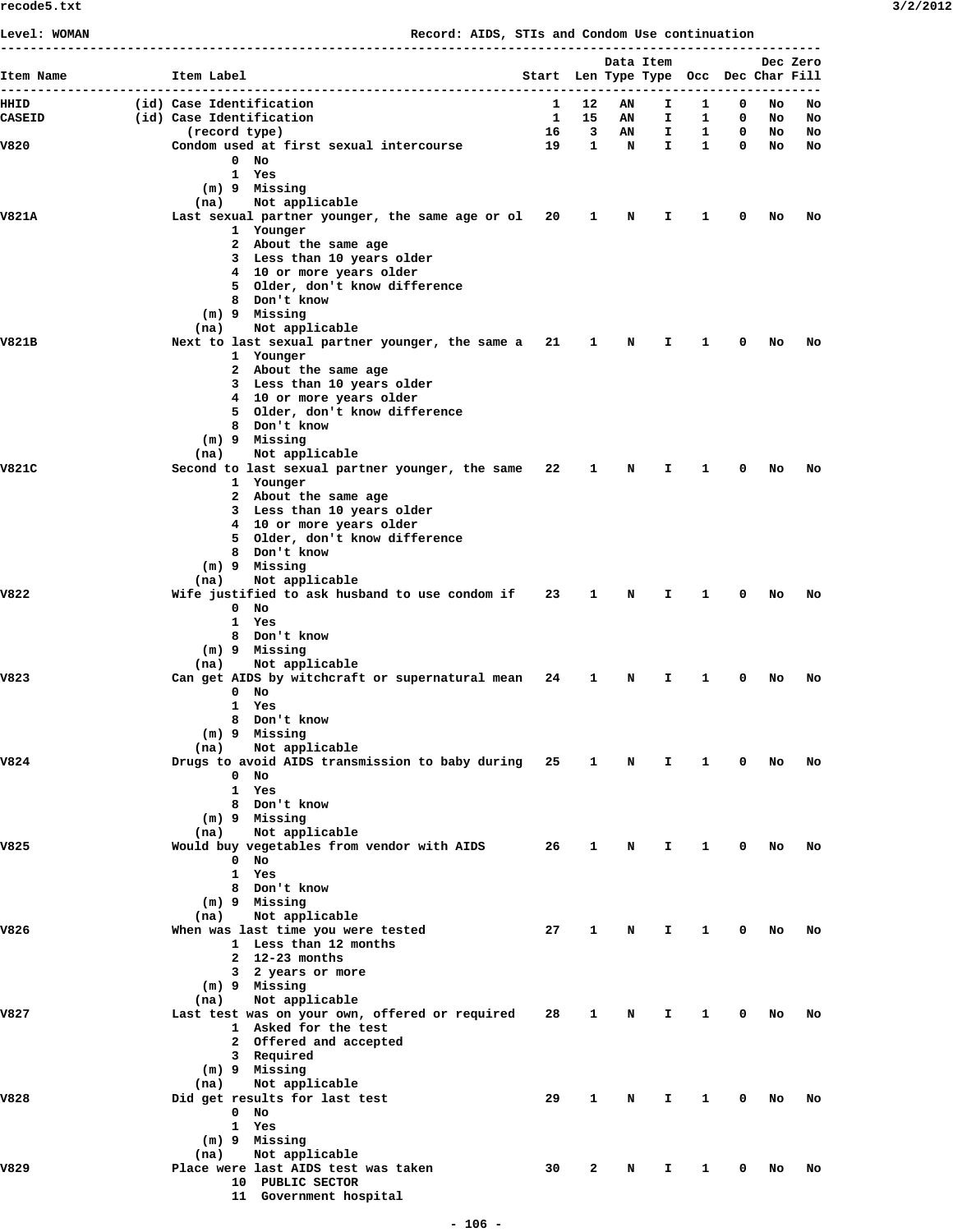|               |                                                                          |                                                       |                   | Data Item |          |                   |        |          | Dec Zero |
|---------------|--------------------------------------------------------------------------|-------------------------------------------------------|-------------------|-----------|----------|-------------------|--------|----------|----------|
| Item Name     | Item Label<br>                                                           | Start Len Type Type Occ Dec Char Fill<br>------------ |                   |           |          |                   |        |          |          |
| HHID          | (id) Case Identification                                                 | 1                                                     | 12                | AN        | I        | 1                 | 0      | No       | No       |
| <b>CASEID</b> | (id) Case Identification                                                 | $\mathbf{1}$                                          | 15                | AN        | I.       | 1                 | 0      | No       | No       |
| V820          | (record type)<br>Condom used at first sexual intercourse                 | 16<br>19                                              | 3<br>$\mathbf{1}$ | ΑN<br>N   | I.<br>I. | 1<br>$\mathbf{1}$ | 0<br>0 | No<br>No | No<br>No |
|               | $0$ No                                                                   |                                                       |                   |           |          |                   |        |          |          |
|               | 1 Yes                                                                    |                                                       |                   |           |          |                   |        |          |          |
|               | (m) 9 Missing                                                            |                                                       |                   |           |          |                   |        |          |          |
|               | Not applicable<br>(na)                                                   |                                                       |                   |           |          |                   | 0      |          |          |
| V821A         | Last sexual partner younger, the same age or ol 20<br>1 Younger          |                                                       | 1                 | N         | Ι.       | 1                 |        | No       | No       |
|               | 2 About the same age                                                     |                                                       |                   |           |          |                   |        |          |          |
|               | 3 Less than 10 years older                                               |                                                       |                   |           |          |                   |        |          |          |
|               | 4 10 or more years older                                                 |                                                       |                   |           |          |                   |        |          |          |
|               | 5 Older, don't know difference<br>8 Don't know                           |                                                       |                   |           |          |                   |        |          |          |
|               | (m) 9 Missing                                                            |                                                       |                   |           |          |                   |        |          |          |
|               | Not applicable<br>(na)                                                   |                                                       |                   |           |          |                   |        |          |          |
| V821B         | Next to last sexual partner younger, the same a 21                       |                                                       | 1                 | N         | Ι.       | 1                 | 0      | No       | No       |
|               | 1 Younger<br>2 About the same age                                        |                                                       |                   |           |          |                   |        |          |          |
|               | 3 Less than 10 years older                                               |                                                       |                   |           |          |                   |        |          |          |
|               | 4 10 or more years older                                                 |                                                       |                   |           |          |                   |        |          |          |
|               | 5 Older, don't know difference                                           |                                                       |                   |           |          |                   |        |          |          |
|               | 8 Don't know<br>$(m)$ 9 Missing                                          |                                                       |                   |           |          |                   |        |          |          |
|               | (na)<br>Not applicable                                                   |                                                       |                   |           |          |                   |        |          |          |
| V821C         | Second to last sexual partner younger, the same                          | 22                                                    | 1                 | N         | I        | 1                 | 0      | No       | No       |
|               | 1 Younger                                                                |                                                       |                   |           |          |                   |        |          |          |
|               | 2 About the same age                                                     |                                                       |                   |           |          |                   |        |          |          |
|               | 3 Less than 10 years older<br>4 10 or more years older                   |                                                       |                   |           |          |                   |        |          |          |
|               | 5 Older, don't know difference                                           |                                                       |                   |           |          |                   |        |          |          |
|               | 8 Don't know                                                             |                                                       |                   |           |          |                   |        |          |          |
|               | (m) 9 Missing                                                            |                                                       |                   |           |          |                   |        |          |          |
| V822          | Not applicable<br>(na)<br>Wife justified to ask husband to use condom if | 23                                                    | 1                 | N         | Ι.       | 1.                | 0      | No       | No       |
|               | $0$ No                                                                   |                                                       |                   |           |          |                   |        |          |          |
|               | 1 Yes                                                                    |                                                       |                   |           |          |                   |        |          |          |
|               | 8 Don't know                                                             |                                                       |                   |           |          |                   |        |          |          |
|               | (m) 9 Missing<br>Not applicable<br>(na)                                  |                                                       |                   |           |          |                   |        |          |          |
| V823          | Can get AIDS by witchcraft or supernatural mean 24                       |                                                       | 1                 | N         | I        | 1                 | 0      | No       | No       |
|               | $0$ No                                                                   |                                                       |                   |           |          |                   |        |          |          |
|               | 1 Yes                                                                    |                                                       |                   |           |          |                   |        |          |          |
|               | 8 Don't know<br>$(m)$ 9 Missing                                          |                                                       |                   |           |          |                   |        |          |          |
|               | Not applicable<br>(na)                                                   |                                                       |                   |           |          |                   |        |          |          |
| V824          | Drugs to avoid AIDS transmission to baby during 25                       |                                                       | $\mathbf{1}$      | N         | I        | 1                 | 0      | No       | No       |
|               | $0$ No                                                                   |                                                       |                   |           |          |                   |        |          |          |
|               | 1 Yes                                                                    |                                                       |                   |           |          |                   |        |          |          |
|               | 8 Don't know<br>(m) 9 Missing                                            |                                                       |                   |           |          |                   |        |          |          |
|               | Not applicable<br>(na)                                                   |                                                       |                   |           |          |                   |        |          |          |
| V825          | Would buy vegetables from vendor with AIDS                               | 26                                                    | 1                 | N         | I.       | $\mathbf{1}$      | 0      | No       | No       |
|               | $0$ No                                                                   |                                                       |                   |           |          |                   |        |          |          |
|               | 1 Yes<br>8 Don't know                                                    |                                                       |                   |           |          |                   |        |          |          |
|               | (m) 9 Missing                                                            |                                                       |                   |           |          |                   |        |          |          |
|               | Not applicable<br>(na)                                                   |                                                       |                   |           |          |                   |        |          |          |
| V826          | When was last time you were tested                                       | 27                                                    | 1                 | N         | I.       | 1                 | 0      | No       | No       |
|               | 1 Less than 12 months<br>2 $12-23$ months                                |                                                       |                   |           |          |                   |        |          |          |
|               | 3 2 years or more                                                        |                                                       |                   |           |          |                   |        |          |          |
|               | (m) 9 Missing                                                            |                                                       |                   |           |          |                   |        |          |          |
|               | Not applicable<br>(na)                                                   |                                                       |                   |           |          |                   |        |          |          |
| V827          | Last test was on your own, offered or required                           | 28                                                    | 1                 | N         | I.       | $\mathbf{1}$      | 0      | No       | No       |
|               | 1 Asked for the test<br>2 Offered and accepted                           |                                                       |                   |           |          |                   |        |          |          |
|               | 3 Required                                                               |                                                       |                   |           |          |                   |        |          |          |
|               | (m) 9 Missing                                                            |                                                       |                   |           |          |                   |        |          |          |
|               | Not applicable<br>(na)                                                   |                                                       |                   |           |          |                   |        |          |          |
| V828          | Did get results for last test                                            | 29                                                    | $\mathbf{1}$      | N         | I.       | $\mathbf{1}$      | 0      | No       | No       |
|               | $0$ No<br>1 Yes                                                          |                                                       |                   |           |          |                   |        |          |          |
|               | (m) 9 Missing                                                            |                                                       |                   |           |          |                   |        |          |          |
|               | Not applicable<br>(na)                                                   |                                                       |                   |           |          |                   |        |          |          |
| V829          | Place were last AIDS test was taken                                      | 30                                                    | 2                 | N         | I.       | 1                 | 0      | No       | No       |
|               | 10 PUBLIC SECTOR                                                         |                                                       |                   |           |          |                   |        |          |          |
|               | 11 Government hospital                                                   |                                                       |                   |           |          |                   |        |          |          |

**Level: WOMAN Record: AIDS, STIs and Condom Use continuation**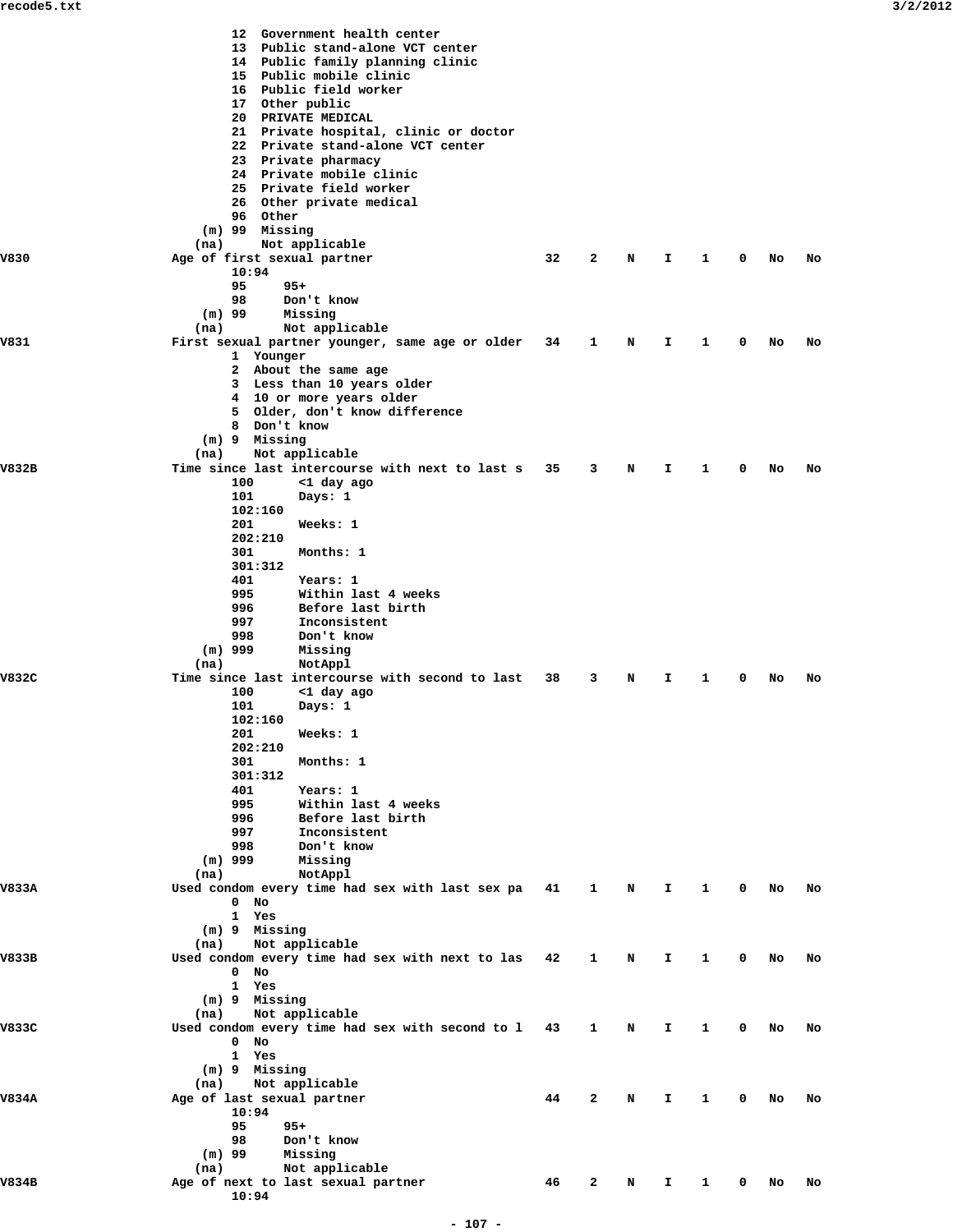|       | 12 Government health center<br>13 Public stand-alone VCT center<br>14 Public family planning clinic<br>15 Public mobile clinic<br>16 Public field worker<br>17 Other public<br>20 PRIVATE MEDICAL<br>21 Private hospital, clinic or doctor |    |              |   |    |              |   |    |    |
|-------|--------------------------------------------------------------------------------------------------------------------------------------------------------------------------------------------------------------------------------------------|----|--------------|---|----|--------------|---|----|----|
|       | 22 Private stand-alone VCT center<br>23 Private pharmacy<br>24 Private mobile clinic<br>25 Private field worker<br>26 Other private medical                                                                                                |    |              |   |    |              |   |    |    |
|       | 96 Other<br>(m) 99 Missing                                                                                                                                                                                                                 |    |              |   |    |              |   |    |    |
| V830  | (na)<br>Not applicable                                                                                                                                                                                                                     | 32 | 2            |   |    | 1            | 0 | No | No |
|       | Age of first sexual partner<br>10:94                                                                                                                                                                                                       |    |              | N | I  |              |   |    |    |
|       | 95<br>$95+$<br>98<br>Don't know                                                                                                                                                                                                            |    |              |   |    |              |   |    |    |
|       | $(m)$ 99<br>Missing<br>(na)<br>Not applicable                                                                                                                                                                                              |    |              |   |    |              |   |    |    |
| V831  | First sexual partner younger, same age or older                                                                                                                                                                                            | 34 | 1            | N | I  | 1            | 0 | No | No |
|       | 1 Younger<br>2 About the same age                                                                                                                                                                                                          |    |              |   |    |              |   |    |    |
|       | 3 Less than 10 years older<br>4 10 or more years older                                                                                                                                                                                     |    |              |   |    |              |   |    |    |
|       | 5 Older, don't know difference                                                                                                                                                                                                             |    |              |   |    |              |   |    |    |
|       | 8 Don't know<br>(m) 9 Missing                                                                                                                                                                                                              |    |              |   |    |              |   |    |    |
| V832B | Not applicable<br>(na)<br>Time since last intercourse with next to last s                                                                                                                                                                  | 35 | 3            | N | I  | 1            | 0 | No | No |
|       | 100<br><1 day ago                                                                                                                                                                                                                          |    |              |   |    |              |   |    |    |
|       | 101<br>Days: 1<br>102:160                                                                                                                                                                                                                  |    |              |   |    |              |   |    |    |
|       | 201<br>Weeks: 1<br>202:210                                                                                                                                                                                                                 |    |              |   |    |              |   |    |    |
|       | 301<br>Months: 1                                                                                                                                                                                                                           |    |              |   |    |              |   |    |    |
|       | 301:312<br>401<br>Years: 1                                                                                                                                                                                                                 |    |              |   |    |              |   |    |    |
|       | 995<br>Within last 4 weeks<br>996<br>Before last birth                                                                                                                                                                                     |    |              |   |    |              |   |    |    |
|       | 997<br>Inconsistent                                                                                                                                                                                                                        |    |              |   |    |              |   |    |    |
|       | 998<br>Don't know<br>$(m)$ 999<br>Missing                                                                                                                                                                                                  |    |              |   |    |              |   |    |    |
| V832C | (na)<br>NotAppl<br>Time since last intercourse with second to last                                                                                                                                                                         | 38 | 3            | N | I. | 1            | 0 | No | No |
|       | 100<br><1 day ago                                                                                                                                                                                                                          |    |              |   |    |              |   |    |    |
|       | 101<br>Days: 1<br>102:160                                                                                                                                                                                                                  |    |              |   |    |              |   |    |    |
|       | Weeks: 1<br>201<br>202:210                                                                                                                                                                                                                 |    |              |   |    |              |   |    |    |
|       | 301<br>Months: 1<br>301:312                                                                                                                                                                                                                |    |              |   |    |              |   |    |    |
|       | 401<br>Years: 1                                                                                                                                                                                                                            |    |              |   |    |              |   |    |    |
|       | 995<br>Within last 4 weeks<br>996<br>Before last birth                                                                                                                                                                                     |    |              |   |    |              |   |    |    |
|       | 997<br>Inconsistent<br>998<br>Don't know                                                                                                                                                                                                   |    |              |   |    |              |   |    |    |
|       | $(m)$ 999<br>Missing                                                                                                                                                                                                                       |    |              |   |    |              |   |    |    |
| V833A | (na)<br>NotAppl<br>Used condom every time had sex with last sex pa 41                                                                                                                                                                      |    | $\mathbf{1}$ | N | Ι. | 1            | 0 | NO | No |
|       | $0$ No<br>1 Yes                                                                                                                                                                                                                            |    |              |   |    |              |   |    |    |
|       | (m) 9 Missing                                                                                                                                                                                                                              |    |              |   |    |              |   |    |    |
| V833B | Not applicable<br>(na)<br>Used condom every time had sex with next to las 42                                                                                                                                                               |    | 1            | N | I. | 1            | 0 | No | No |
|       | $0$ No<br>1 Yes                                                                                                                                                                                                                            |    |              |   |    |              |   |    |    |
|       | (m) 9 Missing                                                                                                                                                                                                                              |    |              |   |    |              |   |    |    |
| V833C | Not applicable<br>(na)<br>Used condom every time had sex with second to 1 43                                                                                                                                                               |    | 1            | N | I. | 1            | 0 | No | No |
|       | $0$ No<br>1 Yes                                                                                                                                                                                                                            |    |              |   |    |              |   |    |    |
|       | (m) 9 Missing                                                                                                                                                                                                                              |    |              |   |    |              |   |    |    |
| V834A | Not applicable<br>(na)<br>Age of last sexual partner                                                                                                                                                                                       | 44 | 2            | N | I. | 1            | 0 | No | No |
|       | 10:94<br>95<br>$95+$                                                                                                                                                                                                                       |    |              |   |    |              |   |    |    |
|       | 98<br>Don't know                                                                                                                                                                                                                           |    |              |   |    |              |   |    |    |
|       | Missing<br>$(m)$ 99<br>Not applicable<br>(na)                                                                                                                                                                                              |    |              |   |    |              |   |    |    |
| V834B | Age of next to last sexual partner<br>10:94                                                                                                                                                                                                | 46 | 2            | N | I. | $\mathbf{1}$ | 0 | NO | No |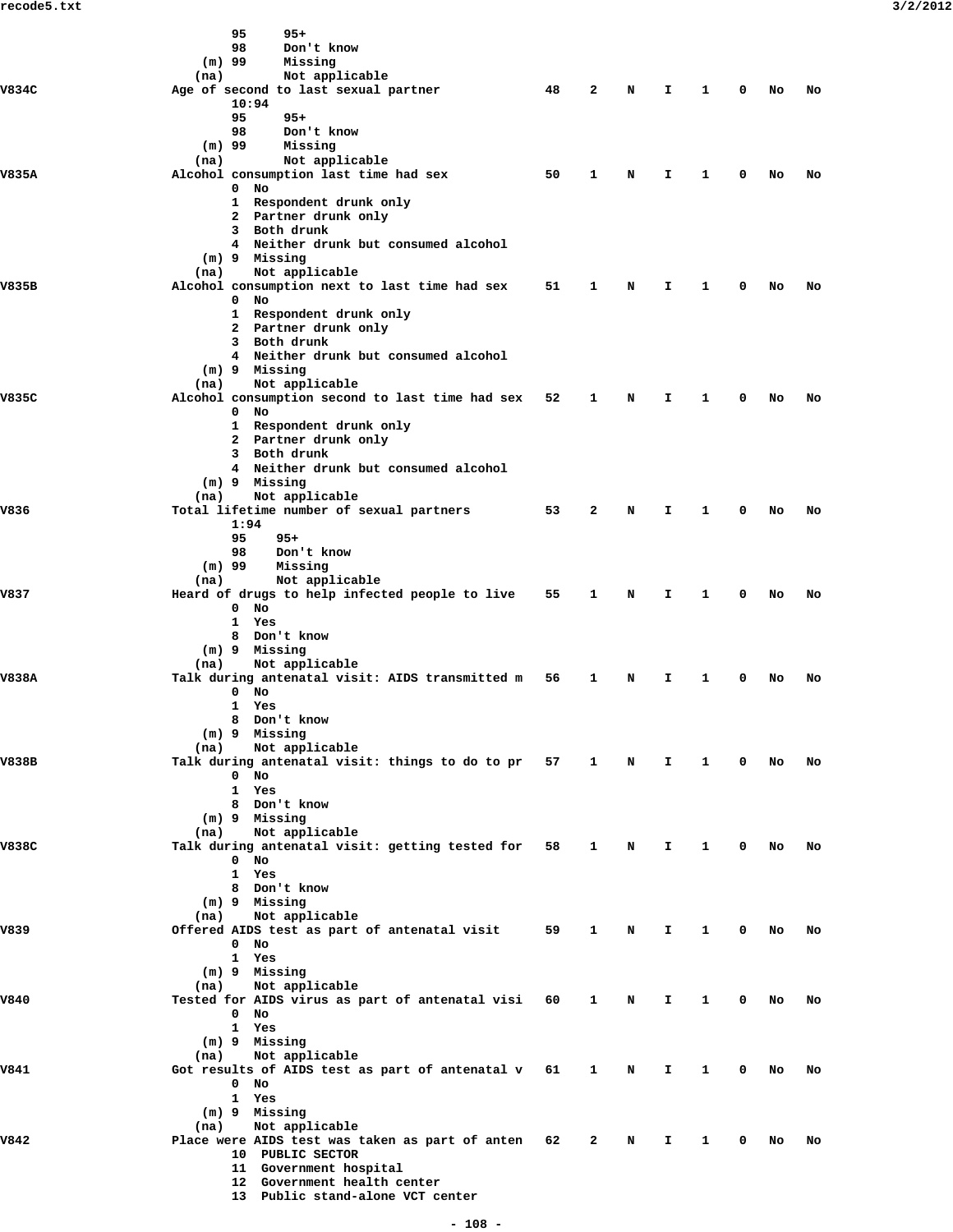|              | 95<br>$95+$                                                                  |    |                |             |                               |              |        |        |    |
|--------------|------------------------------------------------------------------------------|----|----------------|-------------|-------------------------------|--------------|--------|--------|----|
|              | 98<br>Don't know                                                             |    |                |             |                               |              |        |        |    |
|              | $(m)$ 99<br>Missing                                                          |    |                |             |                               |              |        |        |    |
| V834C        | Not applicable<br>(na)<br>Age of second to last sexual partner               | 48 | $\overline{2}$ | N           | Ι.                            | $\mathbf{1}$ |        | $0$ No | No |
|              | 10:94                                                                        |    |                |             |                               |              |        |        |    |
|              | 95<br>$95+$                                                                  |    |                |             |                               |              |        |        |    |
|              | 98<br>Don't know                                                             |    |                |             |                               |              |        |        |    |
|              | $(m)$ 99<br>Missing<br>Not applicable<br>(na)                                |    |                |             |                               |              |        |        |    |
| V835A        | Alcohol consumption last time had sex                                        | 50 | $\mathbf{1}$   | $\mathbf N$ | I.                            | $\mathbf{1}$ | 0      | No     | No |
|              | $0$ No                                                                       |    |                |             |                               |              |        |        |    |
|              | 1 Respondent drunk only                                                      |    |                |             |                               |              |        |        |    |
|              | 2 Partner drunk only<br>3 Both drunk                                         |    |                |             |                               |              |        |        |    |
|              | 4 Neither drunk but consumed alcohol                                         |    |                |             |                               |              |        |        |    |
|              | (m) 9 Missing                                                                |    |                |             |                               |              |        |        |    |
|              | Not applicable<br>(na)                                                       |    |                |             |                               |              |        |        |    |
| V835B        | Alcohol consumption next to last time had sex<br>$0$ No                      | 51 | $\mathbf{1}$   | N           | I.                            | $\mathbf{1}$ | 0      | No     | No |
|              | 1 Respondent drunk only                                                      |    |                |             |                               |              |        |        |    |
|              | 2 Partner drunk only                                                         |    |                |             |                               |              |        |        |    |
|              | 3 Both drunk                                                                 |    |                |             |                               |              |        |        |    |
|              | 4 Neither drunk but consumed alcohol<br>$(m)$ 9 Missing                      |    |                |             |                               |              |        |        |    |
|              | Not applicable<br>(na)                                                       |    |                |             |                               |              |        |        |    |
| V835C        | Alcohol consumption second to last time had sex 52 1                         |    |                | N           | I.                            | $\mathbf{1}$ | 0      | No     | No |
|              | $0$ No                                                                       |    |                |             |                               |              |        |        |    |
|              | 1 Respondent drunk only                                                      |    |                |             |                               |              |        |        |    |
|              | 2 Partner drunk only<br>3 Both drunk                                         |    |                |             |                               |              |        |        |    |
|              | 4 Neither drunk but consumed alcohol                                         |    |                |             |                               |              |        |        |    |
|              | (m) 9 Missing                                                                |    |                |             |                               |              |        |        |    |
|              | Not applicable<br>(na)                                                       |    |                |             |                               |              |        |        |    |
| V836<br>V837 | Total lifetime number of sexual partners<br>1:94                             | 53 | $\overline{2}$ | N           | I.                            | $\mathbf{1}$ | 0      | No     | No |
|              | 95<br>$95+$                                                                  |    |                |             |                               |              |        |        |    |
|              | 98<br>Don't know                                                             |    |                |             |                               |              |        |        |    |
|              | $(m)$ 99<br>Missing                                                          |    |                |             |                               |              |        |        |    |
|              | Not applicable<br>(na)                                                       |    |                |             |                               |              |        |        |    |
|              | Heard of drugs to help infected people to live<br>$0$ No                     | 55 | $\mathbf{1}$   | N           | Ι.                            | $\mathbf{1}$ | 0      | No     | No |
|              | 1 Yes                                                                        |    |                |             |                               |              |        |        |    |
|              | 8 Don't know                                                                 |    |                |             |                               |              |        |        |    |
|              | $(m)$ 9 Missing                                                              |    |                |             |                               |              |        |        |    |
| V838A        | Not applicable<br>(na)<br>Talk during antenatal visit: AIDS transmitted m 56 |    | 1              | N           | I.                            | $\mathbf{1}$ | 0      | No     | No |
|              | $0$ No                                                                       |    |                |             |                               |              |        |        |    |
|              | 1 Yes                                                                        |    |                |             |                               |              |        |        |    |
|              | 8 Don't know                                                                 |    |                |             |                               |              |        |        |    |
|              | (m) 9 Missing<br>Not applicable<br>(na)                                      |    |                |             |                               |              |        |        |    |
| V838B        | Talk during antenatal visit: things to do to pr 57 1 N I 1 0 No              |    |                |             |                               |              |        |        | No |
|              | $0$ No                                                                       |    |                |             |                               |              |        |        |    |
|              | 1 Yes                                                                        |    |                |             |                               |              |        |        |    |
|              | 8 Don't know<br>(m) 9 Missing                                                |    |                |             |                               |              |        |        |    |
|              | (na) Not applicable                                                          |    |                |             |                               |              |        |        |    |
| V838C        | Talk during antenatal visit: getting tested for 58 1                         |    |                | $\mathbf N$ | $\mathbf{I}$ and $\mathbf{I}$ |              | 1 0 No |        | No |
|              | $0$ No                                                                       |    |                |             |                               |              |        |        |    |
|              | 1 Yes<br>8 Don't know                                                        |    |                |             |                               |              |        |        |    |
|              | $(m)$ 9 Missing                                                              |    |                |             |                               |              |        |        |    |
|              | Not applicable<br>(na)                                                       |    |                |             |                               |              |        |        |    |
| V839         | Offered AIDS test as part of antenatal visit 59 1                            |    |                | $\mathbf N$ | Ι.                            | $\mathbf{1}$ |        | $0$ No | No |
|              | $0$ No<br>1 Yes                                                              |    |                |             |                               |              |        |        |    |
|              | (m) 9 Missing                                                                |    |                |             |                               |              |        |        |    |
|              | (na) Not applicable                                                          |    |                |             |                               |              |        |        |    |
| V840         | Tested for AIDS virus as part of antenatal visi 60 1                         |    |                | N           | $\mathbf{I}$                  | $\mathbf{1}$ |        | $0$ No | No |
|              | $0$ No                                                                       |    |                |             |                               |              |        |        |    |
|              | 1 Yes<br>(m) 9 Missing                                                       |    |                |             |                               |              |        |        |    |
|              | Not applicable<br>(na)                                                       |    |                |             |                               |              |        |        |    |
| V841         | Got results of AIDS test as part of antenatal v 61 1                         |    |                | N D         | $\mathbf{I}$                  | $\mathbf{1}$ |        | $0$ No | No |
|              | $0$ No                                                                       |    |                |             |                               |              |        |        |    |
|              | 1 Yes                                                                        |    |                |             |                               |              |        |        |    |
|              | (m) 9 Missing<br>Not applicable<br>(na)                                      |    |                |             |                               |              |        |        |    |
| V842         | Place were AIDS test was taken as part of anten 62 2                         |    |                | N           | I.                            | $\mathbf{1}$ |        | $0$ No | No |
|              | 10 PUBLIC SECTOR                                                             |    |                |             |                               |              |        |        |    |
|              | 11 Government hospital                                                       |    |                |             |                               |              |        |        |    |
|              | 12 Government health center<br>13 Public stand-alone VCT center              |    |                |             |                               |              |        |        |    |
|              |                                                                              |    |                |             |                               |              |        |        |    |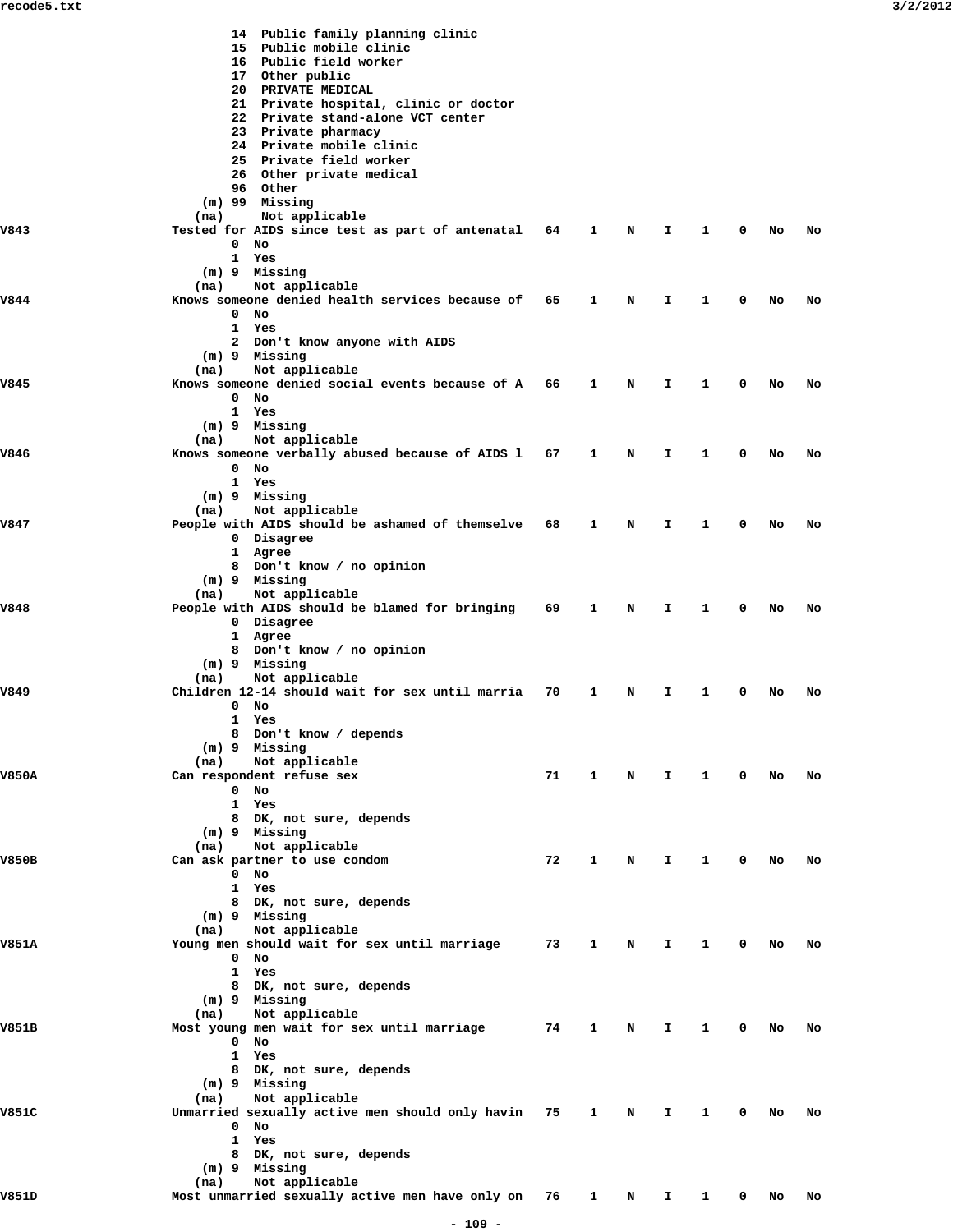|              | 14 Public family planning clinic<br>15 Public mobile clinic<br>16 Public field worker<br>17 Other public<br>20 PRIVATE MEDICAL<br>21 Private hospital, clinic or doctor<br>22 Private stand-alone VCT center<br>23 Private pharmacy<br>24 Private mobile clinic<br>25 Private field worker<br>26 Other private medical<br>96 Other<br>$(m)$ 99 Missing |    |   |   |    |   |   |    |    |
|--------------|--------------------------------------------------------------------------------------------------------------------------------------------------------------------------------------------------------------------------------------------------------------------------------------------------------------------------------------------------------|----|---|---|----|---|---|----|----|
| V843         | Not applicable<br>(na)<br>Tested for AIDS since test as part of antenatal 64<br>$0$ No<br>1 Yes                                                                                                                                                                                                                                                        |    | 1 | N | I. | 1 | 0 | No | No |
|              | (m) 9 Missing<br>Not applicable<br>(na)                                                                                                                                                                                                                                                                                                                |    |   |   |    |   |   |    |    |
| V844         | Knows someone denied health services because of<br>$0$ No<br>1 Yes<br>2 Don't know anyone with AIDS<br>(m) 9 Missing                                                                                                                                                                                                                                   | 65 | 1 | N | I. | 1 | 0 | No | No |
|              | (na)<br>Not applicable                                                                                                                                                                                                                                                                                                                                 |    |   |   |    |   |   |    |    |
| V845         | Knows someone denied social events because of A 66<br>$0$ No<br>1 Yes<br>$(m)$ 9 Missing                                                                                                                                                                                                                                                               |    | 1 | N | Ι. | 1 | 0 | No | No |
| V846         | Not applicable<br>(na)<br>Knows someone verbally abused because of AIDS 1<br>$0$ No                                                                                                                                                                                                                                                                    | 67 | 1 | N | I. | 1 | 0 | No | No |
|              | 1 Yes<br>(m) 9 Missing<br>Not applicable<br>(na)                                                                                                                                                                                                                                                                                                       |    |   |   |    |   |   |    |    |
| V847         | People with AIDS should be ashamed of themselve 68<br>0 Disagree<br>1 Agree<br>8 Don't know / no opinion<br>(m) 9 Missing                                                                                                                                                                                                                              |    | 1 | N | I. | 1 | 0 | No | No |
| V848         | (na)<br>Not applicable<br>People with AIDS should be blamed for bringing<br>0 Disagree<br>1 Agree<br>8 Don't know / no opinion                                                                                                                                                                                                                         | 69 | 1 | N | Ι. | 1 | 0 | No | No |
| V849         | (m) 9 Missing<br>Not applicable<br>(na)<br>Children 12-14 should wait for sex until marria<br>$0$ No<br>1 Yes<br>8 Don't know / depends                                                                                                                                                                                                                | 70 | 1 | N | I. | 1 | 0 | No | No |
| <b>V850A</b> | (m) 9 Missing<br>Not applicable<br>(na)<br>Can respondent refuse sex                                                                                                                                                                                                                                                                                   | 71 | 1 | N | I. | 1 | 0 | No | No |
|              | $0$ No<br>$\mathbf{1}$<br>Yes<br>8 DK, not sure, depends<br>(m) 9 Missing                                                                                                                                                                                                                                                                              |    |   |   |    |   |   |    |    |
| <b>V850B</b> | (na)<br>Not applicable<br>Can ask partner to use condom<br>$0$ No<br>1 Yes<br>8 DK, not sure, depends<br>(m) 9 Missing                                                                                                                                                                                                                                 | 72 | 1 | N | I. | 1 | 0 | No | No |
| <b>V851A</b> | Not applicable<br>(na)<br>Young men should wait for sex until marriage<br>$0$ No<br>1 Yes                                                                                                                                                                                                                                                              | 73 | 1 | N | I. | 1 | 0 | No | No |
| V851B        | 8 DK, not sure, depends<br>(m) 9 Missing<br>Not applicable<br>(na)<br>Most young men wait for sex until marriage                                                                                                                                                                                                                                       | 74 | 1 | N | I. | 1 | 0 | No | No |
|              | $0$ No<br>1 Yes<br>8 DK, not sure, depends<br>(m) 9 Missing<br>Not applicable<br>(na)                                                                                                                                                                                                                                                                  |    |   |   |    |   |   |    |    |
| V851C        | Unmarried sexually active men should only havin 75<br>$0$ No<br>1 Yes<br>8 DK, not sure, depends<br>(m) 9 Missing                                                                                                                                                                                                                                      |    | 1 | N | I. | 1 | 0 | No | No |
| V851D        | Not applicable<br>(na)<br>Most unmarried sexually active men have only on                                                                                                                                                                                                                                                                              | 76 | 1 | N | I. | 1 | 0 | No | No |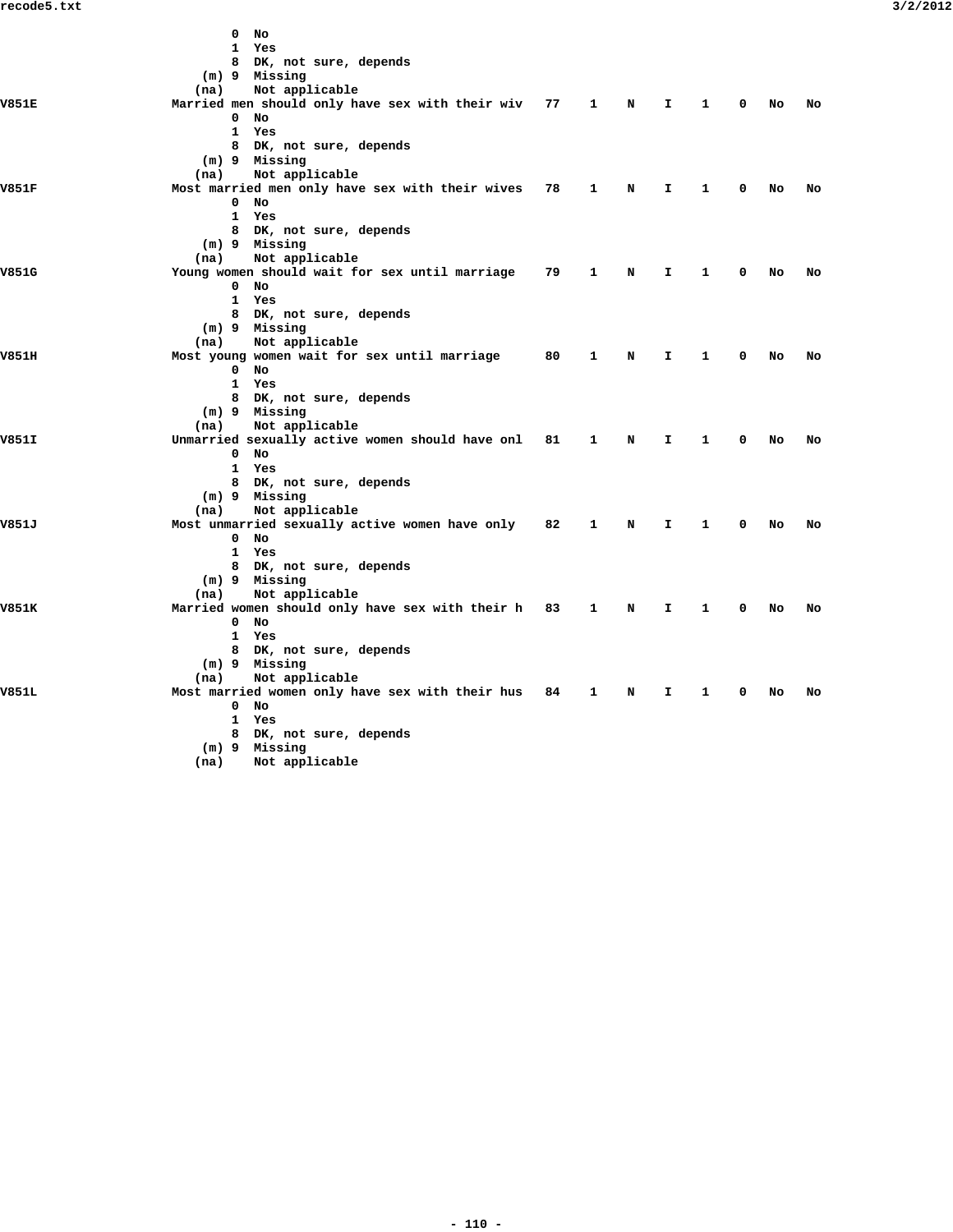|              | 0<br>No                                         |    |   |   |    |   |   |    |    |
|--------------|-------------------------------------------------|----|---|---|----|---|---|----|----|
|              | 1<br>Yes                                        |    |   |   |    |   |   |    |    |
|              | 8 DK, not sure, depends                         |    |   |   |    |   |   |    |    |
|              | (m) 9 Missing                                   |    |   |   |    |   |   |    |    |
|              | (na)<br>Not applicable                          |    |   |   |    |   |   |    |    |
| <b>V851E</b> | Married men should only have sex with their wiv | 77 | 1 | N | I. | 1 | 0 | No | No |
|              | 0<br>No                                         |    |   |   |    |   |   |    |    |
|              | 1 Yes                                           |    |   |   |    |   |   |    |    |
|              | 8 DK, not sure, depends                         |    |   |   |    |   |   |    |    |
|              | (m) 9 Missing                                   |    |   |   |    |   |   |    |    |
|              | (na)<br>Not applicable                          |    |   |   |    |   |   |    |    |
| V851F        | Most married men only have sex with their wives | 78 | 1 | N | I. | 1 | 0 | No | No |
|              | $0$ No                                          |    |   |   |    |   |   |    |    |
|              | 1 Yes                                           |    |   |   |    |   |   |    |    |
|              | 8 DK, not sure, depends                         |    |   |   |    |   |   |    |    |
|              | (m) 9 Missing                                   |    |   |   |    |   |   |    |    |
|              | (na)<br>Not applicable                          |    |   |   |    |   |   |    |    |
| V851G        | Young women should wait for sex until marriage  | 79 | 1 | N | I. | 1 | 0 | No | No |
|              | $0$ No                                          |    |   |   |    |   |   |    |    |
|              | 1 Yes                                           |    |   |   |    |   |   |    |    |
|              | 8 DK, not sure, depends                         |    |   |   |    |   |   |    |    |
|              | (m) 9 Missing                                   |    |   |   |    |   |   |    |    |
|              | Not applicable<br>(na)                          |    |   |   |    |   |   |    |    |
| V851H        | Most young women wait for sex until marriage    | 80 | 1 | N | I. | 1 | 0 | No | No |
|              | $0$ No                                          |    |   |   |    |   |   |    |    |
|              | 1 Yes                                           |    |   |   |    |   |   |    |    |
|              | 8 DK, not sure, depends                         |    |   |   |    |   |   |    |    |
|              | (m) 9 Missing                                   |    |   |   |    |   |   |    |    |
|              | Not applicable<br>(na)                          |    |   |   |    |   |   |    |    |
| V851I        | Unmarried sexually active women should have onl | 81 | 1 | N | I. | 1 | 0 | No | No |
|              | $0$ No                                          |    |   |   |    |   |   |    |    |
|              | 1 Yes                                           |    |   |   |    |   |   |    |    |
|              | 8 DK, not sure, depends                         |    |   |   |    |   |   |    |    |
|              | (m) 9 Missing                                   |    |   |   |    |   |   |    |    |
|              | Not applicable<br>(na)                          |    |   |   |    |   |   |    |    |
| V851J        | Most unmarried sexually active women have only  | 82 | 1 | N | I  | 1 | 0 | No | No |
|              | $0$ No                                          |    |   |   |    |   |   |    |    |
|              | 1 Yes                                           |    |   |   |    |   |   |    |    |
|              | 8 DK, not sure, depends                         |    |   |   |    |   |   |    |    |
|              | (m) 9 Missing                                   |    |   |   |    |   |   |    |    |
|              | Not applicable<br>(na)                          |    |   |   |    |   |   |    |    |
| <b>V851K</b> | Married women should only have sex with their h | 83 | 1 | N | I. | 1 | 0 | No | No |
|              | $0$ No                                          |    |   |   |    |   |   |    |    |
|              | 1 Yes                                           |    |   |   |    |   |   |    |    |
|              | 8 DK, not sure, depends                         |    |   |   |    |   |   |    |    |
|              | $(m)$ 9 Missing                                 |    |   |   |    |   |   |    |    |
|              | Not applicable<br>(na)                          |    |   |   |    |   |   |    |    |
| V851L        | Most married women only have sex with their hus | 84 | 1 | N | I  | 1 | 0 | No | No |
|              | $0$ No                                          |    |   |   |    |   |   |    |    |
|              | 1 Yes                                           |    |   |   |    |   |   |    |    |
|              | 8 DK, not sure, depends                         |    |   |   |    |   |   |    |    |
|              | (m) 9 Missing                                   |    |   |   |    |   |   |    |    |
|              | (na)<br>Not applicable                          |    |   |   |    |   |   |    |    |
|              |                                                 |    |   |   |    |   |   |    |    |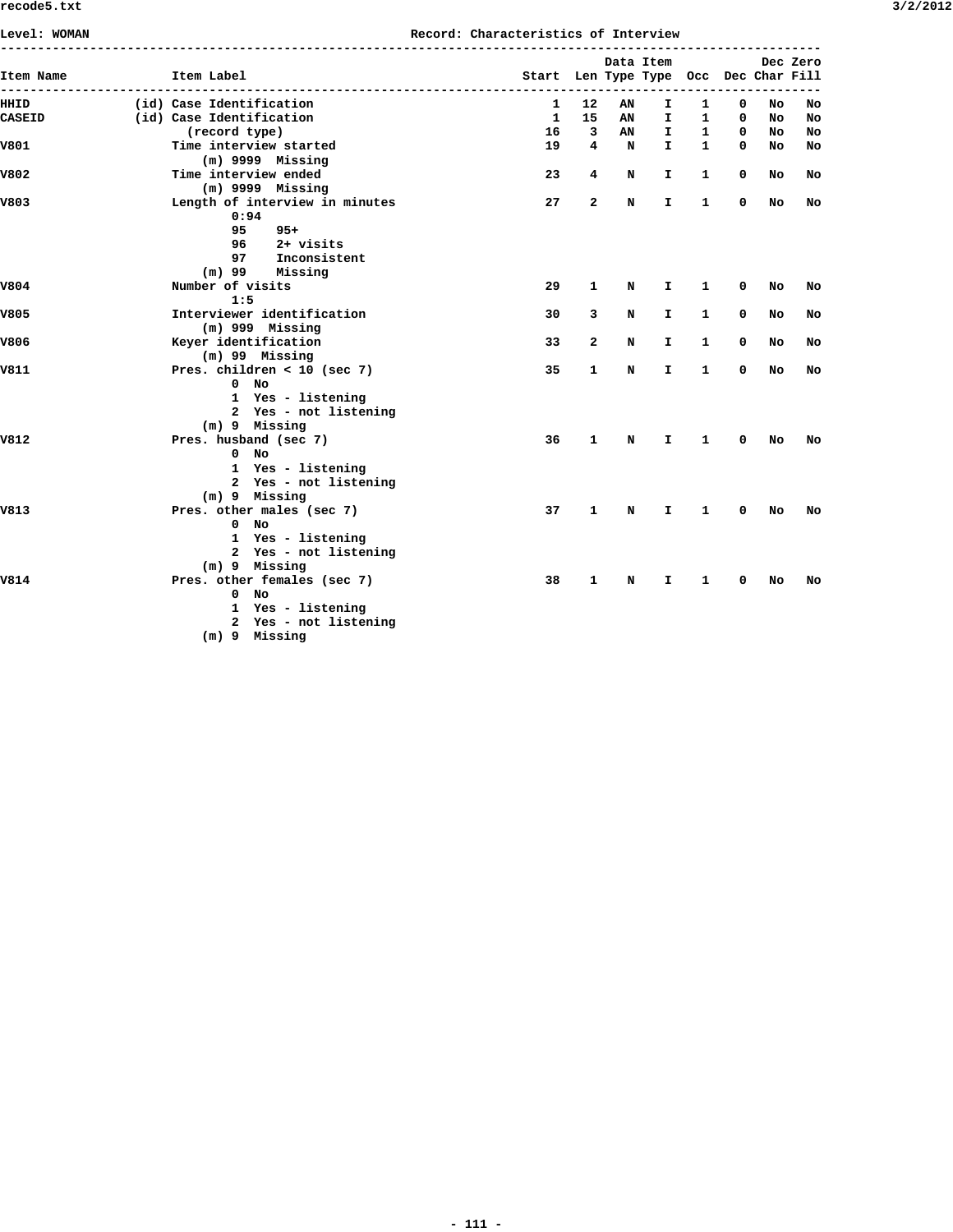| 3/2/201. |  |
|----------|--|
|----------|--|

| Item Name     | Item Label                     | Start Len Type Type Occ Dec Char Fill |                         |             | Data Item |              |             |    | Dec Zero |
|---------------|--------------------------------|---------------------------------------|-------------------------|-------------|-----------|--------------|-------------|----|----------|
|               |                                |                                       |                         |             |           | ---------    |             |    |          |
| HHID          | (id) Case Identification       | 1                                     | 12                      | AN          | I.        | 1            | 0           | No | No       |
| <b>CASEID</b> | (id) Case Identification       | 1                                     | 15                      | AN          | I.        | 1            | 0           | No | No       |
|               | (record type)                  | 16                                    | $\overline{\mathbf{3}}$ | AN          | I.        | $\mathbf{1}$ | 0           | No | No       |
| V801          | Time interview started         | 19                                    | $4\overline{ }$         | $\mathbf N$ | I.        | $\mathbf{1}$ | $\mathbf 0$ | No | No       |
|               | $(m)$ 9999 Missing             |                                       |                         |             |           |              |             |    |          |
| V802          | Time interview ended           | 23                                    | 4                       | N           | Ι.        | 1            | 0           | No | No       |
|               | $(m)$ 9999 Missing             |                                       |                         |             |           |              |             |    |          |
| V803          | Length of interview in minutes | 27                                    | $\mathbf{2}$            | N           | I.        | 1            | 0           | No | No       |
|               | 0:94                           |                                       |                         |             |           |              |             |    |          |
|               | 95<br>$95+$                    |                                       |                         |             |           |              |             |    |          |
|               | 2+ visits<br>96                |                                       |                         |             |           |              |             |    |          |
|               | 97 Inconsistent                |                                       |                         |             |           |              |             |    |          |
|               | $(m)$ 99 Missing               |                                       |                         |             |           |              |             |    |          |
| V804          | Number of visits               | 29                                    | 1                       | N           | I.        | 1            | 0           | No | No       |
|               | 1:5                            |                                       |                         |             |           |              |             |    |          |
| V805          | Interviewer identification     | 30                                    | 3                       | N           | I.        | 1            | $\mathbf 0$ | No | No       |
|               | $(m)$ 999 Missing              |                                       |                         |             |           |              |             |    |          |
| V806          | Keyer identification           | 33                                    | 2                       | N           | I.        | 1            | 0           | No | No       |
|               | $(m)$ 99 Missing               |                                       |                         |             |           |              |             |    |          |
| V811          | Pres. children < 10 (sec 7)    | 35                                    | 1                       | N           | I.        | 1            | 0           | No | No       |
|               | $0$ No                         |                                       |                         |             |           |              |             |    |          |
|               | 1 Yes - listening              |                                       |                         |             |           |              |             |    |          |
|               | 2 Yes - not listening          |                                       |                         |             |           |              |             |    |          |
|               | (m) 9 Missing                  |                                       |                         |             |           |              |             |    |          |
| V812          | Pres. husband (sec 7)          | 36                                    | 1                       | N           | I.        | 1            | 0           | No | No       |
|               | $0$ No                         |                                       |                         |             |           |              |             |    |          |
|               | 1 Yes - listening              |                                       |                         |             |           |              |             |    |          |
|               | 2 Yes - not listening          |                                       |                         |             |           |              |             |    |          |
|               | (m) 9 Missing                  |                                       |                         |             |           |              |             |    |          |
| V813          | Pres. other males (sec 7)      | 37                                    | 1                       | N           | I.        | 1            | 0           | No | No       |
|               | $0$ No                         |                                       |                         |             |           |              |             |    |          |
|               | 1 Yes - listening              |                                       |                         |             |           |              |             |    |          |
|               | 2 Yes - not listening          |                                       |                         |             |           |              |             |    |          |
|               | (m) 9 Missing                  |                                       |                         |             |           |              |             |    |          |
| V814          | Pres. other females (sec 7)    | 38                                    | 1                       | N           | Ι.        | 1            | $^{\circ}$  | No | No       |
|               | $0$ No                         |                                       |                         |             |           |              |             |    |          |
|               | 1 Yes - listening              |                                       |                         |             |           |              |             |    |          |
|               | 2 Yes - not listening          |                                       |                         |             |           |              |             |    |          |
|               | (m) 9 Missing                  |                                       |                         |             |           |              |             |    |          |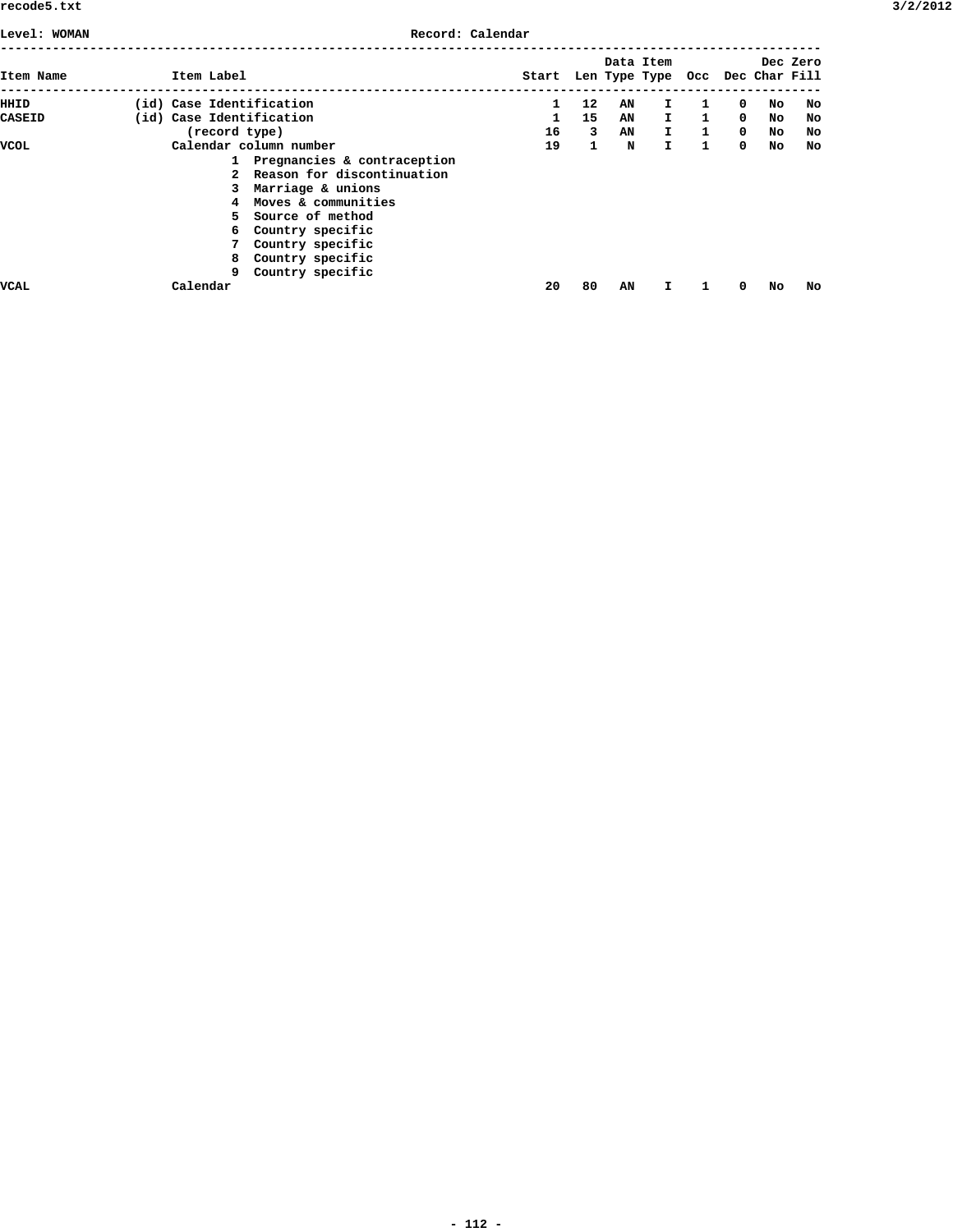**Level: WOMAN Record: Calendar**

|               |                          |                               |                                       |              |    | Data Item    |              |             |     | Dec Zero |
|---------------|--------------------------|-------------------------------|---------------------------------------|--------------|----|--------------|--------------|-------------|-----|----------|
| Item Name     | Item Label               |                               | Start Len Type Type Occ Dec Char Fill |              |    |              |              |             |     |          |
| HHID          | (id) Case Identification |                               | 1                                     | 12           | AN | I.           | 1            | 0           | No. | No       |
| <b>CASEID</b> | (id) Case Identification |                               | 1                                     | 15           | AN | $\mathbf{I}$ | $\mathbf{1}$ | $^{\circ}$  | No  | No       |
|               | (record type)            |                               | 16                                    | 3            | AN | $\mathbf{I}$ | $\mathbf{1}$ | $\mathbf 0$ | No  | No       |
| VCOL          |                          | Calendar column number        | 19                                    | $\mathbf{1}$ | N  | I.           | $\mathbf{1}$ | $^{\circ}$  | No  | No       |
|               |                          | 1 Pregnancies & contraception |                                       |              |    |              |              |             |     |          |
|               |                          | 2 Reason for discontinuation  |                                       |              |    |              |              |             |     |          |
|               |                          | Marriage & unions             |                                       |              |    |              |              |             |     |          |
|               |                          | 4 Moves & communities         |                                       |              |    |              |              |             |     |          |
|               |                          | 5 Source of method            |                                       |              |    |              |              |             |     |          |
|               |                          | 6 Country specific            |                                       |              |    |              |              |             |     |          |
|               |                          | Country specific              |                                       |              |    |              |              |             |     |          |
|               | 8                        | Country specific              |                                       |              |    |              |              |             |     |          |
|               | 9                        | Country specific              |                                       |              |    |              |              |             |     |          |
| VCAL          | Calendar                 |                               | 20                                    | 80           | AN | I            |              | 0           | No  | No       |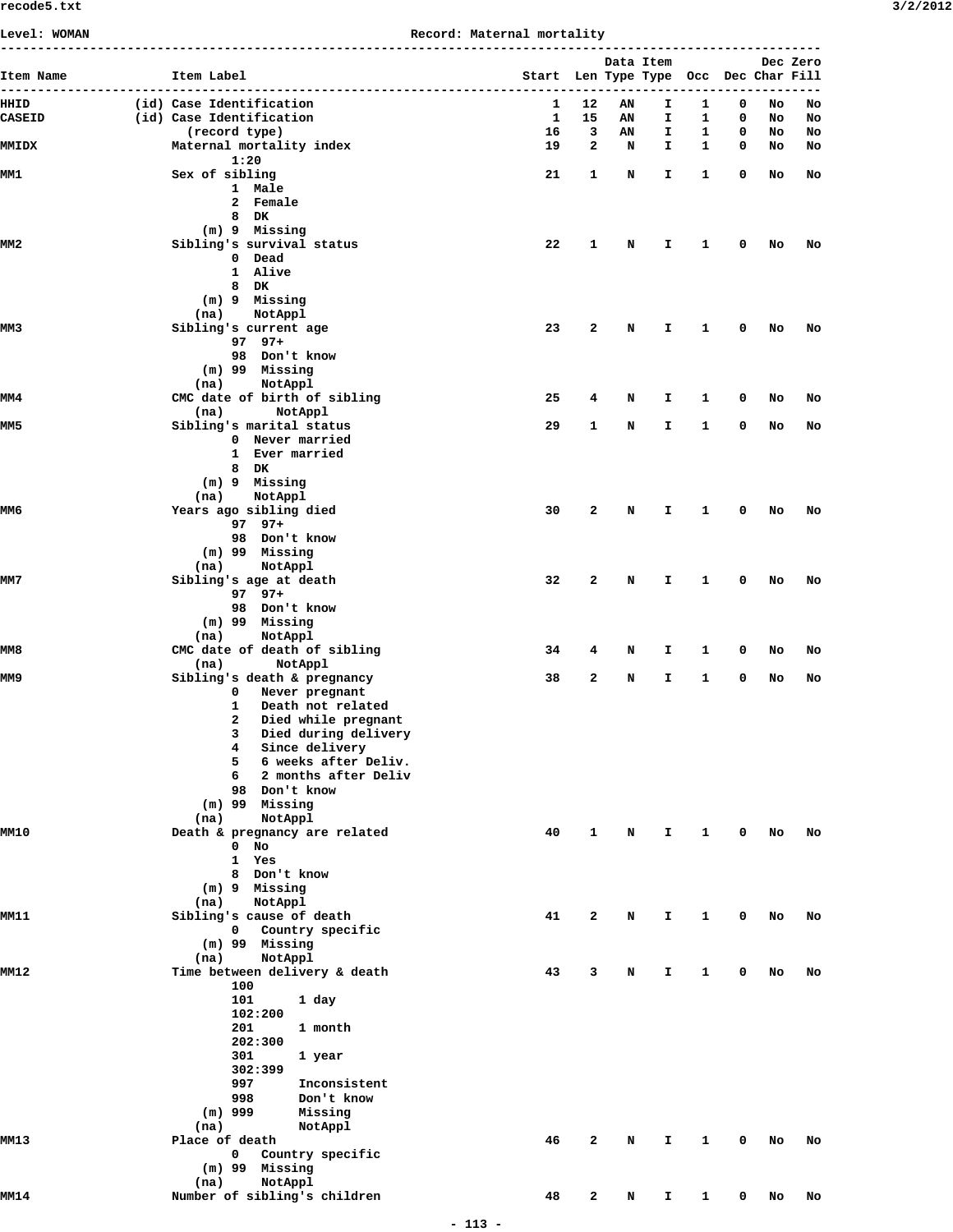## **Level: WOMAN Record: Maternal mortality**

|                 |                                                   | Record: Macernar Morcarrey            |                 |    |           |            |             |    |          |
|-----------------|---------------------------------------------------|---------------------------------------|-----------------|----|-----------|------------|-------------|----|----------|
| Item Name       | Item Label                                        | Start Len Type Type Occ Dec Char Fill | --------------- |    | Data Item | ---------- |             |    | Dec Zero |
| HHID            | (id) Case Identification                          | $\mathbf{1}$                          | 12              | AN | Ι.        | 1          | 0           | No | No       |
| <b>CASEID</b>   | (id) Case Identification                          | $\mathbf{1}$                          | 15              | AN | Ι.        | 1          | $\mathbf 0$ | No | No       |
|                 | (record type)                                     | 16                                    | 3               | AN | I         | 1          | $\mathbf 0$ | No | No       |
| <b>MMIDX</b>    | Maternal mortality index<br>1:20                  | 19                                    | 2               | N  | I         | 1          | 0           | No | No       |
| MM1             | Sex of sibling                                    | 21                                    | 1               | N  | I.        | 1          | 0           | No | No       |
|                 | 1 Male<br>2 Female                                |                                       |                 |    |           |            |             |    |          |
|                 | 8 DK                                              |                                       |                 |    |           |            |             |    |          |
|                 | (m) 9 Missing                                     |                                       |                 |    |           |            |             |    |          |
| MM <sub>2</sub> | Sibling's survival status                         | 22                                    | 1               | N  | I         | 1          | 0           | No | No       |
|                 | 0 Dead<br>1 Alive                                 |                                       |                 |    |           |            |             |    |          |
|                 | 8 DK                                              |                                       |                 |    |           |            |             |    |          |
|                 | (m) 9 Missing                                     |                                       |                 |    |           |            |             |    |          |
| MM3             | NotAppl<br>(na)<br>Sibling's current age          | 23                                    | 2               | N  | I         | 1          | 0           | No | No       |
|                 | $97$ $97+$                                        |                                       |                 |    |           |            |             |    |          |
|                 | 98 Don't know                                     |                                       |                 |    |           |            |             |    |          |
|                 | (m) 99 Missing<br>NotAppl<br>(na)                 |                                       |                 |    |           |            |             |    |          |
| MM4             | CMC date of birth of sibling                      | 25                                    | 4               | N  | Ι.        | 1          | 0           | No | No       |
|                 | (na)<br>NotAppl                                   |                                       |                 |    |           |            |             |    |          |
| MM5             | Sibling's marital status                          | 29                                    | 1               | N  | Ι.        | 1          | 0           | No | No       |
|                 | 0 Never married<br>1 Ever married                 |                                       |                 |    |           |            |             |    |          |
|                 | 8 DK                                              |                                       |                 |    |           |            |             |    |          |
|                 | $(m)$ 9 Missing                                   |                                       |                 |    |           |            |             |    |          |
| MM6             | NotAppl<br>(na)<br>Years ago sibling died         | 30                                    | 2               | N  | Ι.        | 1          | 0           | No | No       |
|                 | $97$ $97+$                                        |                                       |                 |    |           |            |             |    |          |
|                 | 98 Don't know                                     |                                       |                 |    |           |            |             |    |          |
|                 | $(m)$ 99 Missing<br>NotAppl<br>(na)               |                                       |                 |    |           |            |             |    |          |
| MM7             | Sibling's age at death                            | 32                                    | 2               | N  | I         | 1          | 0           | No | No       |
|                 | 97 97+                                            |                                       |                 |    |           |            |             |    |          |
|                 | 98 Don't know<br>(m) 99 Missing                   |                                       |                 |    |           |            |             |    |          |
|                 | NotAppl<br>(na)                                   |                                       |                 |    |           |            |             |    |          |
| MM8             | CMC date of death of sibling                      | 34                                    | 4               | N  | I.        | 1          | 0           | No | No       |
| MM9             | NotAppl<br>(na)<br>Sibling's death & pregnancy    | 38                                    | 2               | N  | I         | 1          | 0           | No | No       |
|                 | Never pregnant<br>$\mathbf 0$                     |                                       |                 |    |           |            |             |    |          |
|                 | Death not related<br>1                            |                                       |                 |    |           |            |             |    |          |
|                 | 2<br>Died while pregnant                          |                                       |                 |    |           |            |             |    |          |
|                 | 3 Died during delivery<br>Since delivery<br>4     |                                       |                 |    |           |            |             |    |          |
|                 | 6 weeks after Deliv.<br>5                         |                                       |                 |    |           |            |             |    |          |
|                 | 2 months after Deliv<br>6                         |                                       |                 |    |           |            |             |    |          |
|                 | 98 Don't know<br>$(m)$ 99 Missing                 |                                       |                 |    |           |            |             |    |          |
|                 | (na)<br>NotAppl                                   |                                       |                 |    |           |            |             |    |          |
| <b>MM10</b>     | Death & pregnancy are related                     | 40                                    | 1               | N  | I.        | 1          | 0           | No | No       |
|                 | $0$ No<br>1 Yes                                   |                                       |                 |    |           |            |             |    |          |
|                 | 8 Don't know                                      |                                       |                 |    |           |            |             |    |          |
|                 | (m) 9 Missing                                     |                                       |                 |    |           |            |             |    |          |
| MM11            | (na)<br>NotAppl<br>Sibling's cause of death       | 41                                    | 2               | N  | Ι.        | 1          | 0           | No | No       |
|                 | $\mathbf{0}$<br>Country specific                  |                                       |                 |    |           |            |             |    |          |
|                 | (m) 99 Missing                                    |                                       |                 |    |           |            |             |    |          |
| MM12            | NotAppl<br>(na)<br>Time between delivery & death  | 43                                    | 3               | N  | I.        | 1          | 0           | No | No       |
|                 | 100                                               |                                       |                 |    |           |            |             |    |          |
|                 | 101<br>1 day                                      |                                       |                 |    |           |            |             |    |          |
|                 | 102:200<br>201<br>1 month                         |                                       |                 |    |           |            |             |    |          |
|                 | 202:300                                           |                                       |                 |    |           |            |             |    |          |
|                 | 301<br>1 year                                     |                                       |                 |    |           |            |             |    |          |
|                 | 302:399<br>997<br>Inconsistent                    |                                       |                 |    |           |            |             |    |          |
|                 | 998<br>Don't know                                 |                                       |                 |    |           |            |             |    |          |
|                 | $(m)$ 999<br>Missing                              |                                       |                 |    |           |            |             |    |          |
|                 | (na)<br>NotAppl                                   |                                       |                 |    |           |            |             |    |          |
| MM13            | Place of death<br>$\mathbf 0$<br>Country specific | 46                                    | 2               | N  | Ι.        | 1          | 0           | No | No       |
|                 | $(m)$ 99 Missing                                  |                                       |                 |    |           |            |             |    |          |
|                 | NotAppl<br>(na)                                   |                                       |                 |    |           |            |             |    |          |
| MM14            | Number of sibling's children                      | 48                                    | 2               | N  | I         | 1          | 0           | No | No       |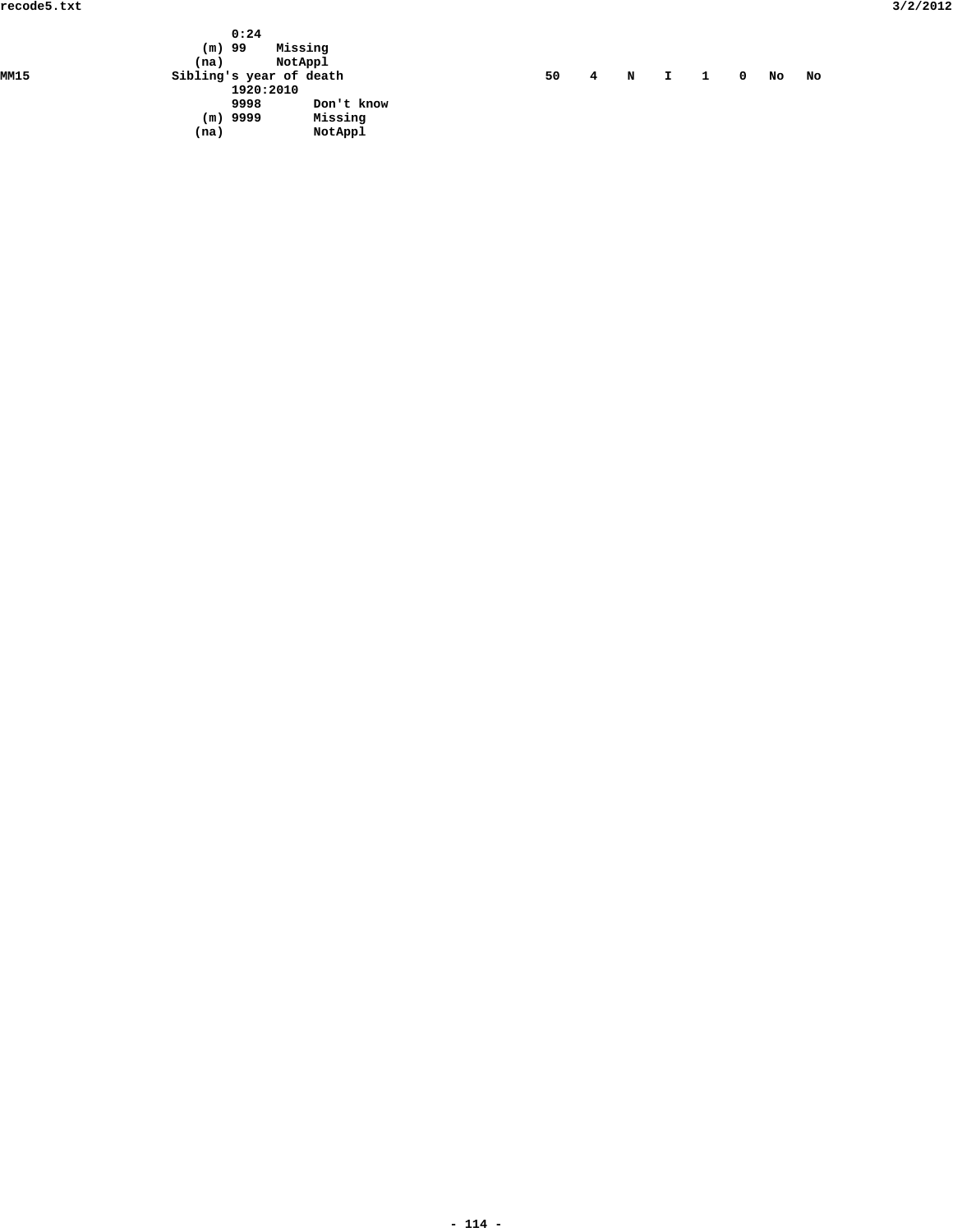|      | 0:24<br>$(m)$ 99<br>(na) | Missing<br>NotAppl |    |   |   |    |   |            |    |    |
|------|--------------------------|--------------------|----|---|---|----|---|------------|----|----|
| MM15 | Sibling's year of death  |                    | 50 | 4 | N | I. | 1 | $^{\circ}$ | No | No |
|      | 1920:2010                |                    |    |   |   |    |   |            |    |    |
|      | 9998                     | Don't know         |    |   |   |    |   |            |    |    |
|      | $(m)$ 9999               | Missing            |    |   |   |    |   |            |    |    |
|      | (na)                     | NotAppl            |    |   |   |    |   |            |    |    |

|  |  |  | N |  |  | O. | No | NC N |
|--|--|--|---|--|--|----|----|------|
|--|--|--|---|--|--|----|----|------|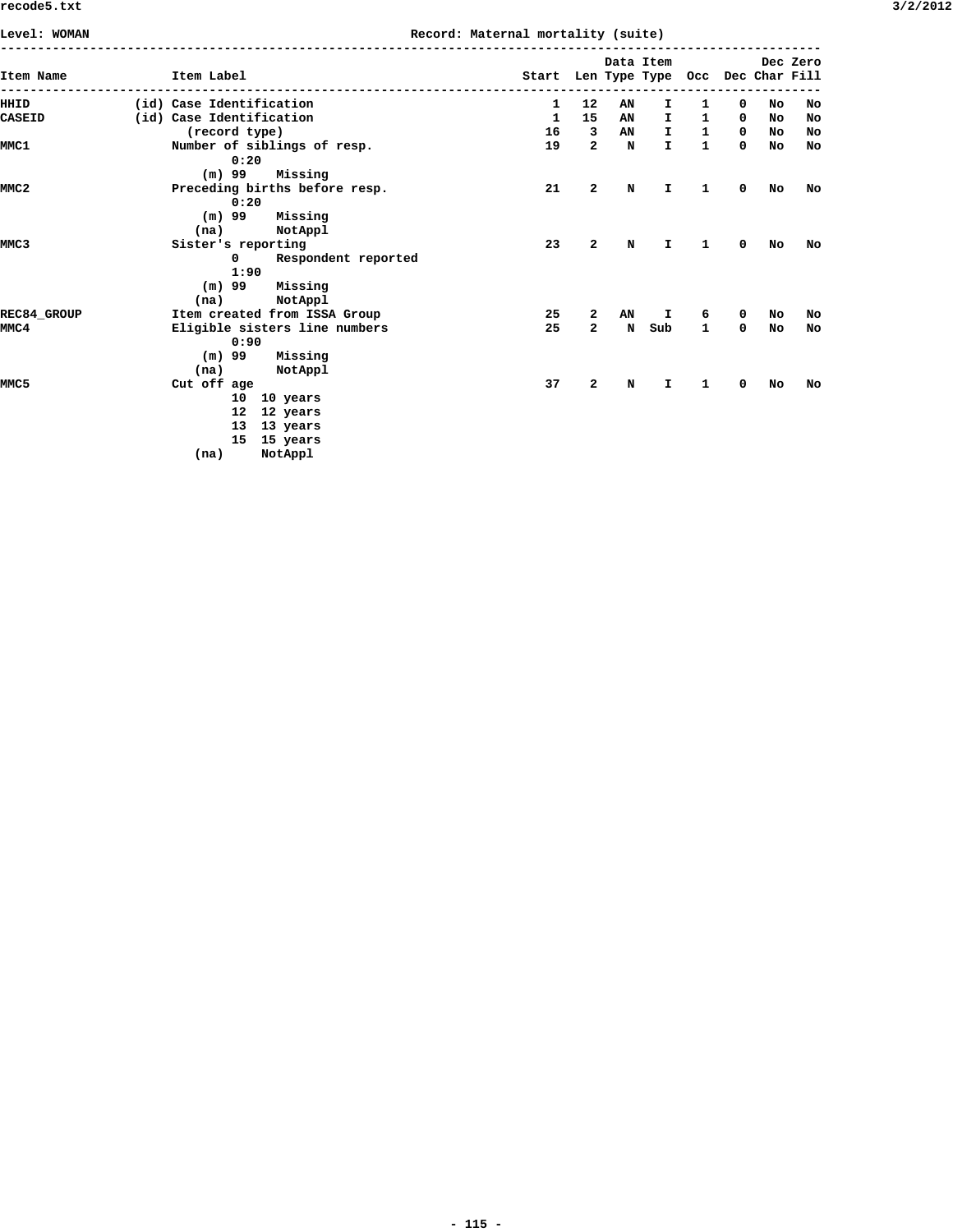| Level: WOMAN       |                                                                                    |                                                         | Record: Maternal mortality (suite) |                         |             |              |              |            |    |                           |
|--------------------|------------------------------------------------------------------------------------|---------------------------------------------------------|------------------------------------|-------------------------|-------------|--------------|--------------|------------|----|---------------------------|
| Item Name          | Item Label                                                                         |                                                         | Start Len Type Type Occ            |                         | Data Item   |              |              |            |    | Dec Zero<br>Dec Char Fill |
| HHID               | (id) Case Identification                                                           |                                                         | $\mathbf{1}$                       | $12 \overline{ }$       | AN          | I.           | 1            | 0          | No | No                        |
| <b>CASEID</b>      | (id) Case Identification                                                           |                                                         | 1                                  | 15                      | AN          | I.           | $\mathbf{1}$ | $^{\circ}$ | No | No                        |
|                    | (record type)                                                                      |                                                         | 16                                 | $\overline{\mathbf{3}}$ | AN          | I            | $\mathbf{1}$ | 0          | No | No                        |
| MMC1               | 0:20                                                                               | Number of siblings of resp.                             | 19                                 | $\overline{2}$          | $\mathbf N$ | $\mathbf{I}$ | $\mathbf{1}$ | 0          | No | No                        |
|                    | $(m)$ 99                                                                           | Missing                                                 |                                    |                         |             |              |              |            |    |                           |
| MMC <sub>2</sub>   | 0:20<br>$(m)$ 99                                                                   | Preceding births before resp.<br>Missing                | 21                                 | $\overline{2}$          | N           | I            | 1            | 0          | No | No                        |
|                    | (na)                                                                               | NotAppl                                                 |                                    |                         |             |              |              |            |    |                           |
| MMC <sub>3</sub>   | Sister's reporting                                                                 |                                                         | 23                                 | $\mathbf{2}$            | N           | I            | 1            | 0          | No | No                        |
|                    | $^{\circ}$<br>1:90<br>$(m)$ 99<br>(na)                                             | Respondent reported<br>Missing<br>NotAppl               |                                    |                         |             |              |              |            |    |                           |
| <b>REC84 GROUP</b> |                                                                                    | Item created from ISSA Group                            | 25                                 | 2                       | AN          | I            | 6            | 0          | No | No                        |
| MMC4               | 0:90<br>$(m)$ 99<br>(na)                                                           | Eligible sisters line numbers<br>Missing<br>NotAppl     | 25                                 | $\mathbf{2}$            | N           | Sub          | 1            | 0          | No | No                        |
| MMC <sub>5</sub>   | Cut off age<br>10 <sup>1</sup><br>12 <sub>1</sub><br>13 <sup>1</sup><br>15<br>(na) | 10 years<br>12 years<br>13 years<br>15 years<br>NotAppl | 37                                 | $\mathbf{2}$            | N           | I            | 1            | 0          | No | No                        |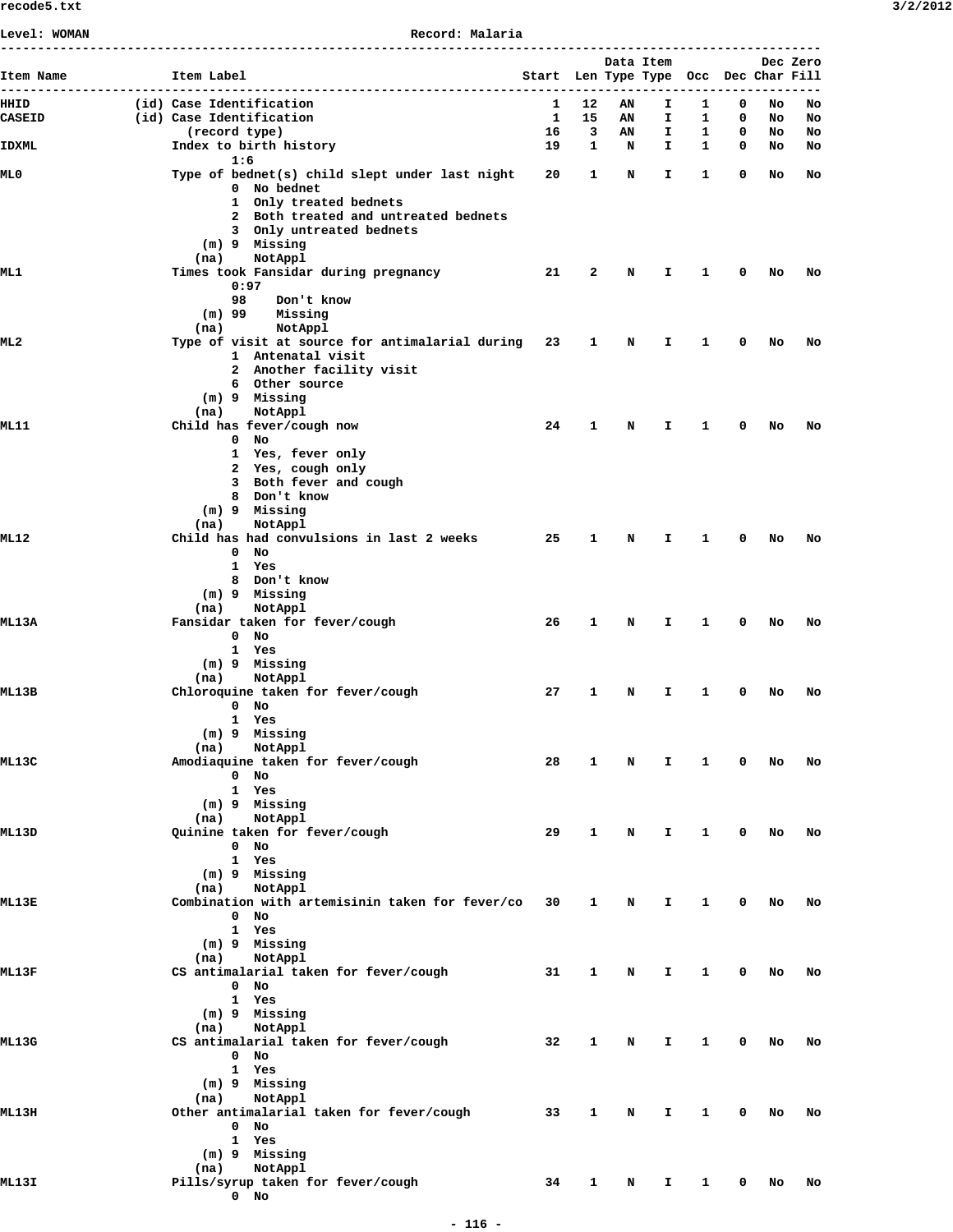| ---------                                                                                                                                                                                                                                                                                                                                                                                                                                                                                                                                                                                                                                                                                                                                                                                                                                                                                                                                                                                                                                                                                                                                                                                                                                                                                                                                                                                                                                                                                                                                                                                                                                                                                                                                                                                                                                                      |                                   |                                                                                                                                                                                                                                                                                                                                                                                                                                                                                                                          |    |    |    |              |   |                                                                                        |          |
|----------------------------------------------------------------------------------------------------------------------------------------------------------------------------------------------------------------------------------------------------------------------------------------------------------------------------------------------------------------------------------------------------------------------------------------------------------------------------------------------------------------------------------------------------------------------------------------------------------------------------------------------------------------------------------------------------------------------------------------------------------------------------------------------------------------------------------------------------------------------------------------------------------------------------------------------------------------------------------------------------------------------------------------------------------------------------------------------------------------------------------------------------------------------------------------------------------------------------------------------------------------------------------------------------------------------------------------------------------------------------------------------------------------------------------------------------------------------------------------------------------------------------------------------------------------------------------------------------------------------------------------------------------------------------------------------------------------------------------------------------------------------------------------------------------------------------------------------------------------|-----------------------------------|--------------------------------------------------------------------------------------------------------------------------------------------------------------------------------------------------------------------------------------------------------------------------------------------------------------------------------------------------------------------------------------------------------------------------------------------------------------------------------------------------------------------------|----|----|----|--------------|---|----------------------------------------------------------------------------------------|----------|
|                                                                                                                                                                                                                                                                                                                                                                                                                                                                                                                                                                                                                                                                                                                                                                                                                                                                                                                                                                                                                                                                                                                                                                                                                                                                                                                                                                                                                                                                                                                                                                                                                                                                                                                                                                                                                                                                | (id) Case Identification          | 1                                                                                                                                                                                                                                                                                                                                                                                                                                                                                                                        | 12 | AN | I. | 1.           | 0 | No                                                                                     | No       |
|                                                                                                                                                                                                                                                                                                                                                                                                                                                                                                                                                                                                                                                                                                                                                                                                                                                                                                                                                                                                                                                                                                                                                                                                                                                                                                                                                                                                                                                                                                                                                                                                                                                                                                                                                                                                                                                                |                                   |                                                                                                                                                                                                                                                                                                                                                                                                                                                                                                                          |    |    |    |              | 0 |                                                                                        | No<br>No |
|                                                                                                                                                                                                                                                                                                                                                                                                                                                                                                                                                                                                                                                                                                                                                                                                                                                                                                                                                                                                                                                                                                                                                                                                                                                                                                                                                                                                                                                                                                                                                                                                                                                                                                                                                                                                                                                                | Index to birth history            | 19                                                                                                                                                                                                                                                                                                                                                                                                                                                                                                                       |    | N  | I. | $\mathbf{1}$ | 0 | No                                                                                     | No       |
|                                                                                                                                                                                                                                                                                                                                                                                                                                                                                                                                                                                                                                                                                                                                                                                                                                                                                                                                                                                                                                                                                                                                                                                                                                                                                                                                                                                                                                                                                                                                                                                                                                                                                                                                                                                                                                                                | 1:6                               |                                                                                                                                                                                                                                                                                                                                                                                                                                                                                                                          |    |    |    |              |   |                                                                                        |          |
|                                                                                                                                                                                                                                                                                                                                                                                                                                                                                                                                                                                                                                                                                                                                                                                                                                                                                                                                                                                                                                                                                                                                                                                                                                                                                                                                                                                                                                                                                                                                                                                                                                                                                                                                                                                                                                                                |                                   |                                                                                                                                                                                                                                                                                                                                                                                                                                                                                                                          |    |    |    |              |   |                                                                                        | No       |
|                                                                                                                                                                                                                                                                                                                                                                                                                                                                                                                                                                                                                                                                                                                                                                                                                                                                                                                                                                                                                                                                                                                                                                                                                                                                                                                                                                                                                                                                                                                                                                                                                                                                                                                                                                                                                                                                | 1 Only treated bednets            |                                                                                                                                                                                                                                                                                                                                                                                                                                                                                                                          |    |    |    |              |   |                                                                                        |          |
|                                                                                                                                                                                                                                                                                                                                                                                                                                                                                                                                                                                                                                                                                                                                                                                                                                                                                                                                                                                                                                                                                                                                                                                                                                                                                                                                                                                                                                                                                                                                                                                                                                                                                                                                                                                                                                                                |                                   |                                                                                                                                                                                                                                                                                                                                                                                                                                                                                                                          |    |    |    |              |   |                                                                                        |          |
|                                                                                                                                                                                                                                                                                                                                                                                                                                                                                                                                                                                                                                                                                                                                                                                                                                                                                                                                                                                                                                                                                                                                                                                                                                                                                                                                                                                                                                                                                                                                                                                                                                                                                                                                                                                                                                                                |                                   |                                                                                                                                                                                                                                                                                                                                                                                                                                                                                                                          |    |    |    |              |   |                                                                                        |          |
|                                                                                                                                                                                                                                                                                                                                                                                                                                                                                                                                                                                                                                                                                                                                                                                                                                                                                                                                                                                                                                                                                                                                                                                                                                                                                                                                                                                                                                                                                                                                                                                                                                                                                                                                                                                                                                                                |                                   |                                                                                                                                                                                                                                                                                                                                                                                                                                                                                                                          |    |    |    |              |   |                                                                                        |          |
|                                                                                                                                                                                                                                                                                                                                                                                                                                                                                                                                                                                                                                                                                                                                                                                                                                                                                                                                                                                                                                                                                                                                                                                                                                                                                                                                                                                                                                                                                                                                                                                                                                                                                                                                                                                                                                                                |                                   | 21                                                                                                                                                                                                                                                                                                                                                                                                                                                                                                                       | 2  | N  | I. | 1            | 0 | No                                                                                     | No       |
|                                                                                                                                                                                                                                                                                                                                                                                                                                                                                                                                                                                                                                                                                                                                                                                                                                                                                                                                                                                                                                                                                                                                                                                                                                                                                                                                                                                                                                                                                                                                                                                                                                                                                                                                                                                                                                                                | 0:97                              |                                                                                                                                                                                                                                                                                                                                                                                                                                                                                                                          |    |    |    |              |   |                                                                                        |          |
|                                                                                                                                                                                                                                                                                                                                                                                                                                                                                                                                                                                                                                                                                                                                                                                                                                                                                                                                                                                                                                                                                                                                                                                                                                                                                                                                                                                                                                                                                                                                                                                                                                                                                                                                                                                                                                                                |                                   |                                                                                                                                                                                                                                                                                                                                                                                                                                                                                                                          |    |    |    |              |   |                                                                                        |          |
|                                                                                                                                                                                                                                                                                                                                                                                                                                                                                                                                                                                                                                                                                                                                                                                                                                                                                                                                                                                                                                                                                                                                                                                                                                                                                                                                                                                                                                                                                                                                                                                                                                                                                                                                                                                                                                                                | NotAppl<br>(na)                   |                                                                                                                                                                                                                                                                                                                                                                                                                                                                                                                          |    |    |    |              |   |                                                                                        |          |
|                                                                                                                                                                                                                                                                                                                                                                                                                                                                                                                                                                                                                                                                                                                                                                                                                                                                                                                                                                                                                                                                                                                                                                                                                                                                                                                                                                                                                                                                                                                                                                                                                                                                                                                                                                                                                                                                |                                   |                                                                                                                                                                                                                                                                                                                                                                                                                                                                                                                          | 1  | N  | I. | 1            | 0 | No                                                                                     | No       |
|                                                                                                                                                                                                                                                                                                                                                                                                                                                                                                                                                                                                                                                                                                                                                                                                                                                                                                                                                                                                                                                                                                                                                                                                                                                                                                                                                                                                                                                                                                                                                                                                                                                                                                                                                                                                                                                                |                                   |                                                                                                                                                                                                                                                                                                                                                                                                                                                                                                                          |    |    |    |              |   |                                                                                        |          |
|                                                                                                                                                                                                                                                                                                                                                                                                                                                                                                                                                                                                                                                                                                                                                                                                                                                                                                                                                                                                                                                                                                                                                                                                                                                                                                                                                                                                                                                                                                                                                                                                                                                                                                                                                                                                                                                                |                                   |                                                                                                                                                                                                                                                                                                                                                                                                                                                                                                                          |    |    |    |              |   |                                                                                        |          |
|                                                                                                                                                                                                                                                                                                                                                                                                                                                                                                                                                                                                                                                                                                                                                                                                                                                                                                                                                                                                                                                                                                                                                                                                                                                                                                                                                                                                                                                                                                                                                                                                                                                                                                                                                                                                                                                                | (m) 9 Missing                     |                                                                                                                                                                                                                                                                                                                                                                                                                                                                                                                          |    |    |    |              |   |                                                                                        |          |
|                                                                                                                                                                                                                                                                                                                                                                                                                                                                                                                                                                                                                                                                                                                                                                                                                                                                                                                                                                                                                                                                                                                                                                                                                                                                                                                                                                                                                                                                                                                                                                                                                                                                                                                                                                                                                                                                | NotAppl<br>(na)                   |                                                                                                                                                                                                                                                                                                                                                                                                                                                                                                                          |    |    |    |              |   |                                                                                        |          |
|                                                                                                                                                                                                                                                                                                                                                                                                                                                                                                                                                                                                                                                                                                                                                                                                                                                                                                                                                                                                                                                                                                                                                                                                                                                                                                                                                                                                                                                                                                                                                                                                                                                                                                                                                                                                                                                                |                                   |                                                                                                                                                                                                                                                                                                                                                                                                                                                                                                                          |    |    |    |              |   |                                                                                        | No       |
|                                                                                                                                                                                                                                                                                                                                                                                                                                                                                                                                                                                                                                                                                                                                                                                                                                                                                                                                                                                                                                                                                                                                                                                                                                                                                                                                                                                                                                                                                                                                                                                                                                                                                                                                                                                                                                                                | 1 Yes, fever only                 |                                                                                                                                                                                                                                                                                                                                                                                                                                                                                                                          |    |    |    |              |   |                                                                                        |          |
|                                                                                                                                                                                                                                                                                                                                                                                                                                                                                                                                                                                                                                                                                                                                                                                                                                                                                                                                                                                                                                                                                                                                                                                                                                                                                                                                                                                                                                                                                                                                                                                                                                                                                                                                                                                                                                                                | 2 Yes, cough only                 |                                                                                                                                                                                                                                                                                                                                                                                                                                                                                                                          |    |    |    |              |   |                                                                                        |          |
|                                                                                                                                                                                                                                                                                                                                                                                                                                                                                                                                                                                                                                                                                                                                                                                                                                                                                                                                                                                                                                                                                                                                                                                                                                                                                                                                                                                                                                                                                                                                                                                                                                                                                                                                                                                                                                                                |                                   |                                                                                                                                                                                                                                                                                                                                                                                                                                                                                                                          |    |    |    |              |   |                                                                                        |          |
|                                                                                                                                                                                                                                                                                                                                                                                                                                                                                                                                                                                                                                                                                                                                                                                                                                                                                                                                                                                                                                                                                                                                                                                                                                                                                                                                                                                                                                                                                                                                                                                                                                                                                                                                                                                                                                                                |                                   |                                                                                                                                                                                                                                                                                                                                                                                                                                                                                                                          |    |    |    |              |   |                                                                                        |          |
|                                                                                                                                                                                                                                                                                                                                                                                                                                                                                                                                                                                                                                                                                                                                                                                                                                                                                                                                                                                                                                                                                                                                                                                                                                                                                                                                                                                                                                                                                                                                                                                                                                                                                                                                                                                                                                                                | NotAppl<br>(na)                   |                                                                                                                                                                                                                                                                                                                                                                                                                                                                                                                          |    |    |    |              |   |                                                                                        |          |
|                                                                                                                                                                                                                                                                                                                                                                                                                                                                                                                                                                                                                                                                                                                                                                                                                                                                                                                                                                                                                                                                                                                                                                                                                                                                                                                                                                                                                                                                                                                                                                                                                                                                                                                                                                                                                                                                |                                   | 25                                                                                                                                                                                                                                                                                                                                                                                                                                                                                                                       | 1  | N  | Ι. | 1.           | 0 | No                                                                                     | No       |
| Level: WOMAN<br>Record: Malaria<br>Item Label<br>Item Name<br>HHID<br>(id) Case Identification<br><b>CASEID</b><br>$\mathbf{1}$<br>15<br>(record type)<br>16<br>3<br><b>IDXML</b><br>$\mathbf{1}$<br>ML 0<br>Type of bednet(s) child slept under last night<br>20<br>1<br>0 No bednet<br>2 Both treated and untreated bednets<br>3 Only untreated bednets<br>(m) 9 Missing<br>NotAppl<br>(na)<br>Times took Fansidar during pregnancy<br>ML 1<br>98<br>Don't know<br>Missing<br>(m) 99<br>Type of visit at source for antimalarial during 23<br>ML 2<br>1 Antenatal visit<br>2 Another facility visit<br>6 Other source<br>Child has fever/cough now<br>24<br>ML 11<br>1<br>$0$ No<br>3 Both fever and cough<br>8 Don't know<br>(m) 9 Missing<br>Child has had convulsions in last 2 weeks<br>ML 12<br>$0$ No<br>1 Yes<br>8 Don't know<br>(m) 9 Missing<br>NotAppl<br>(na)<br>Fansidar taken for fever/cough<br>26<br><b>ML13A</b><br>1<br>$0$ No<br>1 Yes<br>(m) 9 Missing<br>NotAppl<br>(na)<br>Chloroquine taken for fever/cough<br>27<br>ML13B<br>1<br>$0$ No<br>1 Yes<br>(m) 9 Missing<br>NotAppl<br>(na)<br>Amodiaquine taken for fever/cough<br>28<br>ML13C<br>1<br>$0$ No<br>1 Yes<br>(m) 9 Missing<br>NotAppl<br>(na)<br>Quinine taken for fever/cough<br>29<br>ML13D<br>1<br>$0$ No<br>1 Yes<br>(m) 9 Missing<br>NotAppl<br>(na)<br>Combination with artemisinin taken for fever/co<br>30<br>ML13E<br>$\mathbf{1}$<br>$0$ No<br>1 Yes<br>(m) 9 Missing<br>(na)<br>NotAppl<br>CS antimalarial taken for fever/cough<br>ML13F<br>31<br>$\mathbf{1}$<br>$0$ No<br>1 Yes<br>(m) 9 Missing<br>NotAppl<br>(na)<br>CS antimalarial taken for fever/cough<br>32<br>ML13G<br>1<br>$0$ No<br>1 Yes<br>(m) 9 Missing<br>(na)<br>NotAppl<br>Other antimalarial taken for fever/cough<br>33<br>ML 13H<br>1<br>$0$ No<br>1 Yes<br>(m) 9 Missing<br>NotAppl<br>(na) |                                   |                                                                                                                                                                                                                                                                                                                                                                                                                                                                                                                          |    |    |    |              |   |                                                                                        |          |
|                                                                                                                                                                                                                                                                                                                                                                                                                                                                                                                                                                                                                                                                                                                                                                                                                                                                                                                                                                                                                                                                                                                                                                                                                                                                                                                                                                                                                                                                                                                                                                                                                                                                                                                                                                                                                                                                |                                   |                                                                                                                                                                                                                                                                                                                                                                                                                                                                                                                          |    |    |    |              |   |                                                                                        |          |
|                                                                                                                                                                                                                                                                                                                                                                                                                                                                                                                                                                                                                                                                                                                                                                                                                                                                                                                                                                                                                                                                                                                                                                                                                                                                                                                                                                                                                                                                                                                                                                                                                                                                                                                                                                                                                                                                |                                   |                                                                                                                                                                                                                                                                                                                                                                                                                                                                                                                          |    |    |    |              |   |                                                                                        |          |
|                                                                                                                                                                                                                                                                                                                                                                                                                                                                                                                                                                                                                                                                                                                                                                                                                                                                                                                                                                                                                                                                                                                                                                                                                                                                                                                                                                                                                                                                                                                                                                                                                                                                                                                                                                                                                                                                |                                   |                                                                                                                                                                                                                                                                                                                                                                                                                                                                                                                          |    |    |    |              |   |                                                                                        |          |
|                                                                                                                                                                                                                                                                                                                                                                                                                                                                                                                                                                                                                                                                                                                                                                                                                                                                                                                                                                                                                                                                                                                                                                                                                                                                                                                                                                                                                                                                                                                                                                                                                                                                                                                                                                                                                                                                |                                   |                                                                                                                                                                                                                                                                                                                                                                                                                                                                                                                          |    |    |    |              |   | Dec Zero<br>No<br>No<br>No<br>No<br>No<br>No<br>No<br>No<br>No<br>No<br>No<br>No<br>No | No       |
|                                                                                                                                                                                                                                                                                                                                                                                                                                                                                                                                                                                                                                                                                                                                                                                                                                                                                                                                                                                                                                                                                                                                                                                                                                                                                                                                                                                                                                                                                                                                                                                                                                                                                                                                                                                                                                                                |                                   |                                                                                                                                                                                                                                                                                                                                                                                                                                                                                                                          |    |    |    |              |   |                                                                                        |          |
|                                                                                                                                                                                                                                                                                                                                                                                                                                                                                                                                                                                                                                                                                                                                                                                                                                                                                                                                                                                                                                                                                                                                                                                                                                                                                                                                                                                                                                                                                                                                                                                                                                                                                                                                                                                                                                                                |                                   |                                                                                                                                                                                                                                                                                                                                                                                                                                                                                                                          |    |    |    |              |   |                                                                                        |          |
|                                                                                                                                                                                                                                                                                                                                                                                                                                                                                                                                                                                                                                                                                                                                                                                                                                                                                                                                                                                                                                                                                                                                                                                                                                                                                                                                                                                                                                                                                                                                                                                                                                                                                                                                                                                                                                                                |                                   | Data Item<br>Start Len Type Type Occ Dec Char Fill<br>--------------------<br>I.<br>0<br>AN<br>1<br>AN<br>I.<br>1<br>I.<br>$\mathbf{1}$<br>0<br>N<br>$\mathbf{1}$<br>0<br>N<br>Ι.<br>N<br>I.<br>1<br>0<br>N<br>1<br>0<br>I.<br>N<br>I.<br>$\mathbf{1}$<br>$\mathbf 0$<br>0<br>N<br>I.<br>$\mathbf{1}$<br>$\mathbf{I}$<br>$\mathbf{1}$<br>$\mathbf 0$<br>N<br>$\mathbf{1}$<br>$\mathbf 0$<br>N<br>I.<br>N<br>I.<br>$\mathbf{1}$<br>0<br>N<br>I.<br>1<br>0<br>34<br>$\mathbf{1}$<br>I.<br>$\mathbf{1}$<br>$\mathbf 0$<br>N | No |    |    |              |   |                                                                                        |          |
|                                                                                                                                                                                                                                                                                                                                                                                                                                                                                                                                                                                                                                                                                                                                                                                                                                                                                                                                                                                                                                                                                                                                                                                                                                                                                                                                                                                                                                                                                                                                                                                                                                                                                                                                                                                                                                                                |                                   |                                                                                                                                                                                                                                                                                                                                                                                                                                                                                                                          |    |    |    |              |   |                                                                                        |          |
|                                                                                                                                                                                                                                                                                                                                                                                                                                                                                                                                                                                                                                                                                                                                                                                                                                                                                                                                                                                                                                                                                                                                                                                                                                                                                                                                                                                                                                                                                                                                                                                                                                                                                                                                                                                                                                                                |                                   |                                                                                                                                                                                                                                                                                                                                                                                                                                                                                                                          |    |    |    |              |   |                                                                                        |          |
|                                                                                                                                                                                                                                                                                                                                                                                                                                                                                                                                                                                                                                                                                                                                                                                                                                                                                                                                                                                                                                                                                                                                                                                                                                                                                                                                                                                                                                                                                                                                                                                                                                                                                                                                                                                                                                                                |                                   |                                                                                                                                                                                                                                                                                                                                                                                                                                                                                                                          |    |    |    |              |   |                                                                                        |          |
|                                                                                                                                                                                                                                                                                                                                                                                                                                                                                                                                                                                                                                                                                                                                                                                                                                                                                                                                                                                                                                                                                                                                                                                                                                                                                                                                                                                                                                                                                                                                                                                                                                                                                                                                                                                                                                                                |                                   |                                                                                                                                                                                                                                                                                                                                                                                                                                                                                                                          |    |    |    |              |   |                                                                                        | No       |
|                                                                                                                                                                                                                                                                                                                                                                                                                                                                                                                                                                                                                                                                                                                                                                                                                                                                                                                                                                                                                                                                                                                                                                                                                                                                                                                                                                                                                                                                                                                                                                                                                                                                                                                                                                                                                                                                |                                   |                                                                                                                                                                                                                                                                                                                                                                                                                                                                                                                          |    |    |    |              |   |                                                                                        |          |
|                                                                                                                                                                                                                                                                                                                                                                                                                                                                                                                                                                                                                                                                                                                                                                                                                                                                                                                                                                                                                                                                                                                                                                                                                                                                                                                                                                                                                                                                                                                                                                                                                                                                                                                                                                                                                                                                |                                   |                                                                                                                                                                                                                                                                                                                                                                                                                                                                                                                          |    |    |    |              |   |                                                                                        |          |
|                                                                                                                                                                                                                                                                                                                                                                                                                                                                                                                                                                                                                                                                                                                                                                                                                                                                                                                                                                                                                                                                                                                                                                                                                                                                                                                                                                                                                                                                                                                                                                                                                                                                                                                                                                                                                                                                |                                   |                                                                                                                                                                                                                                                                                                                                                                                                                                                                                                                          |    |    |    |              |   |                                                                                        |          |
|                                                                                                                                                                                                                                                                                                                                                                                                                                                                                                                                                                                                                                                                                                                                                                                                                                                                                                                                                                                                                                                                                                                                                                                                                                                                                                                                                                                                                                                                                                                                                                                                                                                                                                                                                                                                                                                                |                                   |                                                                                                                                                                                                                                                                                                                                                                                                                                                                                                                          |    |    |    |              |   |                                                                                        | No       |
|                                                                                                                                                                                                                                                                                                                                                                                                                                                                                                                                                                                                                                                                                                                                                                                                                                                                                                                                                                                                                                                                                                                                                                                                                                                                                                                                                                                                                                                                                                                                                                                                                                                                                                                                                                                                                                                                |                                   |                                                                                                                                                                                                                                                                                                                                                                                                                                                                                                                          |    |    |    |              |   |                                                                                        |          |
|                                                                                                                                                                                                                                                                                                                                                                                                                                                                                                                                                                                                                                                                                                                                                                                                                                                                                                                                                                                                                                                                                                                                                                                                                                                                                                                                                                                                                                                                                                                                                                                                                                                                                                                                                                                                                                                                |                                   |                                                                                                                                                                                                                                                                                                                                                                                                                                                                                                                          |    |    |    |              |   |                                                                                        |          |
|                                                                                                                                                                                                                                                                                                                                                                                                                                                                                                                                                                                                                                                                                                                                                                                                                                                                                                                                                                                                                                                                                                                                                                                                                                                                                                                                                                                                                                                                                                                                                                                                                                                                                                                                                                                                                                                                |                                   |                                                                                                                                                                                                                                                                                                                                                                                                                                                                                                                          |    |    |    |              |   |                                                                                        |          |
|                                                                                                                                                                                                                                                                                                                                                                                                                                                                                                                                                                                                                                                                                                                                                                                                                                                                                                                                                                                                                                                                                                                                                                                                                                                                                                                                                                                                                                                                                                                                                                                                                                                                                                                                                                                                                                                                |                                   |                                                                                                                                                                                                                                                                                                                                                                                                                                                                                                                          |    |    |    |              |   |                                                                                        | No       |
|                                                                                                                                                                                                                                                                                                                                                                                                                                                                                                                                                                                                                                                                                                                                                                                                                                                                                                                                                                                                                                                                                                                                                                                                                                                                                                                                                                                                                                                                                                                                                                                                                                                                                                                                                                                                                                                                |                                   |                                                                                                                                                                                                                                                                                                                                                                                                                                                                                                                          |    |    |    |              |   |                                                                                        |          |
|                                                                                                                                                                                                                                                                                                                                                                                                                                                                                                                                                                                                                                                                                                                                                                                                                                                                                                                                                                                                                                                                                                                                                                                                                                                                                                                                                                                                                                                                                                                                                                                                                                                                                                                                                                                                                                                                |                                   |                                                                                                                                                                                                                                                                                                                                                                                                                                                                                                                          |    |    |    |              |   |                                                                                        |          |
|                                                                                                                                                                                                                                                                                                                                                                                                                                                                                                                                                                                                                                                                                                                                                                                                                                                                                                                                                                                                                                                                                                                                                                                                                                                                                                                                                                                                                                                                                                                                                                                                                                                                                                                                                                                                                                                                |                                   |                                                                                                                                                                                                                                                                                                                                                                                                                                                                                                                          |    |    |    |              |   |                                                                                        |          |
|                                                                                                                                                                                                                                                                                                                                                                                                                                                                                                                                                                                                                                                                                                                                                                                                                                                                                                                                                                                                                                                                                                                                                                                                                                                                                                                                                                                                                                                                                                                                                                                                                                                                                                                                                                                                                                                                |                                   |                                                                                                                                                                                                                                                                                                                                                                                                                                                                                                                          |    |    |    |              |   |                                                                                        | No       |
|                                                                                                                                                                                                                                                                                                                                                                                                                                                                                                                                                                                                                                                                                                                                                                                                                                                                                                                                                                                                                                                                                                                                                                                                                                                                                                                                                                                                                                                                                                                                                                                                                                                                                                                                                                                                                                                                |                                   |                                                                                                                                                                                                                                                                                                                                                                                                                                                                                                                          |    |    |    |              |   |                                                                                        |          |
|                                                                                                                                                                                                                                                                                                                                                                                                                                                                                                                                                                                                                                                                                                                                                                                                                                                                                                                                                                                                                                                                                                                                                                                                                                                                                                                                                                                                                                                                                                                                                                                                                                                                                                                                                                                                                                                                |                                   |                                                                                                                                                                                                                                                                                                                                                                                                                                                                                                                          |    |    |    |              |   |                                                                                        |          |
|                                                                                                                                                                                                                                                                                                                                                                                                                                                                                                                                                                                                                                                                                                                                                                                                                                                                                                                                                                                                                                                                                                                                                                                                                                                                                                                                                                                                                                                                                                                                                                                                                                                                                                                                                                                                                                                                |                                   |                                                                                                                                                                                                                                                                                                                                                                                                                                                                                                                          |    |    |    |              |   |                                                                                        |          |
|                                                                                                                                                                                                                                                                                                                                                                                                                                                                                                                                                                                                                                                                                                                                                                                                                                                                                                                                                                                                                                                                                                                                                                                                                                                                                                                                                                                                                                                                                                                                                                                                                                                                                                                                                                                                                                                                |                                   |                                                                                                                                                                                                                                                                                                                                                                                                                                                                                                                          |    |    |    |              |   |                                                                                        | No       |
|                                                                                                                                                                                                                                                                                                                                                                                                                                                                                                                                                                                                                                                                                                                                                                                                                                                                                                                                                                                                                                                                                                                                                                                                                                                                                                                                                                                                                                                                                                                                                                                                                                                                                                                                                                                                                                                                |                                   |                                                                                                                                                                                                                                                                                                                                                                                                                                                                                                                          |    |    |    |              |   |                                                                                        |          |
|                                                                                                                                                                                                                                                                                                                                                                                                                                                                                                                                                                                                                                                                                                                                                                                                                                                                                                                                                                                                                                                                                                                                                                                                                                                                                                                                                                                                                                                                                                                                                                                                                                                                                                                                                                                                                                                                |                                   |                                                                                                                                                                                                                                                                                                                                                                                                                                                                                                                          |    |    |    |              |   |                                                                                        |          |
|                                                                                                                                                                                                                                                                                                                                                                                                                                                                                                                                                                                                                                                                                                                                                                                                                                                                                                                                                                                                                                                                                                                                                                                                                                                                                                                                                                                                                                                                                                                                                                                                                                                                                                                                                                                                                                                                |                                   |                                                                                                                                                                                                                                                                                                                                                                                                                                                                                                                          |    |    |    |              |   |                                                                                        |          |
|                                                                                                                                                                                                                                                                                                                                                                                                                                                                                                                                                                                                                                                                                                                                                                                                                                                                                                                                                                                                                                                                                                                                                                                                                                                                                                                                                                                                                                                                                                                                                                                                                                                                                                                                                                                                                                                                |                                   |                                                                                                                                                                                                                                                                                                                                                                                                                                                                                                                          |    |    |    |              |   |                                                                                        | No       |
|                                                                                                                                                                                                                                                                                                                                                                                                                                                                                                                                                                                                                                                                                                                                                                                                                                                                                                                                                                                                                                                                                                                                                                                                                                                                                                                                                                                                                                                                                                                                                                                                                                                                                                                                                                                                                                                                |                                   |                                                                                                                                                                                                                                                                                                                                                                                                                                                                                                                          |    |    |    |              |   |                                                                                        |          |
|                                                                                                                                                                                                                                                                                                                                                                                                                                                                                                                                                                                                                                                                                                                                                                                                                                                                                                                                                                                                                                                                                                                                                                                                                                                                                                                                                                                                                                                                                                                                                                                                                                                                                                                                                                                                                                                                |                                   |                                                                                                                                                                                                                                                                                                                                                                                                                                                                                                                          |    |    |    |              |   |                                                                                        |          |
|                                                                                                                                                                                                                                                                                                                                                                                                                                                                                                                                                                                                                                                                                                                                                                                                                                                                                                                                                                                                                                                                                                                                                                                                                                                                                                                                                                                                                                                                                                                                                                                                                                                                                                                                                                                                                                                                |                                   |                                                                                                                                                                                                                                                                                                                                                                                                                                                                                                                          |    |    |    |              |   |                                                                                        |          |
| ML13I                                                                                                                                                                                                                                                                                                                                                                                                                                                                                                                                                                                                                                                                                                                                                                                                                                                                                                                                                                                                                                                                                                                                                                                                                                                                                                                                                                                                                                                                                                                                                                                                                                                                                                                                                                                                                                                          | Pills/syrup taken for fever/cough |                                                                                                                                                                                                                                                                                                                                                                                                                                                                                                                          |    |    |    |              |   |                                                                                        | No       |
|                                                                                                                                                                                                                                                                                                                                                                                                                                                                                                                                                                                                                                                                                                                                                                                                                                                                                                                                                                                                                                                                                                                                                                                                                                                                                                                                                                                                                                                                                                                                                                                                                                                                                                                                                                                                                                                                | $0$ No                            |                                                                                                                                                                                                                                                                                                                                                                                                                                                                                                                          |    |    |    |              |   |                                                                                        |          |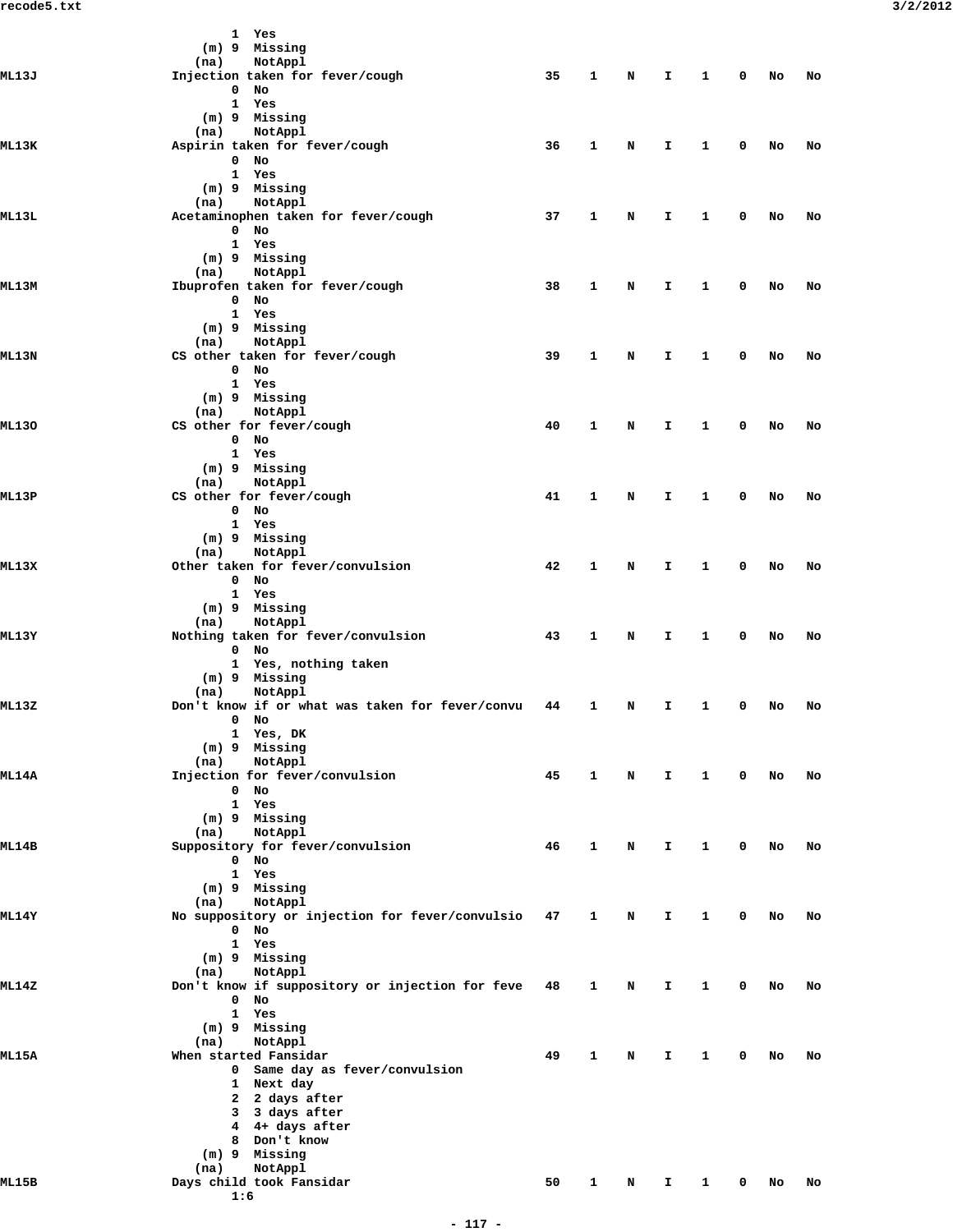|              | 1 Yes                                           |    |              |   |              |              |             |    |    |
|--------------|-------------------------------------------------|----|--------------|---|--------------|--------------|-------------|----|----|
|              | (m) 9 Missing                                   |    |              |   |              |              |             |    |    |
|              | NotAppl<br>(na)                                 |    |              |   |              |              |             |    |    |
| <b>ML13J</b> | Injection taken for fever/cough                 | 35 | $\mathbf{1}$ | N | I.           | $\mathbf{1}$ | 0           | No | No |
|              | $0$ No                                          |    |              |   |              |              |             |    |    |
|              | 1 Yes                                           |    |              |   |              |              |             |    |    |
|              | $(m)$ 9 Missing                                 |    |              |   |              |              |             |    |    |
|              |                                                 |    |              |   |              |              |             |    |    |
|              | (na)<br>NotAppl                                 |    |              |   |              |              |             |    |    |
| ML13K        | Aspirin taken for fever/cough                   | 36 | $\mathbf{1}$ | N | I.           | $\mathbf{1}$ | 0           | No | No |
|              | $0$ No                                          |    |              |   |              |              |             |    |    |
|              | 1 Yes                                           |    |              |   |              |              |             |    |    |
|              | (m) 9 Missing                                   |    |              |   |              |              |             |    |    |
|              | NotAppl<br>(na)                                 |    |              |   |              |              |             |    |    |
|              |                                                 |    |              |   |              |              |             |    |    |
| ML13L        | Acetaminophen taken for fever/cough             | 37 | 1            | N | I.           | 1            | 0           | No | No |
|              | $0$ No                                          |    |              |   |              |              |             |    |    |
|              | 1 Yes                                           |    |              |   |              |              |             |    |    |
|              | (m) 9 Missing                                   |    |              |   |              |              |             |    |    |
|              | NotAppl<br>(na)                                 |    |              |   |              |              |             |    |    |
| ML 13M       | Ibuprofen taken for fever/cough                 | 38 | 1            | N | I.           | 1            | 0           | No | No |
|              |                                                 |    |              |   |              |              |             |    |    |
|              | $0$ No                                          |    |              |   |              |              |             |    |    |
|              | 1 Yes                                           |    |              |   |              |              |             |    |    |
|              | (m) 9 Missing                                   |    |              |   |              |              |             |    |    |
|              | NotAppl<br>(na)                                 |    |              |   |              |              |             |    |    |
| ML 13N       | CS other taken for fever/cough                  | 39 | $\mathbf{1}$ | N | I.           | $\mathbf{1}$ | 0           | No | No |
|              | $0$ No                                          |    |              |   |              |              |             |    |    |
|              |                                                 |    |              |   |              |              |             |    |    |
|              | 1 Yes                                           |    |              |   |              |              |             |    |    |
|              | (m) 9 Missing                                   |    |              |   |              |              |             |    |    |
|              | (na)<br>NotAppl                                 |    |              |   |              |              |             |    |    |
| <b>ML130</b> | CS other for fever/cough                        | 40 | 1            | N | I.           | 1            | 0           | No | No |
|              | $0$ No                                          |    |              |   |              |              |             |    |    |
|              |                                                 |    |              |   |              |              |             |    |    |
|              | 1 Yes                                           |    |              |   |              |              |             |    |    |
|              | (m) 9 Missing                                   |    |              |   |              |              |             |    |    |
|              | NotAppl<br>(na)                                 |    |              |   |              |              |             |    |    |
| ML13P        | CS other for fever/cough                        | 41 | 1            | N | I.           | 1            | 0           | No | No |
|              | $0$ No                                          |    |              |   |              |              |             |    |    |
|              | 1 Yes                                           |    |              |   |              |              |             |    |    |
|              |                                                 |    |              |   |              |              |             |    |    |
|              | (m) 9 Missing                                   |    |              |   |              |              |             |    |    |
|              | NotAppl<br>(na)                                 |    |              |   |              |              |             |    |    |
| ML13X        | Other taken for fever/convulsion                | 42 | 1            | N | $\mathbf{I}$ | 1            | 0           | No | No |
|              | $0$ No                                          |    |              |   |              |              |             |    |    |
|              | 1 Yes                                           |    |              |   |              |              |             |    |    |
|              | (m) 9 Missing                                   |    |              |   |              |              |             |    |    |
|              |                                                 |    |              |   |              |              |             |    |    |
|              | NotAppl<br>(na)                                 |    |              |   |              |              |             |    |    |
| ML13Y        | Nothing taken for fever/convulsion              | 43 | 1            | N | I.           | $\mathbf{1}$ | 0           | No | No |
|              | $0$ No                                          |    |              |   |              |              |             |    |    |
|              | 1 Yes, nothing taken                            |    |              |   |              |              |             |    |    |
|              | (m) 9 Missing                                   |    |              |   |              |              |             |    |    |
|              |                                                 |    |              |   |              |              |             |    |    |
|              | NotAppl<br>(na)                                 |    |              |   |              |              |             |    |    |
| ML13Z        | Don't know if or what was taken for fever/convu | 44 | $\mathbf{1}$ | N | I.           | 1            | 0           | No | No |
|              | $0$ No                                          |    |              |   |              |              |             |    |    |
|              | 1 Yes, DK                                       |    |              |   |              |              |             |    |    |
|              | (m) 9 Missing                                   |    |              |   |              |              |             |    |    |
|              | NotAppl                                         |    |              |   |              |              |             |    |    |
|              | (na)                                            |    |              |   |              |              |             |    |    |
| <b>ML14A</b> | Injection for fever/convulsion                  | 45 | $\mathbf{1}$ | N | Ι.           | $\mathbf{1}$ | $\mathbf 0$ | No | No |
|              | $0$ No                                          |    |              |   |              |              |             |    |    |
|              | 1 Yes                                           |    |              |   |              |              |             |    |    |
|              | (m) 9 Missing                                   |    |              |   |              |              |             |    |    |
|              | (na)<br>NotAppl                                 |    |              |   |              |              |             |    |    |
| <b>ML14B</b> |                                                 | 46 | $\mathbf{1}$ |   |              | 1            | 0           | No |    |
|              | Suppository for fever/convulsion                |    |              | N | I.           |              |             |    | No |
|              | $0$ No                                          |    |              |   |              |              |             |    |    |
|              | 1 Yes                                           |    |              |   |              |              |             |    |    |
|              | (m) 9 Missing                                   |    |              |   |              |              |             |    |    |
|              | NotAppl<br>(na)                                 |    |              |   |              |              |             |    |    |
| ML14Y        | No suppository or injection for fever/convulsio | 47 | $\mathbf{1}$ | N | I.           | 1            | 0           | No | No |
|              |                                                 |    |              |   |              |              |             |    |    |
|              | $\mathbf{O}$<br>No                              |    |              |   |              |              |             |    |    |
|              | 1 Yes                                           |    |              |   |              |              |             |    |    |
|              | (m) 9 Missing                                   |    |              |   |              |              |             |    |    |
|              | NotAppl<br>(na)                                 |    |              |   |              |              |             |    |    |
| ML14Z        | Don't know if suppository or injection for feve | 48 | $\mathbf{1}$ | N | I.           | 1            | 0           | No | No |
|              | $0$ No                                          |    |              |   |              |              |             |    |    |
|              |                                                 |    |              |   |              |              |             |    |    |
|              | 1 Yes                                           |    |              |   |              |              |             |    |    |
|              | (m) 9 Missing                                   |    |              |   |              |              |             |    |    |
|              | NotAppl<br>(na)                                 |    |              |   |              |              |             |    |    |
| <b>ML15A</b> | When started Fansidar                           | 49 | $\mathbf{1}$ | N | Ι.           | $\mathbf{1}$ | 0           | No | No |
|              | 0 Same day as fever/convulsion                  |    |              |   |              |              |             |    |    |
|              | 1 Next day                                      |    |              |   |              |              |             |    |    |
|              |                                                 |    |              |   |              |              |             |    |    |
|              | 2 2 days after                                  |    |              |   |              |              |             |    |    |
|              | 3 3 days after                                  |    |              |   |              |              |             |    |    |
|              | 4 4+ days after                                 |    |              |   |              |              |             |    |    |
|              | 8 Don't know                                    |    |              |   |              |              |             |    |    |
|              | (m) 9 Missing                                   |    |              |   |              |              |             |    |    |
|              |                                                 |    |              |   |              |              |             |    |    |
|              | (na)<br>NotAppl                                 |    |              |   |              |              |             |    |    |
| ML15B        | Days child took Fansidar                        | 50 | $\mathbf{1}$ | N | I.           | 1            | 0           | No | No |
|              | 1:6                                             |    |              |   |              |              |             |    |    |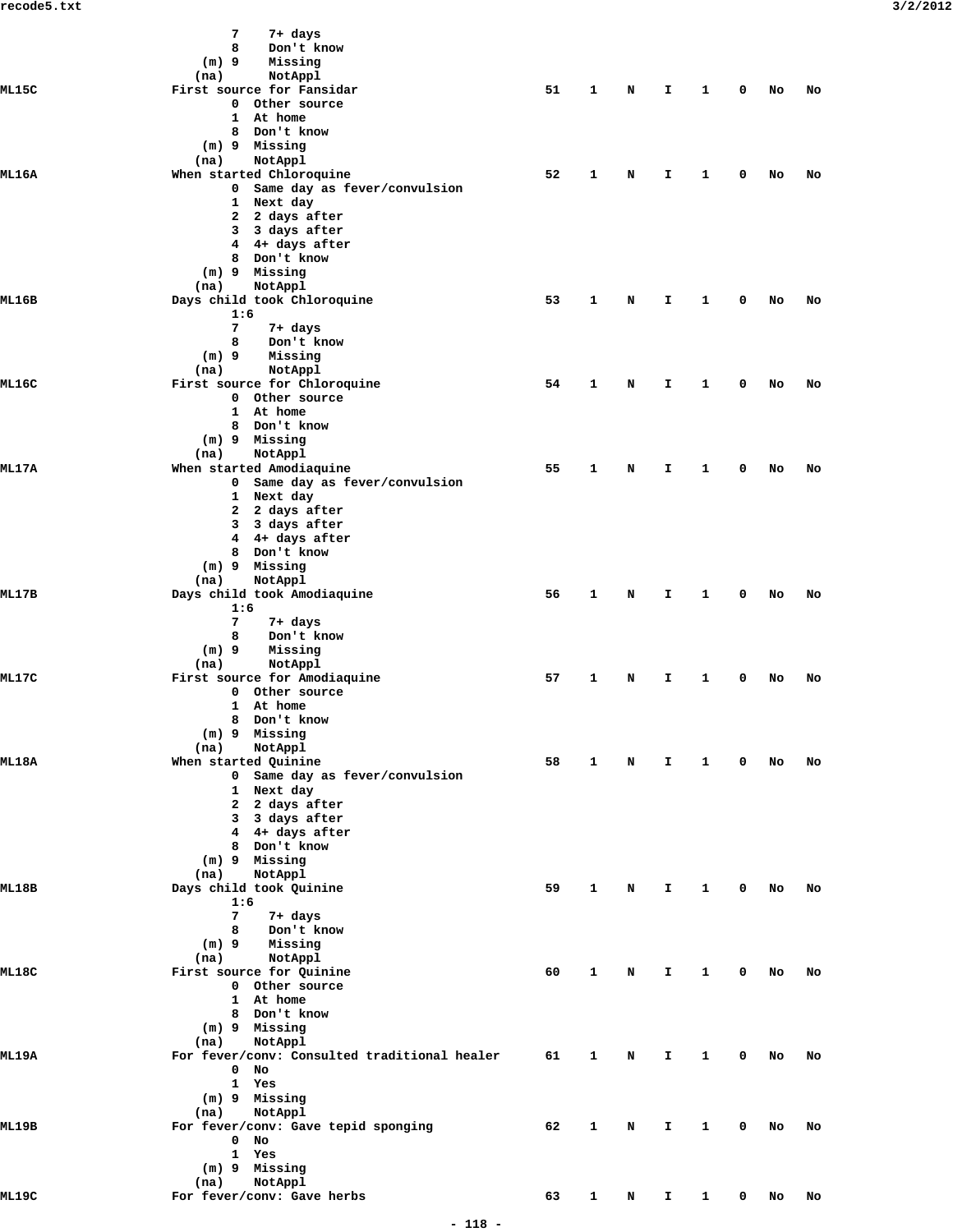|              | 7<br>7+ days                                 |                                                                |                         |                                                                                                                                                                                                                                                                                                                                                                                                                                                                                                                                                                                                                                  |             |              |    |          |  |
|--------------|----------------------------------------------|----------------------------------------------------------------|-------------------------|----------------------------------------------------------------------------------------------------------------------------------------------------------------------------------------------------------------------------------------------------------------------------------------------------------------------------------------------------------------------------------------------------------------------------------------------------------------------------------------------------------------------------------------------------------------------------------------------------------------------------------|-------------|--------------|----|----------|--|
|              | Don't know<br>8                              |                                                                |                         |                                                                                                                                                                                                                                                                                                                                                                                                                                                                                                                                                                                                                                  |             |              |    |          |  |
|              | Missing<br>$(m)$ 9                           |                                                                |                         |                                                                                                                                                                                                                                                                                                                                                                                                                                                                                                                                                                                                                                  |             |              |    |          |  |
|              | NotAppl<br>(na)                              |                                                                |                         |                                                                                                                                                                                                                                                                                                                                                                                                                                                                                                                                                                                                                                  |             |              |    |          |  |
| <b>ML15C</b> | First source for Fansidar                    |                                                                |                         | 1<br>$\mathbf{1}$<br>$\mathbf 0$<br>N<br>I.<br>No<br>No<br>1<br>N<br>$\mathbf{1}$<br>Ι.<br>0<br>No<br>No<br>1<br>1<br>N<br>Ι.<br>0<br>No<br>No<br>$\mathbf{1}$<br>N<br>I.<br>$\mathbf{1}$<br>$^{\circ}$<br>No<br>No<br>$\mathbf{1}$<br>$\mathbf{1}$<br>0<br>N<br>Ι.<br>No<br>No<br>1<br>0<br>N<br>Ι.<br>1<br>No<br>No<br>1<br>N<br>Ι.<br>1<br>0<br>No<br>No<br>$\mathbf{1}$<br>N<br>I.<br>$\mathbf{1}$<br>$\mathbf{0}$<br>No<br>No<br>$\mathbf{1}$<br>$\mathbf{1}$<br>$\mathbf 0$<br>N<br>I.<br>No<br>No<br>$\mathbf{1}$<br>N<br>I.<br>$\mathbf{1}$<br>$\mathbf{0}$<br>No<br>No<br>1<br>N<br>$\mathbf{1}$<br>I.<br>0<br>No<br>No |             |              |    |          |  |
|              | 0 Other source                               | 51<br>52<br>53<br>54<br>55<br>56<br>57<br>58<br>59<br>60<br>61 |                         |                                                                                                                                                                                                                                                                                                                                                                                                                                                                                                                                                                                                                                  |             |              |    |          |  |
|              | 1 At home<br>8 Don't know                    |                                                                |                         |                                                                                                                                                                                                                                                                                                                                                                                                                                                                                                                                                                                                                                  |             |              |    |          |  |
|              | $(m)$ 9 Missing                              |                                                                |                         |                                                                                                                                                                                                                                                                                                                                                                                                                                                                                                                                                                                                                                  |             |              |    |          |  |
|              | (na)<br>NotAppl                              |                                                                |                         |                                                                                                                                                                                                                                                                                                                                                                                                                                                                                                                                                                                                                                  |             |              |    |          |  |
| <b>ML16A</b> | When started Chloroquine                     |                                                                |                         |                                                                                                                                                                                                                                                                                                                                                                                                                                                                                                                                                                                                                                  |             |              |    |          |  |
|              | 0 Same day as fever/convulsion               |                                                                |                         |                                                                                                                                                                                                                                                                                                                                                                                                                                                                                                                                                                                                                                  |             |              |    | No<br>No |  |
|              | 1 Next day                                   |                                                                |                         |                                                                                                                                                                                                                                                                                                                                                                                                                                                                                                                                                                                                                                  |             | 0            |    |          |  |
|              | 2 2 days after                               |                                                                | 62<br>1<br>N<br>I.<br>1 |                                                                                                                                                                                                                                                                                                                                                                                                                                                                                                                                                                                                                                  |             |              |    |          |  |
|              | 3 days after<br>3                            |                                                                |                         |                                                                                                                                                                                                                                                                                                                                                                                                                                                                                                                                                                                                                                  |             |              |    |          |  |
|              | 4 4+ days after                              |                                                                |                         |                                                                                                                                                                                                                                                                                                                                                                                                                                                                                                                                                                                                                                  |             |              |    |          |  |
|              | 8 Don't know                                 |                                                                |                         |                                                                                                                                                                                                                                                                                                                                                                                                                                                                                                                                                                                                                                  |             |              |    |          |  |
|              | $(m)$ 9 Missing                              |                                                                |                         |                                                                                                                                                                                                                                                                                                                                                                                                                                                                                                                                                                                                                                  |             |              |    |          |  |
|              | NotAppl<br>(na)                              |                                                                |                         |                                                                                                                                                                                                                                                                                                                                                                                                                                                                                                                                                                                                                                  |             |              |    |          |  |
| ML16B        | Days child took Chloroquine                  |                                                                |                         |                                                                                                                                                                                                                                                                                                                                                                                                                                                                                                                                                                                                                                  |             |              |    |          |  |
|              | 1:6                                          |                                                                |                         |                                                                                                                                                                                                                                                                                                                                                                                                                                                                                                                                                                                                                                  |             |              |    |          |  |
|              | 7<br>7+ days<br>Don't know<br>8              |                                                                |                         |                                                                                                                                                                                                                                                                                                                                                                                                                                                                                                                                                                                                                                  |             |              |    |          |  |
|              | Missing<br>$(m)$ 9                           |                                                                |                         |                                                                                                                                                                                                                                                                                                                                                                                                                                                                                                                                                                                                                                  |             |              |    |          |  |
|              | NotAppl<br>(na)                              |                                                                |                         |                                                                                                                                                                                                                                                                                                                                                                                                                                                                                                                                                                                                                                  |             |              |    |          |  |
| ML16C        | First source for Chloroquine                 |                                                                |                         |                                                                                                                                                                                                                                                                                                                                                                                                                                                                                                                                                                                                                                  |             |              |    |          |  |
|              | 0 Other source                               |                                                                |                         |                                                                                                                                                                                                                                                                                                                                                                                                                                                                                                                                                                                                                                  |             |              |    |          |  |
|              | 1 At home                                    |                                                                |                         |                                                                                                                                                                                                                                                                                                                                                                                                                                                                                                                                                                                                                                  |             |              |    |          |  |
|              | 8 Don't know                                 |                                                                |                         |                                                                                                                                                                                                                                                                                                                                                                                                                                                                                                                                                                                                                                  |             |              |    |          |  |
|              | $(m)$ 9 Missing                              |                                                                |                         |                                                                                                                                                                                                                                                                                                                                                                                                                                                                                                                                                                                                                                  |             |              |    |          |  |
|              | NotAppl<br>(na)                              |                                                                |                         |                                                                                                                                                                                                                                                                                                                                                                                                                                                                                                                                                                                                                                  |             |              |    |          |  |
| <b>ML17A</b> | When started Amodiaquine                     |                                                                |                         |                                                                                                                                                                                                                                                                                                                                                                                                                                                                                                                                                                                                                                  |             |              |    |          |  |
|              | 0 Same day as fever/convulsion               |                                                                |                         |                                                                                                                                                                                                                                                                                                                                                                                                                                                                                                                                                                                                                                  |             |              |    |          |  |
|              | 1 Next day                                   |                                                                |                         |                                                                                                                                                                                                                                                                                                                                                                                                                                                                                                                                                                                                                                  |             |              |    |          |  |
|              | 2 2 days after<br>3 3 days after             |                                                                |                         |                                                                                                                                                                                                                                                                                                                                                                                                                                                                                                                                                                                                                                  |             |              |    |          |  |
|              | 4 4+ days after                              |                                                                |                         |                                                                                                                                                                                                                                                                                                                                                                                                                                                                                                                                                                                                                                  |             |              |    |          |  |
|              | 8 Don't know                                 |                                                                |                         |                                                                                                                                                                                                                                                                                                                                                                                                                                                                                                                                                                                                                                  |             |              |    |          |  |
|              | (m) 9 Missing                                |                                                                |                         |                                                                                                                                                                                                                                                                                                                                                                                                                                                                                                                                                                                                                                  |             |              |    |          |  |
|              | NotAppl<br>(na)                              |                                                                |                         |                                                                                                                                                                                                                                                                                                                                                                                                                                                                                                                                                                                                                                  |             |              |    |          |  |
| ML17B        | Days child took Amodiaquine                  |                                                                |                         |                                                                                                                                                                                                                                                                                                                                                                                                                                                                                                                                                                                                                                  |             |              |    |          |  |
|              | 1:6                                          |                                                                |                         |                                                                                                                                                                                                                                                                                                                                                                                                                                                                                                                                                                                                                                  |             |              |    |          |  |
|              | 7<br>7+ days                                 |                                                                |                         |                                                                                                                                                                                                                                                                                                                                                                                                                                                                                                                                                                                                                                  |             |              |    |          |  |
|              | Don't know<br>8                              |                                                                |                         |                                                                                                                                                                                                                                                                                                                                                                                                                                                                                                                                                                                                                                  |             |              |    |          |  |
|              | $(m)$ 9<br>Missing                           |                                                                |                         |                                                                                                                                                                                                                                                                                                                                                                                                                                                                                                                                                                                                                                  |             |              |    |          |  |
|              | NotAppl<br>(na)                              |                                                                |                         |                                                                                                                                                                                                                                                                                                                                                                                                                                                                                                                                                                                                                                  |             |              |    |          |  |
| <b>ML17C</b> | First source for Amodiaquine                 |                                                                |                         |                                                                                                                                                                                                                                                                                                                                                                                                                                                                                                                                                                                                                                  |             |              |    |          |  |
|              | 0 Other source                               |                                                                |                         |                                                                                                                                                                                                                                                                                                                                                                                                                                                                                                                                                                                                                                  |             |              |    |          |  |
|              | 1 At home<br>8 Don't know                    |                                                                |                         |                                                                                                                                                                                                                                                                                                                                                                                                                                                                                                                                                                                                                                  |             |              |    |          |  |
|              | (m) 9 Missing                                |                                                                |                         |                                                                                                                                                                                                                                                                                                                                                                                                                                                                                                                                                                                                                                  |             |              |    |          |  |
|              | NotAppl<br>(na)                              |                                                                |                         |                                                                                                                                                                                                                                                                                                                                                                                                                                                                                                                                                                                                                                  |             |              |    |          |  |
| ML18A        | When started Quinine                         |                                                                |                         |                                                                                                                                                                                                                                                                                                                                                                                                                                                                                                                                                                                                                                  |             |              |    |          |  |
|              | 0 Same day as fever/convulsion               |                                                                |                         |                                                                                                                                                                                                                                                                                                                                                                                                                                                                                                                                                                                                                                  |             |              |    |          |  |
|              | 1 Next day                                   |                                                                |                         |                                                                                                                                                                                                                                                                                                                                                                                                                                                                                                                                                                                                                                  |             |              |    |          |  |
|              | 2 2 days after                               |                                                                |                         |                                                                                                                                                                                                                                                                                                                                                                                                                                                                                                                                                                                                                                  |             |              |    |          |  |
|              | 3 3 days after                               |                                                                |                         |                                                                                                                                                                                                                                                                                                                                                                                                                                                                                                                                                                                                                                  |             |              |    |          |  |
|              | 4 4+ days after                              |                                                                |                         |                                                                                                                                                                                                                                                                                                                                                                                                                                                                                                                                                                                                                                  |             |              |    |          |  |
|              | 8 Don't know                                 |                                                                |                         |                                                                                                                                                                                                                                                                                                                                                                                                                                                                                                                                                                                                                                  |             |              |    |          |  |
|              | (m) 9 Missing                                |                                                                |                         |                                                                                                                                                                                                                                                                                                                                                                                                                                                                                                                                                                                                                                  |             |              |    |          |  |
|              | NotAppl<br>(na)                              |                                                                |                         |                                                                                                                                                                                                                                                                                                                                                                                                                                                                                                                                                                                                                                  |             |              |    |          |  |
| ML18B        | Days child took Quinine                      |                                                                |                         |                                                                                                                                                                                                                                                                                                                                                                                                                                                                                                                                                                                                                                  |             |              |    |          |  |
|              | 1:6                                          |                                                                |                         |                                                                                                                                                                                                                                                                                                                                                                                                                                                                                                                                                                                                                                  |             |              |    |          |  |
|              | $7\overline{ }$<br>7+ days<br>8              |                                                                |                         |                                                                                                                                                                                                                                                                                                                                                                                                                                                                                                                                                                                                                                  |             |              |    |          |  |
|              | Don't know<br>Missing<br>$(m)$ 9             |                                                                |                         |                                                                                                                                                                                                                                                                                                                                                                                                                                                                                                                                                                                                                                  |             |              |    |          |  |
|              | NotAppl<br>(na)                              |                                                                |                         |                                                                                                                                                                                                                                                                                                                                                                                                                                                                                                                                                                                                                                  |             |              |    |          |  |
| ML18C        | First source for Quinine                     |                                                                |                         |                                                                                                                                                                                                                                                                                                                                                                                                                                                                                                                                                                                                                                  |             |              |    |          |  |
|              | 0 Other source                               |                                                                |                         |                                                                                                                                                                                                                                                                                                                                                                                                                                                                                                                                                                                                                                  |             |              |    |          |  |
|              | 1 At home                                    |                                                                |                         |                                                                                                                                                                                                                                                                                                                                                                                                                                                                                                                                                                                                                                  |             |              |    |          |  |
|              | 8 Don't know                                 |                                                                |                         |                                                                                                                                                                                                                                                                                                                                                                                                                                                                                                                                                                                                                                  |             |              |    |          |  |
|              | (m) 9 Missing                                |                                                                |                         |                                                                                                                                                                                                                                                                                                                                                                                                                                                                                                                                                                                                                                  |             |              |    |          |  |
|              | NotAppl<br>(na)                              |                                                                |                         |                                                                                                                                                                                                                                                                                                                                                                                                                                                                                                                                                                                                                                  |             |              |    |          |  |
| <b>ML19A</b> | For fever/conv: Consulted traditional healer |                                                                |                         |                                                                                                                                                                                                                                                                                                                                                                                                                                                                                                                                                                                                                                  |             |              |    |          |  |
|              | $0$ No                                       |                                                                |                         |                                                                                                                                                                                                                                                                                                                                                                                                                                                                                                                                                                                                                                  |             |              |    |          |  |
|              | 1 Yes                                        |                                                                |                         |                                                                                                                                                                                                                                                                                                                                                                                                                                                                                                                                                                                                                                  |             |              |    |          |  |
|              | (m) 9 Missing                                |                                                                |                         |                                                                                                                                                                                                                                                                                                                                                                                                                                                                                                                                                                                                                                  |             |              |    |          |  |
|              | NotAppl<br>(na)                              |                                                                |                         |                                                                                                                                                                                                                                                                                                                                                                                                                                                                                                                                                                                                                                  |             |              |    |          |  |
| <b>ML19B</b> | For fever/conv: Gave tepid sponging          |                                                                |                         |                                                                                                                                                                                                                                                                                                                                                                                                                                                                                                                                                                                                                                  |             |              |    |          |  |
|              | $0$ No                                       |                                                                |                         |                                                                                                                                                                                                                                                                                                                                                                                                                                                                                                                                                                                                                                  |             |              |    |          |  |
|              | 1 Yes<br>(m) 9 Missing                       |                                                                |                         |                                                                                                                                                                                                                                                                                                                                                                                                                                                                                                                                                                                                                                  |             |              |    |          |  |
|              | NotAppl<br>(na)                              |                                                                |                         |                                                                                                                                                                                                                                                                                                                                                                                                                                                                                                                                                                                                                                  |             |              |    |          |  |
| ML19C        | For fever/conv: Gave herbs                   | 63                                                             | $\mathbf{1}$            | N                                                                                                                                                                                                                                                                                                                                                                                                                                                                                                                                                                                                                                | $1 \quad 1$ | $\mathbf{0}$ | No | No       |  |
|              |                                              |                                                                |                         |                                                                                                                                                                                                                                                                                                                                                                                                                                                                                                                                                                                                                                  |             |              |    |          |  |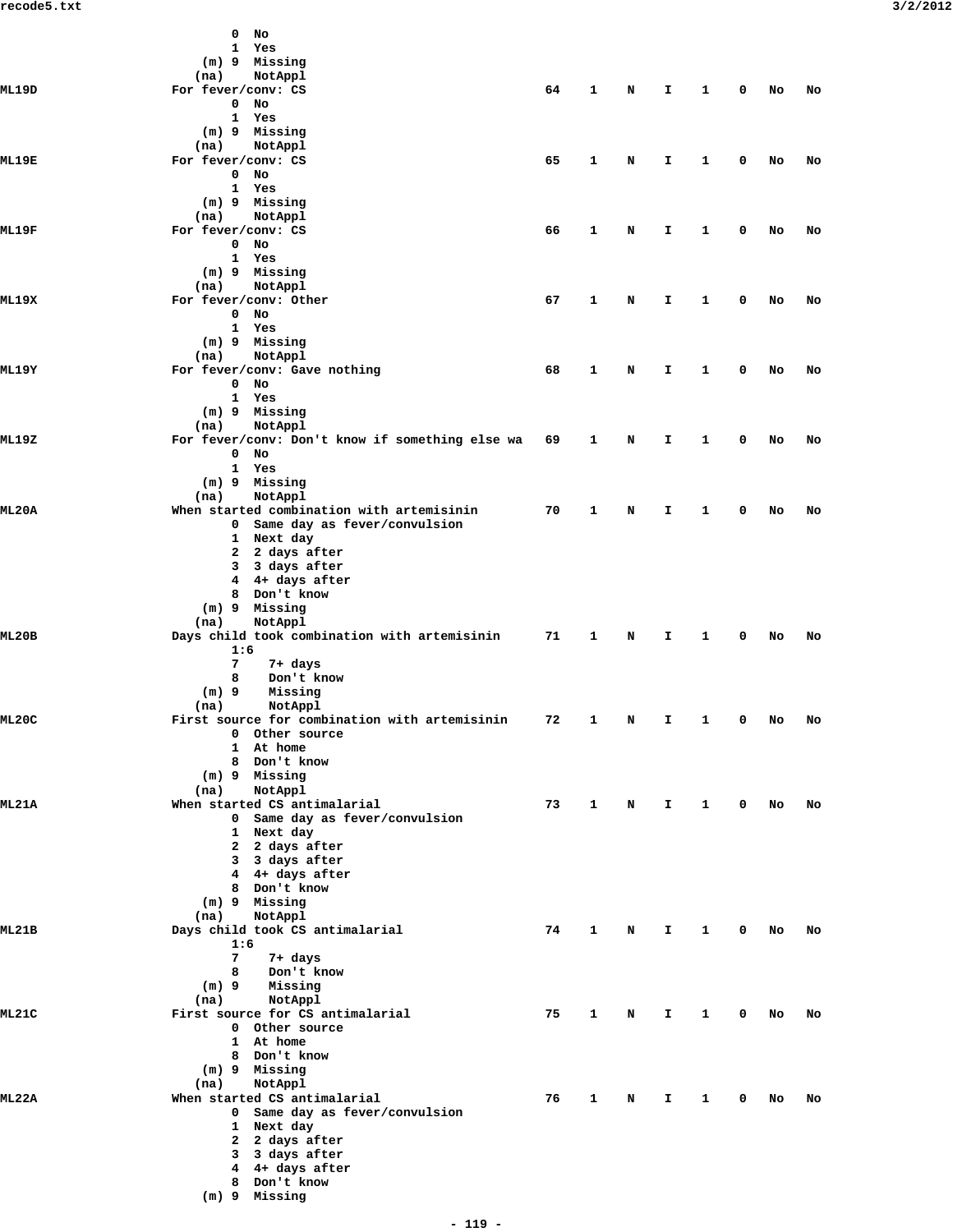|              | No<br>0                                                                     |    |              |             |    |              |             |      |    |  |
|--------------|-----------------------------------------------------------------------------|----|--------------|-------------|----|--------------|-------------|------|----|--|
|              | 1 Yes                                                                       |    |              |             |    |              |             |      |    |  |
|              | (m) 9 Missing                                                               |    |              |             |    |              |             |      |    |  |
|              | NotAppl<br>(na)                                                             |    |              |             |    |              |             |      |    |  |
| ML19D        | For fever/conv: CS                                                          | 64 | $\mathbf{1}$ | N           | I. | 1            | 0           | No   | No |  |
|              | $\mathbf 0$<br>No                                                           |    |              |             |    |              |             |      |    |  |
|              | 1 Yes                                                                       |    |              |             |    |              |             |      |    |  |
|              | (m) 9 Missing                                                               |    |              |             |    |              |             |      |    |  |
|              | (na)<br>NotAppl                                                             |    |              |             |    |              |             |      |    |  |
| <b>ML19E</b> | For fever/conv: CS                                                          | 65 | $\mathbf{1}$ | N           | I  | 1            | 0           | No   | No |  |
|              | $0$ No                                                                      |    |              |             |    |              |             |      |    |  |
|              | 1 Yes                                                                       |    |              |             |    |              |             |      |    |  |
|              | (m) 9 Missing                                                               |    |              |             |    |              |             |      |    |  |
|              | NotAppl<br>(na)                                                             |    |              |             |    |              |             |      |    |  |
| <b>ML19F</b> | For fever/conv: CS                                                          | 66 | $\mathbf{1}$ | N           | I  | 1            | 0           | No   | No |  |
|              | $0$ No                                                                      |    |              |             |    |              |             |      |    |  |
|              | 1 Yes                                                                       |    |              |             |    |              |             |      |    |  |
|              | (m) 9 Missing                                                               |    |              |             |    |              |             |      |    |  |
|              | NotAppl<br>(na)                                                             |    |              |             |    |              |             |      |    |  |
| ML19X        | For fever/conv: Other                                                       | 67 | $\mathbf{1}$ | N           | I  | 1            | 0           | No   | No |  |
|              | $0$ No                                                                      |    |              |             |    |              |             |      |    |  |
|              | 1<br>Yes                                                                    |    |              |             |    |              |             |      |    |  |
|              | $(m)$ 9 Missing                                                             |    |              |             |    |              |             |      |    |  |
|              | NotAppl<br>(na)                                                             |    |              |             |    |              |             |      |    |  |
| <b>ML19Y</b> | For fever/conv: Gave nothing                                                | 68 | $\mathbf{1}$ | N           | I  | 1            | 0           | No   | No |  |
|              | $0$ No                                                                      |    |              |             |    |              |             |      |    |  |
|              | 1 Yes                                                                       |    |              |             |    |              |             |      |    |  |
|              | (m) 9 Missing                                                               |    |              |             |    |              |             |      |    |  |
| ML19Z        | NotAppl<br>(na)<br>For fever/conv: Don't know if something else wa          | 69 | 1            | N           | I. | 1            | 0           | No   | No |  |
|              | $0$ No                                                                      |    |              |             |    |              |             |      |    |  |
|              | 1 Yes                                                                       |    |              |             |    |              |             |      |    |  |
|              | (m) 9 Missing                                                               |    |              |             |    |              |             |      |    |  |
|              | NotAppl<br>(na)                                                             |    |              |             |    |              |             |      |    |  |
| <b>ML20A</b> | When started combination with artemisinin                                   | 70 | 1            | N           | I  | 1            | 0           | No   | No |  |
|              | 0 Same day as fever/convulsion                                              |    |              |             |    |              |             |      |    |  |
|              | 1 Next day                                                                  |    |              |             |    |              |             |      |    |  |
|              | 2 2 days after                                                              |    |              |             |    |              |             |      |    |  |
|              | 3 3 days after                                                              |    |              |             |    |              |             |      |    |  |
|              | 4 4+ days after                                                             |    |              |             |    |              |             |      |    |  |
|              | 8 Don't know                                                                |    |              |             |    |              |             |      |    |  |
|              | (m) 9 Missing                                                               |    |              |             |    |              |             |      |    |  |
|              | NotAppl<br>(na)                                                             |    |              |             |    |              |             |      |    |  |
| <b>ML20B</b> | Days child took combination with artemisinin                                | 71 | 1            | N           | I  | 1            | 0           | No   | No |  |
|              | 1:6                                                                         |    |              |             |    |              |             |      |    |  |
|              | 7<br>7+ days                                                                |    |              |             |    |              |             |      |    |  |
|              | 8<br>Don't know                                                             |    |              |             |    |              |             |      |    |  |
|              | Missing<br>$(m)$ 9                                                          |    |              |             |    |              |             |      |    |  |
| <b>ML20C</b> | NotAppl<br>(na)<br>First source for combination with artemisinin 12 1 N I 1 |    |              |             |    |              |             |      |    |  |
|              | Other source<br>0                                                           |    |              |             |    |              |             | 0 No | No |  |
|              | 1 At home                                                                   |    |              |             |    |              |             |      |    |  |
|              | 8 Don't know                                                                |    |              |             |    |              |             |      |    |  |
|              | (m) 9 Missing                                                               |    |              |             |    |              |             |      |    |  |
|              | (na)<br>NotAppl                                                             |    |              |             |    |              |             |      |    |  |
| <b>ML21A</b> | When started CS antimalarial                                                | 73 | $\mathbf{1}$ | $\mathbf N$ | I. | $\mathbf{1}$ | $\mathbf 0$ | No   | No |  |
|              | 0 Same day as fever/convulsion                                              |    |              |             |    |              |             |      |    |  |
|              | 1 Next day                                                                  |    |              |             |    |              |             |      |    |  |
|              | 2 2 days after                                                              |    |              |             |    |              |             |      |    |  |
|              | 3 3 days after                                                              |    |              |             |    |              |             |      |    |  |
|              | 4 4+ days after                                                             |    |              |             |    |              |             |      |    |  |
|              | 8 Don't know                                                                |    |              |             |    |              |             |      |    |  |
|              | (m) 9 Missing                                                               |    |              |             |    |              |             |      |    |  |
|              | NotAppl<br>(na)                                                             |    |              |             |    |              |             |      |    |  |
| ML21B        | Days child took CS antimalarial                                             | 74 | $\mathbf{1}$ | N           | I. | $\mathbf{1}$ | $\mathbf 0$ | No   | No |  |
|              | 1:6                                                                         |    |              |             |    |              |             |      |    |  |
|              | 7<br>7+ days                                                                |    |              |             |    |              |             |      |    |  |
|              | Don't know<br>8                                                             |    |              |             |    |              |             |      |    |  |
|              | Missing<br>$(m)$ 9                                                          |    |              |             |    |              |             |      |    |  |
|              | NotAppl<br>(na)                                                             |    |              |             |    |              |             |      |    |  |
| <b>ML21C</b> | First source for CS antimalarial<br>0 Other source                          | 75 | $\mathbf{1}$ | N           | I. | $\mathbf{1}$ | $\mathbf 0$ | No   | No |  |
|              | 1 At home                                                                   |    |              |             |    |              |             |      |    |  |
|              | 8 Don't know                                                                |    |              |             |    |              |             |      |    |  |
|              | (m) 9 Missing                                                               |    |              |             |    |              |             |      |    |  |
|              | NotAppl<br>(na)                                                             |    |              |             |    |              |             |      |    |  |
| <b>ML22A</b> | When started CS antimalarial                                                | 76 | $\mathbf{1}$ | N           | I. | $\mathbf{1}$ | 0           | No   | No |  |
|              | 0 Same day as fever/convulsion                                              |    |              |             |    |              |             |      |    |  |
|              | 1 Next day                                                                  |    |              |             |    |              |             |      |    |  |
|              | 2 2 days after                                                              |    |              |             |    |              |             |      |    |  |
|              | 3 3 days after                                                              |    |              |             |    |              |             |      |    |  |
|              | 4 4+ days after                                                             |    |              |             |    |              |             |      |    |  |
|              | 8 Don't know                                                                |    |              |             |    |              |             |      |    |  |
|              | $(m)$ 9 Missing                                                             |    |              |             |    |              |             |      |    |  |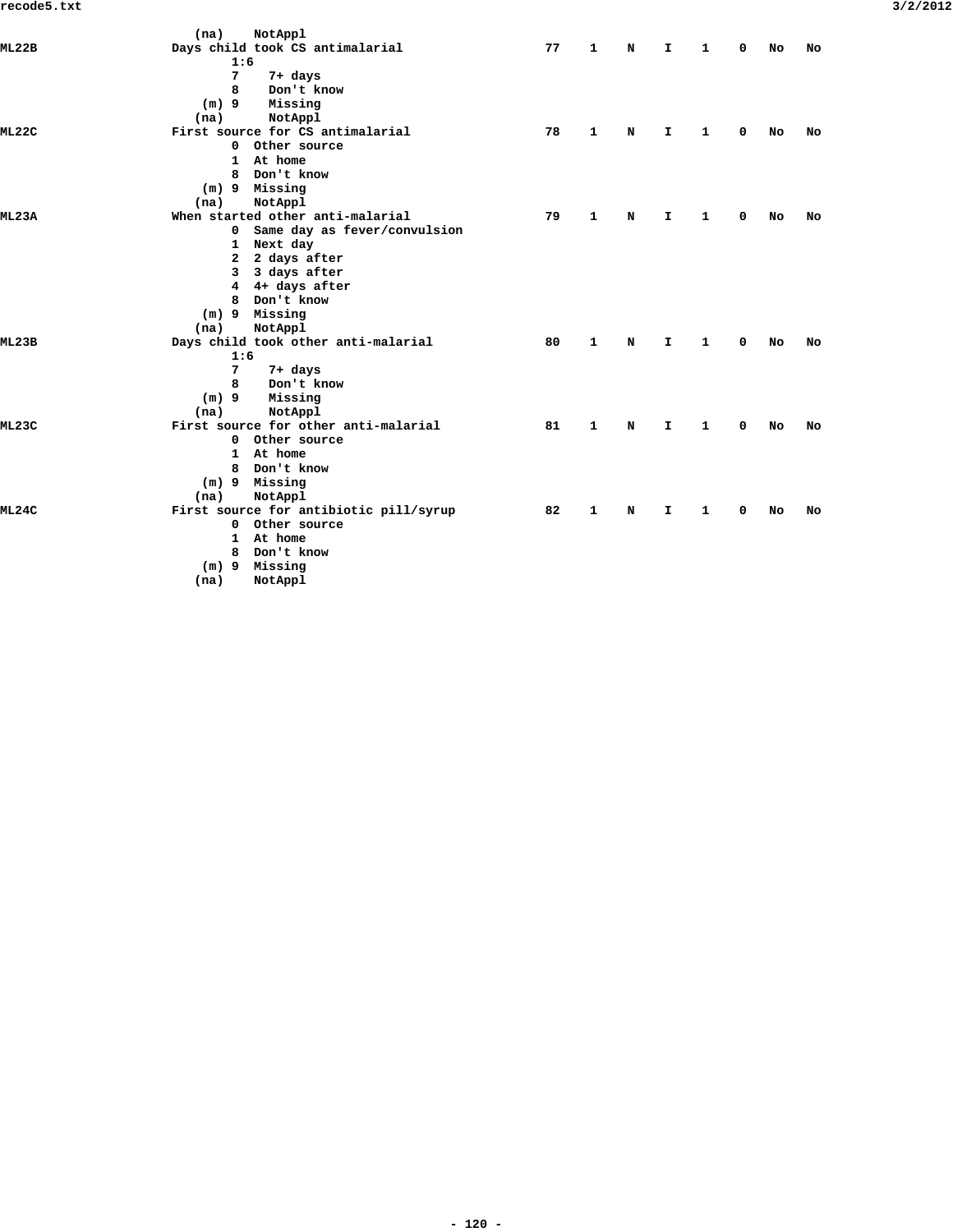|              | (na)<br>NotAppl                        |    |              |             |    |   |   |    |    |
|--------------|----------------------------------------|----|--------------|-------------|----|---|---|----|----|
| ML22B        | Days child took CS antimalarial        | 77 | 1            | N           | I. | 1 | 0 | No | No |
|              | 1:6                                    |    |              |             |    |   |   |    |    |
|              | 7<br>7+ days                           |    |              |             |    |   |   |    |    |
|              | 8<br>Don't know                        |    |              |             |    |   |   |    |    |
|              | $(m)$ 9<br>Missing                     |    |              |             |    |   |   |    |    |
|              | NotAppl<br>(na)                        |    |              |             |    |   |   |    |    |
| ML22C        | First source for CS antimalarial       | 78 | $\mathbf{1}$ | N           | I. | 1 | 0 | No | No |
|              | 0 Other source                         |    |              |             |    |   |   |    |    |
|              | 1 At home                              |    |              |             |    |   |   |    |    |
|              | Don't know<br>8                        |    |              |             |    |   |   |    |    |
|              | Missing<br>(m) 9                       |    |              |             |    |   |   |    |    |
|              | NotAppl<br>(na)                        |    |              |             |    |   |   |    |    |
| <b>ML23A</b> | When started other anti-malarial       | 79 | 1            | N           | I. | 1 | 0 | No | No |
|              | 0 Same day as fever/convulsion         |    |              |             |    |   |   |    |    |
|              | 1 Next day                             |    |              |             |    |   |   |    |    |
|              | 2 2 days after                         |    |              |             |    |   |   |    |    |
|              | 3 3 days after                         |    |              |             |    |   |   |    |    |
|              | 4 4+ days after                        |    |              |             |    |   |   |    |    |
|              | Don't know<br>8                        |    |              |             |    |   |   |    |    |
|              | $(m)$ 9 Missing                        |    |              |             |    |   |   |    |    |
|              | NotAppl<br>(na)                        |    |              |             |    |   |   |    |    |
| ML23B        | Days child took other anti-malarial    | 80 | 1            | $\mathbf N$ | I. | 1 | 0 | No | No |
|              | 1:6                                    |    |              |             |    |   |   |    |    |
|              | $7\phantom{.0}$<br>7+ days             |    |              |             |    |   |   |    |    |
|              | Don't know<br>8                        |    |              |             |    |   |   |    |    |
|              | $(m)$ 9<br>Missing                     |    |              |             |    |   |   |    |    |
|              | NotAppl<br>(na)                        |    |              |             |    |   |   |    |    |
| ML23C        | First source for other anti-malarial   | 81 | $\mathbf{1}$ | N           | I. | 1 | 0 | No | No |
|              | 0 Other source                         |    |              |             |    |   |   |    |    |
|              | 1 At home                              |    |              |             |    |   |   |    |    |
|              | 8 Don't know                           |    |              |             |    |   |   |    |    |
|              | (m) 9 Missing                          |    |              |             |    |   |   |    |    |
|              | NotAppl<br>(na)                        |    |              |             |    |   |   |    |    |
| ML24C        | First source for antibiotic pill/syrup | 82 | 1            | N           | I. | 1 | 0 | No | No |
|              | 0 Other source                         |    |              |             |    |   |   |    |    |
|              | 1 At home                              |    |              |             |    |   |   |    |    |
|              | Don't know<br>8                        |    |              |             |    |   |   |    |    |
|              | (m) 9 Missing                          |    |              |             |    |   |   |    |    |
|              | NotAppl<br>(na)                        |    |              |             |    |   |   |    |    |
|              |                                        |    |              |             |    |   |   |    |    |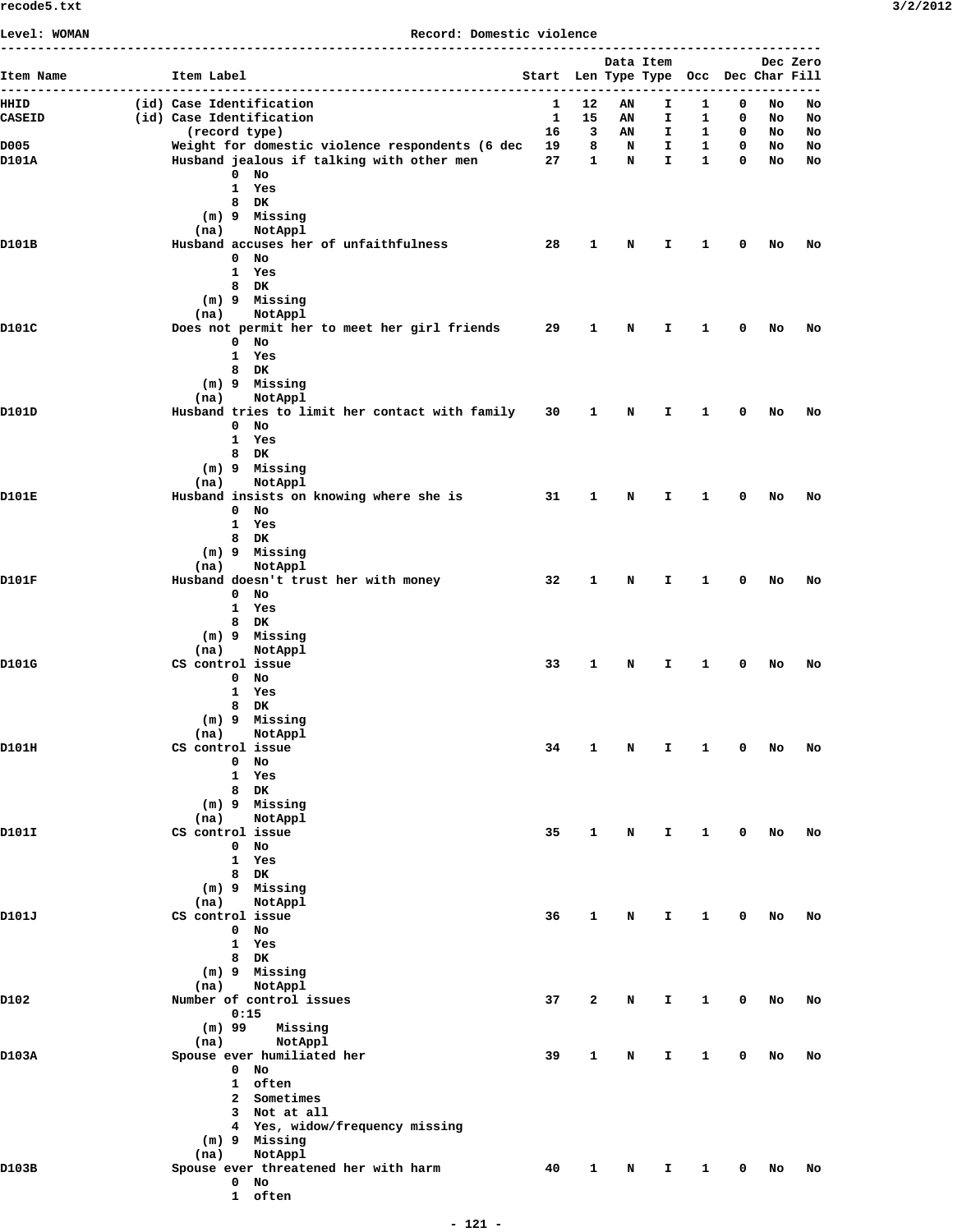| Level: WOMAN             | Record: Domestic violence                                                                    |  |                                       |                      |                   |                    |                              |                  |          |          |
|--------------------------|----------------------------------------------------------------------------------------------|--|---------------------------------------|----------------------|-------------------|--------------------|------------------------------|------------------|----------|----------|
| Item Name<br>----------- | Item Label                                                                                   |  | Start Len Type Type Occ Dec Char Fill |                      | Data Item         |                    |                              |                  |          | Dec Zero |
| HHID                     | (id) Case Identification                                                                     |  | 1                                     | 12                   | AN                | Ι.                 | 1.                           | 0                | No       | No       |
| <b>CASEID</b>            | (id) Case Identification                                                                     |  | <sup>1</sup>                          | 15                   | AN                | Ι.                 | 1                            | 0                | NO       | No       |
| D005                     | (record type)                                                                                |  |                                       | $16$ 3               | AN                | I.                 | $\mathbf{1}$                 | $\mathbf 0$      | NO       | No       |
| D101A                    | Weight for domestic violence respondents (6 dec<br>Husband jealous if talking with other men |  | 27                                    | 19 8<br>$\mathbf{1}$ | $\mathbf{N}$<br>N | I.<br>$\mathbf{I}$ | $\mathbf{1}$<br>$\mathbf{1}$ | $\mathbf 0$<br>0 | No<br>No | No<br>No |
|                          | $0$ No                                                                                       |  |                                       |                      |                   |                    |                              |                  |          |          |
|                          | 1 Yes                                                                                        |  |                                       |                      |                   |                    |                              |                  |          |          |
|                          | 8 DK                                                                                         |  |                                       |                      |                   |                    |                              |                  |          |          |
|                          | (m) 9 Missing                                                                                |  |                                       |                      |                   |                    |                              |                  |          |          |
| D101B                    | NotAppl<br>(na)<br>Husband accuses her of unfaithfulness                                     |  | -28                                   | $\mathbf{1}$         | N                 | Ι.                 | 1                            | 0                | No       | No       |
|                          | $0$ No                                                                                       |  |                                       |                      |                   |                    |                              |                  |          |          |
|                          | 1 Yes                                                                                        |  |                                       |                      |                   |                    |                              |                  |          |          |
|                          | 8 DK                                                                                         |  |                                       |                      |                   |                    |                              |                  |          |          |
|                          | (m) 9 Missing                                                                                |  |                                       |                      |                   |                    |                              |                  |          |          |
| D101C                    | (na)<br>NotAppl<br>Does not permit her to meet her girl friends                              |  | 29                                    | 1                    | N                 | T.                 | $\mathbf{1}$                 | 0                | No       | No       |
|                          | $0$ No                                                                                       |  |                                       |                      |                   |                    |                              |                  |          |          |
|                          | 1 Yes                                                                                        |  |                                       |                      |                   |                    |                              |                  |          |          |
|                          | 8 DK                                                                                         |  |                                       |                      |                   |                    |                              |                  |          |          |
|                          | (m) 9 Missing                                                                                |  |                                       |                      |                   |                    |                              |                  |          |          |
| D101D                    | (na)<br>NotAppl<br>Husband tries to limit her contact with family 30                         |  |                                       | 1                    | N                 | I.                 | 1                            | 0                | No       | No       |
|                          | $0$ No                                                                                       |  |                                       |                      |                   |                    |                              |                  |          |          |
|                          | 1 Yes                                                                                        |  |                                       |                      |                   |                    |                              |                  |          |          |
|                          | 8 DK                                                                                         |  |                                       |                      |                   |                    |                              |                  |          |          |
|                          | (m) 9 Missing                                                                                |  |                                       |                      |                   |                    |                              |                  |          |          |
| D101E                    | (na)<br>NotAppl                                                                              |  | 31                                    | $\mathbf{1}$         | N                 | T.                 | $\mathbf{1}$                 | 0                | No       | No       |
|                          | Husband insists on knowing where she is<br>$0$ No                                            |  |                                       |                      |                   |                    |                              |                  |          |          |
|                          | 1 Yes                                                                                        |  |                                       |                      |                   |                    |                              |                  |          |          |
|                          | 8 DK                                                                                         |  |                                       |                      |                   |                    |                              |                  |          |          |
|                          | (m) 9 Missing                                                                                |  |                                       |                      |                   |                    |                              |                  |          |          |
|                          | (na)<br>NotAppl                                                                              |  |                                       |                      |                   |                    |                              |                  |          |          |
| D101F                    | Husband doesn't trust her with money<br>$0$ No                                               |  | 32                                    | $\mathbf{1}$         | N                 | Ι.                 | 1                            | 0                | No       | No       |
|                          | 1 Yes                                                                                        |  |                                       |                      |                   |                    |                              |                  |          |          |
|                          | 8 DK                                                                                         |  |                                       |                      |                   |                    |                              |                  |          |          |
|                          | (m) 9 Missing                                                                                |  |                                       |                      |                   |                    |                              |                  |          |          |
| D101G                    | (na)<br>NotAppl<br>CS control issue                                                          |  | 33                                    | $\mathbf{1}$         | N                 | T.                 | $\mathbf{1}$                 | 0                | No       | No       |
|                          | $0$ No                                                                                       |  |                                       |                      |                   |                    |                              |                  |          |          |
|                          | 1 Yes                                                                                        |  |                                       |                      |                   |                    |                              |                  |          |          |
|                          | 8 DK                                                                                         |  |                                       |                      |                   |                    |                              |                  |          |          |
|                          | (m) 9 Missing                                                                                |  |                                       |                      |                   |                    |                              |                  |          |          |
| D101H                    | NotAppl<br>(na)<br>CS control issue                                                          |  | 34                                    | 1                    | N                 | Ι.                 | 1                            | 0                | No       | No       |
|                          | $0$ No                                                                                       |  |                                       |                      |                   |                    |                              |                  |          |          |
|                          | 1 Yes                                                                                        |  |                                       |                      |                   |                    |                              |                  |          |          |
|                          | 8 DK                                                                                         |  |                                       |                      |                   |                    |                              |                  |          |          |
|                          | (m) 9 Missing                                                                                |  |                                       |                      |                   |                    |                              |                  |          |          |
| D101I                    | NotAppl<br>(na)<br>CS control issue                                                          |  | 35                                    | 1                    | N                 | I.                 | $\mathbf{1}$                 | $\mathbf 0$      | NO       | No       |
|                          | $0$ No                                                                                       |  |                                       |                      |                   |                    |                              |                  |          |          |
|                          | 1 Yes                                                                                        |  |                                       |                      |                   |                    |                              |                  |          |          |
|                          | 8 DK                                                                                         |  |                                       |                      |                   |                    |                              |                  |          |          |
|                          | (m) 9 Missing                                                                                |  |                                       |                      |                   |                    |                              |                  |          |          |
| D101J                    | (na)<br>NotAppl<br>CS control issue                                                          |  | 36                                    | $\mathbf{1}$         | N                 | $\mathbf{T}$       | $\mathbf{1}$                 | $\mathbf 0$      | No       | No       |
|                          | $0$ No                                                                                       |  |                                       |                      |                   |                    |                              |                  |          |          |
|                          | 1 Yes                                                                                        |  |                                       |                      |                   |                    |                              |                  |          |          |
|                          | 8 DK                                                                                         |  |                                       |                      |                   |                    |                              |                  |          |          |
|                          | (m) 9 Missing                                                                                |  |                                       |                      |                   |                    |                              |                  |          |          |
| D102                     | NotAppl<br>(na)<br>Number of control issues                                                  |  | 37                                    | 2                    | N                 | Ι.                 | 1                            | 0                | No       | No       |
|                          | 0:15                                                                                         |  |                                       |                      |                   |                    |                              |                  |          |          |
|                          | $(m)$ 99<br>Missing                                                                          |  |                                       |                      |                   |                    |                              |                  |          |          |
|                          | (na)<br>NotAppl                                                                              |  |                                       |                      |                   |                    |                              |                  |          |          |
| D103A                    | Spouse ever humiliated her                                                                   |  | 39                                    | 1                    | N                 | I.                 | 1                            | 0                | No       | No       |
|                          | $0$ No<br>1 often                                                                            |  |                                       |                      |                   |                    |                              |                  |          |          |
|                          | 2 Sometimes                                                                                  |  |                                       |                      |                   |                    |                              |                  |          |          |
|                          | 3 Not at all                                                                                 |  |                                       |                      |                   |                    |                              |                  |          |          |
|                          | 4 Yes, widow/frequency missing                                                               |  |                                       |                      |                   |                    |                              |                  |          |          |
|                          | (m) 9 Missing                                                                                |  |                                       |                      |                   |                    |                              |                  |          |          |
|                          | NotAppl<br>(na)                                                                              |  |                                       |                      |                   |                    |                              |                  |          |          |
| D103B                    | Spouse ever threatened her with harm<br>$0$ No                                               |  | 40                                    | 1                    | N                 | I.                 | 1                            | 0                | No       | No       |
|                          | 1 often                                                                                      |  |                                       |                      |                   |                    |                              |                  |          |          |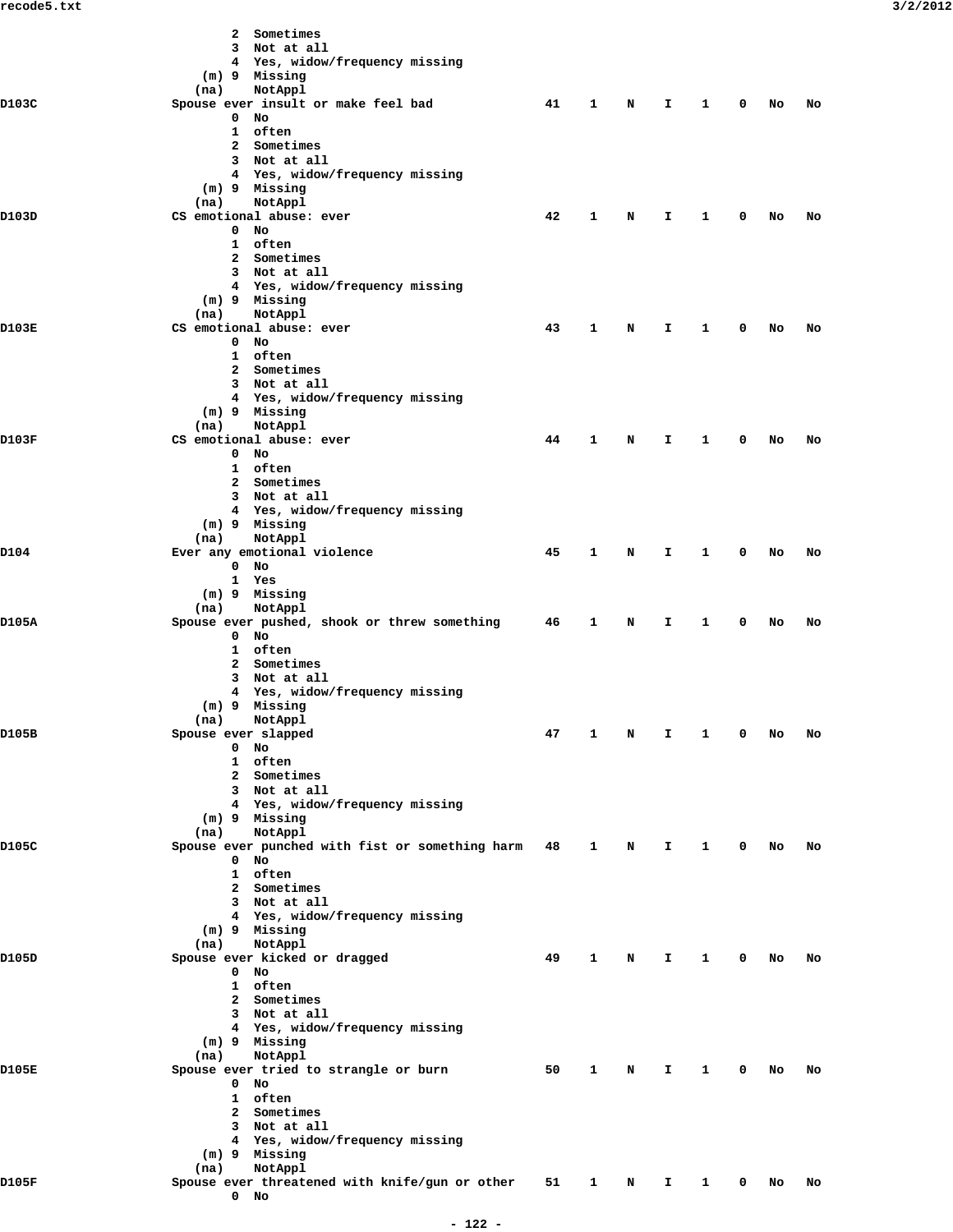|       | Sometimes<br>2                                               |    |              |   |    |              |   |    |    |
|-------|--------------------------------------------------------------|----|--------------|---|----|--------------|---|----|----|
|       | 3 Not at all                                                 |    |              |   |    |              |   |    |    |
|       | 4 Yes, widow/frequency missing                               |    |              |   |    |              |   |    |    |
|       | (m) 9 Missing                                                |    |              |   |    |              |   |    |    |
| D103C | NotAppl<br>(na)<br>Spouse ever insult or make feel bad       | 41 | 1            | N | I. | 1            | 0 | No | No |
|       | $0$ No                                                       |    |              |   |    |              |   |    |    |
|       | 1 often                                                      |    |              |   |    |              |   |    |    |
|       | 2 Sometimes                                                  |    |              |   |    |              |   |    |    |
|       | 3 Not at all                                                 |    |              |   |    |              |   |    |    |
|       | 4 Yes, widow/frequency missing                               |    |              |   |    |              |   |    |    |
|       | (m) 9 Missing                                                |    |              |   |    |              |   |    |    |
| D103D | NotAppl<br>(na)<br>CS emotional abuse: ever                  | 42 | 1            | N | I  | 1            | 0 | No | No |
|       | $0$ No                                                       |    |              |   |    |              |   |    |    |
|       | 1 often                                                      |    |              |   |    |              |   |    |    |
|       | 2 Sometimes                                                  |    |              |   |    |              |   |    |    |
|       | 3 Not at all                                                 |    |              |   |    |              |   |    |    |
|       | 4 Yes, widow/frequency missing                               |    |              |   |    |              |   |    |    |
|       | (m) 9 Missing<br>NotAppl                                     |    |              |   |    |              |   |    |    |
| D103E | (na)<br>CS emotional abuse: ever                             | 43 | 1            | N | I. | 1            | 0 | No | No |
|       | $0$ No                                                       |    |              |   |    |              |   |    |    |
|       | 1 often                                                      |    |              |   |    |              |   |    |    |
|       | 2 Sometimes                                                  |    |              |   |    |              |   |    |    |
|       | 3 Not at all                                                 |    |              |   |    |              |   |    |    |
|       | 4 Yes, widow/frequency missing                               |    |              |   |    |              |   |    |    |
|       | (m) 9 Missing<br>NotAppl                                     |    |              |   |    |              |   |    |    |
| D103F | (na)<br>CS emotional abuse: ever                             | 44 | 1            | N | I. | 1            | 0 | No | No |
|       | $0$ No                                                       |    |              |   |    |              |   |    |    |
|       | 1 often                                                      |    |              |   |    |              |   |    |    |
|       | 2 Sometimes                                                  |    |              |   |    |              |   |    |    |
|       | 3 Not at all                                                 |    |              |   |    |              |   |    |    |
|       | 4 Yes, widow/frequency missing                               |    |              |   |    |              |   |    |    |
|       | (m) 9 Missing                                                |    |              |   |    |              |   |    |    |
| D104  | NotAppl<br>(na)<br>Ever any emotional violence               | 45 | 1            | N | I. | 1            | 0 | No | No |
|       | $0$ No                                                       |    |              |   |    |              |   |    |    |
|       | 1 Yes                                                        |    |              |   |    |              |   |    |    |
|       | (m) 9 Missing                                                |    |              |   |    |              |   |    |    |
|       | NotAppl<br>(na)                                              |    |              |   |    |              |   |    |    |
| D105A | Spouse ever pushed, shook or threw something<br>$0$ No       | 46 | 1            | N | I  | 1            | 0 | No | No |
|       | 1 often                                                      |    |              |   |    |              |   |    |    |
|       | 2 Sometimes                                                  |    |              |   |    |              |   |    |    |
|       | 3 Not at all                                                 |    |              |   |    |              |   |    |    |
|       | 4 Yes, widow/frequency missing                               |    |              |   |    |              |   |    |    |
|       | (m) 9 Missing                                                |    |              |   |    |              |   |    |    |
|       | (na) NotAppl                                                 |    |              |   |    |              |   |    |    |
| D105B | Spouse ever slapped<br>$0$ No                                | 47 | 1            | N | I  | 1            | 0 | No | No |
|       | 1 often                                                      |    |              |   |    |              |   |    |    |
|       | 2 Sometimes                                                  |    |              |   |    |              |   |    |    |
|       | 3 Not at all                                                 |    |              |   |    |              |   |    |    |
|       | 4 Yes, widow/frequency missing                               |    |              |   |    |              |   |    |    |
|       | (m) 9 Missing                                                |    |              |   |    |              |   |    |    |
|       | NotAppl<br>(na)                                              |    |              |   |    |              |   |    |    |
| D105C | Spouse ever punched with fist or something harm 48<br>$0$ No |    | 1            | N | I. | 1            | 0 | No | No |
|       | 1 often                                                      |    |              |   |    |              |   |    |    |
|       | 2 Sometimes                                                  |    |              |   |    |              |   |    |    |
|       | 3 Not at all                                                 |    |              |   |    |              |   |    |    |
|       | 4 Yes, widow/frequency missing                               |    |              |   |    |              |   |    |    |
|       | (m) 9 Missing                                                |    |              |   |    |              |   |    |    |
|       | NotAppl<br>(na)                                              |    |              |   |    |              |   |    |    |
| D105D | Spouse ever kicked or dragged<br>$0$ No                      | 49 | $\mathbf{1}$ | N | I. | 1            | 0 | No | No |
|       | 1 often                                                      |    |              |   |    |              |   |    |    |
|       | 2 Sometimes                                                  |    |              |   |    |              |   |    |    |
|       | 3 Not at all                                                 |    |              |   |    |              |   |    |    |
|       | 4 Yes, widow/frequency missing                               |    |              |   |    |              |   |    |    |
|       | (m) 9 Missing                                                |    |              |   |    |              |   |    |    |
|       | NotAppl<br>(na)                                              |    |              |   |    |              |   |    |    |
| D105E | Spouse ever tried to strangle or burn<br>$0$ No              | 50 | 1            | N | I. | 1            | 0 | No | No |
|       | 1 often                                                      |    |              |   |    |              |   |    |    |
|       | 2 Sometimes                                                  |    |              |   |    |              |   |    |    |
|       | 3 Not at all                                                 |    |              |   |    |              |   |    |    |
|       | 4 Yes, widow/frequency missing                               |    |              |   |    |              |   |    |    |
|       | $(m)$ 9 Missing                                              |    |              |   |    |              |   |    |    |
|       | NotAppl<br>(na)                                              |    |              |   |    |              |   |    |    |
| D105F | Spouse ever threatened with knife/gun or other<br>$0$ No     | 51 | $\mathbf{1}$ | N | I. | $\mathbf{1}$ | 0 | No | No |
|       |                                                              |    |              |   |    |              |   |    |    |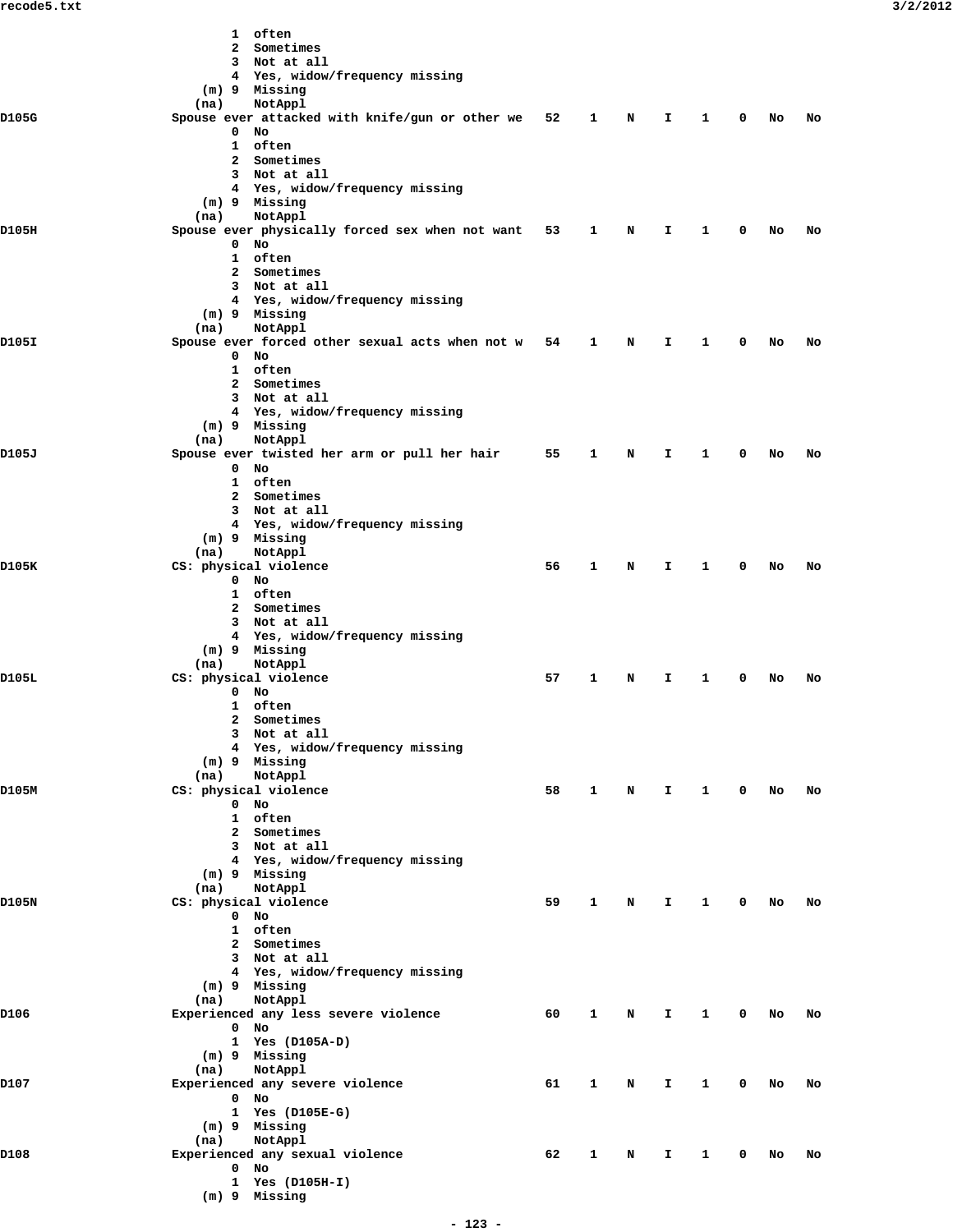|       | 1 often<br>2 Sometimes                          |    |              |   |              |              |             |    |    |
|-------|-------------------------------------------------|----|--------------|---|--------------|--------------|-------------|----|----|
|       | 3 Not at all                                    |    |              |   |              |              |             |    |    |
|       | 4 Yes, widow/frequency missing                  |    |              |   |              |              |             |    |    |
|       | (m) 9 Missing                                   |    |              |   |              |              |             |    |    |
|       | (na)<br>NotAppl                                 |    |              |   |              |              |             |    |    |
| D105G | Spouse ever attacked with knife/gun or other we | 52 | 1            | N | Ι.           | 1            | 0           | No | No |
|       | $0$ No                                          |    |              |   |              |              |             |    |    |
|       | 1 often<br>2 Sometimes                          |    |              |   |              |              |             |    |    |
|       | 3 Not at all                                    |    |              |   |              |              |             |    |    |
|       | 4 Yes, widow/frequency missing                  |    |              |   |              |              |             |    |    |
|       | $(m)$ 9 Missing                                 |    |              |   |              |              |             |    |    |
|       | (na)<br>NotAppl                                 |    |              |   |              |              |             |    |    |
| D105H | Spouse ever physically forced sex when not want | 53 | 1            | N | Ι.           | 1            | 0           | No | No |
|       | $0$ No<br>1 often                               |    |              |   |              |              |             |    |    |
|       | 2 Sometimes                                     |    |              |   |              |              |             |    |    |
|       | 3 Not at all                                    |    |              |   |              |              |             |    |    |
|       | 4 Yes, widow/frequency missing                  |    |              |   |              |              |             |    |    |
|       | (m) 9 Missing                                   |    |              |   |              |              |             |    |    |
|       | (na)<br>NotAppl                                 |    |              |   |              |              |             |    |    |
| D105I | Spouse ever forced other sexual acts when not w | 54 | 1            | N | I.           | $\mathbf{1}$ | 0           | No | No |
|       | $0$ No<br>1 often                               |    |              |   |              |              |             |    |    |
|       | 2 Sometimes                                     |    |              |   |              |              |             |    |    |
|       | 3 Not at all                                    |    |              |   |              |              |             |    |    |
|       | 4 Yes, widow/frequency missing                  |    |              |   |              |              |             |    |    |
|       | (m) 9 Missing                                   |    |              |   |              |              |             |    |    |
|       | NotAppl<br>(na)                                 |    |              |   |              |              |             |    |    |
| D105J | Spouse ever twisted her arm or pull her hair    | 55 | 1            | N | Ι.           | 1            | 0           | No | No |
|       | $0$ No<br>1 often                               |    |              |   |              |              |             |    |    |
|       | 2 Sometimes                                     |    |              |   |              |              |             |    |    |
|       | 3 Not at all                                    |    |              |   |              |              |             |    |    |
|       | 4 Yes, widow/frequency missing                  |    |              |   |              |              |             |    |    |
|       | (m) 9 Missing                                   |    |              |   |              |              |             |    |    |
|       | NotAppl<br>(na)                                 |    |              |   |              |              |             |    |    |
| D105K | CS: physical violence                           | 56 | 1            | N | Ι.           | 1            | 0           | No | No |
|       | $0$ No<br>1 often                               |    |              |   |              |              |             |    |    |
|       | 2 Sometimes                                     |    |              |   |              |              |             |    |    |
|       | 3 Not at all                                    |    |              |   |              |              |             |    |    |
|       | 4 Yes, widow/frequency missing                  |    |              |   |              |              |             |    |    |
|       | (m) 9 Missing                                   |    |              |   |              |              |             |    |    |
|       | NotAppl<br>(na)                                 |    |              |   |              |              |             |    |    |
| D105L | CS: physical violence<br>$0$ No                 | 57 | 1            | N | Ι.           | 1            | 0           | No | No |
|       | 1 often                                         |    |              |   |              |              |             |    |    |
|       | 2<br>Sometimes                                  |    |              |   |              |              |             |    |    |
|       | Not at all<br>3                                 |    |              |   |              |              |             |    |    |
|       | 4 Yes, widow/frequency missing                  |    |              |   |              |              |             |    |    |
|       | $(m)$ 9 Missing                                 |    |              |   |              |              |             |    |    |
|       | NotAppl<br>(na)                                 |    |              |   |              |              |             |    |    |
| D105M | CS: physical violence                           | 58 | $\mathbf{1}$ | N | I.           | $\mathbf{1}$ | $\mathbf 0$ | No | No |
|       | $0$ No<br>1 often                               |    |              |   |              |              |             |    |    |
|       | 2 Sometimes                                     |    |              |   |              |              |             |    |    |
|       | 3 Not at all                                    |    |              |   |              |              |             |    |    |
|       | 4 Yes, widow/frequency missing                  |    |              |   |              |              |             |    |    |
|       | $(m)$ 9 Missing                                 |    |              |   |              |              |             |    |    |
|       | NotAppl<br>(na)                                 |    |              |   |              |              |             |    |    |
| D105N | CS: physical violence                           | 59 | 1            | N | I.           | $\mathbf{1}$ | 0           | No | No |
|       | $0$ No<br>1 often                               |    |              |   |              |              |             |    |    |
|       | 2 Sometimes                                     |    |              |   |              |              |             |    |    |
|       | 3 Not at all                                    |    |              |   |              |              |             |    |    |
|       | 4 Yes, widow/frequency missing                  |    |              |   |              |              |             |    |    |
|       | (m) 9 Missing                                   |    |              |   |              |              |             |    |    |
|       | NotAppl<br>(na)                                 |    |              |   |              |              |             |    |    |
| D106  | Experienced any less severe violence            | 60 | 1            | N | I.           | 1            | 0           | No | No |
|       | $0$ No<br>1 Yes (D105A-D)                       |    |              |   |              |              |             |    |    |
|       | (m) 9 Missing                                   |    |              |   |              |              |             |    |    |
|       | NotAppl<br>(na)                                 |    |              |   |              |              |             |    |    |
| D107  | Experienced any severe violence                 | 61 | $\mathbf{1}$ | N | $\mathbf{I}$ | $\mathbf{1}$ | 0           | No | No |
|       | $0$ No                                          |    |              |   |              |              |             |    |    |
|       | 1 Yes (D105E-G)                                 |    |              |   |              |              |             |    |    |
|       | $(m)$ 9 Missing                                 |    |              |   |              |              |             |    |    |
|       | NotAppl<br>(na)                                 |    |              |   |              |              |             |    |    |
| D108  | Experienced any sexual violence<br>$0$ No       | 62 | $\mathbf{1}$ | N | I.           | 1            | 0           | No | No |
|       | 1 Yes (D105H-I)                                 |    |              |   |              |              |             |    |    |
|       |                                                 |    |              |   |              |              |             |    |    |

 **(m) 9 Missing**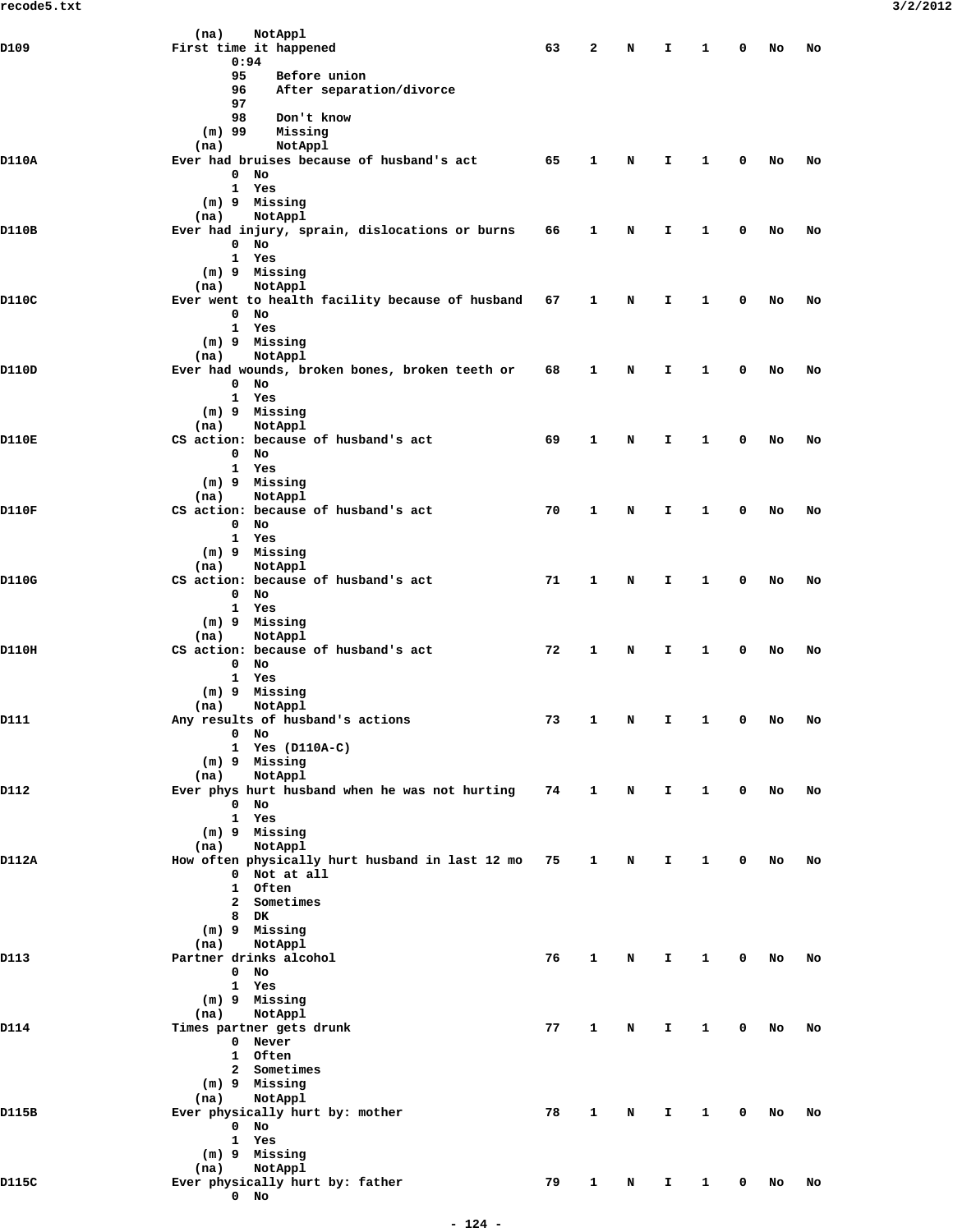|                                                                                                                                                                                                                                                                                                                                                                                                                                                                                                                                                                                                                                                                                                                                                                                                                                                                                                                                                                                                                                                                                                                                                                                                                                                                                                                                                                                                                                                                                                                                                                                                                                                                                                                                                                                                                                                                                                                                                                                                                                            | After separation/divorce<br>96                               |                                                                                                                                                                                                                                                                                                                    |   |   |    |   |    |    |
|--------------------------------------------------------------------------------------------------------------------------------------------------------------------------------------------------------------------------------------------------------------------------------------------------------------------------------------------------------------------------------------------------------------------------------------------------------------------------------------------------------------------------------------------------------------------------------------------------------------------------------------------------------------------------------------------------------------------------------------------------------------------------------------------------------------------------------------------------------------------------------------------------------------------------------------------------------------------------------------------------------------------------------------------------------------------------------------------------------------------------------------------------------------------------------------------------------------------------------------------------------------------------------------------------------------------------------------------------------------------------------------------------------------------------------------------------------------------------------------------------------------------------------------------------------------------------------------------------------------------------------------------------------------------------------------------------------------------------------------------------------------------------------------------------------------------------------------------------------------------------------------------------------------------------------------------------------------------------------------------------------------------------------------------|--------------------------------------------------------------|--------------------------------------------------------------------------------------------------------------------------------------------------------------------------------------------------------------------------------------------------------------------------------------------------------------------|---|---|----|---|----|----|
|                                                                                                                                                                                                                                                                                                                                                                                                                                                                                                                                                                                                                                                                                                                                                                                                                                                                                                                                                                                                                                                                                                                                                                                                                                                                                                                                                                                                                                                                                                                                                                                                                                                                                                                                                                                                                                                                                                                                                                                                                                            |                                                              |                                                                                                                                                                                                                                                                                                                    |   |   |    |   |    |    |
|                                                                                                                                                                                                                                                                                                                                                                                                                                                                                                                                                                                                                                                                                                                                                                                                                                                                                                                                                                                                                                                                                                                                                                                                                                                                                                                                                                                                                                                                                                                                                                                                                                                                                                                                                                                                                                                                                                                                                                                                                                            |                                                              |                                                                                                                                                                                                                                                                                                                    |   |   |    |   |    |    |
|                                                                                                                                                                                                                                                                                                                                                                                                                                                                                                                                                                                                                                                                                                                                                                                                                                                                                                                                                                                                                                                                                                                                                                                                                                                                                                                                                                                                                                                                                                                                                                                                                                                                                                                                                                                                                                                                                                                                                                                                                                            |                                                              |                                                                                                                                                                                                                                                                                                                    |   |   |    |   |    |    |
|                                                                                                                                                                                                                                                                                                                                                                                                                                                                                                                                                                                                                                                                                                                                                                                                                                                                                                                                                                                                                                                                                                                                                                                                                                                                                                                                                                                                                                                                                                                                                                                                                                                                                                                                                                                                                                                                                                                                                                                                                                            |                                                              |                                                                                                                                                                                                                                                                                                                    |   |   |    |   |    |    |
|                                                                                                                                                                                                                                                                                                                                                                                                                                                                                                                                                                                                                                                                                                                                                                                                                                                                                                                                                                                                                                                                                                                                                                                                                                                                                                                                                                                                                                                                                                                                                                                                                                                                                                                                                                                                                                                                                                                                                                                                                                            |                                                              |                                                                                                                                                                                                                                                                                                                    |   |   |    |   |    |    |
|                                                                                                                                                                                                                                                                                                                                                                                                                                                                                                                                                                                                                                                                                                                                                                                                                                                                                                                                                                                                                                                                                                                                                                                                                                                                                                                                                                                                                                                                                                                                                                                                                                                                                                                                                                                                                                                                                                                                                                                                                                            |                                                              |                                                                                                                                                                                                                                                                                                                    |   | N | Ι. | 0 | No | No |
|                                                                                                                                                                                                                                                                                                                                                                                                                                                                                                                                                                                                                                                                                                                                                                                                                                                                                                                                                                                                                                                                                                                                                                                                                                                                                                                                                                                                                                                                                                                                                                                                                                                                                                                                                                                                                                                                                                                                                                                                                                            | 0<br>No                                                      |                                                                                                                                                                                                                                                                                                                    |   |   |    |   |    |    |
|                                                                                                                                                                                                                                                                                                                                                                                                                                                                                                                                                                                                                                                                                                                                                                                                                                                                                                                                                                                                                                                                                                                                                                                                                                                                                                                                                                                                                                                                                                                                                                                                                                                                                                                                                                                                                                                                                                                                                                                                                                            |                                                              |                                                                                                                                                                                                                                                                                                                    |   |   |    |   |    |    |
|                                                                                                                                                                                                                                                                                                                                                                                                                                                                                                                                                                                                                                                                                                                                                                                                                                                                                                                                                                                                                                                                                                                                                                                                                                                                                                                                                                                                                                                                                                                                                                                                                                                                                                                                                                                                                                                                                                                                                                                                                                            |                                                              |                                                                                                                                                                                                                                                                                                                    |   |   |    |   |    |    |
|                                                                                                                                                                                                                                                                                                                                                                                                                                                                                                                                                                                                                                                                                                                                                                                                                                                                                                                                                                                                                                                                                                                                                                                                                                                                                                                                                                                                                                                                                                                                                                                                                                                                                                                                                                                                                                                                                                                                                                                                                                            |                                                              |                                                                                                                                                                                                                                                                                                                    |   |   |    |   |    |    |
|                                                                                                                                                                                                                                                                                                                                                                                                                                                                                                                                                                                                                                                                                                                                                                                                                                                                                                                                                                                                                                                                                                                                                                                                                                                                                                                                                                                                                                                                                                                                                                                                                                                                                                                                                                                                                                                                                                                                                                                                                                            |                                                              |                                                                                                                                                                                                                                                                                                                    |   |   |    |   |    |    |
|                                                                                                                                                                                                                                                                                                                                                                                                                                                                                                                                                                                                                                                                                                                                                                                                                                                                                                                                                                                                                                                                                                                                                                                                                                                                                                                                                                                                                                                                                                                                                                                                                                                                                                                                                                                                                                                                                                                                                                                                                                            |                                                              |                                                                                                                                                                                                                                                                                                                    |   | N | I  | 0 | No | No |
|                                                                                                                                                                                                                                                                                                                                                                                                                                                                                                                                                                                                                                                                                                                                                                                                                                                                                                                                                                                                                                                                                                                                                                                                                                                                                                                                                                                                                                                                                                                                                                                                                                                                                                                                                                                                                                                                                                                                                                                                                                            | No<br>$\mathbf 0$                                            |                                                                                                                                                                                                                                                                                                                    |   |   |    |   |    |    |
|                                                                                                                                                                                                                                                                                                                                                                                                                                                                                                                                                                                                                                                                                                                                                                                                                                                                                                                                                                                                                                                                                                                                                                                                                                                                                                                                                                                                                                                                                                                                                                                                                                                                                                                                                                                                                                                                                                                                                                                                                                            |                                                              |                                                                                                                                                                                                                                                                                                                    |   |   |    |   |    |    |
|                                                                                                                                                                                                                                                                                                                                                                                                                                                                                                                                                                                                                                                                                                                                                                                                                                                                                                                                                                                                                                                                                                                                                                                                                                                                                                                                                                                                                                                                                                                                                                                                                                                                                                                                                                                                                                                                                                                                                                                                                                            |                                                              |                                                                                                                                                                                                                                                                                                                    |   |   |    |   |    |    |
|                                                                                                                                                                                                                                                                                                                                                                                                                                                                                                                                                                                                                                                                                                                                                                                                                                                                                                                                                                                                                                                                                                                                                                                                                                                                                                                                                                                                                                                                                                                                                                                                                                                                                                                                                                                                                                                                                                                                                                                                                                            |                                                              |                                                                                                                                                                                                                                                                                                                    |   |   |    |   |    |    |
|                                                                                                                                                                                                                                                                                                                                                                                                                                                                                                                                                                                                                                                                                                                                                                                                                                                                                                                                                                                                                                                                                                                                                                                                                                                                                                                                                                                                                                                                                                                                                                                                                                                                                                                                                                                                                                                                                                                                                                                                                                            |                                                              |                                                                                                                                                                                                                                                                                                                    |   |   |    |   |    |    |
|                                                                                                                                                                                                                                                                                                                                                                                                                                                                                                                                                                                                                                                                                                                                                                                                                                                                                                                                                                                                                                                                                                                                                                                                                                                                                                                                                                                                                                                                                                                                                                                                                                                                                                                                                                                                                                                                                                                                                                                                                                            |                                                              | 67                                                                                                                                                                                                                                                                                                                 | 1 | N | Ι. | 0 | No | No |
|                                                                                                                                                                                                                                                                                                                                                                                                                                                                                                                                                                                                                                                                                                                                                                                                                                                                                                                                                                                                                                                                                                                                                                                                                                                                                                                                                                                                                                                                                                                                                                                                                                                                                                                                                                                                                                                                                                                                                                                                                                            | $\mathbf 0$<br>No                                            |                                                                                                                                                                                                                                                                                                                    |   |   |    |   |    |    |
|                                                                                                                                                                                                                                                                                                                                                                                                                                                                                                                                                                                                                                                                                                                                                                                                                                                                                                                                                                                                                                                                                                                                                                                                                                                                                                                                                                                                                                                                                                                                                                                                                                                                                                                                                                                                                                                                                                                                                                                                                                            |                                                              |                                                                                                                                                                                                                                                                                                                    |   |   |    |   |    |    |
|                                                                                                                                                                                                                                                                                                                                                                                                                                                                                                                                                                                                                                                                                                                                                                                                                                                                                                                                                                                                                                                                                                                                                                                                                                                                                                                                                                                                                                                                                                                                                                                                                                                                                                                                                                                                                                                                                                                                                                                                                                            |                                                              |                                                                                                                                                                                                                                                                                                                    |   |   |    |   |    |    |
|                                                                                                                                                                                                                                                                                                                                                                                                                                                                                                                                                                                                                                                                                                                                                                                                                                                                                                                                                                                                                                                                                                                                                                                                                                                                                                                                                                                                                                                                                                                                                                                                                                                                                                                                                                                                                                                                                                                                                                                                                                            |                                                              |                                                                                                                                                                                                                                                                                                                    |   |   |    |   |    |    |
|                                                                                                                                                                                                                                                                                                                                                                                                                                                                                                                                                                                                                                                                                                                                                                                                                                                                                                                                                                                                                                                                                                                                                                                                                                                                                                                                                                                                                                                                                                                                                                                                                                                                                                                                                                                                                                                                                                                                                                                                                                            |                                                              |                                                                                                                                                                                                                                                                                                                    |   |   |    |   |    |    |
|                                                                                                                                                                                                                                                                                                                                                                                                                                                                                                                                                                                                                                                                                                                                                                                                                                                                                                                                                                                                                                                                                                                                                                                                                                                                                                                                                                                                                                                                                                                                                                                                                                                                                                                                                                                                                                                                                                                                                                                                                                            |                                                              |                                                                                                                                                                                                                                                                                                                    |   | N | Ι. | 0 | No | No |
|                                                                                                                                                                                                                                                                                                                                                                                                                                                                                                                                                                                                                                                                                                                                                                                                                                                                                                                                                                                                                                                                                                                                                                                                                                                                                                                                                                                                                                                                                                                                                                                                                                                                                                                                                                                                                                                                                                                                                                                                                                            | $0$ No                                                       |                                                                                                                                                                                                                                                                                                                    |   |   |    |   |    |    |
|                                                                                                                                                                                                                                                                                                                                                                                                                                                                                                                                                                                                                                                                                                                                                                                                                                                                                                                                                                                                                                                                                                                                                                                                                                                                                                                                                                                                                                                                                                                                                                                                                                                                                                                                                                                                                                                                                                                                                                                                                                            |                                                              |                                                                                                                                                                                                                                                                                                                    |   |   |    |   |    |    |
|                                                                                                                                                                                                                                                                                                                                                                                                                                                                                                                                                                                                                                                                                                                                                                                                                                                                                                                                                                                                                                                                                                                                                                                                                                                                                                                                                                                                                                                                                                                                                                                                                                                                                                                                                                                                                                                                                                                                                                                                                                            |                                                              |                                                                                                                                                                                                                                                                                                                    |   |   |    |   |    |    |
|                                                                                                                                                                                                                                                                                                                                                                                                                                                                                                                                                                                                                                                                                                                                                                                                                                                                                                                                                                                                                                                                                                                                                                                                                                                                                                                                                                                                                                                                                                                                                                                                                                                                                                                                                                                                                                                                                                                                                                                                                                            |                                                              |                                                                                                                                                                                                                                                                                                                    |   |   |    |   |    |    |
|                                                                                                                                                                                                                                                                                                                                                                                                                                                                                                                                                                                                                                                                                                                                                                                                                                                                                                                                                                                                                                                                                                                                                                                                                                                                                                                                                                                                                                                                                                                                                                                                                                                                                                                                                                                                                                                                                                                                                                                                                                            |                                                              |                                                                                                                                                                                                                                                                                                                    |   |   |    |   |    |    |
|                                                                                                                                                                                                                                                                                                                                                                                                                                                                                                                                                                                                                                                                                                                                                                                                                                                                                                                                                                                                                                                                                                                                                                                                                                                                                                                                                                                                                                                                                                                                                                                                                                                                                                                                                                                                                                                                                                                                                                                                                                            |                                                              |                                                                                                                                                                                                                                                                                                                    |   |   |    | 0 | No | No |
|                                                                                                                                                                                                                                                                                                                                                                                                                                                                                                                                                                                                                                                                                                                                                                                                                                                                                                                                                                                                                                                                                                                                                                                                                                                                                                                                                                                                                                                                                                                                                                                                                                                                                                                                                                                                                                                                                                                                                                                                                                            | $\mathbf 0$<br>No                                            |                                                                                                                                                                                                                                                                                                                    |   |   |    |   |    |    |
| (na)<br>NotAppl<br>D109<br>First time it happened<br>63<br>2<br>I<br>N<br>0:94<br>95<br>Before union<br>97<br>98<br>Don't know<br>$(m)$ 99<br>Missing<br>NotAppl<br>(na)<br>D110A<br>Ever had bruises because of husband's act<br>65<br>1<br>1 Yes<br>(m) 9 Missing<br>NotAppl<br>(na)<br>D110B<br>Ever had injury, sprain, dislocations or burns<br>66<br>1<br>1 Yes<br>(m) 9 Missing<br>NotAppl<br>(na)<br>D110C<br>Ever went to health facility because of husband<br>1 Yes<br>(m) 9 Missing<br>NotAppl<br>(na)<br>D110D<br>Ever had wounds, broken bones, broken teeth or<br>68<br>1<br>1 Yes<br>(m) 9 Missing<br>NotAppl<br>(na)<br>D110E<br>CS action: because of husband's act<br>69<br>1<br>N<br>I.<br>1 Yes<br>(m) 9 Missing<br>NotAppl<br>(na)<br>D110F<br>CS action: because of husband's act<br>70<br>1<br>N<br>I<br>0<br>No<br>1 Yes<br>(m) 9 Missing<br>NotAppl<br>(na)<br>D110G<br>CS action: because of husband's act<br>71<br>$\mathbf{1}$<br>N<br>Ι.<br>$\mathbf{0}$<br>No<br>1 Yes<br>(m) 9 Missing<br>NotAppl<br>(na)<br>D110H<br>CS action: because of husband's act<br>72<br>1<br>N<br>Ι.<br>0<br>No<br>$\mathbf{1}$<br>Yes<br>(m) 9 Missing<br>NotAppl<br>(na)<br>D111<br>Any results of husband's actions<br>73<br>1<br>N<br>I<br>$0$ No<br>1 Yes (D110A-C)<br>(m) 9 Missing<br>NotAppl<br>(na)<br>Ever phys hurt husband when he was not hurting<br>D112<br>74<br>$\mathbf{1}$<br>N<br>Ι.<br>$0$ No<br>1 Yes<br>(m) 9 Missing<br>NotAppl<br>(na)<br>How often physically hurt husband in last 12 mo<br>D112A<br>75<br>$\mathbf{1}$<br>N<br>I.<br>0 Not at all<br>1 Often<br>2 Sometimes<br>8 DK<br>(m) 9 Missing<br>NotAppl<br>(na)<br>Partner drinks alcohol<br>D113<br>76<br>1<br>N<br>I.<br>$0$ No<br>1 Yes<br>(m) 9 Missing<br>NotAppl<br>(na)<br>Times partner gets drunk<br>D114<br>77<br>$\mathbf{1}$<br>N<br>Ι.<br>0 Never<br>1 Often<br>2 Sometimes<br>(m) 9 Missing<br>NotAppl<br>(na)<br>Ever physically hurt by: mother<br>D115B<br>78<br>$\mathbf{1}$<br>N<br>I.<br>$0$ No<br>1 Yes<br>(m) 9 Missing |                                                              |                                                                                                                                                                                                                                                                                                                    |   |   |    |   |    |    |
|                                                                                                                                                                                                                                                                                                                                                                                                                                                                                                                                                                                                                                                                                                                                                                                                                                                                                                                                                                                                                                                                                                                                                                                                                                                                                                                                                                                                                                                                                                                                                                                                                                                                                                                                                                                                                                                                                                                                                                                                                                            |                                                              |                                                                                                                                                                                                                                                                                                                    |   |   |    |   |    |    |
|                                                                                                                                                                                                                                                                                                                                                                                                                                                                                                                                                                                                                                                                                                                                                                                                                                                                                                                                                                                                                                                                                                                                                                                                                                                                                                                                                                                                                                                                                                                                                                                                                                                                                                                                                                                                                                                                                                                                                                                                                                            |                                                              |                                                                                                                                                                                                                                                                                                                    |   |   |    |   |    |    |
|                                                                                                                                                                                                                                                                                                                                                                                                                                                                                                                                                                                                                                                                                                                                                                                                                                                                                                                                                                                                                                                                                                                                                                                                                                                                                                                                                                                                                                                                                                                                                                                                                                                                                                                                                                                                                                                                                                                                                                                                                                            |                                                              |                                                                                                                                                                                                                                                                                                                    |   |   |    |   |    |    |
|                                                                                                                                                                                                                                                                                                                                                                                                                                                                                                                                                                                                                                                                                                                                                                                                                                                                                                                                                                                                                                                                                                                                                                                                                                                                                                                                                                                                                                                                                                                                                                                                                                                                                                                                                                                                                                                                                                                                                                                                                                            |                                                              |                                                                                                                                                                                                                                                                                                                    |   |   |    |   |    |    |
|                                                                                                                                                                                                                                                                                                                                                                                                                                                                                                                                                                                                                                                                                                                                                                                                                                                                                                                                                                                                                                                                                                                                                                                                                                                                                                                                                                                                                                                                                                                                                                                                                                                                                                                                                                                                                                                                                                                                                                                                                                            |                                                              |                                                                                                                                                                                                                                                                                                                    |   |   |    |   |    |    |
|                                                                                                                                                                                                                                                                                                                                                                                                                                                                                                                                                                                                                                                                                                                                                                                                                                                                                                                                                                                                                                                                                                                                                                                                                                                                                                                                                                                                                                                                                                                                                                                                                                                                                                                                                                                                                                                                                                                                                                                                                                            |                                                              | 1<br>0<br>No<br>No<br>1<br>1<br>1<br>1<br>1<br>1<br>0<br>No<br>No<br>1<br>0<br>No<br>No<br>1<br>0<br>No<br>No<br>1<br>0<br>No<br>No<br>$\mathbf{1}$<br>$\mathbf 0$<br>No<br>No<br>1<br>0<br>No<br>No<br>1<br>0<br>No<br>No<br>1<br>0<br>No<br>No<br>1<br>0<br>No<br>No<br>79<br>1<br>1<br>0<br>N<br>I.<br>No<br>No |   |   |    |   |    |    |
|                                                                                                                                                                                                                                                                                                                                                                                                                                                                                                                                                                                                                                                                                                                                                                                                                                                                                                                                                                                                                                                                                                                                                                                                                                                                                                                                                                                                                                                                                                                                                                                                                                                                                                                                                                                                                                                                                                                                                                                                                                            |                                                              |                                                                                                                                                                                                                                                                                                                    |   |   |    |   |    |    |
|                                                                                                                                                                                                                                                                                                                                                                                                                                                                                                                                                                                                                                                                                                                                                                                                                                                                                                                                                                                                                                                                                                                                                                                                                                                                                                                                                                                                                                                                                                                                                                                                                                                                                                                                                                                                                                                                                                                                                                                                                                            |                                                              |                                                                                                                                                                                                                                                                                                                    |   |   |    |   |    |    |
|                                                                                                                                                                                                                                                                                                                                                                                                                                                                                                                                                                                                                                                                                                                                                                                                                                                                                                                                                                                                                                                                                                                                                                                                                                                                                                                                                                                                                                                                                                                                                                                                                                                                                                                                                                                                                                                                                                                                                                                                                                            |                                                              |                                                                                                                                                                                                                                                                                                                    |   |   |    |   |    |    |
|                                                                                                                                                                                                                                                                                                                                                                                                                                                                                                                                                                                                                                                                                                                                                                                                                                                                                                                                                                                                                                                                                                                                                                                                                                                                                                                                                                                                                                                                                                                                                                                                                                                                                                                                                                                                                                                                                                                                                                                                                                            | (na)<br>NotAppl<br>Ever physically hurt by: father<br>$0$ No |                                                                                                                                                                                                                                                                                                                    |   |   |    |   |    |    |
|                                                                                                                                                                                                                                                                                                                                                                                                                                                                                                                                                                                                                                                                                                                                                                                                                                                                                                                                                                                                                                                                                                                                                                                                                                                                                                                                                                                                                                                                                                                                                                                                                                                                                                                                                                                                                                                                                                                                                                                                                                            |                                                              |                                                                                                                                                                                                                                                                                                                    |   |   |    |   |    |    |
|                                                                                                                                                                                                                                                                                                                                                                                                                                                                                                                                                                                                                                                                                                                                                                                                                                                                                                                                                                                                                                                                                                                                                                                                                                                                                                                                                                                                                                                                                                                                                                                                                                                                                                                                                                                                                                                                                                                                                                                                                                            |                                                              |                                                                                                                                                                                                                                                                                                                    |   |   |    |   |    |    |
|                                                                                                                                                                                                                                                                                                                                                                                                                                                                                                                                                                                                                                                                                                                                                                                                                                                                                                                                                                                                                                                                                                                                                                                                                                                                                                                                                                                                                                                                                                                                                                                                                                                                                                                                                                                                                                                                                                                                                                                                                                            |                                                              |                                                                                                                                                                                                                                                                                                                    |   |   |    |   |    |    |
|                                                                                                                                                                                                                                                                                                                                                                                                                                                                                                                                                                                                                                                                                                                                                                                                                                                                                                                                                                                                                                                                                                                                                                                                                                                                                                                                                                                                                                                                                                                                                                                                                                                                                                                                                                                                                                                                                                                                                                                                                                            |                                                              |                                                                                                                                                                                                                                                                                                                    |   |   |    |   |    |    |
|                                                                                                                                                                                                                                                                                                                                                                                                                                                                                                                                                                                                                                                                                                                                                                                                                                                                                                                                                                                                                                                                                                                                                                                                                                                                                                                                                                                                                                                                                                                                                                                                                                                                                                                                                                                                                                                                                                                                                                                                                                            |                                                              |                                                                                                                                                                                                                                                                                                                    |   |   |    |   |    |    |
|                                                                                                                                                                                                                                                                                                                                                                                                                                                                                                                                                                                                                                                                                                                                                                                                                                                                                                                                                                                                                                                                                                                                                                                                                                                                                                                                                                                                                                                                                                                                                                                                                                                                                                                                                                                                                                                                                                                                                                                                                                            |                                                              |                                                                                                                                                                                                                                                                                                                    |   |   |    |   |    |    |
|                                                                                                                                                                                                                                                                                                                                                                                                                                                                                                                                                                                                                                                                                                                                                                                                                                                                                                                                                                                                                                                                                                                                                                                                                                                                                                                                                                                                                                                                                                                                                                                                                                                                                                                                                                                                                                                                                                                                                                                                                                            |                                                              |                                                                                                                                                                                                                                                                                                                    |   |   |    |   |    |    |
|                                                                                                                                                                                                                                                                                                                                                                                                                                                                                                                                                                                                                                                                                                                                                                                                                                                                                                                                                                                                                                                                                                                                                                                                                                                                                                                                                                                                                                                                                                                                                                                                                                                                                                                                                                                                                                                                                                                                                                                                                                            |                                                              |                                                                                                                                                                                                                                                                                                                    |   |   |    |   |    |    |
|                                                                                                                                                                                                                                                                                                                                                                                                                                                                                                                                                                                                                                                                                                                                                                                                                                                                                                                                                                                                                                                                                                                                                                                                                                                                                                                                                                                                                                                                                                                                                                                                                                                                                                                                                                                                                                                                                                                                                                                                                                            |                                                              |                                                                                                                                                                                                                                                                                                                    |   |   |    |   |    |    |
|                                                                                                                                                                                                                                                                                                                                                                                                                                                                                                                                                                                                                                                                                                                                                                                                                                                                                                                                                                                                                                                                                                                                                                                                                                                                                                                                                                                                                                                                                                                                                                                                                                                                                                                                                                                                                                                                                                                                                                                                                                            |                                                              |                                                                                                                                                                                                                                                                                                                    |   |   |    |   |    |    |
|                                                                                                                                                                                                                                                                                                                                                                                                                                                                                                                                                                                                                                                                                                                                                                                                                                                                                                                                                                                                                                                                                                                                                                                                                                                                                                                                                                                                                                                                                                                                                                                                                                                                                                                                                                                                                                                                                                                                                                                                                                            |                                                              |                                                                                                                                                                                                                                                                                                                    |   |   |    |   |    |    |
|                                                                                                                                                                                                                                                                                                                                                                                                                                                                                                                                                                                                                                                                                                                                                                                                                                                                                                                                                                                                                                                                                                                                                                                                                                                                                                                                                                                                                                                                                                                                                                                                                                                                                                                                                                                                                                                                                                                                                                                                                                            |                                                              |                                                                                                                                                                                                                                                                                                                    |   |   |    |   |    |    |
|                                                                                                                                                                                                                                                                                                                                                                                                                                                                                                                                                                                                                                                                                                                                                                                                                                                                                                                                                                                                                                                                                                                                                                                                                                                                                                                                                                                                                                                                                                                                                                                                                                                                                                                                                                                                                                                                                                                                                                                                                                            |                                                              |                                                                                                                                                                                                                                                                                                                    |   |   |    |   |    |    |
|                                                                                                                                                                                                                                                                                                                                                                                                                                                                                                                                                                                                                                                                                                                                                                                                                                                                                                                                                                                                                                                                                                                                                                                                                                                                                                                                                                                                                                                                                                                                                                                                                                                                                                                                                                                                                                                                                                                                                                                                                                            |                                                              |                                                                                                                                                                                                                                                                                                                    |   |   |    |   |    |    |
|                                                                                                                                                                                                                                                                                                                                                                                                                                                                                                                                                                                                                                                                                                                                                                                                                                                                                                                                                                                                                                                                                                                                                                                                                                                                                                                                                                                                                                                                                                                                                                                                                                                                                                                                                                                                                                                                                                                                                                                                                                            |                                                              |                                                                                                                                                                                                                                                                                                                    |   |   |    |   |    |    |
|                                                                                                                                                                                                                                                                                                                                                                                                                                                                                                                                                                                                                                                                                                                                                                                                                                                                                                                                                                                                                                                                                                                                                                                                                                                                                                                                                                                                                                                                                                                                                                                                                                                                                                                                                                                                                                                                                                                                                                                                                                            |                                                              |                                                                                                                                                                                                                                                                                                                    |   |   |    |   |    |    |
|                                                                                                                                                                                                                                                                                                                                                                                                                                                                                                                                                                                                                                                                                                                                                                                                                                                                                                                                                                                                                                                                                                                                                                                                                                                                                                                                                                                                                                                                                                                                                                                                                                                                                                                                                                                                                                                                                                                                                                                                                                            |                                                              |                                                                                                                                                                                                                                                                                                                    |   |   |    |   |    |    |
|                                                                                                                                                                                                                                                                                                                                                                                                                                                                                                                                                                                                                                                                                                                                                                                                                                                                                                                                                                                                                                                                                                                                                                                                                                                                                                                                                                                                                                                                                                                                                                                                                                                                                                                                                                                                                                                                                                                                                                                                                                            |                                                              |                                                                                                                                                                                                                                                                                                                    |   |   |    |   |    |    |
|                                                                                                                                                                                                                                                                                                                                                                                                                                                                                                                                                                                                                                                                                                                                                                                                                                                                                                                                                                                                                                                                                                                                                                                                                                                                                                                                                                                                                                                                                                                                                                                                                                                                                                                                                                                                                                                                                                                                                                                                                                            |                                                              |                                                                                                                                                                                                                                                                                                                    |   |   |    |   |    |    |
|                                                                                                                                                                                                                                                                                                                                                                                                                                                                                                                                                                                                                                                                                                                                                                                                                                                                                                                                                                                                                                                                                                                                                                                                                                                                                                                                                                                                                                                                                                                                                                                                                                                                                                                                                                                                                                                                                                                                                                                                                                            |                                                              |                                                                                                                                                                                                                                                                                                                    |   |   |    |   |    |    |
|                                                                                                                                                                                                                                                                                                                                                                                                                                                                                                                                                                                                                                                                                                                                                                                                                                                                                                                                                                                                                                                                                                                                                                                                                                                                                                                                                                                                                                                                                                                                                                                                                                                                                                                                                                                                                                                                                                                                                                                                                                            |                                                              |                                                                                                                                                                                                                                                                                                                    |   |   |    |   |    |    |
|                                                                                                                                                                                                                                                                                                                                                                                                                                                                                                                                                                                                                                                                                                                                                                                                                                                                                                                                                                                                                                                                                                                                                                                                                                                                                                                                                                                                                                                                                                                                                                                                                                                                                                                                                                                                                                                                                                                                                                                                                                            |                                                              |                                                                                                                                                                                                                                                                                                                    |   |   |    |   |    |    |
|                                                                                                                                                                                                                                                                                                                                                                                                                                                                                                                                                                                                                                                                                                                                                                                                                                                                                                                                                                                                                                                                                                                                                                                                                                                                                                                                                                                                                                                                                                                                                                                                                                                                                                                                                                                                                                                                                                                                                                                                                                            |                                                              |                                                                                                                                                                                                                                                                                                                    |   |   |    |   |    |    |
|                                                                                                                                                                                                                                                                                                                                                                                                                                                                                                                                                                                                                                                                                                                                                                                                                                                                                                                                                                                                                                                                                                                                                                                                                                                                                                                                                                                                                                                                                                                                                                                                                                                                                                                                                                                                                                                                                                                                                                                                                                            |                                                              |                                                                                                                                                                                                                                                                                                                    |   |   |    |   |    |    |
|                                                                                                                                                                                                                                                                                                                                                                                                                                                                                                                                                                                                                                                                                                                                                                                                                                                                                                                                                                                                                                                                                                                                                                                                                                                                                                                                                                                                                                                                                                                                                                                                                                                                                                                                                                                                                                                                                                                                                                                                                                            |                                                              |                                                                                                                                                                                                                                                                                                                    |   |   |    |   |    |    |
|                                                                                                                                                                                                                                                                                                                                                                                                                                                                                                                                                                                                                                                                                                                                                                                                                                                                                                                                                                                                                                                                                                                                                                                                                                                                                                                                                                                                                                                                                                                                                                                                                                                                                                                                                                                                                                                                                                                                                                                                                                            |                                                              |                                                                                                                                                                                                                                                                                                                    |   |   |    |   |    |    |
|                                                                                                                                                                                                                                                                                                                                                                                                                                                                                                                                                                                                                                                                                                                                                                                                                                                                                                                                                                                                                                                                                                                                                                                                                                                                                                                                                                                                                                                                                                                                                                                                                                                                                                                                                                                                                                                                                                                                                                                                                                            |                                                              |                                                                                                                                                                                                                                                                                                                    |   |   |    |   |    |    |
|                                                                                                                                                                                                                                                                                                                                                                                                                                                                                                                                                                                                                                                                                                                                                                                                                                                                                                                                                                                                                                                                                                                                                                                                                                                                                                                                                                                                                                                                                                                                                                                                                                                                                                                                                                                                                                                                                                                                                                                                                                            |                                                              |                                                                                                                                                                                                                                                                                                                    |   |   |    |   |    |    |
|                                                                                                                                                                                                                                                                                                                                                                                                                                                                                                                                                                                                                                                                                                                                                                                                                                                                                                                                                                                                                                                                                                                                                                                                                                                                                                                                                                                                                                                                                                                                                                                                                                                                                                                                                                                                                                                                                                                                                                                                                                            |                                                              |                                                                                                                                                                                                                                                                                                                    |   |   |    |   |    |    |
|                                                                                                                                                                                                                                                                                                                                                                                                                                                                                                                                                                                                                                                                                                                                                                                                                                                                                                                                                                                                                                                                                                                                                                                                                                                                                                                                                                                                                                                                                                                                                                                                                                                                                                                                                                                                                                                                                                                                                                                                                                            |                                                              |                                                                                                                                                                                                                                                                                                                    |   |   |    |   |    |    |
|                                                                                                                                                                                                                                                                                                                                                                                                                                                                                                                                                                                                                                                                                                                                                                                                                                                                                                                                                                                                                                                                                                                                                                                                                                                                                                                                                                                                                                                                                                                                                                                                                                                                                                                                                                                                                                                                                                                                                                                                                                            |                                                              |                                                                                                                                                                                                                                                                                                                    |   |   |    |   |    |    |
|                                                                                                                                                                                                                                                                                                                                                                                                                                                                                                                                                                                                                                                                                                                                                                                                                                                                                                                                                                                                                                                                                                                                                                                                                                                                                                                                                                                                                                                                                                                                                                                                                                                                                                                                                                                                                                                                                                                                                                                                                                            |                                                              |                                                                                                                                                                                                                                                                                                                    |   |   |    |   |    |    |
|                                                                                                                                                                                                                                                                                                                                                                                                                                                                                                                                                                                                                                                                                                                                                                                                                                                                                                                                                                                                                                                                                                                                                                                                                                                                                                                                                                                                                                                                                                                                                                                                                                                                                                                                                                                                                                                                                                                                                                                                                                            |                                                              |                                                                                                                                                                                                                                                                                                                    |   |   |    |   |    |    |
|                                                                                                                                                                                                                                                                                                                                                                                                                                                                                                                                                                                                                                                                                                                                                                                                                                                                                                                                                                                                                                                                                                                                                                                                                                                                                                                                                                                                                                                                                                                                                                                                                                                                                                                                                                                                                                                                                                                                                                                                                                            |                                                              |                                                                                                                                                                                                                                                                                                                    |   |   |    |   |    |    |
|                                                                                                                                                                                                                                                                                                                                                                                                                                                                                                                                                                                                                                                                                                                                                                                                                                                                                                                                                                                                                                                                                                                                                                                                                                                                                                                                                                                                                                                                                                                                                                                                                                                                                                                                                                                                                                                                                                                                                                                                                                            |                                                              |                                                                                                                                                                                                                                                                                                                    |   |   |    |   |    |    |
|                                                                                                                                                                                                                                                                                                                                                                                                                                                                                                                                                                                                                                                                                                                                                                                                                                                                                                                                                                                                                                                                                                                                                                                                                                                                                                                                                                                                                                                                                                                                                                                                                                                                                                                                                                                                                                                                                                                                                                                                                                            |                                                              |                                                                                                                                                                                                                                                                                                                    |   |   |    |   |    |    |
|                                                                                                                                                                                                                                                                                                                                                                                                                                                                                                                                                                                                                                                                                                                                                                                                                                                                                                                                                                                                                                                                                                                                                                                                                                                                                                                                                                                                                                                                                                                                                                                                                                                                                                                                                                                                                                                                                                                                                                                                                                            |                                                              |                                                                                                                                                                                                                                                                                                                    |   |   |    |   |    |    |
|                                                                                                                                                                                                                                                                                                                                                                                                                                                                                                                                                                                                                                                                                                                                                                                                                                                                                                                                                                                                                                                                                                                                                                                                                                                                                                                                                                                                                                                                                                                                                                                                                                                                                                                                                                                                                                                                                                                                                                                                                                            |                                                              |                                                                                                                                                                                                                                                                                                                    |   |   |    |   |    |    |
|                                                                                                                                                                                                                                                                                                                                                                                                                                                                                                                                                                                                                                                                                                                                                                                                                                                                                                                                                                                                                                                                                                                                                                                                                                                                                                                                                                                                                                                                                                                                                                                                                                                                                                                                                                                                                                                                                                                                                                                                                                            |                                                              |                                                                                                                                                                                                                                                                                                                    |   |   |    |   |    |    |
|                                                                                                                                                                                                                                                                                                                                                                                                                                                                                                                                                                                                                                                                                                                                                                                                                                                                                                                                                                                                                                                                                                                                                                                                                                                                                                                                                                                                                                                                                                                                                                                                                                                                                                                                                                                                                                                                                                                                                                                                                                            |                                                              |                                                                                                                                                                                                                                                                                                                    |   |   |    |   |    |    |
|                                                                                                                                                                                                                                                                                                                                                                                                                                                                                                                                                                                                                                                                                                                                                                                                                                                                                                                                                                                                                                                                                                                                                                                                                                                                                                                                                                                                                                                                                                                                                                                                                                                                                                                                                                                                                                                                                                                                                                                                                                            |                                                              |                                                                                                                                                                                                                                                                                                                    |   |   |    |   |    |    |
|                                                                                                                                                                                                                                                                                                                                                                                                                                                                                                                                                                                                                                                                                                                                                                                                                                                                                                                                                                                                                                                                                                                                                                                                                                                                                                                                                                                                                                                                                                                                                                                                                                                                                                                                                                                                                                                                                                                                                                                                                                            |                                                              |                                                                                                                                                                                                                                                                                                                    |   |   |    |   |    |    |
|                                                                                                                                                                                                                                                                                                                                                                                                                                                                                                                                                                                                                                                                                                                                                                                                                                                                                                                                                                                                                                                                                                                                                                                                                                                                                                                                                                                                                                                                                                                                                                                                                                                                                                                                                                                                                                                                                                                                                                                                                                            |                                                              |                                                                                                                                                                                                                                                                                                                    |   |   |    |   |    |    |
|                                                                                                                                                                                                                                                                                                                                                                                                                                                                                                                                                                                                                                                                                                                                                                                                                                                                                                                                                                                                                                                                                                                                                                                                                                                                                                                                                                                                                                                                                                                                                                                                                                                                                                                                                                                                                                                                                                                                                                                                                                            |                                                              |                                                                                                                                                                                                                                                                                                                    |   |   |    |   |    |    |
|                                                                                                                                                                                                                                                                                                                                                                                                                                                                                                                                                                                                                                                                                                                                                                                                                                                                                                                                                                                                                                                                                                                                                                                                                                                                                                                                                                                                                                                                                                                                                                                                                                                                                                                                                                                                                                                                                                                                                                                                                                            |                                                              |                                                                                                                                                                                                                                                                                                                    |   |   |    |   |    |    |
|                                                                                                                                                                                                                                                                                                                                                                                                                                                                                                                                                                                                                                                                                                                                                                                                                                                                                                                                                                                                                                                                                                                                                                                                                                                                                                                                                                                                                                                                                                                                                                                                                                                                                                                                                                                                                                                                                                                                                                                                                                            |                                                              |                                                                                                                                                                                                                                                                                                                    |   |   |    |   |    |    |
|                                                                                                                                                                                                                                                                                                                                                                                                                                                                                                                                                                                                                                                                                                                                                                                                                                                                                                                                                                                                                                                                                                                                                                                                                                                                                                                                                                                                                                                                                                                                                                                                                                                                                                                                                                                                                                                                                                                                                                                                                                            |                                                              |                                                                                                                                                                                                                                                                                                                    |   |   |    |   |    |    |
|                                                                                                                                                                                                                                                                                                                                                                                                                                                                                                                                                                                                                                                                                                                                                                                                                                                                                                                                                                                                                                                                                                                                                                                                                                                                                                                                                                                                                                                                                                                                                                                                                                                                                                                                                                                                                                                                                                                                                                                                                                            |                                                              |                                                                                                                                                                                                                                                                                                                    |   |   |    |   |    |    |
|                                                                                                                                                                                                                                                                                                                                                                                                                                                                                                                                                                                                                                                                                                                                                                                                                                                                                                                                                                                                                                                                                                                                                                                                                                                                                                                                                                                                                                                                                                                                                                                                                                                                                                                                                                                                                                                                                                                                                                                                                                            |                                                              |                                                                                                                                                                                                                                                                                                                    |   |   |    |   |    |    |
|                                                                                                                                                                                                                                                                                                                                                                                                                                                                                                                                                                                                                                                                                                                                                                                                                                                                                                                                                                                                                                                                                                                                                                                                                                                                                                                                                                                                                                                                                                                                                                                                                                                                                                                                                                                                                                                                                                                                                                                                                                            |                                                              |                                                                                                                                                                                                                                                                                                                    |   |   |    |   |    |    |
| D115C                                                                                                                                                                                                                                                                                                                                                                                                                                                                                                                                                                                                                                                                                                                                                                                                                                                                                                                                                                                                                                                                                                                                                                                                                                                                                                                                                                                                                                                                                                                                                                                                                                                                                                                                                                                                                                                                                                                                                                                                                                      |                                                              |                                                                                                                                                                                                                                                                                                                    |   |   |    |   |    |    |
|                                                                                                                                                                                                                                                                                                                                                                                                                                                                                                                                                                                                                                                                                                                                                                                                                                                                                                                                                                                                                                                                                                                                                                                                                                                                                                                                                                                                                                                                                                                                                                                                                                                                                                                                                                                                                                                                                                                                                                                                                                            |                                                              |                                                                                                                                                                                                                                                                                                                    |   |   |    |   |    |    |
|                                                                                                                                                                                                                                                                                                                                                                                                                                                                                                                                                                                                                                                                                                                                                                                                                                                                                                                                                                                                                                                                                                                                                                                                                                                                                                                                                                                                                                                                                                                                                                                                                                                                                                                                                                                                                                                                                                                                                                                                                                            |                                                              |                                                                                                                                                                                                                                                                                                                    |   |   |    |   |    |    |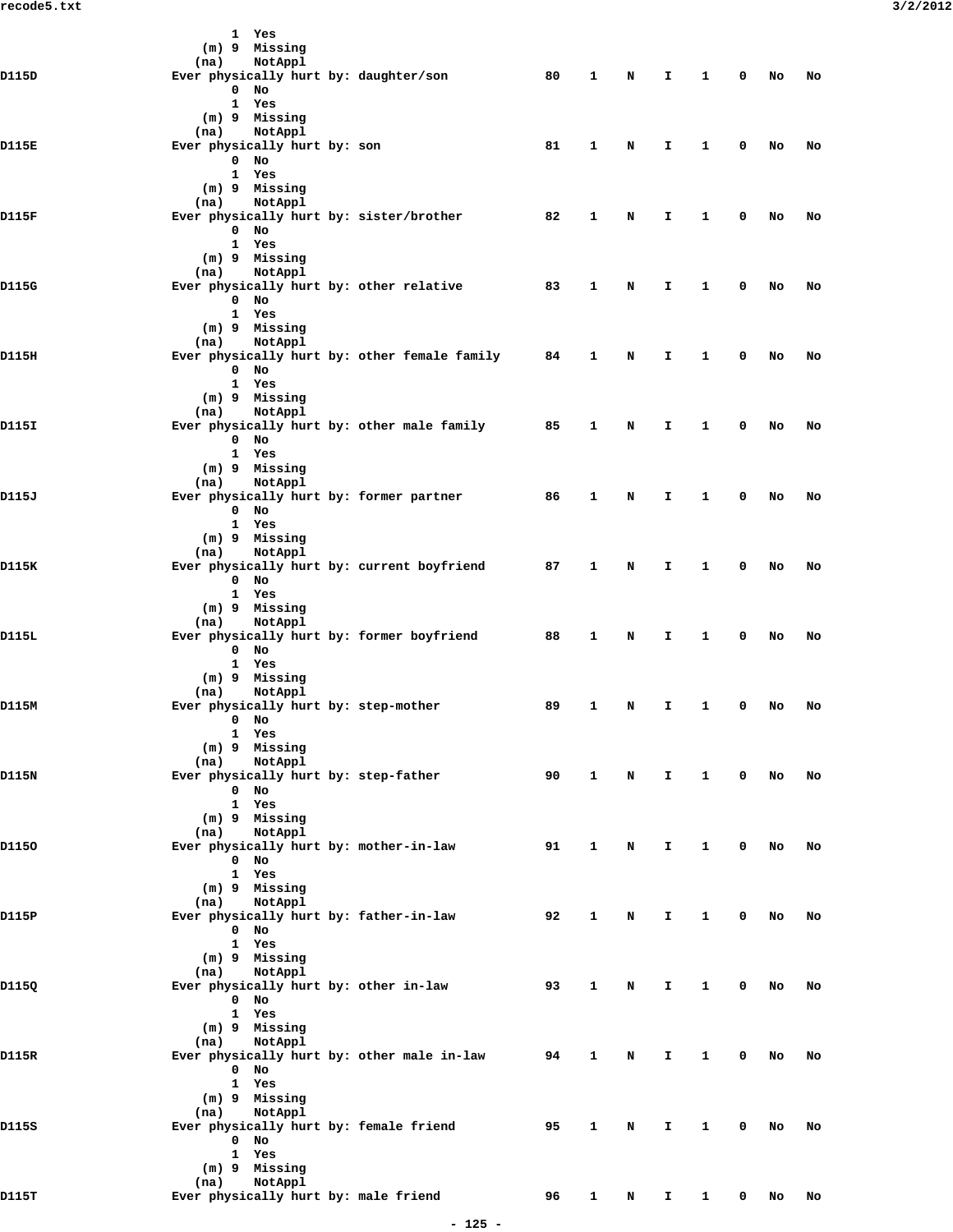|       | 1 Yes                                                      |    |              |   |    |              |              |    |    |
|-------|------------------------------------------------------------|----|--------------|---|----|--------------|--------------|----|----|
|       | (m) 9 Missing<br>NotAppl                                   |    |              |   |    |              |              |    |    |
| D115D | (na)<br>Ever physically hurt by: daughter/son              | 80 | 1            | N | I  | 1            | 0            | No | No |
|       | $0$ No                                                     |    |              |   |    |              |              |    |    |
|       | 1 Yes                                                      |    |              |   |    |              |              |    |    |
|       | (m) 9 Missing                                              |    |              |   |    |              |              |    |    |
| D115E | NotAppl<br>(na)<br>Ever physically hurt by: son            | 81 | 1            | N | I  | 1            | 0            | No | No |
|       | $0$ No                                                     |    |              |   |    |              |              |    |    |
|       | 1 Yes                                                      |    |              |   |    |              |              |    |    |
|       | $(m)$ 9 Missing                                            |    |              |   |    |              |              |    |    |
| D115F | NotAppl<br>(na)<br>Ever physically hurt by: sister/brother | 82 | 1            | N | I  | 1            | 0            | No | No |
|       | $0$ No                                                     |    |              |   |    |              |              |    |    |
|       | 1 Yes                                                      |    |              |   |    |              |              |    |    |
|       | (m) 9 Missing                                              |    |              |   |    |              |              |    |    |
|       | NotAppl<br>(na)                                            |    |              |   |    |              |              |    |    |
| D115G | Ever physically hurt by: other relative<br>$0$ No          | 83 | 1            | N | I  | 1            | 0            | No | No |
|       | 1 Yes                                                      |    |              |   |    |              |              |    |    |
|       | (m) 9 Missing                                              |    |              |   |    |              |              |    |    |
|       | NotAppl<br>(na)                                            |    |              |   |    |              |              |    |    |
| D115H | Ever physically hurt by: other female family<br>$0$ No     | 84 | 1            | N | I. | 1            | 0            | No | No |
|       | 1 Yes                                                      |    |              |   |    |              |              |    |    |
|       | (m) 9 Missing                                              |    |              |   |    |              |              |    |    |
|       | NotAppl<br>(na)                                            |    |              |   |    |              |              |    |    |
| D115I | Ever physically hurt by: other male family<br>$0$ No       | 85 | $\mathbf{1}$ | N | I  | 1            | 0            | No | No |
|       | 1 Yes                                                      |    |              |   |    |              |              |    |    |
|       | (m) 9 Missing                                              |    |              |   |    |              |              |    |    |
|       | NotAppl<br>(na)                                            |    |              |   |    |              |              |    |    |
| D115J | Ever physically hurt by: former partner                    | 86 | 1            | N | I. | 1            | 0            | No | No |
|       | $0$ No<br>1 Yes                                            |    |              |   |    |              |              |    |    |
|       | (m) 9 Missing                                              |    |              |   |    |              |              |    |    |
|       | NotAppl<br>(na)                                            |    |              |   |    |              |              |    |    |
| D115K | Ever physically hurt by: current boyfriend                 | 87 | 1            | N | I  | 1            | 0            | No | No |
|       | $0$ No<br>1 Yes                                            |    |              |   |    |              |              |    |    |
|       | (m) 9 Missing                                              |    |              |   |    |              |              |    |    |
|       | NotAppl<br>(na)                                            |    |              |   |    |              |              |    |    |
| D115L | Ever physically hurt by: former boyfriend                  | 88 | 1            | N | I  | 1            | 0            | No | No |
|       | $0$ No<br>1 Yes                                            |    |              |   |    |              |              |    |    |
|       | $(m)$ 9 Missing                                            |    |              |   |    |              |              |    |    |
|       | NotAppl<br>(na)                                            |    |              |   |    |              |              |    |    |
| D115M | Ever physically hurt by: step-mother                       | 89 | 1            | N | I  | 1            | 0            | No | No |
|       | $0$ No<br>1 Yes                                            |    |              |   |    |              |              |    |    |
|       | (m) 9 Missing                                              |    |              |   |    |              |              |    |    |
|       | NotAppl<br>(na)                                            |    |              |   |    |              |              |    |    |
| D115N | Ever physically hurt by: step-father                       | 90 | $\mathbf{1}$ | N | I. | 1            | $\mathbf 0$  | No | No |
|       | $0$ No<br>1 Yes                                            |    |              |   |    |              |              |    |    |
|       | (m) 9 Missing                                              |    |              |   |    |              |              |    |    |
|       | (na)<br>NotAppl                                            |    |              |   |    |              |              |    |    |
| D1150 | Ever physically hurt by: mother-in-law                     | 91 | $\mathbf{1}$ | N | I  | 1            | $\mathbf 0$  | No | No |
|       | $0$ No                                                     |    |              |   |    |              |              |    |    |
|       | 1 Yes<br>(m) 9 Missing                                     |    |              |   |    |              |              |    |    |
|       | NotAppl<br>(na)                                            |    |              |   |    |              |              |    |    |
| D115P | Ever physically hurt by: father-in-law                     | 92 | 1            | N | I  | 1            | 0            | No | No |
|       | $0$ No<br>1 Yes                                            |    |              |   |    |              |              |    |    |
|       | (m) 9 Missing                                              |    |              |   |    |              |              |    |    |
|       | (na)<br>NotAppl                                            |    |              |   |    |              |              |    |    |
| D115Q | Ever physically hurt by: other in-law                      | 93 | 1            | N | I  | 1            | 0            | No | No |
|       | $0$ No<br>1 Yes                                            |    |              |   |    |              |              |    |    |
|       | (m) 9 Missing                                              |    |              |   |    |              |              |    |    |
|       | NotAppl<br>(na)                                            |    |              |   |    |              |              |    |    |
| D115R | Ever physically hurt by: other male in-law                 | 94 | $\mathbf{1}$ | N | I. | $\mathbf{1}$ | $\mathbf 0$  | No | No |
|       | $0$ No                                                     |    |              |   |    |              |              |    |    |
|       | 1 Yes<br>(m) 9 Missing                                     |    |              |   |    |              |              |    |    |
|       | (na)<br>NotAppl                                            |    |              |   |    |              |              |    |    |
| D115S | Ever physically hurt by: female friend                     | 95 | $\mathbf{1}$ | N | I. | $\mathbf{1}$ | $\mathbf 0$  | No | No |
|       | $0$ No                                                     |    |              |   |    |              |              |    |    |
|       | 1 Yes<br>(m) 9 Missing                                     |    |              |   |    |              |              |    |    |
|       | NotAppl<br>(na)                                            |    |              |   |    |              |              |    |    |
| D115T | Ever physically hurt by: male friend                       | 96 | $\mathbf{1}$ | N | I. | $\mathbf{1}$ | $\mathbf{0}$ | No | No |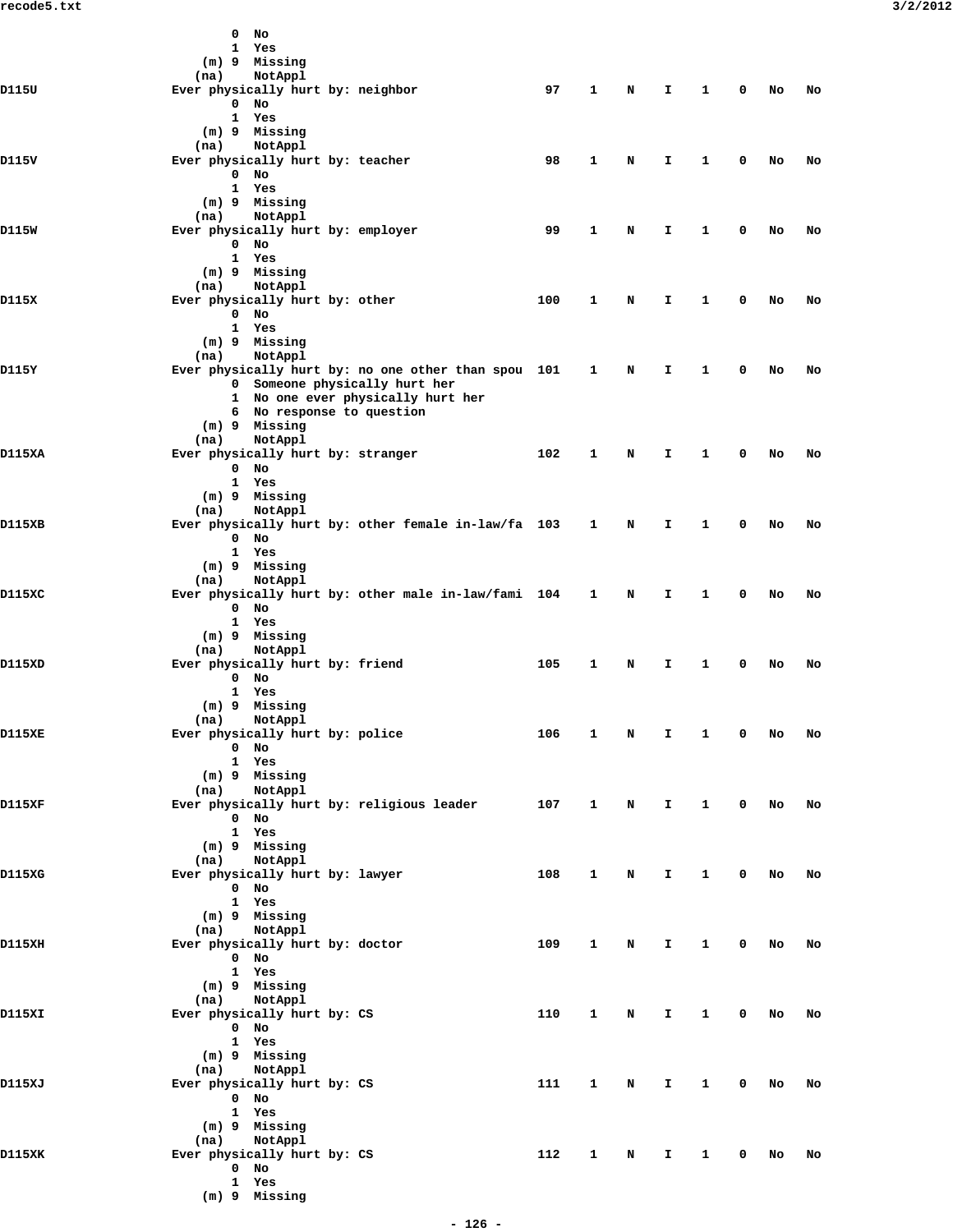|        | $0$ No<br>1 Yes                                                                                                                     |     |              |   |    |              |   |    |    |
|--------|-------------------------------------------------------------------------------------------------------------------------------------|-----|--------------|---|----|--------------|---|----|----|
| D115U  | (m) 9 Missing<br>NotAppl<br>(na)<br>Ever physically hurt by: neighbor                                                               | 97  | 1            | N | I. | 1            | 0 | No | No |
|        | $0$ No<br>1 Yes<br>(m) 9 Missing                                                                                                    |     |              |   |    |              |   |    |    |
| D115V  | NotAppl<br>(na)<br>Ever physically hurt by: teacher<br>$0$ No<br>1 Yes<br>(m) 9 Missing                                             | 98  | 1            | N | I. | 1            | 0 | No | No |
| D115W  | NotAppl<br>(na)<br>Ever physically hurt by: employer<br>$0$ No<br>1 Yes                                                             | 99  | 1            | N | I  | 1            | 0 | No | No |
| D115X  | (m) 9 Missing<br>NotAppl<br>(na)<br>Ever physically hurt by: other<br>$0$ No                                                        | 100 | 1            | N | I. | 1            | 0 | No | No |
| D115Y  | 1 Yes<br>$(m)$ 9 Missing<br>NotAppl<br>(na)<br>Ever physically hurt by: no one other than spou 101                                  |     | $\mathbf{1}$ | N | I. | 1            | 0 | No | No |
|        | 0 Someone physically hurt her<br>1 No one ever physically hurt her<br>6 No response to question<br>(m) 9 Missing<br>NotAppl<br>(na) |     |              |   |    |              |   |    |    |
| D115XA | Ever physically hurt by: stranger<br>$0$ No<br>1 Yes<br>(m) 9 Missing                                                               | 102 | 1            | N | I. | 1            | 0 | No | No |
| D115XB | NotAppl<br>(na)<br>Ever physically hurt by: other female in-law/fa 103<br>$0$ No<br>1 Yes                                           |     | $\mathbf{1}$ | N | I. | 1            | 0 | No | No |
| D115XC | (m) 9 Missing<br>NotAppl<br>(na)<br>Ever physically hurt by: other male in-law/fami 104<br>$0$ No<br>1 Yes                          |     | $\mathbf{1}$ | N | I. | 1            | 0 | No | No |
| D115XD | (m) 9 Missing<br>NotAppl<br>(na)<br>Ever physically hurt by: friend<br>$0$ No                                                       | 105 | $\mathbf{1}$ | N | I. | 1            | 0 | No | No |
| D115XE | 1 Yes<br>(m) 9 Missing<br>(na) NotAppl<br>Ever physically hurt by: police<br>$0$ No                                                 | 106 | 1            | N | I  | 1            | 0 | No | No |
| D115XF | 1 Yes<br>(m) 9 Missing<br>(na)<br>NotAppl<br>Ever physically hurt by: religious leader                                              | 107 | $\mathbf{1}$ | N | Ι. | 1            | 0 | No | No |
|        | $0$ No<br>1 Yes<br>$(m)$ 9 Missing<br>NotAppl<br>(na)                                                                               |     |              |   |    |              |   |    |    |
| D115XG | Ever physically hurt by: lawyer<br>$0$ No<br>1 Yes<br>$(m)$ 9 Missing<br>NotAppl<br>(na)                                            | 108 | $\mathbf{1}$ | N | Ι. | 1            | 0 | No | No |
| D115XH | Ever physically hurt by: doctor<br>$0$ No<br>1 Yes<br>(m) 9 Missing                                                                 | 109 | $\mathbf{1}$ | N | I. | 1            | 0 | No | No |
| D115XI | NotAppl<br>(na)<br>Ever physically hurt by: CS<br>0 No<br>1 Yes<br>(m) 9 Missing                                                    | 110 | $\mathbf{1}$ | N | I. | 1            | 0 | No | No |
| D115XJ | NotAppl<br>(na)<br>Ever physically hurt by: CS<br>$0$ No<br>1 Yes                                                                   | 111 | $\mathbf{1}$ | N | Ι. | $\mathbf{1}$ | 0 | No | No |
| D115XK | (m) 9 Missing<br>(na)<br>NotAppl<br>Ever physically hurt by: CS<br>$0$ No<br>1 Yes<br>(m) 9 Missing                                 | 112 | 1            | N | I  | 1            | 0 | No | No |
|        |                                                                                                                                     |     |              |   |    |              |   |    |    |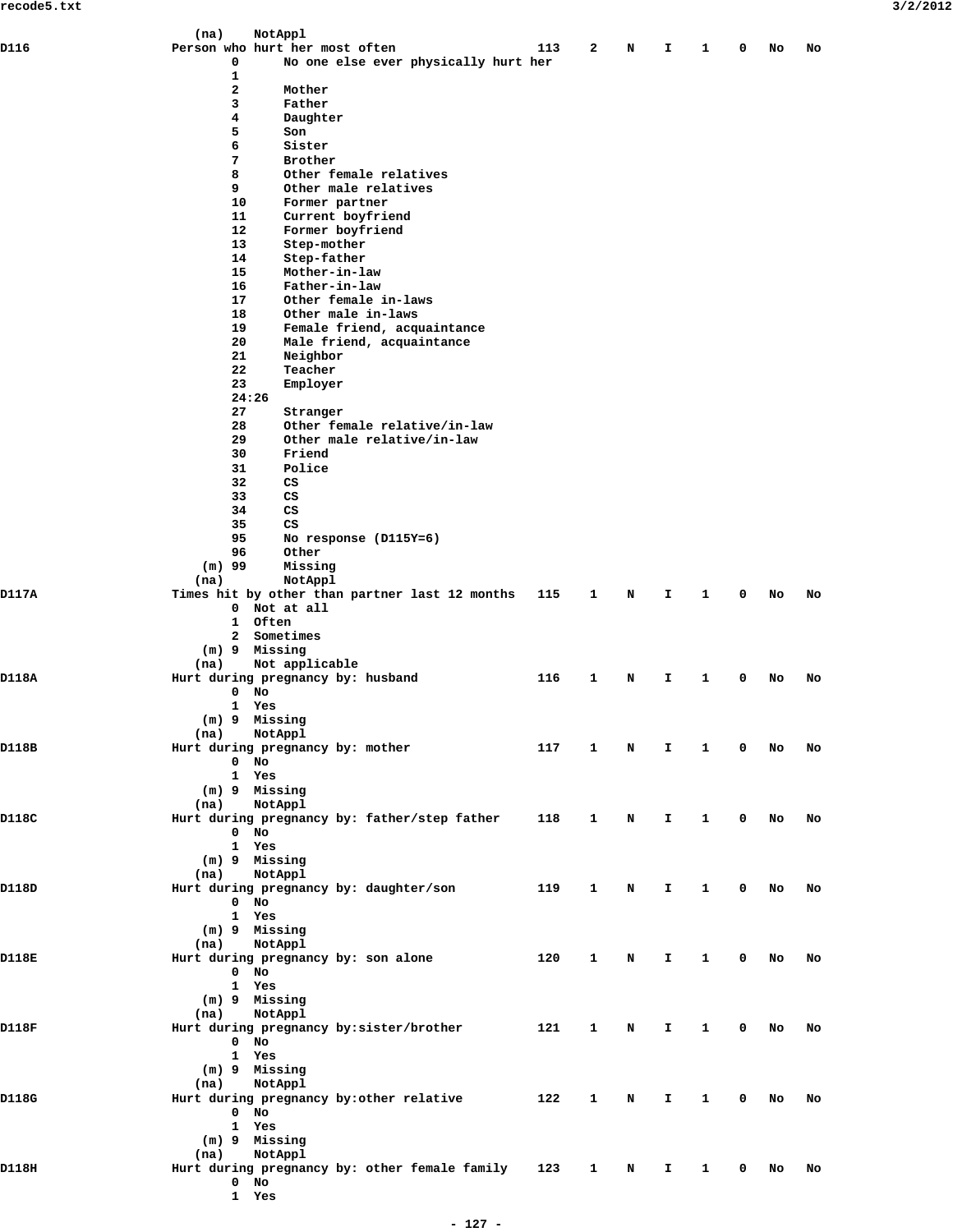|       | (na)           | NotAppl                                        |     |              |   |    |   |             |    |    |
|-------|----------------|------------------------------------------------|-----|--------------|---|----|---|-------------|----|----|
| D116  |                | Person who hurt her most often                 | 113 | 2            | N | I. | 1 | 0           | No | No |
|       | 0              | No one else ever physically hurt her           |     |              |   |    |   |             |    |    |
|       | $\mathbf{1}$   |                                                |     |              |   |    |   |             |    |    |
|       | $\overline{a}$ | Mother                                         |     |              |   |    |   |             |    |    |
|       | 3              | Father                                         |     |              |   |    |   |             |    |    |
|       | 4<br>5         | Daughter                                       |     |              |   |    |   |             |    |    |
|       | 6              | Son<br>Sister                                  |     |              |   |    |   |             |    |    |
|       | 7              | Brother                                        |     |              |   |    |   |             |    |    |
|       | 8              | Other female relatives                         |     |              |   |    |   |             |    |    |
|       | 9              | Other male relatives                           |     |              |   |    |   |             |    |    |
|       | 10             | Former partner                                 |     |              |   |    |   |             |    |    |
|       | 11             | Current boyfriend                              |     |              |   |    |   |             |    |    |
|       | 12             | Former boyfriend                               |     |              |   |    |   |             |    |    |
|       | 13             | Step-mother                                    |     |              |   |    |   |             |    |    |
|       | 14             | Step-father                                    |     |              |   |    |   |             |    |    |
|       | 15             | Mother-in-law                                  |     |              |   |    |   |             |    |    |
|       | 16             | Father-in-law                                  |     |              |   |    |   |             |    |    |
|       | 17             | Other female in-laws                           |     |              |   |    |   |             |    |    |
|       | 18             | Other male in-laws                             |     |              |   |    |   |             |    |    |
|       | 19             | Female friend, acquaintance                    |     |              |   |    |   |             |    |    |
|       | 20             | Male friend, acquaintance                      |     |              |   |    |   |             |    |    |
|       | 21             | Neighbor                                       |     |              |   |    |   |             |    |    |
|       | 22             | Teacher                                        |     |              |   |    |   |             |    |    |
|       | 23             | Employer                                       |     |              |   |    |   |             |    |    |
|       | 24:26          |                                                |     |              |   |    |   |             |    |    |
|       | 27<br>28       | Stranger                                       |     |              |   |    |   |             |    |    |
|       | 29             | Other female relative/in-law                   |     |              |   |    |   |             |    |    |
|       | 30             | Other male relative/in-law<br>Friend           |     |              |   |    |   |             |    |    |
|       | 31             | Police                                         |     |              |   |    |   |             |    |    |
|       | 32             | CS                                             |     |              |   |    |   |             |    |    |
|       | 33             | CS                                             |     |              |   |    |   |             |    |    |
|       | 34             | CS                                             |     |              |   |    |   |             |    |    |
|       | 35             | CS                                             |     |              |   |    |   |             |    |    |
|       | 95             | No response (D115Y=6)                          |     |              |   |    |   |             |    |    |
|       | 96             | Other                                          |     |              |   |    |   |             |    |    |
|       | $(m)$ 99       | Missing                                        |     |              |   |    |   |             |    |    |
|       | (na)           | NotAppl                                        |     |              |   |    |   |             |    |    |
| D117A |                | Times hit by other than partner last 12 months | 115 | 1            | N | Ι. | 1 | 0           | No | No |
|       |                | 0 Not at all                                   |     |              |   |    |   |             |    |    |
|       |                | 1 Often                                        |     |              |   |    |   |             |    |    |
|       |                | 2 Sometimes                                    |     |              |   |    |   |             |    |    |
|       |                | $(m)$ 9 Missing                                |     |              |   |    |   |             |    |    |
|       | (na)           | Not applicable                                 |     |              |   |    |   |             |    |    |
| D118A |                | Hurt during pregnancy by: husband              | 116 | 1            | N | I. | 1 | 0           | No | No |
|       | $0$ No         |                                                |     |              |   |    |   |             |    |    |
|       |                | 1 Yes                                          |     |              |   |    |   |             |    |    |
|       |                | (m) 9 Missing                                  |     |              |   |    |   |             |    |    |
|       | (na)           | NotAppl                                        |     |              |   |    |   |             |    |    |
| D118B | $0$ No         | Hurt during pregnancy by: mother               | 117 | 1            | N | I. | 1 | 0           | No | No |
|       |                | 1 Yes                                          |     |              |   |    |   |             |    |    |
|       | (m) 9 Missing  |                                                |     |              |   |    |   |             |    |    |
|       | (na)           | NotAppl                                        |     |              |   |    |   |             |    |    |
| D118C |                | Hurt during pregnancy by: father/step father   | 118 | 1            | N | Ι. | 1 | 0           | No | No |
|       | $0$ No         |                                                |     |              |   |    |   |             |    |    |
|       | 1 Yes          |                                                |     |              |   |    |   |             |    |    |
|       | (m) 9 Missing  |                                                |     |              |   |    |   |             |    |    |
|       | (na)           | NotAppl                                        |     |              |   |    |   |             |    |    |
| D118D |                | Hurt during pregnancy by: daughter/son         | 119 | 1            | N | I. | 1 | 0           | No | No |
|       | $0$ No         |                                                |     |              |   |    |   |             |    |    |
|       |                | 1 Yes                                          |     |              |   |    |   |             |    |    |
|       |                | (m) 9 Missing                                  |     |              |   |    |   |             |    |    |
|       | (na)           | NotAppl                                        |     |              |   |    |   |             |    |    |
| D118E |                | Hurt during pregnancy by: son alone            | 120 | 1            | N | I. | 1 | $\mathbf 0$ | No | No |
|       | $0$ No         |                                                |     |              |   |    |   |             |    |    |
|       |                | 1 Yes                                          |     |              |   |    |   |             |    |    |
|       |                | (m) 9 Missing                                  |     |              |   |    |   |             |    |    |
|       | (na)           | NotAppl                                        |     |              |   |    |   |             |    |    |
| D118F |                | Hurt during pregnancy by: sister/brother       | 121 | 1            | N | Ι. | 1 | 0           | No | No |
|       | $0$ No         |                                                |     |              |   |    |   |             |    |    |
|       |                | 1 Yes                                          |     |              |   |    |   |             |    |    |
|       | (m) 9 Missing  |                                                |     |              |   |    |   |             |    |    |
|       | (na)           | NotAppl                                        |     |              |   |    |   |             |    |    |
| D118G |                | Hurt during pregnancy by: other relative       | 122 | 1            | N | I. | 1 | 0           | No | No |
|       | $0$ No         |                                                |     |              |   |    |   |             |    |    |
|       |                | 1 Yes                                          |     |              |   |    |   |             |    |    |
|       | (m) 9 Missing  |                                                |     |              |   |    |   |             |    |    |
|       | (na)           | NotAppl                                        |     |              |   |    |   |             |    |    |
| D118H | $0$ No         | Hurt during pregnancy by: other female family  | 123 | $\mathbf{1}$ | N | Ι. | 1 | 0           | No | No |
|       |                | 1 Yes                                          |     |              |   |    |   |             |    |    |
|       |                |                                                |     |              |   |    |   |             |    |    |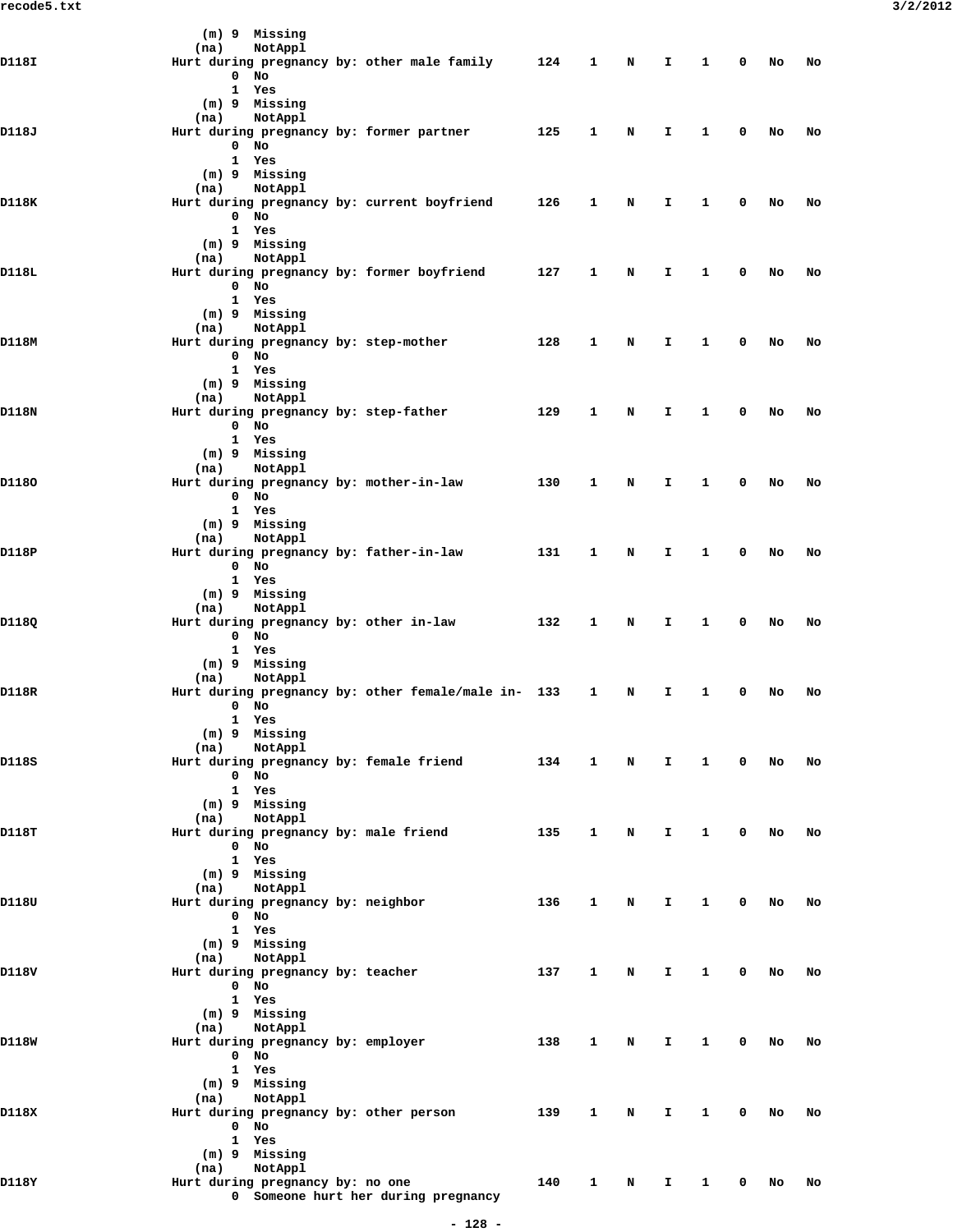|       | (m) 9 Missing<br>NotAppl<br>(na)                                        |     |              |             |              |              |             |    |    |  |
|-------|-------------------------------------------------------------------------|-----|--------------|-------------|--------------|--------------|-------------|----|----|--|
| D118I | Hurt during pregnancy by: other male family 124                         |     | 1            | N           | I.           | $\mathbf{1}$ | 0           | No | No |  |
|       | $0$ No                                                                  |     |              |             |              |              |             |    |    |  |
|       | 1 Yes                                                                   |     |              |             |              |              |             |    |    |  |
|       | $(m)$ 9 Missing<br>NotAppl<br>(na)                                      |     |              |             |              |              |             |    |    |  |
| D118J | Hurt during pregnancy by: former partner 125                            |     | 1            | N           | I.           | 1            | 0           | No | No |  |
|       | $0$ No                                                                  |     |              |             |              |              |             |    |    |  |
|       | 1 Yes                                                                   |     |              |             |              |              |             |    |    |  |
|       | (m) 9 Missing                                                           |     |              |             |              |              |             |    |    |  |
| D118K | NotAppl<br>(na)<br>Hurt during pregnancy by: current boyfriend          | 126 | 1            | N           | I.           | $\mathbf{1}$ | 0           | No | No |  |
|       | $0$ No                                                                  |     |              |             |              |              |             |    |    |  |
|       | 1 Yes                                                                   |     |              |             |              |              |             |    |    |  |
|       | $(m)$ 9 Missing                                                         |     |              |             |              |              |             |    |    |  |
| D118L | (na) NotAppl<br>Hurt during pregnancy by: former boyfriend              | 127 | $\mathbf{1}$ | N           | I.           | 1            | 0           | No | No |  |
|       | $0$ No                                                                  |     |              |             |              |              |             |    |    |  |
|       | 1 Yes                                                                   |     |              |             |              |              |             |    |    |  |
|       | (m) 9 Missing                                                           |     |              |             |              |              |             |    |    |  |
| D118M | NotAppl<br>(na)<br>Hurt during pregnancy by: step-mother                | 128 | $\mathbf{1}$ | N           | I.           | $\mathbf{1}$ | 0           | No | No |  |
|       | $0$ No                                                                  |     |              |             |              |              |             |    |    |  |
|       | 1 Yes                                                                   |     |              |             |              |              |             |    |    |  |
|       | (m) 9 Missing                                                           |     |              |             |              |              |             |    |    |  |
|       | NotAppl<br>(na)                                                         |     |              |             |              |              |             |    |    |  |
| D118N | Hurt during pregnancy by: step-father<br>$0$ No                         | 129 | $\mathbf{1}$ | N           | I.           | 1            | 0           | No | No |  |
|       | 1 Yes                                                                   |     |              |             |              |              |             |    |    |  |
|       | $(m)$ 9 Missing                                                         |     |              |             |              |              |             |    |    |  |
|       | (na) NotAppl                                                            |     |              |             |              |              |             |    |    |  |
| D1180 | Hurt during pregnancy by: mother-in-law<br>$0$ No                       | 130 | $\mathbf{1}$ | N           | I.           | $\mathbf{1}$ | 0           | No | No |  |
|       | 1 Yes                                                                   |     |              |             |              |              |             |    |    |  |
|       | (m) 9 Missing                                                           |     |              |             |              |              |             |    |    |  |
|       | NotAppl<br>(na)                                                         |     |              |             |              |              |             |    |    |  |
| D118P | Hurt during pregnancy by: father-in-law                                 | 131 | $\mathbf{1}$ | N           | I.           | 1            | 0           | No | No |  |
|       | $0$ No<br>1 Yes                                                         |     |              |             |              |              |             |    |    |  |
|       | (m) 9 Missing                                                           |     |              |             |              |              |             |    |    |  |
|       | NotAppl<br>(na)                                                         |     |              |             |              |              |             |    |    |  |
| D118Q | Hurt during pregnancy by: other in-law                                  | 132 | 1            | N           | I.           | 1            | 0           | No | No |  |
|       | $0$ No<br>1 Yes                                                         |     |              |             |              |              |             |    |    |  |
|       | (m) 9 Missing                                                           |     |              |             |              |              |             |    |    |  |
|       | NotAppl<br>(na)                                                         |     |              |             |              |              |             |    |    |  |
| D118R | Hurt during pregnancy by: other female/male in- 133 1                   |     |              | N           | I.           | 1            | 0           | No | No |  |
|       | $0$ No<br>1 Yes                                                         |     |              |             |              |              |             |    |    |  |
|       | (m) 9 Missing                                                           |     |              |             |              |              |             |    |    |  |
|       | NotAppl<br>(na)                                                         |     |              |             |              |              |             |    |    |  |
| D118S | Hurt during pregnancy by: female friend                                 | 134 | $\mathbf{1}$ | $\mathbf N$ | I.           | $\mathbf{1}$ | 0           | No | No |  |
|       | $0$ No                                                                  |     |              |             |              |              |             |    |    |  |
|       | 1 Yes<br>(m) 9 Missing                                                  |     |              |             |              |              |             |    |    |  |
|       | (na) NotAppl                                                            |     |              |             |              |              |             |    |    |  |
| D118T | Hurt during pregnancy by: male friend                                   | 135 | 1            | N           | I.           | $\mathbf{1}$ | 0           | No | No |  |
|       | $0$ No                                                                  |     |              |             |              |              |             |    |    |  |
|       | 1 Yes<br>(m) 9 Missing                                                  |     |              |             |              |              |             |    |    |  |
|       | (na) NotAppl                                                            |     |              |             |              |              |             |    |    |  |
| D118U | Hurt during pregnancy by: neighbor                                      | 136 | $\mathbf{1}$ | N           | $\mathbf{I}$ | $\mathbf{1}$ | $\mathbf 0$ | No | No |  |
|       | $0$ No                                                                  |     |              |             |              |              |             |    |    |  |
|       | 1 Yes                                                                   |     |              |             |              |              |             |    |    |  |
|       | (m) 9 Missing<br>(na) NotAppl                                           |     |              |             |              |              |             |    |    |  |
| D118V | Hurt during pregnancy by: teacher                                       | 137 | 1            | N           | I.           | $\mathbf{1}$ | $\mathbf 0$ | No | No |  |
|       | $0$ No                                                                  |     |              |             |              |              |             |    |    |  |
|       | 1 Yes                                                                   |     |              |             |              |              |             |    |    |  |
|       | $(m)$ 9 Missing<br>(na) NotAppl                                         |     |              |             |              |              |             |    |    |  |
| D118W | Hurt during pregnancy by: employer                                      | 138 | 1            | N           | Ι.           | $\mathbf{1}$ | 0           | No | No |  |
|       | $0$ No                                                                  |     |              |             |              |              |             |    |    |  |
|       | 1 Yes                                                                   |     |              |             |              |              |             |    |    |  |
|       | (m) 9 Missing                                                           |     |              |             |              |              |             |    |    |  |
| D118X | NotAppl<br>(na)<br>Hurt during pregnancy by: other person               | 139 | 1            | N           | I.           | $\mathbf{1}$ | 0           | No | No |  |
|       | $0$ No                                                                  |     |              |             |              |              |             |    |    |  |
|       | 1 Yes                                                                   |     |              |             |              |              |             |    |    |  |
|       | $(m)$ 9 Missing                                                         |     |              |             |              |              |             |    |    |  |
|       | (na) NotAppl                                                            |     |              |             |              |              |             |    |    |  |
| D118Y | Hurt during pregnancy by: no one<br>0 Someone hurt her during pregnancy | 140 | $\mathbf{1}$ | N           | $\mathbf{I}$ | $\mathbf{1}$ | $\mathbf 0$ | No | No |  |
|       |                                                                         |     |              |             |              |              |             |    |    |  |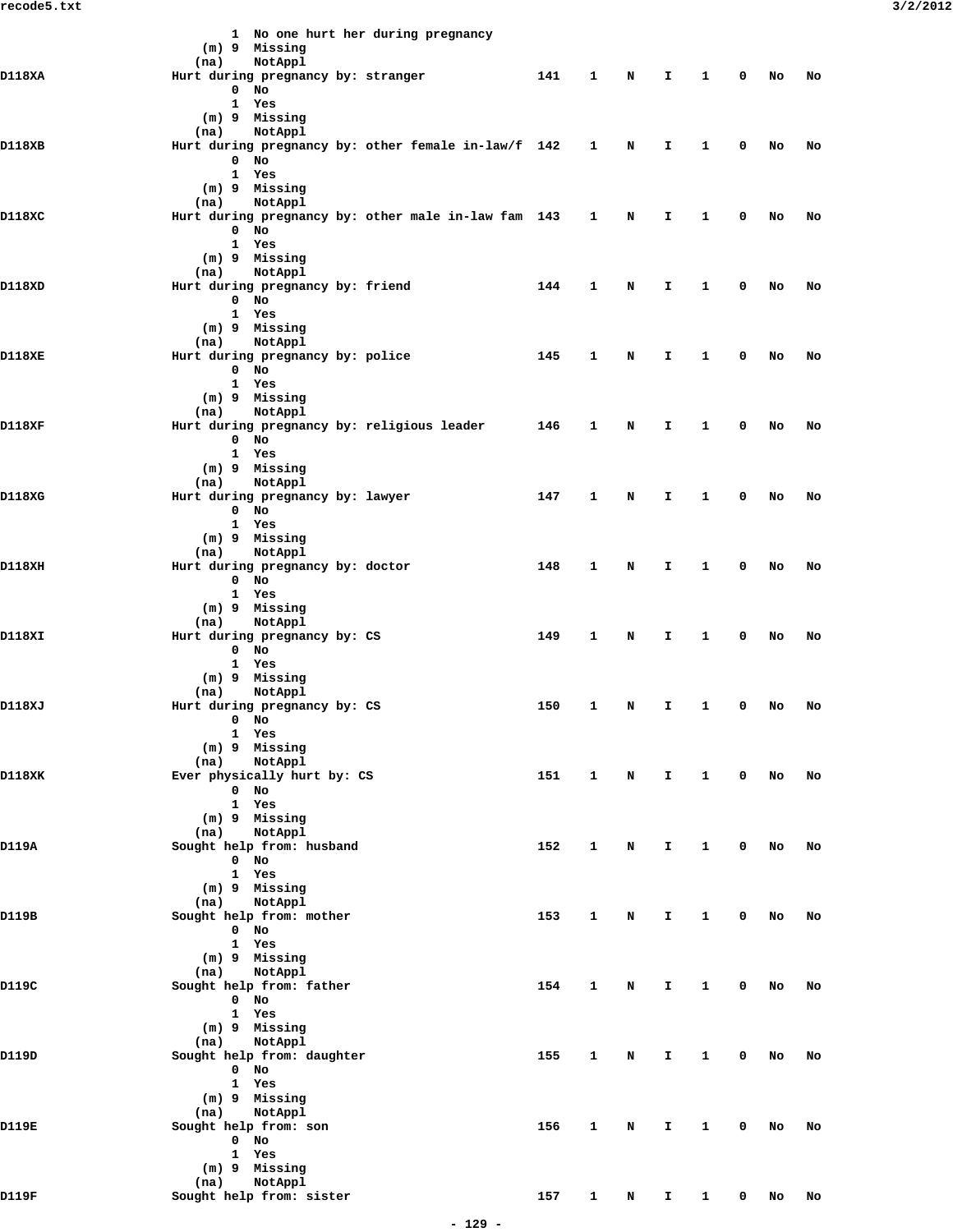|                                                                                                                                              | 1 No one hurt her during pregnancy                                                                                                                                                                                                                                                                                                                                                                                                                                                                                                                                                                                                                                                                                                                                                                                                                                                                                                                                                                                                                                                                                                                                                                                                                                                                                                                                                                                                                                                                                                                                                                                                                                                                                                                                                                                                                                                                                                                                                                                                                                                                                                                                                          |     |   |   |    |   |   |    |    |
|----------------------------------------------------------------------------------------------------------------------------------------------|---------------------------------------------------------------------------------------------------------------------------------------------------------------------------------------------------------------------------------------------------------------------------------------------------------------------------------------------------------------------------------------------------------------------------------------------------------------------------------------------------------------------------------------------------------------------------------------------------------------------------------------------------------------------------------------------------------------------------------------------------------------------------------------------------------------------------------------------------------------------------------------------------------------------------------------------------------------------------------------------------------------------------------------------------------------------------------------------------------------------------------------------------------------------------------------------------------------------------------------------------------------------------------------------------------------------------------------------------------------------------------------------------------------------------------------------------------------------------------------------------------------------------------------------------------------------------------------------------------------------------------------------------------------------------------------------------------------------------------------------------------------------------------------------------------------------------------------------------------------------------------------------------------------------------------------------------------------------------------------------------------------------------------------------------------------------------------------------------------------------------------------------------------------------------------------------|-----|---|---|----|---|---|----|----|
|                                                                                                                                              | (m) 9 Missing                                                                                                                                                                                                                                                                                                                                                                                                                                                                                                                                                                                                                                                                                                                                                                                                                                                                                                                                                                                                                                                                                                                                                                                                                                                                                                                                                                                                                                                                                                                                                                                                                                                                                                                                                                                                                                                                                                                                                                                                                                                                                                                                                                               |     |   |   |    |   |   |    |    |
|                                                                                                                                              |                                                                                                                                                                                                                                                                                                                                                                                                                                                                                                                                                                                                                                                                                                                                                                                                                                                                                                                                                                                                                                                                                                                                                                                                                                                                                                                                                                                                                                                                                                                                                                                                                                                                                                                                                                                                                                                                                                                                                                                                                                                                                                                                                                                             |     |   |   |    |   |   |    |    |
|                                                                                                                                              | $\mathbf 0$<br>No                                                                                                                                                                                                                                                                                                                                                                                                                                                                                                                                                                                                                                                                                                                                                                                                                                                                                                                                                                                                                                                                                                                                                                                                                                                                                                                                                                                                                                                                                                                                                                                                                                                                                                                                                                                                                                                                                                                                                                                                                                                                                                                                                                           |     |   |   |    |   |   |    |    |
|                                                                                                                                              | $\mathbf{1}$<br>Yes                                                                                                                                                                                                                                                                                                                                                                                                                                                                                                                                                                                                                                                                                                                                                                                                                                                                                                                                                                                                                                                                                                                                                                                                                                                                                                                                                                                                                                                                                                                                                                                                                                                                                                                                                                                                                                                                                                                                                                                                                                                                                                                                                                         |     |   |   |    |   |   |    |    |
|                                                                                                                                              | (m) 9 Missing                                                                                                                                                                                                                                                                                                                                                                                                                                                                                                                                                                                                                                                                                                                                                                                                                                                                                                                                                                                                                                                                                                                                                                                                                                                                                                                                                                                                                                                                                                                                                                                                                                                                                                                                                                                                                                                                                                                                                                                                                                                                                                                                                                               |     |   |   |    |   |   |    |    |
|                                                                                                                                              | (na)                                                                                                                                                                                                                                                                                                                                                                                                                                                                                                                                                                                                                                                                                                                                                                                                                                                                                                                                                                                                                                                                                                                                                                                                                                                                                                                                                                                                                                                                                                                                                                                                                                                                                                                                                                                                                                                                                                                                                                                                                                                                                                                                                                                        |     |   |   |    |   |   |    |    |
|                                                                                                                                              |                                                                                                                                                                                                                                                                                                                                                                                                                                                                                                                                                                                                                                                                                                                                                                                                                                                                                                                                                                                                                                                                                                                                                                                                                                                                                                                                                                                                                                                                                                                                                                                                                                                                                                                                                                                                                                                                                                                                                                                                                                                                                                                                                                                             |     |   |   |    |   |   |    |    |
|                                                                                                                                              |                                                                                                                                                                                                                                                                                                                                                                                                                                                                                                                                                                                                                                                                                                                                                                                                                                                                                                                                                                                                                                                                                                                                                                                                                                                                                                                                                                                                                                                                                                                                                                                                                                                                                                                                                                                                                                                                                                                                                                                                                                                                                                                                                                                             |     |   |   |    |   |   |    |    |
|                                                                                                                                              |                                                                                                                                                                                                                                                                                                                                                                                                                                                                                                                                                                                                                                                                                                                                                                                                                                                                                                                                                                                                                                                                                                                                                                                                                                                                                                                                                                                                                                                                                                                                                                                                                                                                                                                                                                                                                                                                                                                                                                                                                                                                                                                                                                                             |     |   |   |    |   |   |    |    |
|                                                                                                                                              | NotAppl<br>(na)                                                                                                                                                                                                                                                                                                                                                                                                                                                                                                                                                                                                                                                                                                                                                                                                                                                                                                                                                                                                                                                                                                                                                                                                                                                                                                                                                                                                                                                                                                                                                                                                                                                                                                                                                                                                                                                                                                                                                                                                                                                                                                                                                                             |     |   |   |    |   |   |    |    |
| D118XC                                                                                                                                       |                                                                                                                                                                                                                                                                                                                                                                                                                                                                                                                                                                                                                                                                                                                                                                                                                                                                                                                                                                                                                                                                                                                                                                                                                                                                                                                                                                                                                                                                                                                                                                                                                                                                                                                                                                                                                                                                                                                                                                                                                                                                                                                                                                                             |     |   | N | I. | 1 | 0 | No | No |
|                                                                                                                                              | $\mathbf 0$<br>No                                                                                                                                                                                                                                                                                                                                                                                                                                                                                                                                                                                                                                                                                                                                                                                                                                                                                                                                                                                                                                                                                                                                                                                                                                                                                                                                                                                                                                                                                                                                                                                                                                                                                                                                                                                                                                                                                                                                                                                                                                                                                                                                                                           |     |   |   |    |   |   |    |    |
|                                                                                                                                              | 1 Yes                                                                                                                                                                                                                                                                                                                                                                                                                                                                                                                                                                                                                                                                                                                                                                                                                                                                                                                                                                                                                                                                                                                                                                                                                                                                                                                                                                                                                                                                                                                                                                                                                                                                                                                                                                                                                                                                                                                                                                                                                                                                                                                                                                                       |     |   |   |    |   |   |    |    |
|                                                                                                                                              |                                                                                                                                                                                                                                                                                                                                                                                                                                                                                                                                                                                                                                                                                                                                                                                                                                                                                                                                                                                                                                                                                                                                                                                                                                                                                                                                                                                                                                                                                                                                                                                                                                                                                                                                                                                                                                                                                                                                                                                                                                                                                                                                                                                             |     |   |   |    |   |   |    |    |
|                                                                                                                                              |                                                                                                                                                                                                                                                                                                                                                                                                                                                                                                                                                                                                                                                                                                                                                                                                                                                                                                                                                                                                                                                                                                                                                                                                                                                                                                                                                                                                                                                                                                                                                                                                                                                                                                                                                                                                                                                                                                                                                                                                                                                                                                                                                                                             |     |   |   |    |   |   |    |    |
|                                                                                                                                              |                                                                                                                                                                                                                                                                                                                                                                                                                                                                                                                                                                                                                                                                                                                                                                                                                                                                                                                                                                                                                                                                                                                                                                                                                                                                                                                                                                                                                                                                                                                                                                                                                                                                                                                                                                                                                                                                                                                                                                                                                                                                                                                                                                                             |     |   |   |    |   |   |    |    |
|                                                                                                                                              |                                                                                                                                                                                                                                                                                                                                                                                                                                                                                                                                                                                                                                                                                                                                                                                                                                                                                                                                                                                                                                                                                                                                                                                                                                                                                                                                                                                                                                                                                                                                                                                                                                                                                                                                                                                                                                                                                                                                                                                                                                                                                                                                                                                             |     |   |   |    |   |   |    |    |
|                                                                                                                                              |                                                                                                                                                                                                                                                                                                                                                                                                                                                                                                                                                                                                                                                                                                                                                                                                                                                                                                                                                                                                                                                                                                                                                                                                                                                                                                                                                                                                                                                                                                                                                                                                                                                                                                                                                                                                                                                                                                                                                                                                                                                                                                                                                                                             |     |   |   |    |   |   |    |    |
|                                                                                                                                              |                                                                                                                                                                                                                                                                                                                                                                                                                                                                                                                                                                                                                                                                                                                                                                                                                                                                                                                                                                                                                                                                                                                                                                                                                                                                                                                                                                                                                                                                                                                                                                                                                                                                                                                                                                                                                                                                                                                                                                                                                                                                                                                                                                                             |     |   |   |    |   |   |    |    |
| D118XE                                                                                                                                       |                                                                                                                                                                                                                                                                                                                                                                                                                                                                                                                                                                                                                                                                                                                                                                                                                                                                                                                                                                                                                                                                                                                                                                                                                                                                                                                                                                                                                                                                                                                                                                                                                                                                                                                                                                                                                                                                                                                                                                                                                                                                                                                                                                                             | 145 | 1 | N | I  | 1 | 0 | No | No |
|                                                                                                                                              | $0$ No                                                                                                                                                                                                                                                                                                                                                                                                                                                                                                                                                                                                                                                                                                                                                                                                                                                                                                                                                                                                                                                                                                                                                                                                                                                                                                                                                                                                                                                                                                                                                                                                                                                                                                                                                                                                                                                                                                                                                                                                                                                                                                                                                                                      |     |   |   |    |   |   |    |    |
|                                                                                                                                              | 1 Yes                                                                                                                                                                                                                                                                                                                                                                                                                                                                                                                                                                                                                                                                                                                                                                                                                                                                                                                                                                                                                                                                                                                                                                                                                                                                                                                                                                                                                                                                                                                                                                                                                                                                                                                                                                                                                                                                                                                                                                                                                                                                                                                                                                                       |     |   |   |    |   |   |    |    |
|                                                                                                                                              |                                                                                                                                                                                                                                                                                                                                                                                                                                                                                                                                                                                                                                                                                                                                                                                                                                                                                                                                                                                                                                                                                                                                                                                                                                                                                                                                                                                                                                                                                                                                                                                                                                                                                                                                                                                                                                                                                                                                                                                                                                                                                                                                                                                             |     |   |   |    |   |   |    |    |
|                                                                                                                                              |                                                                                                                                                                                                                                                                                                                                                                                                                                                                                                                                                                                                                                                                                                                                                                                                                                                                                                                                                                                                                                                                                                                                                                                                                                                                                                                                                                                                                                                                                                                                                                                                                                                                                                                                                                                                                                                                                                                                                                                                                                                                                                                                                                                             |     |   |   |    |   |   |    |    |
|                                                                                                                                              |                                                                                                                                                                                                                                                                                                                                                                                                                                                                                                                                                                                                                                                                                                                                                                                                                                                                                                                                                                                                                                                                                                                                                                                                                                                                                                                                                                                                                                                                                                                                                                                                                                                                                                                                                                                                                                                                                                                                                                                                                                                                                                                                                                                             |     |   |   |    |   |   |    |    |
|                                                                                                                                              |                                                                                                                                                                                                                                                                                                                                                                                                                                                                                                                                                                                                                                                                                                                                                                                                                                                                                                                                                                                                                                                                                                                                                                                                                                                                                                                                                                                                                                                                                                                                                                                                                                                                                                                                                                                                                                                                                                                                                                                                                                                                                                                                                                                             |     |   |   |    |   |   |    |    |
| D118XA<br>D118XB<br>D118XD<br>D118XF<br>D118XG<br>D118XH<br>D118XI<br>D118XJ<br>D118XK<br>D119A<br>D119B<br>D119C<br>D119D<br>D119E<br>D119F |                                                                                                                                                                                                                                                                                                                                                                                                                                                                                                                                                                                                                                                                                                                                                                                                                                                                                                                                                                                                                                                                                                                                                                                                                                                                                                                                                                                                                                                                                                                                                                                                                                                                                                                                                                                                                                                                                                                                                                                                                                                                                                                                                                                             |     |   |   |    |   |   |    |    |
|                                                                                                                                              |                                                                                                                                                                                                                                                                                                                                                                                                                                                                                                                                                                                                                                                                                                                                                                                                                                                                                                                                                                                                                                                                                                                                                                                                                                                                                                                                                                                                                                                                                                                                                                                                                                                                                                                                                                                                                                                                                                                                                                                                                                                                                                                                                                                             |     |   |   |    |   |   |    |    |
|                                                                                                                                              |                                                                                                                                                                                                                                                                                                                                                                                                                                                                                                                                                                                                                                                                                                                                                                                                                                                                                                                                                                                                                                                                                                                                                                                                                                                                                                                                                                                                                                                                                                                                                                                                                                                                                                                                                                                                                                                                                                                                                                                                                                                                                                                                                                                             | 147 | 1 | N | I  | 1 | 0 | No | No |
|                                                                                                                                              | NotAppl<br>(na)<br>Hurt during pregnancy by: stranger<br>141<br>1<br>N<br>I.<br>1<br>0<br>No<br>No<br>NotAppl<br>Hurt during pregnancy by: other female in-law/f 142 1<br>N<br>I<br>1<br>0<br>No<br>No<br>$0$ No<br>1 Yes<br>(m) 9 Missing<br>Hurt during pregnancy by: other male in-law fam 143 1<br>(m) 9 Missing<br>NotAppl<br>(na)<br>Hurt during pregnancy by: friend<br>144<br>1<br>N<br>I<br>1<br>0<br>No<br>No<br>$0$ No<br>1 Yes<br>(m) 9 Missing<br>NotAppl<br>(na)<br>Hurt during pregnancy by: police<br>(m) 9 Missing<br>NotAppl<br>(na)<br>Hurt during pregnancy by: religious leader<br>146<br>1<br>N<br>I.<br>1<br>0<br>No<br>No<br>$0$ No<br>1 Yes<br>(m) 9 Missing<br>NotAppl<br>(na)<br>Hurt during pregnancy by: lawyer<br>$\mathbf{O}$<br>No<br>1 Yes<br>(m) 9 Missing<br>NotAppl<br>(na)<br>Hurt during pregnancy by: doctor<br>148<br>1<br>N<br>I<br>1<br>0<br>No<br>No<br>$0$ No<br>1 Yes<br>(m) 9 Missing<br>NotAppl<br>(na)<br>Hurt during pregnancy by: CS<br>149<br>1<br>N<br>I<br>1<br>0<br>No<br>No<br>$0$ No<br>1 Yes<br>(m) 9 Missing<br>NotAppl<br>(na)<br>Hurt during pregnancy by: CS<br>150<br>1<br>N<br>I.<br>1<br>0<br>No<br>No<br>$0$ No<br>1 Yes<br>(m) 9 Missing<br>NotAppl<br>(na)<br>Ever physically hurt by: CS<br>151<br>$\mathbf{1}$<br>$\mathbf{1}$<br>$\mathbf 0$<br>N<br>$\mathbf{I}$<br>No<br>No<br>$0$ No<br>1 Yes<br>(m) 9 Missing<br>NotAppl<br>(na)<br>Sought help from: husband<br>152<br>1<br>N<br>I.<br>$\mathbf{1}$<br>0<br>No<br>No<br>$0$ No<br>1 Yes<br>(m) 9 Missing<br>NotAppl<br>(na)<br>Sought help from: mother<br>153<br>1<br>N<br>I.<br>1<br>0<br>No<br>No<br>$0$ No<br>1 Yes<br>(m) 9 Missing<br>NotAppl<br>(na)<br>Sought help from: father<br>154<br>1<br>1<br>0<br>N<br>I.<br>No<br>No<br>$0$ No<br>1 Yes<br>(m) 9 Missing<br>NotAppl<br>(na)<br>Sought help from: daughter<br>155<br>$\mathbf 0$<br>1<br>N<br>I.<br>$\mathbf{1}$<br>No<br>No<br>$0$ No<br>1 Yes<br>(m) 9 Missing<br>(na)<br>NotAppl<br>Sought help from: son<br>156<br>1<br>N<br>I<br>$\mathbf{1}$<br>0<br>No<br>No<br>0 No<br>1 Yes<br>(m) 9 Missing<br>NotAppl<br>(na)<br>Sought help from: sister<br>157<br>1<br>I.<br>0<br>N<br>1<br>No<br>No |     |   |   |    |   |   |    |    |
|                                                                                                                                              |                                                                                                                                                                                                                                                                                                                                                                                                                                                                                                                                                                                                                                                                                                                                                                                                                                                                                                                                                                                                                                                                                                                                                                                                                                                                                                                                                                                                                                                                                                                                                                                                                                                                                                                                                                                                                                                                                                                                                                                                                                                                                                                                                                                             |     |   |   |    |   |   |    |    |
|                                                                                                                                              |                                                                                                                                                                                                                                                                                                                                                                                                                                                                                                                                                                                                                                                                                                                                                                                                                                                                                                                                                                                                                                                                                                                                                                                                                                                                                                                                                                                                                                                                                                                                                                                                                                                                                                                                                                                                                                                                                                                                                                                                                                                                                                                                                                                             |     |   |   |    |   |   |    |    |
|                                                                                                                                              |                                                                                                                                                                                                                                                                                                                                                                                                                                                                                                                                                                                                                                                                                                                                                                                                                                                                                                                                                                                                                                                                                                                                                                                                                                                                                                                                                                                                                                                                                                                                                                                                                                                                                                                                                                                                                                                                                                                                                                                                                                                                                                                                                                                             |     |   |   |    |   |   |    |    |
|                                                                                                                                              |                                                                                                                                                                                                                                                                                                                                                                                                                                                                                                                                                                                                                                                                                                                                                                                                                                                                                                                                                                                                                                                                                                                                                                                                                                                                                                                                                                                                                                                                                                                                                                                                                                                                                                                                                                                                                                                                                                                                                                                                                                                                                                                                                                                             |     |   |   |    |   |   |    |    |
|                                                                                                                                              |                                                                                                                                                                                                                                                                                                                                                                                                                                                                                                                                                                                                                                                                                                                                                                                                                                                                                                                                                                                                                                                                                                                                                                                                                                                                                                                                                                                                                                                                                                                                                                                                                                                                                                                                                                                                                                                                                                                                                                                                                                                                                                                                                                                             |     |   |   |    |   |   |    |    |
|                                                                                                                                              |                                                                                                                                                                                                                                                                                                                                                                                                                                                                                                                                                                                                                                                                                                                                                                                                                                                                                                                                                                                                                                                                                                                                                                                                                                                                                                                                                                                                                                                                                                                                                                                                                                                                                                                                                                                                                                                                                                                                                                                                                                                                                                                                                                                             |     |   |   |    |   |   |    |    |
|                                                                                                                                              |                                                                                                                                                                                                                                                                                                                                                                                                                                                                                                                                                                                                                                                                                                                                                                                                                                                                                                                                                                                                                                                                                                                                                                                                                                                                                                                                                                                                                                                                                                                                                                                                                                                                                                                                                                                                                                                                                                                                                                                                                                                                                                                                                                                             |     |   |   |    |   |   |    |    |
|                                                                                                                                              |                                                                                                                                                                                                                                                                                                                                                                                                                                                                                                                                                                                                                                                                                                                                                                                                                                                                                                                                                                                                                                                                                                                                                                                                                                                                                                                                                                                                                                                                                                                                                                                                                                                                                                                                                                                                                                                                                                                                                                                                                                                                                                                                                                                             |     |   |   |    |   |   |    |    |
|                                                                                                                                              |                                                                                                                                                                                                                                                                                                                                                                                                                                                                                                                                                                                                                                                                                                                                                                                                                                                                                                                                                                                                                                                                                                                                                                                                                                                                                                                                                                                                                                                                                                                                                                                                                                                                                                                                                                                                                                                                                                                                                                                                                                                                                                                                                                                             |     |   |   |    |   |   |    |    |
|                                                                                                                                              |                                                                                                                                                                                                                                                                                                                                                                                                                                                                                                                                                                                                                                                                                                                                                                                                                                                                                                                                                                                                                                                                                                                                                                                                                                                                                                                                                                                                                                                                                                                                                                                                                                                                                                                                                                                                                                                                                                                                                                                                                                                                                                                                                                                             |     |   |   |    |   |   |    |    |
|                                                                                                                                              |                                                                                                                                                                                                                                                                                                                                                                                                                                                                                                                                                                                                                                                                                                                                                                                                                                                                                                                                                                                                                                                                                                                                                                                                                                                                                                                                                                                                                                                                                                                                                                                                                                                                                                                                                                                                                                                                                                                                                                                                                                                                                                                                                                                             |     |   |   |    |   |   |    |    |
|                                                                                                                                              |                                                                                                                                                                                                                                                                                                                                                                                                                                                                                                                                                                                                                                                                                                                                                                                                                                                                                                                                                                                                                                                                                                                                                                                                                                                                                                                                                                                                                                                                                                                                                                                                                                                                                                                                                                                                                                                                                                                                                                                                                                                                                                                                                                                             |     |   |   |    |   |   |    |    |
|                                                                                                                                              |                                                                                                                                                                                                                                                                                                                                                                                                                                                                                                                                                                                                                                                                                                                                                                                                                                                                                                                                                                                                                                                                                                                                                                                                                                                                                                                                                                                                                                                                                                                                                                                                                                                                                                                                                                                                                                                                                                                                                                                                                                                                                                                                                                                             |     |   |   |    |   |   |    |    |
|                                                                                                                                              |                                                                                                                                                                                                                                                                                                                                                                                                                                                                                                                                                                                                                                                                                                                                                                                                                                                                                                                                                                                                                                                                                                                                                                                                                                                                                                                                                                                                                                                                                                                                                                                                                                                                                                                                                                                                                                                                                                                                                                                                                                                                                                                                                                                             |     |   |   |    |   |   |    |    |
|                                                                                                                                              |                                                                                                                                                                                                                                                                                                                                                                                                                                                                                                                                                                                                                                                                                                                                                                                                                                                                                                                                                                                                                                                                                                                                                                                                                                                                                                                                                                                                                                                                                                                                                                                                                                                                                                                                                                                                                                                                                                                                                                                                                                                                                                                                                                                             |     |   |   |    |   |   |    |    |
|                                                                                                                                              |                                                                                                                                                                                                                                                                                                                                                                                                                                                                                                                                                                                                                                                                                                                                                                                                                                                                                                                                                                                                                                                                                                                                                                                                                                                                                                                                                                                                                                                                                                                                                                                                                                                                                                                                                                                                                                                                                                                                                                                                                                                                                                                                                                                             |     |   |   |    |   |   |    |    |
|                                                                                                                                              |                                                                                                                                                                                                                                                                                                                                                                                                                                                                                                                                                                                                                                                                                                                                                                                                                                                                                                                                                                                                                                                                                                                                                                                                                                                                                                                                                                                                                                                                                                                                                                                                                                                                                                                                                                                                                                                                                                                                                                                                                                                                                                                                                                                             |     |   |   |    |   |   |    |    |
|                                                                                                                                              |                                                                                                                                                                                                                                                                                                                                                                                                                                                                                                                                                                                                                                                                                                                                                                                                                                                                                                                                                                                                                                                                                                                                                                                                                                                                                                                                                                                                                                                                                                                                                                                                                                                                                                                                                                                                                                                                                                                                                                                                                                                                                                                                                                                             |     |   |   |    |   |   |    |    |
|                                                                                                                                              |                                                                                                                                                                                                                                                                                                                                                                                                                                                                                                                                                                                                                                                                                                                                                                                                                                                                                                                                                                                                                                                                                                                                                                                                                                                                                                                                                                                                                                                                                                                                                                                                                                                                                                                                                                                                                                                                                                                                                                                                                                                                                                                                                                                             |     |   |   |    |   |   |    |    |
|                                                                                                                                              |                                                                                                                                                                                                                                                                                                                                                                                                                                                                                                                                                                                                                                                                                                                                                                                                                                                                                                                                                                                                                                                                                                                                                                                                                                                                                                                                                                                                                                                                                                                                                                                                                                                                                                                                                                                                                                                                                                                                                                                                                                                                                                                                                                                             |     |   |   |    |   |   |    |    |
|                                                                                                                                              |                                                                                                                                                                                                                                                                                                                                                                                                                                                                                                                                                                                                                                                                                                                                                                                                                                                                                                                                                                                                                                                                                                                                                                                                                                                                                                                                                                                                                                                                                                                                                                                                                                                                                                                                                                                                                                                                                                                                                                                                                                                                                                                                                                                             |     |   |   |    |   |   |    |    |
|                                                                                                                                              |                                                                                                                                                                                                                                                                                                                                                                                                                                                                                                                                                                                                                                                                                                                                                                                                                                                                                                                                                                                                                                                                                                                                                                                                                                                                                                                                                                                                                                                                                                                                                                                                                                                                                                                                                                                                                                                                                                                                                                                                                                                                                                                                                                                             |     |   |   |    |   |   |    |    |
|                                                                                                                                              |                                                                                                                                                                                                                                                                                                                                                                                                                                                                                                                                                                                                                                                                                                                                                                                                                                                                                                                                                                                                                                                                                                                                                                                                                                                                                                                                                                                                                                                                                                                                                                                                                                                                                                                                                                                                                                                                                                                                                                                                                                                                                                                                                                                             |     |   |   |    |   |   |    |    |
|                                                                                                                                              |                                                                                                                                                                                                                                                                                                                                                                                                                                                                                                                                                                                                                                                                                                                                                                                                                                                                                                                                                                                                                                                                                                                                                                                                                                                                                                                                                                                                                                                                                                                                                                                                                                                                                                                                                                                                                                                                                                                                                                                                                                                                                                                                                                                             |     |   |   |    |   |   |    |    |
|                                                                                                                                              |                                                                                                                                                                                                                                                                                                                                                                                                                                                                                                                                                                                                                                                                                                                                                                                                                                                                                                                                                                                                                                                                                                                                                                                                                                                                                                                                                                                                                                                                                                                                                                                                                                                                                                                                                                                                                                                                                                                                                                                                                                                                                                                                                                                             |     |   |   |    |   |   |    |    |
|                                                                                                                                              |                                                                                                                                                                                                                                                                                                                                                                                                                                                                                                                                                                                                                                                                                                                                                                                                                                                                                                                                                                                                                                                                                                                                                                                                                                                                                                                                                                                                                                                                                                                                                                                                                                                                                                                                                                                                                                                                                                                                                                                                                                                                                                                                                                                             |     |   |   |    |   |   |    |    |
|                                                                                                                                              |                                                                                                                                                                                                                                                                                                                                                                                                                                                                                                                                                                                                                                                                                                                                                                                                                                                                                                                                                                                                                                                                                                                                                                                                                                                                                                                                                                                                                                                                                                                                                                                                                                                                                                                                                                                                                                                                                                                                                                                                                                                                                                                                                                                             |     |   |   |    |   |   |    |    |
|                                                                                                                                              |                                                                                                                                                                                                                                                                                                                                                                                                                                                                                                                                                                                                                                                                                                                                                                                                                                                                                                                                                                                                                                                                                                                                                                                                                                                                                                                                                                                                                                                                                                                                                                                                                                                                                                                                                                                                                                                                                                                                                                                                                                                                                                                                                                                             |     |   |   |    |   |   |    |    |
|                                                                                                                                              |                                                                                                                                                                                                                                                                                                                                                                                                                                                                                                                                                                                                                                                                                                                                                                                                                                                                                                                                                                                                                                                                                                                                                                                                                                                                                                                                                                                                                                                                                                                                                                                                                                                                                                                                                                                                                                                                                                                                                                                                                                                                                                                                                                                             |     |   |   |    |   |   |    |    |
|                                                                                                                                              |                                                                                                                                                                                                                                                                                                                                                                                                                                                                                                                                                                                                                                                                                                                                                                                                                                                                                                                                                                                                                                                                                                                                                                                                                                                                                                                                                                                                                                                                                                                                                                                                                                                                                                                                                                                                                                                                                                                                                                                                                                                                                                                                                                                             |     |   |   |    |   |   |    |    |
|                                                                                                                                              |                                                                                                                                                                                                                                                                                                                                                                                                                                                                                                                                                                                                                                                                                                                                                                                                                                                                                                                                                                                                                                                                                                                                                                                                                                                                                                                                                                                                                                                                                                                                                                                                                                                                                                                                                                                                                                                                                                                                                                                                                                                                                                                                                                                             |     |   |   |    |   |   |    |    |
|                                                                                                                                              |                                                                                                                                                                                                                                                                                                                                                                                                                                                                                                                                                                                                                                                                                                                                                                                                                                                                                                                                                                                                                                                                                                                                                                                                                                                                                                                                                                                                                                                                                                                                                                                                                                                                                                                                                                                                                                                                                                                                                                                                                                                                                                                                                                                             |     |   |   |    |   |   |    |    |
|                                                                                                                                              |                                                                                                                                                                                                                                                                                                                                                                                                                                                                                                                                                                                                                                                                                                                                                                                                                                                                                                                                                                                                                                                                                                                                                                                                                                                                                                                                                                                                                                                                                                                                                                                                                                                                                                                                                                                                                                                                                                                                                                                                                                                                                                                                                                                             |     |   |   |    |   |   |    |    |
|                                                                                                                                              |                                                                                                                                                                                                                                                                                                                                                                                                                                                                                                                                                                                                                                                                                                                                                                                                                                                                                                                                                                                                                                                                                                                                                                                                                                                                                                                                                                                                                                                                                                                                                                                                                                                                                                                                                                                                                                                                                                                                                                                                                                                                                                                                                                                             |     |   |   |    |   |   |    |    |
|                                                                                                                                              |                                                                                                                                                                                                                                                                                                                                                                                                                                                                                                                                                                                                                                                                                                                                                                                                                                                                                                                                                                                                                                                                                                                                                                                                                                                                                                                                                                                                                                                                                                                                                                                                                                                                                                                                                                                                                                                                                                                                                                                                                                                                                                                                                                                             |     |   |   |    |   |   |    |    |
|                                                                                                                                              |                                                                                                                                                                                                                                                                                                                                                                                                                                                                                                                                                                                                                                                                                                                                                                                                                                                                                                                                                                                                                                                                                                                                                                                                                                                                                                                                                                                                                                                                                                                                                                                                                                                                                                                                                                                                                                                                                                                                                                                                                                                                                                                                                                                             |     |   |   |    |   |   |    |    |
|                                                                                                                                              |                                                                                                                                                                                                                                                                                                                                                                                                                                                                                                                                                                                                                                                                                                                                                                                                                                                                                                                                                                                                                                                                                                                                                                                                                                                                                                                                                                                                                                                                                                                                                                                                                                                                                                                                                                                                                                                                                                                                                                                                                                                                                                                                                                                             |     |   |   |    |   |   |    |    |
|                                                                                                                                              |                                                                                                                                                                                                                                                                                                                                                                                                                                                                                                                                                                                                                                                                                                                                                                                                                                                                                                                                                                                                                                                                                                                                                                                                                                                                                                                                                                                                                                                                                                                                                                                                                                                                                                                                                                                                                                                                                                                                                                                                                                                                                                                                                                                             |     |   |   |    |   |   |    |    |
|                                                                                                                                              |                                                                                                                                                                                                                                                                                                                                                                                                                                                                                                                                                                                                                                                                                                                                                                                                                                                                                                                                                                                                                                                                                                                                                                                                                                                                                                                                                                                                                                                                                                                                                                                                                                                                                                                                                                                                                                                                                                                                                                                                                                                                                                                                                                                             |     |   |   |    |   |   |    |    |
|                                                                                                                                              |                                                                                                                                                                                                                                                                                                                                                                                                                                                                                                                                                                                                                                                                                                                                                                                                                                                                                                                                                                                                                                                                                                                                                                                                                                                                                                                                                                                                                                                                                                                                                                                                                                                                                                                                                                                                                                                                                                                                                                                                                                                                                                                                                                                             |     |   |   |    |   |   |    |    |
|                                                                                                                                              |                                                                                                                                                                                                                                                                                                                                                                                                                                                                                                                                                                                                                                                                                                                                                                                                                                                                                                                                                                                                                                                                                                                                                                                                                                                                                                                                                                                                                                                                                                                                                                                                                                                                                                                                                                                                                                                                                                                                                                                                                                                                                                                                                                                             |     |   |   |    |   |   |    |    |
|                                                                                                                                              |                                                                                                                                                                                                                                                                                                                                                                                                                                                                                                                                                                                                                                                                                                                                                                                                                                                                                                                                                                                                                                                                                                                                                                                                                                                                                                                                                                                                                                                                                                                                                                                                                                                                                                                                                                                                                                                                                                                                                                                                                                                                                                                                                                                             |     |   |   |    |   |   |    |    |
|                                                                                                                                              |                                                                                                                                                                                                                                                                                                                                                                                                                                                                                                                                                                                                                                                                                                                                                                                                                                                                                                                                                                                                                                                                                                                                                                                                                                                                                                                                                                                                                                                                                                                                                                                                                                                                                                                                                                                                                                                                                                                                                                                                                                                                                                                                                                                             |     |   |   |    |   |   |    |    |
|                                                                                                                                              |                                                                                                                                                                                                                                                                                                                                                                                                                                                                                                                                                                                                                                                                                                                                                                                                                                                                                                                                                                                                                                                                                                                                                                                                                                                                                                                                                                                                                                                                                                                                                                                                                                                                                                                                                                                                                                                                                                                                                                                                                                                                                                                                                                                             |     |   |   |    |   |   |    |    |
|                                                                                                                                              |                                                                                                                                                                                                                                                                                                                                                                                                                                                                                                                                                                                                                                                                                                                                                                                                                                                                                                                                                                                                                                                                                                                                                                                                                                                                                                                                                                                                                                                                                                                                                                                                                                                                                                                                                                                                                                                                                                                                                                                                                                                                                                                                                                                             |     |   |   |    |   |   |    |    |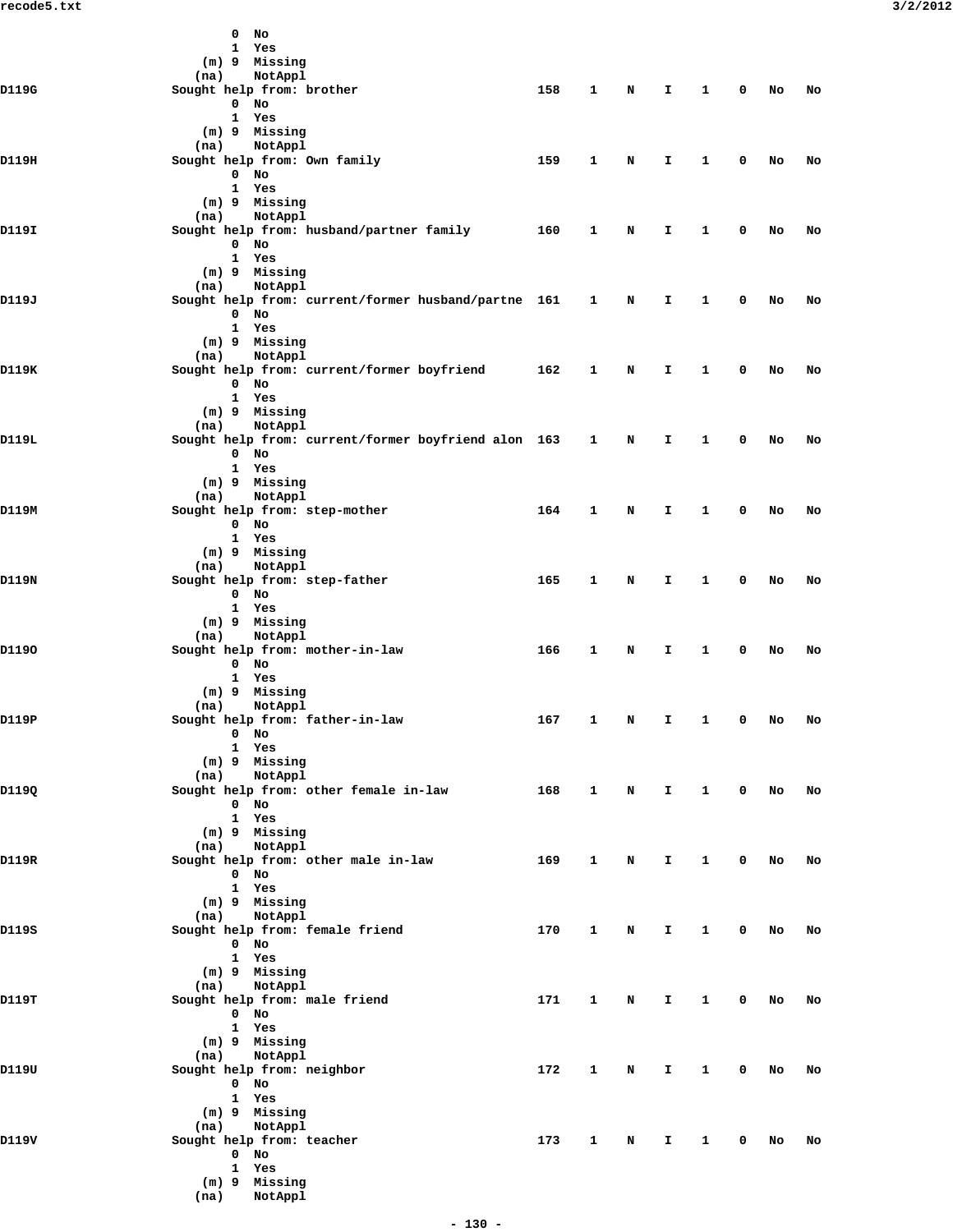|       | $0$ No                                                          |                     |              |             |              |                        |              |    |           |
|-------|-----------------------------------------------------------------|---------------------|--------------|-------------|--------------|------------------------|--------------|----|-----------|
|       | 1 Yes<br>(m) 9 Missing                                          |                     |              |             |              |                        |              |    |           |
|       | NotAppl<br>(na)                                                 |                     |              |             |              |                        |              |    |           |
| D119G | Sought help from: brother<br>$0$ No                             | 158                 | 1            | N           | I.           | $\mathbf{1}$           | $\mathbf 0$  | No | No        |
|       | 1 Yes                                                           |                     |              |             |              |                        |              |    |           |
|       | (m) 9 Missing                                                   |                     |              |             |              |                        |              |    |           |
| D119H | NotAppl<br>(na)<br>Sought help from: Own family                 | 159                 | 1            | N           | I.           | $\mathbf{1}$           | 0            | No | No        |
|       | $0$ No                                                          |                     |              |             |              |                        |              |    |           |
|       | 1 Yes                                                           |                     |              |             |              |                        |              |    |           |
|       | (m) 9 Missing<br>NotAppl<br>(na)                                |                     |              |             |              |                        |              |    |           |
| D119I | Sought help from: husband/partner family                        | 160                 | 1            | N           | I.           | 1                      | 0            | No | No        |
|       | $0$ No<br>1 Yes                                                 |                     |              |             |              |                        |              |    |           |
|       | (m) 9 Missing                                                   |                     |              |             |              |                        |              |    |           |
|       | NotAppl<br>(na)                                                 |                     |              |             |              |                        |              |    |           |
| D119J | Sought help from: current/former husband/partne 161 1<br>$0$ No |                     |              | N           | I.           | $\mathbf{1}$           | 0            | No | No        |
|       | 1 Yes                                                           |                     |              |             |              |                        |              |    |           |
|       | (m) 9 Missing                                                   |                     |              |             |              |                        |              |    |           |
| D119K | NotAppl<br>(na)<br>Sought help from: current/former boyfriend   | 162                 | 1            | N           | I.           | $\mathbf{1}$           | 0            | No | No        |
|       | $0$ No                                                          |                     |              |             |              |                        |              |    |           |
|       | 1 Yes                                                           |                     |              |             |              |                        |              |    |           |
|       | (m) 9 Missing<br>NotAppl<br>(na)                                |                     |              |             |              |                        |              |    |           |
| D119L | Sought help from: current/former boyfriend alon 163 1           |                     |              | $\mathbf N$ | I.           | $\mathbf{1}$           | 0            | No | No        |
|       | $0$ No<br>1 Yes                                                 |                     |              |             |              |                        |              |    |           |
|       | (m) 9 Missing                                                   |                     |              |             |              |                        |              |    |           |
|       | NotAppl<br>(na)                                                 |                     |              |             |              |                        |              |    |           |
| D119M | Sought help from: step-mother<br>$0$ No                         | 164                 | 1            | N           | I.           | 1                      | 0            | No | No        |
|       | 1 Yes                                                           |                     |              |             |              |                        |              |    |           |
|       | (m) 9 Missing                                                   |                     |              |             |              |                        |              |    |           |
| D119N | NotAppl<br>(na)<br>Sought help from: step-father                | 165                 | 1            | N           | I.           | 1                      | 0            | No | No        |
|       | $0$ No                                                          |                     |              |             |              |                        |              |    |           |
|       | 1 Yes                                                           |                     |              |             |              |                        |              |    |           |
|       | (m) 9 Missing<br>NotAppl<br>(na)                                |                     |              |             |              |                        |              |    |           |
| D1190 | Sought help from: mother-in-law                                 | 166                 | 1            | N           | I.           | $\mathbf{1}$           | 0            | No | No        |
|       | $0$ No<br>1 Yes                                                 |                     |              |             |              |                        |              |    |           |
|       | (m) 9 Missing                                                   |                     |              |             |              |                        |              |    |           |
| D119P | NotAppl<br>(na)                                                 | 167 1 N I 1 0 No No |              |             |              |                        |              |    |           |
|       | Sought help from: father-in-law<br>0 No                         |                     |              |             |              |                        |              |    |           |
|       | 1 Yes                                                           |                     |              |             |              |                        |              |    |           |
|       | (m) 9 Missing<br>(na) NotAppl                                   |                     |              |             |              |                        |              |    |           |
| D119Q | Sought help from: other female in-law                           | 168                 |              |             | 1 N I        |                        | 1 0 No       |    | <b>No</b> |
|       | $0$ No                                                          |                     |              |             |              |                        |              |    |           |
|       | 1 Yes<br>(m) 9 Missing                                          |                     |              |             |              |                        |              |    |           |
|       | (na) NotAppl                                                    |                     |              |             |              |                        |              |    |           |
| D119R | Sought help from: other male in-law<br>$0$ No                   | 169                 | $\mathbf{1}$ | N           | $\mathbf{T}$ | $\mathbf{1}$           | $\mathbf{0}$ | No | No        |
|       | 1 Yes                                                           |                     |              |             |              |                        |              |    |           |
|       | (m) 9 Missing<br>(na) NotAppl                                   |                     |              |             |              |                        |              |    |           |
| D119S | Sought help from: female friend                                 | 170                 | $\mathbf{1}$ | $\mathbf N$ | I.           | $\mathbf{1}$           | $\mathbf 0$  | No | No        |
|       | $0$ No                                                          |                     |              |             |              |                        |              |    |           |
|       | 1 Yes<br>(m) 9 Missing                                          |                     |              |             |              |                        |              |    |           |
|       | (na) NotAppl                                                    |                     |              |             |              |                        |              |    |           |
| D119T | Sought help from: male friend                                   | 171                 | $\mathbf{1}$ | N           | I.           | $1 \quad \blacksquare$ | $\mathbf{0}$ | No | No        |
|       | $0$ No<br>1 Yes                                                 |                     |              |             |              |                        |              |    |           |
|       | (m) 9 Missing                                                   |                     |              |             |              |                        |              |    |           |
| D119U | (na) NotAppl<br>Sought help from: neighbor                      | 172                 |              | $\mathbf N$ | I.           | $\mathbf{1}$           | $\mathbf{0}$ |    |           |
|       | $0$ No                                                          |                     | $\mathbf{1}$ |             |              |                        |              | No | No        |
|       | 1 Yes                                                           |                     |              |             |              |                        |              |    |           |
|       | (m) 9 Missing<br>(na) NotAppl                                   |                     |              |             |              |                        |              |    |           |
| D119V | Sought help from: teacher                                       | 173                 | $\mathbf{1}$ | N           | $\mathbf{I}$ | $\mathbf{1}$           | $\mathbf{0}$ | No | No        |
|       | $0$ No                                                          |                     |              |             |              |                        |              |    |           |
|       | 1 Yes<br>(m) 9 Missing                                          |                     |              |             |              |                        |              |    |           |
|       | (na) NotAppl                                                    |                     |              |             |              |                        |              |    |           |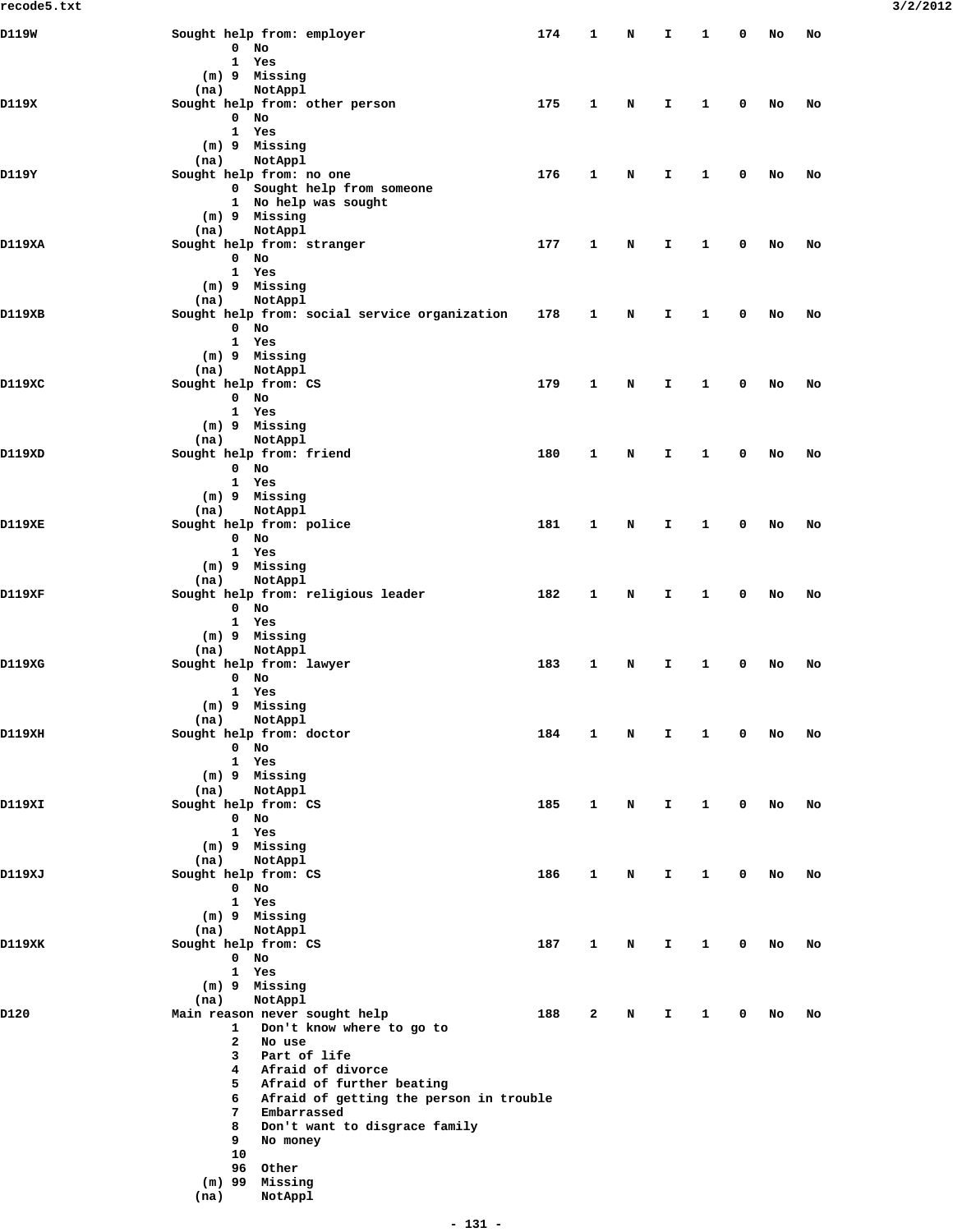| D119W  | Sought help from: employer                                          | 174 | 1 | N | I  | 1 | 0 | No | No |
|--------|---------------------------------------------------------------------|-----|---|---|----|---|---|----|----|
|        | $0$ No<br>1 Yes                                                     |     |   |   |    |   |   |    |    |
|        | (m) 9 Missing                                                       |     |   |   |    |   |   |    |    |
|        | NotAppl<br>(na)                                                     |     |   |   |    |   |   |    |    |
| D119X  | Sought help from: other person                                      | 175 | 1 | N | I  | 1 | 0 | No | No |
|        | $0$ No                                                              |     |   |   |    |   |   |    |    |
|        | 1 Yes                                                               |     |   |   |    |   |   |    |    |
|        | (m) 9 Missing                                                       |     |   |   |    |   |   |    |    |
| D119Y  | NotAppl<br>(na)<br>Sought help from: no one                         | 176 | 1 | N | I  | 1 | 0 | No | No |
|        | 0 Sought help from someone                                          |     |   |   |    |   |   |    |    |
|        | 1 No help was sought                                                |     |   |   |    |   |   |    |    |
|        | (m) 9 Missing                                                       |     |   |   |    |   |   |    |    |
|        | NotAppl<br>(na)                                                     |     |   |   |    |   |   |    |    |
| D119XA | Sought help from: stranger                                          | 177 | 1 | N | I. | 1 | 0 | No | No |
|        | $0$ No                                                              |     |   |   |    |   |   |    |    |
|        | 1 Yes                                                               |     |   |   |    |   |   |    |    |
|        | (m) 9 Missing                                                       |     |   |   |    |   |   |    |    |
| D119XB | (na)<br>NotAppl<br>Sought help from: social service organization    | 178 | 1 | N | I  | 1 | 0 | No | No |
|        | $0$ No                                                              |     |   |   |    |   |   |    |    |
|        | 1 Yes                                                               |     |   |   |    |   |   |    |    |
|        | (m) 9 Missing                                                       |     |   |   |    |   |   |    |    |
|        | NotAppl<br>(na)                                                     |     |   |   |    |   |   |    |    |
| D119XC | Sought help from: CS                                                | 179 | 1 | N | I  | 1 | 0 | No | No |
|        | $0$ No                                                              |     |   |   |    |   |   |    |    |
|        | 1 Yes                                                               |     |   |   |    |   |   |    |    |
|        | (m) 9 Missing                                                       |     |   |   |    |   |   |    |    |
|        | (na)<br>NotAppl                                                     |     |   |   |    |   |   |    |    |
| D119XD | Sought help from: friend<br>$0$ No                                  | 180 | 1 | N | I. | 1 | 0 | No | No |
|        | 1 Yes                                                               |     |   |   |    |   |   |    |    |
|        | (m) 9 Missing                                                       |     |   |   |    |   |   |    |    |
|        | NotAppl<br>(na)                                                     |     |   |   |    |   |   |    |    |
| D119XE | Sought help from: police                                            | 181 | 1 | N | I. | 1 | 0 | No | No |
|        | $0$ No                                                              |     |   |   |    |   |   |    |    |
|        | 1 Yes                                                               |     |   |   |    |   |   |    |    |
|        | (m) 9 Missing                                                       |     |   |   |    |   |   |    |    |
|        | (na)<br>NotAppl                                                     |     |   |   |    |   |   |    |    |
| D119XF | Sought help from: religious leader<br>$0$ No                        | 182 | 1 | N | I  | 1 | 0 | No | No |
|        | 1 Yes                                                               |     |   |   |    |   |   |    |    |
|        | (m) 9 Missing                                                       |     |   |   |    |   |   |    |    |
|        | NotAppl<br>(na)                                                     |     |   |   |    |   |   |    |    |
| D119XG | Sought help from: lawyer                                            | 183 | 1 | N | I  | 1 | 0 | No | No |
|        | $0$ No                                                              |     |   |   |    |   |   |    |    |
|        | 1 Yes                                                               |     |   |   |    |   |   |    |    |
|        | (m) 9 Missing                                                       |     |   |   |    |   |   |    |    |
|        | (na)<br>NotAppl                                                     |     |   |   |    |   |   |    |    |
| D119XH | Sought help from: doctor                                            | 184 | 1 | N | I  | 1 | 0 | No | No |
|        | $0$ No<br>1 Yes                                                     |     |   |   |    |   |   |    |    |
|        | $(m)$ 9 Missing                                                     |     |   |   |    |   |   |    |    |
|        | NotAppl<br>(na)                                                     |     |   |   |    |   |   |    |    |
| D119XI | Sought help from: CS                                                | 185 | 1 | N | I. | 1 | 0 | No | No |
|        | $0$ No                                                              |     |   |   |    |   |   |    |    |
|        | 1 Yes                                                               |     |   |   |    |   |   |    |    |
|        | $(m)$ 9 Missing                                                     |     |   |   |    |   |   |    |    |
|        | (na)<br>NotAppl                                                     |     |   |   |    |   |   |    |    |
| D119XJ | Sought help from: CS<br>$0$ No                                      | 186 | 1 | N | I  | 1 | 0 | No | No |
|        | 1 Yes                                                               |     |   |   |    |   |   |    |    |
|        | $(m)$ 9 Missing                                                     |     |   |   |    |   |   |    |    |
|        | NotAppl<br>(na)                                                     |     |   |   |    |   |   |    |    |
| D119XK | Sought help from: CS                                                | 187 | 1 | N | I. | 1 | 0 | No | No |
|        | $0$ No                                                              |     |   |   |    |   |   |    |    |
|        | 1 Yes                                                               |     |   |   |    |   |   |    |    |
|        | (m) 9 Missing                                                       |     |   |   |    |   |   |    |    |
|        | NotAppl<br>(na)                                                     |     |   |   |    |   |   |    |    |
| D120   | Main reason never sought help                                       | 188 | 2 | N | I  | 1 | 0 | No | No |
|        | Don't know where to go to<br>$\mathbf{1}$<br>$\mathbf{2}$<br>No use |     |   |   |    |   |   |    |    |
|        | Part of life<br>3                                                   |     |   |   |    |   |   |    |    |
|        | Afraid of divorce<br>4                                              |     |   |   |    |   |   |    |    |
|        | Afraid of further beating<br>5                                      |     |   |   |    |   |   |    |    |
|        | 6<br>Afraid of getting the person in trouble                        |     |   |   |    |   |   |    |    |
|        | Embarrassed<br>7                                                    |     |   |   |    |   |   |    |    |
|        | Don't want to disgrace family<br>8                                  |     |   |   |    |   |   |    |    |
|        | 9<br>No money                                                       |     |   |   |    |   |   |    |    |
|        | 10                                                                  |     |   |   |    |   |   |    |    |
|        | 96 Other<br>(m) 99<br>Missing                                       |     |   |   |    |   |   |    |    |
|        | (na)<br>NotAppl                                                     |     |   |   |    |   |   |    |    |
|        |                                                                     |     |   |   |    |   |   |    |    |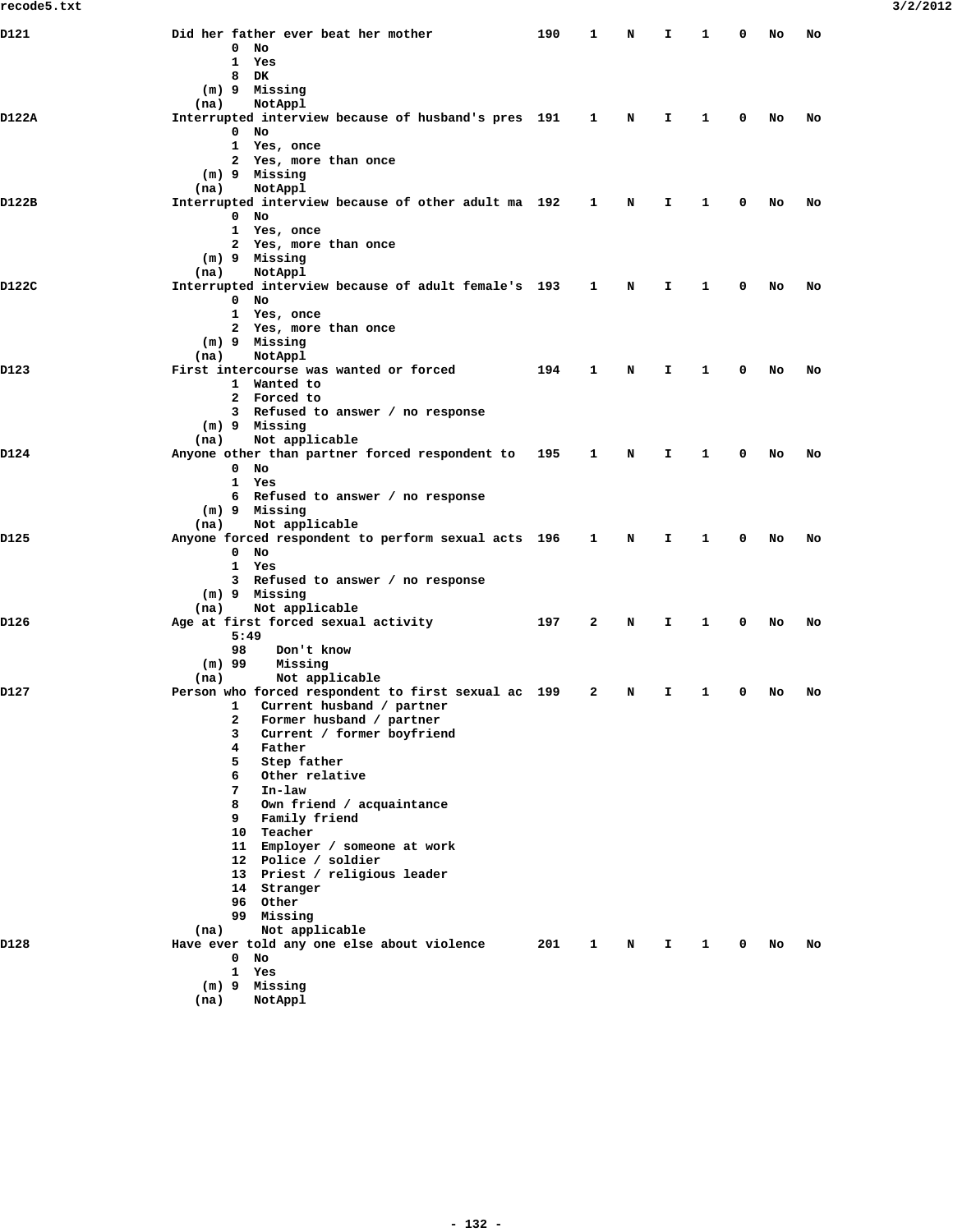| D121  | Did her father ever beat her mother<br>0<br>No<br>$\mathbf{1}$<br>Yes                                                                                                                                                                                                                                                                                                                                                 | 190 | 1 | N | I  | 1            | o | No | No |
|-------|-----------------------------------------------------------------------------------------------------------------------------------------------------------------------------------------------------------------------------------------------------------------------------------------------------------------------------------------------------------------------------------------------------------------------|-----|---|---|----|--------------|---|----|----|
|       | 8<br>DK.<br>(m) 9 Missing<br>(na)<br>NotAppl                                                                                                                                                                                                                                                                                                                                                                          |     |   |   |    |              |   |    |    |
| D122A | Interrupted interview because of husband's pres 191<br>$\mathbf 0$<br>No<br>$\mathbf{1}$<br>Yes, once<br>2 Yes, more than once                                                                                                                                                                                                                                                                                        |     | 1 | N | I. | 1            | 0 | No | No |
|       | (m) 9 Missing<br>NotAppl<br>(na)                                                                                                                                                                                                                                                                                                                                                                                      |     |   |   |    |              |   |    |    |
| D122B | Interrupted interview because of other adult ma 192<br>0<br>No<br>1 Yes, once<br>2 Yes, more than once                                                                                                                                                                                                                                                                                                                |     | 1 | N | Ι. | 1            | 0 | No | No |
|       | (m) 9 Missing<br>(na)<br>NotAppl                                                                                                                                                                                                                                                                                                                                                                                      |     |   |   |    |              |   |    |    |
| D122C | Interrupted interview because of adult female's 193<br>$0$ No                                                                                                                                                                                                                                                                                                                                                         |     | 1 | N | I. | 1            | 0 | No | No |
|       | 1 Yes, once<br>2 Yes, more than once<br>(m) 9 Missing<br>(na)<br>NotAppl                                                                                                                                                                                                                                                                                                                                              |     |   |   |    |              |   |    |    |
| D123  | First intercourse was wanted or forced<br>1 Wanted to<br>2 Forced to                                                                                                                                                                                                                                                                                                                                                  | 194 | 1 | N | I. | 1            | 0 | No | No |
|       | 3 Refused to answer / no response<br>(m) 9 Missing<br>Not applicable<br>(na)                                                                                                                                                                                                                                                                                                                                          |     |   |   |    |              |   |    |    |
| D124  | Anyone other than partner forced respondent to<br>$0$ No<br>$\mathbf{1}$<br>Yes<br>6 Refused to answer / no response                                                                                                                                                                                                                                                                                                  | 195 | 1 | N | I. | 1            | 0 | No | No |
|       | (m) 9 Missing<br>Not applicable<br>(na)                                                                                                                                                                                                                                                                                                                                                                               |     |   |   |    |              |   |    |    |
| D125  | Anyone forced respondent to perform sexual acts 196<br>$0$ No<br>1 Yes<br>3 Refused to answer / no response<br>(m) 9 Missing                                                                                                                                                                                                                                                                                          |     | 1 | N | Ι. | 1            | 0 | No | No |
| D126  | Not applicable<br>(na)<br>Age at first forced sexual activity                                                                                                                                                                                                                                                                                                                                                         | 197 | 2 | N | I. | 1            | 0 | No | No |
|       | 5:49<br>98<br>Don't know<br>Missing<br>$(m)$ 99<br>(na)<br>Not applicable                                                                                                                                                                                                                                                                                                                                             |     |   |   |    |              |   |    |    |
| D127  | Person who forced respondent to first sexual ac 199<br>$\mathbf{1}$<br>Current husband / partner<br>2<br>Former husband / partner<br>3<br>Current / former boyfriend<br>4<br>Father<br>5.<br>Step father<br>Other relative<br>6<br>In-law<br>7<br>8 Own friend / acquaintance<br>9 Family friend<br>10 Teacher<br>11 Employer / someone at work<br>12 Police / soldier<br>13 Priest / religious leader<br>14 Stranger |     | 2 | N | I. | 1            | 0 | No | No |
|       | 96 Other<br>99 Missing<br>Not applicable<br>(na)                                                                                                                                                                                                                                                                                                                                                                      |     |   |   |    |              |   |    |    |
| D128  | Have ever told any one else about violence<br>$0$ No<br>1 Yes<br>(m) 9 Missing<br>NotAppl<br>(na)                                                                                                                                                                                                                                                                                                                     | 201 | 1 | N | I. | $\mathbf{1}$ | 0 | No | No |
|       |                                                                                                                                                                                                                                                                                                                                                                                                                       |     |   |   |    |              |   |    |    |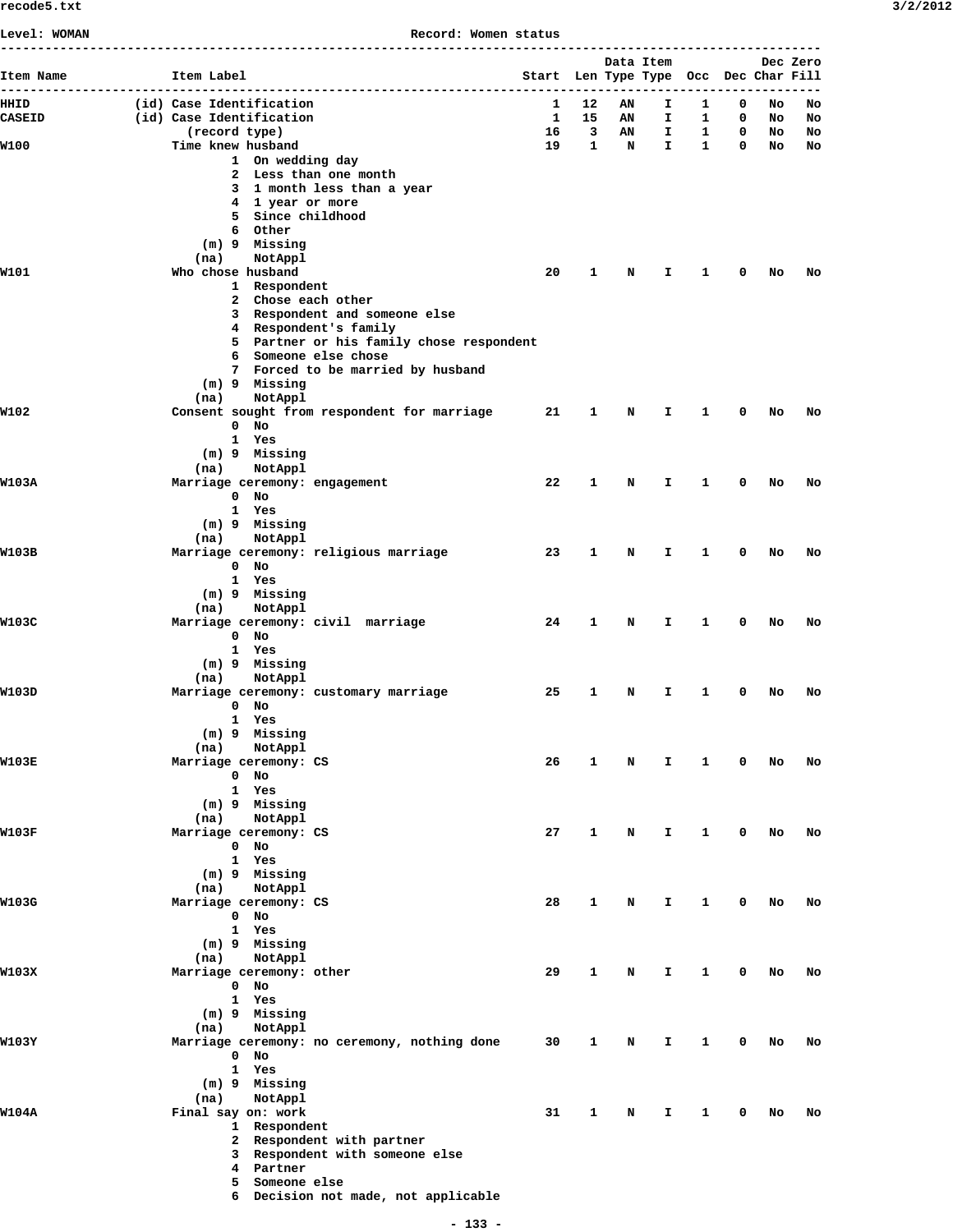**Level: WOMAN Record: Women status**

| Item Name     | Item Label                                                        | Start Len Type Type Occ Dec Char Fill |                         | Data Item |              |              |             |    | Dec Zero |
|---------------|-------------------------------------------------------------------|---------------------------------------|-------------------------|-----------|--------------|--------------|-------------|----|----------|
| HHID          | (id) Case Identification                                          | 1                                     | 12                      | AN        | I.           | 1            | 0           | No | No       |
| <b>CASEID</b> | (id) Case Identification                                          | $\mathbf{1}$                          | 15                      | AN        | $\mathbf{I}$ | 1            | 0           | No | No       |
|               | (record type)                                                     | 16                                    | $\overline{\mathbf{3}}$ | AN        | $\mathbf{T}$ | $\mathbf{1}$ | 0           | No | No       |
| W100          | Time knew husband                                                 | 19                                    | $\mathbf{1}$            | N         | $\mathbf{I}$ | $\mathbf{1}$ | $\mathbf 0$ | No | No       |
|               | 1 On wedding day<br>2 Less than one month                         |                                       |                         |           |              |              |             |    |          |
|               | 3 1 month less than a year                                        |                                       |                         |           |              |              |             |    |          |
|               | 4 1 year or more                                                  |                                       |                         |           |              |              |             |    |          |
|               | 5 Since childhood                                                 |                                       |                         |           |              |              |             |    |          |
|               | 6 Other                                                           |                                       |                         |           |              |              |             |    |          |
|               | (m) 9 Missing<br>(na)<br>NotAppl                                  |                                       |                         |           |              |              |             |    |          |
| W101          | Who chose husband                                                 | 20                                    | $\mathbf{1}$            | N         | I.           | 1            | 0           | No | No       |
|               | 1 Respondent                                                      |                                       |                         |           |              |              |             |    |          |
|               | 2 Chose each other                                                |                                       |                         |           |              |              |             |    |          |
|               | 3 Respondent and someone else                                     |                                       |                         |           |              |              |             |    |          |
|               | 4 Respondent's family<br>5 Partner or his family chose respondent |                                       |                         |           |              |              |             |    |          |
|               | 6 Someone else chose                                              |                                       |                         |           |              |              |             |    |          |
|               | 7 Forced to be married by husband                                 |                                       |                         |           |              |              |             |    |          |
|               | (m) 9 Missing                                                     |                                       |                         |           |              |              |             |    |          |
| W102          | NotAppl<br>(na)                                                   |                                       |                         |           |              |              |             |    |          |
|               | Consent sought from respondent for marriage<br>$0$ No             | 21                                    | 1                       | N         | I.           | 1            | 0           | No | No       |
|               | 1 Yes                                                             |                                       |                         |           |              |              |             |    |          |
|               | (m) 9 Missing                                                     |                                       |                         |           |              |              |             |    |          |
|               | NotAppl<br>(na)                                                   |                                       |                         |           |              |              |             |    |          |
| W103A         | Marriage ceremony: engagement                                     | 22                                    | 1                       | N         | I.           | 1            | 0           | No | No       |
|               | $0$ No<br>1 Yes                                                   |                                       |                         |           |              |              |             |    |          |
|               | (m) 9 Missing                                                     |                                       |                         |           |              |              |             |    |          |
|               | (na)<br>NotAppl                                                   |                                       |                         |           |              |              |             |    |          |
| W103B         | Marriage ceremony: religious marriage                             | 23                                    | $\mathbf{1}$            | N         | I.           | 1            | 0           | No | No       |
|               | $0$ No                                                            |                                       |                         |           |              |              |             |    |          |
|               | 1 Yes<br>(m) 9 Missing                                            |                                       |                         |           |              |              |             |    |          |
|               | NotAppl<br>(na)                                                   |                                       |                         |           |              |              |             |    |          |
| W103C         | Marriage ceremony: civil marriage                                 | 24                                    | 1                       | N         | I.           | 1            | 0           | No | No       |
|               | $0$ No                                                            |                                       |                         |           |              |              |             |    |          |
|               | 1 Yes                                                             |                                       |                         |           |              |              |             |    |          |
|               | (m) 9 Missing<br>NotAppl<br>(na)                                  |                                       |                         |           |              |              |             |    |          |
| W103D         | Marriage ceremony: customary marriage                             | 25                                    | 1                       | N         | I.           | 1            | 0           | No | No       |
|               | $0$ No                                                            |                                       |                         |           |              |              |             |    |          |
|               | 1 Yes                                                             |                                       |                         |           |              |              |             |    |          |
|               | (m) 9 Missing                                                     |                                       |                         |           |              |              |             |    |          |
| <b>W103E</b>  | (na)<br>NotAppl<br>Marriage ceremony: CS                          | 26                                    | 1                       | N         | I            | 1            | 0           | No | No       |
|               | $0$ No                                                            |                                       |                         |           |              |              |             |    |          |
|               | 1 Yes                                                             |                                       |                         |           |              |              |             |    |          |
|               | (m) 9 Missing                                                     |                                       |                         |           |              |              |             |    |          |
|               | (na)<br>NotAppl                                                   |                                       |                         |           |              |              |             |    |          |
| <b>W103F</b>  | Marriage ceremony: CS                                             | 27                                    | 1                       | N         | I.           | 1            | 0           | No | No       |
|               | $0$ No<br>1 Yes                                                   |                                       |                         |           |              |              |             |    |          |
|               | $(m)$ 9 Missing                                                   |                                       |                         |           |              |              |             |    |          |
|               | (na)<br>NotAppl                                                   |                                       |                         |           |              |              |             |    |          |
| W103G         | Marriage ceremony: CS                                             | 28                                    | 1                       | N         | I.           | 1            | 0           | No | No       |
|               | $0$ No                                                            |                                       |                         |           |              |              |             |    |          |
|               | 1 Yes<br>(m) 9 Missing                                            |                                       |                         |           |              |              |             |    |          |
|               | (na)<br>NotAppl                                                   |                                       |                         |           |              |              |             |    |          |
| W103X         | Marriage ceremony: other                                          | 29                                    | 1                       | N         | I.           | 1            | 0           | No | No       |
|               | $0$ No                                                            |                                       |                         |           |              |              |             |    |          |
|               | 1 Yes                                                             |                                       |                         |           |              |              |             |    |          |
|               | (m) 9 Missing<br>(na)<br>NotAppl                                  |                                       |                         |           |              |              |             |    |          |
| W103Y         | Marriage ceremony: no ceremony, nothing done                      | 30                                    | 1                       | N         | Ι.           | 1            | 0           | No | No       |
|               | $0$ No                                                            |                                       |                         |           |              |              |             |    |          |
|               | 1 Yes                                                             |                                       |                         |           |              |              |             |    |          |
|               | (m) 9 Missing                                                     |                                       |                         |           |              |              |             |    |          |
|               | NotAppl<br>(na)                                                   |                                       |                         |           |              |              |             |    |          |
| <b>W104A</b>  | Final say on: work<br>1 Respondent                                | 31                                    | 1                       | N         | I.           | 1            | 0           | No | No       |
|               | 2 Respondent with partner                                         |                                       |                         |           |              |              |             |    |          |
|               | 3 Respondent with someone else                                    |                                       |                         |           |              |              |             |    |          |
|               | 4 Partner                                                         |                                       |                         |           |              |              |             |    |          |
|               | 5 Someone else                                                    |                                       |                         |           |              |              |             |    |          |
|               | 6 Decision not made, not applicable                               |                                       |                         |           |              |              |             |    |          |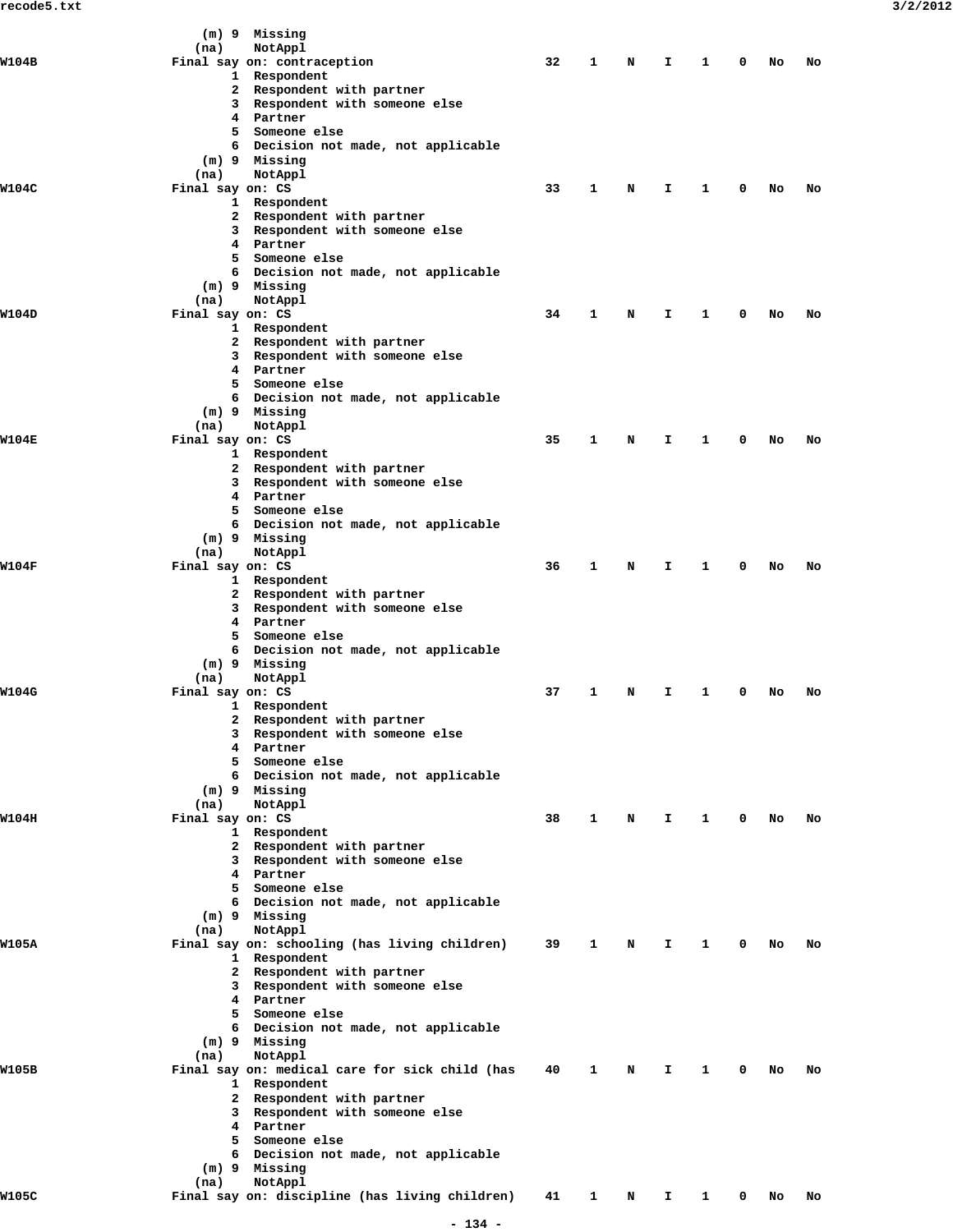|              |                          | (m) 9 Missing                                                  |    |              |   |              |                        |             |        |    |  |
|--------------|--------------------------|----------------------------------------------------------------|----|--------------|---|--------------|------------------------|-------------|--------|----|--|
| <b>W104B</b> | (na)                     | NotAppl<br>Final say on: contraception                         | 32 | 1            | N | I.           | 1                      | 0           | No     | No |  |
|              |                          | 1 Respondent                                                   |    |              |   |              |                        |             |        |    |  |
|              |                          | 2 Respondent with partner                                      |    |              |   |              |                        |             |        |    |  |
|              |                          | 3 Respondent with someone else                                 |    |              |   |              |                        |             |        |    |  |
|              |                          | 4 Partner<br>5 Someone else                                    |    |              |   |              |                        |             |        |    |  |
|              |                          | 6 Decision not made, not applicable                            |    |              |   |              |                        |             |        |    |  |
|              |                          | (m) 9 Missing                                                  |    |              |   |              |                        |             |        |    |  |
|              | (na)                     | NotAppl                                                        |    |              |   |              |                        |             |        |    |  |
| W104C        | Final say on: CS         | 1 Respondent                                                   | 33 | $\mathbf{1}$ | N | I.           | $\mathbf{1}$           | 0           | No     | No |  |
|              |                          | 2 Respondent with partner                                      |    |              |   |              |                        |             |        |    |  |
|              |                          | 3 Respondent with someone else                                 |    |              |   |              |                        |             |        |    |  |
|              |                          | 4 Partner                                                      |    |              |   |              |                        |             |        |    |  |
|              |                          | 5 Someone else                                                 |    |              |   |              |                        |             |        |    |  |
|              |                          | 6 Decision not made, not applicable<br>(m) 9 Missing           |    |              |   |              |                        |             |        |    |  |
|              | (na)                     | NotAppl                                                        |    |              |   |              |                        |             |        |    |  |
| W104D        | Final say on: CS         |                                                                | 34 | $\mathbf{1}$ | N | I.           | $\mathbf{1}$           | $^{\circ}$  | No     | No |  |
|              |                          | 1 Respondent                                                   |    |              |   |              |                        |             |        |    |  |
|              |                          | 2 Respondent with partner<br>3 Respondent with someone else    |    |              |   |              |                        |             |        |    |  |
|              |                          | 4 Partner                                                      |    |              |   |              |                        |             |        |    |  |
|              |                          | 5 Someone else                                                 |    |              |   |              |                        |             |        |    |  |
|              |                          | 6 Decision not made, not applicable                            |    |              |   |              |                        |             |        |    |  |
|              | (na)                     | (m) 9 Missing<br>NotAppl                                       |    |              |   |              |                        |             |        |    |  |
| <b>W104E</b> | Final say on: CS         |                                                                | 35 | $\mathbf{1}$ | N | I.           | $\mathbf{1}$           | 0           | No     | No |  |
|              |                          | 1 Respondent                                                   |    |              |   |              |                        |             |        |    |  |
|              |                          | 2 Respondent with partner                                      |    |              |   |              |                        |             |        |    |  |
|              | 3                        | Respondent with someone else<br>4 Partner                      |    |              |   |              |                        |             |        |    |  |
|              |                          | 5 Someone else                                                 |    |              |   |              |                        |             |        |    |  |
|              |                          | 6 Decision not made, not applicable                            |    |              |   |              |                        |             |        |    |  |
|              |                          | (m) 9 Missing                                                  |    |              |   |              |                        |             |        |    |  |
| <b>W104F</b> | (na)<br>Final say on: CS | NotAppl                                                        | 36 | 1            | N | I.           | 1                      | 0           | No     | No |  |
|              |                          | 1 Respondent                                                   |    |              |   |              |                        |             |        |    |  |
|              |                          | 2 Respondent with partner                                      |    |              |   |              |                        |             |        |    |  |
|              |                          | 3 Respondent with someone else                                 |    |              |   |              |                        |             |        |    |  |
|              |                          | 4 Partner<br>5 Someone else                                    |    |              |   |              |                        |             |        |    |  |
|              |                          | 6 Decision not made, not applicable                            |    |              |   |              |                        |             |        |    |  |
|              |                          | (m) 9 Missing                                                  |    |              |   |              |                        |             |        |    |  |
|              | (na)                     | NotAppl                                                        |    |              |   |              |                        |             |        |    |  |
| W104G        | Final say on: CS         | 1 Respondent                                                   | 37 | 1            | N | Т.           | 1                      | 0           | No     | No |  |
|              |                          | 2 Respondent with partner                                      |    |              |   |              |                        |             |        |    |  |
|              |                          | 3 Respondent with someone else                                 |    |              |   |              |                        |             |        |    |  |
|              |                          | 4 Partner                                                      |    |              |   |              |                        |             |        |    |  |
|              |                          | 5 Someone else                                                 |    |              |   |              |                        |             |        |    |  |
|              |                          | 6 Decision not made, not applicable<br>$(m)$ 9 Missing         |    |              |   |              |                        |             |        |    |  |
|              | (na)                     | NotAppl                                                        |    |              |   |              |                        |             |        |    |  |
| W104H        | Final say on: CS         |                                                                | 38 | $\mathbf{1}$ | N | $\mathbf{T}$ | $1 \quad \blacksquare$ |             | $0$ No | No |  |
|              |                          | 1 Respondent                                                   |    |              |   |              |                        |             |        |    |  |
|              |                          | 2 Respondent with partner<br>3 Respondent with someone else    |    |              |   |              |                        |             |        |    |  |
|              |                          | 4 Partner                                                      |    |              |   |              |                        |             |        |    |  |
|              |                          | 5 Someone else                                                 |    |              |   |              |                        |             |        |    |  |
|              |                          | 6 Decision not made, not applicable                            |    |              |   |              |                        |             |        |    |  |
|              | (na)                     | $(m)$ 9 Missing<br>NotAppl                                     |    |              |   |              |                        |             |        |    |  |
| W105A        |                          | Final say on: schooling (has living children)                  | 39 | $\mathbf{1}$ | N | $\mathbf{I}$ | $\mathbf{1}$           | $\mathbf 0$ | No     | No |  |
|              |                          | 1 Respondent                                                   |    |              |   |              |                        |             |        |    |  |
|              |                          | 2 Respondent with partner                                      |    |              |   |              |                        |             |        |    |  |
|              |                          | 3 Respondent with someone else<br>4 Partner                    |    |              |   |              |                        |             |        |    |  |
|              |                          | 5 Someone else                                                 |    |              |   |              |                        |             |        |    |  |
|              |                          | 6 Decision not made, not applicable                            |    |              |   |              |                        |             |        |    |  |
|              |                          | (m) 9 Missing                                                  |    |              |   |              |                        |             |        |    |  |
|              | (na)                     | NotAppl                                                        |    |              |   |              |                        |             |        |    |  |
| W105B        |                          | Final say on: medical care for sick child (has<br>1 Respondent | 40 | 1            | N | I.           | $\mathbf{1}$           | 0           | No     | No |  |
|              |                          | 2 Respondent with partner                                      |    |              |   |              |                        |             |        |    |  |
|              |                          | 3 Respondent with someone else                                 |    |              |   |              |                        |             |        |    |  |
|              |                          | 4 Partner                                                      |    |              |   |              |                        |             |        |    |  |
|              |                          | 5 Someone else<br>6 Decision not made, not applicable          |    |              |   |              |                        |             |        |    |  |
|              |                          | (m) 9 Missing                                                  |    |              |   |              |                        |             |        |    |  |
|              | (na)                     | NotAppl                                                        |    |              |   |              |                        |             |        |    |  |
| W105C        |                          | Final say on: discipline (has living children)                 | 41 | 1            | N | I.           | $\mathbf{1}$           | 0           | No     | No |  |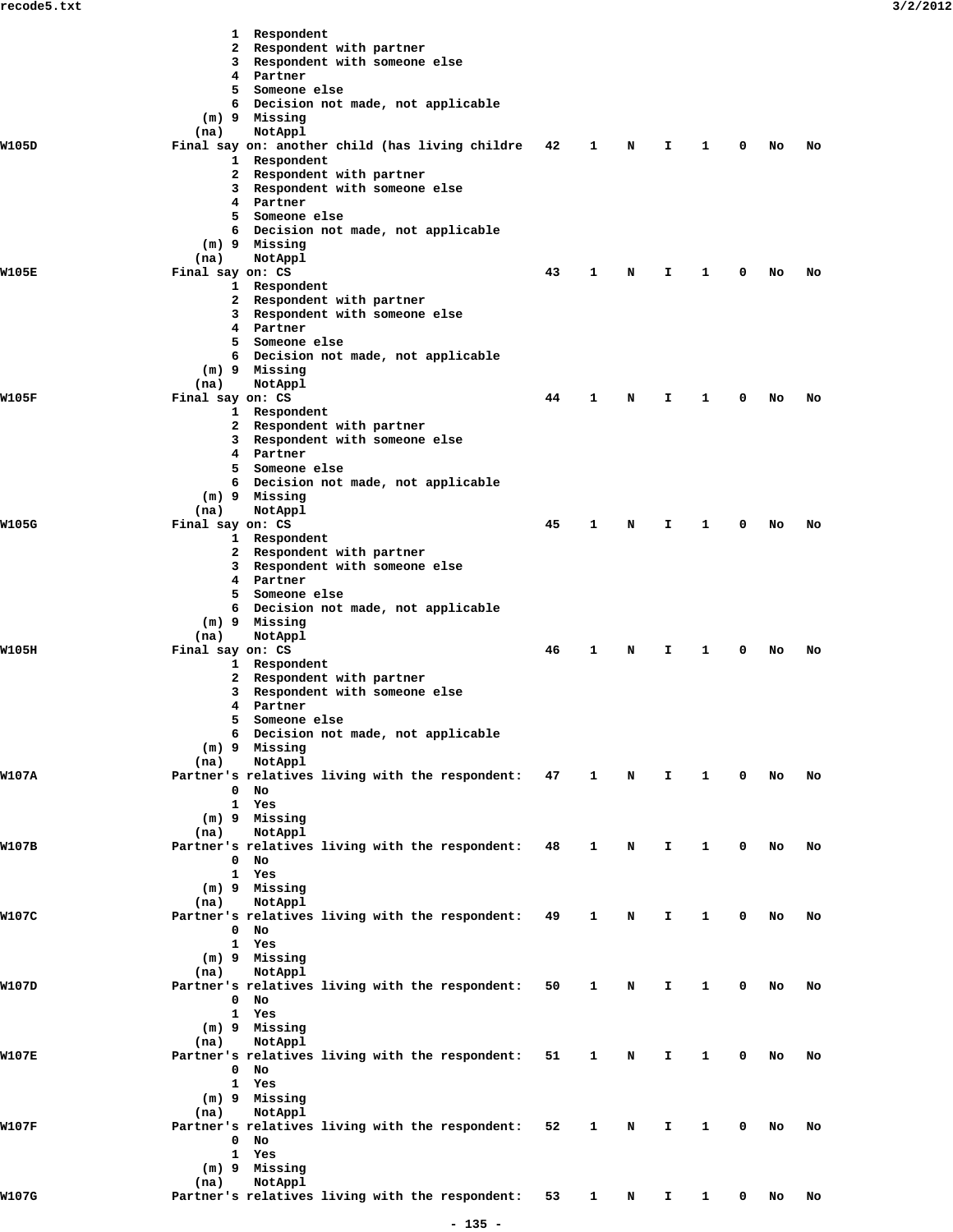|       |                          | 1 Respondent                                                |    |              |   |    |   |   |    |    |
|-------|--------------------------|-------------------------------------------------------------|----|--------------|---|----|---|---|----|----|
|       |                          | 2 Respondent with partner                                   |    |              |   |    |   |   |    |    |
|       |                          | 3 Respondent with someone else                              |    |              |   |    |   |   |    |    |
|       |                          | 4 Partner                                                   |    |              |   |    |   |   |    |    |
|       |                          | 5 Someone else                                              |    |              |   |    |   |   |    |    |
|       |                          | 6 Decision not made, not applicable<br>(m) 9 Missing        |    |              |   |    |   |   |    |    |
|       | (na)                     | NotAppl                                                     |    |              |   |    |   |   |    |    |
| W105D |                          | Final say on: another child (has living childre             | 42 | 1            | N | I. | 1 | 0 | No | No |
|       |                          | 1 Respondent                                                |    |              |   |    |   |   |    |    |
|       |                          | 2 Respondent with partner                                   |    |              |   |    |   |   |    |    |
|       |                          | 3 Respondent with someone else                              |    |              |   |    |   |   |    |    |
|       |                          | 4 Partner                                                   |    |              |   |    |   |   |    |    |
|       |                          | 5 Someone else                                              |    |              |   |    |   |   |    |    |
|       |                          | 6 Decision not made, not applicable                         |    |              |   |    |   |   |    |    |
|       |                          | (m) 9 Missing                                               |    |              |   |    |   |   |    |    |
| W105E | (na)<br>Final say on: CS | NotAppl                                                     | 43 | 1            | N | I. | 1 | 0 | No | No |
|       |                          | 1 Respondent                                                |    |              |   |    |   |   |    |    |
|       |                          | 2 Respondent with partner                                   |    |              |   |    |   |   |    |    |
|       |                          | 3 Respondent with someone else                              |    |              |   |    |   |   |    |    |
|       |                          | 4 Partner                                                   |    |              |   |    |   |   |    |    |
|       |                          | 5 Someone else                                              |    |              |   |    |   |   |    |    |
|       |                          | 6 Decision not made, not applicable                         |    |              |   |    |   |   |    |    |
|       |                          | (m) 9 Missing                                               |    |              |   |    |   |   |    |    |
|       | (na)                     | NotAppl                                                     |    |              |   |    |   |   |    |    |
| W105F | Final say on: CS         |                                                             | 44 | 1            | N | I. | 1 | 0 | No | No |
|       |                          | 1 Respondent                                                |    |              |   |    |   |   |    |    |
|       |                          | 2 Respondent with partner<br>3 Respondent with someone else |    |              |   |    |   |   |    |    |
|       |                          | 4 Partner                                                   |    |              |   |    |   |   |    |    |
|       |                          | 5 Someone else                                              |    |              |   |    |   |   |    |    |
|       |                          | 6 Decision not made, not applicable                         |    |              |   |    |   |   |    |    |
|       |                          | (m) 9 Missing                                               |    |              |   |    |   |   |    |    |
|       | (na)                     | NotAppl                                                     |    |              |   |    |   |   |    |    |
| W105G | Final say on: CS         |                                                             | 45 | 1            | N | I. | 1 | 0 | No | No |
|       |                          | 1 Respondent                                                |    |              |   |    |   |   |    |    |
|       |                          | 2 Respondent with partner                                   |    |              |   |    |   |   |    |    |
|       |                          | 3 Respondent with someone else                              |    |              |   |    |   |   |    |    |
|       |                          | 4 Partner<br>5 Someone else                                 |    |              |   |    |   |   |    |    |
|       |                          | 6 Decision not made, not applicable                         |    |              |   |    |   |   |    |    |
|       |                          | (m) 9 Missing                                               |    |              |   |    |   |   |    |    |
|       | (na)                     | NotAppl                                                     |    |              |   |    |   |   |    |    |
| W105H | Final say on: CS         |                                                             | 46 | $\mathbf{1}$ | N | I. | 1 | 0 | No | No |
|       |                          | 1 Respondent                                                |    |              |   |    |   |   |    |    |
|       |                          | 2 Respondent with partner                                   |    |              |   |    |   |   |    |    |
|       |                          | 3 Respondent with someone else                              |    |              |   |    |   |   |    |    |
|       |                          | 4 Partner                                                   |    |              |   |    |   |   |    |    |
|       |                          | 5 Someone else                                              |    |              |   |    |   |   |    |    |
|       |                          | 6 Decision not made, not applicable<br>(m) 9 Missing        |    |              |   |    |   |   |    |    |
|       | (na)                     | NotAppl                                                     |    |              |   |    |   |   |    |    |
| W107A |                          | Partner's relatives living with the respondent: 47          |    | 1            | N | I. | 1 | 0 | No | No |
|       |                          | $0$ No                                                      |    |              |   |    |   |   |    |    |
|       |                          | 1 Yes                                                       |    |              |   |    |   |   |    |    |
|       |                          | (m) 9 Missing                                               |    |              |   |    |   |   |    |    |
|       | (na)                     | NotAppl                                                     |    |              |   |    |   |   |    |    |
| W107B |                          | Partner's relatives living with the respondent: 48          |    | 1            | N | I. | 1 | 0 | No | No |
|       |                          | $0$ No                                                      |    |              |   |    |   |   |    |    |
|       |                          | 1 Yes                                                       |    |              |   |    |   |   |    |    |
|       | (na)                     | (m) 9 Missing<br>NotAppl                                    |    |              |   |    |   |   |    |    |
| W107C |                          | Partner's relatives living with the respondent: 49          |    | 1            | N | I. | 1 | 0 | No | No |
|       |                          | $0$ No                                                      |    |              |   |    |   |   |    |    |
|       |                          | 1 Yes                                                       |    |              |   |    |   |   |    |    |
|       |                          | (m) 9 Missing                                               |    |              |   |    |   |   |    |    |
|       | (na)                     | NotAppl                                                     |    |              |   |    |   |   |    |    |
| W107D |                          | Partner's relatives living with the respondent: 50          |    | 1            | N | I. | 1 | 0 | No | No |
|       |                          | $0$ No                                                      |    |              |   |    |   |   |    |    |
|       |                          | 1 Yes                                                       |    |              |   |    |   |   |    |    |
|       |                          | (m) 9 Missing                                               |    |              |   |    |   |   |    |    |
| W107E | (na)                     | NotAppl<br>Partner's relatives living with the respondent:  | 51 | 1            | N | I. | 1 | 0 | No | No |
|       |                          | $0$ No                                                      |    |              |   |    |   |   |    |    |
|       |                          | 1 Yes                                                       |    |              |   |    |   |   |    |    |
|       |                          | (m) 9 Missing                                               |    |              |   |    |   |   |    |    |
|       | (na)                     | NotAppl                                                     |    |              |   |    |   |   |    |    |
| W107F |                          | Partner's relatives living with the respondent: 52          |    | 1            | N | I. | 1 | 0 | No | No |
|       |                          | $0$ No                                                      |    |              |   |    |   |   |    |    |
|       |                          | 1 Yes                                                       |    |              |   |    |   |   |    |    |
|       |                          | (m) 9 Missing                                               |    |              |   |    |   |   |    |    |
|       | (na)                     | NotAppl                                                     |    |              |   |    |   |   |    |    |
| W107G |                          | Partner's relatives living with the respondent:             | 53 | $\mathbf{1}$ | N | Ι. | 1 | 0 | No | No |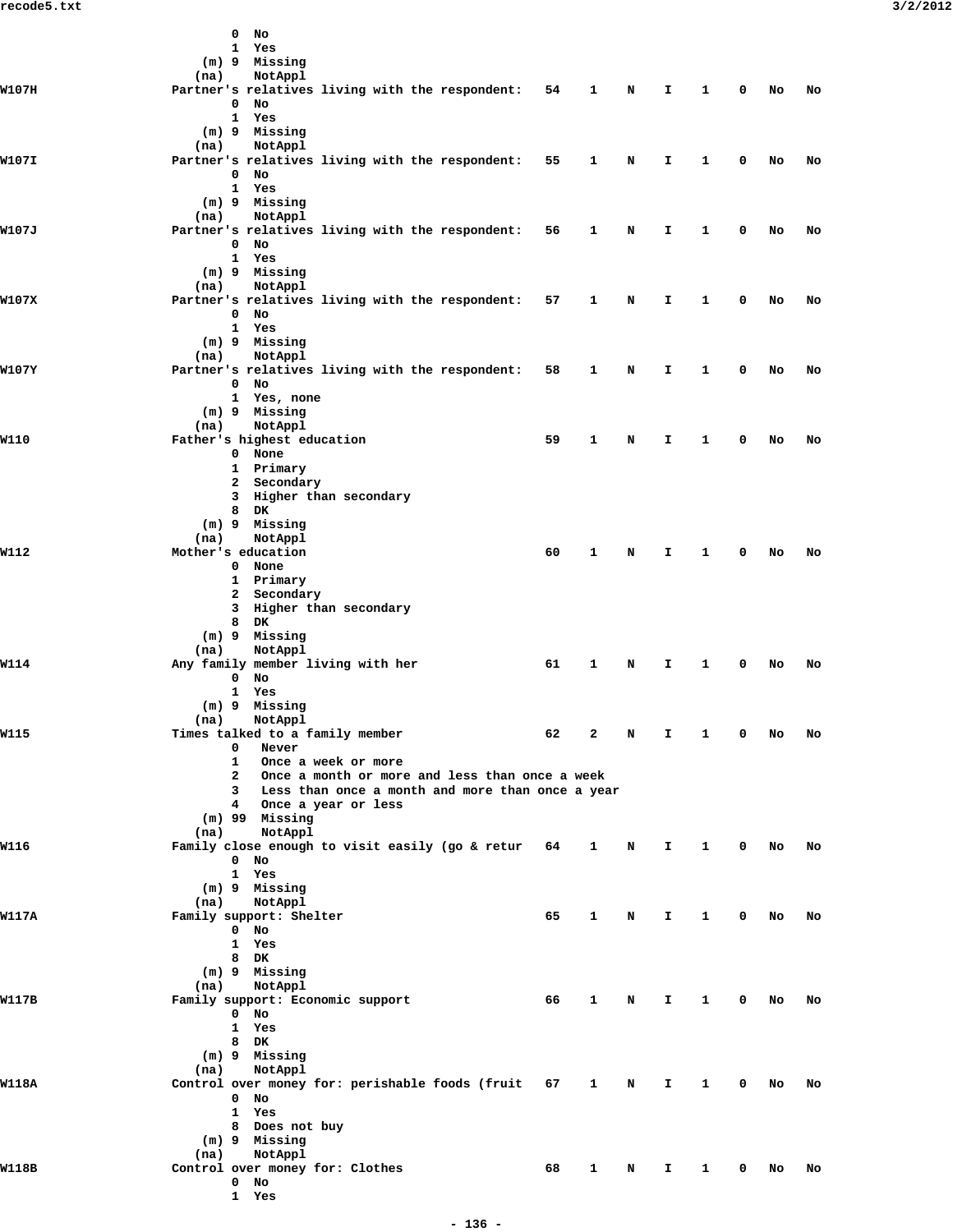|       | $0$ No                                                                               |    |              |   |    |   |   |    |    |
|-------|--------------------------------------------------------------------------------------|----|--------------|---|----|---|---|----|----|
|       | 1 Yes<br>(m) 9 Missing                                                               |    |              |   |    |   |   |    |    |
|       | NotAppl<br>(na)                                                                      |    |              |   |    |   |   |    |    |
| W107H | Partner's relatives living with the respondent: 54<br>$0$ No                         |    | 1            | N | I. | 1 | 0 | No | No |
|       | 1 Yes                                                                                |    |              |   |    |   |   |    |    |
|       | (m) 9 Missing<br>NotAppl<br>(na)                                                     |    |              |   |    |   |   |    |    |
| W107I | Partner's relatives living with the respondent: 55                                   |    | $\mathbf{1}$ | N | I. | 1 | 0 | No | No |
|       | $0$ No<br>1 Yes                                                                      |    |              |   |    |   |   |    |    |
|       | (m) 9 Missing                                                                        |    |              |   |    |   |   |    |    |
| W107J | NotAppl<br>(na)<br>Partner's relatives living with the respondent: 56                |    | 1            | N | I. | 1 | 0 | No | No |
|       | $0$ No                                                                               |    |              |   |    |   |   |    |    |
|       | 1 Yes<br>(m) 9 Missing                                                               |    |              |   |    |   |   |    |    |
|       | NotAppl<br>(na)                                                                      |    |              |   |    |   |   |    |    |
| W107X | Partner's relatives living with the respondent: 57<br>0 No                           |    | $\mathbf{1}$ | N | I. | 1 | 0 | No | No |
|       | 1 Yes                                                                                |    |              |   |    |   |   |    |    |
|       | (m) 9 Missing<br>NotAppl<br>(na)                                                     |    |              |   |    |   |   |    |    |
| W107Y | Partner's relatives living with the respondent:                                      | 58 | 1            | N | I. | 1 | 0 | No | No |
|       | $0$ No<br>1 Yes, none                                                                |    |              |   |    |   |   |    |    |
|       | $(m)$ 9 Missing                                                                      |    |              |   |    |   |   |    |    |
| W110  | NotAppl<br>(na)<br>Father's highest education                                        | 59 | 1            | N | I. | 1 | 0 | No | No |
|       | 0 None                                                                               |    |              |   |    |   |   |    |    |
|       | 1 Primary<br>2 Secondary                                                             |    |              |   |    |   |   |    |    |
|       | 3 Higher than secondary                                                              |    |              |   |    |   |   |    |    |
|       | 8 DK<br>(m) 9 Missing                                                                |    |              |   |    |   |   |    |    |
|       | NotAppl<br>(na)                                                                      |    |              |   |    |   |   |    |    |
| W112  | Mother's education<br>0 None                                                         | 60 | 1            | N | I. | 1 | 0 | No | No |
|       | 1 Primary                                                                            |    |              |   |    |   |   |    |    |
|       | 2 Secondary<br>3 Higher than secondary                                               |    |              |   |    |   |   |    |    |
|       | 8 DK                                                                                 |    |              |   |    |   |   |    |    |
|       | (m) 9 Missing<br>NotAppl<br>(na)                                                     |    |              |   |    |   |   |    |    |
| W114  | Any family member living with her                                                    | 61 | 1            | N | I. | 1 | 0 | No | No |
|       | $0$ No<br>1 Yes                                                                      |    |              |   |    |   |   |    |    |
|       | (m) 9 Missing                                                                        |    |              |   |    |   |   |    |    |
| W115  | (na) NotAppl<br>Times talked to a family member                                      | 62 | 2            | N | I. | 1 | 0 | No | No |
|       | $\mathbf{0}$<br>Never                                                                |    |              |   |    |   |   |    |    |
|       | $1 \quad$<br>Once a week or more<br>2 Once a month or more and less than once a week |    |              |   |    |   |   |    |    |
|       | 3 Less than once a month and more than once a year                                   |    |              |   |    |   |   |    |    |
|       | 4 Once a year or less<br>$(m)$ 99 Missing                                            |    |              |   |    |   |   |    |    |
|       | NotAppl<br>(na)                                                                      |    |              |   |    |   |   |    |    |
| W116  | Family close enough to visit easily (go & retur 64<br>$0$ No                         |    | $\mathbf{1}$ | N | I. | 1 | 0 | No | No |
|       | 1 Yes                                                                                |    |              |   |    |   |   |    |    |
|       | (m) 9 Missing<br>NotAppl<br>(na)                                                     |    |              |   |    |   |   |    |    |
| W117A | Family support: Shelter                                                              | 65 | 1            | N | Ι. | 1 | 0 | No | No |
|       | 0 No<br>1 Yes                                                                        |    |              |   |    |   |   |    |    |
|       | 8 DK                                                                                 |    |              |   |    |   |   |    |    |
|       | (m) 9 Missing<br>NotAppl<br>(na)                                                     |    |              |   |    |   |   |    |    |
| W117B | Family support: Economic support                                                     | 66 | 1            | N | I. | 1 | 0 | No | No |
|       | $0$ No<br>1 Yes                                                                      |    |              |   |    |   |   |    |    |
|       | 8 DK                                                                                 |    |              |   |    |   |   |    |    |
|       | (m) 9 Missing<br>NotAppl<br>(na)                                                     |    |              |   |    |   |   |    |    |
| W118A | Control over money for: perishable foods (fruit 67                                   |    | $\mathbf{1}$ | N | I. | 1 | 0 | No | No |
|       | $0$ No<br>1 Yes                                                                      |    |              |   |    |   |   |    |    |
|       | 8 Does not buy                                                                       |    |              |   |    |   |   |    |    |
|       | (m) 9 Missing<br>NotAppl<br>(na)                                                     |    |              |   |    |   |   |    |    |
| W118B | Control over money for: Clothes                                                      | 68 | 1            | N | I. | 1 | 0 | No | No |
|       | $0$ No<br>1 Yes                                                                      |    |              |   |    |   |   |    |    |
|       |                                                                                      |    |              |   |    |   |   |    |    |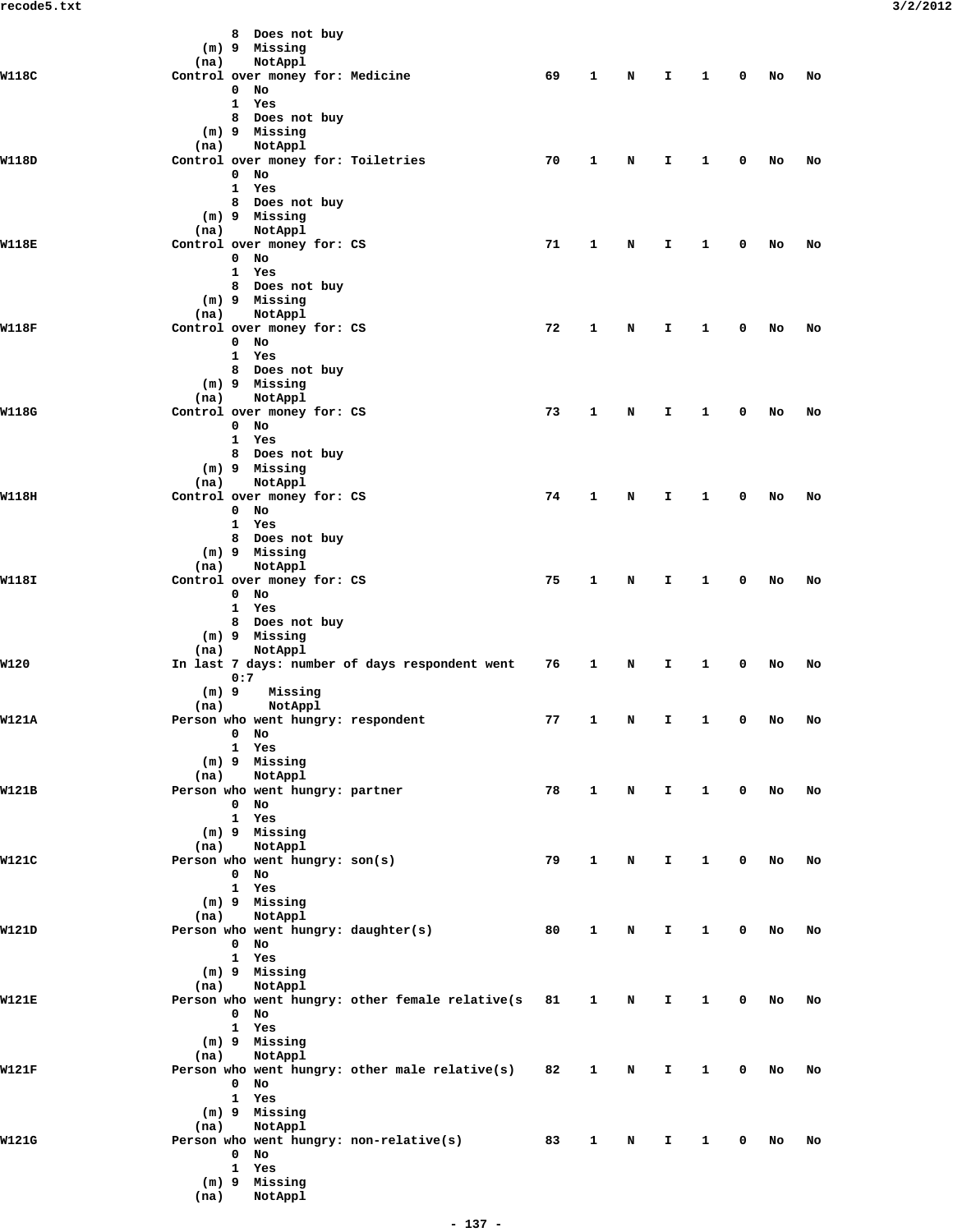|       |                 | 8 Does not buy<br>(m) 9 Missing               |                                                    |    |              |   |              |              |             |        |    |
|-------|-----------------|-----------------------------------------------|----------------------------------------------------|----|--------------|---|--------------|--------------|-------------|--------|----|
|       | (na)            | NotAppl                                       |                                                    |    |              |   |              |              |             |        |    |
| W118C |                 | Control over money for: Medicine<br>$0$ No    |                                                    | 69 | $\mathbf{1}$ | N | $\mathbf{T}$ | 1            | 0           | No     | No |
|       |                 | 1 Yes                                         |                                                    |    |              |   |              |              |             |        |    |
|       |                 | 8 Does not buy                                |                                                    |    |              |   |              |              |             |        |    |
|       |                 | (m) 9 Missing                                 |                                                    |    |              |   |              |              |             |        |    |
| W118D | (na)            | NotAppl<br>Control over money for: Toiletries |                                                    | 70 | 1            | N | I            | 1            | 0           | No     | No |
|       |                 | $0$ No                                        |                                                    |    |              |   |              |              |             |        |    |
|       |                 | 1 Yes                                         |                                                    |    |              |   |              |              |             |        |    |
|       |                 | 8 Does not buy<br>$(m)$ 9 Missing             |                                                    |    |              |   |              |              |             |        |    |
|       | (na)            | NotAppl                                       |                                                    |    |              |   |              |              |             |        |    |
| W118E |                 | Control over money for: CS                    |                                                    | 71 | 1            | N | I            | 1            | 0           | No     | No |
|       |                 | $0$ No                                        |                                                    |    |              |   |              |              |             |        |    |
|       |                 | 1 Yes<br>8 Does not buy                       |                                                    |    |              |   |              |              |             |        |    |
|       |                 | $(m)$ 9 Missing                               |                                                    |    |              |   |              |              |             |        |    |
|       | (na)            | NotAppl                                       |                                                    |    |              |   |              |              |             |        |    |
| W118F |                 | Control over money for: CS                    |                                                    | 72 | 1            | N | I            | 1            | 0           | No     | No |
|       |                 | $0$ No<br>1 Yes                               |                                                    |    |              |   |              |              |             |        |    |
|       |                 | 8 Does not buy                                |                                                    |    |              |   |              |              |             |        |    |
|       |                 | (m) 9 Missing                                 |                                                    |    |              |   |              |              |             |        |    |
|       | (na)            | NotAppl                                       |                                                    |    |              |   |              |              |             |        |    |
| W118G |                 | Control over money for: CS<br>$0$ No          |                                                    | 73 | $\mathbf{1}$ | N | I            | 1            | 0           | No     | No |
|       |                 | 1 Yes                                         |                                                    |    |              |   |              |              |             |        |    |
|       |                 | 8 Does not buy                                |                                                    |    |              |   |              |              |             |        |    |
|       |                 | $(m)$ 9 Missing                               |                                                    |    |              |   |              |              |             |        |    |
| W118H | (na)            | NotAppl<br>Control over money for: CS         |                                                    | 74 | 1            | N | I            | 1            | 0           | No     | No |
|       |                 | $0$ No                                        |                                                    |    |              |   |              |              |             |        |    |
|       |                 | 1 Yes                                         |                                                    |    |              |   |              |              |             |        |    |
|       |                 | 8 Does not buy                                |                                                    |    |              |   |              |              |             |        |    |
|       | (na)            | (m) 9 Missing<br>NotAppl                      |                                                    |    |              |   |              |              |             |        |    |
| W118I |                 | Control over money for: CS                    |                                                    | 75 | 1            | N | I            | 1            | 0           | No     | No |
|       |                 | $0$ No                                        |                                                    |    |              |   |              |              |             |        |    |
|       |                 | 1 Yes                                         |                                                    |    |              |   |              |              |             |        |    |
|       |                 | 8 Does not buy<br>$(m)$ 9 Missing             |                                                    |    |              |   |              |              |             |        |    |
|       | (na)            | NotAppl                                       |                                                    |    |              |   |              |              |             |        |    |
| W120  |                 |                                               | In last 7 days: number of days respondent went     | 76 | 1            | N | I            | 1            | 0           | No     | No |
|       |                 | 0:7                                           |                                                    |    |              |   |              |              |             |        |    |
|       | $(m)$ 9<br>(na) | Missing<br>NotAppl                            |                                                    |    |              |   |              |              |             |        |    |
| W121A |                 | Person who went hungry: respondent            |                                                    | 77 | $\mathbf{1}$ | N | I            | $\mathbf{1}$ | 0           | No     | No |
|       |                 | $0$ No                                        |                                                    |    |              |   |              |              |             |        |    |
|       |                 | 1 Yes                                         |                                                    |    |              |   |              |              |             |        |    |
|       | (na)            | (m) 9 Missing<br>NotAppl                      |                                                    |    |              |   |              |              |             |        |    |
| W121B |                 | Person who went hungry: partner               |                                                    | 78 | $\mathbf{1}$ | N | I.           | $\mathbf{1}$ | 0           | No     | No |
|       |                 | 0 No                                          |                                                    |    |              |   |              |              |             |        |    |
|       |                 | 1 Yes                                         |                                                    |    |              |   |              |              |             |        |    |
|       | (na)            | (m) 9 Missing<br>NotAppl                      |                                                    |    |              |   |              |              |             |        |    |
| W121C |                 | Person who went hungry: son(s)                |                                                    | 79 | 1            | N | I.           | $\mathbf{1}$ | 0           | No     | No |
|       |                 | $0$ No                                        |                                                    |    |              |   |              |              |             |        |    |
|       |                 | 1 Yes<br>(m) 9 Missing                        |                                                    |    |              |   |              |              |             |        |    |
|       | (na)            | NotAppl                                       |                                                    |    |              |   |              |              |             |        |    |
| W121D |                 | Person who went hungry: daughter(s)           |                                                    | 80 | $\mathbf{1}$ | N | $\mathbf{T}$ | $\mathbf{1}$ |             | $0$ No | No |
|       |                 | $0$ No                                        |                                                    |    |              |   |              |              |             |        |    |
|       |                 | 1 Yes<br>(m) 9 Missing                        |                                                    |    |              |   |              |              |             |        |    |
|       | (na)            | NotAppl                                       |                                                    |    |              |   |              |              |             |        |    |
| W121E |                 |                                               | Person who went hungry: other female relative(s 81 |    | $\mathbf{1}$ | N | $\mathbf{I}$ | $\mathbf{1}$ |             | $0$ No | No |
|       |                 | 0 No                                          |                                                    |    |              |   |              |              |             |        |    |
|       |                 | 1 Yes                                         |                                                    |    |              |   |              |              |             |        |    |
|       | (na)            | (m) 9 Missing<br>NotAppl                      |                                                    |    |              |   |              |              |             |        |    |
| W121F |                 |                                               | Person who went hungry: other male relative(s) 82  |    | $\mathbf{1}$ | N | I.           | $\mathbf{1}$ | $\mathbf 0$ | No     | No |
|       |                 | $0$ No                                        |                                                    |    |              |   |              |              |             |        |    |
|       |                 | 1 Yes                                         |                                                    |    |              |   |              |              |             |        |    |
|       | (na)            | $(m)$ 9 Missing<br>NotAppl                    |                                                    |    |              |   |              |              |             |        |    |
| W121G |                 |                                               | Person who went hungry: non-relative(s)            | 83 | $\mathbf{1}$ | N | $\mathbf{I}$ | $\mathbf{1}$ | 0           | No     | No |
|       |                 | $0$ No                                        |                                                    |    |              |   |              |              |             |        |    |
|       |                 | 1 Yes<br>(m) 9 Missing                        |                                                    |    |              |   |              |              |             |        |    |
|       |                 | (na) NotAppl                                  |                                                    |    |              |   |              |              |             |        |    |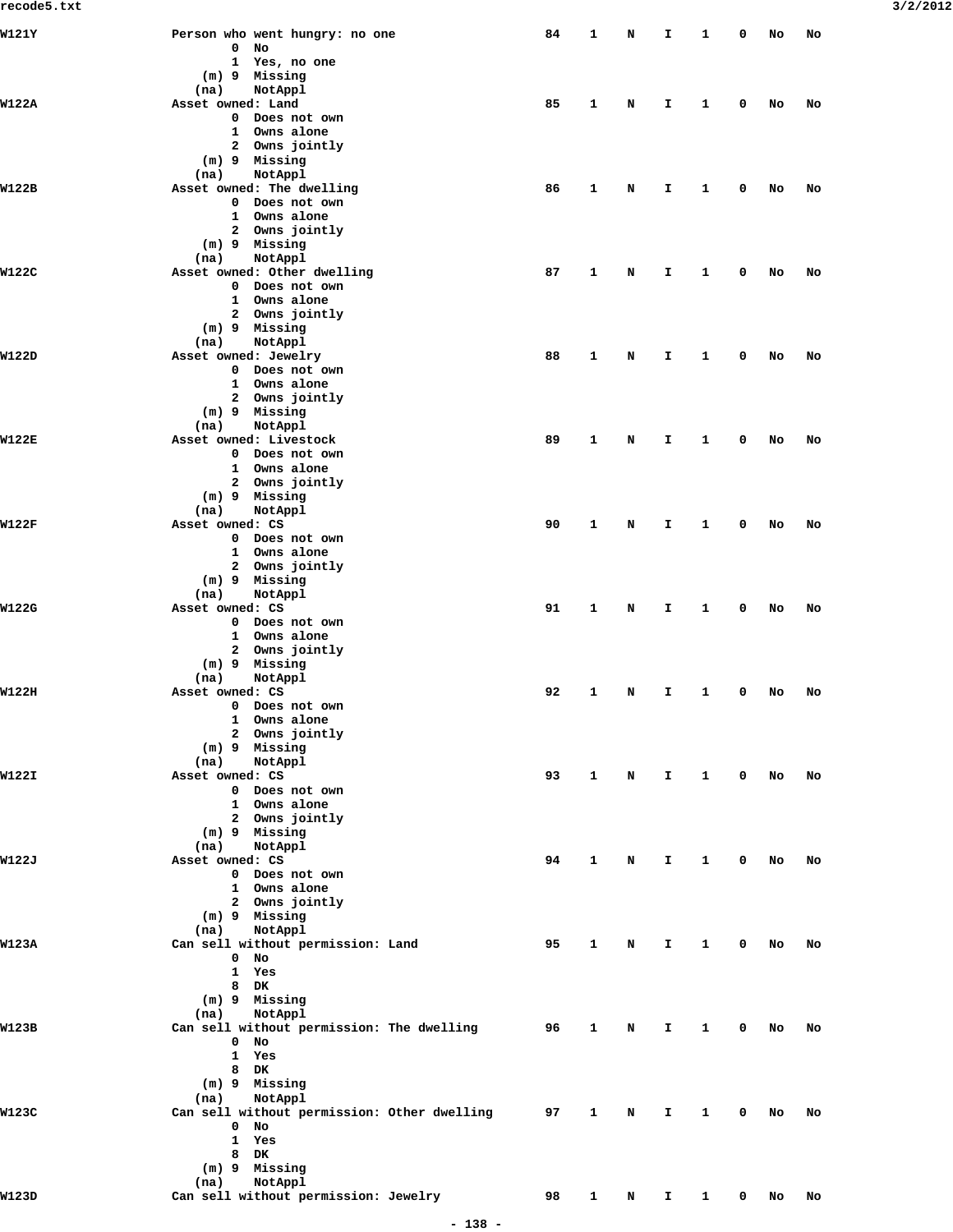| W121Y        | Person who went hungry: no one<br>$0$ No     | 84 | 1            | N | Ι.           | 1            | 0 | No | No |
|--------------|----------------------------------------------|----|--------------|---|--------------|--------------|---|----|----|
|              | 1 Yes, no one                                |    |              |   |              |              |   |    |    |
|              | (m) 9 Missing                                |    |              |   |              |              |   |    |    |
| W122A        | NotAppl<br>(na)<br>Asset owned: Land         | 85 | 1            | N | $\mathbf{T}$ | $\mathbf{1}$ | 0 | No | No |
|              | 0 Does not own                               |    |              |   |              |              |   |    |    |
|              | 1 Owns alone                                 |    |              |   |              |              |   |    |    |
|              | 2 Owns jointly                               |    |              |   |              |              |   |    |    |
|              | (m) 9 Missing<br>NotAppl<br>(na)             |    |              |   |              |              |   |    |    |
| W122B        | Asset owned: The dwelling                    | 86 | 1            | N | $\mathbf{T}$ | 1            | 0 | No | No |
|              | 0 Does not own                               |    |              |   |              |              |   |    |    |
|              | 1 Owns alone                                 |    |              |   |              |              |   |    |    |
|              | 2 Owns jointly<br>$(m)$ 9 Missing            |    |              |   |              |              |   |    |    |
|              | NotAppl<br>(na)                              |    |              |   |              |              |   |    |    |
| W122C        | Asset owned: Other dwelling                  | 87 | 1            | N | $\mathbf{T}$ | 1            | 0 | No | No |
|              | 0 Does not own                               |    |              |   |              |              |   |    |    |
|              | 1 Owns alone<br>2 Owns jointly               |    |              |   |              |              |   |    |    |
|              | (m) 9 Missing                                |    |              |   |              |              |   |    |    |
|              | (na)<br>NotAppl                              |    |              |   |              |              |   |    |    |
| W122D        | Asset owned: Jewelry                         | 88 | 1            | N | $\mathbf{T}$ | 1            | 0 | No | No |
|              | 0 Does not own                               |    |              |   |              |              |   |    |    |
|              | 1 Owns alone                                 |    |              |   |              |              |   |    |    |
|              | 2 Owns jointly<br>(m) 9 Missing              |    |              |   |              |              |   |    |    |
|              | (na)<br>NotAppl                              |    |              |   |              |              |   |    |    |
| <b>W122E</b> | Asset owned: Livestock                       | 89 | 1            | N | $\mathbf{T}$ | 1            | 0 | No | No |
|              | 0 Does not own                               |    |              |   |              |              |   |    |    |
|              | Owns alone<br>$\mathbf{1}$<br>2 Owns jointly |    |              |   |              |              |   |    |    |
|              | $(m)$ 9 Missing                              |    |              |   |              |              |   |    |    |
|              | (na)<br>NotAppl                              |    |              |   |              |              |   |    |    |
| <b>W122F</b> | Asset owned: CS                              | 90 | 1            | N | $\mathbf{T}$ | 1            | 0 | No | No |
|              | 0 Does not own                               |    |              |   |              |              |   |    |    |
|              | 1 Owns alone                                 |    |              |   |              |              |   |    |    |
|              | 2 Owns jointly<br>(m) 9 Missing              |    |              |   |              |              |   |    |    |
|              | (na)<br>NotAppl                              |    |              |   |              |              |   |    |    |
| W122G        | Asset owned: CS                              | 91 | 1            | N | $\mathbf{T}$ | 1            | 0 | No | No |
|              | 0 Does not own                               |    |              |   |              |              |   |    |    |
|              | 1 Owns alone                                 |    |              |   |              |              |   |    |    |
|              | 2 Owns jointly<br>(m) 9 Missing              |    |              |   |              |              |   |    |    |
|              | NotAppl<br>(na)                              |    |              |   |              |              |   |    |    |
| W122H        | Asset owned: CS                              | 92 | 1            | N | $\mathbf{T}$ | 1            | 0 | No | No |
|              | 0 Does not own                               |    |              |   |              |              |   |    |    |
|              | 1<br>Owns alone                              |    |              |   |              |              |   |    |    |
|              | 2 Owns jointly<br>$(m)$ 9 Missing            |    |              |   |              |              |   |    |    |
|              | NotAppl<br>(na)                              |    |              |   |              |              |   |    |    |
| W122I        | Asset owned: CS                              | 93 | 1            | N | $\mathbf{T}$ | 1            | 0 | No | No |
|              | 0 Does not own                               |    |              |   |              |              |   |    |    |
|              | 1 Owns alone                                 |    |              |   |              |              |   |    |    |
|              | 2 Owns jointly<br>(m) 9 Missing              |    |              |   |              |              |   |    |    |
|              | NotAppl<br>(na)                              |    |              |   |              |              |   |    |    |
| W122J        | Asset owned: CS                              | 94 | 1            | N | $\mathbf{T}$ | 1            | 0 | No | No |
|              | 0 Does not own                               |    |              |   |              |              |   |    |    |
|              | 1 Owns alone                                 |    |              |   |              |              |   |    |    |
|              | 2 Owns jointly<br>(m) 9 Missing              |    |              |   |              |              |   |    |    |
|              | NotAppl<br>(na)                              |    |              |   |              |              |   |    |    |
| <b>W123A</b> | Can sell without permission: Land            | 95 | 1            | N | I.           | 1            | 0 | No | No |
|              | $0$ No                                       |    |              |   |              |              |   |    |    |
|              | 1<br>Yes                                     |    |              |   |              |              |   |    |    |
|              | 8<br>DK<br>(m) 9 Missing                     |    |              |   |              |              |   |    |    |
|              | NotAppl<br>(na)                              |    |              |   |              |              |   |    |    |
| W123B        | Can sell without permission: The dwelling    | 96 | 1            | N | $\mathbf{T}$ | 1            | 0 | No | No |
|              | $\mathbf{0}$<br>No                           |    |              |   |              |              |   |    |    |
|              | 1<br>Yes                                     |    |              |   |              |              |   |    |    |
|              | 8 DK<br>(m) 9 Missing                        |    |              |   |              |              |   |    |    |
|              | NotAppl<br>(na)                              |    |              |   |              |              |   |    |    |
| W123C        | Can sell without permission: Other dwelling  | 97 | 1            | N | I.           | 1            | 0 | No | No |
|              | $\mathbf{0}$<br>No                           |    |              |   |              |              |   |    |    |
|              | 1<br>Yes                                     |    |              |   |              |              |   |    |    |
|              | 8<br>DK                                      |    |              |   |              |              |   |    |    |
|              | (m) 9 Missing<br>NotAppl<br>(na)             |    |              |   |              |              |   |    |    |
| W123D        | Can sell without permission: Jewelry         | 98 | $\mathbf{1}$ | N | $\mathbf{T}$ | $\mathbf{1}$ | 0 | No | No |
|              |                                              |    |              |   |              |              |   |    |    |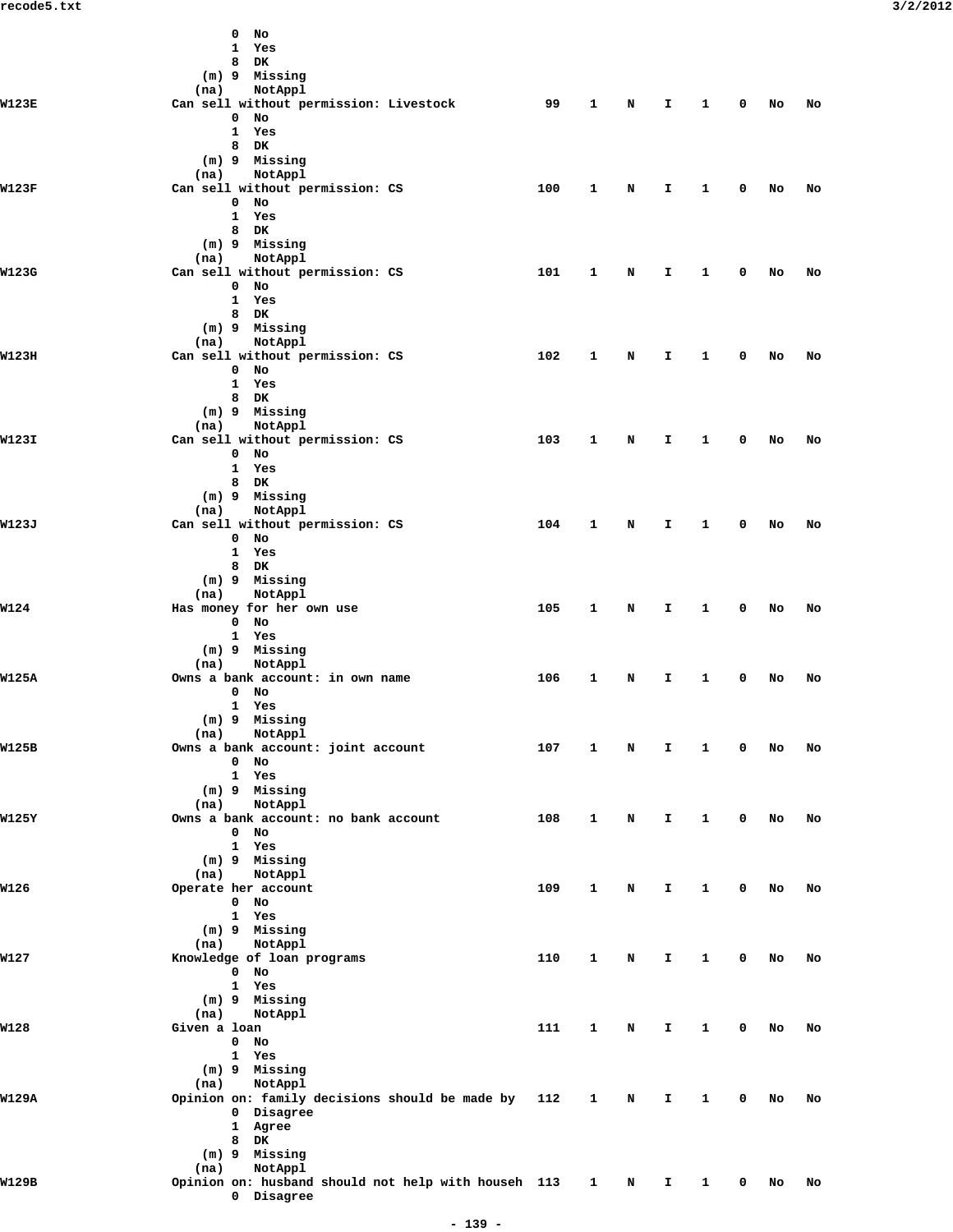|              | $0$ No                                              |     |              |             |              |              |             |    |    |
|--------------|-----------------------------------------------------|-----|--------------|-------------|--------------|--------------|-------------|----|----|
|              | 1 Yes                                               |     |              |             |              |              |             |    |    |
|              | 8 DK                                                |     |              |             |              |              |             |    |    |
|              | (m) 9 Missing                                       |     |              |             |              |              |             |    |    |
|              | (na) NotAppl                                        |     |              |             |              |              |             |    |    |
| W123E        | Can sell without permission: Livestock              | 99  | 1            | $\mathbf N$ | $\mathbf{T}$ | $\mathbf{1}$ | $\mathbf 0$ | No | No |
|              | $0$ No                                              |     |              |             |              |              |             |    |    |
|              | 1 Yes                                               |     |              |             |              |              |             |    |    |
|              | 8 DK                                                |     |              |             |              |              |             |    |    |
|              | (m) 9 Missing                                       |     |              |             |              |              |             |    |    |
|              | (na) NotAppl                                        |     |              |             |              |              |             |    |    |
| W123F        | Can sell without permission: CS                     | 100 | 1            | N           | $\mathbf{T}$ | 1            | $\mathbf 0$ | No | No |
|              | $0$ No                                              |     |              |             |              |              |             |    |    |
|              | 1 Yes                                               |     |              |             |              |              |             |    |    |
|              | 8 DK                                                |     |              |             |              |              |             |    |    |
|              | (m) 9 Missing                                       |     |              |             |              |              |             |    |    |
|              | (na) NotAppl                                        |     |              |             |              |              |             |    |    |
| W123G        | Can sell without permission: CS                     | 101 | $\mathbf{1}$ | N           | $\mathbf{T}$ | $\mathbf{1}$ | $\mathbf 0$ | No | No |
|              | $0$ No                                              |     |              |             |              |              |             |    |    |
|              | 1 Yes                                               |     |              |             |              |              |             |    |    |
|              |                                                     |     |              |             |              |              |             |    |    |
|              | 8 DK                                                |     |              |             |              |              |             |    |    |
|              | (m) 9 Missing                                       |     |              |             |              |              |             |    |    |
|              | (na) NotAppl                                        |     |              |             |              |              |             |    |    |
| W123H        | Can sell without permission: CS                     | 102 | 1            | N           | $\mathbf{T}$ | 1            | 0           | No | No |
|              | $0$ No                                              |     |              |             |              |              |             |    |    |
|              | 1 Yes                                               |     |              |             |              |              |             |    |    |
|              | 8 DK                                                |     |              |             |              |              |             |    |    |
|              | (m) 9 Missing                                       |     |              |             |              |              |             |    |    |
|              | (na) NotAppl                                        |     |              |             |              |              |             |    |    |
| W123I        | Can sell without permission: CS                     | 103 | $\mathbf{1}$ | N           | I.           | $\mathbf{1}$ | $\mathbf 0$ | No | No |
|              | $0$ No                                              |     |              |             |              |              |             |    |    |
|              | 1 Yes                                               |     |              |             |              |              |             |    |    |
|              | 8 DK                                                |     |              |             |              |              |             |    |    |
|              | (m) 9 Missing                                       |     |              |             |              |              |             |    |    |
|              | NotAppl<br>(na)                                     |     |              |             |              |              |             |    |    |
| W123J        | Can sell without permission: CS                     | 104 | $\mathbf{1}$ | N           | $\mathbf{T}$ | 1            | 0           | No | No |
|              | $0$ No                                              |     |              |             |              |              |             |    |    |
|              | 1 Yes                                               |     |              |             |              |              |             |    |    |
|              | 8 DK                                                |     |              |             |              |              |             |    |    |
|              | (m) 9 Missing                                       |     |              |             |              |              |             |    |    |
|              | (na) NotAppl                                        |     |              |             |              |              |             |    |    |
|              |                                                     |     |              |             |              |              |             |    |    |
| W124         | Has money for her own use                           | 105 | $\mathbf{1}$ | N           | I.           | $\mathbf{1}$ | $\mathbf 0$ | No | No |
|              | $0$ No                                              |     |              |             |              |              |             |    |    |
|              | 1 Yes                                               |     |              |             |              |              |             |    |    |
|              | $(m)$ 9 Missing                                     |     |              |             |              |              |             |    |    |
|              | NotAppl<br>(na)                                     |     |              |             |              |              |             |    |    |
| W125A        | Owns a bank account: in own name                    | 106 | 1            | N           | Ι.           | 1            | 0           | No | No |
|              | $0$ No                                              |     |              |             |              |              |             |    |    |
|              | 1 Yes                                               |     |              |             |              |              |             |    |    |
|              | (m) 9 Missing                                       |     |              |             |              |              |             |    |    |
|              | NotAppl<br>(na)                                     |     |              |             |              |              |             |    |    |
| W125B        | Owns a bank account: joint account                  | 107 | 1            | N           | I.           | $\mathbf{1}$ | 0           | No | No |
|              | $0$ No                                              |     |              |             |              |              |             |    |    |
|              | 1 Yes                                               |     |              |             |              |              |             |    |    |
|              | (m) 9 Missing                                       |     |              |             |              |              |             |    |    |
|              | NotAppl<br>(na)                                     |     |              |             |              |              |             |    |    |
| W125Y        | Owns a bank account: no bank account                | 108 | 1            | N           | $\mathbf{T}$ | 1            | 0           | No | No |
|              | $0$ No                                              |     |              |             |              |              |             |    |    |
|              | 1 Yes                                               |     |              |             |              |              |             |    |    |
|              |                                                     |     |              |             |              |              |             |    |    |
|              | (m) 9 Missing                                       |     |              |             |              |              |             |    |    |
|              | NotAppl<br>(na)                                     |     |              |             |              |              |             |    |    |
| W126         | Operate her account                                 | 109 | 1            | N           | $\mathbf{T}$ | 1            | 0           | No | No |
|              | $0$ No                                              |     |              |             |              |              |             |    |    |
|              | 1 Yes                                               |     |              |             |              |              |             |    |    |
|              | (m) 9 Missing                                       |     |              |             |              |              |             |    |    |
|              | NotAppl<br>(na)                                     |     |              |             |              |              |             |    |    |
| <b>W127</b>  | Knowledge of loan programs                          | 110 | 1            | N           | I.           | 1            | 0           | No | No |
|              | $0$ No                                              |     |              |             |              |              |             |    |    |
|              | 1 Yes                                               |     |              |             |              |              |             |    |    |
|              | (m) 9 Missing                                       |     |              |             |              |              |             |    |    |
|              | NotAppl<br>(na)                                     |     |              |             |              |              |             |    |    |
| W128         | Given a loan                                        | 111 | 1            | N           | I.           | 1            | 0           | No | No |
|              | $0$ No                                              |     |              |             |              |              |             |    |    |
|              | 1 Yes                                               |     |              |             |              |              |             |    |    |
|              | (m) 9 Missing                                       |     |              |             |              |              |             |    |    |
|              |                                                     |     |              |             |              |              |             |    |    |
|              | NotAppl<br>(na)                                     |     |              |             |              |              |             |    |    |
| <b>W129A</b> | Opinion on: family decisions should be made by      | 112 | $\mathbf{1}$ | N           | Ι.           | 1            | 0           | No | No |
|              | 0 Disagree                                          |     |              |             |              |              |             |    |    |
|              | 1 Agree                                             |     |              |             |              |              |             |    |    |
|              | 8 DK                                                |     |              |             |              |              |             |    |    |
|              | $(m)$ 9 Missing                                     |     |              |             |              |              |             |    |    |
|              | NotAppl<br>(na)                                     |     |              |             |              |              |             |    |    |
| W129B        | Opinion on: husband should not help with househ 113 |     | $\mathbf{1}$ | N           | I.           | $\mathbf{1}$ | 0           | No | No |
|              | 0 Disagree                                          |     |              |             |              |              |             |    |    |
|              |                                                     |     |              |             |              |              |             |    |    |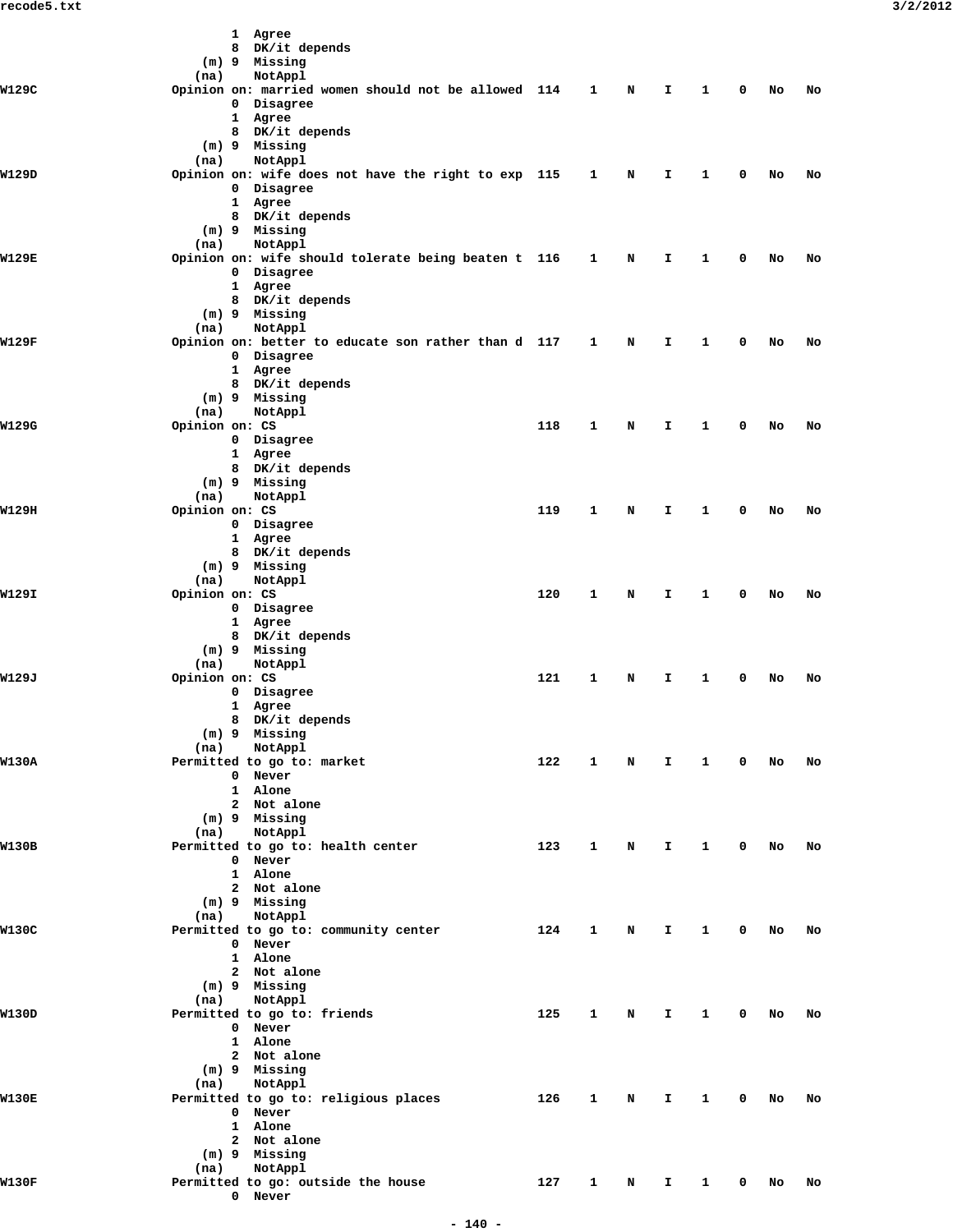|              |                        | 1 Agree                                             |     |              |   |    |              |   |    |    |  |
|--------------|------------------------|-----------------------------------------------------|-----|--------------|---|----|--------------|---|----|----|--|
|              |                        | 8 DK/it depends<br>(m) 9 Missing                    |     |              |   |    |              |   |    |    |  |
|              | (na)                   | NotAppl                                             |     |              |   |    |              |   |    |    |  |
| W129C        |                        | Opinion on: married women should not be allowed 114 |     | 1            | N | I. | 1            | 0 | No | No |  |
|              |                        | 0 Disagree                                          |     |              |   |    |              |   |    |    |  |
|              |                        | 1 Agree                                             |     |              |   |    |              |   |    |    |  |
|              |                        | 8 DK/it depends<br>(m) 9 Missing                    |     |              |   |    |              |   |    |    |  |
|              | (na)                   | NotAppl                                             |     |              |   |    |              |   |    |    |  |
| W129D        |                        | Opinion on: wife does not have the right to exp 115 |     | $\mathbf{1}$ | N | I. | 1            | 0 | No | No |  |
|              |                        | 0 Disagree                                          |     |              |   |    |              |   |    |    |  |
|              |                        | 1 Agree<br>8 DK/it depends                          |     |              |   |    |              |   |    |    |  |
|              |                        | (m) 9 Missing                                       |     |              |   |    |              |   |    |    |  |
|              | (na)                   | NotAppl                                             |     |              |   |    |              |   |    |    |  |
| W129E        |                        | Opinion on: wife should tolerate being beaten t 116 |     | $\mathbf{1}$ | N | I. | 1            | 0 | No | No |  |
|              |                        | 0 Disagree<br>1 Agree                               |     |              |   |    |              |   |    |    |  |
|              |                        | 8 DK/it depends                                     |     |              |   |    |              |   |    |    |  |
|              |                        | (m) 9 Missing                                       |     |              |   |    |              |   |    |    |  |
|              | (na)                   | NotAppl                                             |     |              |   |    |              |   |    |    |  |
| W129F        |                        | Opinion on: better to educate son rather than d 117 |     | 1            | N | Ι. | 1            | 0 | No | No |  |
|              |                        | 0 Disagree<br>1 Agree                               |     |              |   |    |              |   |    |    |  |
|              |                        | 8 DK/it depends                                     |     |              |   |    |              |   |    |    |  |
|              |                        | (m) 9 Missing                                       |     |              |   |    |              |   |    |    |  |
|              | (na)                   | NotAppl                                             |     |              |   |    |              |   |    |    |  |
| W129G        | Opinion on: CS         | 0 Disagree                                          | 118 | 1            | N | I. | 1            | 0 | No | No |  |
|              |                        | 1 Agree                                             |     |              |   |    |              |   |    |    |  |
|              |                        | 8 DK/it depends                                     |     |              |   |    |              |   |    |    |  |
|              |                        | (m) 9 Missing                                       |     |              |   |    |              |   |    |    |  |
|              | (na)                   | NotAppl                                             |     |              |   |    |              |   |    |    |  |
| W129H        | Opinion on: CS         | 0 Disagree                                          | 119 | 1            | N | Ι. | 1            | 0 | No | No |  |
|              |                        | 1 Agree                                             |     |              |   |    |              |   |    |    |  |
|              |                        | 8 DK/it depends                                     |     |              |   |    |              |   |    |    |  |
|              |                        | (m) 9 Missing                                       |     |              |   |    |              |   |    |    |  |
| W129I        | (na)<br>Opinion on: CS | NotAppl                                             | 120 | 1            | N | I. | 1            | 0 | No | No |  |
|              |                        | 0 Disagree                                          |     |              |   |    |              |   |    |    |  |
|              |                        | 1 Agree                                             |     |              |   |    |              |   |    |    |  |
|              |                        | 8 DK/it depends                                     |     |              |   |    |              |   |    |    |  |
|              |                        | (m) 9 Missing                                       |     |              |   |    |              |   |    |    |  |
| W129J        | (na)<br>Opinion on: CS | NotAppl                                             | 121 | 1            | N | I  | 1            | 0 | No | No |  |
|              |                        | 0 Disagree                                          |     |              |   |    |              |   |    |    |  |
|              |                        | 1 Agree                                             |     |              |   |    |              |   |    |    |  |
|              |                        | 8 DK/it depends                                     |     |              |   |    |              |   |    |    |  |
|              | (na)                   | (m) 9 Missing<br>NotAppl                            |     |              |   |    |              |   |    |    |  |
| W130A        |                        | Permitted to go to: market                          | 122 | $\mathbf{1}$ | N | Ι. | $\mathbf{1}$ | 0 | No | No |  |
|              |                        | 0 Never                                             |     |              |   |    |              |   |    |    |  |
|              |                        | 1 Alone                                             |     |              |   |    |              |   |    |    |  |
|              |                        | 2 Not alone<br>$(m)$ 9 Missing                      |     |              |   |    |              |   |    |    |  |
|              | (na)                   | NotAppl                                             |     |              |   |    |              |   |    |    |  |
| W130B        |                        | Permitted to go to: health center                   | 123 | 1            | N | I. | 1            | 0 | No | No |  |
|              |                        | 0 Never                                             |     |              |   |    |              |   |    |    |  |
|              |                        | 1 Alone                                             |     |              |   |    |              |   |    |    |  |
|              |                        | 2 Not alone<br>(m) 9 Missing                        |     |              |   |    |              |   |    |    |  |
|              | (na)                   | NotAppl                                             |     |              |   |    |              |   |    |    |  |
| W130C        |                        | Permitted to go to: community center                | 124 | 1            | N | I  | 1            | 0 | No | No |  |
|              |                        | 0 Never                                             |     |              |   |    |              |   |    |    |  |
|              |                        | 1 Alone<br>2 Not alone                              |     |              |   |    |              |   |    |    |  |
|              |                        | $(m)$ 9 Missing                                     |     |              |   |    |              |   |    |    |  |
|              | (na)                   | NotAppl                                             |     |              |   |    |              |   |    |    |  |
| W130D        |                        | Permitted to go to: friends                         | 125 | 1            | N | I. | 1            | 0 | No | No |  |
|              |                        | 0 Never                                             |     |              |   |    |              |   |    |    |  |
|              |                        | 1 Alone<br>2 Not alone                              |     |              |   |    |              |   |    |    |  |
|              |                        | (m) 9 Missing                                       |     |              |   |    |              |   |    |    |  |
|              | (na)                   | NotAppl                                             |     |              |   |    |              |   |    |    |  |
| <b>W130E</b> |                        | Permitted to go to: religious places                | 126 | 1            | N | Ι. | 1            | 0 | No | No |  |
|              |                        | 0 Never                                             |     |              |   |    |              |   |    |    |  |
|              |                        | 1 Alone                                             |     |              |   |    |              |   |    |    |  |
|              |                        | 2 Not alone<br>$(m)$ 9 Missing                      |     |              |   |    |              |   |    |    |  |
|              | (na)                   | NotAppl                                             |     |              |   |    |              |   |    |    |  |
| W130F        |                        | Permitted to go: outside the house                  | 127 | $\mathbf{1}$ | N | Ι. | 1            | 0 | No | No |  |
|              |                        | 0 Never                                             |     |              |   |    |              |   |    |    |  |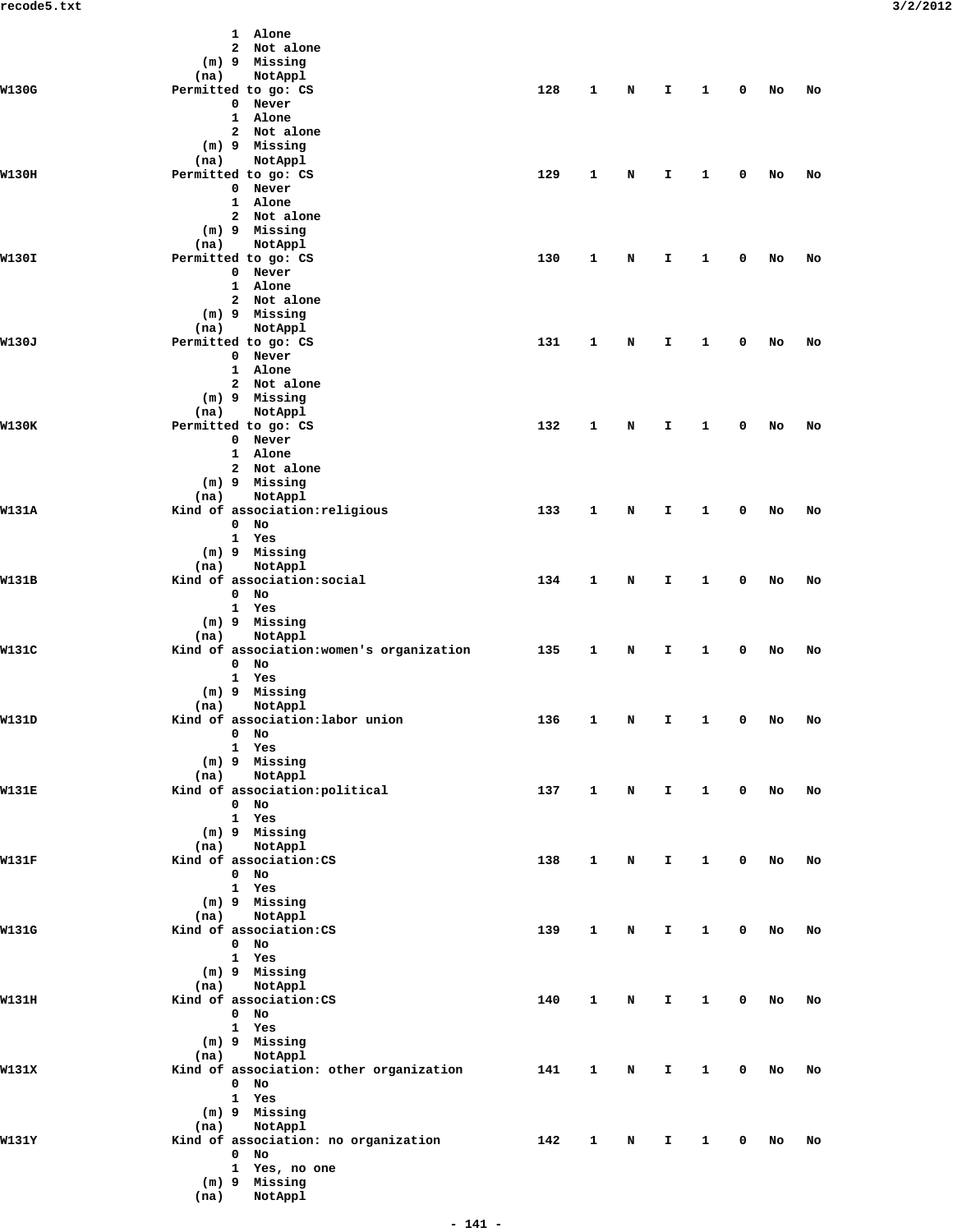|              |      | 1 Alone                                   |     |              |   |              |              |              |        |    |
|--------------|------|-------------------------------------------|-----|--------------|---|--------------|--------------|--------------|--------|----|
|              |      | 2 Not alone                               |     |              |   |              |              |              |        |    |
|              |      | (m) 9 Missing                             |     |              |   |              |              |              |        |    |
|              | (na) | NotAppl                                   |     |              |   |              |              |              |        |    |
| W130G        |      | Permitted to go: CS                       | 128 | 1            | N | I.           | $\mathbf{1}$ | $\mathbf 0$  | No     | No |
|              |      | 0 Never                                   |     |              |   |              |              |              |        |    |
|              |      | 1 Alone                                   |     |              |   |              |              |              |        |    |
|              |      | 2 Not alone                               |     |              |   |              |              |              |        |    |
|              |      | (m) 9 Missing                             |     |              |   |              |              |              |        |    |
| W130H        | (na) | NotAppl                                   | 129 | 1            | N | Ι.           | 1            | 0            | No     | No |
|              |      | Permitted to go: CS<br>0 Never            |     |              |   |              |              |              |        |    |
|              |      | 1 Alone                                   |     |              |   |              |              |              |        |    |
|              |      | 2 Not alone                               |     |              |   |              |              |              |        |    |
|              |      | (m) 9 Missing                             |     |              |   |              |              |              |        |    |
|              | (na) | NotAppl                                   |     |              |   |              |              |              |        |    |
| W130I        |      | Permitted to go: CS                       | 130 | $\mathbf{1}$ | N | I.           | $\mathbf{1}$ | 0            | No     | No |
|              |      | 0 Never                                   |     |              |   |              |              |              |        |    |
|              |      | 1 Alone                                   |     |              |   |              |              |              |        |    |
|              |      | 2 Not alone                               |     |              |   |              |              |              |        |    |
|              |      | (m) 9 Missing                             |     |              |   |              |              |              |        |    |
|              | (na) | NotAppl                                   |     |              |   |              |              |              |        |    |
| W130J        |      | Permitted to go: CS                       | 131 | 1            | N | Ι.           | 1            | 0            | No     | No |
|              |      | 0 Never                                   |     |              |   |              |              |              |        |    |
|              |      | 1 Alone                                   |     |              |   |              |              |              |        |    |
|              |      | 2 Not alone<br>(m) 9 Missing              |     |              |   |              |              |              |        |    |
|              | (na) | NotAppl                                   |     |              |   |              |              |              |        |    |
| W130K        |      | Permitted to go: CS                       | 132 | 1            | N | I.           | $\mathbf{1}$ | 0            | No     | No |
|              |      | 0 Never                                   |     |              |   |              |              |              |        |    |
|              |      | 1 Alone                                   |     |              |   |              |              |              |        |    |
|              |      | 2 Not alone                               |     |              |   |              |              |              |        |    |
|              |      | (m) 9 Missing                             |     |              |   |              |              |              |        |    |
|              | (na) | NotAppl                                   |     |              |   |              |              |              |        |    |
| W131A        |      | Kind of association: religious            | 133 | 1            | N | I            | 1            | 0            | No     | No |
|              |      | $0$ No                                    |     |              |   |              |              |              |        |    |
|              |      | 1 Yes                                     |     |              |   |              |              |              |        |    |
|              |      | (m) 9 Missing                             |     |              |   |              |              |              |        |    |
|              | (na) | NotAppl                                   |     |              |   |              |              |              |        |    |
| W131B        |      | Kind of association: social               | 134 | 1            | N | I            | 1            | 0            | No     | No |
|              |      | $0$ No<br>1 Yes                           |     |              |   |              |              |              |        |    |
|              |      | (m) 9 Missing                             |     |              |   |              |              |              |        |    |
|              | (na) | NotAppl                                   |     |              |   |              |              |              |        |    |
| W131C        |      | Kind of association: women's organization | 135 | 1            | N | I.           | 1            | 0            | No     | No |
|              |      | $0$ No                                    |     |              |   |              |              |              |        |    |
|              |      | 1 Yes                                     |     |              |   |              |              |              |        |    |
|              |      | (m) 9 Missing                             |     |              |   |              |              |              |        |    |
|              | (na) | NotAppl                                   |     |              |   |              |              |              |        |    |
| W131D        |      | Kind of association: labor union          | 136 |              |   |              | 1 N I 1      |              | 0 No   | No |
|              |      | $0$ No                                    |     |              |   |              |              |              |        |    |
|              |      | 1 Yes                                     |     |              |   |              |              |              |        |    |
|              |      | (m) 9 Missing                             |     |              |   |              |              |              |        |    |
|              |      | (na) NotAppl                              |     |              |   |              |              |              |        |    |
| <b>W131E</b> |      | Kind of association: political<br>$0$ No  | 137 |              |   |              | 1 N I 1 0 No |              |        | No |
|              |      | 1 Yes                                     |     |              |   |              |              |              |        |    |
|              |      | (m) 9 Missing                             |     |              |   |              |              |              |        |    |
|              |      | (na) NotAppl                              |     |              |   |              |              |              |        |    |
| W131F        |      | Kind of association:CS                    | 138 | $\mathbf{1}$ | N | $\mathbf{T}$ | $\mathbf{1}$ | $\mathbf{0}$ | No     | No |
|              |      | $0$ No                                    |     |              |   |              |              |              |        |    |
|              |      | 1 Yes                                     |     |              |   |              |              |              |        |    |
|              |      | (m) 9 Missing                             |     |              |   |              |              |              |        |    |
|              |      | (na) NotAppl                              |     |              |   |              |              |              |        |    |
| W131G        |      | Kind of association:CS                    | 139 | $\mathbf{1}$ | N | $\mathbf{T}$ | $\mathbf{1}$ |              | $0$ No | No |
|              |      | $0$ No                                    |     |              |   |              |              |              |        |    |
|              |      | 1 Yes                                     |     |              |   |              |              |              |        |    |
|              |      | (m) 9 Missing                             |     |              |   |              |              |              |        |    |
|              |      | (na) NotAppl                              |     |              |   |              |              |              |        |    |
| W131H        |      | Kind of association:CS<br>$0$ No          | 140 | $\mathbf{1}$ | N | $\mathbf{I}$ | $\mathbf{1}$ |              | $0$ No | No |
|              |      | 1 Yes                                     |     |              |   |              |              |              |        |    |
|              |      | (m) 9 Missing                             |     |              |   |              |              |              |        |    |
|              |      | (na) NotAppl                              |     |              |   |              |              |              |        |    |
| W131X        |      | Kind of association: other organization   | 141 | $\mathbf{1}$ | N | $\mathbf{T}$ | $\mathbf{1}$ |              | $0$ No | No |
|              |      | $0$ No                                    |     |              |   |              |              |              |        |    |
|              |      | 1 Yes                                     |     |              |   |              |              |              |        |    |
|              |      | (m) 9 Missing                             |     |              |   |              |              |              |        |    |
|              |      | (na) NotAppl                              |     |              |   |              |              |              |        |    |
| W131Y        |      | Kind of association: no organization      | 142 | $\mathbf{1}$ | N | $\mathbf{I}$ | $\mathbf{1}$ | $\mathbf{0}$ | No     | No |
|              |      | $0$ No                                    |     |              |   |              |              |              |        |    |
|              |      | 1 Yes, no one                             |     |              |   |              |              |              |        |    |
|              |      | (m) 9 Missing                             |     |              |   |              |              |              |        |    |
|              |      | (na) NotAppl                              |     |              |   |              |              |              |        |    |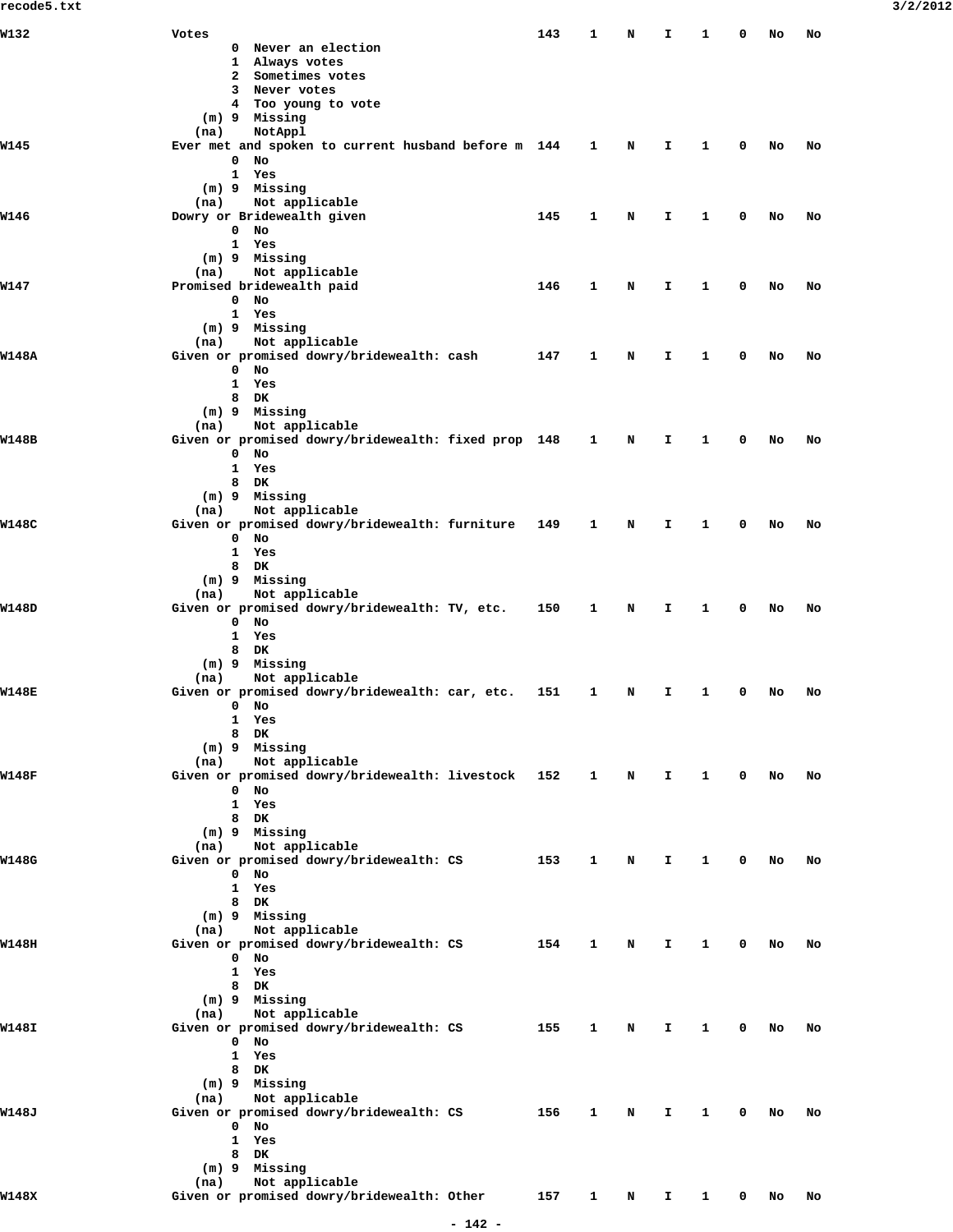| W132         | Votes                                                     | 143 | 1 | N | I | 1 | 0 | No | No |
|--------------|-----------------------------------------------------------|-----|---|---|---|---|---|----|----|
|              | 0 Never an election                                       |     |   |   |   |   |   |    |    |
|              | 1 Always votes                                            |     |   |   |   |   |   |    |    |
|              | 2 Sometimes votes                                         |     |   |   |   |   |   |    |    |
|              | 3 Never votes                                             |     |   |   |   |   |   |    |    |
|              | 4 Too young to vote                                       |     |   |   |   |   |   |    |    |
|              | (m) 9 Missing                                             |     |   |   |   |   |   |    |    |
|              | NotAppl<br>(na)                                           |     |   |   |   |   |   |    |    |
| W145         | Ever met and spoken to current husband before m 144       |     | 1 | N | I | 1 | 0 | No | No |
|              | 0<br>No                                                   |     |   |   |   |   |   |    |    |
|              | $\mathbf{1}$<br>Yes                                       |     |   |   |   |   |   |    |    |
|              | (m) 9 Missing                                             |     |   |   |   |   |   |    |    |
|              | Not applicable<br>(na)                                    |     |   |   |   |   |   |    |    |
| W146         | Dowry or Bridewealth given                                | 145 | 1 | N | I | 1 | 0 | No | No |
|              | $0$ No                                                    |     |   |   |   |   |   |    |    |
|              | $\mathbf{1}$<br>Yes                                       |     |   |   |   |   |   |    |    |
|              | (m) 9 Missing                                             |     |   |   |   |   |   |    |    |
|              | Not applicable<br>(na)                                    |     |   |   |   |   |   |    |    |
| W147         | Promised bridewealth paid                                 | 146 | 1 | N | I | 1 | 0 | No | No |
|              | $0$ No                                                    |     |   |   |   |   |   |    |    |
|              | 1 Yes                                                     |     |   |   |   |   |   |    |    |
|              | (m) 9 Missing                                             |     |   |   |   |   |   |    |    |
|              | Not applicable<br>(na)                                    |     |   |   |   |   |   |    |    |
| W148A        | Given or promised dowry/bridewealth: cash                 | 147 | 1 | N | I | 1 | 0 | No | No |
|              | $0$ No                                                    |     |   |   |   |   |   |    |    |
|              | 1<br>Yes                                                  |     |   |   |   |   |   |    |    |
|              | 8 DK                                                      |     |   |   |   |   |   |    |    |
|              | (m) 9 Missing                                             |     |   |   |   |   |   |    |    |
|              | Not applicable<br>(na)                                    |     |   |   |   |   |   |    |    |
| <b>W148B</b> | Given or promised dowry/bridewealth: fixed prop 148       |     | 1 | N | I | 1 | 0 | No | No |
|              | $0$ No                                                    |     |   |   |   |   |   |    |    |
|              | 1<br>Yes                                                  |     |   |   |   |   |   |    |    |
|              | 8<br>DK                                                   |     |   |   |   |   |   |    |    |
|              | (m) 9 Missing                                             |     |   |   |   |   |   |    |    |
|              | Not applicable<br>(na)                                    |     |   |   |   |   |   |    |    |
| W148C        | Given or promised dowry/bridewealth: furniture            | 149 | 1 | N | I | 1 | 0 | No | No |
|              | $0$ No                                                    |     |   |   |   |   |   |    |    |
|              | $\mathbf{1}$<br>Yes                                       |     |   |   |   |   |   |    |    |
|              | 8 DK                                                      |     |   |   |   |   |   |    |    |
|              | (m) 9 Missing                                             |     |   |   |   |   |   |    |    |
|              | Not applicable<br>(na)                                    |     |   |   |   |   |   |    |    |
| W148D        | Given or promised dowry/bridewealth: TV, etc.             | 150 | 1 | N | I | 1 | 0 | No | No |
|              | $0$ No                                                    |     |   |   |   |   |   |    |    |
|              | 1<br>Yes                                                  |     |   |   |   |   |   |    |    |
|              | 8<br>DK                                                   |     |   |   |   |   |   |    |    |
|              | $(m)$ 9 Missing                                           |     |   |   |   |   |   |    |    |
|              | Not applicable<br>(na)                                    |     |   |   |   |   |   |    |    |
| W148E        | Given or promised dowry/bridewealth: car, etc.            | 151 | 1 | N | I | 1 | 0 | No | No |
|              | $0$ No                                                    |     |   |   |   |   |   |    |    |
|              | 1<br>Yes                                                  |     |   |   |   |   |   |    |    |
|              | 8 DK                                                      |     |   |   |   |   |   |    |    |
|              | (m) 9 Missing                                             |     |   |   |   |   |   |    |    |
| W148F        | Not applicable<br>(na)                                    |     |   |   |   |   | 0 |    |    |
|              | Given or promised dowry/bridewealth: livestock<br>0<br>No | 152 | 1 | N | I | 1 |   | No | No |
|              | 1<br>Yes                                                  |     |   |   |   |   |   |    |    |
|              | 8<br>DK                                                   |     |   |   |   |   |   |    |    |
|              | (m) 9 Missing                                             |     |   |   |   |   |   |    |    |
|              | Not applicable<br>(na)                                    |     |   |   |   |   |   |    |    |
| W148G        | Given or promised dowry/bridewealth: CS                   | 153 | 1 | N | I | 1 | 0 | No | No |
|              | $0$ No                                                    |     |   |   |   |   |   |    |    |
|              | 1<br>Yes                                                  |     |   |   |   |   |   |    |    |
|              | 8<br>DK                                                   |     |   |   |   |   |   |    |    |
|              | $(m)$ 9 Missing                                           |     |   |   |   |   |   |    |    |
|              | Not applicable<br>(na)                                    |     |   |   |   |   |   |    |    |
| W148H        | Given or promised dowry/bridewealth: CS                   | 154 | 1 | N | I | 1 | 0 | No | No |
|              | $0$ No                                                    |     |   |   |   |   |   |    |    |
|              | 1<br>Yes                                                  |     |   |   |   |   |   |    |    |
|              | 8 DK                                                      |     |   |   |   |   |   |    |    |
|              | (m) 9 Missing                                             |     |   |   |   |   |   |    |    |
|              | Not applicable<br>(na)                                    |     |   |   |   |   |   |    |    |
| W148I        | Given or promised dowry/bridewealth: CS                   | 155 | 1 | N | I | 1 | 0 | No | No |
|              | $0$ No                                                    |     |   |   |   |   |   |    |    |
|              | 1<br>Yes                                                  |     |   |   |   |   |   |    |    |
|              | 8<br>DK                                                   |     |   |   |   |   |   |    |    |
|              | (m) 9 Missing                                             |     |   |   |   |   |   |    |    |
|              | Not applicable<br>(na)                                    |     |   |   |   |   |   |    |    |
| W148J        | Given or promised dowry/bridewealth: CS                   | 156 | 1 | N | I | 1 | 0 | No | No |
|              | $0$ No                                                    |     |   |   |   |   |   |    |    |
|              | 1<br>Yes                                                  |     |   |   |   |   |   |    |    |
|              | 8<br>DK                                                   |     |   |   |   |   |   |    |    |
|              | (m) 9 Missing                                             |     |   |   |   |   |   |    |    |
|              | Not applicable<br>(na)                                    |     |   |   |   |   |   |    |    |
| W148X        | Given or promised dowry/bridewealth: Other                | 157 | 1 | N | I | 1 | 0 | No | No |
|              |                                                           |     |   |   |   |   |   |    |    |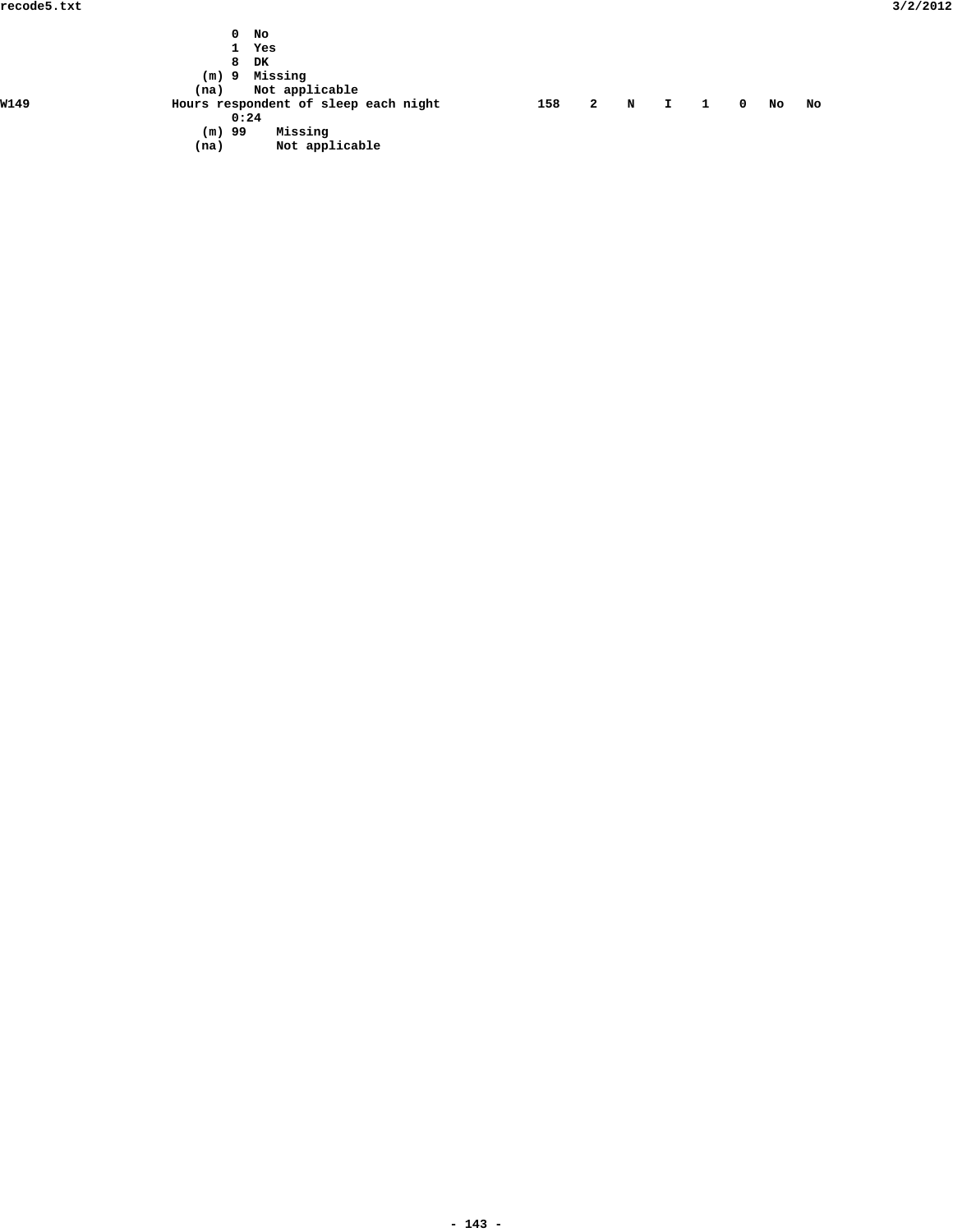|      | No<br>0                              |                |   |   |              |              |            |    |    |  |  |
|------|--------------------------------------|----------------|---|---|--------------|--------------|------------|----|----|--|--|
|      | 1                                    | Yes            |   |   |              |              |            |    |    |  |  |
|      | 8                                    | DK             |   |   |              |              |            |    |    |  |  |
|      | $(m)$ 9                              | Missing        |   |   |              |              |            |    |    |  |  |
|      | (na)                                 | Not applicable |   |   |              |              |            |    |    |  |  |
| W149 | Hours respondent of sleep each night | 158            | 2 | N | $\mathbf{I}$ | $\mathbf{1}$ | $^{\circ}$ | No | No |  |  |
|      | 0:24                                 |                |   |   |              |              |            |    |    |  |  |
|      | $(m)$ 99                             | Missing        |   |   |              |              |            |    |    |  |  |
|      | (na)                                 | Not applicable |   |   |              |              |            |    |    |  |  |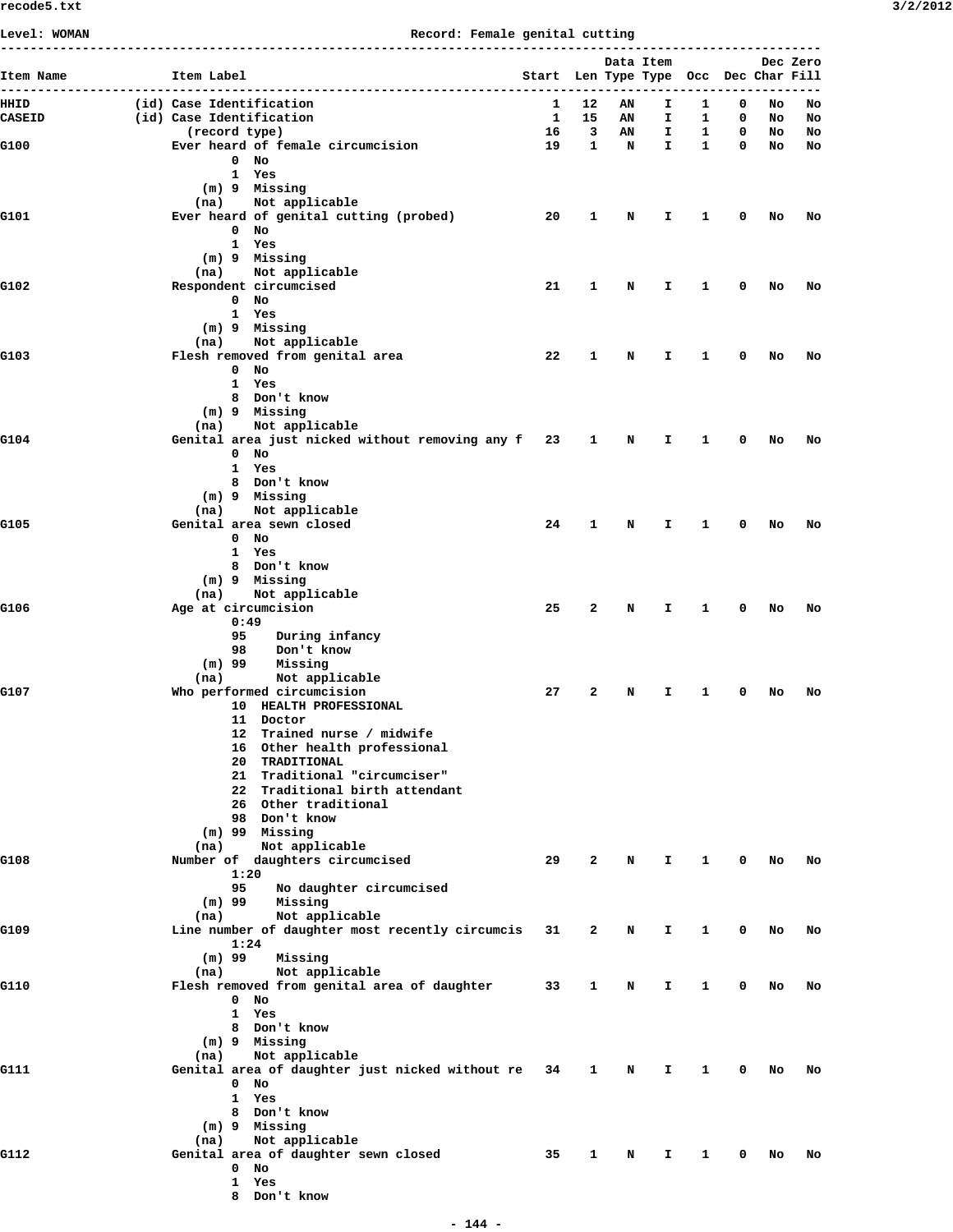**Level: WOMAN Record: Female genital cutting**

| Item Name     | Item Label                                             | Start Len Type Type Occ Dec Char Fill |                            |             | Data Item    |              |             |          | Dec Zero |
|---------------|--------------------------------------------------------|---------------------------------------|----------------------------|-------------|--------------|--------------|-------------|----------|----------|
| HHID          | (id) Case Identification                               | 1                                     | .<br>12                    | AN          | ----<br>I    | ------<br>1  | 0           |          |          |
| <b>CASEID</b> | (id) Case Identification                               | $\mathbf{1}$                          | 15                         | AN          | I.           | 1            | 0           | No<br>NO | No<br>No |
|               | (record type)                                          | 16                                    | $\overline{\phantom{a}}$ 3 | AN          | I.           | $\mathbf{1}$ | $\mathbf 0$ | No       | No       |
| G100          | Ever heard of female circumcision                      | 19                                    | $\mathbf{1}$               | $\mathbf N$ | $\mathbf{I}$ | $\mathbf{1}$ | $^{\circ}$  | No       | No       |
|               | $0$ No                                                 |                                       |                            |             |              |              |             |          |          |
|               | 1 Yes<br>(m) 9 Missing                                 |                                       |                            |             |              |              |             |          |          |
|               | (na) Not applicable                                    |                                       |                            |             |              |              |             |          |          |
| G101          | Ever heard of genital cutting (probed)                 | 20                                    | 1                          | N           | I            | 1            | 0           | No       | No       |
|               | $0$ No                                                 |                                       |                            |             |              |              |             |          |          |
|               | 1 Yes                                                  |                                       |                            |             |              |              |             |          |          |
|               | (m) 9 Missing                                          |                                       |                            |             |              |              |             |          |          |
| G102          | Not applicable<br>(na)<br>Respondent circumcised       | 21                                    | $\mathbf{1}$               | N           | Ι.           | 1            | 0           | No       | No       |
|               | 0 No                                                   |                                       |                            |             |              |              |             |          |          |
|               | 1 Yes                                                  |                                       |                            |             |              |              |             |          |          |
|               | (m) 9 Missing                                          |                                       |                            |             |              |              |             |          |          |
|               | Not applicable<br>(na)                                 |                                       |                            |             |              |              |             |          |          |
| G103          | Flesh removed from genital area<br>$0$ No              | 22                                    | 1                          | N           | I            | 1            | 0           | No       | No       |
|               | 1 Yes                                                  |                                       |                            |             |              |              |             |          |          |
|               | 8 Don't know                                           |                                       |                            |             |              |              |             |          |          |
|               | (m) 9 Missing                                          |                                       |                            |             |              |              |             |          |          |
|               | (na) Not applicable                                    |                                       |                            |             |              |              |             |          |          |
| G104          | Genital area just nicked without removing any f 23 1 N |                                       |                            |             | I.           | $\mathbf{1}$ | 0           | No       | No       |
|               | $0$ No<br>1 Yes                                        |                                       |                            |             |              |              |             |          |          |
|               | 8 Don't know                                           |                                       |                            |             |              |              |             |          |          |
|               | (m) 9 Missing                                          |                                       |                            |             |              |              |             |          |          |
|               | Not applicable<br>(na)                                 |                                       |                            |             |              |              |             |          |          |
| G105          | Genital area sewn closed                               | 24                                    | 1                          | N           | I            | 1            | 0           | No       | No       |
|               | $0$ No                                                 |                                       |                            |             |              |              |             |          |          |
|               | 1 Yes<br>8 Don't know                                  |                                       |                            |             |              |              |             |          |          |
|               | (m) 9 Missing                                          |                                       |                            |             |              |              |             |          |          |
|               | (na) Not applicable                                    |                                       |                            |             |              |              |             |          |          |
| G106          | Age at circumcision                                    | 25                                    | $\mathbf{2}$               | N           | I.           | 1            | 0           | No       | No       |
|               | 0:49                                                   |                                       |                            |             |              |              |             |          |          |
|               | During infancy<br>95<br>98<br>Don't know               |                                       |                            |             |              |              |             |          |          |
|               | (m) 99<br>Missing                                      |                                       |                            |             |              |              |             |          |          |
|               | Not applicable<br>(na)                                 |                                       |                            |             |              |              |             |          |          |
| G107          | Who performed circumcision                             | 27                                    | $\mathbf{2}$               | N           | I            | 1            | 0           | No       | No       |
|               | 10 HEALTH PROFESSIONAL                                 |                                       |                            |             |              |              |             |          |          |
|               | 11 Doctor<br>12 Trained nurse / midwife                |                                       |                            |             |              |              |             |          |          |
|               | 16 Other health professional                           |                                       |                            |             |              |              |             |          |          |
|               | 20 TRADITIONAL                                         |                                       |                            |             |              |              |             |          |          |
|               | 21 Traditional "circumciser"                           |                                       |                            |             |              |              |             |          |          |
|               | 22 Traditional birth attendant                         |                                       |                            |             |              |              |             |          |          |
|               | 26 Other traditional<br>98 Don't know                  |                                       |                            |             |              |              |             |          |          |
|               | $(m)$ 99 Missing                                       |                                       |                            |             |              |              |             |          |          |
|               | Not applicable<br>(na)                                 |                                       |                            |             |              |              |             |          |          |
| G108          | Number of daughters circumcised                        | 29                                    | 2                          | N           | I            | 1            | 0           | No       | No       |
|               | 1:20                                                   |                                       |                            |             |              |              |             |          |          |
|               | 95<br>No daughter circumcised                          |                                       |                            |             |              |              |             |          |          |
|               | $(m)$ 99<br>Missing<br>Not applicable<br>(na)          |                                       |                            |             |              |              |             |          |          |
| G109          | Line number of daughter most recently circumcis        | 31                                    | 2                          | N           | Ι.           | 1            | 0           | No       | No       |
|               | 1:24                                                   |                                       |                            |             |              |              |             |          |          |
|               | $(m)$ 99<br>Missing                                    |                                       |                            |             |              |              |             |          |          |
|               | Not applicable<br>(na)                                 |                                       |                            |             |              |              |             |          |          |
| G110          | Flesh removed from genital area of daughter            | 33                                    | 1                          | N           | Ι.           | 1            | 0           | No       | No       |
|               | 0 No<br>1 Yes                                          |                                       |                            |             |              |              |             |          |          |
|               | 8 Don't know                                           |                                       |                            |             |              |              |             |          |          |
|               | (m) 9 Missing                                          |                                       |                            |             |              |              |             |          |          |
|               | Not applicable<br>(na)                                 |                                       |                            |             |              |              |             |          |          |
| G111          | Genital area of daughter just nicked without re        | 34                                    | 1                          | N           | Ι.           | 1            | 0           | No       | No       |
|               | $0$ No                                                 |                                       |                            |             |              |              |             |          |          |
|               | 1 Yes<br>8 Don't know                                  |                                       |                            |             |              |              |             |          |          |
|               | (m) 9 Missing                                          |                                       |                            |             |              |              |             |          |          |
|               | Not applicable<br>(na)                                 |                                       |                            |             |              |              |             |          |          |
| G112          | Genital area of daughter sewn closed                   | 35                                    | 1                          | N           | I            | 1            | 0           | No       | No       |
|               | $0$ No                                                 |                                       |                            |             |              |              |             |          |          |
|               | 1 Yes                                                  |                                       |                            |             |              |              |             |          |          |
|               | 8 Don't know                                           |                                       |                            |             |              |              |             |          |          |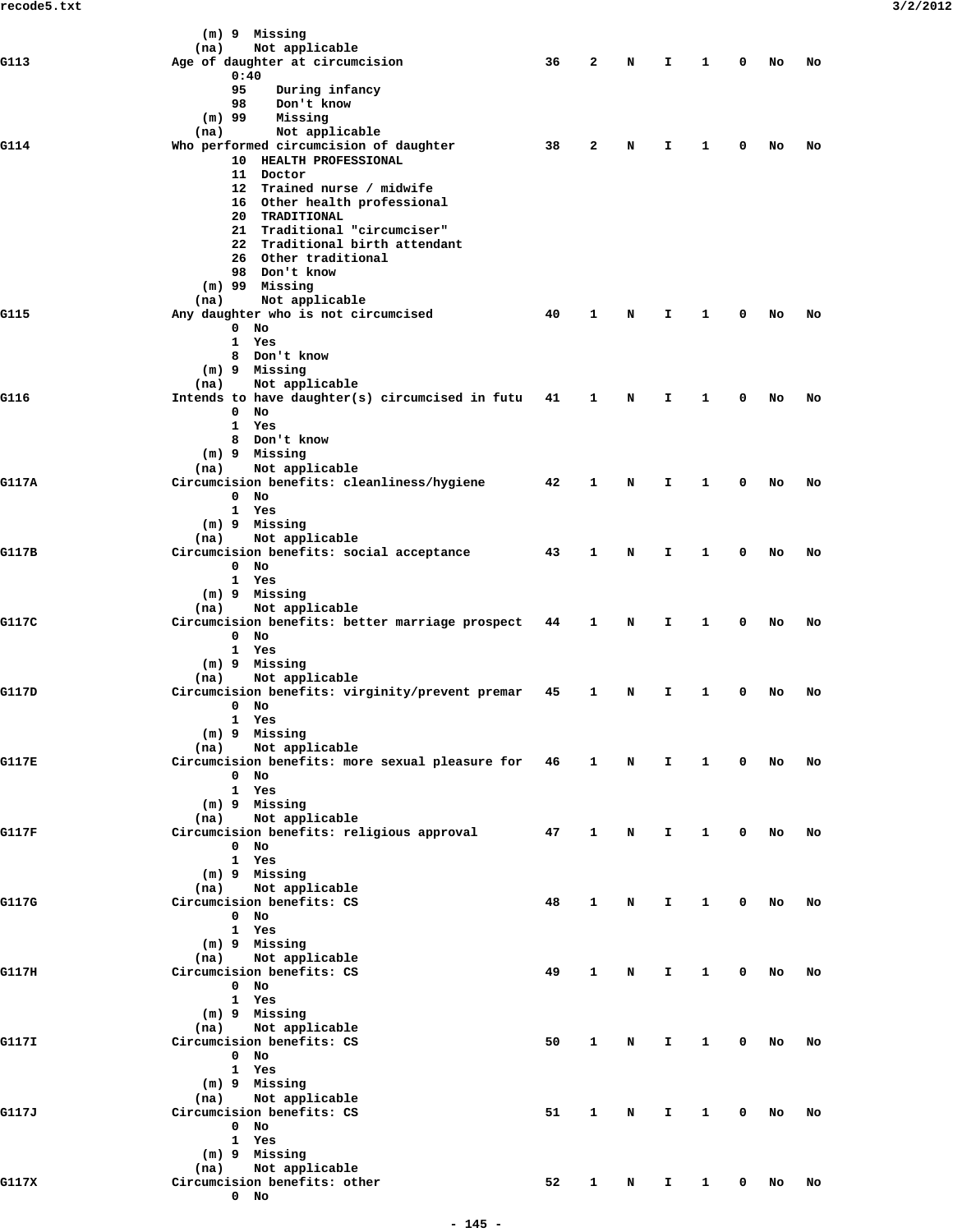|       | (m) 9 Missing                                                             |    |              |             |              |              |              |                                                                                                                                                          |    |  |
|-------|---------------------------------------------------------------------------|----|--------------|-------------|--------------|--------------|--------------|----------------------------------------------------------------------------------------------------------------------------------------------------------|----|--|
| G113  | Not applicable<br>(na)<br>Age of daughter at circumcision                 | 36 | $\mathbf{2}$ | N           | I.           | $\mathbf{1}$ | 0            |                                                                                                                                                          |    |  |
|       | 0:40                                                                      |    |              |             |              |              |              |                                                                                                                                                          |    |  |
|       | 95<br>During infancy                                                      |    |              |             |              |              |              |                                                                                                                                                          |    |  |
|       | 98<br>Don't know                                                          |    |              |             |              |              |              |                                                                                                                                                          |    |  |
|       | $(m)$ 99<br>Missing                                                       |    |              |             |              |              |              | No<br>No<br>No<br>No<br>No<br>No<br>No<br>No<br>No<br>No<br>No<br>No<br>No<br>No<br>No<br>No<br>No<br>No<br>No<br>No<br>No<br>No<br>No<br>No<br>No<br>No |    |  |
| G114  | (na)<br>Not applicable<br>Who performed circumcision of daughter          | 38 | 2            | N           | I            | $\mathbf{1}$ | 0            |                                                                                                                                                          |    |  |
|       | 10 HEALTH PROFESSIONAL                                                    |    |              |             |              |              |              |                                                                                                                                                          |    |  |
|       | 11 Doctor                                                                 |    |              |             |              |              |              |                                                                                                                                                          |    |  |
|       | 12 Trained nurse / midwife                                                |    |              |             |              |              |              |                                                                                                                                                          |    |  |
|       | 16 Other health professional                                              |    |              |             |              |              |              |                                                                                                                                                          |    |  |
|       | 20 TRADITIONAL<br>21 Traditional "circumciser"                            |    |              |             |              |              |              |                                                                                                                                                          | No |  |
|       | 22 Traditional birth attendant                                            |    |              |             |              |              |              |                                                                                                                                                          |    |  |
|       | 26 Other traditional                                                      |    |              |             |              |              |              |                                                                                                                                                          |    |  |
|       | 98 Don't know                                                             |    |              |             |              |              |              |                                                                                                                                                          |    |  |
|       | $(m)$ 99 Missing                                                          |    |              |             |              |              |              |                                                                                                                                                          |    |  |
| G115  | Not applicable<br>(na)<br>Any daughter who is not circumcised             | 40 | $\mathbf{1}$ | N           | I            | $\mathbf{1}$ | $^{\circ}$   |                                                                                                                                                          |    |  |
|       | $0$ No                                                                    |    |              |             |              |              |              |                                                                                                                                                          |    |  |
|       | 1 Yes                                                                     |    |              |             |              |              |              |                                                                                                                                                          |    |  |
|       | 8 Don't know                                                              |    |              |             |              |              |              |                                                                                                                                                          |    |  |
|       | $(m)$ 9 Missing                                                           |    |              |             |              |              |              |                                                                                                                                                          |    |  |
| G116  | Not applicable<br>(na)<br>Intends to have daughter(s) circumcised in futu | 41 | 1            | N           | I.           | $\mathbf{1}$ | 0            |                                                                                                                                                          |    |  |
|       | $0$ No                                                                    |    |              |             |              |              |              |                                                                                                                                                          |    |  |
|       | 1 Yes                                                                     |    |              |             |              |              |              |                                                                                                                                                          |    |  |
|       | 8 Don't know                                                              |    |              |             |              |              |              |                                                                                                                                                          |    |  |
|       | (m) 9 Missing                                                             |    |              |             |              |              |              |                                                                                                                                                          |    |  |
| G117A | Not applicable<br>(na)<br>Circumcision benefits: cleanliness/hygiene      | 42 | $\mathbf{1}$ | N           | I            | 1            | $^{\circ}$   |                                                                                                                                                          |    |  |
|       | $0$ No                                                                    |    |              |             |              |              |              |                                                                                                                                                          |    |  |
|       | 1 Yes                                                                     |    |              |             |              |              |              |                                                                                                                                                          |    |  |
|       | (m) 9 Missing                                                             |    |              |             |              |              |              |                                                                                                                                                          |    |  |
|       | Not applicable<br>(na)                                                    |    |              |             |              |              |              |                                                                                                                                                          |    |  |
| G117B | Circumcision benefits: social acceptance<br>$0$ No                        | 43 | $\mathbf{1}$ | N           | I.           | $\mathbf{1}$ | 0            |                                                                                                                                                          |    |  |
|       | 1 Yes                                                                     |    |              |             |              |              |              |                                                                                                                                                          |    |  |
|       | (m) 9 Missing                                                             |    |              |             |              |              |              |                                                                                                                                                          |    |  |
|       | Not applicable<br>(na)                                                    |    |              |             |              |              |              |                                                                                                                                                          |    |  |
| G117C | Circumcision benefits: better marriage prospect                           | 44 | 1            | N           | I.           | $\mathbf{1}$ | 0            |                                                                                                                                                          |    |  |
|       | $0$ No<br>1 Yes                                                           |    |              |             |              |              |              |                                                                                                                                                          |    |  |
|       | (m) 9 Missing                                                             |    |              |             |              |              |              |                                                                                                                                                          |    |  |
|       | Not applicable<br>(na)                                                    |    |              |             |              |              |              |                                                                                                                                                          |    |  |
| G117D | Circumcision benefits: virginity/prevent premar                           | 45 | 1            | N           | I            | $\mathbf{1}$ | 0            |                                                                                                                                                          |    |  |
|       | $0$ No                                                                    |    |              |             |              |              |              |                                                                                                                                                          |    |  |
|       | 1 Yes<br>(m) 9 Missing                                                    |    |              |             |              |              |              |                                                                                                                                                          |    |  |
|       | Not applicable<br>(na)                                                    |    |              |             |              |              |              |                                                                                                                                                          |    |  |
| G117E | Circumcision benefits: more sexual pleasure for 46 1                      |    |              | $\mathbf N$ | $\mathbf{I}$ | $\mathbf{1}$ | $\mathbf{0}$ |                                                                                                                                                          |    |  |
|       | $0$ No                                                                    |    |              |             |              |              |              |                                                                                                                                                          |    |  |
|       | 1 Yes                                                                     |    |              |             |              |              |              |                                                                                                                                                          |    |  |
|       | $(m)$ 9 Missing<br>Not applicable<br>(na)                                 |    |              |             |              |              |              |                                                                                                                                                          |    |  |
| G117F | Circumcision benefits: religious approval                                 | 47 | $\mathbf{1}$ | N           | I.           | $\mathbf{1}$ | $\mathbf 0$  |                                                                                                                                                          |    |  |
|       | $0$ No                                                                    |    |              |             |              |              |              |                                                                                                                                                          |    |  |
|       | 1 Yes                                                                     |    |              |             |              |              |              |                                                                                                                                                          |    |  |
|       | (m) 9 Missing<br>Not applicable                                           |    |              |             |              |              |              |                                                                                                                                                          |    |  |
| G117G | (na)<br>Circumcision benefits: CS                                         | 48 | $\mathbf{1}$ | N           | I.           | $\mathbf{1}$ | $\mathbf 0$  |                                                                                                                                                          |    |  |
|       | $0$ No                                                                    |    |              |             |              |              |              |                                                                                                                                                          |    |  |
|       | 1 Yes                                                                     |    |              |             |              |              |              |                                                                                                                                                          |    |  |
|       | (m) 9 Missing                                                             |    |              |             |              |              |              |                                                                                                                                                          |    |  |
| G117H | Not applicable<br>(na)<br>Circumcision benefits: CS                       | 49 | $\mathbf{1}$ | N           | I.           | $\mathbf{1}$ | $\mathbf 0$  |                                                                                                                                                          |    |  |
|       | $0$ No                                                                    |    |              |             |              |              |              |                                                                                                                                                          |    |  |
|       | 1 Yes                                                                     |    |              |             |              |              |              |                                                                                                                                                          |    |  |
|       | (m) 9 Missing                                                             |    |              |             |              |              |              |                                                                                                                                                          |    |  |
|       | Not applicable<br>(na)                                                    |    |              |             |              |              |              |                                                                                                                                                          |    |  |
| G117I | Circumcision benefits: CS<br>$0$ No                                       | 50 | $\mathbf{1}$ | N           | I.           | $\mathbf{1}$ | $\mathbf 0$  |                                                                                                                                                          |    |  |
|       | 1 Yes                                                                     |    |              |             |              |              |              |                                                                                                                                                          |    |  |
|       | (m) 9 Missing                                                             |    |              |             |              |              |              |                                                                                                                                                          |    |  |
|       | Not applicable<br>(na)                                                    |    |              |             |              |              |              |                                                                                                                                                          |    |  |
| G117J | Circumcision benefits: CS                                                 | 51 | $\mathbf{1}$ | N           | I.           | $\mathbf{1}$ | $\mathbf{0}$ | No                                                                                                                                                       |    |  |
|       | $0$ No                                                                    |    |              |             |              |              |              |                                                                                                                                                          |    |  |
|       | 1 Yes<br>$(m)$ 9 Missing                                                  |    |              |             |              |              |              |                                                                                                                                                          |    |  |
|       | Not applicable<br>(na)                                                    |    |              |             |              |              |              |                                                                                                                                                          |    |  |
| G117X | Circumcision benefits: other                                              | 52 | $\mathbf{1}$ | N           | Ι.           | $\mathbf{1}$ | $\mathbf 0$  | No                                                                                                                                                       | No |  |
|       | $0$ No                                                                    |    |              |             |              |              |              |                                                                                                                                                          |    |  |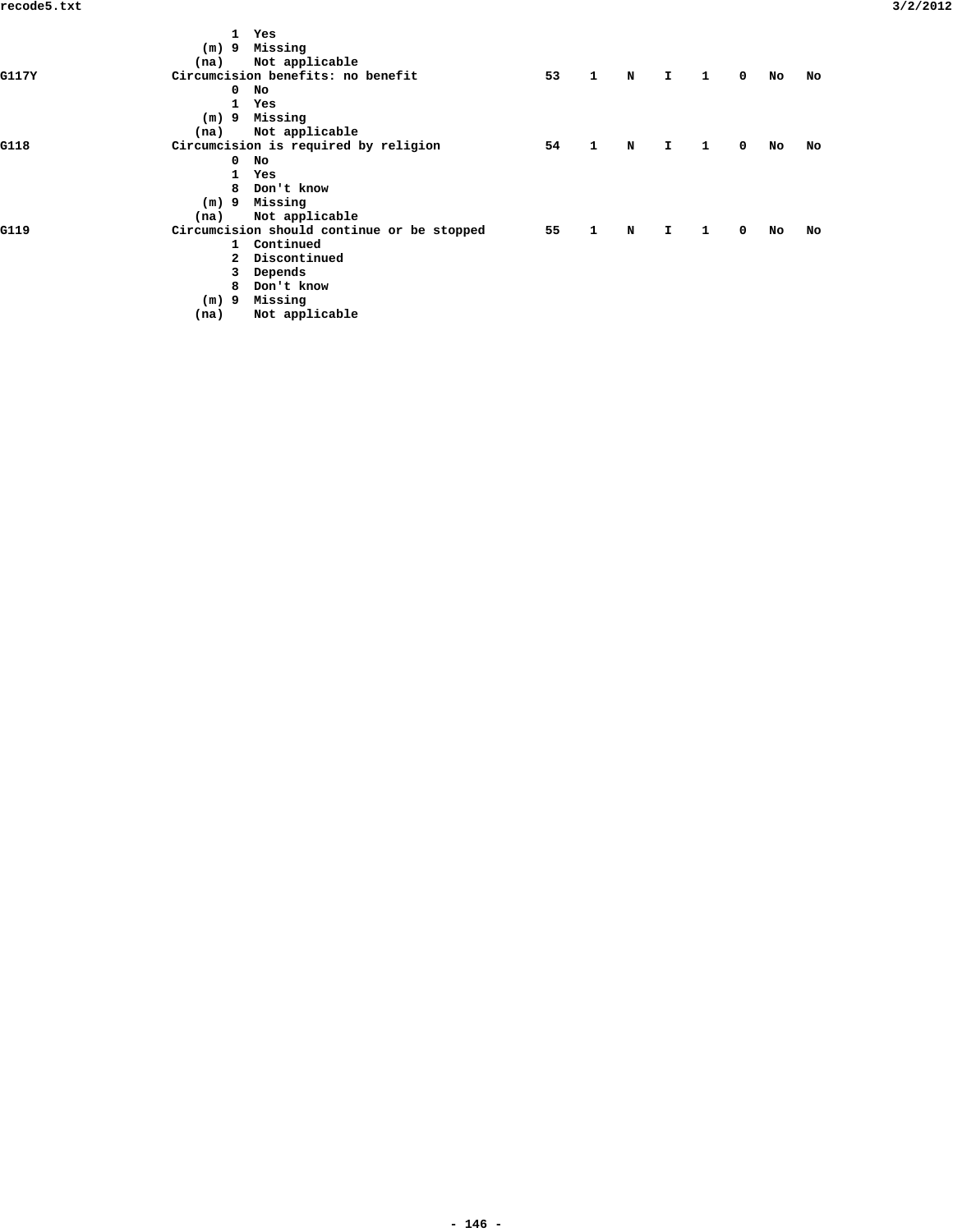| (m) 9 Missing<br>Not applicable<br>(na)<br>Circumcision benefits: no benefit<br>53<br>$\blacksquare$<br>$\mathbf{1}$<br>$\mathbf N$<br>I.<br>$^{\circ}$<br>G117Y<br>No<br>No<br>$\mathbf 0$<br>$\mathbf{1}$<br>Yes<br>(m) 9 Missing<br>Not applicable<br>(na)<br>Circumcision is required by religion<br>54<br>$\mathbf{1}$<br>$\mathbf{T}$<br>$\overline{\mathbf{1}}$<br>$^{\circ}$<br>N<br>G118<br>No<br>$^{\circ}$<br>No<br>1 Yes<br>8 Don't know<br>$(m)$ 9 Missing<br>Not applicable<br>(na)<br>Circumcision should continue or be stopped<br>55<br>$\mathbf{1}$<br>$\mathbf{1}$<br>N<br>$\mathbf{I}$<br>$^{\circ}$<br>G119<br>No<br>1 Continued<br>2 Discontinued<br>Depends<br>3<br>Don't know<br>8<br>Missing<br>9<br>(m)<br>Not applicable<br>(na) |  | 1 Yes |  |  |  |    |
|-------------------------------------------------------------------------------------------------------------------------------------------------------------------------------------------------------------------------------------------------------------------------------------------------------------------------------------------------------------------------------------------------------------------------------------------------------------------------------------------------------------------------------------------------------------------------------------------------------------------------------------------------------------------------------------------------------------------------------------------------------------|--|-------|--|--|--|----|
|                                                                                                                                                                                                                                                                                                                                                                                                                                                                                                                                                                                                                                                                                                                                                             |  |       |  |  |  |    |
|                                                                                                                                                                                                                                                                                                                                                                                                                                                                                                                                                                                                                                                                                                                                                             |  |       |  |  |  |    |
|                                                                                                                                                                                                                                                                                                                                                                                                                                                                                                                                                                                                                                                                                                                                                             |  |       |  |  |  | No |
|                                                                                                                                                                                                                                                                                                                                                                                                                                                                                                                                                                                                                                                                                                                                                             |  |       |  |  |  |    |
|                                                                                                                                                                                                                                                                                                                                                                                                                                                                                                                                                                                                                                                                                                                                                             |  |       |  |  |  |    |
|                                                                                                                                                                                                                                                                                                                                                                                                                                                                                                                                                                                                                                                                                                                                                             |  |       |  |  |  |    |
|                                                                                                                                                                                                                                                                                                                                                                                                                                                                                                                                                                                                                                                                                                                                                             |  |       |  |  |  |    |
|                                                                                                                                                                                                                                                                                                                                                                                                                                                                                                                                                                                                                                                                                                                                                             |  |       |  |  |  | No |
|                                                                                                                                                                                                                                                                                                                                                                                                                                                                                                                                                                                                                                                                                                                                                             |  |       |  |  |  |    |
|                                                                                                                                                                                                                                                                                                                                                                                                                                                                                                                                                                                                                                                                                                                                                             |  |       |  |  |  |    |
|                                                                                                                                                                                                                                                                                                                                                                                                                                                                                                                                                                                                                                                                                                                                                             |  |       |  |  |  |    |
|                                                                                                                                                                                                                                                                                                                                                                                                                                                                                                                                                                                                                                                                                                                                                             |  |       |  |  |  |    |
|                                                                                                                                                                                                                                                                                                                                                                                                                                                                                                                                                                                                                                                                                                                                                             |  |       |  |  |  |    |
|                                                                                                                                                                                                                                                                                                                                                                                                                                                                                                                                                                                                                                                                                                                                                             |  |       |  |  |  | No |
|                                                                                                                                                                                                                                                                                                                                                                                                                                                                                                                                                                                                                                                                                                                                                             |  |       |  |  |  |    |
|                                                                                                                                                                                                                                                                                                                                                                                                                                                                                                                                                                                                                                                                                                                                                             |  |       |  |  |  |    |
|                                                                                                                                                                                                                                                                                                                                                                                                                                                                                                                                                                                                                                                                                                                                                             |  |       |  |  |  |    |
|                                                                                                                                                                                                                                                                                                                                                                                                                                                                                                                                                                                                                                                                                                                                                             |  |       |  |  |  |    |
|                                                                                                                                                                                                                                                                                                                                                                                                                                                                                                                                                                                                                                                                                                                                                             |  |       |  |  |  |    |
|                                                                                                                                                                                                                                                                                                                                                                                                                                                                                                                                                                                                                                                                                                                                                             |  |       |  |  |  |    |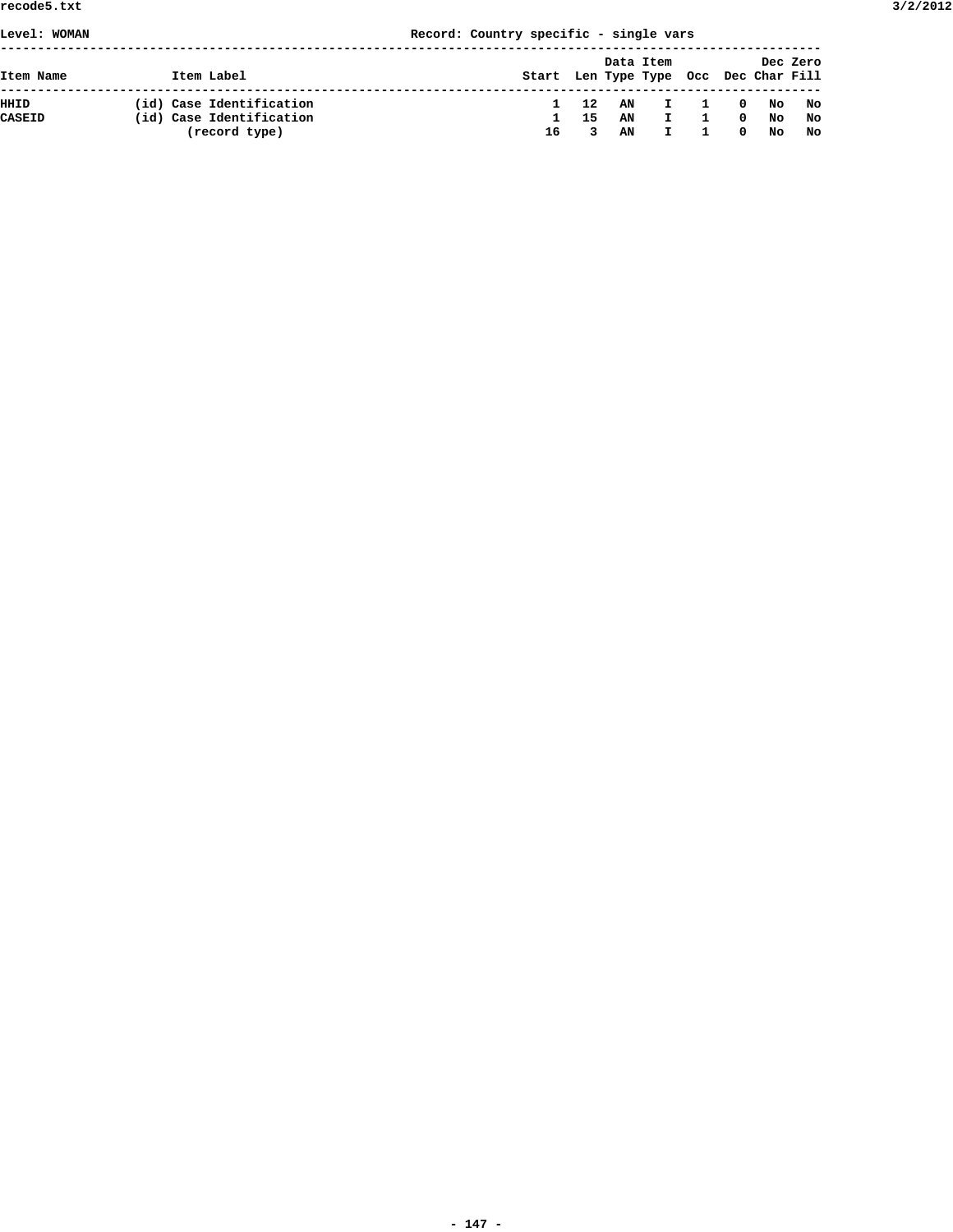|  |  | Record: Country specific - single vars |  |  |  |  |
|--|--|----------------------------------------|--|--|--|--|
|--|--|----------------------------------------|--|--|--|--|

| Item Name     | Item Label               | Start Len Type Type Occ Dec Char Fill |    |    | Data Item |                         |                            |    | Dec Zero |
|---------------|--------------------------|---------------------------------------|----|----|-----------|-------------------------|----------------------------|----|----------|
| HHID          | (id) Case Identification |                                       | 12 |    | AN I      | $\overline{\mathbf{1}}$ | $\overline{\phantom{a}}$ 0 | No | No       |
| <b>CASEID</b> | (id) Case Identification |                                       | 15 | AN | H.        |                         | $\mathbf{0}$               | No | No       |
|               | (record type)            | 16                                    |    | AN |           |                         | $^{\circ}$                 | No | No       |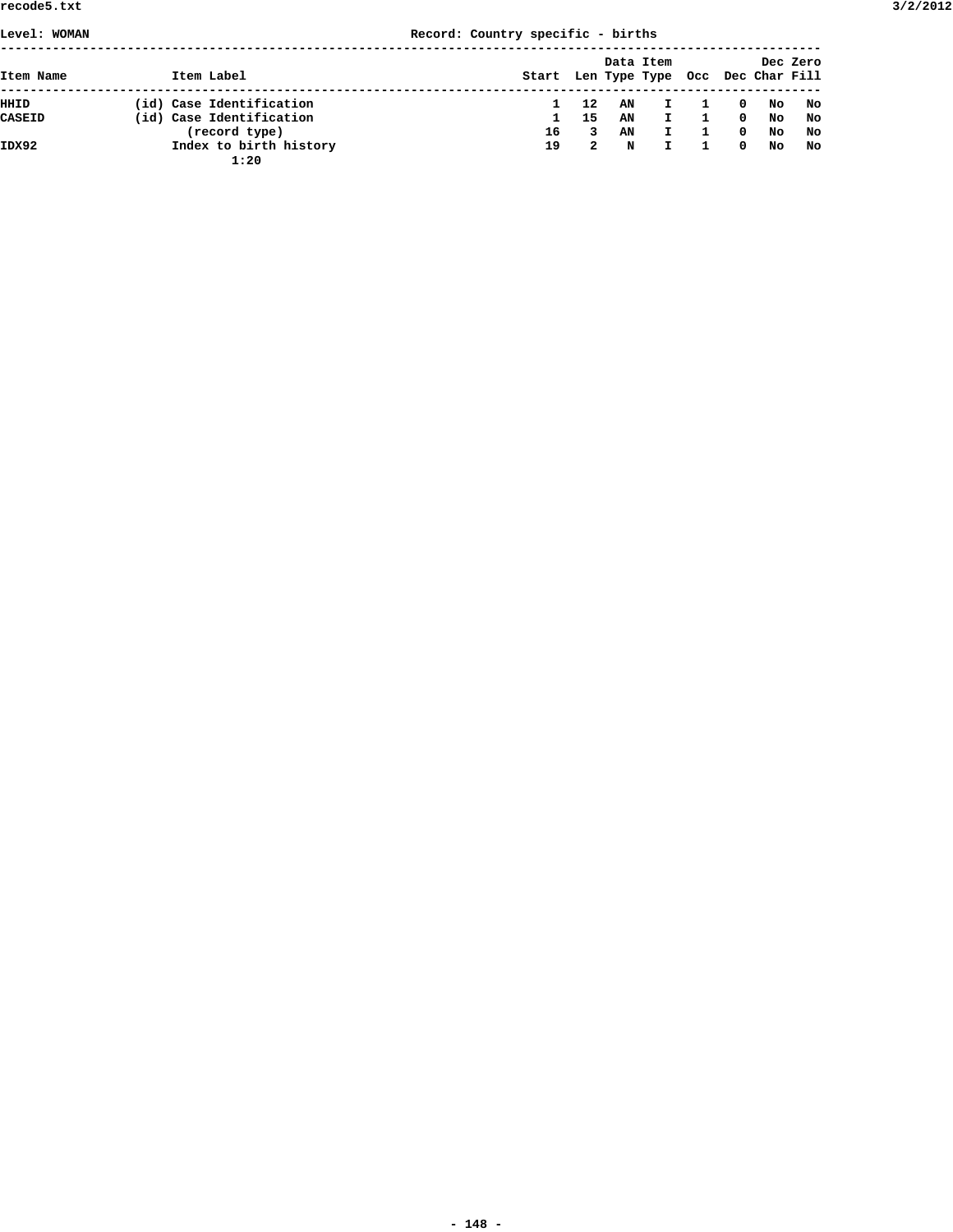|  |  | Record: Country specific - births |  |  |  |
|--|--|-----------------------------------|--|--|--|
|--|--|-----------------------------------|--|--|--|

| Level: WOMAN |                                | Record: Country specific - births     |    |    |              |              |                         |    |          |
|--------------|--------------------------------|---------------------------------------|----|----|--------------|--------------|-------------------------|----|----------|
| Item Name    | Item Label                     | Start Len Type Type Occ Dec Char Fill |    |    | Data Item    |              |                         |    | Dec Zero |
| HHID         | (id) Case Identification       |                                       | 12 | AN | $\mathbf{I}$ | -1           | $\overline{\mathbf{0}}$ | No | No       |
| CASEID       | (id) Case Identification       | $\mathbf{1}$                          | 15 | AN | $\mathbf{I}$ | $\mathbf{1}$ | $\mathbf{o}$            | No | No       |
|              | (record type)                  | 16                                    | 3  | AN | $\mathbf{I}$ | 1            | $^{\circ}$              | No | No       |
| IDX92        | Index to birth history<br>1:20 | 19                                    | 2  | N  | I.           | 1            | $^{\circ}$              | No | No       |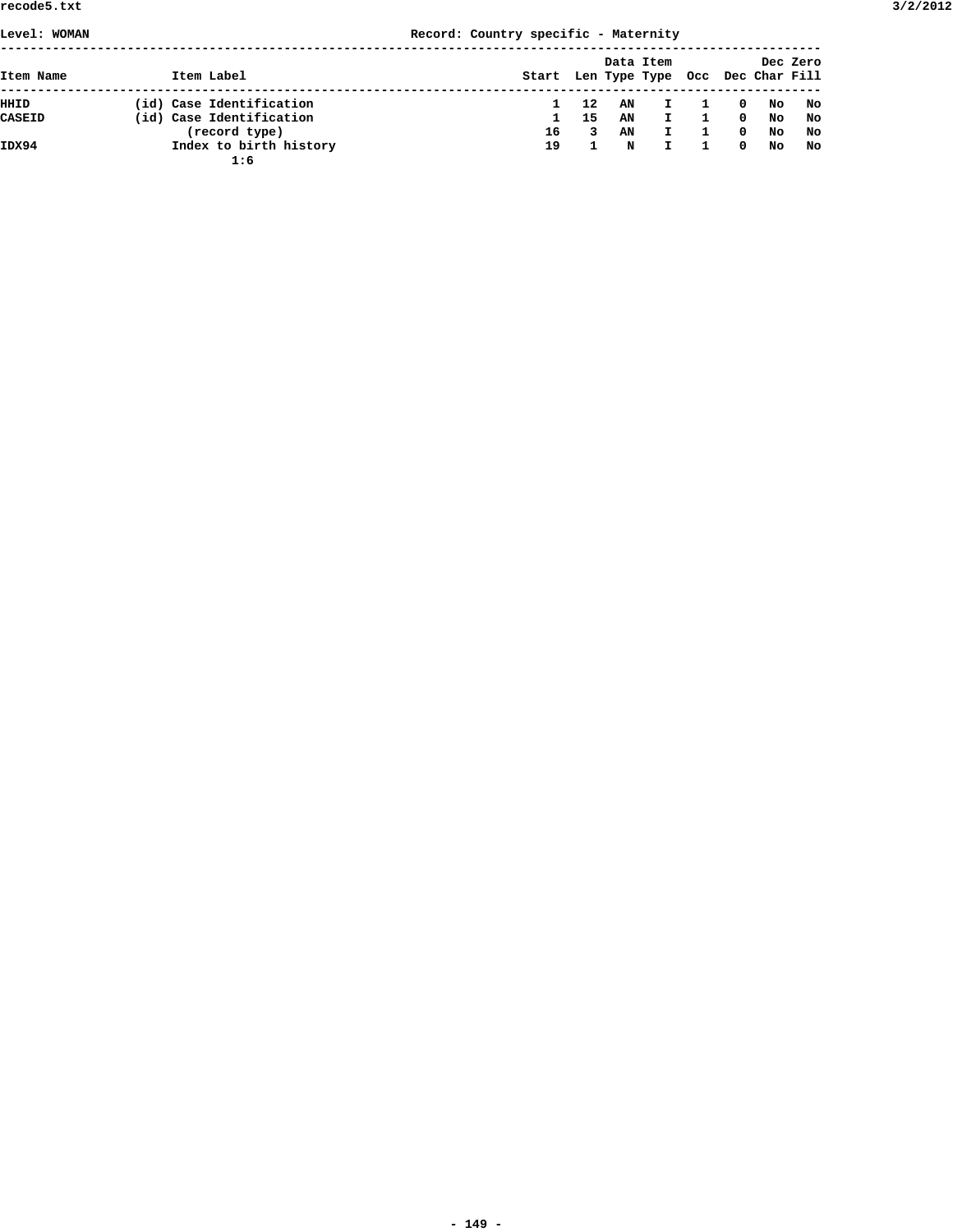| Level: WOMAN  |                                           | Record: Country specific - Maternity  |         |          |           |                           |           |          |
|---------------|-------------------------------------------|---------------------------------------|---------|----------|-----------|---------------------------|-----------|----------|
| Item Name     | Item Label                                | Start Len Type Type Occ Dec Char Fill |         |          | Data Item |                           |           | Dec Zero |
| HHID          | (id) Case Identification                  |                                       | 12      | AN       | Ι.        | $\mathbf 0$               | No        | No       |
| <b>CASEID</b> | (id) Case Identification<br>(record type) | 16                                    | 15<br>3 | AN<br>AN | I.<br>I.  | $\mathbf 0$<br>$^{\circ}$ | No<br>No. | No<br>No |
| IDX94         | Index to birth history<br>1:6             | 19                                    |         | N        | I.        | $^{\circ}$                | No.       | No       |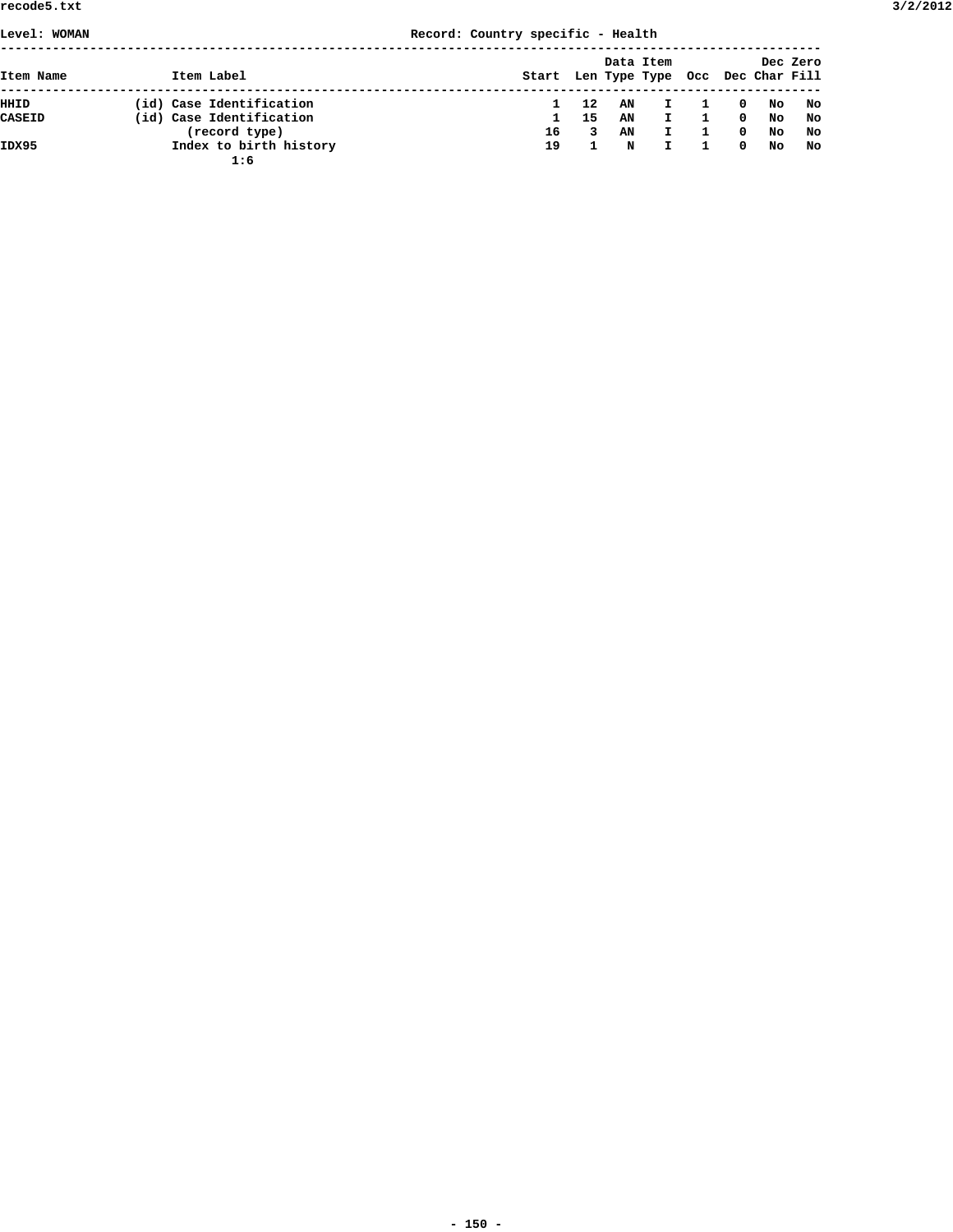|  |  | Record: Country specific - Health |  |  |  |
|--|--|-----------------------------------|--|--|--|
|--|--|-----------------------------------|--|--|--|

| Level: WOMAN |                               | Record: Country specific - Health |                                       |     |    |              |              |              |    |          |
|--------------|-------------------------------|-----------------------------------|---------------------------------------|-----|----|--------------|--------------|--------------|----|----------|
| Item Name    | Item Label                    |                                   | Start Len Type Type Occ Dec Char Fill |     |    | Data Item    |              |              |    | Dec Zero |
| HHID         | (id) Case Identification      |                                   |                                       | 12  | AN | $\mathbf{I}$ | 1            | $\mathbf{0}$ | No | No       |
| CASEID       | (id) Case Identification      |                                   | $\mathbf{1}$                          | -15 | AN | $\mathbf{I}$ | $\mathbf{1}$ | $\Omega$     | No | No       |
|              | (record type)                 |                                   | 16                                    | 3   | AN | $\mathbf{I}$ | 1            | $^{\circ}$   | No | No       |
| IDX95        | Index to birth history<br>1:6 |                                   | 19                                    |     | N  |              | 1            | $^{\circ}$   | No | No       |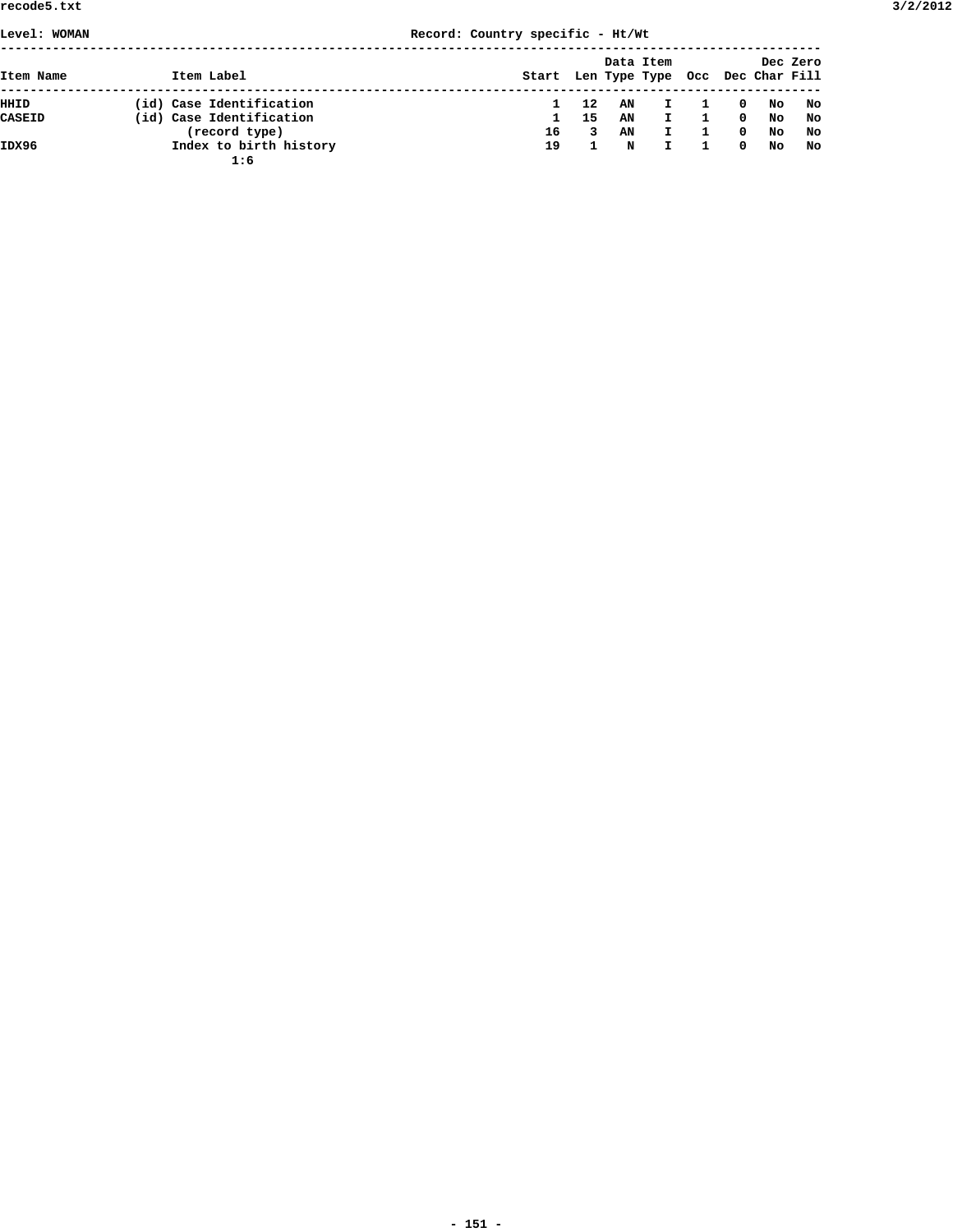**Level: WOMAN Record: Country specific - Ht/Wt**

|--|

|               |                               |       |    |    | Data Item     |          |     | Dec Zero          |
|---------------|-------------------------------|-------|----|----|---------------|----------|-----|-------------------|
| Item Name     | Item Label                    | Start |    |    | Len Type Type |          |     | Occ Dec Char Fill |
| HHID          | (id) Case Identification      |       | 12 | AN | $\mathbf{I}$  | 0        | No  | No                |
| <b>CASEID</b> | (id) Case Identification      |       | 15 | AN | $\mathbf{I}$  | 0        | No  | No                |
|               | (record type)                 | 16    | 3  | AN | $\mathbf{I}$  | $\Omega$ | No  | No                |
| IDX96         | Index to birth history<br>1:6 | 19    |    | N  |               | $\Omega$ | No. | No                |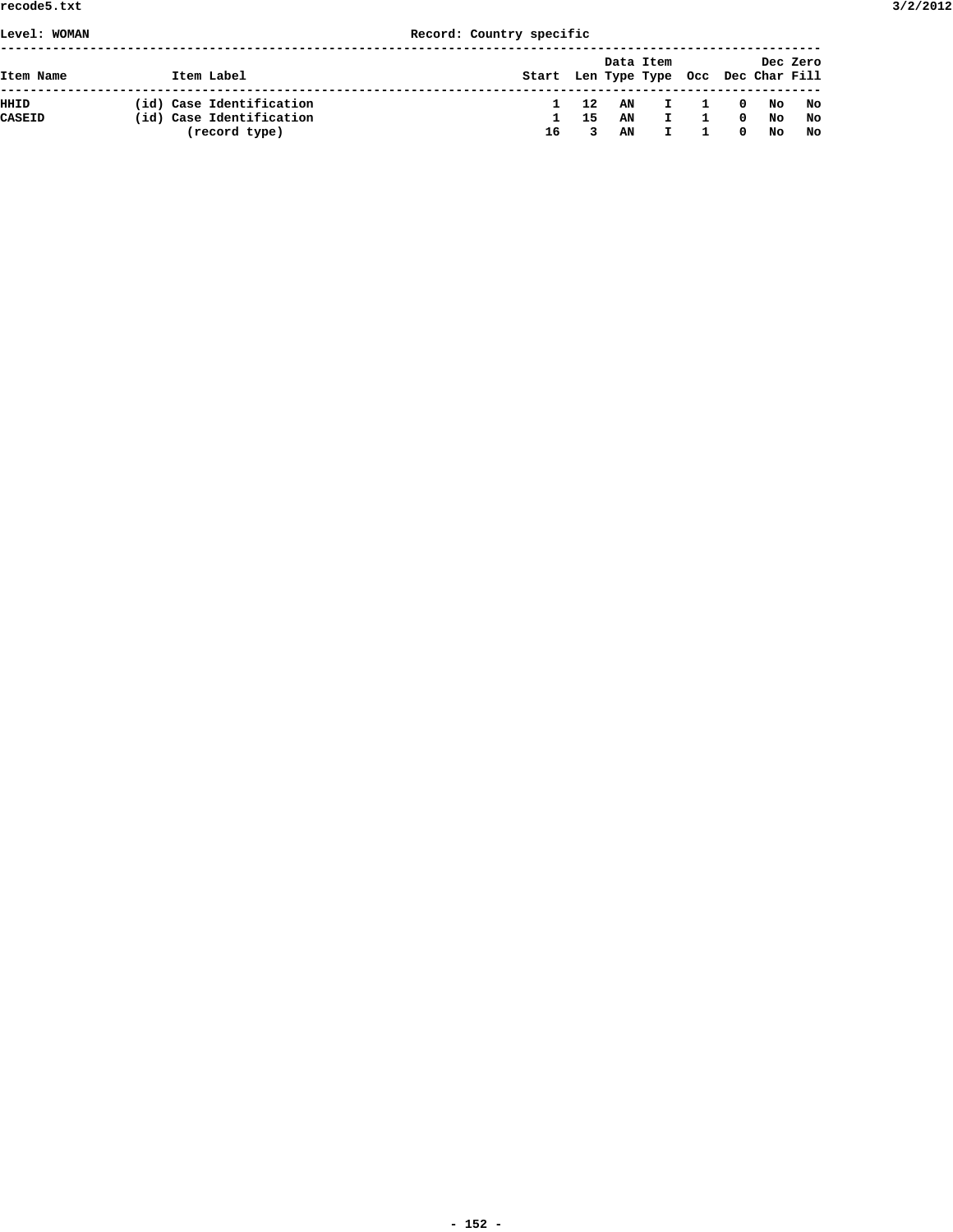## **Level: WOMAN Record: Country specific**

| Item Name | Item Label               | Start Len Type Type Occ Dec Char Fill |     | Data Item |                               |                | Dec Zero      |     |
|-----------|--------------------------|---------------------------------------|-----|-----------|-------------------------------|----------------|---------------|-----|
| HHID      | (id) Case Identification | $\mathbf 1$                           | 12  |           |                               |                | AN I 10 No No |     |
| CASEID    | (id) Case Identification | $\mathbf{1}$                          | -15 | AN        | $\mathbf{I}$ and $\mathbf{I}$ | $\mathbf{1}$   | 0 No          | No. |
|           | (record type)            | 16                                    | 3   | AN        | $\mathbf{I}$                  | $\overline{1}$ | $0$ No        | No. |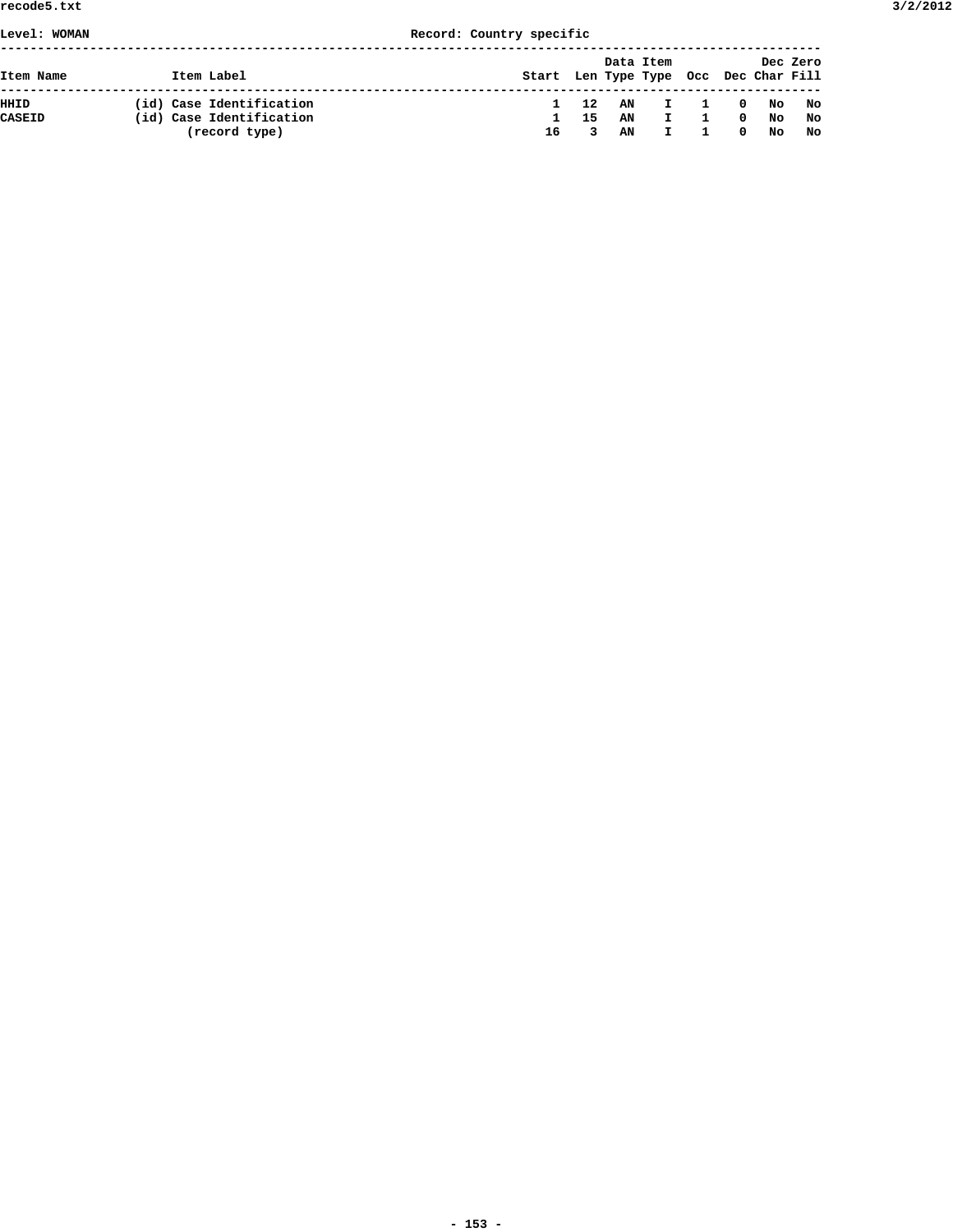## **Level: WOMAN Record: Country specific**

| Item Name | Item Label               | Start Len Type Type Occ Dec Char Fill |     | Data Item |              |                |              |         | Dec Zero |
|-----------|--------------------------|---------------------------------------|-----|-----------|--------------|----------------|--------------|---------|----------|
| HHID      | (id) Case Identification | $\mathbf{1}$                          | 12  | AN        | $\mathbf{I}$ | $\overline{1}$ |              | 0 No No |          |
| CASEID    | (id) Case Identification | п.                                    | -15 | AN        |              |                | $^{\circ}$   | No      | No       |
|           | (record type)            | 16                                    | 3   | AN        |              |                | $\mathbf{0}$ | No      | No       |